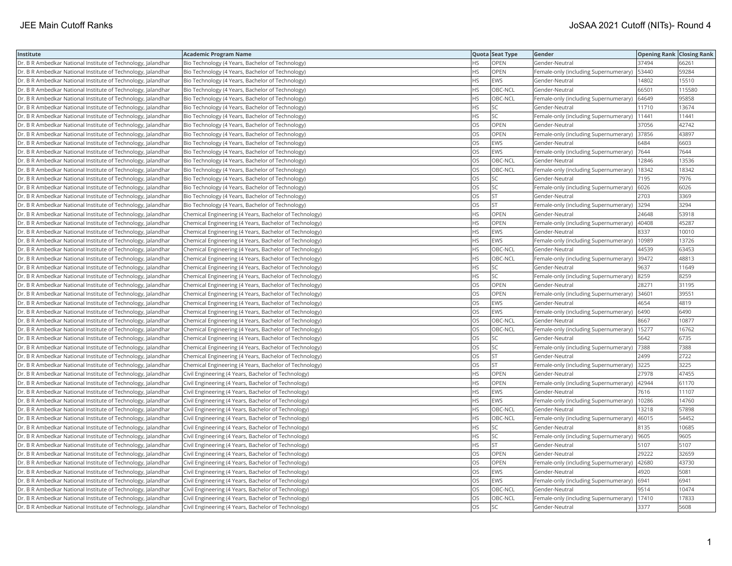| Institute                                                    | <b>Academic Program Name</b>                           |           | Quota Seat Type | Gender                                        | <b>Opening Rank Closing Rank</b> |        |
|--------------------------------------------------------------|--------------------------------------------------------|-----------|-----------------|-----------------------------------------------|----------------------------------|--------|
| Dr. B R Ambedkar National Institute of Technology, Jalandhar | Bio Technology (4 Years, Bachelor of Technology)       | HS.       | <b>OPEN</b>     | Gender-Neutral                                | 37494                            | 66261  |
| Dr. B R Ambedkar National Institute of Technology, Jalandhar | Bio Technology (4 Years, Bachelor of Technology)       | НS        | OPEN            | Female-only (including Supernumerary)         | 53440                            | 59284  |
| Dr. B R Ambedkar National Institute of Technology, Jalandhar | Bio Technology (4 Years, Bachelor of Technology)       | HS        | <b>EWS</b>      | Gender-Neutral                                | 14802                            | 15510  |
| Dr. B R Ambedkar National Institute of Technology, Jalandhar | Bio Technology (4 Years, Bachelor of Technology)       | HS        | OBC-NCL         | Gender-Neutral                                | 66501                            | 115580 |
| Dr. B R Ambedkar National Institute of Technology, Jalandhar | Bio Technology (4 Years, Bachelor of Technology)       | HS        | OBC-NCL         | Female-only (including Supernumerary)         | 64649                            | 95858  |
| Dr. B R Ambedkar National Institute of Technology, Jalandhar | Bio Technology (4 Years, Bachelor of Technology)       | HS        | <b>SC</b>       | Gender-Neutral                                | 11710                            | 13674  |
| Dr. B R Ambedkar National Institute of Technology, Jalandhar | Bio Technology (4 Years, Bachelor of Technology)       | HS        | <b>SC</b>       | Female-only (including Supernumerary)         | 11441                            | 11441  |
| Dr. B R Ambedkar National Institute of Technology, Jalandhar | Bio Technology (4 Years, Bachelor of Technology)       | OS        | <b>OPEN</b>     | Gender-Neutral                                | 37056                            | 42742  |
| Dr. B R Ambedkar National Institute of Technology, Jalandhar | Bio Technology (4 Years, Bachelor of Technology)       | OS        | OPEN            | Female-only (including Supernumerary)         | 37856                            | 43897  |
| Dr. B R Ambedkar National Institute of Technology, Jalandhar | Bio Technology (4 Years, Bachelor of Technology)       | OS        | <b>EWS</b>      | Gender-Neutral                                | 6484                             | 6603   |
| Dr. B R Ambedkar National Institute of Technology, Jalandhar | Bio Technology (4 Years, Bachelor of Technology)       | OS        | EWS             | Female-only (including Supernumerary)         | 7644                             | 7644   |
| Dr. B R Ambedkar National Institute of Technology, Jalandhar | Bio Technology (4 Years, Bachelor of Technology)       | OS        | OBC-NCL         | Gender-Neutral                                | 12846                            | 13536  |
| Dr. B R Ambedkar National Institute of Technology, Jalandhar | Bio Technology (4 Years, Bachelor of Technology)       | OS        | OBC-NCL         | Female-only (including Supernumerary)         | 18342                            | 18342  |
| Dr. B R Ambedkar National Institute of Technology, Jalandhar | Bio Technology (4 Years, Bachelor of Technology)       | OS        | lsc             | Gender-Neutral                                | 7195                             | 7976   |
| Dr. B R Ambedkar National Institute of Technology, Jalandhar | Bio Technology (4 Years, Bachelor of Technology)       | OS        | <b>SC</b>       | Female-only (including Supernumerary)         | 6026                             | 6026   |
| Dr. B R Ambedkar National Institute of Technology, Jalandhar | Bio Technology (4 Years, Bachelor of Technology)       | OS        | <b>ST</b>       | Gender-Neutral                                | 2703                             | 3369   |
| Dr. B R Ambedkar National Institute of Technology, Jalandhar | Bio Technology (4 Years, Bachelor of Technology)       | OS        | <b>ST</b>       | Female-only (including Supernumerary)         | 3294                             | 3294   |
| Dr. B R Ambedkar National Institute of Technology, Jalandhar | Chemical Engineering (4 Years, Bachelor of Technology) | HS.       | OPEN            | Gender-Neutral                                | 24648                            | 53918  |
| Dr. B R Ambedkar National Institute of Technology, Jalandhar | Chemical Engineering (4 Years, Bachelor of Technology) | HS        | OPEN            | Female-only (including Supernumerary)         | 40408                            | 45287  |
| Dr. B R Ambedkar National Institute of Technology, Jalandhar | Chemical Engineering (4 Years, Bachelor of Technology) | HS        | <b>EWS</b>      | Gender-Neutral                                | 8337                             | 10010  |
| Dr. B R Ambedkar National Institute of Technology, Jalandhar | Chemical Engineering (4 Years, Bachelor of Technology) | HS.       | <b>EWS</b>      | Female-only (including Supernumerary)         | 10989                            | 13726  |
| Dr. B R Ambedkar National Institute of Technology, Jalandhar | Chemical Engineering (4 Years, Bachelor of Technology) | HS        | OBC-NCL         | Gender-Neutral                                | 44539                            | 63453  |
| Dr. B R Ambedkar National Institute of Technology, Jalandhar | Chemical Engineering (4 Years, Bachelor of Technology) | HS        | OBC-NCL         | Female-only (including Supernumerary)         | 39472                            | 48813  |
| Dr. B R Ambedkar National Institute of Technology, Jalandhar | Chemical Engineering (4 Years, Bachelor of Technology) | НS        | <b>SC</b>       | Gender-Neutral                                | 9637                             | 11649  |
| Dr. B R Ambedkar National Institute of Technology, Jalandhar | Chemical Engineering (4 Years, Bachelor of Technology) | HS.       | <b>SC</b>       | Female-only (including Supernumerary)         | 8259                             | 8259   |
| Dr. B R Ambedkar National Institute of Technology, Jalandhar | Chemical Engineering (4 Years, Bachelor of Technology) | OS        | OPEN            | Gender-Neutral                                | 28271                            | 31195  |
| Dr. B R Ambedkar National Institute of Technology, Jalandhar | Chemical Engineering (4 Years, Bachelor of Technology) | OS        | OPEN            | Female-only (including Supernumerary)         | 34601                            | 39551  |
| Dr. B R Ambedkar National Institute of Technology, Jalandhar | Chemical Engineering (4 Years, Bachelor of Technology) | OS.       | EWS             | Gender-Neutral                                | 4654                             | 4819   |
| Dr. B R Ambedkar National Institute of Technology, Jalandhar | Chemical Engineering (4 Years, Bachelor of Technology) | OS.       | <b>EWS</b>      | Female-only (including Supernumerary)         | 6490                             | 6490   |
| Dr. B R Ambedkar National Institute of Technology, Jalandhar | Chemical Engineering (4 Years, Bachelor of Technology) | OS        | OBC-NCL         | Gender-Neutral                                | 8667                             | 10877  |
| Dr. B R Ambedkar National Institute of Technology, Jalandhar | Chemical Engineering (4 Years, Bachelor of Technology) | OS        | OBC-NCL         | Female-only (including Supernumerary)   15277 |                                  | 16762  |
| Dr. B R Ambedkar National Institute of Technology, Jalandhar | Chemical Engineering (4 Years, Bachelor of Technology) | OS        | SC              | Gender-Neutral                                | 5642                             | 6735   |
| Dr. B R Ambedkar National Institute of Technology, Jalandhar | Chemical Engineering (4 Years, Bachelor of Technology) | OS        | SC              | Female-only (including Supernumerary)         | 7388                             | 7388   |
| Dr. B R Ambedkar National Institute of Technology, Jalandhar | Chemical Engineering (4 Years, Bachelor of Technology) | OS        | <b>ST</b>       | Gender-Neutral                                | 2499                             | 2722   |
| Dr. B R Ambedkar National Institute of Technology, Jalandhar | Chemical Engineering (4 Years, Bachelor of Technology) | OS        | <b>ST</b>       | Female-only (including Supernumerary)         | 3225                             | 3225   |
| Dr. B R Ambedkar National Institute of Technology, Jalandhar | Civil Engineering (4 Years, Bachelor of Technology)    | HS.       | <b>OPEN</b>     | Gender-Neutral                                | 27978                            | 47455  |
| Dr. B R Ambedkar National Institute of Technology, Jalandhar | Civil Engineering (4 Years, Bachelor of Technology)    | HS        | OPEN            | Female-only (including Supernumerary)         | 42944                            | 61170  |
| Dr. B R Ambedkar National Institute of Technology, Jalandhar | Civil Engineering (4 Years, Bachelor of Technology)    | HS        | EWS             | Gender-Neutral                                | 7616                             | 11107  |
| Dr. B R Ambedkar National Institute of Technology, Jalandhar | Civil Engineering (4 Years, Bachelor of Technology)    | HS        | EWS             | Female-only (including Supernumerary)         | 10286                            | 14760  |
| Dr. B R Ambedkar National Institute of Technology, Jalandhar | Civil Engineering (4 Years, Bachelor of Technology)    | HS.       | OBC-NCL         | Gender-Neutral                                | 13218                            | 57898  |
| Dr. B R Ambedkar National Institute of Technology, Jalandhar | Civil Engineering (4 Years, Bachelor of Technology)    | HS        | OBC-NCL         | Female-only (including Supernumerary)         | 46015                            | 54452  |
| Dr. B R Ambedkar National Institute of Technology, Jalandhar | Civil Engineering (4 Years, Bachelor of Technology)    | HS        | SC              | Gender-Neutral                                | 8135                             | 10685  |
| Dr. B R Ambedkar National Institute of Technology, Jalandhar | Civil Engineering (4 Years, Bachelor of Technology)    | HS        | <b>SC</b>       | Female-only (including Supernumerary)         | 9605                             | 9605   |
| Dr. B R Ambedkar National Institute of Technology, Jalandhar | Civil Engineering (4 Years, Bachelor of Technology)    | HS        | <b>ST</b>       | Gender-Neutral                                | 5107                             | 5107   |
| Dr. B R Ambedkar National Institute of Technology, Jalandhar | Civil Engineering (4 Years, Bachelor of Technology)    | OS        | <b>OPEN</b>     | Gender-Neutral                                | 29222                            | 32659  |
| Dr. B R Ambedkar National Institute of Technology, Jalandhar | Civil Engineering (4 Years, Bachelor of Technology)    | OS        | <b>OPEN</b>     | Female-only (including Supernumerary)         | 42680                            | 43730  |
| Dr. B R Ambedkar National Institute of Technology, Jalandhar | Civil Engineering (4 Years, Bachelor of Technology)    | <b>OS</b> | <b>EWS</b>      | Gender-Neutral                                | 4920                             | 5081   |
| Dr. B R Ambedkar National Institute of Technology, Jalandhar | Civil Engineering (4 Years, Bachelor of Technology)    | OS        | EWS             | Female-only (including Supernumerary)         | 6941                             | 6941   |
| Dr. B R Ambedkar National Institute of Technology, Jalandhar | Civil Engineering (4 Years, Bachelor of Technology)    | OS.       | OBC-NCL         | Gender-Neutral                                | 9514                             | 10474  |
| Dr. B R Ambedkar National Institute of Technology, Jalandhar | Civil Engineering (4 Years, Bachelor of Technology)    | OS        | OBC-NCL         | Female-only (including Supernumerary)         | 17410                            | 17833  |
| Dr. B R Ambedkar National Institute of Technology, Jalandhar | Civil Engineering (4 Years, Bachelor of Technology)    | <b>OS</b> | lsc             | Gender-Neutral                                | 3377                             | 5608   |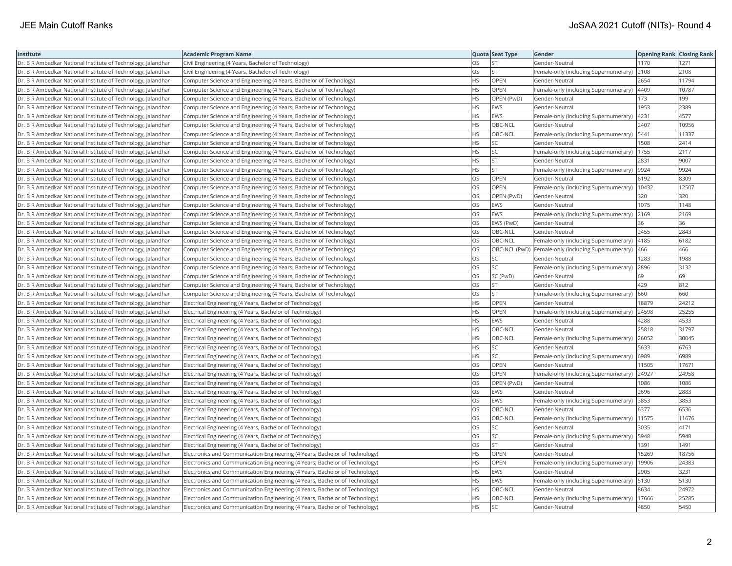| Institute                                                    | <b>Academic Program Name</b>                                                |           | Quota Seat Type | Gender                                              | <b>Opening Rank Closing Rank</b> |       |
|--------------------------------------------------------------|-----------------------------------------------------------------------------|-----------|-----------------|-----------------------------------------------------|----------------------------------|-------|
| Dr. B R Ambedkar National Institute of Technology, Jalandhar | Civil Engineering (4 Years, Bachelor of Technology)                         | <b>OS</b> | <b>ST</b>       | Gender-Neutral                                      | 1170                             | 1271  |
| Dr. B R Ambedkar National Institute of Technology, Jalandhar | Civil Engineering (4 Years, Bachelor of Technology)                         | OS        | <b>ST</b>       | Female-only (including Supernumerary)               | 2108                             | 2108  |
| Dr. B R Ambedkar National Institute of Technology, Jalandhar | Computer Science and Engineering (4 Years, Bachelor of Technology)          | <b>HS</b> | OPEN            | Gender-Neutral                                      | 2654                             | 11794 |
| Dr. B R Ambedkar National Institute of Technology, Jalandhar | Computer Science and Engineering (4 Years, Bachelor of Technology)          | <b>HS</b> | OPEN            | Female-only (including Supernumerary)               | 4409                             | 10787 |
| Dr. B R Ambedkar National Institute of Technology, Jalandhar | Computer Science and Engineering (4 Years, Bachelor of Technology)          | <b>HS</b> | OPEN (PwD)      | Gender-Neutral                                      | 173                              | 199   |
| Dr. B R Ambedkar National Institute of Technology, Jalandhar | Computer Science and Engineering (4 Years, Bachelor of Technology)          | HS        | <b>EWS</b>      | Gender-Neutral                                      | 1953                             | 2389  |
| Dr. B R Ambedkar National Institute of Technology, Jalandhar | Computer Science and Engineering (4 Years, Bachelor of Technology)          | <b>HS</b> | <b>EWS</b>      | Female-only (including Supernumerary)               | 4231                             | 4577  |
| Dr. B R Ambedkar National Institute of Technology, Jalandhar | Computer Science and Engineering (4 Years, Bachelor of Technology)          | <b>HS</b> | OBC-NCL         | Gender-Neutral                                      | 2407                             | 10956 |
| Dr. B R Ambedkar National Institute of Technology, Jalandhar | Computer Science and Engineering (4 Years, Bachelor of Technology)          | HS        | OBC-NCL         | Female-only (including Supernumerary)               | 5441                             | 11337 |
| Dr. B R Ambedkar National Institute of Technology, Jalandhar | Computer Science and Engineering (4 Years, Bachelor of Technology)          | HS        | SC.             | Gender-Neutral                                      | 1508                             | 2414  |
| Dr. B R Ambedkar National Institute of Technology, Jalandhar | Computer Science and Engineering (4 Years, Bachelor of Technology)          | <b>HS</b> | <b>SC</b>       | Female-only (including Supernumerary)               | 1755                             | 2117  |
| Dr. B R Ambedkar National Institute of Technology, Jalandhar | Computer Science and Engineering (4 Years, Bachelor of Technology)          | <b>HS</b> | <b>ST</b>       | Gender-Neutral                                      | 2831                             | 9007  |
| Dr. B R Ambedkar National Institute of Technology, Jalandhar | Computer Science and Engineering (4 Years, Bachelor of Technology)          | <b>HS</b> | <b>ST</b>       | Female-only (including Supernumerary)               | 9924                             | 9924  |
| Dr. B R Ambedkar National Institute of Technology, Jalandhar | Computer Science and Engineering (4 Years, Bachelor of Technology)          | <b>OS</b> | OPEN            | Gender-Neutral                                      | 6192                             | 8309  |
| Dr. B R Ambedkar National Institute of Technology, Jalandhar | Computer Science and Engineering (4 Years, Bachelor of Technology)          | OS        | OPEN            | Female-only (including Supernumerary)   10432       |                                  | 12507 |
| Dr. B R Ambedkar National Institute of Technology, Jalandhar | Computer Science and Engineering (4 Years, Bachelor of Technology)          | OS        | OPEN (PwD)      | Gender-Neutral                                      | 320                              | 320   |
| Dr. B R Ambedkar National Institute of Technology, Jalandhar | Computer Science and Engineering (4 Years, Bachelor of Technology)          | <b>OS</b> | <b>EWS</b>      | Gender-Neutral                                      | 1075                             | 1148  |
| Dr. B R Ambedkar National Institute of Technology, Jalandhar | Computer Science and Engineering (4 Years, Bachelor of Technology)          | OS        | EWS             | Female-only (including Supernumerary)               | 2169                             | 2169  |
| Dr. B R Ambedkar National Institute of Technology, Jalandhar | Computer Science and Engineering (4 Years, Bachelor of Technology)          | OS        | EWS (PwD)       | Gender-Neutral                                      | 36                               | 36    |
| Dr. B R Ambedkar National Institute of Technology, Jalandhar | Computer Science and Engineering (4 Years, Bachelor of Technology)          | <b>OS</b> | OBC-NCL         | Gender-Neutral                                      | 2455                             | 2843  |
| Dr. B R Ambedkar National Institute of Technology, Jalandhar | Computer Science and Engineering (4 Years, Bachelor of Technology)          | <b>OS</b> | OBC-NCL         | Female-only (including Supernumerary)               | 4185                             | 6182  |
| Dr. B R Ambedkar National Institute of Technology, Jalandhar | Computer Science and Engineering (4 Years, Bachelor of Technology)          | OS        |                 | OBC-NCL (PwD) Female-only (including Supernumerary) | 466                              | 466   |
| Dr. B R Ambedkar National Institute of Technology, Jalandhar | Computer Science and Engineering (4 Years, Bachelor of Technology)          | OS        | <b>SC</b>       | Gender-Neutral                                      | 1283                             | 1988  |
| Dr. B R Ambedkar National Institute of Technology, Jalandhar | Computer Science and Engineering (4 Years, Bachelor of Technology)          | OS        | <b>SC</b>       | Female-only (including Supernumerary)               | 2896                             | 3132  |
| Dr. B R Ambedkar National Institute of Technology, Jalandhar | Computer Science and Engineering (4 Years, Bachelor of Technology)          | OS        | SC (PwD)        | Gender-Neutral                                      | 69                               | 69    |
| Dr. B R Ambedkar National Institute of Technology, Jalandhar | Computer Science and Engineering (4 Years, Bachelor of Technology)          | <b>OS</b> | İst             | Gender-Neutral                                      | 429                              | 812   |
| Dr. B R Ambedkar National Institute of Technology, Jalandhar | Computer Science and Engineering (4 Years, Bachelor of Technology)          | OS        | <b>ST</b>       | Female-only (including Supernumerary)               | 660                              | 660   |
| Dr. B R Ambedkar National Institute of Technology, Jalandhar | Electrical Engineering (4 Years, Bachelor of Technology)                    | <b>HS</b> | OPEN            | Gender-Neutral                                      | 18879                            | 24212 |
| Dr. B R Ambedkar National Institute of Technology, Jalandhar | Electrical Engineering (4 Years, Bachelor of Technology)                    | <b>HS</b> | <b>OPEN</b>     | Female-only (including Supernumerary)               | 24598                            | 25255 |
| Dr. B R Ambedkar National Institute of Technology, Jalandhar | Electrical Engineering (4 Years, Bachelor of Technology)                    | HS        | <b>EWS</b>      | Gender-Neutral                                      | 4288                             | 4533  |
| Dr. B R Ambedkar National Institute of Technology, Jalandhar | Electrical Engineering (4 Years, Bachelor of Technology)                    | <b>HS</b> | OBC-NCL         | Gender-Neutral                                      | 25818                            | 31797 |
| Dr. B R Ambedkar National Institute of Technology, Jalandhar | Electrical Engineering (4 Years, Bachelor of Technology)                    | HS        | OBC-NCL         | Female-only (including Supernumerary)               | 26052                            | 30045 |
| Dr. B R Ambedkar National Institute of Technology, Jalandhar | Electrical Engineering (4 Years, Bachelor of Technology)                    | HS        | SC.             | Gender-Neutral                                      | 5633                             | 6763  |
| Dr. B R Ambedkar National Institute of Technology, Jalandhar | Electrical Engineering (4 Years, Bachelor of Technology)                    | <b>HS</b> | <b>SC</b>       | Female-only (including Supernumerary)               | 6989                             | 6989  |
| Dr. B R Ambedkar National Institute of Technology, Jalandhar | Electrical Engineering (4 Years, Bachelor of Technology)                    | OS        | OPEN            | Gender-Neutral                                      | 11505                            | 17671 |
| Dr. B R Ambedkar National Institute of Technology, Jalandhar | Electrical Engineering (4 Years, Bachelor of Technology)                    | OS        | <b>OPEN</b>     | Female-only (including Supernumerary)               | 24927                            | 24958 |
| Dr. B R Ambedkar National Institute of Technology, Jalandhar | Electrical Engineering (4 Years, Bachelor of Technology)                    | OS        | OPEN (PwD)      | Gender-Neutral                                      | 1086                             | 1086  |
| Dr. B R Ambedkar National Institute of Technology, Jalandhar | Electrical Engineering (4 Years, Bachelor of Technology)                    | OS        | EWS             | Gender-Neutral                                      | 2696                             | 2883  |
| Dr. B R Ambedkar National Institute of Technology, Jalandhar | Electrical Engineering (4 Years, Bachelor of Technology)                    | OS        | <b>EWS</b>      | Female-only (including Supernumerary)               | 3853                             | 3853  |
| Dr. B R Ambedkar National Institute of Technology, Jalandhar | Electrical Engineering (4 Years, Bachelor of Technology)                    | OS        | OBC-NCL         | Gender-Neutral                                      | 6377                             | 6536  |
| Dr. B R Ambedkar National Institute of Technology, Jalandhar | Electrical Engineering (4 Years, Bachelor of Technology)                    | OS        | OBC-NCL         | Female-only (including Supernumerary)               | 11575                            | 11676 |
| Dr. B R Ambedkar National Institute of Technology, Jalandhar | Electrical Engineering (4 Years, Bachelor of Technology)                    | <b>OS</b> | <b>SC</b>       | Gender-Neutral                                      | 3035                             | 4171  |
| Dr. B R Ambedkar National Institute of Technology, Jalandhar | Electrical Engineering (4 Years, Bachelor of Technology)                    | <b>OS</b> | <b>SC</b>       | Female-only (including Supernumerary)               | 5948                             | 5948  |
| Dr. B R Ambedkar National Institute of Technology, Jalandhar | Electrical Engineering (4 Years, Bachelor of Technology)                    | <b>OS</b> | lst.            | Gender-Neutral                                      | 1391                             | 1491  |
| Dr. B R Ambedkar National Institute of Technology, Jalandhar | Electronics and Communication Engineering (4 Years, Bachelor of Technology) | HS        | <b>OPEN</b>     | Gender-Neutral                                      | 15269                            | 18756 |
| Dr. B R Ambedkar National Institute of Technology, Jalandhar | Electronics and Communication Engineering (4 Years, Bachelor of Technology) | <b>HS</b> | OPEN            | Female-only (including Supernumerary)               | 19906                            | 24383 |
| Dr. B R Ambedkar National Institute of Technology, Jalandhar | Electronics and Communication Engineering (4 Years, Bachelor of Technology) | HS        | <b>EWS</b>      | Gender-Neutral                                      | 2905                             | 3231  |
| Dr. B R Ambedkar National Institute of Technology, Jalandhar | Electronics and Communication Engineering (4 Years, Bachelor of Technology) | HS        | <b>EWS</b>      | Female-only (including Supernumerary)               | 5130                             | 5130  |
| Dr. B R Ambedkar National Institute of Technology, Jalandhar | Electronics and Communication Engineering (4 Years, Bachelor of Technology) | HS        | OBC-NCL         | Gender-Neutral                                      | 8634                             | 24972 |
| Dr. B R Ambedkar National Institute of Technology, Jalandhar | Electronics and Communication Engineering (4 Years, Bachelor of Technology) | <b>HS</b> | OBC-NCL         | Female-only (including Supernumerary)               | 17666                            | 25285 |
| Dr. B R Ambedkar National Institute of Technology, Jalandhar | Electronics and Communication Engineering (4 Years, Bachelor of Technology) | <b>HS</b> | <b>SC</b>       | Gender-Neutral                                      | 4850                             | 5450  |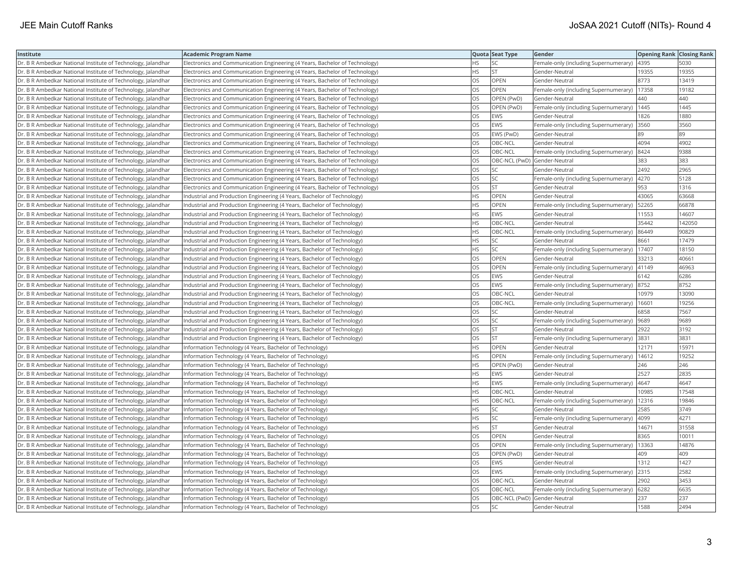| Institute                                                    | <b>Academic Program Name</b>                                                |           | Quota Seat Type              | Gender                                       | <b>Opening Rank Closing Rank</b> |        |
|--------------------------------------------------------------|-----------------------------------------------------------------------------|-----------|------------------------------|----------------------------------------------|----------------------------------|--------|
| Dr. B R Ambedkar National Institute of Technology, Jalandhar | Electronics and Communication Engineering (4 Years, Bachelor of Technology) | HS.       | <b>SC</b>                    | Female-only (including Supernumerary)        | 4395                             | 5030   |
| Dr. B R Ambedkar National Institute of Technology, Jalandhar | Electronics and Communication Engineering (4 Years, Bachelor of Technology) | ΗS        | <b>ST</b>                    | Gender-Neutral                               | 19355                            | 19355  |
| Dr. B R Ambedkar National Institute of Technology, Jalandhar | Electronics and Communication Engineering (4 Years, Bachelor of Technology) | OS        | OPEN                         | Gender-Neutral                               | 8773                             | 13419  |
| Dr. B R Ambedkar National Institute of Technology, Jalandhar | Electronics and Communication Engineering (4 Years, Bachelor of Technology) | OS        | OPEN                         | Female-only (including Supernumerary)        | 17358                            | 19182  |
| Dr. B R Ambedkar National Institute of Technology, Jalandhar | Electronics and Communication Engineering (4 Years, Bachelor of Technology) | OS.       | OPEN (PwD)                   | Gender-Neutral                               | 440                              | 440    |
| Dr. B R Ambedkar National Institute of Technology, Jalandhar | Electronics and Communication Engineering (4 Years, Bachelor of Technology) | OS        | OPEN (PwD)                   | Female-only (including Supernumerary)        | 1445                             | 1445   |
| Dr. B R Ambedkar National Institute of Technology, Jalandhar | Electronics and Communication Engineering (4 Years, Bachelor of Technology) | OS        | EWS                          | Gender-Neutral                               | 1826                             | 1880   |
| Dr. B R Ambedkar National Institute of Technology, Jalandhar | Electronics and Communication Engineering (4 Years, Bachelor of Technology) | OS        | <b>EWS</b>                   | Female-only (including Supernumerary)        | 3560                             | 3560   |
| Dr. B R Ambedkar National Institute of Technology, Jalandhar | Electronics and Communication Engineering (4 Years, Bachelor of Technology) | OS        | EWS (PwD)                    | Gender-Neutral                               | 89                               | 89     |
| Dr. B R Ambedkar National Institute of Technology, Jalandhar | Electronics and Communication Engineering (4 Years, Bachelor of Technology) | OS        | OBC-NCL                      | Gender-Neutral                               | 4094                             | 4902   |
| Dr. B R Ambedkar National Institute of Technology, Jalandhar | Electronics and Communication Engineering (4 Years, Bachelor of Technology) | OS        | OBC-NCL                      | Female-only (including Supernumerary)        | 8424                             | 9388   |
| Dr. B R Ambedkar National Institute of Technology, Jalandhar | Electronics and Communication Engineering (4 Years, Bachelor of Technology) | OS        | OBC-NCL (PwD) Gender-Neutral |                                              | 383                              | 383    |
| Dr. B R Ambedkar National Institute of Technology, Jalandhar | Electronics and Communication Engineering (4 Years, Bachelor of Technology) | OS        | <b>SC</b>                    | Gender-Neutral                               | 2492                             | 2965   |
| Dr. B R Ambedkar National Institute of Technology, Jalandhar | Electronics and Communication Engineering (4 Years, Bachelor of Technology) | OS        | <b>SC</b>                    | Female-only (including Supernumerary)        | 4270                             | 5128   |
| Dr. B R Ambedkar National Institute of Technology, Jalandhar | Electronics and Communication Engineering (4 Years, Bachelor of Technology) | OS        | <b>ST</b>                    | Gender-Neutral                               | 953                              | 1316   |
| Dr. B R Ambedkar National Institute of Technology, Jalandhar | Industrial and Production Engineering (4 Years, Bachelor of Technology)     | ΗS        | OPEN                         | Gender-Neutral                               | 43065                            | 63668  |
| Dr. B R Ambedkar National Institute of Technology, Jalandhar | Industrial and Production Engineering (4 Years, Bachelor of Technology)     | <b>HS</b> | <b>OPEN</b>                  | Female-only (including Supernumerary)        | 52265                            | 66878  |
| Dr. B R Ambedkar National Institute of Technology, Jalandhar | Industrial and Production Engineering (4 Years, Bachelor of Technology)     | HS        | EWS                          | Gender-Neutral                               | 11553                            | 14607  |
| Dr. B R Ambedkar National Institute of Technology, Jalandhar | Industrial and Production Engineering (4 Years, Bachelor of Technology)     | <b>HS</b> | OBC-NCL                      | Gender-Neutral                               | 35442                            | 142050 |
| Dr. B R Ambedkar National Institute of Technology, Jalandhar | Industrial and Production Engineering (4 Years, Bachelor of Technology)     | HS        | OBC-NCL                      | Female-only (including Supernumerary)        | 86449                            | 90829  |
| Dr. B R Ambedkar National Institute of Technology, Jalandhar | Industrial and Production Engineering (4 Years, Bachelor of Technology)     | HS.       | <b>SC</b>                    | Gender-Neutral                               | 8661                             | 17479  |
| Dr. B R Ambedkar National Institute of Technology, Jalandhar | Industrial and Production Engineering (4 Years, Bachelor of Technology)     | HS.       | lsc                          | Female-only (including Supernumerary)        | 17407                            | 18150  |
| Dr. B R Ambedkar National Institute of Technology, Jalandhar | Industrial and Production Engineering (4 Years, Bachelor of Technology)     | OS        | <b>OPEN</b>                  | Gender-Neutral                               | 33213                            | 40661  |
| Dr. B R Ambedkar National Institute of Technology, Jalandhar | Industrial and Production Engineering (4 Years, Bachelor of Technology)     | OS        | <b>OPEN</b>                  | Female-only (including Supernumerary)  41149 |                                  | 46963  |
| Dr. B R Ambedkar National Institute of Technology, Jalandhar | Industrial and Production Engineering (4 Years, Bachelor of Technology)     | OS.       | <b>EWS</b>                   | Gender-Neutral                               | 6142                             | 6286   |
| Dr. B R Ambedkar National Institute of Technology, Jalandhar | Industrial and Production Engineering (4 Years, Bachelor of Technology)     | OS        | EWS                          | Female-only (including Supernumerary)        | 8752                             | 8752   |
| Dr. B R Ambedkar National Institute of Technology, Jalandhar | Industrial and Production Engineering (4 Years, Bachelor of Technology)     | OS        | OBC-NCL                      | Gender-Neutral                               | 10979                            | 13090  |
| Dr. B R Ambedkar National Institute of Technology, Jalandhar | Industrial and Production Engineering (4 Years, Bachelor of Technology)     | OS        | OBC-NCL                      | Female-only (including Supernumerary)        | 16601                            | 19256  |
| Dr. B R Ambedkar National Institute of Technology, Jalandhar | Industrial and Production Engineering (4 Years, Bachelor of Technology)     | <b>OS</b> | lsc                          | Gender-Neutral                               | 6858                             | 7567   |
| Dr. B R Ambedkar National Institute of Technology, Jalandhar | Industrial and Production Engineering (4 Years, Bachelor of Technology)     | OS.       | lsc                          | Female-only (including Supernumerary)        | 9689                             | 9689   |
| Dr. B R Ambedkar National Institute of Technology, Jalandhar | Industrial and Production Engineering (4 Years, Bachelor of Technology)     | OS        | <b>ST</b>                    | Gender-Neutral                               | 2922                             | 3192   |
| Dr. B R Ambedkar National Institute of Technology, Jalandhar | Industrial and Production Engineering (4 Years, Bachelor of Technology)     | OS        | <b>ST</b>                    | Female-only (including Supernumerary)        | 3831                             | 3831   |
| Dr. B R Ambedkar National Institute of Technology, Jalandhar | Information Technology (4 Years, Bachelor of Technology)                    | <b>HS</b> | <b>OPEN</b>                  | Gender-Neutral                               | 12171                            | 15971  |
| Dr. B R Ambedkar National Institute of Technology, Jalandhar | Information Technology (4 Years, Bachelor of Technology)                    | НS        | OPEN                         | Female-only (including Supernumerary)        | 14612                            | 19252  |
| Dr. B R Ambedkar National Institute of Technology, Jalandhar | Information Technology (4 Years, Bachelor of Technology)                    | HS        | OPEN (PwD)                   | Gender-Neutral                               | 246                              | 246    |
| Dr. B R Ambedkar National Institute of Technology, Jalandhar | Information Technology (4 Years, Bachelor of Technology)                    | HS.       | <b>EWS</b>                   | Gender-Neutral                               | 2527                             | 2835   |
| Dr. B R Ambedkar National Institute of Technology, Jalandhar | Information Technology (4 Years, Bachelor of Technology)                    | HS.       | <b>EWS</b>                   | Female-only (including Supernumerary)        | 4647                             | 4647   |
| Dr. B R Ambedkar National Institute of Technology, Jalandhar | Information Technology (4 Years, Bachelor of Technology)                    | HS        | OBC-NCL                      | Gender-Neutral                               | 10985                            | 17548  |
| Dr. B R Ambedkar National Institute of Technology, Jalandhar | Information Technology (4 Years, Bachelor of Technology)                    | HS        | OBC-NCL                      | Female-only (including Supernumerary)        | 12316                            | 19846  |
| Dr. B R Ambedkar National Institute of Technology, Jalandhar | Information Technology (4 Years, Bachelor of Technology)                    | НS        | <b>SC</b>                    | Gender-Neutral                               | 2585                             | 3749   |
| Dr. B R Ambedkar National Institute of Technology, Jalandhar | Information Technology (4 Years, Bachelor of Technology)                    | HS        | SC                           | Female-only (including Supernumerary)        | 4099                             | 4271   |
| Dr. B R Ambedkar National Institute of Technology, Jalandhar | Information Technology (4 Years, Bachelor of Technology)                    | HS        | <b>ST</b>                    | Gender-Neutral                               | 14671                            | 31558  |
| Dr. B R Ambedkar National Institute of Technology, Jalandhar | Information Technology (4 Years, Bachelor of Technology)                    | OS        | <b>OPEN</b>                  | Gender-Neutral                               | 8365                             | 10011  |
| Dr. B R Ambedkar National Institute of Technology, Jalandhar | Information Technology (4 Years, Bachelor of Technology)                    | OS        | <b>OPEN</b>                  | Female-only (including Supernumerary)        | 13363                            | 14876  |
| Dr. B R Ambedkar National Institute of Technology, Jalandhar | Information Technology (4 Years, Bachelor of Technology)                    | OS.       | OPEN (PwD)                   | Gender-Neutral                               | 409                              | 409    |
| Dr. B R Ambedkar National Institute of Technology, Jalandhar | Information Technology (4 Years, Bachelor of Technology)                    | OS        | <b>EWS</b>                   | Gender-Neutral                               | 1312                             | 1427   |
| Dr. B R Ambedkar National Institute of Technology, Jalandhar | Information Technology (4 Years, Bachelor of Technology)                    | OS        | EWS                          | Female-only (including Supernumerary)        | 2315                             | 2582   |
| Dr. B R Ambedkar National Institute of Technology, Jalandhar | Information Technology (4 Years, Bachelor of Technology)                    | OS        | OBC-NCL                      | Gender-Neutral                               | 2902                             | 3453   |
| Dr. B R Ambedkar National Institute of Technology, Jalandhar | Information Technology (4 Years, Bachelor of Technology)                    | OS.       | OBC-NCL                      | Female-only (including Supernumerary)        | 6282                             | 6635   |
| Dr. B R Ambedkar National Institute of Technology, Jalandhar | Information Technology (4 Years, Bachelor of Technology)                    | OS        | OBC-NCL (PwD) Gender-Neutral |                                              | 237                              | 237    |
| Dr. B R Ambedkar National Institute of Technology, Jalandhar | Information Technology (4 Years, Bachelor of Technology)                    | OS        | lsc                          | Gender-Neutral                               | 1588                             | 2494   |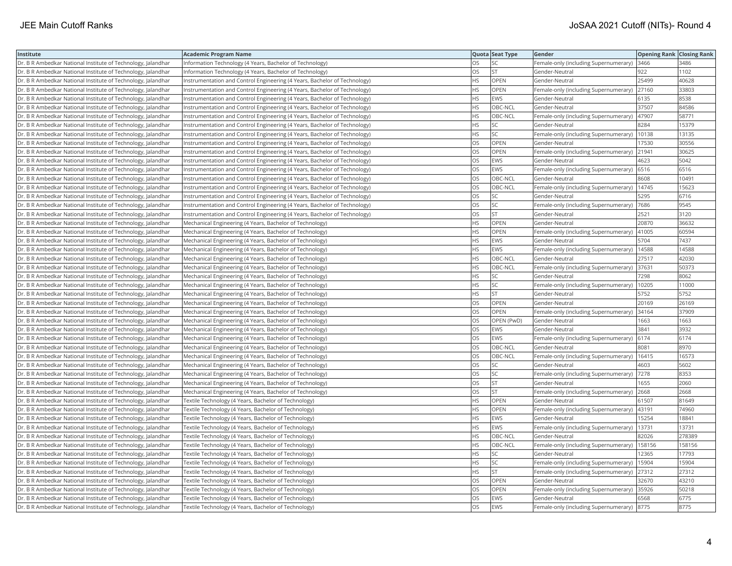| Institute                                                    | <b>Academic Program Name</b>                                              |           | Quota Seat Type | Gender                                      | <b>Opening Rank Closing Rank</b> |        |
|--------------------------------------------------------------|---------------------------------------------------------------------------|-----------|-----------------|---------------------------------------------|----------------------------------|--------|
| Dr. B R Ambedkar National Institute of Technology, Jalandhar | Information Technology (4 Years, Bachelor of Technology)                  | OS.       | SC              | Female-only (including Supernumerary)       | 3466                             | 3486   |
| Dr. B R Ambedkar National Institute of Technology, Jalandhar | Information Technology (4 Years, Bachelor of Technology)                  | OS        | ST              | Gender-Neutral                              | 922                              | 1102   |
| Dr. B R Ambedkar National Institute of Technology, Jalandhar | Instrumentation and Control Engineering (4 Years, Bachelor of Technology) | HS        | OPEN            | Gender-Neutral                              | 25499                            | 40628  |
| Dr. B R Ambedkar National Institute of Technology, Jalandhar | Instrumentation and Control Engineering (4 Years, Bachelor of Technology) | HS        | OPEN            | Female-only (including Supernumerary)       | 27160                            | 33803  |
| Dr. B R Ambedkar National Institute of Technology, Jalandhar | Instrumentation and Control Engineering (4 Years, Bachelor of Technology) | HS        | EWS             | Gender-Neutral                              | 6135                             | 8538   |
| Dr. B R Ambedkar National Institute of Technology, Jalandhar | Instrumentation and Control Engineering (4 Years, Bachelor of Technology) | HS        | OBC-NCL         | Gender-Neutral                              | 37507                            | 84586  |
| Dr. B R Ambedkar National Institute of Technology, Jalandhar | Instrumentation and Control Engineering (4 Years, Bachelor of Technology) | HS        | OBC-NCL         | Female-only (including Supernumerary)       | 47907                            | 58771  |
| Dr. B R Ambedkar National Institute of Technology, Jalandhar | Instrumentation and Control Engineering (4 Years, Bachelor of Technology) | НS        | SC              | Gender-Neutral                              | 8284                             | 15379  |
| Dr. B R Ambedkar National Institute of Technology, Jalandhar | Instrumentation and Control Engineering (4 Years, Bachelor of Technology) | HS.       | SC              | Female-only (including Supernumerary)       | 10138                            | 13135  |
| Dr. B R Ambedkar National Institute of Technology, Jalandhar | Instrumentation and Control Engineering (4 Years, Bachelor of Technology) | OS        | OPEN            | Gender-Neutral                              | 17530                            | 30556  |
| Dr. B R Ambedkar National Institute of Technology, Jalandhar | Instrumentation and Control Engineering (4 Years, Bachelor of Technology) | OS        | OPEN            | Female-only (including Supernumerary)       | 21941                            | 30625  |
| Dr. B R Ambedkar National Institute of Technology, Jalandhar | Instrumentation and Control Engineering (4 Years, Bachelor of Technology) | OS.       | EWS             | Gender-Neutral                              | 4623                             | 5042   |
| Dr. B R Ambedkar National Institute of Technology, Jalandhar | Instrumentation and Control Engineering (4 Years, Bachelor of Technology) | OS        | EWS             | Female-only (including Supernumerary)       | 6516                             | 6516   |
| Dr. B R Ambedkar National Institute of Technology, Jalandhar | Instrumentation and Control Engineering (4 Years, Bachelor of Technology) | OS        | OBC-NCL         | Gender-Neutral                              | 8608                             | 10491  |
| Dr. B R Ambedkar National Institute of Technology, Jalandhar | Instrumentation and Control Engineering (4 Years, Bachelor of Technology) | OS        | OBC-NCL         | Female-only (including Supernumerary)       | 14745                            | 15623  |
| Dr. B R Ambedkar National Institute of Technology, Jalandhar | Instrumentation and Control Engineering (4 Years, Bachelor of Technology) | OS        | SC              | Gender-Neutral                              | 5295                             | 6716   |
| Dr. B R Ambedkar National Institute of Technology, Jalandhar | Instrumentation and Control Engineering (4 Years, Bachelor of Technology) | OS.       | SC              | Female-only (including Supernumerary)       | 7686                             | 9545   |
| Dr. B R Ambedkar National Institute of Technology, Jalandhar | Instrumentation and Control Engineering (4 Years, Bachelor of Technology) | OS        | <b>ST</b>       | Gender-Neutral                              | 2521                             | 3120   |
| Dr. B R Ambedkar National Institute of Technology, Jalandhar | Mechanical Engineering (4 Years, Bachelor of Technology)                  | HS        | OPEN            | Gender-Neutral                              | 20870                            | 36632  |
| Dr. B R Ambedkar National Institute of Technology, Jalandhar | Mechanical Engineering (4 Years, Bachelor of Technology)                  | HS.       | OPEN            | Female-only (including Supernumerary)       | 41005                            | 60594  |
| Dr. B R Ambedkar National Institute of Technology, Jalandhar | Mechanical Engineering (4 Years, Bachelor of Technology)                  | <b>HS</b> | <b>EWS</b>      | Gender-Neutral                              | 5704                             | 7437   |
| Dr. B R Ambedkar National Institute of Technology, Jalandhar | Mechanical Engineering (4 Years, Bachelor of Technology)                  | HS        | EWS             | Female-only (including Supernumerary)       | 14588                            | 14588  |
| Dr. B R Ambedkar National Institute of Technology, Jalandhar | Mechanical Engineering (4 Years, Bachelor of Technology)                  | HS        | OBC-NCL         | Gender-Neutral                              | 27517                            | 42030  |
| Dr. B R Ambedkar National Institute of Technology, Jalandhar | Mechanical Engineering (4 Years, Bachelor of Technology)                  | HS        | OBC-NCL         | Female-only (including Supernumerary)       | 37631                            | 50373  |
| Dr. B R Ambedkar National Institute of Technology, Jalandhar | Mechanical Engineering (4 Years, Bachelor of Technology)                  | HS        | SC              | Gender-Neutral                              | 7298                             | 8062   |
| Dr. B R Ambedkar National Institute of Technology, Jalandhar | Mechanical Engineering (4 Years, Bachelor of Technology)                  | HS.       | SC              | Female-only (including Supernumerary)       | 10205                            | 11000  |
| Dr. B R Ambedkar National Institute of Technology, Jalandhar | Mechanical Engineering (4 Years, Bachelor of Technology)                  | HS        | lst.            | Gender-Neutral                              | 5752                             | 5752   |
| Dr. B R Ambedkar National Institute of Technology, Jalandhar | Mechanical Engineering (4 Years, Bachelor of Technology)                  | OS        | OPEN            | Gender-Neutral                              | 20169                            | 26169  |
| Dr. B R Ambedkar National Institute of Technology, Jalandhar | Mechanical Engineering (4 Years, Bachelor of Technology)                  | OS        | <b>OPEN</b>     | Female-only (including Supernumerary)       | 34164                            | 37909  |
| Dr. B R Ambedkar National Institute of Technology, Jalandhar | Mechanical Engineering (4 Years, Bachelor of Technology)                  | OS        | OPEN (PwD)      | Gender-Neutral                              | 1663                             | 1663   |
| Dr. B R Ambedkar National Institute of Technology, Jalandhar | Mechanical Engineering (4 Years, Bachelor of Technology)                  | OS        | EWS             | Gender-Neutral                              | 3841                             | 3932   |
| Dr. B R Ambedkar National Institute of Technology, Jalandhar | Mechanical Engineering (4 Years, Bachelor of Technology)                  | OS.       | EWS             | Female-only (including Supernumerary)       | 6174                             | 6174   |
| Dr. B R Ambedkar National Institute of Technology, Jalandhar | Mechanical Engineering (4 Years, Bachelor of Technology)                  | OS        | OBC-NCL         | Gender-Neutral                              | 8081                             | 8970   |
| Dr. B R Ambedkar National Institute of Technology, Jalandhar | Mechanical Engineering (4 Years, Bachelor of Technology)                  | OS        | OBC-NCL         | Female-only (including Supernumerary)       | 16415                            | 16573  |
| Dr. B R Ambedkar National Institute of Technology, Jalandhar | Mechanical Engineering (4 Years, Bachelor of Technology)                  | OS        | SC              | Gender-Neutral                              | 4603                             | 5602   |
| Dr. B R Ambedkar National Institute of Technology, Jalandhar | Mechanical Engineering (4 Years, Bachelor of Technology)                  | <b>OS</b> | <b>SC</b>       | Female-only (including Supernumerary)       | 7278                             | 8353   |
| Dr. B R Ambedkar National Institute of Technology, Jalandhar | Mechanical Engineering (4 Years, Bachelor of Technology)                  | OS        | <b>ST</b>       | Gender-Neutral                              | 1655                             | 2060   |
| Dr. B R Ambedkar National Institute of Technology, Jalandhar | Mechanical Engineering (4 Years, Bachelor of Technology)                  | OS        | lst.            | Female-only (including Supernumerary)       | 2668                             | 2668   |
| Dr. B R Ambedkar National Institute of Technology, Jalandhar | Textile Technology (4 Years, Bachelor of Technology)                      | HS        | <b>OPEN</b>     | Gender-Neutral                              | 61507                            | 81649  |
| Dr. B R Ambedkar National Institute of Technology, Jalandhar | Textile Technology (4 Years, Bachelor of Technology)                      | HS        | OPEN            | Female-only (including Supernumerary)       | 43191                            | 74960  |
| Dr. B R Ambedkar National Institute of Technology, Jalandhar | Textile Technology (4 Years, Bachelor of Technology)                      | HS        | <b>EWS</b>      | Gender-Neutral                              | 15254                            | 18841  |
| Dr. B R Ambedkar National Institute of Technology, Jalandhar | Textile Technology (4 Years, Bachelor of Technology)                      | HS        | EWS             | Female-only (including Supernumerary)       | 13731                            | 13731  |
| Dr. B R Ambedkar National Institute of Technology, Jalandhar | Textile Technology (4 Years, Bachelor of Technology)                      | HS        | OBC-NCL         | Gender-Neutral                              | 82026                            | 278389 |
| Dr. B R Ambedkar National Institute of Technology, Jalandhar | Textile Technology (4 Years, Bachelor of Technology)                      | <b>HS</b> | OBC-NCL         | Female-only (including Supernumerary)       | 158156                           | 158156 |
| Dr. B R Ambedkar National Institute of Technology, Jalandhar | Textile Technology (4 Years, Bachelor of Technology)                      | HS        | SC              | Gender-Neutral                              | 12365                            | 17793  |
| Dr. B R Ambedkar National Institute of Technology, Jalandhar | Textile Technology (4 Years, Bachelor of Technology)                      | HS        | SC              | Female-only (including Supernumerary)       | 15904                            | 15904  |
| Dr. B R Ambedkar National Institute of Technology, Jalandhar | Textile Technology (4 Years, Bachelor of Technology)                      | HS        | <b>ST</b>       | Female-only (including Supernumerary)       | 27312                            | 27312  |
| Dr. B R Ambedkar National Institute of Technology, Jalandhar | Textile Technology (4 Years, Bachelor of Technology)                      | OS        | <b>OPEN</b>     | Gender-Neutral                              | 32670                            | 43210  |
| Dr. B R Ambedkar National Institute of Technology, Jalandhar | Textile Technology (4 Years, Bachelor of Technology)                      | OS        | OPEN            | Female-only (including Supernumerary)       | 35926                            | 50218  |
| Dr. B R Ambedkar National Institute of Technology, Jalandhar | Textile Technology (4 Years, Bachelor of Technology)                      | OS.       | <b>EWS</b>      | Gender-Neutral                              | 6568                             | 6775   |
| Dr. B R Ambedkar National Institute of Technology, Jalandhar | Textile Technology (4 Years, Bachelor of Technology)                      | <b>OS</b> | EWS             | Female-only (including Supernumerary)  8775 |                                  | 8775   |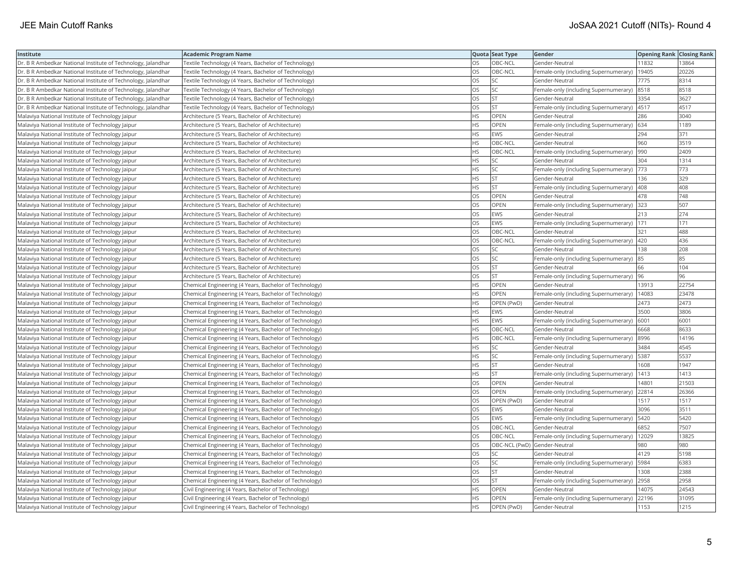| Institute                                                    | <b>Academic Program Name</b>                           |           | Quota Seat Type              | <b>Gender</b>                             | <b>Opening Rank   Closing Rank</b> |       |
|--------------------------------------------------------------|--------------------------------------------------------|-----------|------------------------------|-------------------------------------------|------------------------------------|-------|
| Dr. B R Ambedkar National Institute of Technology, Jalandhar | Textile Technology (4 Years, Bachelor of Technology)   | OS        | OBC-NCL                      | Gender-Neutral                            | 11832                              | 13864 |
| Dr. B R Ambedkar National Institute of Technology, Jalandhar | Textile Technology (4 Years, Bachelor of Technology)   | OS        | OBC-NCL                      | Female-only (including Supernumerary)     | 19405                              | 20226 |
| Dr. B R Ambedkar National Institute of Technology, Jalandhar | Textile Technology (4 Years, Bachelor of Technology)   | OS        | SC                           | Gender-Neutral                            | 7775                               | 8314  |
| Dr. B R Ambedkar National Institute of Technology, Jalandhar | Textile Technology (4 Years, Bachelor of Technology)   | OS        | SC                           | Female-only (including Supernumerary)     | 8518                               | 8518  |
| Dr. B R Ambedkar National Institute of Technology, Jalandhar | Textile Technology (4 Years, Bachelor of Technology)   | OS        | <b>ST</b>                    | Gender-Neutral                            | 3354                               | 3627  |
| Dr. B R Ambedkar National Institute of Technology, Jalandhar | Textile Technology (4 Years, Bachelor of Technology)   | OS        | lst                          | Female-only (including Supernumerary)     | 4517                               | 4517  |
| Malaviya National Institute of Technology Jaipur             | Architecture (5 Years, Bachelor of Architecture)       | <b>HS</b> | OPEN                         | Gender-Neutral                            | 286                                | 3040  |
| Malaviya National Institute of Technology Jaipur             | Architecture (5 Years, Bachelor of Architecture)       | <b>HS</b> | OPEN                         | Female-only (including Supernumerary) 634 |                                    | 1189  |
| Malaviya National Institute of Technology Jaipur             | Architecture (5 Years, Bachelor of Architecture)       | <b>HS</b> | EWS                          | Gender-Neutral                            | 294                                | 371   |
| Malaviya National Institute of Technology Jaipur             | Architecture (5 Years, Bachelor of Architecture)       | <b>HS</b> | OBC-NCL                      | Gender-Neutral                            | 960                                | 3519  |
| Malaviya National Institute of Technology Jaipur             | Architecture (5 Years, Bachelor of Architecture)       | <b>HS</b> | OBC-NCL                      | Female-only (including Supernumerary)     | 990                                | 2409  |
| Malaviya National Institute of Technology Jaipur             | Architecture (5 Years, Bachelor of Architecture)       | <b>HS</b> | SC                           | Gender-Neutral                            | 304                                | 1314  |
| Malaviya National Institute of Technology Jaipur             | Architecture (5 Years, Bachelor of Architecture)       | <b>HS</b> | <b>SC</b>                    | Female-only (including Supernumerary)     | 773                                | 773   |
| Malaviya National Institute of Technology Jaipur             | Architecture (5 Years, Bachelor of Architecture)       | <b>HS</b> | lst                          | Gender-Neutral                            | 136                                | 329   |
| Malaviya National Institute of Technology Jaipur             | Architecture (5 Years, Bachelor of Architecture)       | <b>HS</b> | lst                          | Female-only (including Supernumerary)     | 408                                | 408   |
| Malaviya National Institute of Technology Jaipur             | Architecture (5 Years, Bachelor of Architecture)       | OS        | OPEN                         | Gender-Neutral                            | 478                                | 748   |
| Malaviya National Institute of Technology Jaipur             | Architecture (5 Years, Bachelor of Architecture)       | OS        | OPEN                         | Female-only (including Supernumerary)     | 323                                | 507   |
| Malaviya National Institute of Technology Jaipur             | Architecture (5 Years, Bachelor of Architecture)       | OS.       | EWS                          | Gender-Neutral                            | 213                                | 274   |
| Malaviya National Institute of Technology Jaipur             | Architecture (5 Years, Bachelor of Architecture)       | OS        | EWS                          | Female-only (including Supernumerary)     | 171                                | 171   |
| Malaviya National Institute of Technology Jaipur             | Architecture (5 Years, Bachelor of Architecture)       | OS        | OBC-NCL                      | Gender-Neutral                            | 321                                | 488   |
| Malaviya National Institute of Technology Jaipur             | Architecture (5 Years, Bachelor of Architecture)       | <b>OS</b> | OBC-NCL                      | Female-only (including Supernumerary)     | 420                                | 436   |
| Malaviya National Institute of Technology Jaipur             | Architecture (5 Years, Bachelor of Architecture)       | OS        | SC                           | Gender-Neutral                            | 138                                | 208   |
| Malaviya National Institute of Technology Jaipur             | Architecture (5 Years, Bachelor of Architecture)       | <b>OS</b> | <b>SC</b>                    | Female-only (including Supernumerary) 85  |                                    | 85    |
| Malaviya National Institute of Technology Jaipur             | Architecture (5 Years, Bachelor of Architecture)       | OS        | <b>ST</b>                    | Gender-Neutral                            | 66                                 | 104   |
| Malaviya National Institute of Technology Jaipur             | Architecture (5 Years, Bachelor of Architecture)       | <b>OS</b> | lst                          | Female-only (including Supernumerary)     | 96                                 | 96    |
| Malaviya National Institute of Technology Jaipur             | Chemical Engineering (4 Years, Bachelor of Technology) | <b>HS</b> | OPEN                         | Gender-Neutral                            | 13913                              | 22754 |
| Malaviya National Institute of Technology Jaipur             | Chemical Engineering (4 Years, Bachelor of Technology) | <b>HS</b> | OPEN                         | Female-only (including Supernumerary)     | 14083                              | 23478 |
| Malaviya National Institute of Technology Jaipur             | Chemical Engineering (4 Years, Bachelor of Technology) | <b>HS</b> | OPEN (PwD)                   | Gender-Neutral                            | 2473                               | 2473  |
| Malaviya National Institute of Technology Jaipur             | Chemical Engineering (4 Years, Bachelor of Technology) | <b>HS</b> | EWS                          | Gender-Neutral                            | 3500                               | 3806  |
| Malaviya National Institute of Technology Jaipur             | Chemical Engineering (4 Years, Bachelor of Technology) | <b>HS</b> | EWS                          | Female-only (including Supernumerary)     | 6001                               | 6001  |
| Malaviya National Institute of Technology Jaipur             | Chemical Engineering (4 Years, Bachelor of Technology) | <b>HS</b> | OBC-NCL                      | Gender-Neutral                            | 6668                               | 8633  |
| Malaviya National Institute of Technology Jaipur             | Chemical Engineering (4 Years, Bachelor of Technology) | <b>HS</b> | OBC-NCL                      | Female-only (including Supernumerary)     | 8996                               | 14196 |
| Malaviya National Institute of Technology Jaipur             | Chemical Engineering (4 Years, Bachelor of Technology) | HS        | SC                           | Gender-Neutral                            | 3484                               | 4545  |
| Malaviya National Institute of Technology Jaipur             | Chemical Engineering (4 Years, Bachelor of Technology) | HS        | <b>SC</b>                    | Female-only (including Supernumerary)     | 5387                               | 5537  |
| Malaviya National Institute of Technology Jaipur             | Chemical Engineering (4 Years, Bachelor of Technology) | <b>HS</b> | <b>ST</b>                    | Gender-Neutral                            | 1608                               | 1947  |
| Malaviya National Institute of Technology Jaipur             | Chemical Engineering (4 Years, Bachelor of Technology) | <b>HS</b> | lst                          | Female-only (including Supernumerary)     | 1413                               | 1413  |
| Malaviya National Institute of Technology Jaipur             | Chemical Engineering (4 Years, Bachelor of Technology) | OS        | OPEN                         | Gender-Neutral                            | 14801                              | 21503 |
| Malaviya National Institute of Technology Jaipur             | Chemical Engineering (4 Years, Bachelor of Technology) | <b>OS</b> | OPEN                         | Female-only (including Supernumerary)     | 22814                              | 26366 |
| Malaviya National Institute of Technology Jaipur             | Chemical Engineering (4 Years, Bachelor of Technology) | OS        | OPEN (PwD)                   | Gender-Neutral                            | 1517                               | 1517  |
| Malaviya National Institute of Technology Jaipur             | Chemical Engineering (4 Years, Bachelor of Technology) | <b>OS</b> | EWS                          | Gender-Neutral                            | 3096                               | 3511  |
| Malaviya National Institute of Technology Jaipur             | Chemical Engineering (4 Years, Bachelor of Technology) | OS        | EWS                          | Female-only (including Supernumerary)     | 5420                               | 5420  |
| Malaviya National Institute of Technology Jaipur             | Chemical Engineering (4 Years, Bachelor of Technology) | OS        | OBC-NCL                      | Gender-Neutral                            | 6852                               | 7507  |
| Malaviya National Institute of Technology Jaipur             | Chemical Engineering (4 Years, Bachelor of Technology) | OS        | OBC-NCL                      | Female-only (including Supernumerary)     | 12029                              | 13825 |
| Malaviya National Institute of Technology Jaipur             | Chemical Engineering (4 Years, Bachelor of Technology) | OS        | OBC-NCL (PwD) Gender-Neutral |                                           | 980                                | 980   |
| Malaviya National Institute of Technology Jaipur             | Chemical Engineering (4 Years, Bachelor of Technology) | OS        | SC.                          | Gender-Neutral                            | 4129                               | 5198  |
| Malaviya National Institute of Technology Jaipur             | Chemical Engineering (4 Years, Bachelor of Technology) | OS        | SC.                          | Female-only (including Supernumerary)     | 5984                               | 6383  |
| Malaviya National Institute of Technology Jaipur             | Chemical Engineering (4 Years, Bachelor of Technology) | OS        | <b>ST</b>                    | Gender-Neutral                            | 1308                               | 2388  |
| Malaviya National Institute of Technology Jaipur             | Chemical Engineering (4 Years, Bachelor of Technology) | OS        | ST                           | Female-only (including Supernumerary)     | 2958                               | 2958  |
| Malaviya National Institute of Technology Jaipur             | Civil Engineering (4 Years, Bachelor of Technology)    | <b>HS</b> | <b>OPEN</b>                  | Gender-Neutral                            | 14075                              | 24543 |
| Malaviya National Institute of Technology Jaipur             | Civil Engineering (4 Years, Bachelor of Technology)    | <b>HS</b> | OPEN                         | Female-only (including Supernumerary)     | 22196                              | 31095 |
| Malaviya National Institute of Technology Jaipur             | Civil Engineering (4 Years, Bachelor of Technology)    | <b>HS</b> | OPEN (PwD)                   | Gender-Neutral                            | 1153                               | 1215  |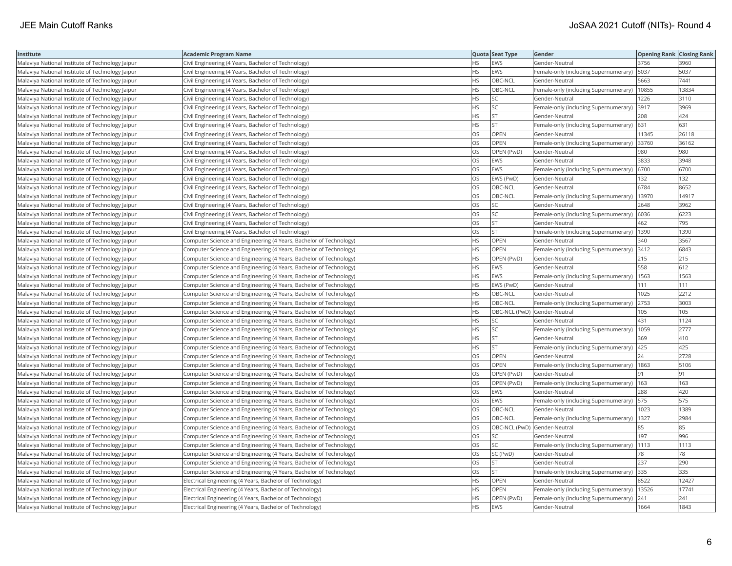| Institute                                        | <b>Academic Program Name</b>                                       |           | Quota Seat Type              | Gender                                      | <b>Opening Rank Closing Rank</b> |       |
|--------------------------------------------------|--------------------------------------------------------------------|-----------|------------------------------|---------------------------------------------|----------------------------------|-------|
| Malaviya National Institute of Technology Jaipur | Civil Engineering (4 Years, Bachelor of Technology)                | HS        | <b>EWS</b>                   | Gender-Neutral                              | 3756                             | 3960  |
| Malaviya National Institute of Technology Jaipur | Civil Engineering (4 Years, Bachelor of Technology)                | <b>HS</b> | EWS                          | Female-only (including Supernumerary)       | 5037                             | 5037  |
| Malaviya National Institute of Technology Jaipur | Civil Engineering (4 Years, Bachelor of Technology)                | <b>HS</b> | OBC-NCL                      | Gender-Neutral                              | 5663                             | 7441  |
| Malaviya National Institute of Technology Jaipur | Civil Engineering (4 Years, Bachelor of Technology)                | <b>HS</b> | OBC-NCL                      | Female-only (including Supernumerary)       | 10855                            | 13834 |
| Malaviya National Institute of Technology Jaipur | Civil Engineering (4 Years, Bachelor of Technology)                | <b>HS</b> | SC                           | Gender-Neutral                              | 1226                             | 3110  |
| Malaviya National Institute of Technology Jaipur | Civil Engineering (4 Years, Bachelor of Technology)                | <b>HS</b> | SC.                          | Female-only (including Supernumerary) 3917  |                                  | 3969  |
| Malaviya National Institute of Technology Jaipur | Civil Engineering (4 Years, Bachelor of Technology)                | <b>HS</b> | <b>ST</b>                    | Gender-Neutral                              | 208                              | 424   |
| Malaviya National Institute of Technology Jaipur | Civil Engineering (4 Years, Bachelor of Technology)                | <b>HS</b> | lst                          | Female-only (including Supernumerary)       | 631                              | 631   |
| Malaviya National Institute of Technology Jaipur | Civil Engineering (4 Years, Bachelor of Technology)                | OS        | OPEN                         | Gender-Neutral                              | 11345                            | 26118 |
| Malaviya National Institute of Technology Jaipur | Civil Engineering (4 Years, Bachelor of Technology)                | OS        | OPEN                         | Female-only (including Supernumerary) 33760 |                                  | 36162 |
| Malaviya National Institute of Technology Jaipur | Civil Engineering (4 Years, Bachelor of Technology)                | OS        | OPEN (PwD)                   | Gender-Neutral                              | 980                              | 980   |
| Malaviya National Institute of Technology Jaipur | Civil Engineering (4 Years, Bachelor of Technology)                | <b>OS</b> | EWS                          | Gender-Neutral                              | 3833                             | 3948  |
| Malaviya National Institute of Technology Jaipur | Civil Engineering (4 Years, Bachelor of Technology)                | OS        | EWS                          | Female-only (including Supernumerary)       | 6700                             | 6700  |
| Malaviya National Institute of Technology Jaipur | Civil Engineering (4 Years, Bachelor of Technology)                | OS        | EWS (PwD)                    | Gender-Neutral                              | 132                              | 132   |
| Malaviya National Institute of Technology Jaipur | Civil Engineering (4 Years, Bachelor of Technology)                | OS        | OBC-NCL                      | Gender-Neutral                              | 6784                             | 8652  |
| Malaviya National Institute of Technology Jaipur | Civil Engineering (4 Years, Bachelor of Technology)                | OS        | OBC-NCL                      | Female-only (including Supernumerary)       | 13970                            | 14917 |
| Malaviya National Institute of Technology Jaipur | Civil Engineering (4 Years, Bachelor of Technology)                | OS        | SC                           | Gender-Neutral                              | 2648                             | 3962  |
| Malaviya National Institute of Technology Jaipur | Civil Engineering (4 Years, Bachelor of Technology)                | OS        | <b>SC</b>                    | Female-only (including Supernumerary)       | 6036                             | 6223  |
| Malaviya National Institute of Technology Jaipur | Civil Engineering (4 Years, Bachelor of Technology)                | OS        | <b>ST</b>                    | Gender-Neutral                              | 462                              | 795   |
| Malaviya National Institute of Technology Jaipur | Civil Engineering (4 Years, Bachelor of Technology)                | <b>OS</b> | lst                          | Female-only (including Supernumerary)       | 1390                             | 1390  |
| Malaviya National Institute of Technology Jaipur | Computer Science and Engineering (4 Years, Bachelor of Technology) | <b>HS</b> | OPEN                         | Gender-Neutral                              | 340                              | 3567  |
| Malaviya National Institute of Technology Jaipur | Computer Science and Engineering (4 Years, Bachelor of Technology) | <b>HS</b> | <b>OPEN</b>                  | Female-only (including Supernumerary) 3412  |                                  | 6843  |
| Malaviya National Institute of Technology Jaipur | Computer Science and Engineering (4 Years, Bachelor of Technology) | <b>HS</b> | OPEN (PwD)                   | Gender-Neutral                              | 215                              | 215   |
| Malaviya National Institute of Technology Jaipur | Computer Science and Engineering (4 Years, Bachelor of Technology) | <b>HS</b> | EWS                          | Gender-Neutral                              | 558                              | 612   |
| Malaviya National Institute of Technology Jaipur | Computer Science and Engineering (4 Years, Bachelor of Technology) | <b>HS</b> | EWS                          | Female-only (including Supernumerary)       | 1563                             | 1563  |
| Malaviya National Institute of Technology Jaipur | Computer Science and Engineering (4 Years, Bachelor of Technology) | <b>HS</b> | EWS (PwD)                    | Gender-Neutral                              | 111                              | 111   |
| Malaviya National Institute of Technology Jaipur | Computer Science and Engineering (4 Years, Bachelor of Technology) | <b>HS</b> | OBC-NCL                      | Gender-Neutral                              | 1025                             | 2212  |
| Malaviya National Institute of Technology Jaipur | Computer Science and Engineering (4 Years, Bachelor of Technology) | <b>HS</b> | OBC-NCL                      | Female-only (including Supernumerary)       | 2753                             | 3003  |
| Malaviya National Institute of Technology Jaipur | Computer Science and Engineering (4 Years, Bachelor of Technology) | <b>HS</b> | OBC-NCL (PwD) Gender-Neutral |                                             | 105                              | 105   |
| Malaviya National Institute of Technology Jaipur | Computer Science and Engineering (4 Years, Bachelor of Technology) | HS        | SC                           | Gender-Neutral                              | 431                              | 1124  |
| Malaviya National Institute of Technology Jaipur | Computer Science and Engineering (4 Years, Bachelor of Technology) | HS        | SC.                          | Female-only (including Supernumerary)       | 1059                             | 2777  |
| Malaviya National Institute of Technology Jaipur | Computer Science and Engineering (4 Years, Bachelor of Technology) | <b>HS</b> | İst                          | Gender-Neutral                              | 369                              | 410   |
| Malaviya National Institute of Technology Jaipur | Computer Science and Engineering (4 Years, Bachelor of Technology) | <b>HS</b> | <b>ST</b>                    | Female-only (including Supernumerary)       | 425                              | 425   |
| Malaviya National Institute of Technology Jaipur | Computer Science and Engineering (4 Years, Bachelor of Technology) | OS        | OPEN                         | Gender-Neutral                              | 24                               | 2728  |
| Malaviya National Institute of Technology Jaipur | Computer Science and Engineering (4 Years, Bachelor of Technology) | <b>OS</b> | OPEN                         | Female-only (including Supernumerary)       | 1863                             | 5106  |
| Malaviya National Institute of Technology Jaipur | Computer Science and Engineering (4 Years, Bachelor of Technology) | <b>OS</b> | OPEN (PwD)                   | Gender-Neutral                              | 191                              | 91    |
| Malaviya National Institute of Technology Jaipur | Computer Science and Engineering (4 Years, Bachelor of Technology) | OS        | OPEN (PwD)                   | Female-only (including Supernumerary)       | 163                              | 163   |
| Malaviya National Institute of Technology Jaipur | Computer Science and Engineering (4 Years, Bachelor of Technology) | OS        | EWS                          | Gender-Neutral                              | 288                              | 420   |
| Malaviya National Institute of Technology Jaipur | Computer Science and Engineering (4 Years, Bachelor of Technology) | OS        | EWS                          | Female-only (including Supernumerary)   575 |                                  | 575   |
| Malaviya National Institute of Technology Jaipur | Computer Science and Engineering (4 Years, Bachelor of Technology) | OS        | OBC-NCL                      | Gender-Neutral                              | 1023                             | 1389  |
| Malaviya National Institute of Technology Jaipur | Computer Science and Engineering (4 Years, Bachelor of Technology) | OS        | OBC-NCL                      | Female-only (including Supernumerary)       | 1327                             | 2984  |
| Malaviya National Institute of Technology Jaipur | Computer Science and Engineering (4 Years, Bachelor of Technology) | OS        | OBC-NCL (PwD) Gender-Neutral |                                             | 85                               | 85    |
| Malaviya National Institute of Technology Jaipur | Computer Science and Engineering (4 Years, Bachelor of Technology) | OS        | SC                           | Gender-Neutral                              | 197                              | 996   |
| Malaviya National Institute of Technology Jaipur | Computer Science and Engineering (4 Years, Bachelor of Technology) | OS        | SC                           | Female-only (including Supernumerary)       | 1113                             | 1113  |
| Malaviya National Institute of Technology Jaipur | Computer Science and Engineering (4 Years, Bachelor of Technology) | OS        | SC (PwD)                     | Gender-Neutral                              | 78                               | 78    |
| Malaviya National Institute of Technology Jaipur | Computer Science and Engineering (4 Years, Bachelor of Technology) | OS        | ST                           | Gender-Neutral                              | 237                              | 290   |
| Malaviya National Institute of Technology Jaipur | Computer Science and Engineering (4 Years, Bachelor of Technology) | OS        | <b>ST</b>                    | Female-only (including Supernumerary)       | 335                              | 335   |
| Malaviya National Institute of Technology Jaipur | Electrical Engineering (4 Years, Bachelor of Technology)           | HS.       | OPEN                         | Gender-Neutral                              | 8522                             | 12427 |
| Malaviya National Institute of Technology Jaipur | Electrical Engineering (4 Years, Bachelor of Technology)           | <b>HS</b> | OPEN                         | Female-only (including Supernumerary)       | 13526                            | 17741 |
| Malaviya National Institute of Technology Jaipur | Electrical Engineering (4 Years, Bachelor of Technology)           | <b>HS</b> | OPEN (PwD)                   | Female-only (including Supernumerary)       | 241                              | 241   |
| Malaviya National Institute of Technology Jaipur | Electrical Engineering (4 Years, Bachelor of Technology)           | <b>HS</b> | <b>EWS</b>                   | Gender-Neutral                              | 1664                             | 1843  |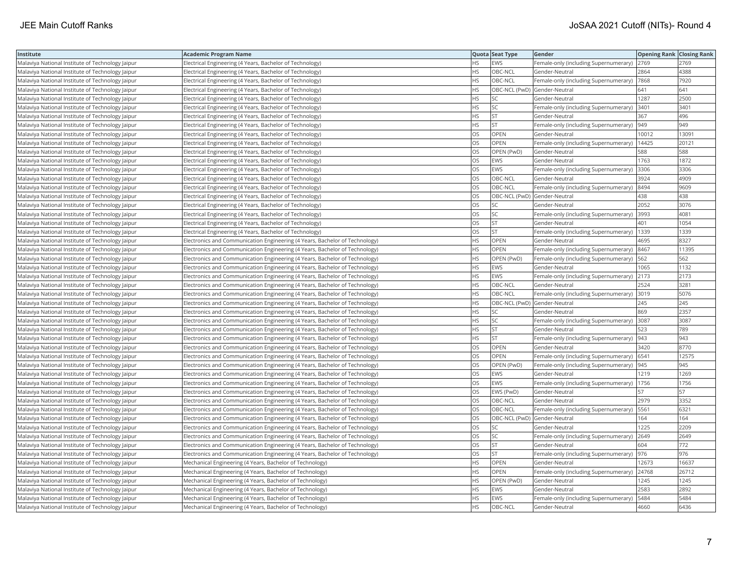| Institute                                        | <b>Academic Program Name</b>                                                |           | Quota Seat Type              | Gender                                       | <b>Opening Rank Closing Rank</b> |       |
|--------------------------------------------------|-----------------------------------------------------------------------------|-----------|------------------------------|----------------------------------------------|----------------------------------|-------|
| Malaviya National Institute of Technology Jaipur | Electrical Engineering (4 Years, Bachelor of Technology)                    | <b>HS</b> | EWS                          | Female-only (including Supernumerary) 2769   |                                  | 2769  |
| Malaviya National Institute of Technology Jaipur | Electrical Engineering (4 Years, Bachelor of Technology)                    | ΗS        | OBC-NCL                      | Gender-Neutral                               | 2864                             | 4388  |
| Malaviya National Institute of Technology Jaipur | Electrical Engineering (4 Years, Bachelor of Technology)                    | <b>HS</b> | OBC-NCL                      | Female-only (including Supernumerary)  7868  |                                  | 7920  |
| Malaviya National Institute of Technology Jaipur | Electrical Engineering (4 Years, Bachelor of Technology)                    | НS        | OBC-NCL (PwD) Gender-Neutral |                                              | 641                              | 641   |
| Malaviya National Institute of Technology Jaipur | Electrical Engineering (4 Years, Bachelor of Technology)                    | HS        | SC                           | Gender-Neutral                               | 1287                             | 2500  |
| Malaviya National Institute of Technology Jaipur | Electrical Engineering (4 Years, Bachelor of Technology)                    | ΗS        | SC                           | Female-only (including Supernumerary)        | 3401                             | 3401  |
| Malaviya National Institute of Technology Jaipur | Electrical Engineering (4 Years, Bachelor of Technology)                    | HS        | <b>ST</b>                    | Gender-Neutral                               | 367                              | 496   |
| Malaviya National Institute of Technology Jaipur | Electrical Engineering (4 Years, Bachelor of Technology)                    | HS        | <b>ST</b>                    | Female-only (including Supernumerary)  949   |                                  | 949   |
| Malaviya National Institute of Technology Jaipur | Electrical Engineering (4 Years, Bachelor of Technology)                    | OS        | <b>OPEN</b>                  | Gender-Neutral                               | 10012                            | 13091 |
| Malaviya National Institute of Technology Jaipur | Electrical Engineering (4 Years, Bachelor of Technology)                    | OS        | OPEN                         | Female-only (including Supernumerary)        | 14425                            | 20121 |
| Malaviya National Institute of Technology Jaipur | Electrical Engineering (4 Years, Bachelor of Technology)                    | OS        | OPEN (PwD)                   | Gender-Neutral                               | 588                              | 588   |
| Malaviya National Institute of Technology Jaipur | Electrical Engineering (4 Years, Bachelor of Technology)                    | OS        | EWS                          | Gender-Neutral                               | 1763                             | 1872  |
| Malaviya National Institute of Technology Jaipur | Electrical Engineering (4 Years, Bachelor of Technology)                    | OS        | <b>EWS</b>                   | Female-only (including Supernumerary)        | 3306                             | 3306  |
| Malaviya National Institute of Technology Jaipur | Electrical Engineering (4 Years, Bachelor of Technology)                    | OS        | OBC-NCL                      | Gender-Neutral                               | 3924                             | 4909  |
| Malaviya National Institute of Technology Jaipur | Electrical Engineering (4 Years, Bachelor of Technology)                    | OS        | OBC-NCL                      | Female-only (including Supernumerary) 8494   |                                  | 9609  |
| Malaviya National Institute of Technology Jaipur | Electrical Engineering (4 Years, Bachelor of Technology)                    | OS        | OBC-NCL (PwD) Gender-Neutral |                                              | 438                              | 438   |
| Malaviya National Institute of Technology Jaipur | Electrical Engineering (4 Years, Bachelor of Technology)                    | OS        | SC                           | Gender-Neutral                               | 2052                             | 3076  |
| Malaviya National Institute of Technology Jaipur | Electrical Engineering (4 Years, Bachelor of Technology)                    | OS        | <b>SC</b>                    | Female-only (including Supernumerary)        | 3993                             | 4081  |
| Malaviya National Institute of Technology Jaipur | Electrical Engineering (4 Years, Bachelor of Technology)                    | OS        | <b>ST</b>                    | Gender-Neutral                               | 401                              | 1054  |
| Malaviya National Institute of Technology Jaipur | Electrical Engineering (4 Years, Bachelor of Technology)                    | OS        | <b>ST</b>                    | Female-only (including Supernumerary)        | 1339                             | 1339  |
| Malaviya National Institute of Technology Jaipur | Electronics and Communication Engineering (4 Years, Bachelor of Technology) | HS        | <b>OPEN</b>                  | Gender-Neutral                               | 4695                             | 8327  |
| Malaviya National Institute of Technology Jaipur | Electronics and Communication Engineering (4 Years, Bachelor of Technology) | HS        | OPEN                         | Female-only (including Supernumerary)  8467  |                                  | 11395 |
| Malaviya National Institute of Technology Jaipur | Electronics and Communication Engineering (4 Years, Bachelor of Technology) | ΗS        | OPEN (PwD)                   | Female-only (including Supernumerary)   562  |                                  | 562   |
| Malaviya National Institute of Technology Jaipur | Electronics and Communication Engineering (4 Years, Bachelor of Technology) | HS        | EWS                          | Gender-Neutral                               | 1065                             | 1132  |
| Malaviya National Institute of Technology Jaipur | Electronics and Communication Engineering (4 Years, Bachelor of Technology) | ΗS        | EWS                          | Female-only (including Supernumerary)        | 2173                             | 2173  |
| Malaviya National Institute of Technology Jaipur | Electronics and Communication Engineering (4 Years, Bachelor of Technology) | HS        | OBC-NCL                      | Gender-Neutral                               | 2524                             | 3281  |
| Malaviya National Institute of Technology Jaipur | Electronics and Communication Engineering (4 Years, Bachelor of Technology) | HS        | OBC-NCL                      | Female-only (including Supernumerary)        | 3019                             | 5076  |
| Malaviya National Institute of Technology Jaipur | Electronics and Communication Engineering (4 Years, Bachelor of Technology) | <b>HS</b> | OBC-NCL (PwD) Gender-Neutral |                                              | 245                              | 245   |
| Malaviya National Institute of Technology Jaipur | Electronics and Communication Engineering (4 Years, Bachelor of Technology) | HS        | SC                           | Gender-Neutral                               | 869                              | 2357  |
| Malaviya National Institute of Technology Jaipur | Electronics and Communication Engineering (4 Years, Bachelor of Technology) | ΗS        | SC                           | Female-only (including Supernumerary) 3087   |                                  | 3087  |
| Malaviya National Institute of Technology Jaipur | Electronics and Communication Engineering (4 Years, Bachelor of Technology) | ΗS        | <b>ST</b>                    | Gender-Neutral                               | 523                              | 789   |
| Malaviya National Institute of Technology Jaipur | Electronics and Communication Engineering (4 Years, Bachelor of Technology) | HS        | <b>ST</b>                    | Female-only (including Supernumerary)  943   |                                  | 943   |
| Malaviya National Institute of Technology Jaipur | Electronics and Communication Engineering (4 Years, Bachelor of Technology) | OS        | OPEN                         | Gender-Neutral                               | 3420                             | 8770  |
| Malaviya National Institute of Technology Jaipur | Electronics and Communication Engineering (4 Years, Bachelor of Technology) | OS        | OPEN                         | Female-only (including Supernumerary)   6541 |                                  | 12575 |
| Malaviya National Institute of Technology Jaipur | Electronics and Communication Engineering (4 Years, Bachelor of Technology) | <b>OS</b> | OPEN (PwD)                   | Female-only (including Supernumerary)  945   |                                  | 945   |
| Malaviya National Institute of Technology Jaipur | Electronics and Communication Engineering (4 Years, Bachelor of Technology) | OS        | <b>EWS</b>                   | Gender-Neutral                               | 1219                             | 1269  |
| Malaviya National Institute of Technology Jaipur | Electronics and Communication Engineering (4 Years, Bachelor of Technology) | OS        | <b>EWS</b>                   | Female-only (including Supernumerary)   1756 |                                  | 1756  |
| Malaviya National Institute of Technology Jaipur | Electronics and Communication Engineering (4 Years, Bachelor of Technology) | OS        | EWS (PwD)                    | Gender-Neutral                               | 57                               | 57    |
| Malaviya National Institute of Technology Jaipur | Electronics and Communication Engineering (4 Years, Bachelor of Technology) | OS        | OBC-NCL                      | Gender-Neutral                               | 2979                             | 3352  |
| Malaviya National Institute of Technology Jaipur | Electronics and Communication Engineering (4 Years, Bachelor of Technology) | OS        | OBC-NCL                      | Female-only (including Supernumerary)        | 5561                             | 6321  |
| Malaviya National Institute of Technology Jaipur | Electronics and Communication Engineering (4 Years, Bachelor of Technology) | OS        | OBC-NCL (PwD) Gender-Neutral |                                              | 164                              | 164   |
| Malaviya National Institute of Technology Jaipur | Electronics and Communication Engineering (4 Years, Bachelor of Technology) | OS        | SC                           | Gender-Neutral                               | 1225                             | 2209  |
| Malaviya National Institute of Technology Jaipur | Electronics and Communication Engineering (4 Years, Bachelor of Technology) | OS        | <b>SC</b>                    | Female-only (including Supernumerary)        | 2649                             | 2649  |
| Malaviya National Institute of Technology Jaipur | Electronics and Communication Engineering (4 Years, Bachelor of Technology) | OS        | <b>ST</b>                    | Gender-Neutral                               | 604                              | 772   |
| Malaviya National Institute of Technology Jaipur | Electronics and Communication Engineering (4 Years, Bachelor of Technology) | OS        | <b>ST</b>                    | Female-only (including Supernumerary)  976   |                                  | 976   |
| Malaviya National Institute of Technology Jaipur | Mechanical Engineering (4 Years, Bachelor of Technology)                    | ΗS        | OPEN                         | Gender-Neutral                               | 12673                            | 16637 |
| Malaviya National Institute of Technology Jaipur | Mechanical Engineering (4 Years, Bachelor of Technology)                    | <b>HS</b> | OPEN                         | Female-only (including Supernumerary)        | 24768                            | 26712 |
| Malaviya National Institute of Technology Jaipur | Mechanical Engineering (4 Years, Bachelor of Technology)                    | ΗS        | OPEN (PwD)                   | Gender-Neutral                               | 1245                             | 1245  |
| Malaviya National Institute of Technology Jaipur | Mechanical Engineering (4 Years, Bachelor of Technology)                    | HS        | EWS                          | Gender-Neutral                               | 2583                             | 2892  |
| Malaviya National Institute of Technology Jaipur | Mechanical Engineering (4 Years, Bachelor of Technology)                    | HS.       | EWS                          | Female-only (including Supernumerary)        | 5484                             | 5484  |
| Malaviya National Institute of Technology Jaipur | Mechanical Engineering (4 Years, Bachelor of Technology)                    | <b>HS</b> | OBC-NCL                      | Gender-Neutral                               | 4660                             | 6436  |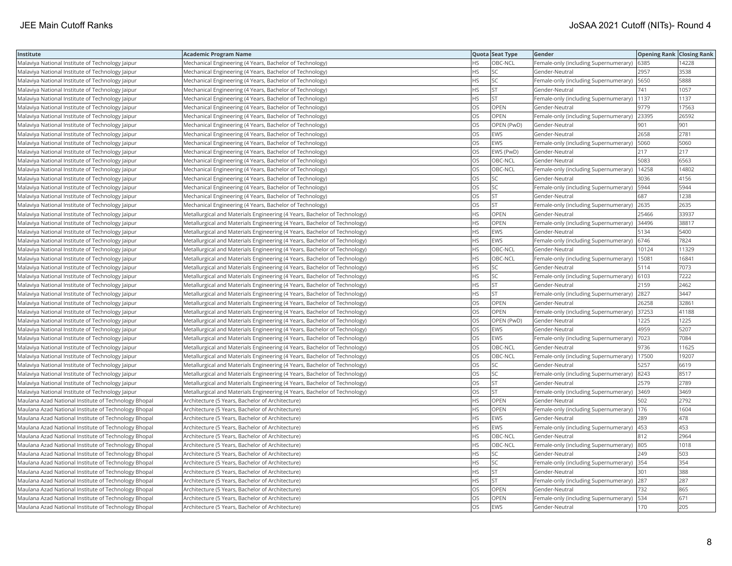| Institute                                            | <b>Academic Program Name</b>                                              |           | Quota Seat Type | Gender                                       | <b>Opening Rank Closing Rank</b> |       |
|------------------------------------------------------|---------------------------------------------------------------------------|-----------|-----------------|----------------------------------------------|----------------------------------|-------|
| Malaviya National Institute of Technology Jaipur     | Mechanical Engineering (4 Years, Bachelor of Technology)                  | <b>HS</b> | OBC-NCL         | Female-only (including Supernumerary) 6385   |                                  | 14228 |
| Malaviya National Institute of Technology Jaipur     | Mechanical Engineering (4 Years, Bachelor of Technology)                  | HS.       | SC              | Gender-Neutral                               | 2957                             | 3538  |
| Malaviya National Institute of Technology Jaipur     | Mechanical Engineering (4 Years, Bachelor of Technology)                  | <b>HS</b> | SC.             | Female-only (including Supernumerary)   5650 |                                  | 5888  |
| Malaviya National Institute of Technology Jaipur     | Mechanical Engineering (4 Years, Bachelor of Technology)                  | <b>HS</b> | <b>ST</b>       | Gender-Neutral                               | 741                              | 1057  |
| Malaviya National Institute of Technology Jaipur     | Mechanical Engineering (4 Years, Bachelor of Technology)                  | <b>HS</b> | <b>ST</b>       | Female-only (including Supernumerary)        | 1137                             | 1137  |
| Malaviya National Institute of Technology Jaipur     | Mechanical Engineering (4 Years, Bachelor of Technology)                  | OS        | OPEN            | Gender-Neutral                               | 9779                             | 17563 |
| Malaviya National Institute of Technology Jaipur     | Mechanical Engineering (4 Years, Bachelor of Technology)                  | OS        | OPEN            | Female-only (including Supernumerary)        | 23395                            | 26592 |
| Malaviya National Institute of Technology Jaipur     | Mechanical Engineering (4 Years, Bachelor of Technology)                  | <b>OS</b> | OPEN (PwD)      | Gender-Neutral                               | 901                              | 901   |
| Malaviya National Institute of Technology Jaipur     | Mechanical Engineering (4 Years, Bachelor of Technology)                  | OS        | EWS             | Gender-Neutral                               | 2658                             | 2781  |
| Malaviya National Institute of Technology Jaipur     | Mechanical Engineering (4 Years, Bachelor of Technology)                  | OS        | EWS             | Female-only (including Supernumerary)        | 5060                             | 5060  |
| Malaviya National Institute of Technology Jaipur     | Mechanical Engineering (4 Years, Bachelor of Technology)                  | OS        | EWS (PwD)       | Gender-Neutral                               | 217                              | 217   |
| Malaviya National Institute of Technology Jaipur     | Mechanical Engineering (4 Years, Bachelor of Technology)                  | OS        | OBC-NCL         | Gender-Neutral                               | 5083                             | 6563  |
| Malaviya National Institute of Technology Jaipur     | Mechanical Engineering (4 Years, Bachelor of Technology)                  | <b>OS</b> | OBC-NCL         | Female-only (including Supernumerary)        | 14258                            | 14802 |
| Malaviya National Institute of Technology Jaipur     | Mechanical Engineering (4 Years, Bachelor of Technology)                  | <b>OS</b> | SC              | Gender-Neutral                               | 3036                             | 4156  |
| Malaviya National Institute of Technology Jaipur     | Mechanical Engineering (4 Years, Bachelor of Technology)                  | OS        | SC.             | Female-only (including Supernumerary)        | 5944                             | 5944  |
| Malaviya National Institute of Technology Jaipur     | Mechanical Engineering (4 Years, Bachelor of Technology)                  | OS        | <b>ST</b>       | Gender-Neutral                               | 687                              | 1238  |
| Malaviya National Institute of Technology Jaipur     | Mechanical Engineering (4 Years, Bachelor of Technology)                  | <b>OS</b> | lst             | Female-only (including Supernumerary)        | 2635                             | 2635  |
| Malaviya National Institute of Technology Jaipur     | Metallurgical and Materials Engineering (4 Years, Bachelor of Technology) | <b>HS</b> | OPEN            | Gender-Neutral                               | 25466                            | 33937 |
| Malaviya National Institute of Technology Jaipur     | Metallurgical and Materials Engineering (4 Years, Bachelor of Technology) | <b>HS</b> | OPEN            | Female-only (including Supernumerary)        | 34496                            | 38817 |
| Malaviya National Institute of Technology Jaipur     | Metallurgical and Materials Engineering (4 Years, Bachelor of Technology) | <b>HS</b> | <b>EWS</b>      | Gender-Neutral                               | 5134                             | 5400  |
| Malaviya National Institute of Technology Jaipur     | Metallurgical and Materials Engineering (4 Years, Bachelor of Technology) | <b>HS</b> | EWS             | Female-only (including Supernumerary)        | 6746                             | 7824  |
| Malaviya National Institute of Technology Jaipur     | Metallurgical and Materials Engineering (4 Years, Bachelor of Technology) | <b>HS</b> | OBC-NCL         | Gender-Neutral                               | 10124                            | 11329 |
| Malaviya National Institute of Technology Jaipur     | Metallurgical and Materials Engineering (4 Years, Bachelor of Technology) | <b>HS</b> | OBC-NCL         | Female-only (including Supernumerary)        | 15081                            | 16841 |
| Malaviya National Institute of Technology Jaipur     | Metallurgical and Materials Engineering (4 Years, Bachelor of Technology) | <b>HS</b> | SC.             | Gender-Neutral                               | 5114                             | 7073  |
| Malaviya National Institute of Technology Jaipur     | Metallurgical and Materials Engineering (4 Years, Bachelor of Technology) | HS        | SC              | Female-only (including Supernumerary)        | 6103                             | 7222  |
| Malaviya National Institute of Technology Jaipur     | Metallurgical and Materials Engineering (4 Years, Bachelor of Technology) | <b>HS</b> | lst             | Gender-Neutral                               | 2159                             | 2462  |
| Malaviya National Institute of Technology Jaipur     | Metallurgical and Materials Engineering (4 Years, Bachelor of Technology) | <b>HS</b> | <b>ST</b>       | Female-only (including Supernumerary)        | 2827                             | 3447  |
| Malaviya National Institute of Technology Jaipur     | Metallurgical and Materials Engineering (4 Years, Bachelor of Technology) | <b>OS</b> | OPEN            | Gender-Neutral                               | 26258                            | 32861 |
| Malaviya National Institute of Technology Jaipur     | Metallurgical and Materials Engineering (4 Years, Bachelor of Technology) | <b>OS</b> | <b>OPEN</b>     | Female-only (including Supernumerary)        | 37253                            | 41188 |
| Malaviya National Institute of Technology Jaipur     | Metallurgical and Materials Engineering (4 Years, Bachelor of Technology) | OS        | OPEN (PwD)      | Gender-Neutral                               | 1225                             | 1225  |
| Malaviya National Institute of Technology Jaipur     | Metallurgical and Materials Engineering (4 Years, Bachelor of Technology) | OS        | EWS             | Gender-Neutral                               | 4959                             | 5207  |
| Malaviya National Institute of Technology Jaipur     | Metallurgical and Materials Engineering (4 Years, Bachelor of Technology) | OS        | EWS             | Female-only (including Supernumerary)        | 7023                             | 7084  |
| Malaviya National Institute of Technology Jaipur     | Metallurgical and Materials Engineering (4 Years, Bachelor of Technology) | OS        | OBC-NCL         | Gender-Neutral                               | 9736                             | 11625 |
| Malaviya National Institute of Technology Jaipur     | Metallurgical and Materials Engineering (4 Years, Bachelor of Technology) | OS        | OBC-NCL         | Female-only (including Supernumerary)        | 17500                            | 19207 |
| Malaviya National Institute of Technology Jaipur     | Metallurgical and Materials Engineering (4 Years, Bachelor of Technology) | OS        | SC              | Gender-Neutral                               | 5257                             | 6619  |
| Malaviya National Institute of Technology Jaipur     | Metallurgical and Materials Engineering (4 Years, Bachelor of Technology) | <b>OS</b> | lsc             | Female-only (including Supernumerary)        | 8243                             | 8517  |
| Malaviya National Institute of Technology Jaipur     | Metallurgical and Materials Engineering (4 Years, Bachelor of Technology) | OS        | <b>ST</b>       | Gender-Neutral                               | 2579                             | 2789  |
| Malaviya National Institute of Technology Jaipur     | Metallurgical and Materials Engineering (4 Years, Bachelor of Technology) | <b>OS</b> | lst             | Female-only (including Supernumerary) 3469   |                                  | 3469  |
| Maulana Azad National Institute of Technology Bhopal | Architecture (5 Years, Bachelor of Architecture)                          | <b>HS</b> | OPEN            | Gender-Neutral                               | 502                              | 2792  |
| Maulana Azad National Institute of Technology Bhopal | Architecture (5 Years, Bachelor of Architecture)                          | HS.       | OPEN            | Female-only (including Supernumerary)        | 176                              | 1604  |
| Maulana Azad National Institute of Technology Bhopal | Architecture (5 Years, Bachelor of Architecture)                          | <b>HS</b> | <b>EWS</b>      | Gender-Neutral                               | 289                              | 478   |
| Maulana Azad National Institute of Technology Bhopal | Architecture (5 Years, Bachelor of Architecture)                          | <b>HS</b> | EWS             | Female-only (including Supernumerary)  453   |                                  | 453   |
| Maulana Azad National Institute of Technology Bhopal | Architecture (5 Years, Bachelor of Architecture)                          | <b>HS</b> | OBC-NCL         | Gender-Neutral                               | 812                              | 2964  |
| Maulana Azad National Institute of Technology Bhopal | Architecture (5 Years, Bachelor of Architecture)                          | <b>HS</b> | OBC-NCL         | Female-only (including Supernumerary) 805    |                                  | 1018  |
| Maulana Azad National Institute of Technology Bhopal | Architecture (5 Years, Bachelor of Architecture)                          | <b>HS</b> | <b>SC</b>       | Gender-Neutral                               | 249                              | 503   |
| Maulana Azad National Institute of Technology Bhopal | Architecture (5 Years, Bachelor of Architecture)                          | <b>HS</b> | <b>SC</b>       | Female-only (including Supernumerary) 354    |                                  | 354   |
| Maulana Azad National Institute of Technology Bhopal | Architecture (5 Years, Bachelor of Architecture)                          | <b>HS</b> | <b>ST</b>       | Gender-Neutral                               | 301                              | 388   |
| Maulana Azad National Institute of Technology Bhopal | Architecture (5 Years, Bachelor of Architecture)                          | <b>HS</b> | <b>ST</b>       | Female-only (including Supernumerary)        | 287                              | 287   |
| Maulana Azad National Institute of Technology Bhopal | Architecture (5 Years, Bachelor of Architecture)                          | OS        | OPEN            | Gender-Neutral                               | 732                              | 865   |
| Maulana Azad National Institute of Technology Bhopal | Architecture (5 Years, Bachelor of Architecture)                          | OS        | OPEN            | Female-only (including Supernumerary)        | 534                              | 671   |
| Maulana Azad National Institute of Technology Bhopal | Architecture (5 Years, Bachelor of Architecture)                          | <b>OS</b> | <b>EWS</b>      | Gender-Neutral                               | 170                              | 205   |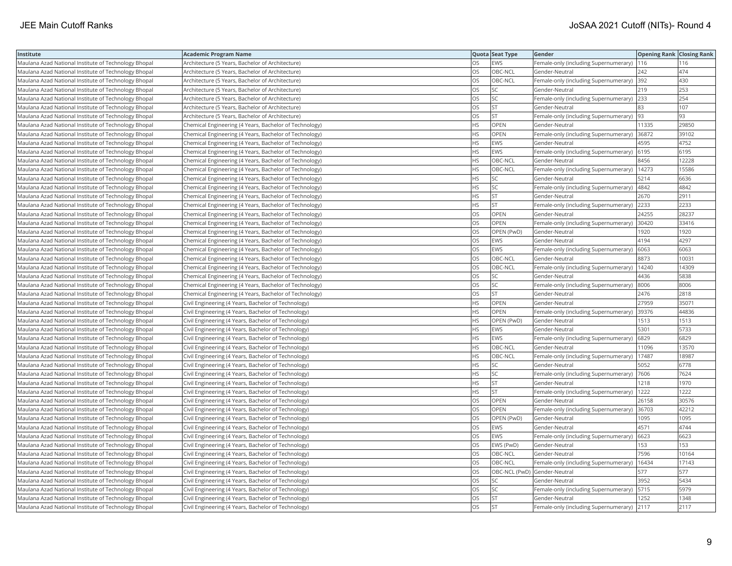| Institute                                            | <b>Academic Program Name</b>                           |           | Quota Seat Type              | Gender                                       | <b>Opening Rank Closing Rank</b> |       |
|------------------------------------------------------|--------------------------------------------------------|-----------|------------------------------|----------------------------------------------|----------------------------------|-------|
| Maulana Azad National Institute of Technology Bhopal | Architecture (5 Years, Bachelor of Architecture)       | OS        | <b>EWS</b>                   | Female-only (including Supernumerary)        | 116                              | 116   |
| Maulana Azad National Institute of Technology Bhopal | Architecture (5 Years, Bachelor of Architecture)       | <b>OS</b> | OBC-NCL                      | Gender-Neutral                               | 242                              | 474   |
| Maulana Azad National Institute of Technology Bhopal | Architecture (5 Years, Bachelor of Architecture)       | OS        | OBC-NCL                      | Female-only (including Supernumerary)        | 392                              | 430   |
| Maulana Azad National Institute of Technology Bhopal | Architecture (5 Years, Bachelor of Architecture)       | <b>OS</b> | <b>SC</b>                    | Gender-Neutral                               | 219                              | 253   |
| Maulana Azad National Institute of Technology Bhopal | Architecture (5 Years, Bachelor of Architecture)       | <b>OS</b> | lsc                          | Female-only (including Supernumerary)        | 233                              | 254   |
| Maulana Azad National Institute of Technology Bhopal | Architecture (5 Years, Bachelor of Architecture)       | OS        | <b>ST</b>                    | Gender-Neutral                               | 83                               | 107   |
| Maulana Azad National Institute of Technology Bhopal | Architecture (5 Years, Bachelor of Architecture)       | OS        | <b>ST</b>                    | Female-only (including Supernumerary)  93    |                                  | 93    |
| Maulana Azad National Institute of Technology Bhopal | Chemical Engineering (4 Years, Bachelor of Technology) | <b>HS</b> | <b>OPEN</b>                  | Gender-Neutral                               | 11335                            | 29850 |
| Maulana Azad National Institute of Technology Bhopal | Chemical Engineering (4 Years, Bachelor of Technology) | HS        | OPEN                         | Female-only (including Supernumerary)        | 36872                            | 39102 |
| Maulana Azad National Institute of Technology Bhopal | Chemical Engineering (4 Years, Bachelor of Technology) | <b>HS</b> | <b>EWS</b>                   | Gender-Neutral                               | 4595                             | 4752  |
| Maulana Azad National Institute of Technology Bhopal | Chemical Engineering (4 Years, Bachelor of Technology) | <b>HS</b> | <b>EWS</b>                   | Female-only (including Supernumerary)        | 6195                             | 6195  |
| Maulana Azad National Institute of Technology Bhopal | Chemical Engineering (4 Years, Bachelor of Technology) | <b>HS</b> | OBC-NCL                      | Gender-Neutral                               | 8456                             | 12228 |
| Maulana Azad National Institute of Technology Bhopal | Chemical Engineering (4 Years, Bachelor of Technology) | <b>HS</b> | OBC-NCL                      | Female-only (including Supernumerary)        | 14273                            | 15586 |
| Maulana Azad National Institute of Technology Bhopal | Chemical Engineering (4 Years, Bachelor of Technology) | <b>HS</b> | <b>SC</b>                    | Gender-Neutral                               | 5214                             | 6636  |
| Maulana Azad National Institute of Technology Bhopal | Chemical Engineering (4 Years, Bachelor of Technology) | <b>HS</b> | <b>SC</b>                    | Female-only (including Supernumerary)        | 4842                             | 4842  |
| Maulana Azad National Institute of Technology Bhopal | Chemical Engineering (4 Years, Bachelor of Technology) | <b>HS</b> | İst                          | Gender-Neutral                               | 2670                             | 2911  |
| Maulana Azad National Institute of Technology Bhopal | Chemical Engineering (4 Years, Bachelor of Technology) | HS        | <b>ST</b>                    | Female-only (including Supernumerary)        | 2233                             | 2233  |
| Maulana Azad National Institute of Technology Bhopal | Chemical Engineering (4 Years, Bachelor of Technology) | OS        | OPEN                         | Gender-Neutral                               | 24255                            | 28237 |
| Maulana Azad National Institute of Technology Bhopal | Chemical Engineering (4 Years, Bachelor of Technology) | OS        | <b>OPEN</b>                  | Female-only (including Supernumerary)        | 30420                            | 33416 |
| Maulana Azad National Institute of Technology Bhopal | Chemical Engineering (4 Years, Bachelor of Technology) | <b>OS</b> | OPEN (PwD)                   | Gender-Neutral                               | 1920                             | 1920  |
| Maulana Azad National Institute of Technology Bhopal | Chemical Engineering (4 Years, Bachelor of Technology) | OS        | <b>EWS</b>                   | Gender-Neutral                               | 4194                             | 4297  |
| Maulana Azad National Institute of Technology Bhopal | Chemical Engineering (4 Years, Bachelor of Technology) | OS        | <b>EWS</b>                   | Female-only (including Supernumerary)   6063 |                                  | 6063  |
| Maulana Azad National Institute of Technology Bhopal | Chemical Engineering (4 Years, Bachelor of Technology) | OS        | OBC-NCL                      | Gender-Neutral                               | 8873                             | 10031 |
| Maulana Azad National Institute of Technology Bhopal | Chemical Engineering (4 Years, Bachelor of Technology) | OS        | OBC-NCL                      | Female-only (including Supernumerary)        | 14240                            | 14309 |
| Maulana Azad National Institute of Technology Bhopal | Chemical Engineering (4 Years, Bachelor of Technology) | OS        | SC.                          | Gender-Neutral                               | 4436                             | 5838  |
| Maulana Azad National Institute of Technology Bhopal | Chemical Engineering (4 Years, Bachelor of Technology) | OS        | <b>SC</b>                    | Female-only (including Supernumerary)        | 8006                             | 8006  |
| Maulana Azad National Institute of Technology Bhopal | Chemical Engineering (4 Years, Bachelor of Technology) | OS        | <b>ST</b>                    | Gender-Neutral                               | 2476                             | 2818  |
| Maulana Azad National Institute of Technology Bhopal | Civil Engineering (4 Years, Bachelor of Technology)    | <b>HS</b> | <b>OPEN</b>                  | Gender-Neutral                               | 27959                            | 35071 |
| Maulana Azad National Institute of Technology Bhopal | Civil Engineering (4 Years, Bachelor of Technology)    | <b>HS</b> | OPEN                         | Female-only (including Supernumerary)        | 39376                            | 44836 |
| Maulana Azad National Institute of Technology Bhopal | Civil Engineering (4 Years, Bachelor of Technology)    | HS        | OPEN (PwD)                   | Gender-Neutral                               | 1513                             | 1513  |
| Maulana Azad National Institute of Technology Bhopal | Civil Engineering (4 Years, Bachelor of Technology)    | HS        | <b>EWS</b>                   | Gender-Neutral                               | 5301                             | 5733  |
| Maulana Azad National Institute of Technology Bhopal | Civil Engineering (4 Years, Bachelor of Technology)    | HS        | <b>EWS</b>                   | Female-only (including Supernumerary)        | 6829                             | 6829  |
| Maulana Azad National Institute of Technology Bhopal | Civil Engineering (4 Years, Bachelor of Technology)    | <b>HS</b> | OBC-NCL                      | Gender-Neutral                               | 11096                            | 13570 |
| Maulana Azad National Institute of Technology Bhopal | Civil Engineering (4 Years, Bachelor of Technology)    | <b>HS</b> | OBC-NCL                      | Female-only (including Supernumerary)        | 17487                            | 18987 |
| Maulana Azad National Institute of Technology Bhopal | Civil Engineering (4 Years, Bachelor of Technology)    | <b>HS</b> | SC                           | Gender-Neutral                               | 5052                             | 6778  |
| Maulana Azad National Institute of Technology Bhopal | Civil Engineering (4 Years, Bachelor of Technology)    | <b>HS</b> | lsc                          | Female-only (including Supernumerary)        | 7606                             | 7624  |
| Maulana Azad National Institute of Technology Bhopal | Civil Engineering (4 Years, Bachelor of Technology)    | <b>HS</b> | <b>ST</b>                    | Gender-Neutral                               | 1218                             | 1970  |
| Maulana Azad National Institute of Technology Bhopal | Civil Engineering (4 Years, Bachelor of Technology)    | <b>HS</b> | <b>ST</b>                    | Female-only (including Supernumerary)        | 1222                             | 1222  |
| Maulana Azad National Institute of Technology Bhopal | Civil Engineering (4 Years, Bachelor of Technology)    | OS        | OPEN                         | Gender-Neutral                               | 26158                            | 30576 |
| Maulana Azad National Institute of Technology Bhopal | Civil Engineering (4 Years, Bachelor of Technology)    | <b>OS</b> | <b>OPEN</b>                  | Female-only (including Supernumerary)        | 36703                            | 42212 |
| Maulana Azad National Institute of Technology Bhopal | Civil Engineering (4 Years, Bachelor of Technology)    | <b>OS</b> | OPEN (PwD)                   | Gender-Neutral                               | 1095                             | 1095  |
| Maulana Azad National Institute of Technology Bhopal | Civil Engineering (4 Years, Bachelor of Technology)    | OS        | <b>EWS</b>                   | Gender-Neutral                               | 4571                             | 4744  |
| Maulana Azad National Institute of Technology Bhopal | Civil Engineering (4 Years, Bachelor of Technology)    | <b>OS</b> | <b>EWS</b>                   | Female-only (including Supernumerary)        | 6623                             | 6623  |
| Maulana Azad National Institute of Technology Bhopal | Civil Engineering (4 Years, Bachelor of Technology)    | <b>OS</b> | EWS (PwD)                    | Gender-Neutral                               | 153                              | 153   |
| Maulana Azad National Institute of Technology Bhopal | Civil Engineering (4 Years, Bachelor of Technology)    | OS        | OBC-NCL                      | Gender-Neutral                               | 7596                             | 10164 |
| Maulana Azad National Institute of Technology Bhopal | Civil Engineering (4 Years, Bachelor of Technology)    | OS        | OBC-NCL                      | Female-only (including Supernumerary)        | 16434                            | 17143 |
| Maulana Azad National Institute of Technology Bhopal | Civil Engineering (4 Years, Bachelor of Technology)    | <b>OS</b> | OBC-NCL (PwD) Gender-Neutral |                                              | 577                              | 577   |
| Maulana Azad National Institute of Technology Bhopal | Civil Engineering (4 Years, Bachelor of Technology)    | OS        | <b>SC</b>                    | Gender-Neutral                               | 3952                             | 5434  |
| Maulana Azad National Institute of Technology Bhopal | Civil Engineering (4 Years, Bachelor of Technology)    | OS        | <b>SC</b>                    | Female-only (including Supernumerary)        | 5715                             | 5979  |
| Maulana Azad National Institute of Technology Bhopal | Civil Engineering (4 Years, Bachelor of Technology)    | OS        | <b>ST</b>                    | Gender-Neutral                               | 1252                             | 1348  |
| Maulana Azad National Institute of Technology Bhopal | Civil Engineering (4 Years, Bachelor of Technology)    | <b>OS</b> | <b>ST</b>                    | Female-only (including Supernumerary) 2117   |                                  | 2117  |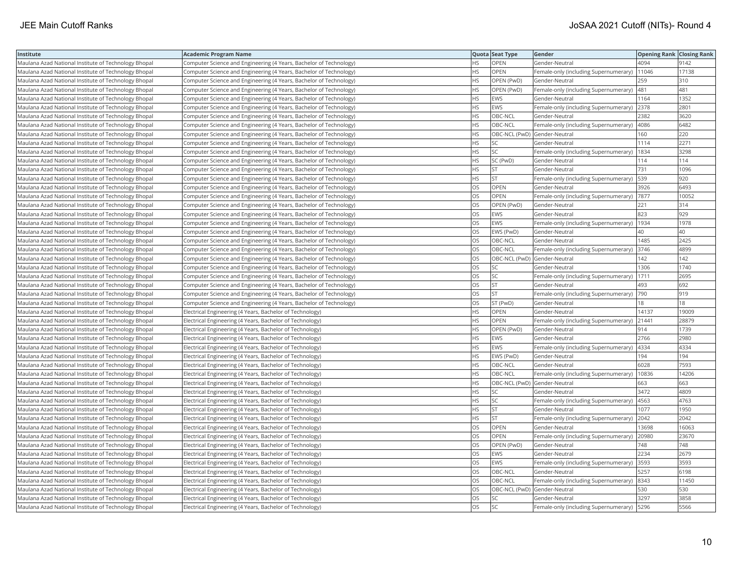| Institute                                            | <b>Academic Program Name</b>                                       |           | Quota Seat Type              | Gender                                       | <b>Opening Rank Closing Rank</b> |       |
|------------------------------------------------------|--------------------------------------------------------------------|-----------|------------------------------|----------------------------------------------|----------------------------------|-------|
| Maulana Azad National Institute of Technology Bhopal | Computer Science and Engineering (4 Years, Bachelor of Technology) | <b>HS</b> | OPEN                         | Gender-Neutral                               | 4094                             | 9142  |
| Maulana Azad National Institute of Technology Bhopal | Computer Science and Engineering (4 Years, Bachelor of Technology) | HS.       | <b>OPEN</b>                  | Female-only (including Supernumerary)        | 11046                            | 17138 |
| Maulana Azad National Institute of Technology Bhopal | Computer Science and Engineering (4 Years, Bachelor of Technology) | HS        | OPEN (PwD)                   | Gender-Neutral                               | 259                              | 310   |
| Maulana Azad National Institute of Technology Bhopal | Computer Science and Engineering (4 Years, Bachelor of Technology) | <b>HS</b> | OPEN (PwD)                   | Female-only (including Supernumerary)        | 481                              | 481   |
| Maulana Azad National Institute of Technology Bhopal | Computer Science and Engineering (4 Years, Bachelor of Technology) | <b>HS</b> | <b>EWS</b>                   | Gender-Neutral                               | 1164                             | 1352  |
| Maulana Azad National Institute of Technology Bhopal | Computer Science and Engineering (4 Years, Bachelor of Technology) | <b>HS</b> | <b>EWS</b>                   | Female-only (including Supernumerary) 2378   |                                  | 2801  |
| Maulana Azad National Institute of Technology Bhopal | Computer Science and Engineering (4 Years, Bachelor of Technology) | <b>HS</b> | OBC-NCL                      | Gender-Neutral                               | 2382                             | 3620  |
| Maulana Azad National Institute of Technology Bhopal | Computer Science and Engineering (4 Years, Bachelor of Technology) | <b>HS</b> | OBC-NCL                      | Female-only (including Supernumerary)  4086  |                                  | 6482  |
| Maulana Azad National Institute of Technology Bhopal | Computer Science and Engineering (4 Years, Bachelor of Technology) | НS        | OBC-NCL (PwD) Gender-Neutral |                                              | 160                              | 220   |
| Maulana Azad National Institute of Technology Bhopal | Computer Science and Engineering (4 Years, Bachelor of Technology) | <b>HS</b> | SC.                          | Gender-Neutral                               | 1114                             | 2271  |
| Maulana Azad National Institute of Technology Bhopal | Computer Science and Engineering (4 Years, Bachelor of Technology) | <b>HS</b> | <b>SC</b>                    | Female-only (including Supernumerary)        | 1834                             | 3298  |
| Maulana Azad National Institute of Technology Bhopal | Computer Science and Engineering (4 Years, Bachelor of Technology) | <b>HS</b> | SC (PwD)                     | Gender-Neutral                               | 114                              | 114   |
| Maulana Azad National Institute of Technology Bhopal | Computer Science and Engineering (4 Years, Bachelor of Technology) | HS        | <b>ST</b>                    | Gender-Neutral                               | 731                              | 1096  |
| Maulana Azad National Institute of Technology Bhopal | Computer Science and Engineering (4 Years, Bachelor of Technology) | <b>HS</b> | <b>ST</b>                    | Female-only (including Supernumerary)        | 539                              | 920   |
| Maulana Azad National Institute of Technology Bhopal | Computer Science and Engineering (4 Years, Bachelor of Technology) | OS        | OPEN                         | Gender-Neutral                               | 3926                             | 6493  |
| Maulana Azad National Institute of Technology Bhopal | Computer Science and Engineering (4 Years, Bachelor of Technology) | <b>OS</b> | <b>OPEN</b>                  | Female-only (including Supernumerary)  7877  |                                  | 10052 |
| Maulana Azad National Institute of Technology Bhopal | Computer Science and Engineering (4 Years, Bachelor of Technology) | OS        | OPEN (PwD)                   | Gender-Neutral                               | 221                              | 314   |
| Maulana Azad National Institute of Technology Bhopal | Computer Science and Engineering (4 Years, Bachelor of Technology) | OS        | <b>EWS</b>                   | Gender-Neutral                               | 823                              | 929   |
| Maulana Azad National Institute of Technology Bhopal | Computer Science and Engineering (4 Years, Bachelor of Technology) | OS        | <b>EWS</b>                   | Female-only (including Supernumerary)        | 1934                             | 1978  |
| Maulana Azad National Institute of Technology Bhopal | Computer Science and Engineering (4 Years, Bachelor of Technology) | <b>OS</b> | EWS (PwD)                    | Gender-Neutral                               | 40                               | 40    |
| Maulana Azad National Institute of Technology Bhopal | Computer Science and Engineering (4 Years, Bachelor of Technology) | OS        | OBC-NCL                      | Gender-Neutral                               | 1485                             | 2425  |
| Maulana Azad National Institute of Technology Bhopal | Computer Science and Engineering (4 Years, Bachelor of Technology) | <b>OS</b> | OBC-NCL                      | Female-only (including Supernumerary) 3746   |                                  | 4899  |
| Maulana Azad National Institute of Technology Bhopal | Computer Science and Engineering (4 Years, Bachelor of Technology) | OS        | OBC-NCL (PwD) Gender-Neutral |                                              | 142                              | 142   |
| Maulana Azad National Institute of Technology Bhopal | Computer Science and Engineering (4 Years, Bachelor of Technology) | OS        | SC                           | Gender-Neutral                               | 1306                             | 1740  |
| Maulana Azad National Institute of Technology Bhopal | Computer Science and Engineering (4 Years, Bachelor of Technology) | OS        | SC.                          | Female-only (including Supernumerary)        | 1711                             | 2695  |
| Maulana Azad National Institute of Technology Bhopal | Computer Science and Engineering (4 Years, Bachelor of Technology) | OS        | <b>ST</b>                    | Gender-Neutral                               | 493                              | 692   |
| Maulana Azad National Institute of Technology Bhopal | Computer Science and Engineering (4 Years, Bachelor of Technology) | OS        | <b>ST</b>                    | Female-only (including Supernumerary)        | 790                              | 919   |
| Maulana Azad National Institute of Technology Bhopal | Computer Science and Engineering (4 Years, Bachelor of Technology) | <b>OS</b> | ST (PwD)                     | Gender-Neutral                               | 18                               | 18    |
| Maulana Azad National Institute of Technology Bhopal | Electrical Engineering (4 Years, Bachelor of Technology)           | <b>HS</b> | OPEN                         | Gender-Neutral                               | 14137                            | 19009 |
| Maulana Azad National Institute of Technology Bhopal | Electrical Engineering (4 Years, Bachelor of Technology)           | <b>HS</b> | <b>OPEN</b>                  | Female-only (including Supernumerary) 21441  |                                  | 28879 |
| Maulana Azad National Institute of Technology Bhopal | Electrical Engineering (4 Years, Bachelor of Technology)           | HS        | OPEN (PwD)                   | Gender-Neutral                               | 914                              | 1739  |
| Maulana Azad National Institute of Technology Bhopal | Electrical Engineering (4 Years, Bachelor of Technology)           | HS        | <b>EWS</b>                   | Gender-Neutral                               | 2766                             | 2980  |
| Maulana Azad National Institute of Technology Bhopal | Electrical Engineering (4 Years, Bachelor of Technology)           | <b>HS</b> | <b>EWS</b>                   | Female-only (including Supernumerary)        | 4334                             | 4334  |
| Maulana Azad National Institute of Technology Bhopal | Electrical Engineering (4 Years, Bachelor of Technology)           | HS        | EWS (PwD)                    | Gender-Neutral                               | 194                              | 194   |
| Maulana Azad National Institute of Technology Bhopal | Electrical Engineering (4 Years, Bachelor of Technology)           | <b>HS</b> | OBC-NCL                      | Gender-Neutral                               | 6028                             | 7593  |
| Maulana Azad National Institute of Technology Bhopal | Electrical Engineering (4 Years, Bachelor of Technology)           | <b>HS</b> | OBC-NCL                      | Female-only (including Supernumerary)        | 10836                            | 14206 |
| Maulana Azad National Institute of Technology Bhopal | Electrical Engineering (4 Years, Bachelor of Technology)           | HS        | OBC-NCL (PwD) Gender-Neutral |                                              | 663                              | 663   |
| Maulana Azad National Institute of Technology Bhopal | Electrical Engineering (4 Years, Bachelor of Technology)           | <b>HS</b> | <b>SC</b>                    | Gender-Neutral                               | 3472                             | 4809  |
| Maulana Azad National Institute of Technology Bhopal | Electrical Engineering (4 Years, Bachelor of Technology)           | <b>HS</b> | SC                           | Female-only (including Supernumerary)        | 4563                             | 4763  |
| Maulana Azad National Institute of Technology Bhopal | Electrical Engineering (4 Years, Bachelor of Technology)           | <b>HS</b> | <b>ST</b>                    | Gender-Neutral                               | 1077                             | 1950  |
| Maulana Azad National Institute of Technology Bhopal | Electrical Engineering (4 Years, Bachelor of Technology)           | <b>HS</b> | lst                          | Female-only (including Supernumerary)        | 2042                             | 2042  |
| Maulana Azad National Institute of Technology Bhopal | Electrical Engineering (4 Years, Bachelor of Technology)           | OS        | <b>OPEN</b>                  | Gender-Neutral                               | 13698                            | 16063 |
| Maulana Azad National Institute of Technology Bhopal | Electrical Engineering (4 Years, Bachelor of Technology)           | OS        | OPEN                         | Female-only (including Supernumerary)        | 20980                            | 23670 |
| Maulana Azad National Institute of Technology Bhopal | Electrical Engineering (4 Years, Bachelor of Technology)           | <b>OS</b> | OPEN (PwD)                   | Gender-Neutral                               | 748                              | 748   |
| Maulana Azad National Institute of Technology Bhopal | Electrical Engineering (4 Years, Bachelor of Technology)           | OS        | <b>EWS</b>                   | Gender-Neutral                               | 2234                             | 2679  |
| Maulana Azad National Institute of Technology Bhopal | Electrical Engineering (4 Years, Bachelor of Technology)           | OS        | <b>EWS</b>                   | Female-only (including Supernumerary)        | 3593                             | 3593  |
| Maulana Azad National Institute of Technology Bhopal | Electrical Engineering (4 Years, Bachelor of Technology)           | <b>OS</b> | OBC-NCL                      | Gender-Neutral                               | 5257                             | 6198  |
| Maulana Azad National Institute of Technology Bhopal | Electrical Engineering (4 Years, Bachelor of Technology)           | OS.       | OBC-NCL                      | Female-only (including Supernumerary)        | 8343                             | 11450 |
| Maulana Azad National Institute of Technology Bhopal | Electrical Engineering (4 Years, Bachelor of Technology)           | OS        | OBC-NCL (PwD) Gender-Neutral |                                              | 530                              | 530   |
| Maulana Azad National Institute of Technology Bhopal | Electrical Engineering (4 Years, Bachelor of Technology)           | OS        | SC.                          | Gender-Neutral                               | 3297                             | 3858  |
| Maulana Azad National Institute of Technology Bhopal | Electrical Engineering (4 Years, Bachelor of Technology)           | <b>OS</b> | <b>SC</b>                    | Female-only (including Supernumerary)   5296 |                                  | 5566  |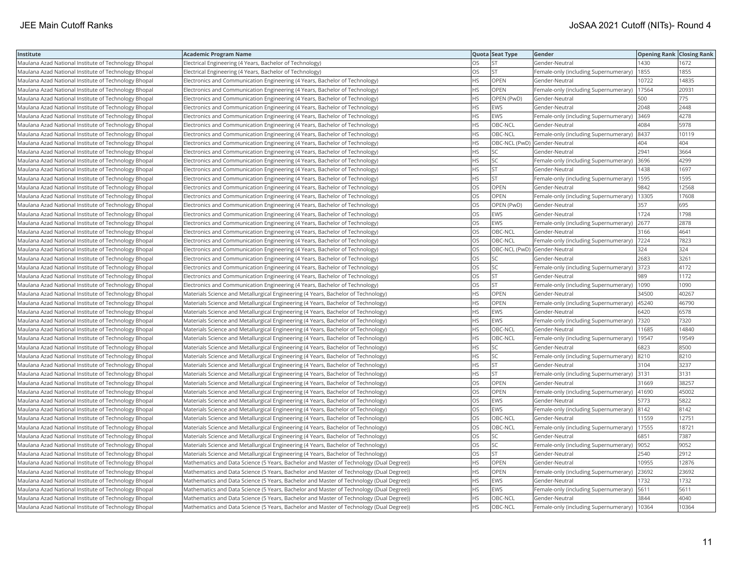| Institute                                            | <b>Academic Program Name</b>                                                            |           | Quota Seat Type              | Gender                                        | <b>Opening Rank Closing Rank</b> |       |
|------------------------------------------------------|-----------------------------------------------------------------------------------------|-----------|------------------------------|-----------------------------------------------|----------------------------------|-------|
| Maulana Azad National Institute of Technology Bhopal | Electrical Engineering (4 Years, Bachelor of Technology)                                | OS        | <b>ST</b>                    | Gender-Neutral                                | 1430                             | 1672  |
| Maulana Azad National Institute of Technology Bhopal | Electrical Engineering (4 Years, Bachelor of Technology)                                | OS        | <b>ST</b>                    | Female-only (including Supernumerary)         | 1855                             | 1855  |
| Maulana Azad National Institute of Technology Bhopal | Electronics and Communication Engineering (4 Years, Bachelor of Technology)             | <b>HS</b> | <b>OPEN</b>                  | Gender-Neutral                                | 10722                            | 14835 |
| Maulana Azad National Institute of Technology Bhopal | Electronics and Communication Engineering (4 Years, Bachelor of Technology)             | <b>HS</b> | <b>OPEN</b>                  | Female-only (including Supernumerary)         | 17564                            | 20931 |
| Maulana Azad National Institute of Technology Bhopal | Electronics and Communication Engineering (4 Years, Bachelor of Technology)             | HS        | OPEN (PwD)                   | Gender-Neutral                                | 500                              | 775   |
| Maulana Azad National Institute of Technology Bhopal | Electronics and Communication Engineering (4 Years, Bachelor of Technology)             | <b>HS</b> | <b>EWS</b>                   | Gender-Neutral                                | 2048                             | 2448  |
| Maulana Azad National Institute of Technology Bhopal | Electronics and Communication Engineering (4 Years, Bachelor of Technology)             | HS        | EWS                          | Female-only (including Supernumerary)         | 3469                             | 4278  |
| Maulana Azad National Institute of Technology Bhopal | Electronics and Communication Engineering (4 Years, Bachelor of Technology)             | <b>HS</b> | OBC-NCL                      | Gender-Neutral                                | 4084                             | 5978  |
| Maulana Azad National Institute of Technology Bhopal | Electronics and Communication Engineering (4 Years, Bachelor of Technology)             | <b>HS</b> | OBC-NCL                      | Female-only (including Supernumerary)         | 8437                             | 10119 |
| Maulana Azad National Institute of Technology Bhopal | Electronics and Communication Engineering (4 Years, Bachelor of Technology)             | <b>HS</b> | OBC-NCL (PwD) Gender-Neutral |                                               | 404                              | 404   |
| Maulana Azad National Institute of Technology Bhopal | Electronics and Communication Engineering (4 Years, Bachelor of Technology)             | <b>HS</b> | <b>SC</b>                    | Gender-Neutral                                | 2941                             | 3664  |
| Maulana Azad National Institute of Technology Bhopal | Electronics and Communication Engineering (4 Years, Bachelor of Technology)             | <b>HS</b> | lsc                          | Female-only (including Supernumerary)         | 3696                             | 4299  |
| Maulana Azad National Institute of Technology Bhopal | Electronics and Communication Engineering (4 Years, Bachelor of Technology)             | <b>HS</b> | <b>ST</b>                    | Gender-Neutral                                | 1438                             | 1697  |
| Maulana Azad National Institute of Technology Bhopal | Electronics and Communication Engineering (4 Years, Bachelor of Technology)             | <b>HS</b> | <b>ST</b>                    | Female-only (including Supernumerary)   1595  |                                  | 1595  |
| Maulana Azad National Institute of Technology Bhopal | Electronics and Communication Engineering (4 Years, Bachelor of Technology)             | OS        | <b>OPEN</b>                  | Gender-Neutral                                | 9842                             | 12568 |
| Maulana Azad National Institute of Technology Bhopal | Electronics and Communication Engineering (4 Years, Bachelor of Technology)             | OS        | OPEN                         | Female-only (including Supernumerary)         | 13305                            | 17608 |
| Maulana Azad National Institute of Technology Bhopal | Electronics and Communication Engineering (4 Years, Bachelor of Technology)             | <b>OS</b> | OPEN (PwD)                   | Gender-Neutral                                | 357                              | 695   |
| Maulana Azad National Institute of Technology Bhopal | Electronics and Communication Engineering (4 Years, Bachelor of Technology)             | <b>OS</b> | <b>EWS</b>                   | Gender-Neutral                                | 1724                             | 1798  |
| Maulana Azad National Institute of Technology Bhopal | Electronics and Communication Engineering (4 Years, Bachelor of Technology)             | OS        | <b>EWS</b>                   | Female-only (including Supernumerary)         | 2677                             | 2878  |
| Maulana Azad National Institute of Technology Bhopal | Electronics and Communication Engineering (4 Years, Bachelor of Technology)             | <b>OS</b> | OBC-NCL                      | Gender-Neutral                                | 3166                             | 4641  |
| Maulana Azad National Institute of Technology Bhopal | Electronics and Communication Engineering (4 Years, Bachelor of Technology)             | OS        | OBC-NCL                      | Female-only (including Supernumerary)         | 7224                             | 7823  |
| Maulana Azad National Institute of Technology Bhopal | Electronics and Communication Engineering (4 Years, Bachelor of Technology)             | los       | OBC-NCL (PwD) Gender-Neutral |                                               | 324                              | 324   |
| Maulana Azad National Institute of Technology Bhopal | Electronics and Communication Engineering (4 Years, Bachelor of Technology)             | <b>OS</b> | SC                           | Gender-Neutral                                | 2683                             | 3261  |
| Maulana Azad National Institute of Technology Bhopal | Electronics and Communication Engineering (4 Years, Bachelor of Technology)             | OS        | <b>SC</b>                    | Female-only (including Supernumerary)         | 3723                             | 4172  |
| Maulana Azad National Institute of Technology Bhopal | Electronics and Communication Engineering (4 Years, Bachelor of Technology)             | OS        | İst                          | Gender-Neutral                                | 989                              | 1172  |
| Maulana Azad National Institute of Technology Bhopal | Electronics and Communication Engineering (4 Years, Bachelor of Technology)             | OS        | <b>ST</b>                    | Female-only (including Supernumerary)         | 1090                             | 1090  |
| Maulana Azad National Institute of Technology Bhopal | Materials Science and Metallurgical Engineering (4 Years, Bachelor of Technology)       | <b>HS</b> | OPEN                         | Gender-Neutral                                | 34500                            | 40267 |
| Maulana Azad National Institute of Technology Bhopal | Materials Science and Metallurgical Engineering (4 Years, Bachelor of Technology)       | <b>HS</b> | <b>OPEN</b>                  | Female-only (including Supernumerary)         | 45240                            | 46790 |
| Maulana Azad National Institute of Technology Bhopal | Materials Science and Metallurgical Engineering (4 Years, Bachelor of Technology)       | <b>HS</b> | <b>EWS</b>                   | Gender-Neutral                                | 6420                             | 6578  |
| Maulana Azad National Institute of Technology Bhopal | Materials Science and Metallurgical Engineering (4 Years, Bachelor of Technology)       | <b>HS</b> | <b>EWS</b>                   | Female-only (including Supernumerary)  7320   |                                  | 7320  |
| Maulana Azad National Institute of Technology Bhopal | Materials Science and Metallurgical Engineering (4 Years, Bachelor of Technology)       | <b>HS</b> | OBC-NCL                      | Gender-Neutral                                | 11685                            | 14840 |
| Maulana Azad National Institute of Technology Bhopal | Materials Science and Metallurgical Engineering (4 Years, Bachelor of Technology)       | HS        | OBC-NCL                      | Female-only (including Supernumerary)         | 19547                            | 19549 |
| Maulana Azad National Institute of Technology Bhopal | Materials Science and Metallurgical Engineering (4 Years, Bachelor of Technology)       | HS        | SC.                          | Gender-Neutral                                | 6823                             | 8500  |
| Maulana Azad National Institute of Technology Bhopal | Materials Science and Metallurgical Engineering (4 Years, Bachelor of Technology)       | <b>HS</b> | <b>SC</b>                    | Female-only (including Supernumerary) 8210    |                                  | 8210  |
| Maulana Azad National Institute of Technology Bhopal | Materials Science and Metallurgical Engineering (4 Years, Bachelor of Technology)       | <b>HS</b> | <b>ST</b>                    | Gender-Neutral                                | 3104                             | 3237  |
| Maulana Azad National Institute of Technology Bhopal | Materials Science and Metallurgical Engineering (4 Years, Bachelor of Technology)       | <b>HS</b> | lst.                         | Female-only (including Supernumerary)         | 3131                             | 3131  |
| Maulana Azad National Institute of Technology Bhopal | Materials Science and Metallurgical Engineering (4 Years, Bachelor of Technology)       | OS        | OPEN                         | Gender-Neutral                                | 31669                            | 38257 |
| Maulana Azad National Institute of Technology Bhopal | Materials Science and Metallurgical Engineering (4 Years, Bachelor of Technology)       | OS        | <b>OPEN</b>                  | Female-only (including Supernumerary)  41690  |                                  | 45002 |
| Maulana Azad National Institute of Technology Bhopal | Materials Science and Metallurgical Engineering (4 Years, Bachelor of Technology)       | OS        | EWS                          | Gender-Neutral                                | 5773                             | 5822  |
| Maulana Azad National Institute of Technology Bhopal | Materials Science and Metallurgical Engineering (4 Years, Bachelor of Technology)       | <b>OS</b> | <b>EWS</b>                   | Female-only (including Supernumerary)  8142   |                                  | 8142  |
| Maulana Azad National Institute of Technology Bhopal | Materials Science and Metallurgical Engineering (4 Years, Bachelor of Technology)       | OS        | OBC-NCL                      | Gender-Neutral                                | 11559                            | 12751 |
| Maulana Azad National Institute of Technology Bhopal | Materials Science and Metallurgical Engineering (4 Years, Bachelor of Technology)       | OS        | OBC-NCL                      | Female-only (including Supernumerary)         | 17555                            | 18721 |
| Maulana Azad National Institute of Technology Bhopal | Materials Science and Metallurgical Engineering (4 Years, Bachelor of Technology)       | OS        | <b>SC</b>                    | Gender-Neutral                                | 6851                             | 7387  |
| Maulana Azad National Institute of Technology Bhopal | Materials Science and Metallurgical Engineering (4 Years, Bachelor of Technology)       | OS        | <b>SC</b>                    | Female-only (including Supernumerary)         | 9052                             | 9052  |
| Maulana Azad National Institute of Technology Bhopal | Materials Science and Metallurgical Engineering (4 Years, Bachelor of Technology)       | <b>OS</b> | lst.                         | lGender-Neutral                               | 2540                             | 2912  |
| Maulana Azad National Institute of Technology Bhopal | Mathematics and Data Science (5 Years, Bachelor and Master of Technology (Dual Degree)) | HS        | <b>OPEN</b>                  | Gender-Neutral                                | 10955                            | 12876 |
| Maulana Azad National Institute of Technology Bhopal | Mathematics and Data Science (5 Years, Bachelor and Master of Technology (Dual Degree)) | <b>HS</b> | OPEN                         | Female-only (including Supernumerary)         | 23692                            | 23692 |
| Maulana Azad National Institute of Technology Bhopal | Mathematics and Data Science (5 Years, Bachelor and Master of Technology (Dual Degree)) | HS        | <b>EWS</b>                   | Gender-Neutral                                | 1732                             | 1732  |
| Maulana Azad National Institute of Technology Bhopal | Mathematics and Data Science (5 Years, Bachelor and Master of Technology (Dual Degree)) | <b>HS</b> | <b>EWS</b>                   | Female-only (including Supernumerary)         | 5611                             | 5611  |
| Maulana Azad National Institute of Technology Bhopal | Mathematics and Data Science (5 Years, Bachelor and Master of Technology (Dual Degree)) | <b>HS</b> | OBC-NCL                      | Gender-Neutral                                | 3844                             | 4040  |
| Maulana Azad National Institute of Technology Bhopal | Mathematics and Data Science (5 Years, Bachelor and Master of Technology (Dual Degree)) | <b>HS</b> | OBC-NCL                      | Female-only (including Supernumerary)   10364 |                                  | 10364 |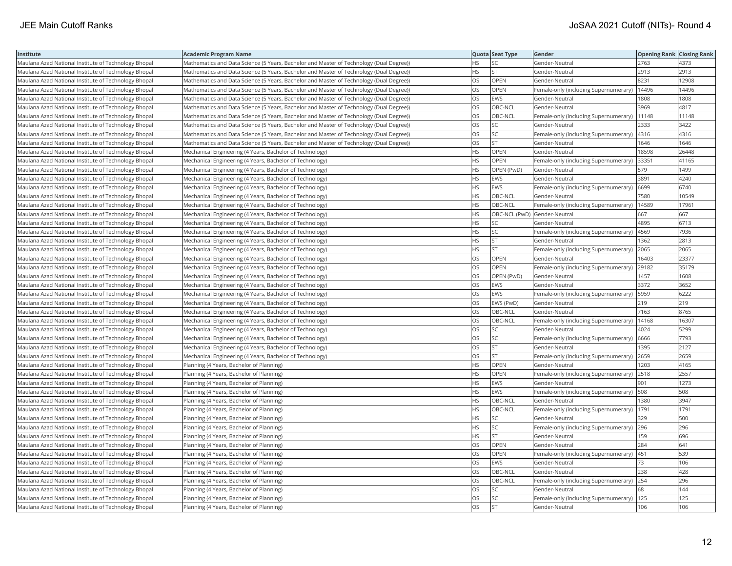| Institute                                            | <b>Academic Program Name</b>                                                            |           | Quota Seat Type              | Gender                                      | <b>Opening Rank Closing Rank</b> |       |
|------------------------------------------------------|-----------------------------------------------------------------------------------------|-----------|------------------------------|---------------------------------------------|----------------------------------|-------|
| Maulana Azad National Institute of Technology Bhopal | Mathematics and Data Science (5 Years, Bachelor and Master of Technology (Dual Degree)) | HS        | <b>SC</b>                    | Gender-Neutral                              | 2763                             | 4373  |
| Maulana Azad National Institute of Technology Bhopal | Mathematics and Data Science (5 Years, Bachelor and Master of Technology (Dual Degree)) | <b>HS</b> | <b>ST</b>                    | Gender-Neutral                              | 2913                             | 2913  |
| Maulana Azad National Institute of Technology Bhopal | Mathematics and Data Science (5 Years, Bachelor and Master of Technology (Dual Degree)) | <b>OS</b> | <b>OPEN</b>                  | Gender-Neutral                              | 8231                             | 12908 |
| Maulana Azad National Institute of Technology Bhopal | Mathematics and Data Science (5 Years, Bachelor and Master of Technology (Dual Degree)) | OS        | OPEN                         | Female-only (including Supernumerary)       | 14496                            | 14496 |
| Maulana Azad National Institute of Technology Bhopal | Mathematics and Data Science (5 Years, Bachelor and Master of Technology (Dual Degree)) | OS        | <b>EWS</b>                   | Gender-Neutral                              | 1808                             | 1808  |
| Maulana Azad National Institute of Technology Bhopal | Mathematics and Data Science (5 Years, Bachelor and Master of Technology (Dual Degree)) | OS        | OBC-NCL                      | Gender-Neutral                              | 3969                             | 4817  |
| Maulana Azad National Institute of Technology Bhopal | Mathematics and Data Science (5 Years, Bachelor and Master of Technology (Dual Degree)) | OS        | OBC-NCL                      | Female-only (including Supernumerary)       | 11148                            | 11148 |
| Maulana Azad National Institute of Technology Bhopal | Mathematics and Data Science (5 Years, Bachelor and Master of Technology (Dual Degree)) | OS        | SC.                          | Gender-Neutral                              | 2333                             | 3422  |
| Maulana Azad National Institute of Technology Bhopal | Mathematics and Data Science (5 Years, Bachelor and Master of Technology (Dual Degree)) | OS        | <b>SC</b>                    | Female-only (including Supernumerary)       | 4316                             | 4316  |
| Maulana Azad National Institute of Technology Bhopal | Mathematics and Data Science (5 Years, Bachelor and Master of Technology (Dual Degree)) | OS        | <b>ST</b>                    | Gender-Neutral                              | 1646                             | 1646  |
| Maulana Azad National Institute of Technology Bhopal | Mechanical Engineering (4 Years, Bachelor of Technology)                                | <b>HS</b> | <b>OPEN</b>                  | Gender-Neutral                              | 18598                            | 26448 |
| Maulana Azad National Institute of Technology Bhopal | Mechanical Engineering (4 Years, Bachelor of Technology)                                | <b>HS</b> | <b>OPEN</b>                  | Female-only (including Supernumerary)       | 33351                            | 41165 |
| Maulana Azad National Institute of Technology Bhopal | Mechanical Engineering (4 Years, Bachelor of Technology)                                | <b>HS</b> | OPEN (PwD)                   | Gender-Neutral                              | 579                              | 1499  |
| Maulana Azad National Institute of Technology Bhopal | Mechanical Engineering (4 Years, Bachelor of Technology)                                | HS        | <b>EWS</b>                   | Gender-Neutral                              | 3891                             | 4240  |
| Maulana Azad National Institute of Technology Bhopal | Mechanical Engineering (4 Years, Bachelor of Technology)                                | <b>HS</b> | <b>EWS</b>                   | Female-only (including Supernumerary)       | 6699                             | 6740  |
| Maulana Azad National Institute of Technology Bhopal | Mechanical Engineering (4 Years, Bachelor of Technology)                                | <b>HS</b> | OBC-NCL                      | Gender-Neutral                              | 7580                             | 10549 |
| Maulana Azad National Institute of Technology Bhopal | Mechanical Engineering (4 Years, Bachelor of Technology)                                | HS        | OBC-NCL                      | Female-only (including Supernumerary)       | 14589                            | 17961 |
| Maulana Azad National Institute of Technology Bhopal | Mechanical Engineering (4 Years, Bachelor of Technology)                                | <b>HS</b> | OBC-NCL (PwD) Gender-Neutral |                                             | 667                              | 667   |
| Maulana Azad National Institute of Technology Bhopal | Mechanical Engineering (4 Years, Bachelor of Technology)                                | <b>HS</b> | lsc                          | Gender-Neutral                              | 4895                             | 6713  |
| Maulana Azad National Institute of Technology Bhopal | Mechanical Engineering (4 Years, Bachelor of Technology)                                | HS        | <b>SC</b>                    | Female-only (including Supernumerary)       | 4569                             | 7936  |
| Maulana Azad National Institute of Technology Bhopal | Mechanical Engineering (4 Years, Bachelor of Technology)                                | <b>HS</b> | <b>ST</b>                    | Gender-Neutral                              | 1362                             | 2813  |
| Maulana Azad National Institute of Technology Bhopal | Mechanical Engineering (4 Years, Bachelor of Technology)                                | <b>HS</b> | <b>ST</b>                    | Female-only (including Supernumerary)       | 2065                             | 2065  |
| Maulana Azad National Institute of Technology Bhopal | Mechanical Engineering (4 Years, Bachelor of Technology)                                | OS        | OPEN                         | Gender-Neutral                              | 16403                            | 23377 |
| Maulana Azad National Institute of Technology Bhopal | Mechanical Engineering (4 Years, Bachelor of Technology)                                | OS        | OPEN                         | Female-only (including Supernumerary)       | 29182                            | 35179 |
| Maulana Azad National Institute of Technology Bhopal | Mechanical Engineering (4 Years, Bachelor of Technology)                                | OS        | OPEN (PwD)                   | Gender-Neutral                              | 1457                             | 1608  |
| Maulana Azad National Institute of Technology Bhopal | Mechanical Engineering (4 Years, Bachelor of Technology)                                | OS        | <b>EWS</b>                   | Gender-Neutral                              | 3372                             | 3652  |
| Maulana Azad National Institute of Technology Bhopal | Mechanical Engineering (4 Years, Bachelor of Technology)                                | <b>OS</b> | <b>EWS</b>                   | Female-only (including Supernumerary)       | 5959                             | 6222  |
| Maulana Azad National Institute of Technology Bhopal | Mechanical Engineering (4 Years, Bachelor of Technology)                                | OS        | EWS (PwD)                    | Gender-Neutral                              | 219                              | 219   |
| Maulana Azad National Institute of Technology Bhopal | Mechanical Engineering (4 Years, Bachelor of Technology)                                | OS        | OBC-NCL                      | Gender-Neutral                              | 7163                             | 8765  |
| Maulana Azad National Institute of Technology Bhopal | Mechanical Engineering (4 Years, Bachelor of Technology)                                | OS        | OBC-NCL                      | Female-only (including Supernumerary)       | 14168                            | 16307 |
| Maulana Azad National Institute of Technology Bhopal | Mechanical Engineering (4 Years, Bachelor of Technology)                                | OS        | SC.                          | Gender-Neutral                              | 4024                             | 5299  |
| Maulana Azad National Institute of Technology Bhopal | Mechanical Engineering (4 Years, Bachelor of Technology)                                | OS        | SC.                          | Female-only (including Supernumerary)       | 6666                             | 7793  |
| Maulana Azad National Institute of Technology Bhopal | Mechanical Engineering (4 Years, Bachelor of Technology)                                | OS        | <b>ST</b>                    | Gender-Neutral                              | 1395                             | 2127  |
| Maulana Azad National Institute of Technology Bhopal | Mechanical Engineering (4 Years, Bachelor of Technology)                                | OS        | <b>ST</b>                    | Female-only (including Supernumerary)       | 2659                             | 2659  |
| Maulana Azad National Institute of Technology Bhopal | Planning (4 Years, Bachelor of Planning)                                                | <b>HS</b> | OPEN                         | Gender-Neutral                              | 1203                             | 4165  |
| Maulana Azad National Institute of Technology Bhopal | Planning (4 Years, Bachelor of Planning)                                                | <b>HS</b> | <b>OPEN</b>                  | Female-only (including Supernumerary)       | 2518                             | 2557  |
| Maulana Azad National Institute of Technology Bhopal | Planning (4 Years, Bachelor of Planning)                                                | <b>HS</b> | <b>EWS</b>                   | Gender-Neutral                              | 901                              | 1273  |
| Maulana Azad National Institute of Technology Bhopal | Planning (4 Years, Bachelor of Planning)                                                | <b>HS</b> | <b>EWS</b>                   | Female-only (including Supernumerary)   508 |                                  | 508   |
| Maulana Azad National Institute of Technology Bhopal | Planning (4 Years, Bachelor of Planning)                                                | HS.       | OBC-NCL                      | Gender-Neutral                              | 1380                             | 3947  |
| Maulana Azad National Institute of Technology Bhopal | Planning (4 Years, Bachelor of Planning)                                                | HS.       | OBC-NCL                      | Female-only (including Supernumerary)       | 1791                             | 1791  |
| Maulana Azad National Institute of Technology Bhopal | Planning (4 Years, Bachelor of Planning)                                                | <b>HS</b> | <b>SC</b>                    | Gender-Neutral                              | 329                              | 500   |
| Maulana Azad National Institute of Technology Bhopal | Planning (4 Years, Bachelor of Planning)                                                | HS        | <b>SC</b>                    | Female-only (including Supernumerary)       | 296                              | 296   |
| Maulana Azad National Institute of Technology Bhopal | Planning (4 Years, Bachelor of Planning)                                                | <b>HS</b> | <b>ST</b>                    | Gender-Neutral                              | 159                              | 696   |
| Maulana Azad National Institute of Technology Bhopal | Planning (4 Years, Bachelor of Planning)                                                | OS        | <b>OPEN</b>                  | Gender-Neutral                              | 284                              | 641   |
| Maulana Azad National Institute of Technology Bhopal | Planning (4 Years, Bachelor of Planning)                                                | <b>OS</b> | OPEN                         | Female-only (including Supernumerary)       | 451                              | 539   |
| Maulana Azad National Institute of Technology Bhopal | Planning (4 Years, Bachelor of Planning)                                                | OS        | <b>EWS</b>                   | Gender-Neutral                              | 73                               | 106   |
| Maulana Azad National Institute of Technology Bhopal | Planning (4 Years, Bachelor of Planning)                                                | <b>OS</b> | OBC-NCL                      | Gender-Neutral                              | 238                              | 428   |
| Maulana Azad National Institute of Technology Bhopal | Planning (4 Years, Bachelor of Planning)                                                | OS        | OBC-NCL                      | Female-only (including Supernumerary)       | 254                              | 296   |
| Maulana Azad National Institute of Technology Bhopal | Planning (4 Years, Bachelor of Planning)                                                | OS        | SC.                          | Gender-Neutral                              | 68                               | 144   |
| Maulana Azad National Institute of Technology Bhopal | Planning (4 Years, Bachelor of Planning)                                                | OS        | <b>SC</b>                    | Female-only (including Supernumerary)       | 125                              | 125   |
| Maulana Azad National Institute of Technology Bhopal | Planning (4 Years, Bachelor of Planning)                                                | <b>OS</b> | <b>ST</b>                    | Gender-Neutral                              | 106                              | 106   |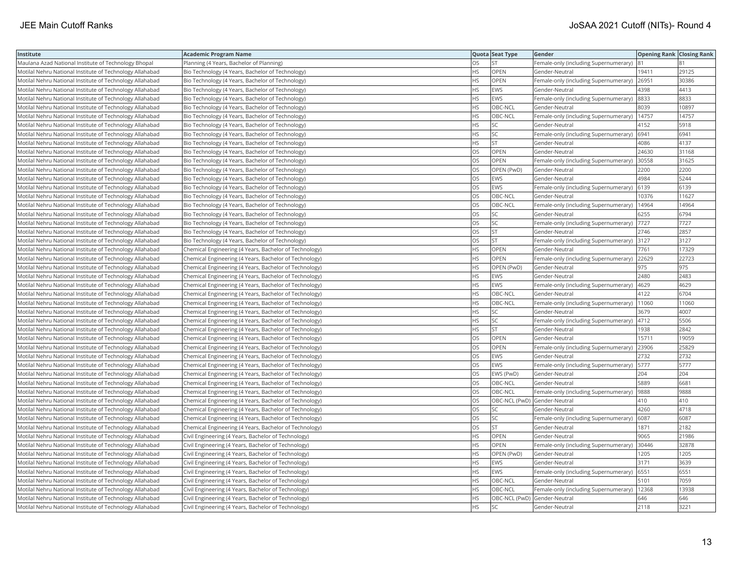| Institute                                                | <b>Academic Program Name</b>                           |           | Quota Seat Type              | Gender                                | <b>Opening Rank Closing Rank</b> |       |
|----------------------------------------------------------|--------------------------------------------------------|-----------|------------------------------|---------------------------------------|----------------------------------|-------|
| Maulana Azad National Institute of Technology Bhopal     | Planning (4 Years, Bachelor of Planning)               | OS        | <b>ST</b>                    | Female-only (including Supernumerary) |                                  |       |
| Motilal Nehru National Institute of Technology Allahabad | Bio Technology (4 Years, Bachelor of Technology)       | HS.       | <b>OPEN</b>                  | Gender-Neutral                        | 19411                            | 29125 |
| Motilal Nehru National Institute of Technology Allahabad | Bio Technology (4 Years, Bachelor of Technology)       | HS        | <b>OPEN</b>                  | Female-only (including Supernumerary) | 26951                            | 30386 |
| Motilal Nehru National Institute of Technology Allahabad | Bio Technology (4 Years, Bachelor of Technology)       | <b>HS</b> | EWS                          | Gender-Neutral                        | 4398                             | 4413  |
| Motilal Nehru National Institute of Technology Allahabad | Bio Technology (4 Years, Bachelor of Technology)       | <b>HS</b> | <b>EWS</b>                   | Female-only (including Supernumerary) | 8833                             | 8833  |
| Motilal Nehru National Institute of Technology Allahabad | Bio Technology (4 Years, Bachelor of Technology)       | HS        | OBC-NCL                      | Gender-Neutral                        | 8039                             | 10897 |
| Motilal Nehru National Institute of Technology Allahabad | Bio Technology (4 Years, Bachelor of Technology)       | <b>HS</b> | OBC-NCL                      | Female-only (including Supernumerary) | 14757                            | 14757 |
| Motilal Nehru National Institute of Technology Allahabad | Bio Technology (4 Years, Bachelor of Technology)       | <b>HS</b> | lsc                          | Gender-Neutral                        | 4152                             | 5918  |
| Motilal Nehru National Institute of Technology Allahabad | Bio Technology (4 Years, Bachelor of Technology)       | HS.       | SC.                          | Female-only (including Supernumerary) | 6941                             | 6941  |
| Motilal Nehru National Institute of Technology Allahabad | Bio Technology (4 Years, Bachelor of Technology)       | <b>HS</b> | <b>ST</b>                    | Gender-Neutral                        | 4086                             | 4137  |
| Motilal Nehru National Institute of Technology Allahabad | Bio Technology (4 Years, Bachelor of Technology)       | OS        | <b>OPEN</b>                  | Gender-Neutral                        | 24630                            | 31168 |
| Motilal Nehru National Institute of Technology Allahabad | Bio Technology (4 Years, Bachelor of Technology)       | <b>OS</b> | OPEN                         | Female-only (including Supernumerary) | 30558                            | 31625 |
| Motilal Nehru National Institute of Technology Allahabad | Bio Technology (4 Years, Bachelor of Technology)       | OS        | OPEN (PwD)                   | Gender-Neutral                        | 2200                             | 2200  |
| Motilal Nehru National Institute of Technology Allahabad | Bio Technology (4 Years, Bachelor of Technology)       | OS        | <b>EWS</b>                   | Gender-Neutral                        | 4984                             | 5244  |
| Motilal Nehru National Institute of Technology Allahabad | Bio Technology (4 Years, Bachelor of Technology)       | OS        | <b>EWS</b>                   | Female-only (including Supernumerary) | 6139                             | 6139  |
| Motilal Nehru National Institute of Technology Allahabad | Bio Technology (4 Years, Bachelor of Technology)       | <b>OS</b> | OBC-NCL                      | Gender-Neutral                        | 10376                            | 11627 |
| Motilal Nehru National Institute of Technology Allahabad | Bio Technology (4 Years, Bachelor of Technology)       | OS        | OBC-NCL                      | Female-only (including Supernumerary) | 14964                            | 14964 |
| Motilal Nehru National Institute of Technology Allahabad | Bio Technology (4 Years, Bachelor of Technology)       | OS        | <b>SC</b>                    | Gender-Neutral                        | 6255                             | 6794  |
| Motilal Nehru National Institute of Technology Allahabad | Bio Technology (4 Years, Bachelor of Technology)       | OS        | <b>SC</b>                    | Female-only (including Supernumerary) | 7727                             | 7727  |
| Motilal Nehru National Institute of Technology Allahabad | Bio Technology (4 Years, Bachelor of Technology)       | OS.       | <b>ST</b>                    | Gender-Neutral                        | 2746                             | 2857  |
| Motilal Nehru National Institute of Technology Allahabad | Bio Technology (4 Years, Bachelor of Technology)       | OS        | <b>ST</b>                    | Female-only (including Supernumerary) | 3127                             | 3127  |
| Motilal Nehru National Institute of Technology Allahabad | Chemical Engineering (4 Years, Bachelor of Technology) | <b>HS</b> | OPEN                         | Gender-Neutral                        | 7761                             | 17329 |
| Motilal Nehru National Institute of Technology Allahabad | Chemical Engineering (4 Years, Bachelor of Technology) | <b>HS</b> | <b>OPEN</b>                  | Female-only (including Supernumerary) | 22629                            | 22723 |
| Motilal Nehru National Institute of Technology Allahabad | Chemical Engineering (4 Years, Bachelor of Technology) | <b>HS</b> | OPEN (PwD)                   | Gender-Neutral                        | 975                              | 975   |
| Motilal Nehru National Institute of Technology Allahabad | Chemical Engineering (4 Years, Bachelor of Technology) | HS        | EWS                          | Gender-Neutral                        | 2480                             | 2483  |
| Motilal Nehru National Institute of Technology Allahabad | Chemical Engineering (4 Years, Bachelor of Technology) | <b>HS</b> | <b>EWS</b>                   | Female-only (including Supernumerary) | 4629                             | 4629  |
| Motilal Nehru National Institute of Technology Allahabad | Chemical Engineering (4 Years, Bachelor of Technology) | <b>HS</b> | OBC-NCL                      | Gender-Neutral                        | 4122                             | 6704  |
| Motilal Nehru National Institute of Technology Allahabad | Chemical Engineering (4 Years, Bachelor of Technology) | <b>HS</b> | OBC-NCL                      | Female-only (including Supernumerary) | 11060                            | 11060 |
| Motilal Nehru National Institute of Technology Allahabad | Chemical Engineering (4 Years, Bachelor of Technology) | <b>HS</b> | <b>SC</b>                    | Gender-Neutral                        | 3679                             | 4007  |
| Motilal Nehru National Institute of Technology Allahabad | Chemical Engineering (4 Years, Bachelor of Technology) | <b>HS</b> | <b>SC</b>                    | Female-only (including Supernumerary) | 4712                             | 5506  |
| Motilal Nehru National Institute of Technology Allahabad | Chemical Engineering (4 Years, Bachelor of Technology) | HS        | <b>ST</b>                    | Gender-Neutral                        | 1938                             | 2842  |
| Motilal Nehru National Institute of Technology Allahabad | Chemical Engineering (4 Years, Bachelor of Technology) | OS        | <b>OPEN</b>                  | Gender-Neutral                        | 15711                            | 19059 |
| Motilal Nehru National Institute of Technology Allahabad | Chemical Engineering (4 Years, Bachelor of Technology) | OS.       | OPEN                         | Female-only (including Supernumerary) | 23906                            | 25829 |
| Motilal Nehru National Institute of Technology Allahabad | Chemical Engineering (4 Years, Bachelor of Technology) | OS        | <b>EWS</b>                   | Gender-Neutral                        | 2732                             | 2732  |
| Motilal Nehru National Institute of Technology Allahabad | Chemical Engineering (4 Years, Bachelor of Technology) | OS        | <b>EWS</b>                   | Female-only (including Supernumerary) | 5777                             | 5777  |
| Motilal Nehru National Institute of Technology Allahabad | Chemical Engineering (4 Years, Bachelor of Technology) | <b>OS</b> | EWS (PwD)                    | Gender-Neutral                        | 204                              | 204   |
| Motilal Nehru National Institute of Technology Allahabad | Chemical Engineering (4 Years, Bachelor of Technology) | OS        | OBC-NCL                      | Gender-Neutral                        | 5889                             | 6681  |
| Motilal Nehru National Institute of Technology Allahabad | Chemical Engineering (4 Years, Bachelor of Technology) | OS        | OBC-NCL                      | Female-only (including Supernumerary) | 9888                             | 9888  |
| Motilal Nehru National Institute of Technology Allahabad | Chemical Engineering (4 Years, Bachelor of Technology) | OS        | OBC-NCL (PwD) Gender-Neutral |                                       | 410                              | 410   |
| Motilal Nehru National Institute of Technology Allahabad | Chemical Engineering (4 Years, Bachelor of Technology) | <b>OS</b> | SC.                          | Gender-Neutral                        | 4260                             | 4718  |
| Motilal Nehru National Institute of Technology Allahabad | Chemical Engineering (4 Years, Bachelor of Technology) | <b>OS</b> | SC                           | Female-only (including Supernumerary) | 6087                             | 6087  |
| Motilal Nehru National Institute of Technology Allahabad | Chemical Engineering (4 Years, Bachelor of Technology) | OS        | <b>ST</b>                    | Gender-Neutral                        | 1871                             | 2182  |
| Motilal Nehru National Institute of Technology Allahabad | Civil Engineering (4 Years, Bachelor of Technology)    | <b>HS</b> | OPEN                         | Gender-Neutral                        | 9065                             | 21986 |
| Motilal Nehru National Institute of Technology Allahabad | Civil Engineering (4 Years, Bachelor of Technology)    | <b>HS</b> | <b>OPEN</b>                  | Female-only (including Supernumerary) | 30446                            | 32878 |
| Motilal Nehru National Institute of Technology Allahabad | Civil Engineering (4 Years, Bachelor of Technology)    | <b>HS</b> | OPEN (PwD)                   | Gender-Neutral                        | 1205                             | 1205  |
| Motilal Nehru National Institute of Technology Allahabad | Civil Engineering (4 Years, Bachelor of Technology)    | <b>HS</b> | <b>EWS</b>                   | Gender-Neutral                        | 3171                             | 3639  |
| Motilal Nehru National Institute of Technology Allahabad | Civil Engineering (4 Years, Bachelor of Technology)    | HS        | <b>EWS</b>                   | Female-only (including Supernumerary) | 6551                             | 6551  |
| Motilal Nehru National Institute of Technology Allahabad | Civil Engineering (4 Years, Bachelor of Technology)    | <b>HS</b> | OBC-NCL                      | Gender-Neutral                        | 5101                             | 7059  |
| Motilal Nehru National Institute of Technology Allahabad | Civil Engineering (4 Years, Bachelor of Technology)    | HS        | OBC-NCL                      | Female-only (including Supernumerary) | 12368                            | 13938 |
| Motilal Nehru National Institute of Technology Allahabad | Civil Engineering (4 Years, Bachelor of Technology)    | <b>HS</b> | OBC-NCL (PwD) Gender-Neutral |                                       | 646                              | 646   |
| Motilal Nehru National Institute of Technology Allahabad | Civil Engineering (4 Years, Bachelor of Technology)    | <b>HS</b> | <b>SC</b>                    | Gender-Neutral                        | 2118                             | 3221  |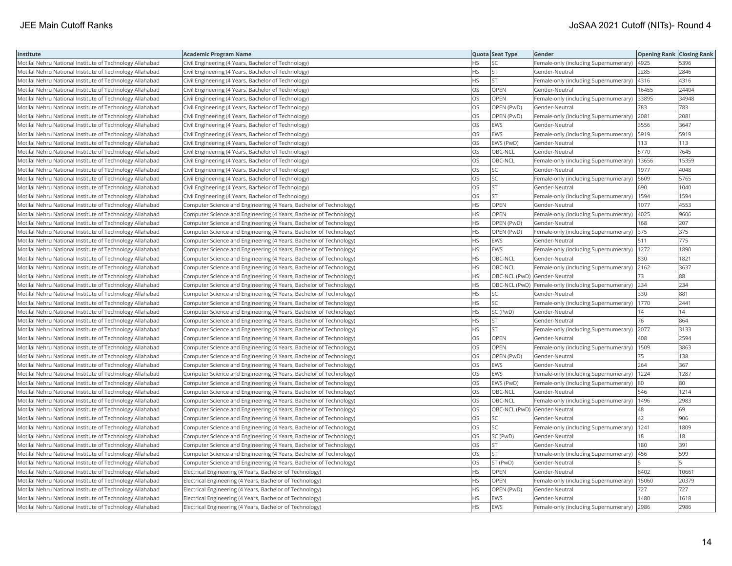| Institute                                                | <b>Academic Program Name</b>                                       |           | Quota Seat Type              | Gender                                              | <b>Opening Rank Closing Rank</b> |       |
|----------------------------------------------------------|--------------------------------------------------------------------|-----------|------------------------------|-----------------------------------------------------|----------------------------------|-------|
| Motilal Nehru National Institute of Technology Allahabad | Civil Engineering (4 Years, Bachelor of Technology)                | <b>HS</b> | <b>SC</b>                    | Female-only (including Supernumerary)               | 4925                             | 5396  |
| Motilal Nehru National Institute of Technology Allahabad | Civil Engineering (4 Years, Bachelor of Technology)                | HS        | <b>ST</b>                    | Gender-Neutral                                      | 2285                             | 2846  |
| Motilal Nehru National Institute of Technology Allahabad | Civil Engineering (4 Years, Bachelor of Technology)                | <b>HS</b> | <b>ST</b>                    | Female-only (including Supernumerary)               | 4316                             | 4316  |
| Motilal Nehru National Institute of Technology Allahabad | Civil Engineering (4 Years, Bachelor of Technology)                | OS        | OPEN                         | Gender-Neutral                                      | 16455                            | 24404 |
| Motilal Nehru National Institute of Technology Allahabad | Civil Engineering (4 Years, Bachelor of Technology)                | OS        | OPEN                         | Female-only (including Supernumerary)               | 33895                            | 34948 |
| Motilal Nehru National Institute of Technology Allahabad | Civil Engineering (4 Years, Bachelor of Technology)                | OS        | OPEN (PwD)                   | Gender-Neutral                                      | 783                              | 783   |
| Motilal Nehru National Institute of Technology Allahabad | Civil Engineering (4 Years, Bachelor of Technology)                | OS        | OPEN (PwD)                   | Female-only (including Supernumerary)               | 2081                             | 2081  |
| Motilal Nehru National Institute of Technology Allahabad | Civil Engineering (4 Years, Bachelor of Technology)                | OS        | <b>EWS</b>                   | Gender-Neutral                                      | 3556                             | 3647  |
| Motilal Nehru National Institute of Technology Allahabad | Civil Engineering (4 Years, Bachelor of Technology)                | OS.       | EWS                          | Female-only (including Supernumerary)               | 5919                             | 5919  |
| Motilal Nehru National Institute of Technology Allahabad | Civil Engineering (4 Years, Bachelor of Technology)                | OS.       | EWS (PwD)                    | Gender-Neutral                                      | 113                              | 113   |
| Motilal Nehru National Institute of Technology Allahabad | Civil Engineering (4 Years, Bachelor of Technology)                | <b>OS</b> | OBC-NCL                      | Gender-Neutral                                      | 5770                             | 7645  |
| Motilal Nehru National Institute of Technology Allahabad | Civil Engineering (4 Years, Bachelor of Technology)                | <b>OS</b> | OBC-NCL                      | Female-only (including Supernumerary)               | 13656                            | 15359 |
| Motilal Nehru National Institute of Technology Allahabad | Civil Engineering (4 Years, Bachelor of Technology)                | <b>OS</b> | lsc                          | Gender-Neutral                                      | 1977                             | 4048  |
| Motilal Nehru National Institute of Technology Allahabad | Civil Engineering (4 Years, Bachelor of Technology)                | OS        | <b>SC</b>                    | Female-only (including Supernumerary)               | 5609                             | 5765  |
| Motilal Nehru National Institute of Technology Allahabad | Civil Engineering (4 Years, Bachelor of Technology)                | OS        | <b>ST</b>                    | Gender-Neutral                                      | 690                              | 1040  |
| Motilal Nehru National Institute of Technology Allahabad | Civil Engineering (4 Years, Bachelor of Technology)                | OS        | <b>ST</b>                    | Female-only (including Supernumerary)               | 1594                             | 1594  |
| Motilal Nehru National Institute of Technology Allahabad | Computer Science and Engineering (4 Years, Bachelor of Technology) | <b>HS</b> | OPEN                         | Gender-Neutral                                      | 1077                             | 4553  |
| Motilal Nehru National Institute of Technology Allahabad | Computer Science and Engineering (4 Years, Bachelor of Technology) | <b>HS</b> | <b>OPEN</b>                  | Female-only (including Supernumerary)               | 4025                             | 9606  |
| Motilal Nehru National Institute of Technology Allahabad | Computer Science and Engineering (4 Years, Bachelor of Technology) | HS        | OPEN (PwD)                   | Gender-Neutral                                      | 168                              | 207   |
| Motilal Nehru National Institute of Technology Allahabad | Computer Science and Engineering (4 Years, Bachelor of Technology) | <b>HS</b> | OPEN (PwD)                   | Female-only (including Supernumerary)               | 375                              | 375   |
| Motilal Nehru National Institute of Technology Allahabad | Computer Science and Engineering (4 Years, Bachelor of Technology) | <b>HS</b> | <b>EWS</b>                   | Gender-Neutral                                      | 511                              | 775   |
| Motilal Nehru National Institute of Technology Allahabad | Computer Science and Engineering (4 Years, Bachelor of Technology) | <b>HS</b> | <b>EWS</b>                   | Female-only (including Supernumerary)   1272        |                                  | 1890  |
| Motilal Nehru National Institute of Technology Allahabad | Computer Science and Engineering (4 Years, Bachelor of Technology) | <b>HS</b> | OBC-NCL                      | Gender-Neutral                                      | 830                              | 1821  |
| Motilal Nehru National Institute of Technology Allahabad | Computer Science and Engineering (4 Years, Bachelor of Technology) | <b>HS</b> | OBC-NCL                      | Female-only (including Supernumerary)               | 2162                             | 3637  |
| Motilal Nehru National Institute of Technology Allahabad | Computer Science and Engineering (4 Years, Bachelor of Technology) | HS        | OBC-NCL (PwD) Gender-Neutral |                                                     | 73                               | 88    |
| Motilal Nehru National Institute of Technology Allahabad | Computer Science and Engineering (4 Years, Bachelor of Technology) | <b>HS</b> |                              | OBC-NCL (PwD) Female-only (including Supernumerary) | 234                              | 234   |
| Motilal Nehru National Institute of Technology Allahabad | Computer Science and Engineering (4 Years, Bachelor of Technology) | <b>HS</b> | <b>SC</b>                    | Gender-Neutral                                      | 330                              | 881   |
| Motilal Nehru National Institute of Technology Allahabad | Computer Science and Engineering (4 Years, Bachelor of Technology) | <b>HS</b> | lsc                          | Female-only (including Supernumerary)               | 1770                             | 2441  |
| Motilal Nehru National Institute of Technology Allahabad | Computer Science and Engineering (4 Years, Bachelor of Technology) | HS.       | SC (PwD)                     | Gender-Neutral                                      | 14                               | 14    |
| Motilal Nehru National Institute of Technology Allahabad | Computer Science and Engineering (4 Years, Bachelor of Technology) | <b>HS</b> | <b>ST</b>                    | Gender-Neutral                                      | 76                               | 864   |
| Motilal Nehru National Institute of Technology Allahabad | Computer Science and Engineering (4 Years, Bachelor of Technology) | <b>HS</b> | lst.                         | Female-only (including Supernumerary)               | 2077                             | 3133  |
| Motilal Nehru National Institute of Technology Allahabad | Computer Science and Engineering (4 Years, Bachelor of Technology) | OS        | <b>OPEN</b>                  | Gender-Neutral                                      | 408                              | 2594  |
| Motilal Nehru National Institute of Technology Allahabad | Computer Science and Engineering (4 Years, Bachelor of Technology) | OS        | OPEN                         | Female-only (including Supernumerary)               | 1509                             | 3863  |
| Motilal Nehru National Institute of Technology Allahabad | Computer Science and Engineering (4 Years, Bachelor of Technology) | OS        | OPEN (PwD)                   | Gender-Neutral                                      | 75                               | 138   |
| Motilal Nehru National Institute of Technology Allahabad | Computer Science and Engineering (4 Years, Bachelor of Technology) | OS        | <b>EWS</b>                   | Gender-Neutral                                      | 264                              | 367   |
| Motilal Nehru National Institute of Technology Allahabad | Computer Science and Engineering (4 Years, Bachelor of Technology) | OS        | <b>EWS</b>                   | Female-only (including Supernumerary)               | 1224                             | 1287  |
| Motilal Nehru National Institute of Technology Allahabad | Computer Science and Engineering (4 Years, Bachelor of Technology) | <b>OS</b> | EWS (PwD)                    | Female-only (including Supernumerary)               | 80                               | 180   |
| Motilal Nehru National Institute of Technology Allahabad | Computer Science and Engineering (4 Years, Bachelor of Technology) | OS        | OBC-NCL                      | Gender-Neutral                                      | 546                              | 1214  |
| Motilal Nehru National Institute of Technology Allahabad | Computer Science and Engineering (4 Years, Bachelor of Technology) | OS        | OBC-NCL                      | Female-only (including Supernumerary)               | 1496                             | 2983  |
| Motilal Nehru National Institute of Technology Allahabad | Computer Science and Engineering (4 Years, Bachelor of Technology) | <b>OS</b> | OBC-NCL (PwD) Gender-Neutral |                                                     | 48                               | 69    |
| Motilal Nehru National Institute of Technology Allahabad | Computer Science and Engineering (4 Years, Bachelor of Technology) | OS        | <b>SC</b>                    | Gender-Neutral                                      | 42                               | 906   |
| Motilal Nehru National Institute of Technology Allahabad | Computer Science and Engineering (4 Years, Bachelor of Technology) | OS        | <b>SC</b>                    | Female-only (including Supernumerary)               | 1241                             | 1809  |
| Motilal Nehru National Institute of Technology Allahabad | Computer Science and Engineering (4 Years, Bachelor of Technology) | <b>OS</b> | SC (PwD)                     | Gender-Neutral                                      | 18                               | 18    |
| Motilal Nehru National Institute of Technology Allahabad | Computer Science and Engineering (4 Years, Bachelor of Technology) | OS        | <b>ST</b>                    | Gender-Neutral                                      | 180                              | 391   |
| Motilal Nehru National Institute of Technology Allahabad | Computer Science and Engineering (4 Years, Bachelor of Technology) | OS        | <b>ST</b>                    | Female-only (including Supernumerary)               | 456                              | 599   |
| Motilal Nehru National Institute of Technology Allahabad | Computer Science and Engineering (4 Years, Bachelor of Technology) | OS        | ST (PwD)                     | Gender-Neutral                                      |                                  |       |
| Motilal Nehru National Institute of Technology Allahabad | Electrical Engineering (4 Years, Bachelor of Technology)           | <b>HS</b> | <b>OPEN</b>                  | Gender-Neutral                                      | 8402                             | 10661 |
| Motilal Nehru National Institute of Technology Allahabad | Electrical Engineering (4 Years, Bachelor of Technology)           | HS        | OPEN                         | Female-only (including Supernumerary)               | 15060                            | 20379 |
| Motilal Nehru National Institute of Technology Allahabad | Electrical Engineering (4 Years, Bachelor of Technology)           | <b>HS</b> | OPEN (PwD)                   | Gender-Neutral                                      | 727                              | 727   |
| Motilal Nehru National Institute of Technology Allahabad | Electrical Engineering (4 Years, Bachelor of Technology)           | HS        | <b>EWS</b>                   | Gender-Neutral                                      | 1480                             | 1618  |
| Motilal Nehru National Institute of Technology Allahabad | Electrical Engineering (4 Years, Bachelor of Technology)           | <b>HS</b> | <b>EWS</b>                   | Female-only (including Supernumerary)               | 2986                             | 2986  |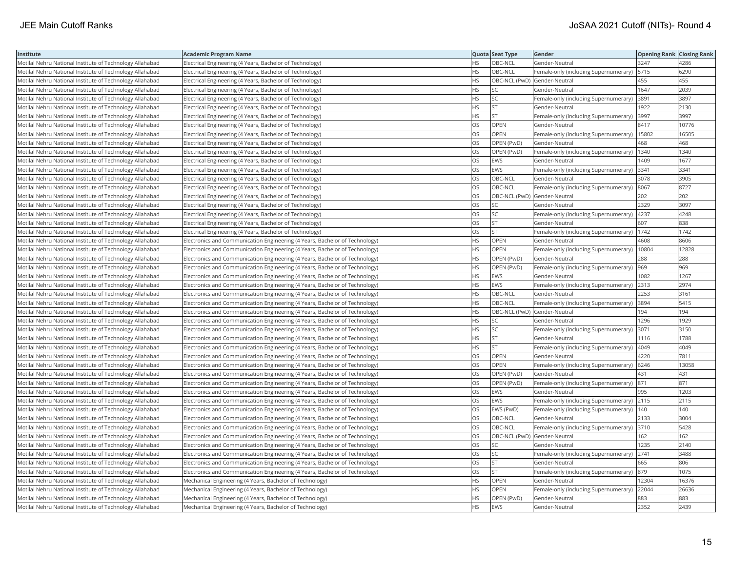| Institute                                                | Academic Program Name                                                       |           | Quota Seat Type              | Gender                                     | <b>Opening Rank Closing Rank</b> |       |
|----------------------------------------------------------|-----------------------------------------------------------------------------|-----------|------------------------------|--------------------------------------------|----------------------------------|-------|
| Motilal Nehru National Institute of Technology Allahabad | Electrical Engineering (4 Years, Bachelor of Technology)                    | HS.       | OBC-NCL                      | Gender-Neutral                             | 3247                             | 4286  |
| Motilal Nehru National Institute of Technology Allahabad | Electrical Engineering (4 Years, Bachelor of Technology)                    | HS        | OBC-NCL                      | Female-only (including Supernumerary)      | 5715                             | 6290  |
| Motilal Nehru National Institute of Technology Allahabad | Electrical Engineering (4 Years, Bachelor of Technology)                    | <b>HS</b> | OBC-NCL (PwD) Gender-Neutral |                                            | 455                              | 455   |
| Motilal Nehru National Institute of Technology Allahabad | Electrical Engineering (4 Years, Bachelor of Technology)                    | HS        | <b>SC</b>                    | Gender-Neutral                             | 1647                             | 2039  |
| Motilal Nehru National Institute of Technology Allahabad | Electrical Engineering (4 Years, Bachelor of Technology)                    | HS        | <b>SC</b>                    | Female-only (including Supernumerary)      | 3891                             | 3897  |
| Motilal Nehru National Institute of Technology Allahabad | Electrical Engineering (4 Years, Bachelor of Technology)                    | HS.       | <b>ST</b>                    | Gender-Neutral                             | 1922                             | 2130  |
| Motilal Nehru National Institute of Technology Allahabad | Electrical Engineering (4 Years, Bachelor of Technology)                    | НS        | <b>ST</b>                    | Female-only (including Supernumerary)      | 3997                             | 3997  |
| Motilal Nehru National Institute of Technology Allahabad | Electrical Engineering (4 Years, Bachelor of Technology)                    | OS.       | OPEN                         | Gender-Neutral                             | 8417                             | 10776 |
| Motilal Nehru National Institute of Technology Allahabad | Electrical Engineering (4 Years, Bachelor of Technology)                    | OS        | <b>OPEN</b>                  | Female-only (including Supernumerary)      | 15802                            | 16505 |
| Motilal Nehru National Institute of Technology Allahabad | Electrical Engineering (4 Years, Bachelor of Technology)                    | OS        | OPEN (PwD)                   | Gender-Neutral                             | 468                              | 468   |
| Motilal Nehru National Institute of Technology Allahabad | Electrical Engineering (4 Years, Bachelor of Technology)                    | OS        | OPEN (PwD)                   | Female-only (including Supernumerary)      | 1340                             | 1340  |
| Motilal Nehru National Institute of Technology Allahabad | Electrical Engineering (4 Years, Bachelor of Technology)                    | OS.       | <b>EWS</b>                   | Gender-Neutral                             | 1409                             | 1677  |
| Motilal Nehru National Institute of Technology Allahabad | Electrical Engineering (4 Years, Bachelor of Technology)                    | OS.       | <b>EWS</b>                   | Female-only (including Supernumerary)      | 3341                             | 3341  |
| Motilal Nehru National Institute of Technology Allahabad | Electrical Engineering (4 Years, Bachelor of Technology)                    | OS        | OBC-NCL                      | Gender-Neutral                             | 3078                             | 3905  |
| Motilal Nehru National Institute of Technology Allahabad | Electrical Engineering (4 Years, Bachelor of Technology)                    | OS        | OBC-NCL                      | Female-only (including Supernumerary) 8067 |                                  | 8727  |
| Motilal Nehru National Institute of Technology Allahabad | Electrical Engineering (4 Years, Bachelor of Technology)                    | OS        | OBC-NCL (PwD) Gender-Neutral |                                            | 202                              | 202   |
| Motilal Nehru National Institute of Technology Allahabad | Electrical Engineering (4 Years, Bachelor of Technology)                    | OS        | SC                           | Gender-Neutral                             | 2329                             | 3097  |
| Motilal Nehru National Institute of Technology Allahabad | Electrical Engineering (4 Years, Bachelor of Technology)                    | OS.       | <b>SC</b>                    | Female-only (including Supernumerary)      | 4237                             | 4248  |
| Motilal Nehru National Institute of Technology Allahabad | Electrical Engineering (4 Years, Bachelor of Technology)                    | OS        | <b>ST</b>                    | Gender-Neutral                             | 607                              | 838   |
| Motilal Nehru National Institute of Technology Allahabad | Electrical Engineering (4 Years, Bachelor of Technology)                    | OS.       | <b>ST</b>                    | Female-only (including Supernumerary)      | 1742                             | 1742  |
| Motilal Nehru National Institute of Technology Allahabad | Electronics and Communication Engineering (4 Years, Bachelor of Technology) | HS        | <b>OPEN</b>                  | Gender-Neutral                             | 4608                             | 8606  |
| Motilal Nehru National Institute of Technology Allahabad | Electronics and Communication Engineering (4 Years, Bachelor of Technology) | HS.       | OPEN                         | Female-only (including Supernumerary)      | 10804                            | 12828 |
| Motilal Nehru National Institute of Technology Allahabad | Electronics and Communication Engineering (4 Years, Bachelor of Technology) | HS        | OPEN (PwD)                   | Gender-Neutral                             | 288                              | 288   |
| Motilal Nehru National Institute of Technology Allahabad | Electronics and Communication Engineering (4 Years, Bachelor of Technology) | HS        | OPEN (PwD)                   | Female-only (including Supernumerary)      | 969                              | 969   |
| Motilal Nehru National Institute of Technology Allahabad | Electronics and Communication Engineering (4 Years, Bachelor of Technology) | HS        | <b>EWS</b>                   | Gender-Neutral                             | 082                              | 1267  |
| Motilal Nehru National Institute of Technology Allahabad | Electronics and Communication Engineering (4 Years, Bachelor of Technology) | HS        | EWS                          | Female-only (including Supernumerary)      | 2313                             | 2974  |
| Motilal Nehru National Institute of Technology Allahabad | Electronics and Communication Engineering (4 Years, Bachelor of Technology) | HS        | OBC-NCL                      | Gender-Neutral                             | 2253                             | 3161  |
| Motilal Nehru National Institute of Technology Allahabad | Electronics and Communication Engineering (4 Years, Bachelor of Technology) | <b>HS</b> | OBC-NCL                      | Female-only (including Supernumerary)      | 3894                             | 5415  |
| Motilal Nehru National Institute of Technology Allahabad | Electronics and Communication Engineering (4 Years, Bachelor of Technology) | HS        | OBC-NCL (PwD) Gender-Neutral |                                            | 194                              | 194   |
| Motilal Nehru National Institute of Technology Allahabad | Electronics and Communication Engineering (4 Years, Bachelor of Technology) | ΗS        | SC                           | Gender-Neutral                             | 1296                             | 1929  |
| Motilal Nehru National Institute of Technology Allahabad | Electronics and Communication Engineering (4 Years, Bachelor of Technology) | HS        | <b>SC</b>                    | Female-only (including Supernumerary)      | 3071                             | 3150  |
| Motilal Nehru National Institute of Technology Allahabad | Electronics and Communication Engineering (4 Years, Bachelor of Technology) | HS.       | <b>ST</b>                    | Gender-Neutral                             | 1116                             | 1788  |
| Motilal Nehru National Institute of Technology Allahabad | Electronics and Communication Engineering (4 Years, Bachelor of Technology) | HS        | <b>ST</b>                    | Female-only (including Supernumerary)      | 4049                             | 4049  |
| Motilal Nehru National Institute of Technology Allahabad | Electronics and Communication Engineering (4 Years, Bachelor of Technology) | OS        | OPEN                         | Gender-Neutral                             | 4220                             | 7811  |
| Motilal Nehru National Institute of Technology Allahabad | Electronics and Communication Engineering (4 Years, Bachelor of Technology) | <b>OS</b> | <b>OPEN</b>                  | Female-only (including Supernumerary)      | 6246                             | 13058 |
| Motilal Nehru National Institute of Technology Allahabad | Electronics and Communication Engineering (4 Years, Bachelor of Technology) | OS        | OPEN (PwD)                   | Gender-Neutral                             | 431                              | 431   |
| Motilal Nehru National Institute of Technology Allahabad | Electronics and Communication Engineering (4 Years, Bachelor of Technology) | OS        | OPEN (PwD)                   | Female-only (including Supernumerary)  871 |                                  | 871   |
| Motilal Nehru National Institute of Technology Allahabad | Electronics and Communication Engineering (4 Years, Bachelor of Technology) | OS        | EWS                          | Gender-Neutral                             | 995                              | 1203  |
| Motilal Nehru National Institute of Technology Allahabad | Electronics and Communication Engineering (4 Years, Bachelor of Technology) | OS        | EWS                          | Female-only (including Supernumerary) 2115 |                                  | 2115  |
| Motilal Nehru National Institute of Technology Allahabad | Electronics and Communication Engineering (4 Years, Bachelor of Technology) | OS.       | EWS (PwD)                    | Female-only (including Supernumerary)      | 1140                             | 140   |
| Motilal Nehru National Institute of Technology Allahabad | Electronics and Communication Engineering (4 Years, Bachelor of Technology) | OS        | OBC-NCL                      | Gender-Neutral                             | 2133                             | 3004  |
| Motilal Nehru National Institute of Technology Allahabad | Electronics and Communication Engineering (4 Years, Bachelor of Technology) | OS        | OBC-NCL                      | Female-only (including Supernumerary) 3710 |                                  | 5428  |
| Motilal Nehru National Institute of Technology Allahabad | Electronics and Communication Engineering (4 Years, Bachelor of Technology) | OS.       | OBC-NCL (PwD) Gender-Neutral |                                            | 162                              | 162   |
| Motilal Nehru National Institute of Technology Allahabad | Electronics and Communication Engineering (4 Years, Bachelor of Technology) | OS        | <b>SC</b>                    | Gender-Neutral                             | 1235                             | 2140  |
| Motilal Nehru National Institute of Technology Allahabad | Electronics and Communication Engineering (4 Years, Bachelor of Technology) | OS        | SC                           | Female-only (including Supernumerary)      | 2741                             | 3488  |
| Motilal Nehru National Institute of Technology Allahabad | Electronics and Communication Engineering (4 Years, Bachelor of Technology) | OS        | ST                           | Gender-Neutral                             | 665                              | 806   |
| Motilal Nehru National Institute of Technology Allahabad | Electronics and Communication Engineering (4 Years, Bachelor of Technology) | OS.       | <b>ST</b>                    | Female-only (including Supernumerary)      | 879                              | 1075  |
| Motilal Nehru National Institute of Technology Allahabad | Mechanical Engineering (4 Years, Bachelor of Technology)                    | ΗS        | OPEN                         | Gender-Neutral                             | 12304                            | 16376 |
| Motilal Nehru National Institute of Technology Allahabad | Mechanical Engineering (4 Years, Bachelor of Technology)                    | HS        | <b>OPEN</b>                  | Female-only (including Supernumerary)      | 22044                            | 26636 |
| Motilal Nehru National Institute of Technology Allahabad | Mechanical Engineering (4 Years, Bachelor of Technology)                    | HS.       | OPEN (PwD)                   | Gender-Neutral                             | 883                              | 883   |
| Motilal Nehru National Institute of Technology Allahabad | Mechanical Engineering (4 Years, Bachelor of Technology)                    | <b>HS</b> | <b>EWS</b>                   | lGender-Neutral                            | 2352                             | 2439  |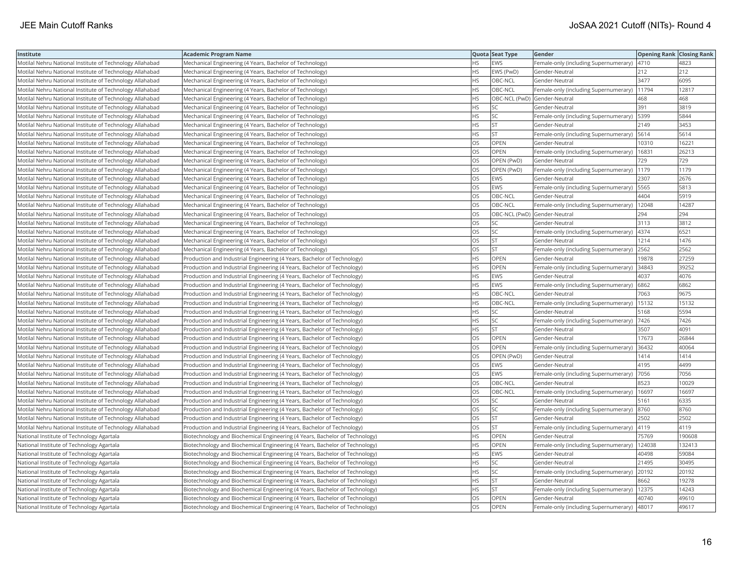| Institute                                                | <b>Academic Program Name</b>                                                |           | Quota Seat Type              | Gender                                        | <b>Opening Rank Closing Rank</b> |        |
|----------------------------------------------------------|-----------------------------------------------------------------------------|-----------|------------------------------|-----------------------------------------------|----------------------------------|--------|
| Motilal Nehru National Institute of Technology Allahabad | Mechanical Engineering (4 Years, Bachelor of Technology)                    | <b>HS</b> | <b>EWS</b>                   | Female-only (including Supernumerary)   4710  |                                  | 4823   |
| Motilal Nehru National Institute of Technology Allahabad | Mechanical Engineering (4 Years, Bachelor of Technology)                    | HS        | EWS (PwD)                    | Gender-Neutral                                | 212                              | 212    |
| Motilal Nehru National Institute of Technology Allahabad | Mechanical Engineering (4 Years, Bachelor of Technology)                    | <b>HS</b> | OBC-NCL                      | Gender-Neutral                                | 3477                             | 6095   |
| Motilal Nehru National Institute of Technology Allahabad | Mechanical Engineering (4 Years, Bachelor of Technology)                    | <b>HS</b> | OBC-NCL                      | Female-only (including Supernumerary)         | 11794                            | 12817  |
| Motilal Nehru National Institute of Technology Allahabad | Mechanical Engineering (4 Years, Bachelor of Technology)                    | <b>HS</b> | OBC-NCL (PwD) Gender-Neutral |                                               | 468                              | 468    |
| Motilal Nehru National Institute of Technology Allahabad | Mechanical Engineering (4 Years, Bachelor of Technology)                    | <b>HS</b> | lsc                          | Gender-Neutral                                | 391                              | 3819   |
| Motilal Nehru National Institute of Technology Allahabad | Mechanical Engineering (4 Years, Bachelor of Technology)                    | <b>HS</b> | SC.                          | Female-only (including Supernumerary)         | 5399                             | 5844   |
| Motilal Nehru National Institute of Technology Allahabad | Mechanical Engineering (4 Years, Bachelor of Technology)                    | <b>HS</b> | İst                          | Gender-Neutral                                | 2149                             | 3453   |
| Motilal Nehru National Institute of Technology Allahabad | Mechanical Engineering (4 Years, Bachelor of Technology)                    | HS.       | Ist                          | Female-only (including Supernumerary)         | 5614                             | 5614   |
| Motilal Nehru National Institute of Technology Allahabad | Mechanical Engineering (4 Years, Bachelor of Technology)                    | OS        | OPEN                         | Gender-Neutral                                | 10310                            | 16221  |
| Motilal Nehru National Institute of Technology Allahabad | Mechanical Engineering (4 Years, Bachelor of Technology)                    | OS        | OPEN                         | Female-only (including Supernumerary)         | 16831                            | 26213  |
| Motilal Nehru National Institute of Technology Allahabad | Mechanical Engineering (4 Years, Bachelor of Technology)                    | <b>OS</b> | OPEN (PwD)                   | Gender-Neutral                                | 729                              | 729    |
| Motilal Nehru National Institute of Technology Allahabad | Mechanical Engineering (4 Years, Bachelor of Technology)                    | <b>OS</b> | OPEN (PwD)                   | [Female-only (including Supernumerary)        | 1179                             | 1179   |
| Motilal Nehru National Institute of Technology Allahabad | Mechanical Engineering (4 Years, Bachelor of Technology)                    | <b>OS</b> | EWS                          | Gender-Neutral                                | 2307                             | 2676   |
| Motilal Nehru National Institute of Technology Allahabad | Mechanical Engineering (4 Years, Bachelor of Technology)                    | OS        | <b>EWS</b>                   | Female-only (including Supernumerary)   5565  |                                  | 5813   |
| Motilal Nehru National Institute of Technology Allahabad | Mechanical Engineering (4 Years, Bachelor of Technology)                    | OS        | OBC-NCL                      | Gender-Neutral                                | 4404                             | 5919   |
| Motilal Nehru National Institute of Technology Allahabad | Mechanical Engineering (4 Years, Bachelor of Technology)                    | <b>OS</b> | OBC-NCL                      | Female-only (including Supernumerary)   12048 |                                  | 14287  |
| Motilal Nehru National Institute of Technology Allahabad | Mechanical Engineering (4 Years, Bachelor of Technology)                    | OS        | OBC-NCL (PwD) Gender-Neutral |                                               | 294                              | 294    |
| Motilal Nehru National Institute of Technology Allahabad | Mechanical Engineering (4 Years, Bachelor of Technology)                    | OS        | SC                           | Gender-Neutral                                | 3113                             | 3812   |
| Motilal Nehru National Institute of Technology Allahabad | Mechanical Engineering (4 Years, Bachelor of Technology)                    | <b>OS</b> | lsc                          | Female-only (including Supernumerary)         | 4374                             | 6521   |
| Motilal Nehru National Institute of Technology Allahabad | Mechanical Engineering (4 Years, Bachelor of Technology)                    | <b>OS</b> | Ist                          | Gender-Neutral                                | 1214                             | 1476   |
| Motilal Nehru National Institute of Technology Allahabad | Mechanical Engineering (4 Years, Bachelor of Technology)                    | OS        | <b>ST</b>                    | Female-only (including Supernumerary)         | 2562                             | 2562   |
| Motilal Nehru National Institute of Technology Allahabad | Production and Industrial Engineering (4 Years, Bachelor of Technology)     | <b>HS</b> | <b>OPEN</b>                  | Gender-Neutral                                | 19878                            | 27259  |
| Motilal Nehru National Institute of Technology Allahabad | Production and Industrial Engineering (4 Years, Bachelor of Technology)     | <b>HS</b> | <b>OPEN</b>                  | Female-only (including Supernumerary)         | 34843                            | 39252  |
| Motilal Nehru National Institute of Technology Allahabad | Production and Industrial Engineering (4 Years, Bachelor of Technology)     | HS.       | <b>EWS</b>                   | Gender-Neutral                                | 4037                             | 4076   |
| Motilal Nehru National Institute of Technology Allahabad | Production and Industrial Engineering (4 Years, Bachelor of Technology)     | <b>HS</b> | <b>EWS</b>                   | Female-only (including Supernumerary)         | 6862                             | 6862   |
| Motilal Nehru National Institute of Technology Allahabad | Production and Industrial Engineering (4 Years, Bachelor of Technology)     | <b>HS</b> | OBC-NCL                      | Gender-Neutral                                | 7063                             | 9675   |
| Motilal Nehru National Institute of Technology Allahabad | Production and Industrial Engineering (4 Years, Bachelor of Technology)     | <b>HS</b> | OBC-NCL                      | Female-only (including Supernumerary)         | 15132                            | 15132  |
| Motilal Nehru National Institute of Technology Allahabad | Production and Industrial Engineering (4 Years, Bachelor of Technology)     | <b>HS</b> | lsc                          | lGender-Neutral                               | 5168                             | 5594   |
| Motilal Nehru National Institute of Technology Allahabad | Production and Industrial Engineering (4 Years, Bachelor of Technology)     | <b>HS</b> | SC.                          | Female-only (including Supernumerary)   7426  |                                  | 7426   |
| Motilal Nehru National Institute of Technology Allahabad | Production and Industrial Engineering (4 Years, Bachelor of Technology)     | <b>HS</b> | <b>ST</b>                    | Gender-Neutral                                | 3507                             | 4091   |
| Motilal Nehru National Institute of Technology Allahabad | Production and Industrial Engineering (4 Years, Bachelor of Technology)     | OS        | <b>OPEN</b>                  | Gender-Neutral                                | 17673                            | 26844  |
| Motilal Nehru National Institute of Technology Allahabad | Production and Industrial Engineering (4 Years, Bachelor of Technology)     | OS        | <b>OPEN</b>                  | Female-only (including Supernumerary)         | 36432                            | 40064  |
| Motilal Nehru National Institute of Technology Allahabad | Production and Industrial Engineering (4 Years, Bachelor of Technology)     | OS        | OPEN (PwD)                   | Gender-Neutral                                | 1414                             | 1414   |
| Motilal Nehru National Institute of Technology Allahabad | Production and Industrial Engineering (4 Years, Bachelor of Technology)     | OS        | EWS                          | Gender-Neutral                                | 4195                             | 4499   |
| Motilal Nehru National Institute of Technology Allahabad | Production and Industrial Engineering (4 Years, Bachelor of Technology)     | <b>OS</b> | EWS                          | Female-only (including Supernumerary)         | 7056                             | 7056   |
| Motilal Nehru National Institute of Technology Allahabad | Production and Industrial Engineering (4 Years, Bachelor of Technology)     | OS        | OBC-NCL                      | Gender-Neutral                                | 8523                             | 10029  |
| Motilal Nehru National Institute of Technology Allahabad | Production and Industrial Engineering (4 Years, Bachelor of Technology)     | <b>OS</b> | OBC-NCL                      | Female-only (including Supernumerary)         | 16697                            | 16697  |
| Motilal Nehru National Institute of Technology Allahabad | Production and Industrial Engineering (4 Years, Bachelor of Technology)     | OS        | SC.                          | Gender-Neutral                                | 5161                             | 6335   |
| Motilal Nehru National Institute of Technology Allahabad | Production and Industrial Engineering (4 Years, Bachelor of Technology)     | OS        | SC.                          | Female-only (including Supernumerary)         | 8760                             | 8760   |
| Motilal Nehru National Institute of Technology Allahabad | Production and Industrial Engineering (4 Years, Bachelor of Technology)     | OS        | İst                          | Gender-Neutral                                | 2502                             | 2502   |
| Motilal Nehru National Institute of Technology Allahabad | Production and Industrial Engineering (4 Years, Bachelor of Technology)     | OS        | <b>ST</b>                    | Female-only (including Supernumerary)         | 4119                             | 4119   |
| National Institute of Technology Agartala                | Biotechnology and Biochemical Engineering (4 Years, Bachelor of Technology) | <b>HS</b> | OPEN                         | Gender-Neutral                                | 75769                            | 190608 |
| National Institute of Technology Agartala                | Biotechnology and Biochemical Engineering (4 Years, Bachelor of Technology) | <b>HS</b> | <b>OPEN</b>                  | Female-only (including Supernumerary)         | 124038                           | 132413 |
| National Institute of Technology Agartala                | Biotechnology and Biochemical Engineering (4 Years, Bachelor of Technology) | <b>HS</b> | <b>EWS</b>                   | Gender-Neutral                                | 40498                            | 59084  |
| National Institute of Technology Agartala                | Biotechnology and Biochemical Engineering (4 Years, Bachelor of Technology) | <b>HS</b> | SC                           | Gender-Neutral                                | 21495                            | 30495  |
| National Institute of Technology Agartala                | Biotechnology and Biochemical Engineering (4 Years, Bachelor of Technology) | <b>HS</b> | SC.                          | Female-only (including Supernumerary)         | 20192                            | 20192  |
| National Institute of Technology Agartala                | Biotechnology and Biochemical Engineering (4 Years, Bachelor of Technology) | HS        | <b>ST</b>                    | Gender-Neutral                                | 8662                             | 19278  |
| National Institute of Technology Agartala                | Biotechnology and Biochemical Engineering (4 Years, Bachelor of Technology) | HS.       | <b>ST</b>                    | Female-only (including Supernumerary)         | 12375                            | 14243  |
| National Institute of Technology Agartala                | Biotechnology and Biochemical Engineering (4 Years, Bachelor of Technology) | <b>OS</b> | OPEN                         | Gender-Neutral                                | 40740                            | 49610  |
| National Institute of Technology Agartala                | Biotechnology and Biochemical Engineering (4 Years, Bachelor of Technology) | <b>OS</b> | OPEN                         | Female-only (including Supernumerary)         | 48017                            | 49617  |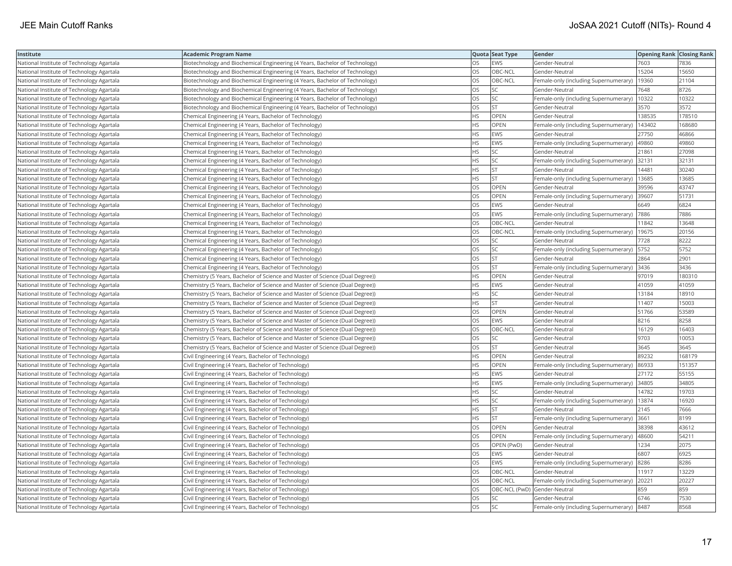| Institute                                 | Academic Program Name                                                         |           | Quota Seat Type | Gender                                       | <b>Opening Rank Closing Rank</b> |        |
|-------------------------------------------|-------------------------------------------------------------------------------|-----------|-----------------|----------------------------------------------|----------------------------------|--------|
| National Institute of Technology Agartala | Biotechnology and Biochemical Engineering (4 Years, Bachelor of Technology)   | OS        | EWS             | Gender-Neutral                               | 7603                             | 7836   |
| National Institute of Technology Agartala | Biotechnology and Biochemical Engineering (4 Years, Bachelor of Technology)   | OS        | OBC-NCL         | Gender-Neutral                               | 15204                            | 15650  |
| National Institute of Technology Agartala | Biotechnology and Biochemical Engineering (4 Years, Bachelor of Technology)   | <b>OS</b> | OBC-NCL         | Female-only (including Supernumerary)        | 19360                            | 21104  |
| National Institute of Technology Agartala | Biotechnology and Biochemical Engineering (4 Years, Bachelor of Technology)   | OS        | SC              | Gender-Neutral                               | 7648                             | 8726   |
| National Institute of Technology Agartala | Biotechnology and Biochemical Engineering (4 Years, Bachelor of Technology)   | OS        | SC              | Female-only (including Supernumerary)        | 10322                            | 10322  |
| National Institute of Technology Agartala | Biotechnology and Biochemical Engineering (4 Years, Bachelor of Technology)   | OS        | <b>ST</b>       | Gender-Neutral                               | 3570                             | 3572   |
| National Institute of Technology Agartala | Chemical Engineering (4 Years, Bachelor of Technology)                        | HS        | OPEN            | Gender-Neutral                               | 138535                           | 178510 |
| National Institute of Technology Agartala | Chemical Engineering (4 Years, Bachelor of Technology)                        | HS        | OPEN            | Female-only (including Supernumerary)        | 143402                           | 168680 |
| National Institute of Technology Agartala | Chemical Engineering (4 Years, Bachelor of Technology)                        | HS        | EWS             | Gender-Neutral                               | 27750                            | 46866  |
| National Institute of Technology Agartala | Chemical Engineering (4 Years, Bachelor of Technology)                        | HS.       | EWS             | Female-only (including Supernumerary)        | 49860                            | 49860  |
| National Institute of Technology Agartala | Chemical Engineering (4 Years, Bachelor of Technology)                        | HS        | <b>SC</b>       | Gender-Neutral                               | 21861                            | 27098  |
| National Institute of Technology Agartala | Chemical Engineering (4 Years, Bachelor of Technology)                        | HS        | SC              | Female-only (including Supernumerary)        | 32131                            | 32131  |
| National Institute of Technology Agartala | Chemical Engineering (4 Years, Bachelor of Technology)                        | HS        | <b>ST</b>       | Gender-Neutral                               | 14481                            | 30240  |
| National Institute of Technology Agartala | Chemical Engineering (4 Years, Bachelor of Technology)                        | ΗS        | <b>ST</b>       | Female-only (including Supernumerary)        | 13685                            | 13685  |
| National Institute of Technology Agartala | Chemical Engineering (4 Years, Bachelor of Technology)                        | OS        | OPEN            | Gender-Neutral                               | 39596                            | 43747  |
| National Institute of Technology Agartala | Chemical Engineering (4 Years, Bachelor of Technology)                        | OS.       | <b>OPEN</b>     | Female-only (including Supernumerary)        | 39607                            | 51731  |
| National Institute of Technology Agartala | Chemical Engineering (4 Years, Bachelor of Technology)                        | OS        | EWS             | Gender-Neutral                               | 6649                             | 6824   |
| National Institute of Technology Agartala | Chemical Engineering (4 Years, Bachelor of Technology)                        | OS        | EWS             | Female-only (including Supernumerary)        | 7886                             | 7886   |
| National Institute of Technology Agartala | Chemical Engineering (4 Years, Bachelor of Technology)                        | OS        | OBC-NCL         | Gender-Neutral                               | 11842                            | 13648  |
| National Institute of Technology Agartala | Chemical Engineering (4 Years, Bachelor of Technology)                        | OS        | OBC-NCL         | Female-only (including Supernumerary)        | 19675                            | 20156  |
| National Institute of Technology Agartala | Chemical Engineering (4 Years, Bachelor of Technology)                        | OS        | <b>SC</b>       | Gender-Neutral                               | 7728                             | 8222   |
| National Institute of Technology Agartala | Chemical Engineering (4 Years, Bachelor of Technology)                        | OS        | SC.             | Female-only (including Supernumerary)   5752 |                                  | 5752   |
| National Institute of Technology Agartala | Chemical Engineering (4 Years, Bachelor of Technology)                        | OS        | ST              | Gender-Neutral                               | 2864                             | 2901   |
| National Institute of Technology Agartala | Chemical Engineering (4 Years, Bachelor of Technology)                        | OS        | <b>ST</b>       | Female-only (including Supernumerary)        | 3436                             | 3436   |
| National Institute of Technology Agartala | Chemistry (5 Years, Bachelor of Science and Master of Science (Dual Degree))  | HS        | OPEN            | Gender-Neutral                               | 97019                            | 180310 |
| National Institute of Technology Agartala | Chemistry (5 Years, Bachelor of Science and Master of Science (Dual Degree))  | HS.       | EWS             | Gender-Neutral                               | 41059                            | 41059  |
| National Institute of Technology Agartala | (Chemistry (5 Years, Bachelor of Science and Master of Science (Dual Degree)) | HS        | SC              | Gender-Neutral                               | 13184                            | 18910  |
| National Institute of Technology Agartala | Chemistry (5 Years, Bachelor of Science and Master of Science (Dual Degree))  | HS.       | <b>ST</b>       | Gender-Neutral                               | 11407                            | 15003  |
| National Institute of Technology Agartala | (Chemistry (5 Years, Bachelor of Science and Master of Science (Dual Degree)) | OS        | OPEN            | Gender-Neutral                               | 51766                            | 53589  |
| National Institute of Technology Agartala | Chemistry (5 Years, Bachelor of Science and Master of Science (Dual Degree))  | OS        | EWS             | Gender-Neutral                               | 8216                             | 8258   |
| National Institute of Technology Agartala | Chemistry (5 Years, Bachelor of Science and Master of Science (Dual Degree))  | <b>OS</b> | OBC-NCL         | Gender-Neutral                               | 16129                            | 16403  |
| National Institute of Technology Agartala | Chemistry (5 Years, Bachelor of Science and Master of Science (Dual Degree))  | OS        | SC              | Gender-Neutral                               | 9703                             | 10053  |
| National Institute of Technology Agartala | Chemistry (5 Years, Bachelor of Science and Master of Science (Dual Degree))  | OS        | <b>ST</b>       | Gender-Neutral                               | 3645                             | 3645   |
| National Institute of Technology Agartala | Civil Engineering (4 Years, Bachelor of Technology)                           | HS        | OPEN            | Gender-Neutral                               | 89232                            | 168179 |
| National Institute of Technology Agartala | Civil Engineering (4 Years, Bachelor of Technology)                           | HS        | <b>OPEN</b>     | Female-only (including Supernumerary)        | 86933                            | 151357 |
| National Institute of Technology Agartala | Civil Engineering (4 Years, Bachelor of Technology)                           | HS        | EWS             | Gender-Neutral                               | 27172                            | 55155  |
| National Institute of Technology Agartala | Civil Engineering (4 Years, Bachelor of Technology)                           | HS        | EWS             | Female-only (including Supernumerary)        | 34805                            | 34805  |
| National Institute of Technology Agartala | Civil Engineering (4 Years, Bachelor of Technology)                           | HS        | SC              | Gender-Neutral                               | 14782                            | 19703  |
| National Institute of Technology Agartala | Civil Engineering (4 Years, Bachelor of Technology)                           | ΗS        | SC              | Female-only (including Supernumerary)        | 13874                            | 16920  |
| National Institute of Technology Agartala | Civil Engineering (4 Years, Bachelor of Technology)                           | HS.       | <b>ST</b>       | Gender-Neutral                               | 2145                             | 7666   |
| National Institute of Technology Agartala | Civil Engineering (4 Years, Bachelor of Technology)                           | HS        | <b>ST</b>       | Female-only (including Supernumerary)        | 3661                             | 8199   |
| National Institute of Technology Agartala | Civil Engineering (4 Years, Bachelor of Technology)                           | OS        | OPEN            | Gender-Neutral                               | 38398                            | 43612  |
| National Institute of Technology Agartala | Civil Engineering (4 Years, Bachelor of Technology)                           | OS        | OPEN            | Female-only (including Supernumerary)        | 48600                            | 54211  |
| National Institute of Technology Agartala | Civil Engineering (4 Years, Bachelor of Technology)                           | OS        | OPEN (PwD)      | Gender-Neutral                               | 1234                             | 2075   |
| National Institute of Technology Agartala | Civil Engineering (4 Years, Bachelor of Technology)                           | OS        | EWS             | Gender-Neutral                               | 6807                             | 6925   |
| National Institute of Technology Agartala | Civil Engineering (4 Years, Bachelor of Technology)                           | OS        | EWS             | Female-only (including Supernumerary)        | 8286                             | 8286   |
| National Institute of Technology Agartala | Civil Engineering (4 Years, Bachelor of Technology)                           | <b>OS</b> | OBC-NCL         | Gender-Neutral                               | 11917                            | 13229  |
| National Institute of Technology Agartala | Civil Engineering (4 Years, Bachelor of Technology)                           | OS        | OBC-NCL         | Female-only (including Supernumerary)        | 20221                            | 20227  |
| National Institute of Technology Agartala | Civil Engineering (4 Years, Bachelor of Technology)                           | OS        |                 | OBC-NCL (PwD) Gender-Neutral                 | 859                              | 859    |
| National Institute of Technology Agartala | Civil Engineering (4 Years, Bachelor of Technology)                           | OS        | <b>SC</b>       | Gender-Neutral                               | 6746                             | 7530   |
| National Institute of Technology Agartala | Civil Engineering (4 Years, Bachelor of Technology)                           | OS        | <b>SC</b>       | Female-only (including Supernumerary)  8487  |                                  | 8568   |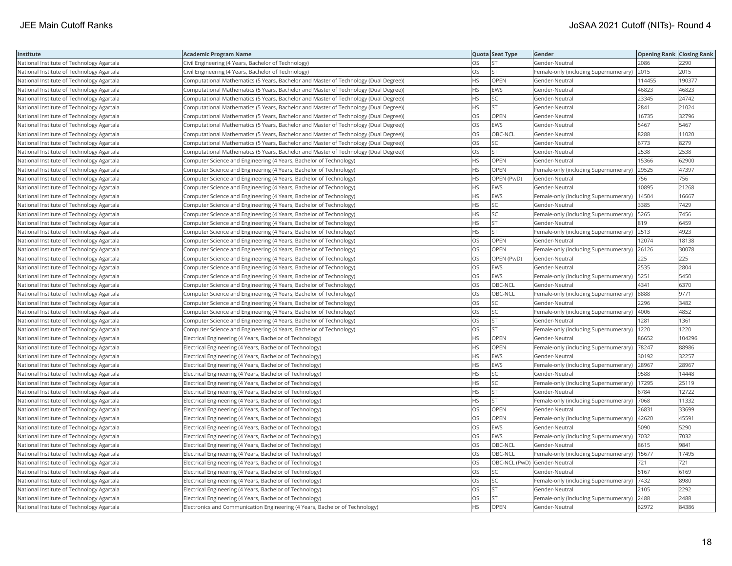| Institute                                 | Academic Program Name                                                                 |           | Quota Seat Type              | Gender                                       | <b>Opening Rank   Closing Rank</b> |        |
|-------------------------------------------|---------------------------------------------------------------------------------------|-----------|------------------------------|----------------------------------------------|------------------------------------|--------|
| National Institute of Technology Agartala | Civil Engineering (4 Years, Bachelor of Technology)                                   | OS.       | <b>ST</b>                    | Gender-Neutral                               | 2086                               | 2290   |
| National Institute of Technology Agartala | Civil Engineering (4 Years, Bachelor of Technology)                                   | OS        | <b>ST</b>                    | Female-only (including Supernumerary)        | 2015                               | 2015   |
| National Institute of Technology Agartala | Computational Mathematics (5 Years, Bachelor and Master of Technology (Dual Degree))  | HS.       | OPEN                         | Gender-Neutral                               | 114455                             | 190377 |
| National Institute of Technology Agartala | Computational Mathematics (5 Years, Bachelor and Master of Technology (Dual Degree))  | HS.       | EWS                          | Gender-Neutral                               | 46823                              | 46823  |
| National Institute of Technology Agartala | (Computational Mathematics (5 Years, Bachelor and Master of Technology (Dual Degree)) | HS        | SC                           | Gender-Neutral                               | 23345                              | 24742  |
| National Institute of Technology Agartala | (Computational Mathematics (5 Years, Bachelor and Master of Technology (Dual Degree)) | HS.       | <b>ST</b>                    | Gender-Neutral                               | 2841                               | 21024  |
| National Institute of Technology Agartala | (Computational Mathematics (5 Years, Bachelor and Master of Technology (Dual Degree)) | OS        | <b>OPEN</b>                  | Gender-Neutral                               | 16735                              | 32796  |
| National Institute of Technology Agartala | Computational Mathematics (5 Years, Bachelor and Master of Technology (Dual Degree))  | OS        | EWS                          | Gender-Neutral                               | 5467                               | 5467   |
| National Institute of Technology Agartala | (Computational Mathematics (5 Years, Bachelor and Master of Technology (Dual Degree)) | OS        | OBC-NCL                      | Gender-Neutral                               | 8288                               | 11020  |
| National Institute of Technology Agartala | (Computational Mathematics (5 Years, Bachelor and Master of Technology (Dual Degree)) | OS        | SC                           | Gender-Neutral                               | 6773                               | 8279   |
| National Institute of Technology Agartala | (Computational Mathematics (5 Years, Bachelor and Master of Technology (Dual Degree)) | OS.       | <b>ST</b>                    | Gender-Neutral                               | 2538                               | 2538   |
| National Institute of Technology Agartala | Computer Science and Engineering (4 Years, Bachelor of Technology)                    | HS        | <b>OPEN</b>                  | Gender-Neutral                               | 15366                              | 62900  |
| National Institute of Technology Agartala | Computer Science and Engineering (4 Years, Bachelor of Technology)                    | HS.       | OPEN                         | Female-only (including Supernumerary)        | 29525                              | 47397  |
| National Institute of Technology Agartala | Computer Science and Engineering (4 Years, Bachelor of Technology)                    | НS        | OPEN (PwD)                   | Gender-Neutral                               | 756                                | 756    |
| National Institute of Technology Agartala | Computer Science and Engineering (4 Years, Bachelor of Technology)                    | HS.       | EWS                          | Gender-Neutral                               | 10895                              | 21268  |
| National Institute of Technology Agartala | Computer Science and Engineering (4 Years, Bachelor of Technology)                    | HS        | <b>EWS</b>                   | Female-only (including Supernumerary)        | 14504                              | 16667  |
| National Institute of Technology Agartala | Computer Science and Engineering (4 Years, Bachelor of Technology)                    | HS        | SC                           | Gender-Neutral                               | 3385                               | 7429   |
| National Institute of Technology Agartala | Computer Science and Engineering (4 Years, Bachelor of Technology)                    | HS        | SC                           | Female-only (including Supernumerary)        | 5265                               | 7456   |
| National Institute of Technology Agartala | Computer Science and Engineering (4 Years, Bachelor of Technology)                    | <b>HS</b> | <b>ST</b>                    | Gender-Neutral                               | 819                                | 6459   |
| National Institute of Technology Agartala | Computer Science and Engineering (4 Years, Bachelor of Technology)                    | HS.       | lst                          | Female-only (including Supernumerary) 2513   |                                    | 4923   |
| National Institute of Technology Agartala | Computer Science and Engineering (4 Years, Bachelor of Technology)                    | OS        | OPEN                         | Gender-Neutral                               | 12074                              | 18138  |
| National Institute of Technology Agartala | Computer Science and Engineering (4 Years, Bachelor of Technology)                    | OS        | OPEN                         | Female-only (including Supernumerary) 26126  |                                    | 30078  |
| National Institute of Technology Agartala | Computer Science and Engineering (4 Years, Bachelor of Technology)                    | OS        | OPEN (PwD)                   | Gender-Neutral                               | 225                                | 225    |
| National Institute of Technology Agartala | Computer Science and Engineering (4 Years, Bachelor of Technology)                    | OS.       | <b>EWS</b>                   | Gender-Neutral                               | 2535                               | 2804   |
| National Institute of Technology Agartala | Computer Science and Engineering (4 Years, Bachelor of Technology)                    | OS        | EWS                          | Female-only (including Supernumerary)        | 5251                               | 5450   |
| National Institute of Technology Agartala | Computer Science and Engineering (4 Years, Bachelor of Technology)                    | OS        | OBC-NCL                      | Gender-Neutral                               | 4341                               | 6370   |
| National Institute of Technology Agartala | Computer Science and Engineering (4 Years, Bachelor of Technology)                    | OS        | OBC-NCL                      | Female-only (including Supernumerary)        | 8888                               | 9771   |
| National Institute of Technology Agartala | Computer Science and Engineering (4 Years, Bachelor of Technology)                    | OS.       | <b>SC</b>                    | Gender-Neutral                               | 2296                               | 3482   |
| National Institute of Technology Agartala | Computer Science and Engineering (4 Years, Bachelor of Technology)                    | OS        | SC                           | Female-only (including Supernumerary)        | 4006                               | 4852   |
| National Institute of Technology Agartala | Computer Science and Engineering (4 Years, Bachelor of Technology)                    | OS        | <b>ST</b>                    | Gender-Neutral                               | 1281                               | 1361   |
| National Institute of Technology Agartala | Computer Science and Engineering (4 Years, Bachelor of Technology)                    | OS        | <b>ST</b>                    | Female-only (including Supernumerary)   1220 |                                    | 1220   |
| National Institute of Technology Agartala | Electrical Engineering (4 Years, Bachelor of Technology)                              | HS        | OPEN                         | Gender-Neutral                               | 86652                              | 104296 |
| National Institute of Technology Agartala | Electrical Engineering (4 Years, Bachelor of Technology)                              | HS.       | <b>OPEN</b>                  | Female-only (including Supernumerary)        | 78247                              | 88986  |
| National Institute of Technology Agartala | Electrical Engineering (4 Years, Bachelor of Technology)                              | HS        | EWS                          | Gender-Neutral                               | 30192                              | 32257  |
| National Institute of Technology Agartala | Electrical Engineering (4 Years, Bachelor of Technology)                              | HS.       | EWS                          | Female-only (including Supernumerary)        | 28967                              | 28967  |
| National Institute of Technology Agartala | Electrical Engineering (4 Years, Bachelor of Technology)                              | <b>HS</b> | <b>SC</b>                    | Gender-Neutral                               | 9588                               | 14448  |
| National Institute of Technology Agartala | Electrical Engineering (4 Years, Bachelor of Technology)                              | HS        | SC                           | Female-only (including Supernumerary)        | 17295                              | 25119  |
| National Institute of Technology Agartala | Electrical Engineering (4 Years, Bachelor of Technology)                              | ΗS        | lst                          | Gender-Neutral                               | 6784                               | 12722  |
| National Institute of Technology Agartala | Electrical Engineering (4 Years, Bachelor of Technology)                              | НS        | <b>ST</b>                    | Female-only (including Supernumerary)        | 7068                               | 11332  |
| National Institute of Technology Agartala | Electrical Engineering (4 Years, Bachelor of Technology)                              | OS        | OPEN                         | Gender-Neutral                               | 26831                              | 33699  |
| National Institute of Technology Agartala | Electrical Engineering (4 Years, Bachelor of Technology)                              | OS        | <b>OPEN</b>                  | Female-only (including Supernumerary)        | 42620                              | 45591  |
| National Institute of Technology Agartala | Electrical Engineering (4 Years, Bachelor of Technology)                              | OS        | EWS                          | Gender-Neutral                               | 5090                               | 5290   |
| National Institute of Technology Agartala | Electrical Engineering (4 Years, Bachelor of Technology)                              | OS        | EWS                          | Female-only (including Supernumerary)        | 7032                               | 7032   |
| National Institute of Technology Agartala | Electrical Engineering (4 Years, Bachelor of Technology)                              | <b>OS</b> | OBC-NCL                      | Gender-Neutral                               | 8615                               | 9841   |
| National Institute of Technology Agartala | Electrical Engineering (4 Years, Bachelor of Technology)                              | OS        | OBC-NCL                      | Female-only (including Supernumerary)        | 15677                              | 17495  |
| National Institute of Technology Agartala | Electrical Engineering (4 Years, Bachelor of Technology)                              | OS.       | OBC-NCL (PwD) Gender-Neutral |                                              | 721                                | 721    |
| National Institute of Technology Agartala | Electrical Engineering (4 Years, Bachelor of Technology)                              | OS        | SC                           | Gender-Neutral                               | 5167                               | 6169   |
| National Institute of Technology Agartala | Electrical Engineering (4 Years, Bachelor of Technology)                              | OS        | SC                           | Female-only (including Supernumerary)  7432  |                                    | 8980   |
| National Institute of Technology Agartala | Electrical Engineering (4 Years, Bachelor of Technology)                              | OS.       | <b>ST</b>                    | Gender-Neutral                               | 2105                               | 2292   |
| National Institute of Technology Agartala | Electrical Engineering (4 Years, Bachelor of Technology)                              | OS.       | <b>ST</b>                    | Female-only (including Supernumerary)        | 2488                               | 2488   |
| National Institute of Technology Agartala | Electronics and Communication Engineering (4 Years, Bachelor of Technology)           | <b>HS</b> | OPEN                         | Gender-Neutral                               | 62972                              | 84386  |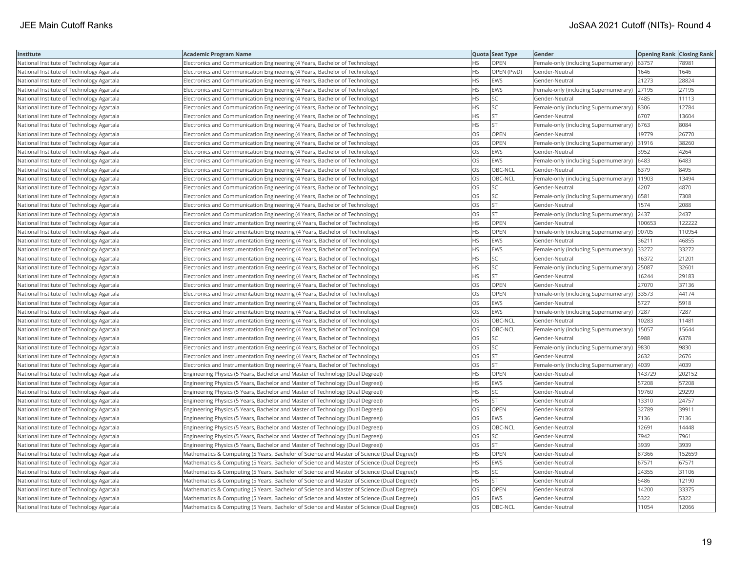| Institute                                 | <b>Academic Program Name</b>                                                               |           | Quota Seat Type | Gender                                      | <b>Opening Rank   Closing Rank</b> |        |
|-------------------------------------------|--------------------------------------------------------------------------------------------|-----------|-----------------|---------------------------------------------|------------------------------------|--------|
| National Institute of Technology Agartala | Electronics and Communication Engineering (4 Years, Bachelor of Technology)                | НS        | OPEN            | Female-only (including Supernumerary)       | 63757                              | 7898   |
| National Institute of Technology Agartala | Electronics and Communication Engineering (4 Years, Bachelor of Technology)                | <b>HS</b> | OPEN (PwD)      | Gender-Neutral                              | 1646                               | 1646   |
| National Institute of Technology Agartala | Electronics and Communication Engineering (4 Years, Bachelor of Technology)                | <b>HS</b> | <b>EWS</b>      | Gender-Neutral                              | 21273                              | 28824  |
| National Institute of Technology Agartala | Electronics and Communication Engineering (4 Years, Bachelor of Technology)                | HS        | <b>EWS</b>      | Female-only (including Supernumerary)       | 27195                              | 27195  |
| National Institute of Technology Agartala | Electronics and Communication Engineering (4 Years, Bachelor of Technology)                | ΗS        | <b>SC</b>       | Gender-Neutral                              | 7485                               | 11113  |
| National Institute of Technology Agartala | Electronics and Communication Engineering (4 Years, Bachelor of Technology)                | НS        | SC              | Female-only (including Supernumerary) 8306  |                                    | 12784  |
| National Institute of Technology Agartala | Electronics and Communication Engineering (4 Years, Bachelor of Technology)                | ΗS        | ST              | Gender-Neutral                              | 6707                               | 13604  |
| National Institute of Technology Agartala | Electronics and Communication Engineering (4 Years, Bachelor of Technology)                | HS        | <b>ST</b>       | Female-only (including Supernumerary)       | 6763                               | 8084   |
| National Institute of Technology Agartala | Electronics and Communication Engineering (4 Years, Bachelor of Technology)                | OS        | OPEN            | Gender-Neutral                              | 19779                              | 26770  |
| National Institute of Technology Agartala | Electronics and Communication Engineering (4 Years, Bachelor of Technology)                | OS        | OPEN            | Female-only (including Supernumerary)       | 31916                              | 38260  |
| National Institute of Technology Agartala | Electronics and Communication Engineering (4 Years, Bachelor of Technology)                | <b>OS</b> | <b>EWS</b>      | Gender-Neutral                              | 3952                               | 4264   |
| National Institute of Technology Agartala | Electronics and Communication Engineering (4 Years, Bachelor of Technology)                | OS        | <b>EWS</b>      | Female-only (including Supernumerary)       | 6483                               | 6483   |
| National Institute of Technology Agartala | Electronics and Communication Engineering (4 Years, Bachelor of Technology)                | OS        | OBC-NCL         | Gender-Neutral                              | 6379                               | 8495   |
| National Institute of Technology Agartala | Electronics and Communication Engineering (4 Years, Bachelor of Technology)                | OS        | OBC-NCL         | Female-only (including Supernumerary)       | 11903                              | 13494  |
| National Institute of Technology Agartala | Electronics and Communication Engineering (4 Years, Bachelor of Technology)                | OS        | SC              | Gender-Neutral                              | 4207                               | 4870   |
| National Institute of Technology Agartala | Electronics and Communication Engineering (4 Years, Bachelor of Technology)                | OS        | <b>SC</b>       | Female-only (including Supernumerary)       | 6581                               | 7308   |
| National Institute of Technology Agartala | Electronics and Communication Engineering (4 Years, Bachelor of Technology)                | OS        | <b>ST</b>       | Gender-Neutral                              | 1574                               | 2088   |
| National Institute of Technology Agartala | Electronics and Communication Engineering (4 Years, Bachelor of Technology)                | OS        | <b>ST</b>       | Female-only (including Supernumerary)       | 2437                               | 2437   |
| National Institute of Technology Agartala | Electronics and Instrumentation Engineering (4 Years, Bachelor of Technology)              | <b>HS</b> | OPEN            | Gender-Neutral                              | 100653                             | 122222 |
| National Institute of Technology Agartala | Electronics and Instrumentation Engineering (4 Years, Bachelor of Technology)              | HS        | <b>OPEN</b>     | Female-only (including Supernumerary)       | 90705                              | 110954 |
| National Institute of Technology Agartala | Electronics and Instrumentation Engineering (4 Years, Bachelor of Technology)              | HS        | <b>EWS</b>      | Gender-Neutral                              | 36211                              | 46855  |
| National Institute of Technology Agartala | Electronics and Instrumentation Engineering (4 Years, Bachelor of Technology)              | НS        | EWS             | Female-only (including Supernumerary) 33272 |                                    | 33272  |
| National Institute of Technology Agartala | Electronics and Instrumentation Engineering (4 Years, Bachelor of Technology)              | ΗS        | <b>SC</b>       | Gender-Neutral                              | 16372                              | 21201  |
| National Institute of Technology Agartala | Electronics and Instrumentation Engineering (4 Years, Bachelor of Technology)              | <b>HS</b> | SC              | Female-only (including Supernumerary)       | 25087                              | 32601  |
| National Institute of Technology Agartala | Electronics and Instrumentation Engineering (4 Years, Bachelor of Technology)              | HS        | <b>ST</b>       | Gender-Neutral                              | 16244                              | 29183  |
| National Institute of Technology Agartala | Electronics and Instrumentation Engineering (4 Years, Bachelor of Technology)              | OS        | OPEN            | Gender-Neutral                              | 27070                              | 37136  |
| National Institute of Technology Agartala | Electronics and Instrumentation Engineering (4 Years, Bachelor of Technology)              | OS        | OPEN            | Female-only (including Supernumerary)       | 33573                              | 44174  |
| National Institute of Technology Agartala | Electronics and Instrumentation Engineering (4 Years, Bachelor of Technology)              | OS        | <b>EWS</b>      | Gender-Neutral                              | 5727                               | 5918   |
| National Institute of Technology Agartala | Electronics and Instrumentation Engineering (4 Years, Bachelor of Technology)              | OS        | <b>EWS</b>      | Female-only (including Supernumerary)       | 7287                               | 7287   |
| National Institute of Technology Agartala | [Electronics and Instrumentation Engineering (4 Years, Bachelor of Technology)             | OS        | OBC-NCL         | Gender-Neutral                              | 10283                              | 11481  |
| National Institute of Technology Agartala | Electronics and Instrumentation Engineering (4 Years, Bachelor of Technology)              | OS        | OBC-NCL         | Female-only (including Supernumerary)       | 15057                              | 15644  |
| National Institute of Technology Agartala | Electronics and Instrumentation Engineering (4 Years, Bachelor of Technology)              | OS        | SC              | Gender-Neutral                              | 5988                               | 6378   |
| National Institute of Technology Agartala | Electronics and Instrumentation Engineering (4 Years, Bachelor of Technology)              | OS        | SC              | Female-only (including Supernumerary)       | 9830                               | 9830   |
| National Institute of Technology Agartala | Electronics and Instrumentation Engineering (4 Years, Bachelor of Technology)              | OS        | <b>ST</b>       | Gender-Neutral                              | 2632                               | 2676   |
| National Institute of Technology Agartala | Electronics and Instrumentation Engineering (4 Years, Bachelor of Technology)              | OS        | <b>ST</b>       | Female-only (including Supernumerary)       | 4039                               | 4039   |
| National Institute of Technology Agartala | Engineering Physics (5 Years, Bachelor and Master of Technology (Dual Degree))             | HS        | OPEN            | Gender-Neutral                              | 143729                             | 202152 |
| National Institute of Technology Agartala | Engineering Physics (5 Years, Bachelor and Master of Technology (Dual Degree))             | HS        | <b>EWS</b>      | Gender-Neutral                              | 57208                              | 57208  |
| National Institute of Technology Agartala | Engineering Physics (5 Years, Bachelor and Master of Technology (Dual Degree))             | HS        | SC              | Gender-Neutral                              | 19760                              | 29299  |
| National Institute of Technology Agartala | Engineering Physics (5 Years, Bachelor and Master of Technology (Dual Degree))             | ΗS        | ST              | Gender-Neutral                              | 13310                              | 24757  |
| National Institute of Technology Agartala | Engineering Physics (5 Years, Bachelor and Master of Technology (Dual Degree))             | OS        | <b>OPEN</b>     | Gender-Neutral                              | 32789                              | 39911  |
| National Institute of Technology Agartala | Engineering Physics (5 Years, Bachelor and Master of Technology (Dual Degree))             | OS        | <b>EWS</b>      | Gender-Neutral                              | 7136                               | 7136   |
| National Institute of Technology Agartala | Engineering Physics (5 Years, Bachelor and Master of Technology (Dual Degree))             | OS        | OBC-NCL         | Gender-Neutral                              | 12691                              | 14448  |
| National Institute of Technology Agartala | Engineering Physics (5 Years, Bachelor and Master of Technology (Dual Degree))             | OS        | <b>SC</b>       | Gender-Neutral                              | 7942                               | 7961   |
| National Institute of Technology Agartala | Engineering Physics (5 Years, Bachelor and Master of Technology (Dual Degree))             | OS        | <b>ST</b>       | Gender-Neutral                              | 3939                               | 3939   |
| National Institute of Technology Agartala | Mathematics & Computing (5 Years, Bachelor of Science and Master of Science (Dual Degree)) | HS        | OPEN            | Gender-Neutral                              | 87366                              | 152659 |
| National Institute of Technology Agartala | Mathematics & Computing (5 Years, Bachelor of Science and Master of Science (Dual Degree)) | HS        | <b>EWS</b>      | Gender-Neutral                              | 67571                              | 67571  |
| National Institute of Technology Agartala | Mathematics & Computing (5 Years, Bachelor of Science and Master of Science (Dual Degree)) | HS        | <b>SC</b>       | Gender-Neutral                              | 24355                              | 31106  |
| National Institute of Technology Agartala | Mathematics & Computing (5 Years, Bachelor of Science and Master of Science (Dual Degree)) | ΗS        | <b>ST</b>       | Gender-Neutral                              | 5486                               | 12190  |
| National Institute of Technology Agartala | Mathematics & Computing (5 Years, Bachelor of Science and Master of Science (Dual Degree)) | OS        | OPEN            | Gender-Neutral                              | 14200                              | 33375  |
| National Institute of Technology Agartala | Mathematics & Computing (5 Years, Bachelor of Science and Master of Science (Dual Degree)) | OS        | <b>EWS</b>      | Gender-Neutral                              | 5322                               | 5322   |
| National Institute of Technology Agartala | Mathematics & Computing (5 Years, Bachelor of Science and Master of Science (Dual Degree)) | <b>OS</b> | OBC-NCL         | Gender-Neutral                              | 11054                              | 12066  |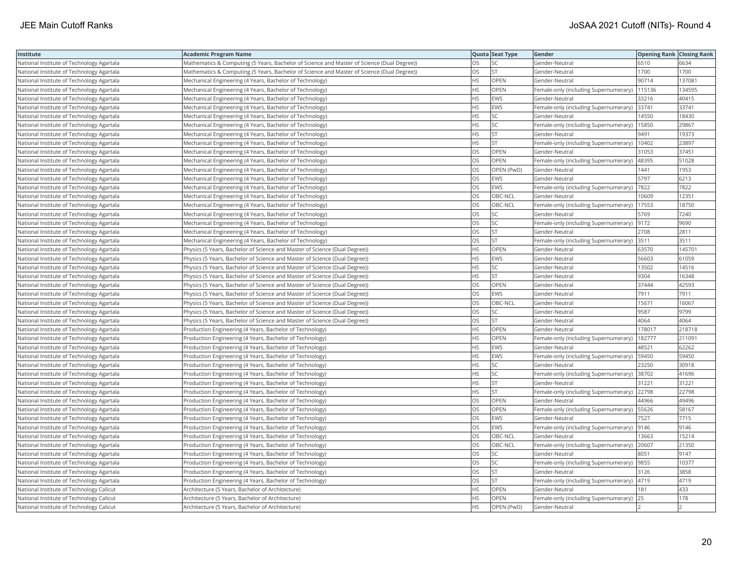| Institute                                 | <b>Academic Program Name</b>                                                               |           | Quota Seat Type | Gender                                      | <b>Opening Rank Closing Rank</b> |        |
|-------------------------------------------|--------------------------------------------------------------------------------------------|-----------|-----------------|---------------------------------------------|----------------------------------|--------|
| National Institute of Technology Agartala | Mathematics & Computing (5 Years, Bachelor of Science and Master of Science (Dual Degree)) | OS        | SC              | Gender-Neutral                              | 6510                             | 6634   |
| National Institute of Technology Agartala | Mathematics & Computing (5 Years, Bachelor of Science and Master of Science (Dual Degree)) | ЭS        | <b>ST</b>       | Gender-Neutral                              | 1700                             | 1700   |
| National Institute of Technology Agartala | Mechanical Engineering (4 Years, Bachelor of Technology)                                   | HS        | OPEN            | Gender-Neutral                              | 90714                            | 137081 |
| National Institute of Technology Agartala | Mechanical Engineering (4 Years, Bachelor of Technology)                                   | НS        | <b>OPEN</b>     | Female-only (including Supernumerary)       | 115136                           | 134595 |
| National Institute of Technology Agartala | Mechanical Engineering (4 Years, Bachelor of Technology)                                   | HS        | <b>EWS</b>      | Gender-Neutral                              | 33216                            | 40415  |
| National Institute of Technology Agartala | Mechanical Engineering (4 Years, Bachelor of Technology)                                   | HS.       | <b>EWS</b>      | Female-only (including Supernumerary) 33741 |                                  | 33741  |
| National Institute of Technology Agartala | Mechanical Engineering (4 Years, Bachelor of Technology)                                   | HS        | SC              | Gender-Neutral                              | 14550                            | 18430  |
| National Institute of Technology Agartala | Mechanical Engineering (4 Years, Bachelor of Technology)                                   | HS        | SC              | Female-only (including Supernumerary)       | 15850                            | 29867  |
| National Institute of Technology Agartala | Mechanical Engineering (4 Years, Bachelor of Technology)                                   | HS        | <b>ST</b>       | Gender-Neutral                              | 9491                             | 19373  |
| National Institute of Technology Agartala | Mechanical Engineering (4 Years, Bachelor of Technology)                                   | HS        | <b>ST</b>       | Female-only (including Supernumerary)       | 10402                            | 23897  |
| National Institute of Technology Agartala | Mechanical Engineering (4 Years, Bachelor of Technology)                                   | OS        | OPEN            | Gender-Neutral                              | 31053                            | 37451  |
| National Institute of Technology Agartala | Mechanical Engineering (4 Years, Bachelor of Technology)                                   | OS        | OPEN            | Female-only (including Supernumerary)       | 48395                            | 51028  |
| National Institute of Technology Agartala | Mechanical Engineering (4 Years, Bachelor of Technology)                                   | OS        | OPEN (PwD)      | Gender-Neutral                              | 1441                             | 1953   |
| National Institute of Technology Agartala | Mechanical Engineering (4 Years, Bachelor of Technology)                                   | OS        | <b>EWS</b>      | Gender-Neutral                              | 5797                             | 6213   |
| National Institute of Technology Agartala | Mechanical Engineering (4 Years, Bachelor of Technology)                                   | OS        | EWS             | Female-only (including Supernumerary)       | 7822                             | 7822   |
| National Institute of Technology Agartala | Mechanical Engineering (4 Years, Bachelor of Technology)                                   | OS        | OBC-NCL         | Gender-Neutral                              | 10609                            | 12351  |
| National Institute of Technology Agartala | Mechanical Engineering (4 Years, Bachelor of Technology)                                   | OS        | OBC-NCL         | Female-only (including Supernumerary)       | 17553                            | 18750  |
| National Institute of Technology Agartala | Mechanical Engineering (4 Years, Bachelor of Technology)                                   | OS        | <b>SC</b>       | Gender-Neutral                              | 5769                             | 7240   |
| National Institute of Technology Agartala | Mechanical Engineering (4 Years, Bachelor of Technology)                                   | OS        | SC              | Female-only (including Supernumerary)       | 9172                             | 9690   |
| National Institute of Technology Agartala | Mechanical Engineering (4 Years, Bachelor of Technology)                                   | <b>OS</b> | <b>ST</b>       | Gender-Neutral                              | 2708                             | 2811   |
| National Institute of Technology Agartala | Mechanical Engineering (4 Years, Bachelor of Technology)                                   | OS        | <b>ST</b>       | Female-only (including Supernumerary) 3511  |                                  | 3511   |
| National Institute of Technology Agartala | (Physics (5 Years, Bachelor of Science and Master of Science (Dual Degree)                 | HS        | OPEN            | Gender-Neutral                              | 63570                            | 145701 |
| National Institute of Technology Agartala | Physics (5 Years, Bachelor of Science and Master of Science (Dual Degree))                 | ΗS        | <b>EWS</b>      | Gender-Neutral                              | 56603                            | 61059  |
| National Institute of Technology Agartala | Physics (5 Years, Bachelor of Science and Master of Science (Dual Degree))                 | HS        | SC              | Gender-Neutral                              | 13502                            | 14516  |
| National Institute of Technology Agartala | Physics (5 Years, Bachelor of Science and Master of Science (Dual Degree))                 | HS        | <b>ST</b>       | Gender-Neutral                              | 9304                             | 16348  |
| National Institute of Technology Agartala | (Physics (5 Years, Bachelor of Science and Master of Science (Dual Degree)                 | OS        | OPEN            | Gender-Neutral                              | 37444                            | 42593  |
| National Institute of Technology Agartala | Physics (5 Years, Bachelor of Science and Master of Science (Dual Degree))                 | OS        | <b>EWS</b>      | Gender-Neutral                              | 7911                             | 7911   |
| National Institute of Technology Agartala | Physics (5 Years, Bachelor of Science and Master of Science (Dual Degree))                 | OS        | OBC-NCL         | Gender-Neutral                              | 15671                            | 16067  |
| National Institute of Technology Agartala | Physics (5 Years, Bachelor of Science and Master of Science (Dual Degree))                 | OS        | SC              | Gender-Neutral                              | 9587                             | 9799   |
| National Institute of Technology Agartala | Physics (5 Years, Bachelor of Science and Master of Science (Dual Degree))                 | OS        | ST              | Gender-Neutral                              | 4064                             | 4064   |
| National Institute of Technology Agartala | Production Engineering (4 Years, Bachelor of Technology)                                   | HS        | OPEN            | Gender-Neutral                              | 178017                           | 218718 |
| National Institute of Technology Agartala | Production Engineering (4 Years, Bachelor of Technology)                                   | ΗS        | <b>OPEN</b>     | Female-only (including Supernumerary)       | 182777                           | 211091 |
| National Institute of Technology Agartala | Production Engineering (4 Years, Bachelor of Technology)                                   | HS        | EWS             | Gender-Neutral                              | 48521                            | 62262  |
| National Institute of Technology Agartala | Production Engineering (4 Years, Bachelor of Technology)                                   | HS        | <b>EWS</b>      | Female-only (including Supernumerary)       | 59450                            | 59450  |
| National Institute of Technology Agartala | Production Engineering (4 Years, Bachelor of Technology)                                   | HS        | <b>SC</b>       | Gender-Neutral                              | 23250                            | 30918  |
| National Institute of Technology Agartala | Production Engineering (4 Years, Bachelor of Technology)                                   | HS        | SC              | Female-only (including Supernumerary)       | 38702                            | 41696  |
| National Institute of Technology Agartala | Production Engineering (4 Years, Bachelor of Technology)                                   | HS        | <b>ST</b>       | Gender-Neutral                              | 31221                            | 31221  |
| National Institute of Technology Agartala | Production Engineering (4 Years, Bachelor of Technology)                                   | HS        | <b>ST</b>       | Female-only (including Supernumerary) 22798 |                                  | 22798  |
| National Institute of Technology Agartala | Production Engineering (4 Years, Bachelor of Technology)                                   | OS        | OPEN            | Gender-Neutral                              | 44966                            | 49496  |
| National Institute of Technology Agartala | Production Engineering (4 Years, Bachelor of Technology)                                   | OS        | <b>OPEN</b>     | Female-only (including Supernumerary)       | 55626                            | 58167  |
| National Institute of Technology Agartala | Production Engineering (4 Years, Bachelor of Technology)                                   | OS        | <b>EWS</b>      | Gender-Neutral                              | 7527                             | 7715   |
| National Institute of Technology Agartala | Production Engineering (4 Years, Bachelor of Technology)                                   | OS        | EWS             | Female-only (including Supernumerary)  9146 |                                  | 9146   |
| National Institute of Technology Agartala | Production Engineering (4 Years, Bachelor of Technology)                                   | OS        | OBC-NCL         | Gender-Neutral                              | 13663                            | 15214  |
| National Institute of Technology Agartala | Production Engineering (4 Years, Bachelor of Technology)                                   | OS        | OBC-NCL         | Female-only (including Supernumerary)       | 20607                            | 21350  |
| National Institute of Technology Agartala | Production Engineering (4 Years, Bachelor of Technology)                                   | OS        | SC              | Gender-Neutral                              | 8051                             | 9147   |
| National Institute of Technology Agartala | Production Engineering (4 Years, Bachelor of Technology)                                   | OS        | SC              | Female-only (including Supernumerary)       | 9855                             | 10377  |
| National Institute of Technology Agartala | Production Engineering (4 Years, Bachelor of Technology)                                   | OS        | <b>ST</b>       | Gender-Neutral                              | 3126                             | 3858   |
| National Institute of Technology Agartala | Production Engineering (4 Years, Bachelor of Technology)                                   | ЭS        | <b>ST</b>       | Female-only (including Supernumerary)       | 4719                             | 4719   |
| National Institute of Technology Calicut  | Architecture (5 Years, Bachelor of Architecture)                                           | HS        | OPEN            | Gender-Neutral                              | 181                              | 433    |
| National Institute of Technology Calicut  | Architecture (5 Years, Bachelor of Architecture)                                           | HS.       | OPEN            | Female-only (including Supernumerary)       | 25                               | 178    |
| National Institute of Technology Calicut  | Architecture (5 Years, Bachelor of Architecture)                                           | <b>HS</b> | OPEN (PwD)      | Gender-Neutral                              |                                  | 12     |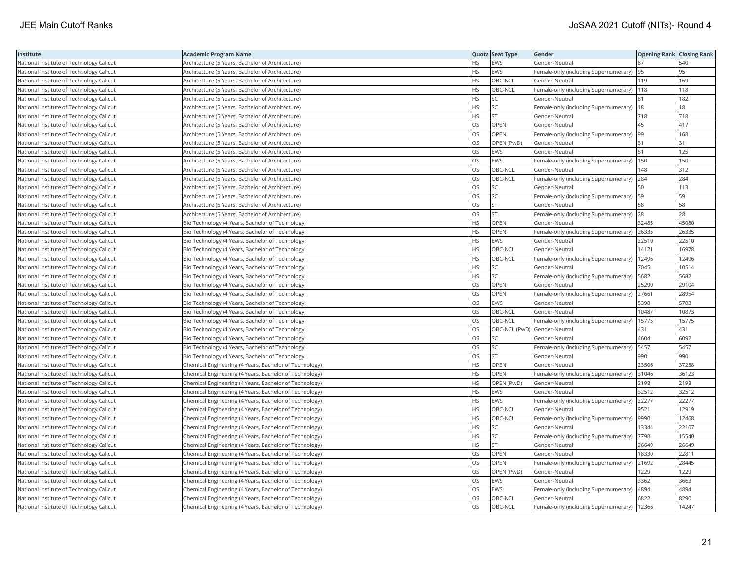| Institute                                | <b>Academic Program Name</b>                           |           | Quota Seat Type | Gender                                        | <b>Opening Rank Closing Rank</b> |       |
|------------------------------------------|--------------------------------------------------------|-----------|-----------------|-----------------------------------------------|----------------------------------|-------|
| National Institute of Technology Calicut | Architecture (5 Years, Bachelor of Architecture)       | НS        | EWS             | Gender-Neutral                                | 187                              | 540   |
| National Institute of Technology Calicut | Architecture (5 Years, Bachelor of Architecture)       | <b>HS</b> | <b>EWS</b>      | Female-only (including Supernumerary)         | 95                               | 95    |
| National Institute of Technology Calicut | Architecture (5 Years, Bachelor of Architecture)       | HS        | OBC-NCL         | Gender-Neutral                                | 119                              | 169   |
| National Institute of Technology Calicut | Architecture (5 Years, Bachelor of Architecture)       | <b>HS</b> | OBC-NCL         | Female-only (including Supernumerary)         | 118                              | 118   |
| National Institute of Technology Calicut | Architecture (5 Years, Bachelor of Architecture)       | НS        | SC              | Gender-Neutral                                | 181                              | 182   |
| National Institute of Technology Calicut | Architecture (5 Years, Bachelor of Architecture)       | НS        | SC              | Female-only (including Supernumerary)   18    |                                  | 18    |
| National Institute of Technology Calicut | Architecture (5 Years, Bachelor of Architecture)       | ΗS        | <b>ST</b>       | Gender-Neutral                                | 718                              | 718   |
| National Institute of Technology Calicut | Architecture (5 Years, Bachelor of Architecture)       | OS        | OPEN            | Gender-Neutral                                | 45                               | 417   |
| National Institute of Technology Calicut | Architecture (5 Years, Bachelor of Architecture)       | OS        | OPEN            | Female-only (including Supernumerary)         | 99                               | 168   |
| National Institute of Technology Calicut | Architecture (5 Years, Bachelor of Architecture)       | OS        | OPEN (PwD)      | Gender-Neutral                                | 31                               | 31    |
| National Institute of Technology Calicut | Architecture (5 Years, Bachelor of Architecture)       | OS        | <b>EWS</b>      | Gender-Neutral                                | 51                               | 125   |
| National Institute of Technology Calicut | Architecture (5 Years, Bachelor of Architecture)       | OS        | <b>EWS</b>      | Female-only (including Supernumerary)  150    |                                  | 150   |
| National Institute of Technology Calicut | Architecture (5 Years, Bachelor of Architecture)       | OS        | OBC-NCL         | Gender-Neutral                                | 148                              | 312   |
| National Institute of Technology Calicut | Architecture (5 Years, Bachelor of Architecture)       | OS        | OBC-NCL         | Female-only (including Supernumerary) 284     |                                  | 284   |
| National Institute of Technology Calicut | Architecture (5 Years, Bachelor of Architecture)       | OS        | SC              | Gender-Neutral                                | 50                               | 113   |
| National Institute of Technology Calicut | Architecture (5 Years, Bachelor of Architecture)       | OS        | <b>SC</b>       | Female-only (including Supernumerary)   59    |                                  | 59    |
| National Institute of Technology Calicut | Architecture (5 Years, Bachelor of Architecture)       | OS        | <b>ST</b>       | Gender-Neutral                                | 58                               | 58    |
| National Institute of Technology Calicut | Architecture (5 Years, Bachelor of Architecture)       | OS        | <b>ST</b>       | Female-only (including Supernumerary)         | 28                               | 28    |
| National Institute of Technology Calicut | Bio Technology (4 Years, Bachelor of Technology)       | НS        | OPEN            | Gender-Neutral                                | 32485                            | 45080 |
| National Institute of Technology Calicut | Bio Technology (4 Years, Bachelor of Technology)       | <b>HS</b> | OPEN            | Female-only (including Supernumerary)         | 26335                            | 26335 |
| National Institute of Technology Calicut | Bio Technology (4 Years, Bachelor of Technology)       | <b>HS</b> | <b>EWS</b>      | Gender-Neutral                                | 22510                            | 22510 |
| National Institute of Technology Calicut | Bio Technology (4 Years, Bachelor of Technology)       | HS        | OBC-NCL         | Gender-Neutral                                | 14121                            | 16978 |
| National Institute of Technology Calicut | Bio Technology (4 Years, Bachelor of Technology)       | ΗS        | OBC-NCL         | Female-only (including Supernumerary)         | 12496                            | 12496 |
| National Institute of Technology Calicut | Bio Technology (4 Years, Bachelor of Technology)       | HS.       | SC              | Gender-Neutral                                | 7045                             | 10514 |
| National Institute of Technology Calicut | Bio Technology (4 Years, Bachelor of Technology)       | HS        | SC              | Female-only (including Supernumerary)         | 5682                             | 5682  |
| National Institute of Technology Calicut | Bio Technology (4 Years, Bachelor of Technology)       | OS        | OPEN            | Gender-Neutral                                | 25290                            | 29104 |
| National Institute of Technology Calicut | Bio Technology (4 Years, Bachelor of Technology)       | OS        | OPEN            | Female-only (including Supernumerary)         | 27661                            | 28954 |
| National Institute of Technology Calicut | Bio Technology (4 Years, Bachelor of Technology)       | OS        | <b>EWS</b>      | Gender-Neutral                                | 5398                             | 5703  |
| National Institute of Technology Calicut | Bio Technology (4 Years, Bachelor of Technology)       | OS        | OBC-NCL         | Gender-Neutral                                | 10487                            | 10873 |
| National Institute of Technology Calicut | Bio Technology (4 Years, Bachelor of Technology)       | OS        | OBC-NCL         | Female-only (including Supernumerary)         | 15775                            | 15775 |
| National Institute of Technology Calicut | Bio Technology (4 Years, Bachelor of Technology)       | OS        |                 | OBC-NCL (PwD) Gender-Neutral                  | 431                              | 431   |
| National Institute of Technology Calicut | Bio Technology (4 Years, Bachelor of Technology)       | OS        | SC              | Gender-Neutral                                | 4604                             | 6092  |
| National Institute of Technology Calicut | Bio Technology (4 Years, Bachelor of Technology)       | OS        | <b>SC</b>       | Female-only (including Supernumerary)         | 5457                             | 5457  |
| National Institute of Technology Calicut | Bio Technology (4 Years, Bachelor of Technology)       | OS        | <b>ST</b>       | Gender-Neutral                                | 990                              | 990   |
| National Institute of Technology Calicut | Chemical Engineering (4 Years, Bachelor of Technology) | HS        | OPEN            | Gender-Neutral                                | 23506                            | 37258 |
| National Institute of Technology Calicut | Chemical Engineering (4 Years, Bachelor of Technology) | <b>HS</b> | OPEN            | Female-only (including Supernumerary)         | 31046                            | 36123 |
| National Institute of Technology Calicut | Chemical Engineering (4 Years, Bachelor of Technology) | <b>HS</b> | OPEN (PwD)      | Gender-Neutral                                | 2198                             | 2198  |
| National Institute of Technology Calicut | Chemical Engineering (4 Years, Bachelor of Technology) | HS        | <b>EWS</b>      | Gender-Neutral                                | 32512                            | 32512 |
| National Institute of Technology Calicut | Chemical Engineering (4 Years, Bachelor of Technology) | HS        | <b>EWS</b>      | Female-only (including Supernumerary) 22277   |                                  | 22277 |
| National Institute of Technology Calicut | Chemical Engineering (4 Years, Bachelor of Technology) | HS        | OBC-NCL         | Gender-Neutral                                | 9521                             | 12919 |
| National Institute of Technology Calicut | Chemical Engineering (4 Years, Bachelor of Technology) | <b>HS</b> | OBC-NCL         | Female-only (including Supernumerary)  9990   |                                  | 12468 |
| National Institute of Technology Calicut | Chemical Engineering (4 Years, Bachelor of Technology) | HS        | SC              | Gender-Neutral                                | 13344                            | 22107 |
| National Institute of Technology Calicut | Chemical Engineering (4 Years, Bachelor of Technology) | HS        | <b>SC</b>       | Female-only (including Supernumerary)         | 7798                             | 15540 |
| National Institute of Technology Calicut | Chemical Engineering (4 Years, Bachelor of Technology) | НS        | <b>ST</b>       | Gender-Neutral                                | 26649                            | 26649 |
| National Institute of Technology Calicut | Chemical Engineering (4 Years, Bachelor of Technology) | OS        | OPEN            | Gender-Neutral                                | 18330                            | 22811 |
| National Institute of Technology Calicut | Chemical Engineering (4 Years, Bachelor of Technology) | OS        | <b>OPEN</b>     | Female-only (including Supernumerary)         | 21692                            | 28445 |
| National Institute of Technology Calicut | Chemical Engineering (4 Years, Bachelor of Technology) | OS        | OPEN (PwD)      | Gender-Neutral                                | 1229                             | 1229  |
| National Institute of Technology Calicut | Chemical Engineering (4 Years, Bachelor of Technology) | OS        | EWS             | Gender-Neutral                                | 3362                             | 3663  |
| National Institute of Technology Calicut | Chemical Engineering (4 Years, Bachelor of Technology) | OS        | <b>EWS</b>      | Female-only (including Supernumerary)  4894   |                                  | 4894  |
| National Institute of Technology Calicut | Chemical Engineering (4 Years, Bachelor of Technology) | OS        | OBC-NCL         | Gender-Neutral                                | 6822                             | 8290  |
| National Institute of Technology Calicut | Chemical Engineering (4 Years, Bachelor of Technology) | OS        | OBC-NCL         | Female-only (including Supernumerary)   12366 |                                  | 14247 |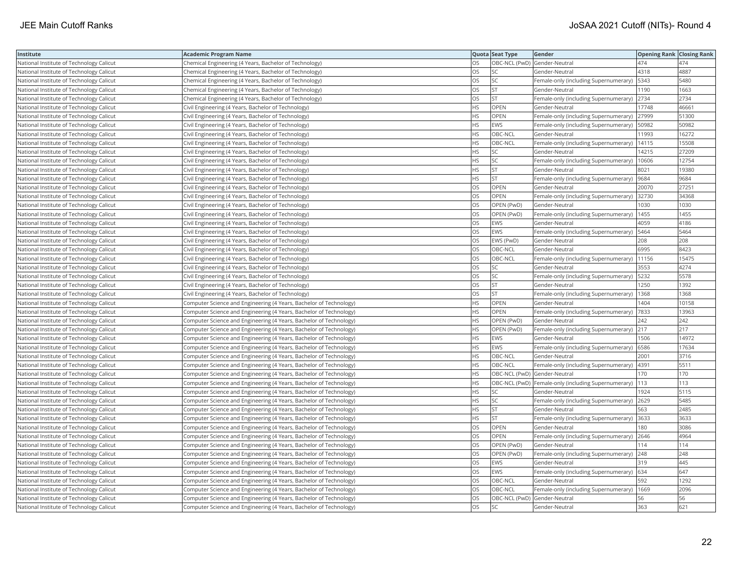| Institute                                | <b>Academic Program Name</b>                                       |           | Quota Seat Type              | Gender                                                   | <b>Opening Rank Closing Rank</b> |       |
|------------------------------------------|--------------------------------------------------------------------|-----------|------------------------------|----------------------------------------------------------|----------------------------------|-------|
| National Institute of Technology Calicut | Chemical Engineering (4 Years, Bachelor of Technology)             | OS        | OBC-NCL (PwD) Gender-Neutral |                                                          | 474                              | 474   |
| National Institute of Technology Calicut | Chemical Engineering (4 Years, Bachelor of Technology)             | ЭS        | SC                           | Gender-Neutral                                           | 4318                             | 4887  |
| National Institute of Technology Calicut | Chemical Engineering (4 Years, Bachelor of Technology)             | OS        | SC                           | Female-only (including Supernumerary)   5343             |                                  | 5480  |
| National Institute of Technology Calicut | Chemical Engineering (4 Years, Bachelor of Technology)             | OS        | <b>ST</b>                    | Gender-Neutral                                           | 1190                             | 1663  |
| National Institute of Technology Calicut | Chemical Engineering (4 Years, Bachelor of Technology)             | OS        | <b>ST</b>                    | Female-only (including Supernumerary)                    | 2734                             | 2734  |
| National Institute of Technology Calicut | Civil Engineering (4 Years, Bachelor of Technology)                | HS        | OPEN                         | Gender-Neutral                                           | 17748                            | 46661 |
| National Institute of Technology Calicut | Civil Engineering (4 Years, Bachelor of Technology)                | HS        | OPEN                         | Female-only (including Supernumerary)                    | 27999                            | 51300 |
| National Institute of Technology Calicut | Civil Engineering (4 Years, Bachelor of Technology)                | <b>HS</b> | EWS                          | Female-only (including Supernumerary)   50982            |                                  | 50982 |
| National Institute of Technology Calicut | Civil Engineering (4 Years, Bachelor of Technology)                | HS        | OBC-NCL                      | Gender-Neutral                                           | 11993                            | 16272 |
| National Institute of Technology Calicut | Civil Engineering (4 Years, Bachelor of Technology)                | HS        | OBC-NCL                      | Female-only (including Supernumerary)                    | 14115                            | 15508 |
| National Institute of Technology Calicut | Civil Engineering (4 Years, Bachelor of Technology)                | ΗS        | <b>SC</b>                    | Gender-Neutral                                           | 14215                            | 27209 |
| National Institute of Technology Calicut | Civil Engineering (4 Years, Bachelor of Technology)                | HS        | SC                           | Female-only (including Supernumerary)                    | 10606                            | 12754 |
| National Institute of Technology Calicut | Civil Engineering (4 Years, Bachelor of Technology)                | <b>HS</b> | <b>ST</b>                    | Gender-Neutral                                           | 8021                             | 19380 |
| National Institute of Technology Calicut | Civil Engineering (4 Years, Bachelor of Technology)                | <b>HS</b> | <b>ST</b>                    | Female-only (including Supernumerary)                    | 9684                             | 9684  |
| National Institute of Technology Calicut | Civil Engineering (4 Years, Bachelor of Technology)                | OS        | OPEN                         | Gender-Neutral                                           | 20070                            | 27251 |
| National Institute of Technology Calicut | Civil Engineering (4 Years, Bachelor of Technology)                | OS        | OPEN                         | Female-only (including Supernumerary) 32730              |                                  | 34368 |
| National Institute of Technology Calicut | Civil Engineering (4 Years, Bachelor of Technology)                | OS.       | OPEN (PwD)                   | Gender-Neutral                                           | 1030                             | 1030  |
| National Institute of Technology Calicut | Civil Engineering (4 Years, Bachelor of Technology)                | OS        | OPEN (PwD)                   | Female-only (including Supernumerary)                    | 1455                             | 1455  |
| National Institute of Technology Calicut | Civil Engineering (4 Years, Bachelor of Technology)                | OS        | EWS                          | Gender-Neutral                                           | 4059                             | 4186  |
| National Institute of Technology Calicut | Civil Engineering (4 Years, Bachelor of Technology)                | <b>OS</b> | <b>EWS</b>                   | Female-only (including Supernumerary)                    | 5464                             | 5464  |
| National Institute of Technology Calicut | Civil Engineering (4 Years, Bachelor of Technology)                | OS        | EWS (PwD)                    | Gender-Neutral                                           | 208                              | 208   |
| National Institute of Technology Calicut | Civil Engineering (4 Years, Bachelor of Technology)                | OS        | OBC-NCL                      | Gender-Neutral                                           | 6995                             | 8423  |
| National Institute of Technology Calicut | Civil Engineering (4 Years, Bachelor of Technology)                | OS        | OBC-NCL                      | Female-only (including Supernumerary)   11156            |                                  | 15475 |
| National Institute of Technology Calicut | Civil Engineering (4 Years, Bachelor of Technology)                | OS        | SC                           | Gender-Neutral                                           | 3553                             | 4274  |
| National Institute of Technology Calicut | Civil Engineering (4 Years, Bachelor of Technology)                | OS        | SC                           | Female-only (including Supernumerary)                    | 5232                             | 5578  |
| National Institute of Technology Calicut | Civil Engineering (4 Years, Bachelor of Technology)                | OS        | <b>ST</b>                    | Gender-Neutral                                           | 1250                             | 1392  |
| National Institute of Technology Calicut | Civil Engineering (4 Years, Bachelor of Technology)                | OS        | <b>ST</b>                    | Female-only (including Supernumerary)                    | 1368                             | 1368  |
| National Institute of Technology Calicut | Computer Science and Engineering (4 Years, Bachelor of Technology) | HS        | OPEN                         | Gender-Neutral                                           | 1404                             | 10158 |
| National Institute of Technology Calicut | Computer Science and Engineering (4 Years, Bachelor of Technology) | <b>HS</b> | <b>OPEN</b>                  | Female-only (including Supernumerary)                    | 7833                             | 13963 |
| National Institute of Technology Calicut | Computer Science and Engineering (4 Years, Bachelor of Technology) | HS        | OPEN (PwD)                   | Gender-Neutral                                           | 242                              | 242   |
| National Institute of Technology Calicut | Computer Science and Engineering (4 Years, Bachelor of Technology) | ΗS        | OPEN (PwD)                   | Female-only (including Supernumerary) 217                |                                  | 217   |
| National Institute of Technology Calicut | Computer Science and Engineering (4 Years, Bachelor of Technology) | ΗS        | <b>EWS</b>                   | Gender-Neutral                                           | 1506                             | 14972 |
| National Institute of Technology Calicut | Computer Science and Engineering (4 Years, Bachelor of Technology) | HS        | <b>EWS</b>                   | Female-only (including Supernumerary)                    | 6586                             | 17634 |
| National Institute of Technology Calicut | Computer Science and Engineering (4 Years, Bachelor of Technology) | HS        | OBC-NCL                      | Gender-Neutral                                           | 2001                             | 3716  |
| National Institute of Technology Calicut | Computer Science and Engineering (4 Years, Bachelor of Technology) | ΗS        | OBC-NCL                      | Female-only (including Supernumerary)                    | 4391                             | 5511  |
| National Institute of Technology Calicut | Computer Science and Engineering (4 Years, Bachelor of Technology) | <b>HS</b> | OBC-NCL (PwD) Gender-Neutral |                                                          | 170                              | 170   |
| National Institute of Technology Calicut | Computer Science and Engineering (4 Years, Bachelor of Technology) | HS        |                              | OBC-NCL (PwD) Female-only (including Supernumerary)  113 |                                  | 113   |
| National Institute of Technology Calicut | Computer Science and Engineering (4 Years, Bachelor of Technology) | ΗS        | <b>SC</b>                    | Gender-Neutral                                           | 1924                             | 5115  |
| National Institute of Technology Calicut | Computer Science and Engineering (4 Years, Bachelor of Technology) | HS        | SC                           | Female-only (including Supernumerary) 2629               |                                  | 5485  |
| National Institute of Technology Calicut | Computer Science and Engineering (4 Years, Bachelor of Technology) | HS        | <b>ST</b>                    | Gender-Neutral                                           | 563                              | 2485  |
| National Institute of Technology Calicut | Computer Science and Engineering (4 Years, Bachelor of Technology) | ΗS        | <b>ST</b>                    | Female-only (including Supernumerary)                    | 3633                             | 3633  |
| National Institute of Technology Calicut | Computer Science and Engineering (4 Years, Bachelor of Technology) | OS        | OPEN                         | Gender-Neutral                                           | 180                              | 3086  |
| National Institute of Technology Calicut | Computer Science and Engineering (4 Years, Bachelor of Technology) | OS        | OPEN                         | Female-only (including Supernumerary)                    | 2646                             | 4964  |
| National Institute of Technology Calicut | Computer Science and Engineering (4 Years, Bachelor of Technology) | OS        | OPEN (PwD)                   | Gender-Neutral                                           | 114                              | 114   |
| National Institute of Technology Calicut | Computer Science and Engineering (4 Years, Bachelor of Technology) | OS        | OPEN (PwD)                   | Female-only (including Supernumerary) 248                |                                  | 248   |
| National Institute of Technology Calicut | Computer Science and Engineering (4 Years, Bachelor of Technology) | OS        | <b>EWS</b>                   | Gender-Neutral                                           | 319                              | 445   |
| National Institute of Technology Calicut | Computer Science and Engineering (4 Years, Bachelor of Technology) | OS        | <b>EWS</b>                   | Female-only (including Supernumerary) 634                |                                  | 647   |
| National Institute of Technology Calicut | Computer Science and Engineering (4 Years, Bachelor of Technology) | OS        | OBC-NCL                      | Gender-Neutral                                           | 592                              | 1292  |
| National Institute of Technology Calicut | Computer Science and Engineering (4 Years, Bachelor of Technology) | OS        | OBC-NCL                      | Female-only (including Supernumerary)                    | 1669                             | 2096  |
| National Institute of Technology Calicut | Computer Science and Engineering (4 Years, Bachelor of Technology) | OS        | OBC-NCL (PwD) Gender-Neutral |                                                          | 56                               | 56    |
| National Institute of Technology Calicut | Computer Science and Engineering (4 Years, Bachelor of Technology) | <b>OS</b> | <b>SC</b>                    | Gender-Neutral                                           | 363                              | 621   |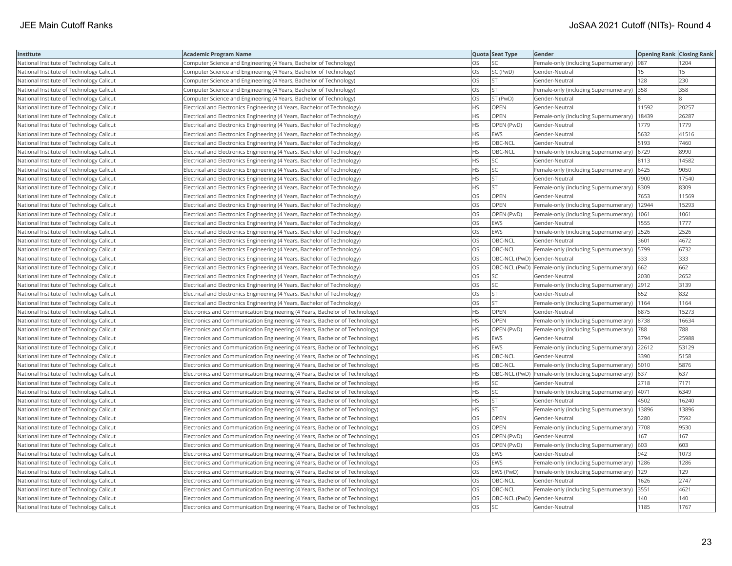| Institute                                | <b>Academic Program Name</b>                                                 |           | Quota Seat Type              | Gender                                                      | <b>Opening Rank Closing Rank</b> |       |
|------------------------------------------|------------------------------------------------------------------------------|-----------|------------------------------|-------------------------------------------------------------|----------------------------------|-------|
| National Institute of Technology Calicut | Computer Science and Engineering (4 Years, Bachelor of Technology)           | OS        | SC                           | Female-only (including Supernumerary)                       | 987                              | 1204  |
| National Institute of Technology Calicut | Computer Science and Engineering (4 Years, Bachelor of Technology)           | OS        | SC (PwD)                     | Gender-Neutral                                              | 15                               | 15    |
| National Institute of Technology Calicut | Computer Science and Engineering (4 Years, Bachelor of Technology)           | OS        | <b>ST</b>                    | Gender-Neutral                                              | 128                              | 230   |
| National Institute of Technology Calicut | Computer Science and Engineering (4 Years, Bachelor of Technology)           | OS        | <b>ST</b>                    | Female-only (including Supernumerary)                       | 358                              | 358   |
| National Institute of Technology Calicut | Computer Science and Engineering (4 Years, Bachelor of Technology)           | OS        | ST (PwD)                     | Gender-Neutral                                              |                                  |       |
| National Institute of Technology Calicut | Electrical and Electronics Engineering (4 Years, Bachelor of Technology)     | <b>HS</b> | OPEN                         | Gender-Neutral                                              | 11592                            | 20257 |
| National Institute of Technology Calicut | Electrical and Electronics Engineering (4 Years, Bachelor of Technology)     | НS        | OPEN                         | Female-only (including Supernumerary)   18439               |                                  | 26287 |
| National Institute of Technology Calicut | Electrical and Electronics Engineering (4 Years, Bachelor of Technology)     | HS        | OPEN (PwD)                   | Gender-Neutral                                              | 1779                             | 1779  |
| National Institute of Technology Calicut | Electrical and Electronics Engineering (4 Years, Bachelor of Technology)     | <b>HS</b> | <b>EWS</b>                   | Gender-Neutral                                              | 5632                             | 41516 |
| National Institute of Technology Calicut | Electrical and Electronics Engineering (4 Years, Bachelor of Technology)     | <b>HS</b> | OBC-NCL                      | Gender-Neutral                                              | 5193                             | 7460  |
| National Institute of Technology Calicut | Electrical and Electronics Engineering (4 Years, Bachelor of Technology)     | <b>HS</b> | OBC-NCL                      | Female-only (including Supernumerary)                       | 6729                             | 8990  |
| National Institute of Technology Calicut | Electrical and Electronics Engineering (4 Years, Bachelor of Technology)     | <b>HS</b> | <b>SC</b>                    | Gender-Neutral                                              | 8113                             | 14582 |
| National Institute of Technology Calicut | Electrical and Electronics Engineering (4 Years, Bachelor of Technology)     | HS        | SC                           | Female-only (including Supernumerary)   6425                |                                  | 9050  |
| National Institute of Technology Calicut | Electrical and Electronics Engineering (4 Years, Bachelor of Technology)     | ΗS        | ST                           | Gender-Neutral                                              | 7900                             | 17540 |
| National Institute of Technology Calicut | Electrical and Electronics Engineering (4 Years, Bachelor of Technology)     | ΗS        | <b>ST</b>                    | Female-only (including Supernumerary) 8309                  |                                  | 8309  |
| National Institute of Technology Calicut | Electrical and Electronics Engineering (4 Years, Bachelor of Technology)     | OS        | OPEN                         | Gender-Neutral                                              | 7653                             | 11569 |
| National Institute of Technology Calicut | Electrical and Electronics Engineering (4 Years, Bachelor of Technology)     | OS        | OPEN                         | Female-only (including Supernumerary)                       | 12944                            | 15293 |
| National Institute of Technology Calicut | Electrical and Electronics Engineering (4 Years, Bachelor of Technology)     | OS        | OPEN (PwD)                   | Female-only (including Supernumerary)                       | 1061                             | 1061  |
| National Institute of Technology Calicut | Electrical and Electronics Engineering (4 Years, Bachelor of Technology)     | OS        | <b>EWS</b>                   | Gender-Neutral                                              | 1555                             | 1777  |
| National Institute of Technology Calicut | Electrical and Electronics Engineering (4 Years, Bachelor of Technology)     | OS        | <b>EWS</b>                   | Female-only (including Supernumerary) 2526                  |                                  | 2526  |
| National Institute of Technology Calicut | Electrical and Electronics Engineering (4 Years, Bachelor of Technology)     | OS        | OBC-NCL                      | Gender-Neutral                                              | 3601                             | 4672  |
| National Institute of Technology Calicut | Electrical and Electronics Engineering (4 Years, Bachelor of Technology)     | OS        | OBC-NCL                      | Female-only (including Supernumerary)   5799                |                                  | 6732  |
| National Institute of Technology Calicut | Electrical and Electronics Engineering (4 Years, Bachelor of Technology)     | OS        |                              | OBC-NCL (PwD) Gender-Neutral                                | 333                              | 333   |
| National Institute of Technology Calicut | Electrical and Electronics Engineering (4 Years, Bachelor of Technology)     | OS        |                              | OBC-NCL (PwD)   Female-only (including Supernumerary)   662 |                                  | 662   |
| National Institute of Technology Calicut | Electrical and Electronics Engineering (4 Years, Bachelor of Technology)     | OS        | SC                           | Gender-Neutral                                              | 2030                             | 2652  |
| National Institute of Technology Calicut | Electrical and Electronics Engineering (4 Years, Bachelor of Technology)     | OS        | SC                           | Female-only (including Supernumerary) 2912                  |                                  | 3139  |
| National Institute of Technology Calicut | Electrical and Electronics Engineering (4 Years, Bachelor of Technology)     | OS        | ST                           | Gender-Neutral                                              | 652                              | 832   |
| National Institute of Technology Calicut | Electrical and Electronics Engineering (4 Years, Bachelor of Technology)     | OS        | <b>ST</b>                    | Female-only (including Supernumerary)   1164                |                                  | 1164  |
| National Institute of Technology Calicut | Electronics and Communication Engineering (4 Years, Bachelor of Technology)  | HS        | <b>OPEN</b>                  | Gender-Neutral                                              | 6875                             | 15273 |
| National Institute of Technology Calicut | Electronics and Communication Engineering (4 Years, Bachelor of Technology)  | <b>HS</b> | OPEN                         | Female-only (including Supernumerary)  8738                 |                                  | 16634 |
| National Institute of Technology Calicut | Electronics and Communication Engineering (4 Years, Bachelor of Technology)  | HS        | OPEN (PwD)                   | Female-only (including Supernumerary)  788                  |                                  | 788   |
| National Institute of Technology Calicut | Electronics and Communication Engineering (4 Years, Bachelor of Technology)  | ΗS        | <b>EWS</b>                   | Gender-Neutral                                              | 3794                             | 25988 |
| National Institute of Technology Calicut | Electronics and Communication Engineering (4 Years, Bachelor of Technology)  | НS        | EWS                          | Female-only (including Supernumerary) 22612                 |                                  | 53129 |
| National Institute of Technology Calicut | Electronics and Communication Engineering (4 Years, Bachelor of Technology)  | HS        | OBC-NCL                      | Gender-Neutral                                              | 3390                             | 5158  |
| National Institute of Technology Calicut | Electronics and Communication Engineering (4 Years, Bachelor of Technology)  | <b>HS</b> | OBC-NCL                      | Female-only (including Supernumerary)   5010                |                                  | 5876  |
| National Institute of Technology Calicut | Electronics and Communication Engineering (4 Years, Bachelor of Technology)  | <b>HS</b> |                              | OBC-NCL (PwD)  Female-only (including Supernumerary)        | 637                              | 637   |
| National Institute of Technology Calicut | Electronics and Communication Engineering (4 Years, Bachelor of Technology)  | HS        | SC                           | Gender-Neutral                                              | 2718                             | 7171  |
| National Institute of Technology Calicut | Electronics and Communication Engineering (4 Years, Bachelor of Technology)  | HS        | SC                           | Female-only (including Supernumerary) 4071                  |                                  | 6349  |
| National Institute of Technology Calicut | [Electronics and Communication Engineering (4 Years, Bachelor of Technology) | HS        | <b>ST</b>                    | Gender-Neutral                                              | 4502                             | 16240 |
| National Institute of Technology Calicut | Electronics and Communication Engineering (4 Years, Bachelor of Technology)  | HS        | <b>ST</b>                    | Female-only (including Supernumerary)   13896               |                                  | 13896 |
| National Institute of Technology Calicut | Electronics and Communication Engineering (4 Years, Bachelor of Technology)  | OS        | <b>OPEN</b>                  | Gender-Neutral                                              | 5280                             | 7592  |
| National Institute of Technology Calicut | Electronics and Communication Engineering (4 Years, Bachelor of Technology)  | OS        | OPEN                         | Female-only (including Supernumerary)                       | 7708                             | 9530  |
| National Institute of Technology Calicut | Electronics and Communication Engineering (4 Years, Bachelor of Technology)  | OS        | OPEN (PwD)                   | Gender-Neutral                                              | 167                              | 167   |
| National Institute of Technology Calicut | Electronics and Communication Engineering (4 Years, Bachelor of Technology)  | OS        | OPEN (PwD)                   | Female-only (including Supernumerary)                       | 603                              | 603   |
| National Institute of Technology Calicut | Electronics and Communication Engineering (4 Years, Bachelor of Technology)  | OS        | <b>EWS</b>                   | Gender-Neutral                                              | 942                              | 1073  |
| National Institute of Technology Calicut | Electronics and Communication Engineering (4 Years, Bachelor of Technology)  | OS        | <b>EWS</b>                   | Female-only (including Supernumerary)   1286                |                                  | 1286  |
| National Institute of Technology Calicut | Electronics and Communication Engineering (4 Years, Bachelor of Technology)  | OS        | EWS (PwD)                    | Female-only (including Supernumerary)   129                 |                                  | 129   |
| National Institute of Technology Calicut | Electronics and Communication Engineering (4 Years, Bachelor of Technology)  | OS        | OBC-NCL                      | Gender-Neutral                                              | 1626                             | 2747  |
| National Institute of Technology Calicut | Electronics and Communication Engineering (4 Years, Bachelor of Technology)  | OS        | OBC-NCL                      | Female-only (including Supernumerary) 3551                  |                                  | 4621  |
| National Institute of Technology Calicut | Electronics and Communication Engineering (4 Years, Bachelor of Technology)  | OS        | OBC-NCL (PwD) Gender-Neutral |                                                             | 140                              | 140   |
| National Institute of Technology Calicut | Electronics and Communication Engineering (4 Years, Bachelor of Technology)  | <b>OS</b> | <b>SC</b>                    | Gender-Neutral                                              | 1185                             | 1767  |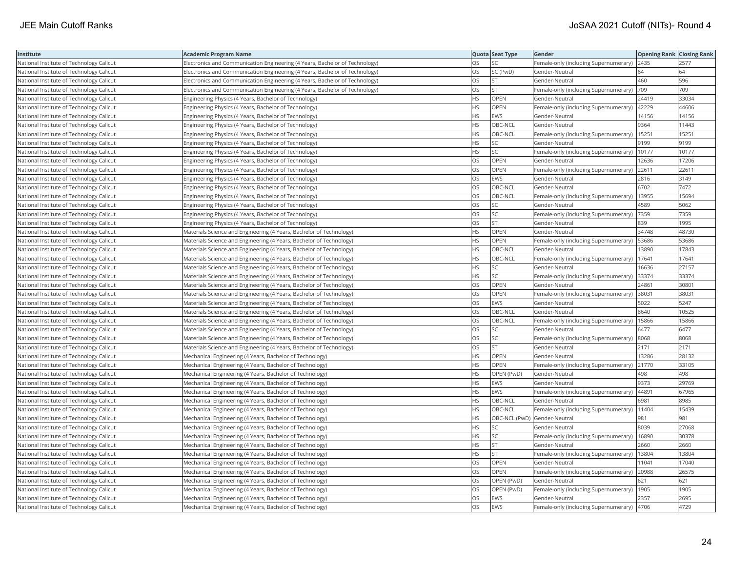| Institute                                | <b>Academic Program Name</b>                                                |           | Quota Seat Type              | Gender                                        | <b>Opening Rank   Closing Rank</b> |       |
|------------------------------------------|-----------------------------------------------------------------------------|-----------|------------------------------|-----------------------------------------------|------------------------------------|-------|
| National Institute of Technology Calicut | Electronics and Communication Engineering (4 Years, Bachelor of Technology) | OS        | SC                           | Female-only (including Supernumerary)         | 2435                               | 2577  |
| National Institute of Technology Calicut | Electronics and Communication Engineering (4 Years, Bachelor of Technology) | OS        | SC (PwD)                     | Gender-Neutral                                | 64                                 | 64    |
| National Institute of Technology Calicut | Electronics and Communication Engineering (4 Years, Bachelor of Technology) | OS        | <b>ST</b>                    | Gender-Neutral                                | 460                                | 596   |
| National Institute of Technology Calicut | Electronics and Communication Engineering (4 Years, Bachelor of Technology) | OS        | <b>ST</b>                    | Female-only (including Supernumerary)         | 709                                | 709   |
| National Institute of Technology Calicut | Engineering Physics (4 Years, Bachelor of Technology)                       | НS        | <b>OPEN</b>                  | Gender-Neutral                                | 24419                              | 33034 |
| National Institute of Technology Calicut | Engineering Physics (4 Years, Bachelor of Technology)                       | HS        | OPEN                         | Female-only (including Supernumerary)   42229 |                                    | 44606 |
| National Institute of Technology Calicut | Engineering Physics (4 Years, Bachelor of Technology)                       | HS        | <b>EWS</b>                   | Gender-Neutral                                | 14156                              | 14156 |
| National Institute of Technology Calicut | Engineering Physics (4 Years, Bachelor of Technology)                       | HS        | OBC-NCL                      | Gender-Neutral                                | 9364                               | 11443 |
| National Institute of Technology Calicut | Engineering Physics (4 Years, Bachelor of Technology)                       | HS        | OBC-NCL                      | Female-only (including Supernumerary)         | 15251                              | 15251 |
| National Institute of Technology Calicut | Engineering Physics (4 Years, Bachelor of Technology)                       | HS        | SC                           | Gender-Neutral                                | 9199                               | 9199  |
| National Institute of Technology Calicut | Engineering Physics (4 Years, Bachelor of Technology)                       | <b>HS</b> | <b>SC</b>                    | Female-only (including Supernumerary)         | 10177                              | 10177 |
| National Institute of Technology Calicut | Engineering Physics (4 Years, Bachelor of Technology)                       | OS        | <b>OPEN</b>                  | Gender-Neutral                                | 12636                              | 17206 |
| National Institute of Technology Calicut | Engineering Physics (4 Years, Bachelor of Technology)                       | OS        | OPEN                         | Female-only (including Supernumerary)         | 22611                              | 22611 |
| National Institute of Technology Calicut | Engineering Physics (4 Years, Bachelor of Technology)                       | OS        | <b>EWS</b>                   | Gender-Neutral                                | 2816                               | 3149  |
| National Institute of Technology Calicut | Engineering Physics (4 Years, Bachelor of Technology)                       | OS        | OBC-NCL                      | Gender-Neutral                                | 6702                               | 7472  |
| National Institute of Technology Calicut | Engineering Physics (4 Years, Bachelor of Technology)                       | OS        | OBC-NCL                      | Female-only (including Supernumerary)   13955 |                                    | 15694 |
| National Institute of Technology Calicut | Engineering Physics (4 Years, Bachelor of Technology)                       | OS        | SC                           | Gender-Neutral                                | 4589                               | 5062  |
| National Institute of Technology Calicut | Engineering Physics (4 Years, Bachelor of Technology)                       | OS        | SC                           | Female-only (including Supernumerary)         | 7359                               | 7359  |
| National Institute of Technology Calicut | Engineering Physics (4 Years, Bachelor of Technology)                       | OS        | <b>ST</b>                    | Gender-Neutral                                | 839                                | 1995  |
| National Institute of Technology Calicut | Materials Science and Engineering (4 Years, Bachelor of Technology)         | <b>HS</b> | OPEN                         | Gender-Neutral                                | 34748                              | 48730 |
| National Institute of Technology Calicut | Materials Science and Engineering (4 Years, Bachelor of Technology)         | <b>HS</b> | <b>OPEN</b>                  | Female-only (including Supernumerary)         | 53686                              | 53686 |
| National Institute of Technology Calicut | Materials Science and Engineering (4 Years, Bachelor of Technology)         | HS        | OBC-NCL                      | Gender-Neutral                                | 13890                              | 17843 |
| National Institute of Technology Calicut | Materials Science and Engineering (4 Years, Bachelor of Technology)         | HS        | OBC-NCL                      | Female-only (including Supernumerary)         | 17641                              | 17641 |
| National Institute of Technology Calicut | Materials Science and Engineering (4 Years, Bachelor of Technology)         | HS        | SC                           | Gender-Neutral                                | 16636                              | 27157 |
| National Institute of Technology Calicut | Materials Science and Engineering (4 Years, Bachelor of Technology)         | HS        | SC                           | Female-only (including Supernumerary)         | 33374                              | 33374 |
| National Institute of Technology Calicut | Materials Science and Engineering (4 Years, Bachelor of Technology)         | OS        | OPEN                         | Gender-Neutral                                | 24861                              | 30801 |
| National Institute of Technology Calicut | Materials Science and Engineering (4 Years, Bachelor of Technology)         | OS        | OPEN                         | Female-only (including Supernumerary)         | 38031                              | 38031 |
| National Institute of Technology Calicut | Materials Science and Engineering (4 Years, Bachelor of Technology)         | OS        | <b>EWS</b>                   | Gender-Neutral                                | 5022                               | 5247  |
| National Institute of Technology Calicut | Materials Science and Engineering (4 Years, Bachelor of Technology)         | OS        | OBC-NCL                      | Gender-Neutral                                | 8640                               | 10525 |
| National Institute of Technology Calicut | Materials Science and Engineering (4 Years, Bachelor of Technology)         | OS        | OBC-NCL                      | Female-only (including Supernumerary)         | 15866                              | 15866 |
| National Institute of Technology Calicut | Materials Science and Engineering (4 Years, Bachelor of Technology)         | OS        | SC                           | Gender-Neutral                                | 6477                               | 6477  |
| National Institute of Technology Calicut | Materials Science and Engineering (4 Years, Bachelor of Technology)         | OS        | SC                           | Female-only (including Supernumerary)  8068   |                                    | 8068  |
| National Institute of Technology Calicut | Materials Science and Engineering (4 Years, Bachelor of Technology)         | OS        | <b>ST</b>                    | Gender-Neutral                                | 2171                               | 2171  |
| National Institute of Technology Calicut | Mechanical Engineering (4 Years, Bachelor of Technology)                    | ΗS        | OPEN                         | Gender-Neutral                                | 13286                              | 28132 |
| National Institute of Technology Calicut | Mechanical Engineering (4 Years, Bachelor of Technology)                    | HS        | OPEN                         | Female-only (including Supernumerary)         | 21770                              | 33105 |
| National Institute of Technology Calicut | Mechanical Engineering (4 Years, Bachelor of Technology)                    | <b>HS</b> | OPEN (PwD)                   | Gender-Neutral                                | 498                                | 498   |
| National Institute of Technology Calicut | Mechanical Engineering (4 Years, Bachelor of Technology)                    | <b>HS</b> | <b>EWS</b>                   | Gender-Neutral                                | 9373                               | 29769 |
| National Institute of Technology Calicut | Mechanical Engineering (4 Years, Bachelor of Technology)                    | HS        | <b>EWS</b>                   | Female-only (including Supernumerary)         | 44891                              | 67965 |
| National Institute of Technology Calicut | Mechanical Engineering (4 Years, Bachelor of Technology)                    | НS        | OBC-NCL                      | Gender-Neutral                                | 6981                               | 8985  |
| National Institute of Technology Calicut | Mechanical Engineering (4 Years, Bachelor of Technology)                    | HS        | OBC-NCL                      | Female-only (including Supernumerary)   11404 |                                    | 15439 |
| National Institute of Technology Calicut | Mechanical Engineering (4 Years, Bachelor of Technology)                    | HS.       | OBC-NCL (PwD) Gender-Neutral |                                               | 981                                | 981   |
| National Institute of Technology Calicut | Mechanical Engineering (4 Years, Bachelor of Technology)                    | HS        | SC                           | Gender-Neutral                                | 8039                               | 27068 |
| National Institute of Technology Calicut | Mechanical Engineering (4 Years, Bachelor of Technology)                    | HS        | <b>SC</b>                    | Female-only (including Supernumerary)         | 16890                              | 30378 |
| National Institute of Technology Calicut | Mechanical Engineering (4 Years, Bachelor of Technology)                    | НS        | <b>ST</b>                    | Gender-Neutral                                | 2660                               | 2660  |
| National Institute of Technology Calicut | Mechanical Engineering (4 Years, Bachelor of Technology)                    | <b>HS</b> | <b>ST</b>                    | Female-only (including Supernumerary)         | 13804                              | 13804 |
| National Institute of Technology Calicut | Mechanical Engineering (4 Years, Bachelor of Technology)                    | OS        | <b>OPEN</b>                  | Gender-Neutral                                | 11041                              | 17040 |
| National Institute of Technology Calicut | Mechanical Engineering (4 Years, Bachelor of Technology)                    | OS        | OPEN                         | Female-only (including Supernumerary) 20988   |                                    | 26575 |
| National Institute of Technology Calicut | Mechanical Engineering (4 Years, Bachelor of Technology)                    | OS        | OPEN (PwD)                   | Gender-Neutral                                | 621                                | 621   |
| National Institute of Technology Calicut | Mechanical Engineering (4 Years, Bachelor of Technology)                    | OS        | OPEN (PwD)                   | Female-only (including Supernumerary)   1905  |                                    | 1905  |
| National Institute of Technology Calicut | Mechanical Engineering (4 Years, Bachelor of Technology)                    | OS        | EWS                          | Gender-Neutral                                | 2357                               | 2695  |
| National Institute of Technology Calicut | Mechanical Engineering (4 Years, Bachelor of Technology)                    | OS        | EWS                          | Female-only (including Supernumerary)         | 4706                               | 4729  |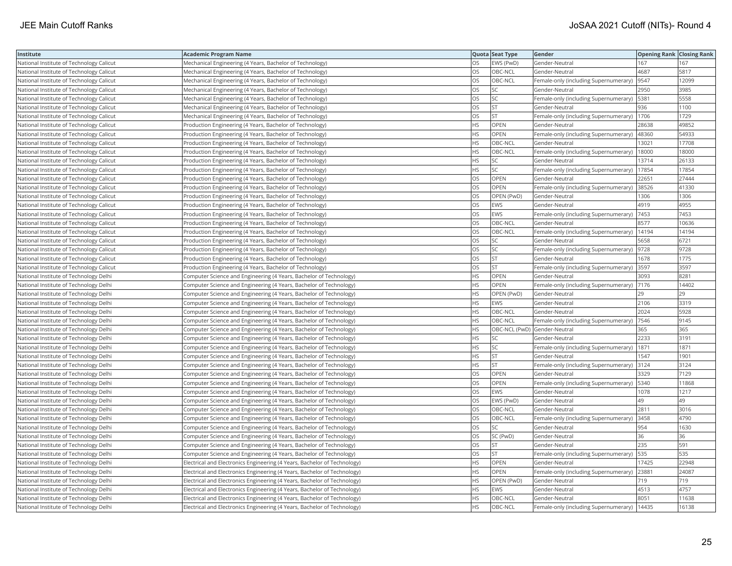| Institute                                | <b>Academic Program Name</b>                                             |           | Quota Seat Type              | Gender                                        | <b>Opening Rank Closing Rank</b> |       |
|------------------------------------------|--------------------------------------------------------------------------|-----------|------------------------------|-----------------------------------------------|----------------------------------|-------|
| National Institute of Technology Calicut | Mechanical Engineering (4 Years, Bachelor of Technology)                 | OS        | EWS (PwD)                    | Gender-Neutral                                | 167                              | 167   |
| National Institute of Technology Calicut | Mechanical Engineering (4 Years, Bachelor of Technology)                 | OS        | OBC-NCL                      | Gender-Neutral                                | 4687                             | 5817  |
| National Institute of Technology Calicut | Mechanical Engineering (4 Years, Bachelor of Technology)                 | OS        | OBC-NCL                      | Female-only (including Supernumerary)  9547   |                                  | 12099 |
| National Institute of Technology Calicut | Mechanical Engineering (4 Years, Bachelor of Technology)                 | OS        | <b>SC</b>                    | Gender-Neutral                                | 2950                             | 3985  |
| National Institute of Technology Calicut | Mechanical Engineering (4 Years, Bachelor of Technology)                 | OS        | SC                           | Female-only (including Supernumerary)         | 5381                             | 5558  |
| National Institute of Technology Calicut | Mechanical Engineering (4 Years, Bachelor of Technology)                 | OS        | <b>ST</b>                    | Gender-Neutral                                | 936                              | 1100  |
| National Institute of Technology Calicut | Mechanical Engineering (4 Years, Bachelor of Technology)                 | OS        | <b>ST</b>                    | Female-only (including Supernumerary)   1706  |                                  | 1729  |
| National Institute of Technology Calicut | Production Engineering (4 Years, Bachelor of Technology)                 | <b>HS</b> | OPEN                         | Gender-Neutral                                | 28638                            | 49852 |
| National Institute of Technology Calicut | Production Engineering (4 Years, Bachelor of Technology)                 | НS        | OPEN                         | Female-only (including Supernumerary)         | 48360                            | 54933 |
| National Institute of Technology Calicut | Production Engineering (4 Years, Bachelor of Technology)                 | HS        | OBC-NCL                      | Gender-Neutral                                | 13021                            | 17708 |
| National Institute of Technology Calicut | Production Engineering (4 Years, Bachelor of Technology)                 | <b>HS</b> | OBC-NCL                      | Female-only (including Supernumerary)         | 18000                            | 18000 |
| National Institute of Technology Calicut | Production Engineering (4 Years, Bachelor of Technology)                 | HS        | <b>SC</b>                    | Gender-Neutral                                | 13714                            | 26133 |
| National Institute of Technology Calicut | Production Engineering (4 Years, Bachelor of Technology)                 | <b>HS</b> | <b>SC</b>                    | Female-only (including Supernumerary)         | 17854                            | 17854 |
| National Institute of Technology Calicut | Production Engineering (4 Years, Bachelor of Technology)                 | OS        | OPEN                         | Gender-Neutral                                | 22651                            | 27444 |
| National Institute of Technology Calicut | Production Engineering (4 Years, Bachelor of Technology)                 | OS        | <b>OPEN</b>                  | Female-only (including Supernumerary) 38526   |                                  | 41330 |
| National Institute of Technology Calicut | Production Engineering (4 Years, Bachelor of Technology)                 | OS        | OPEN (PwD)                   | Gender-Neutral                                | 1306                             | 1306  |
| National Institute of Technology Calicut | Production Engineering (4 Years, Bachelor of Technology)                 | OS        | <b>EWS</b>                   | Gender-Neutral                                | 4919                             | 4955  |
| National Institute of Technology Calicut | Production Engineering (4 Years, Bachelor of Technology)                 | OS        | EWS                          | Female-only (including Supernumerary)         | 7453                             | 7453  |
| National Institute of Technology Calicut | Production Engineering (4 Years, Bachelor of Technology)                 | OS        | OBC-NCL                      | Gender-Neutral                                | 8577                             | 10636 |
| National Institute of Technology Calicut | Production Engineering (4 Years, Bachelor of Technology)                 | OS        | OBC-NCL                      | Female-only (including Supernumerary)         | 14194                            | 14194 |
| National Institute of Technology Calicut | Production Engineering (4 Years, Bachelor of Technology)                 | OS        | <b>SC</b>                    | Gender-Neutral                                | 5658                             | 6721  |
| National Institute of Technology Calicut | Production Engineering (4 Years, Bachelor of Technology)                 | OS        | SC                           | Female-only (including Supernumerary)  9728   |                                  | 9728  |
| National Institute of Technology Calicut | Production Engineering (4 Years, Bachelor of Technology)                 | OS        | ST                           | Gender-Neutral                                | 1678                             | 1775  |
| National Institute of Technology Calicut | Production Engineering (4 Years, Bachelor of Technology)                 | OS        | <b>ST</b>                    | Female-only (including Supernumerary) 3597    |                                  | 3597  |
| National Institute of Technology Delhi   | Computer Science and Engineering (4 Years, Bachelor of Technology)       | HS        | OPEN                         | Gender-Neutral                                | 3093                             | 8281  |
| National Institute of Technology Delhi   | Computer Science and Engineering (4 Years, Bachelor of Technology)       | <b>HS</b> | <b>OPEN</b>                  | Female-only (including Supernumerary)         | 7176                             | 14402 |
| National Institute of Technology Delhi   | Computer Science and Engineering (4 Years, Bachelor of Technology)       | НS        | OPEN (PwD)                   | Gender-Neutral                                | 29                               | 29    |
| National Institute of Technology Delhi   | Computer Science and Engineering (4 Years, Bachelor of Technology)       | <b>HS</b> | <b>EWS</b>                   | Gender-Neutral                                | 2106                             | 3319  |
| National Institute of Technology Delhi   | Computer Science and Engineering (4 Years, Bachelor of Technology)       | <b>HS</b> | OBC-NCL                      | Gender-Neutral                                | 2024                             | 5928  |
| National Institute of Technology Delhi   | Computer Science and Engineering (4 Years, Bachelor of Technology)       | HS        | OBC-NCL                      | Female-only (including Supernumerary)  7546   |                                  | 9145  |
| National Institute of Technology Delhi   | Computer Science and Engineering (4 Years, Bachelor of Technology)       | HS        | OBC-NCL (PwD) Gender-Neutral |                                               | 365                              | 365   |
| National Institute of Technology Delhi   | Computer Science and Engineering (4 Years, Bachelor of Technology)       | ΗS        | SC                           | Gender-Neutral                                | 2233                             | 3191  |
| National Institute of Technology Delhi   | Computer Science and Engineering (4 Years, Bachelor of Technology)       | ΗS        | SC                           | Female-only (including Supernumerary)         | 1871                             | 1871  |
| National Institute of Technology Delhi   | Computer Science and Engineering (4 Years, Bachelor of Technology)       | HS        | <b>ST</b>                    | Gender-Neutral                                | 1547                             | 1901  |
| National Institute of Technology Delhi   | Computer Science and Engineering (4 Years, Bachelor of Technology)       | HS        | ST                           | Female-only (including Supernumerary)         | 3124                             | 3124  |
| National Institute of Technology Delhi   | Computer Science and Engineering (4 Years, Bachelor of Technology)       | OS        | <b>OPEN</b>                  | Gender-Neutral                                | 3329                             | 7129  |
| National Institute of Technology Delhi   | Computer Science and Engineering (4 Years, Bachelor of Technology)       | OS        | <b>OPEN</b>                  | Female-only (including Supernumerary)   5340  |                                  | 11868 |
| National Institute of Technology Delhi   | Computer Science and Engineering (4 Years, Bachelor of Technology)       | OS        | <b>EWS</b>                   | Gender-Neutral                                | 1078                             | 1217  |
| National Institute of Technology Delhi   | Computer Science and Engineering (4 Years, Bachelor of Technology)       | OS        | EWS (PwD)                    | Gender-Neutral                                | 49                               | 49    |
| National Institute of Technology Delhi   | Computer Science and Engineering (4 Years, Bachelor of Technology)       | OS        | OBC-NCL                      | Gender-Neutral                                | 2811                             | 3016  |
| National Institute of Technology Delhi   | Computer Science and Engineering (4 Years, Bachelor of Technology)       | OS        | OBC-NCL                      | Female-only (including Supernumerary)         | 3458                             | 4790  |
| National Institute of Technology Delhi   | Computer Science and Engineering (4 Years, Bachelor of Technology)       | OS        | <b>SC</b>                    | Gender-Neutral                                | 954                              | 1630  |
| National Institute of Technology Delhi   | Computer Science and Engineering (4 Years, Bachelor of Technology)       | OS        | SC (PwD)                     | Gender-Neutral                                | 36                               | 36    |
| National Institute of Technology Delhi   | Computer Science and Engineering (4 Years, Bachelor of Technology)       | OS        | <b>ST</b>                    | Gender-Neutral                                | 235                              | 591   |
| National Institute of Technology Delhi   | Computer Science and Engineering (4 Years, Bachelor of Technology)       | OS        | <b>ST</b>                    | Female-only (including Supernumerary)         | 535                              | 535   |
| National Institute of Technology Delhi   | Electrical and Electronics Engineering (4 Years, Bachelor of Technology) | HS        | OPEN                         | Gender-Neutral                                | 17425                            | 22948 |
| National Institute of Technology Delhi   | Electrical and Electronics Engineering (4 Years, Bachelor of Technology) | HS        | OPEN                         | Female-only (including Supernumerary) 23881   |                                  | 24087 |
| National Institute of Technology Delhi   | Electrical and Electronics Engineering (4 Years, Bachelor of Technology) | НS        | OPEN (PwD)                   | Gender-Neutral                                | 719                              | 719   |
| National Institute of Technology Delhi   | Electrical and Electronics Engineering (4 Years, Bachelor of Technology) | HS        | EWS                          | Gender-Neutral                                | 4513                             | 4757  |
| National Institute of Technology Delhi   | Electrical and Electronics Engineering (4 Years, Bachelor of Technology) | <b>HS</b> | OBC-NCL                      | Gender-Neutral                                | 8051                             | 11638 |
| National Institute of Technology Delhi   | Electrical and Electronics Engineering (4 Years, Bachelor of Technology) | <b>HS</b> | OBC-NCL                      | Female-only (including Supernumerary)   14435 |                                  | 16138 |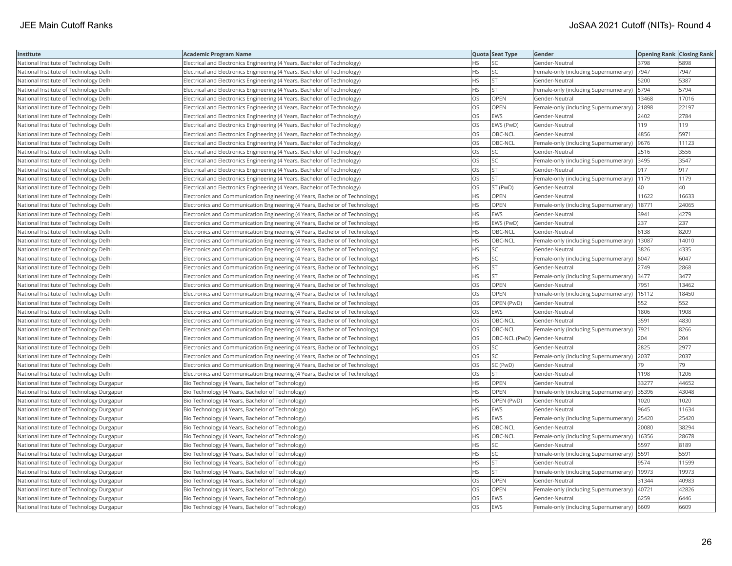| Institute                                 | <b>Academic Program Name</b>                                                 |           | Quota Seat Type | Gender                                        | <b>Opening Rank   Closing Rank</b> |       |
|-------------------------------------------|------------------------------------------------------------------------------|-----------|-----------------|-----------------------------------------------|------------------------------------|-------|
| National Institute of Technology Delhi    | Electrical and Electronics Engineering (4 Years, Bachelor of Technology)     | HS.       | SC              | Gender-Neutral                                | 3798                               | 5898  |
| National Institute of Technology Delhi    | Electrical and Electronics Engineering (4 Years, Bachelor of Technology)     | НS        | SC              | Female-only (including Supernumerary)         | 7947                               | 7947  |
| National Institute of Technology Delhi    | Electrical and Electronics Engineering (4 Years, Bachelor of Technology)     | HS        | ST.             | Gender-Neutral                                | 5200                               | 5387  |
| National Institute of Technology Delhi    | Electrical and Electronics Engineering (4 Years, Bachelor of Technology)     | <b>HS</b> | <b>ST</b>       | Female-only (including Supernumerary)   5794  |                                    | 5794  |
| National Institute of Technology Delhi    | Electrical and Electronics Engineering (4 Years, Bachelor of Technology)     | OS        | <b>OPEN</b>     | Gender-Neutral                                | 13468                              | 17016 |
| National Institute of Technology Delhi    | Electrical and Electronics Engineering (4 Years, Bachelor of Technology)     | OS        | <b>OPEN</b>     | Female-only (including Supernumerary) 21898   |                                    | 22197 |
| National Institute of Technology Delhi    | Electrical and Electronics Engineering (4 Years, Bachelor of Technology)     | OS        | <b>EWS</b>      | Gender-Neutral                                | 2402                               | 2784  |
| National Institute of Technology Delhi    | Electrical and Electronics Engineering (4 Years, Bachelor of Technology)     | OS        | EWS (PwD)       | Gender-Neutral                                | 119                                | 119   |
| National Institute of Technology Delhi    | Electrical and Electronics Engineering (4 Years, Bachelor of Technology)     | OS.       | OBC-NCL         | Gender-Neutral                                | 4856                               | 5971  |
| National Institute of Technology Delhi    | Electrical and Electronics Engineering (4 Years, Bachelor of Technology)     | OS.       | OBC-NCL         | Female-only (including Supernumerary)   9676  |                                    | 11123 |
| National Institute of Technology Delhi    | Electrical and Electronics Engineering (4 Years, Bachelor of Technology)     | OS        | SC              | Gender-Neutral                                | 2516                               | 3556  |
| National Institute of Technology Delhi    | Electrical and Electronics Engineering (4 Years, Bachelor of Technology)     | OS        | SC              | Female-only (including Supernumerary) 3495    |                                    | 3547  |
| National Institute of Technology Delhi    | Electrical and Electronics Engineering (4 Years, Bachelor of Technology)     | OS        | <b>ST</b>       | Gender-Neutral                                | 917                                | 917   |
| National Institute of Technology Delhi    | Electrical and Electronics Engineering (4 Years, Bachelor of Technology)     | OS        | <b>ST</b>       | Female-only (including Supernumerary)   1179  |                                    | 1179  |
| National Institute of Technology Delhi    | Electrical and Electronics Engineering (4 Years, Bachelor of Technology)     | OS.       | ST (PwD)        | Gender-Neutral                                | 40                                 | 40    |
| National Institute of Technology Delhi    | Electronics and Communication Engineering (4 Years, Bachelor of Technology)  | HS        | OPEN            | Gender-Neutral                                | 11622                              | 16633 |
| National Institute of Technology Delhi    | Electronics and Communication Engineering (4 Years, Bachelor of Technology)  | HS.       | OPEN            | Female-only (including Supernumerary)         | 18771                              | 24065 |
| National Institute of Technology Delhi    | [Electronics and Communication Engineering (4 Years, Bachelor of Technology) | HS.       | <b>EWS</b>      | Gender-Neutral                                | 3941                               | 4279  |
| National Institute of Technology Delhi    | Electronics and Communication Engineering (4 Years, Bachelor of Technology)  | <b>HS</b> | EWS (PwD)       | Gender-Neutral                                | 237                                | 237   |
| National Institute of Technology Delhi    | Electronics and Communication Engineering (4 Years, Bachelor of Technology)  | HS.       | OBC-NCL         | Gender-Neutral                                | 6138                               | 8209  |
| National Institute of Technology Delhi    | Electronics and Communication Engineering (4 Years, Bachelor of Technology)  | HS.       | OBC-NCL         | Female-only (including Supernumerary)         | 13087                              | 14010 |
| National Institute of Technology Delhi    | Electronics and Communication Engineering (4 Years, Bachelor of Technology)  | HS        | <b>SC</b>       | Gender-Neutral                                | 3826                               | 4335  |
| National Institute of Technology Delhi    | Electronics and Communication Engineering (4 Years, Bachelor of Technology)  | HS        | SC              | Female-only (including Supernumerary)   6047  |                                    | 6047  |
| National Institute of Technology Delhi    | Electronics and Communication Engineering (4 Years, Bachelor of Technology)  | HS        | <b>ST</b>       | Gender-Neutral                                | 2749                               | 2868  |
| National Institute of Technology Delhi    | Electronics and Communication Engineering (4 Years, Bachelor of Technology)  | HS        | <b>ST</b>       | Female-only (including Supernumerary)         | 3477                               | 3477  |
| National Institute of Technology Delhi    | Electronics and Communication Engineering (4 Years, Bachelor of Technology)  | OS        | OPEN            | Gender-Neutral                                | 7951                               | 13462 |
| National Institute of Technology Delhi    | Electronics and Communication Engineering (4 Years, Bachelor of Technology)  | OS.       | <b>OPEN</b>     | Female-only (including Supernumerary)         | 15112                              | 18450 |
| National Institute of Technology Delhi    | Electronics and Communication Engineering (4 Years, Bachelor of Technology)  | OS        | OPEN (PwD)      | Gender-Neutral                                | 552                                | 552   |
| National Institute of Technology Delhi    | Electronics and Communication Engineering (4 Years, Bachelor of Technology)  | OS        | <b>EWS</b>      | Gender-Neutral                                | 1806                               | 1908  |
| National Institute of Technology Delhi    | [Electronics and Communication Engineering (4 Years, Bachelor of Technology) | OS        | OBC-NCL         | Gender-Neutral                                | 3591                               | 4830  |
| National Institute of Technology Delhi    | Electronics and Communication Engineering (4 Years, Bachelor of Technology)  | OS        | OBC-NCL         | Female-only (including Supernumerary)  7921   |                                    | 8266  |
| National Institute of Technology Delhi    | Electronics and Communication Engineering (4 Years, Bachelor of Technology)  | OS        |                 | OBC-NCL (PwD) Gender-Neutral                  | 204                                | 204   |
| National Institute of Technology Delhi    | Electronics and Communication Engineering (4 Years, Bachelor of Technology)  | OS        | SC              | Gender-Neutral                                | 2825                               | 2977  |
| National Institute of Technology Delhi    | Electronics and Communication Engineering (4 Years, Bachelor of Technology)  | OS        | SC              | Female-only (including Supernumerary)         | 2037                               | 2037  |
| National Institute of Technology Delhi    | Electronics and Communication Engineering (4 Years, Bachelor of Technology)  | OS.       | SC (PwD)        | Gender-Neutral                                | 79                                 | 79    |
| National Institute of Technology Delhi    | Electronics and Communication Engineering (4 Years, Bachelor of Technology)  | OS        | <b>ST</b>       | Gender-Neutral                                | 1198                               | 1206  |
| National Institute of Technology Durgapur | Bio Technology (4 Years, Bachelor of Technology)                             | <b>HS</b> | OPEN            | Gender-Neutral                                | 33277                              | 44652 |
| National Institute of Technology Durgapur | Bio Technology (4 Years, Bachelor of Technology)                             | HS.       | <b>OPEN</b>     | Female-only (including Supernumerary) 35396   |                                    | 43048 |
| National Institute of Technology Durgapur | Bio Technology (4 Years, Bachelor of Technology)                             | HS        | OPEN (PwD)      | Gender-Neutral                                | 1020                               | 1020  |
| National Institute of Technology Durgapur | Bio Technology (4 Years, Bachelor of Technology)                             | HS.       | <b>EWS</b>      | Gender-Neutral                                | 9645                               | 11634 |
| National Institute of Technology Durgapur | Bio Technology (4 Years, Bachelor of Technology)                             | HS.       | <b>EWS</b>      | Female-only (including Supernumerary)         | 25420                              | 25420 |
| National Institute of Technology Durgapur | Bio Technology (4 Years, Bachelor of Technology)                             | <b>HS</b> | OBC-NCL         | Gender-Neutral                                | 20080                              | 38294 |
| National Institute of Technology Durgapur | Bio Technology (4 Years, Bachelor of Technology)                             | HS.       | OBC-NCL         | Female-only (including Supernumerary)         | 16356                              | 28678 |
| National Institute of Technology Durgapur | Bio Technology (4 Years, Bachelor of Technology)                             | HS.       | SC              | Gender-Neutral                                | 5597                               | 8189  |
| National Institute of Technology Durgapur | Bio Technology (4 Years, Bachelor of Technology)                             | HS.       | SC              | Female-only (including Supernumerary)   5591  |                                    | 5591  |
| National Institute of Technology Durgapur | Bio Technology (4 Years, Bachelor of Technology)                             | НS        | <b>ST</b>       | Gender-Neutral                                | 9574                               | 11599 |
| National Institute of Technology Durgapur | Bio Technology (4 Years, Bachelor of Technology)                             | HS        | <b>ST</b>       | Female-only (including Supernumerary)   19973 |                                    | 19973 |
| National Institute of Technology Durgapur | Bio Technology (4 Years, Bachelor of Technology)                             | OS        | <b>OPEN</b>     | Gender-Neutral                                | 31344                              | 40983 |
| National Institute of Technology Durgapur | Bio Technology (4 Years, Bachelor of Technology)                             | OS        | OPEN            | Female-only (including Supernumerary)         | 40721                              | 42826 |
| National Institute of Technology Durgapur | Bio Technology (4 Years, Bachelor of Technology)                             | OS        | <b>EWS</b>      | Gender-Neutral                                | 6259                               | 6446  |
| National Institute of Technology Durgapur | Bio Technology (4 Years, Bachelor of Technology)                             | OS        | <b>EWS</b>      | Female-only (including Supernumerary)         | 6609                               | 6609  |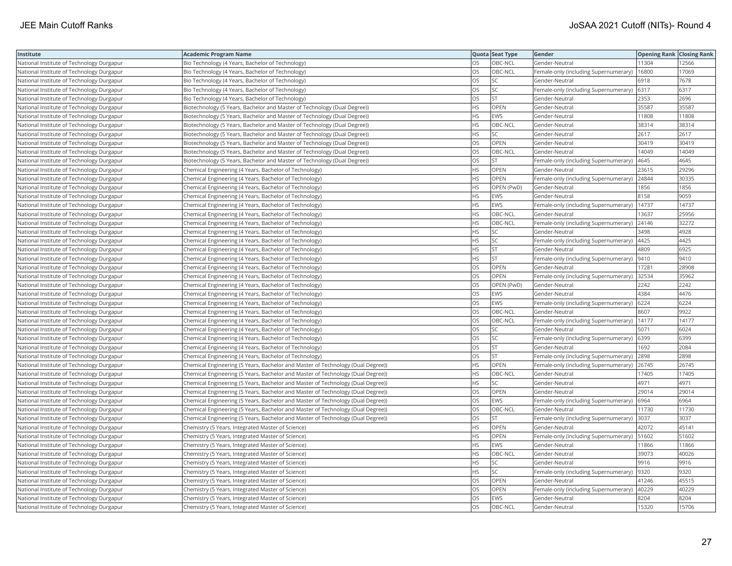| Institute                                 | Academic Program Name                                                            |           | Quota Seat Type | Gender                                | <b>Opening Rank Closing Rank</b> |       |
|-------------------------------------------|----------------------------------------------------------------------------------|-----------|-----------------|---------------------------------------|----------------------------------|-------|
| National Institute of Technology Durgapur | Bio Technology (4 Years, Bachelor of Technology)                                 | OS        | OBC-NCL         | Gender-Neutral                        | 11304                            | 12566 |
| National Institute of Technology Durgapur | Bio Technology (4 Years, Bachelor of Technology)                                 | OS.       | OBC-NCL         | Female-only (including Supernumerary) | 16800                            | 17069 |
| National Institute of Technology Durgapur | Bio Technology (4 Years, Bachelor of Technology)                                 | <b>OS</b> | <b>SC</b>       | Gender-Neutral                        | 6918                             | 7678  |
| National Institute of Technology Durgapur | Bio Technology (4 Years, Bachelor of Technology)                                 | OS        | SC              | Female-only (including Supernumerary) | 6317                             | 6317  |
| National Institute of Technology Durgapur | Bio Technology (4 Years, Bachelor of Technology)                                 | OS        | <b>ST</b>       | Gender-Neutral                        | 2353                             | 2696  |
| National Institute of Technology Durgapur | Biotechnology (5 Years, Bachelor and Master of Technology (Dual Degree))         | HS        | OPEN            | Gender-Neutral                        | 35587                            | 35587 |
| National Institute of Technology Durgapur | Biotechnology (5 Years, Bachelor and Master of Technology (Dual Degree))         | HS        | EWS             | Gender-Neutral                        | 11808                            | 11808 |
| National Institute of Technology Durgapur | Biotechnology (5 Years, Bachelor and Master of Technology (Dual Degree))         | HS        | OBC-NCL         | Gender-Neutral                        | 38314                            | 38314 |
| National Institute of Technology Durgapur | Biotechnology (5 Years, Bachelor and Master of Technology (Dual Degree))         | HS        | SC              | Gender-Neutral                        | 2617                             | 2617  |
| National Institute of Technology Durgapur | Biotechnology (5 Years, Bachelor and Master of Technology (Dual Degree))         | OS        | OPEN            | Gender-Neutral                        | 30419                            | 30419 |
| National Institute of Technology Durgapur | Biotechnology (5 Years, Bachelor and Master of Technology (Dual Degree))         | OS.       | OBC-NCL         | Gender-Neutral                        | 14049                            | 14049 |
| National Institute of Technology Durgapur | Biotechnology (5 Years, Bachelor and Master of Technology (Dual Degree))         | OS        | <b>ST</b>       | Female-only (including Supernumerary) | 4645                             | 4645  |
| National Institute of Technology Durgapur | Chemical Engineering (4 Years, Bachelor of Technology)                           | <b>HS</b> | OPEN            | Gender-Neutral                        | 23615                            | 29296 |
| National Institute of Technology Durgapur | Chemical Engineering (4 Years, Bachelor of Technology)                           | HS        | OPEN            | Female-only (including Supernumerary) | 24844                            | 30335 |
| National Institute of Technology Durgapur | Chemical Engineering (4 Years, Bachelor of Technology)                           | HS        | OPEN (PwD)      | Gender-Neutral                        | 1856                             | 1856  |
| National Institute of Technology Durgapur | Chemical Engineering (4 Years, Bachelor of Technology)                           | HS.       | <b>EWS</b>      | Gender-Neutral                        | 8158                             | 9059  |
| National Institute of Technology Durgapur | Chemical Engineering (4 Years, Bachelor of Technology)                           | HS        | EWS             | Female-only (including Supernumerary) | 14737                            | 14737 |
| National Institute of Technology Durgapur | Chemical Engineering (4 Years, Bachelor of Technology)                           | HS        | OBC-NCL         | Gender-Neutral                        | 13637                            | 25956 |
| National Institute of Technology Durgapur | Chemical Engineering (4 Years, Bachelor of Technology)                           | <b>HS</b> | OBC-NCL         | Female-only (including Supernumerary) | 24146                            | 32272 |
| National Institute of Technology Durgapur | Chemical Engineering (4 Years, Bachelor of Technology)                           | HS        | SC              | Gender-Neutral                        | 3498                             | 4928  |
| National Institute of Technology Durgapur | Chemical Engineering (4 Years, Bachelor of Technology)                           | HS        | SC              | Female-only (including Supernumerary) | 4425                             | 4425  |
| National Institute of Technology Durgapur | Chemical Engineering (4 Years, Bachelor of Technology)                           | HS        | <b>ST</b>       | Gender-Neutral                        | 4809                             | 6925  |
| National Institute of Technology Durgapur | Chemical Engineering (4 Years, Bachelor of Technology)                           | HS        | <b>ST</b>       | Female-only (including Supernumerary) | 9410                             | 9410  |
| National Institute of Technology Durgapur | Chemical Engineering (4 Years, Bachelor of Technology)                           | OS        | OPEN            | Gender-Neutral                        | 17281                            | 28908 |
| National Institute of Technology Durgapur | Chemical Engineering (4 Years, Bachelor of Technology)                           | OS        | OPEN            | Female-only (including Supernumerary) | 32534                            | 35962 |
| National Institute of Technology Durgapur | Chemical Engineering (4 Years, Bachelor of Technology)                           | OS        | OPEN (PwD)      | Gender-Neutral                        | 2242                             | 2242  |
| National Institute of Technology Durgapur | Chemical Engineering (4 Years, Bachelor of Technology)                           | <b>OS</b> | EWS             | Gender-Neutral                        | 4384                             | 4476  |
| National Institute of Technology Durgapur | Chemical Engineering (4 Years, Bachelor of Technology)                           | OS        | EWS             | Female-only (including Supernumerary) | 6224                             | 6224  |
| National Institute of Technology Durgapur | Chemical Engineering (4 Years, Bachelor of Technology)                           | OS        | OBC-NCL         | Gender-Neutral                        | 8607                             | 9922  |
| National Institute of Technology Durgapur | Chemical Engineering (4 Years, Bachelor of Technology)                           | OS        | OBC-NCL         | Female-only (including Supernumerary) | 14177                            | 14177 |
| National Institute of Technology Durgapur | Chemical Engineering (4 Years, Bachelor of Technology)                           | OS        | <b>SC</b>       | Gender-Neutral                        | 5071                             | 6024  |
| National Institute of Technology Durgapur | Chemical Engineering (4 Years, Bachelor of Technology)                           | OS        | SC              | Female-only (including Supernumerary) | 6399                             | 6399  |
| National Institute of Technology Durgapur | Chemical Engineering (4 Years, Bachelor of Technology)                           | OS        | <b>ST</b>       | Gender-Neutral                        | 1692                             | 2084  |
| National Institute of Technology Durgapur | Chemical Engineering (4 Years, Bachelor of Technology)                           | OS        | <b>ST</b>       | Female-only (including Supernumerary) | 2898                             | 2898  |
| National Institute of Technology Durgapur | Chemical Engineering (5 Years, Bachelor and Master of Technology (Dual Degree))  | HS.       | OPEN            | Female-only (including Supernumerary) | 26745                            | 26745 |
| National Institute of Technology Durgapur | (Chemical Engineering (5 Years, Bachelor and Master of Technology (Dual Degree)) | HS.       | OBC-NCL         | Gender-Neutral                        | 17405                            | 17405 |
| National Institute of Technology Durgapur | (Chemical Engineering (5 Years, Bachelor and Master of Technology (Dual Degree)) | HS        | SC              | Gender-Neutral                        | 4971                             | 4971  |
| National Institute of Technology Durgapur | Chemical Engineering (5 Years, Bachelor and Master of Technology (Dual Degree))  | OS        | OPEN            | Gender-Neutral                        | 29014                            | 29014 |
| National Institute of Technology Durgapur | (Chemical Engineering (5 Years, Bachelor and Master of Technology (Dual Degree)) | OS        | <b>EWS</b>      | Female-only (including Supernumerary) | 6964                             | 6964  |
| National Institute of Technology Durgapur | (Chemical Engineering (5 Years, Bachelor and Master of Technology (Dual Degree)) | OS        | OBC-NCL         | Gender-Neutral                        | 11730                            | 11730 |
| National Institute of Technology Durgapur | Chemical Engineering (5 Years, Bachelor and Master of Technology (Dual Degree))  | OS        | <b>ST</b>       | Female-only (including Supernumerary) | 3037                             | 3037  |
| National Institute of Technology Durgapur | Chemistry (5 Years, Integrated Master of Science)                                | HS.       | OPEN            | Gender-Neutral                        | 42072                            | 45141 |
| National Institute of Technology Durgapur | Chemistry (5 Years, Integrated Master of Science)                                | HS        | OPEN            | Female-only (including Supernumerary) | 51602                            | 51602 |
| National Institute of Technology Durgapur | Chemistry (5 Years, Integrated Master of Science)                                | HS        | EWS             | Gender-Neutral                        | 11866                            | 11866 |
| National Institute of Technology Durgapur | Chemistry (5 Years, Integrated Master of Science)                                | HS        | OBC-NCL         | Gender-Neutral                        | 39073                            | 40026 |
| National Institute of Technology Durgapur | Chemistry (5 Years, Integrated Master of Science)                                | HS        | SC              | Gender-Neutral                        | 9916                             | 9916  |
| National Institute of Technology Durgapur | Chemistry (5 Years, Integrated Master of Science)                                | <b>HS</b> | <b>SC</b>       | Female-only (including Supernumerary) | 9320                             | 9320  |
| National Institute of Technology Durgapur | Chemistry (5 Years, Integrated Master of Science)                                | OS        | OPEN            | Gender-Neutral                        | 41246                            | 45515 |
| National Institute of Technology Durgapur | Chemistry (5 Years, Integrated Master of Science)                                | OS        | OPEN            | Female-only (including Supernumerary) | 40229                            | 40229 |
| National Institute of Technology Durgapur | Chemistry (5 Years, Integrated Master of Science)                                | OS.       | EWS             | Gender-Neutral                        | 8204                             | 8204  |
| National Institute of Technology Durgapur | Chemistry (5 Years, Integrated Master of Science)                                | <b>OS</b> | OBC-NCL         | Gender-Neutral                        | 15320                            | 15706 |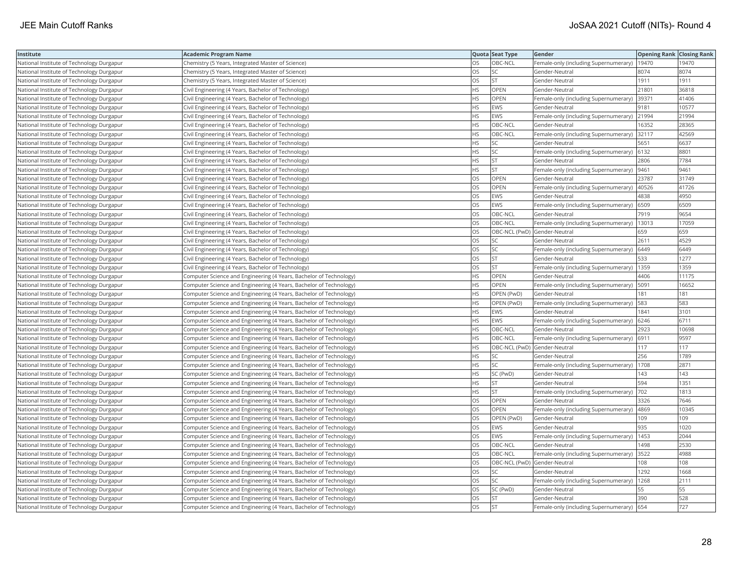| Institute                                 | <b>Academic Program Name</b>                                       |           | Quota Seat Type              | Gender                                        | Opening Rank Closing Rank |       |
|-------------------------------------------|--------------------------------------------------------------------|-----------|------------------------------|-----------------------------------------------|---------------------------|-------|
| National Institute of Technology Durgapur | Chemistry (5 Years, Integrated Master of Science)                  | OS        | OBC-NCL                      | Female-only (including Supernumerary)         | 19470                     | 19470 |
| National Institute of Technology Durgapur | Chemistry (5 Years, Integrated Master of Science)                  | OS        | SC                           | Gender-Neutral                                | 8074                      | 8074  |
| National Institute of Technology Durgapur | Chemistry (5 Years, Integrated Master of Science)                  | OS        | <b>ST</b>                    | Gender-Neutral                                | 1911                      | 1911  |
| National Institute of Technology Durgapur | Civil Engineering (4 Years, Bachelor of Technology)                | <b>HS</b> | <b>OPEN</b>                  | Gender-Neutral                                | 21801                     | 36818 |
| National Institute of Technology Durgapur | Civil Engineering (4 Years, Bachelor of Technology)                | HS        | <b>OPEN</b>                  | Female-only (including Supernumerary)         | 39371                     | 41406 |
| National Institute of Technology Durgapur | Civil Engineering (4 Years, Bachelor of Technology)                | HS        | <b>EWS</b>                   | Gender-Neutral                                | 9181                      | 10577 |
| National Institute of Technology Durgapur | Civil Engineering (4 Years, Bachelor of Technology)                | HS        | <b>EWS</b>                   | Female-only (including Supernumerary) 21994   |                           | 21994 |
| National Institute of Technology Durgapur | Civil Engineering (4 Years, Bachelor of Technology)                | HS        | OBC-NCL                      | Gender-Neutral                                | 16352                     | 28365 |
| National Institute of Technology Durgapur | Civil Engineering (4 Years, Bachelor of Technology)                | HS        | OBC-NCL                      | Female-only (including Supernumerary)         | 32117                     | 42569 |
| National Institute of Technology Durgapur | Civil Engineering (4 Years, Bachelor of Technology)                | HS        | SC                           | Gender-Neutral                                | 5651                      | 6637  |
| National Institute of Technology Durgapur | Civil Engineering (4 Years, Bachelor of Technology)                | HS        | SC                           | Female-only (including Supernumerary)         | 6132                      | 8801  |
| National Institute of Technology Durgapur | Civil Engineering (4 Years, Bachelor of Technology)                | <b>HS</b> | <b>ST</b>                    | Gender-Neutral                                | 2806                      | 7784  |
| National Institute of Technology Durgapur | Civil Engineering (4 Years, Bachelor of Technology)                | HS        | <b>ST</b>                    | Female-only (including Supernumerary)  9461   |                           | 9461  |
| National Institute of Technology Durgapur | Civil Engineering (4 Years, Bachelor of Technology)                | OS        | OPEN                         | Gender-Neutral                                | 23787                     | 31749 |
| National Institute of Technology Durgapur | Civil Engineering (4 Years, Bachelor of Technology)                | OS        | <b>OPEN</b>                  | Female-only (including Supernumerary)   40526 |                           | 41726 |
| National Institute of Technology Durgapur | Civil Engineering (4 Years, Bachelor of Technology)                | OS        | <b>EWS</b>                   | Gender-Neutral                                | 4838                      | 4950  |
| National Institute of Technology Durgapur | Civil Engineering (4 Years, Bachelor of Technology)                | OS        | <b>EWS</b>                   | Female-only (including Supernumerary)         | 6509                      | 6509  |
| National Institute of Technology Durgapur | Civil Engineering (4 Years, Bachelor of Technology)                | OS        | OBC-NCL                      | Gender-Neutral                                | 7919                      | 9654  |
| National Institute of Technology Durgapur | Civil Engineering (4 Years, Bachelor of Technology)                | OS        | OBC-NCL                      | Female-only (including Supernumerary)         | 13013                     | 17059 |
| National Institute of Technology Durgapur | Civil Engineering (4 Years, Bachelor of Technology)                | OS        | OBC-NCL (PwD) Gender-Neutral |                                               | 659                       | 659   |
| National Institute of Technology Durgapur | Civil Engineering (4 Years, Bachelor of Technology)                | OS        | SC                           | Gender-Neutral                                | 2611                      | 4529  |
| National Institute of Technology Durgapur | Civil Engineering (4 Years, Bachelor of Technology)                | OS        | SC                           | Female-only (including Supernumerary)   6449  |                           | 6449  |
| National Institute of Technology Durgapur | Civil Engineering (4 Years, Bachelor of Technology)                | OS        | <b>ST</b>                    | Gender-Neutral                                | 533                       | 1277  |
| National Institute of Technology Durgapur | Civil Engineering (4 Years, Bachelor of Technology)                | OS        | <b>ST</b>                    | Female-only (including Supernumerary)   1359  |                           | 1359  |
| National Institute of Technology Durgapur | Computer Science and Engineering (4 Years, Bachelor of Technology) | ΗS        | OPEN                         | Gender-Neutral                                | 4406                      | 11175 |
| National Institute of Technology Durgapur | Computer Science and Engineering (4 Years, Bachelor of Technology) | HS        | OPEN                         | Female-only (including Supernumerary) 5091    |                           | 16652 |
| National Institute of Technology Durgapur | Computer Science and Engineering (4 Years, Bachelor of Technology) | <b>HS</b> | OPEN (PwD)                   | Gender-Neutral                                | 181                       | 181   |
| National Institute of Technology Durgapur | Computer Science and Engineering (4 Years, Bachelor of Technology) | <b>HS</b> | OPEN (PwD)                   | Female-only (including Supernumerary)   583   |                           | 583   |
| National Institute of Technology Durgapur | Computer Science and Engineering (4 Years, Bachelor of Technology) | HS        | <b>EWS</b>                   | Gender-Neutral                                | 1841                      | 3101  |
| National Institute of Technology Durgapur | Computer Science and Engineering (4 Years, Bachelor of Technology) | HS        | <b>EWS</b>                   | Female-only (including Supernumerary) 6246    |                           | 6711  |
| National Institute of Technology Durgapur | Computer Science and Engineering (4 Years, Bachelor of Technology) | HS        | OBC-NCL                      | Gender-Neutral                                | 2923                      | 10698 |
| National Institute of Technology Durgapur | Computer Science and Engineering (4 Years, Bachelor of Technology) | ΗS        | OBC-NCL                      | Female-only (including Supernumerary) 6911    |                           | 9597  |
| National Institute of Technology Durgapur | Computer Science and Engineering (4 Years, Bachelor of Technology) | HS        | OBC-NCL (PwD) Gender-Neutral |                                               | 117                       | 117   |
| National Institute of Technology Durgapur | Computer Science and Engineering (4 Years, Bachelor of Technology) | HS        | SC                           | Gender-Neutral                                | 256                       | 1789  |
| National Institute of Technology Durgapur | Computer Science and Engineering (4 Years, Bachelor of Technology) | HS        | SC                           | Female-only (including Supernumerary)   1708  |                           | 2871  |
| National Institute of Technology Durgapur | Computer Science and Engineering (4 Years, Bachelor of Technology) | <b>HS</b> | SC (PwD)                     | Gender-Neutral                                | 143                       | 143   |
| National Institute of Technology Durgapur | Computer Science and Engineering (4 Years, Bachelor of Technology) | HS        | <b>ST</b>                    | Gender-Neutral                                | 594                       | 1351  |
| National Institute of Technology Durgapur | Computer Science and Engineering (4 Years, Bachelor of Technology) | HS        | <b>ST</b>                    | Female-only (including Supernumerary)  702    |                           | 1813  |
| National Institute of Technology Durgapur | Computer Science and Engineering (4 Years, Bachelor of Technology) | OS        | OPEN                         | Gender-Neutral                                | 3326                      | 7646  |
| National Institute of Technology Durgapur | Computer Science and Engineering (4 Years, Bachelor of Technology) | OS        | OPEN                         | Female-only (including Supernumerary)   4869  |                           | 10345 |
| National Institute of Technology Durgapur | Computer Science and Engineering (4 Years, Bachelor of Technology) | OS        | OPEN (PwD)                   | Gender-Neutral                                | 109                       | 109   |
| National Institute of Technology Durgapur | Computer Science and Engineering (4 Years, Bachelor of Technology) | OS        | <b>EWS</b>                   | Gender-Neutral                                | 935                       | 1020  |
| National Institute of Technology Durgapur | Computer Science and Engineering (4 Years, Bachelor of Technology) | OS        | <b>EWS</b>                   | Female-only (including Supernumerary)         | 1453                      | 2044  |
| National Institute of Technology Durgapur | Computer Science and Engineering (4 Years, Bachelor of Technology) | OS        | OBC-NCL                      | Gender-Neutral                                | 1498                      | 2530  |
| National Institute of Technology Durgapur | Computer Science and Engineering (4 Years, Bachelor of Technology) | OS        | OBC-NCL                      | Female-only (including Supernumerary)         | 3522                      | 4988  |
| National Institute of Technology Durgapur | Computer Science and Engineering (4 Years, Bachelor of Technology) | OS        | OBC-NCL (PwD) Gender-Neutral |                                               | 108                       | 108   |
| National Institute of Technology Durgapur | Computer Science and Engineering (4 Years, Bachelor of Technology) | OS        | SC                           | Gender-Neutral                                | 1292                      | 1668  |
| National Institute of Technology Durgapur | Computer Science and Engineering (4 Years, Bachelor of Technology) | OS        | SC                           | Female-only (including Supernumerary)   1268  |                           | 2111  |
| National Institute of Technology Durgapur | Computer Science and Engineering (4 Years, Bachelor of Technology) | OS        | SC (PwD)                     | Gender-Neutral                                | 55                        | 55    |
| National Institute of Technology Durgapur | Computer Science and Engineering (4 Years, Bachelor of Technology) | OS        | <b>ST</b>                    | Gender-Neutral                                | 390                       | 528   |
| National Institute of Technology Durgapur | Computer Science and Engineering (4 Years, Bachelor of Technology) | <b>OS</b> | İst                          | Female-only (including Supernumerary) 654     |                           | 727   |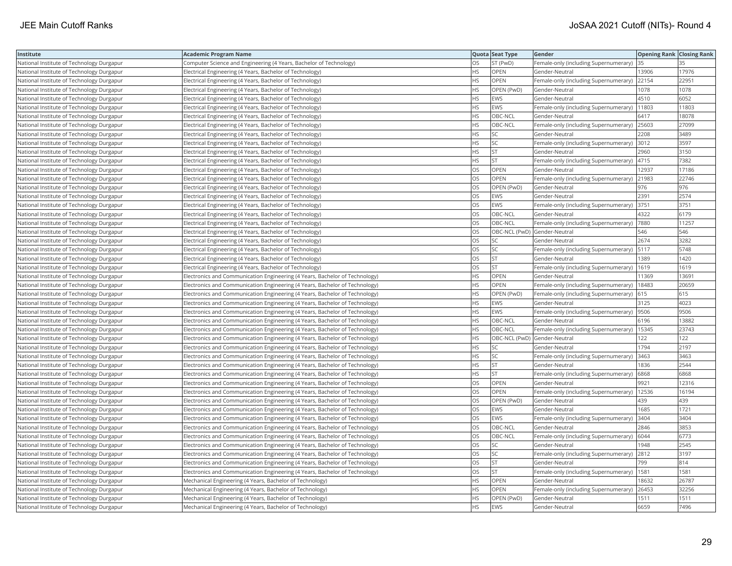| Institute                                 | <b>Academic Program Name</b>                                                |           | Quota Seat Type | Gender                                        | <b>Opening Rank Closing Rank</b> |       |
|-------------------------------------------|-----------------------------------------------------------------------------|-----------|-----------------|-----------------------------------------------|----------------------------------|-------|
| National Institute of Technology Durgapur | Computer Science and Engineering (4 Years, Bachelor of Technology)          | OS        | ST (PwD)        | Female-only (including Supernumerary) 35      |                                  |       |
| National Institute of Technology Durgapur | Electrical Engineering (4 Years, Bachelor of Technology)                    | <b>HS</b> | OPEN            | Gender-Neutral                                | 13906                            | 17976 |
| National Institute of Technology Durgapur | Electrical Engineering (4 Years, Bachelor of Technology)                    | HS.       | <b>OPEN</b>     | Female-only (including Supernumerary)         | 22154                            | 22951 |
| National Institute of Technology Durgapur | Electrical Engineering (4 Years, Bachelor of Technology)                    | HS        | OPEN (PwD)      | Gender-Neutral                                | 1078                             | 1078  |
| National Institute of Technology Durgapur | Electrical Engineering (4 Years, Bachelor of Technology)                    | HS        | <b>EWS</b>      | Gender-Neutral                                | 4510                             | 6052  |
| National Institute of Technology Durgapur | Electrical Engineering (4 Years, Bachelor of Technology)                    | HS        | <b>EWS</b>      | Female-only (including Supernumerary)         | 11803                            | 11803 |
| National Institute of Technology Durgapur | Electrical Engineering (4 Years, Bachelor of Technology)                    | HS        | OBC-NCL         | Gender-Neutral                                | 6417                             | 18078 |
| National Institute of Technology Durgapur | Electrical Engineering (4 Years, Bachelor of Technology)                    | HS        | OBC-NCL         | Female-only (including Supernumerary)         | 25603                            | 27099 |
| National Institute of Technology Durgapur | Electrical Engineering (4 Years, Bachelor of Technology)                    | HS        | SC              | Gender-Neutral                                | 2208                             | 3489  |
| National Institute of Technology Durgapur | Electrical Engineering (4 Years, Bachelor of Technology)                    | HS        | SC              | Female-only (including Supernumerary) 3012    |                                  | 3597  |
| National Institute of Technology Durgapur | Electrical Engineering (4 Years, Bachelor of Technology)                    | <b>HS</b> | <b>ST</b>       | Gender-Neutral                                | 2960                             | 3150  |
| National Institute of Technology Durgapur | Electrical Engineering (4 Years, Bachelor of Technology)                    | HS        | <b>ST</b>       | Female-only (including Supernumerary) 4715    |                                  | 7382  |
| National Institute of Technology Durgapur | Electrical Engineering (4 Years, Bachelor of Technology)                    | OS        | OPEN            | Gender-Neutral                                | 12937                            | 17186 |
| National Institute of Technology Durgapur | Electrical Engineering (4 Years, Bachelor of Technology)                    | OS        | OPEN            | Female-only (including Supernumerary)         | 21983                            | 22746 |
| National Institute of Technology Durgapur | Electrical Engineering (4 Years, Bachelor of Technology)                    | OS        | OPEN (PwD)      | Gender-Neutral                                | 976                              | 976   |
| National Institute of Technology Durgapur | Electrical Engineering (4 Years, Bachelor of Technology)                    | OS        | <b>EWS</b>      | Gender-Neutral                                | 2391                             | 2574  |
| National Institute of Technology Durgapur | Electrical Engineering (4 Years, Bachelor of Technology)                    | OS        | <b>EWS</b>      | Female-only (including Supernumerary)         | 3751                             | 3751  |
| National Institute of Technology Durgapur | Electrical Engineering (4 Years, Bachelor of Technology)                    | OS        | OBC-NCL         | Gender-Neutral                                | 4322                             | 6179  |
| National Institute of Technology Durgapur | Electrical Engineering (4 Years, Bachelor of Technology)                    | OS        | OBC-NCL         | Female-only (including Supernumerary)  7880   |                                  | 11257 |
| National Institute of Technology Durgapur | Electrical Engineering (4 Years, Bachelor of Technology)                    | OS        |                 | OBC-NCL (PwD) Gender-Neutral                  | 546                              | 546   |
| National Institute of Technology Durgapur | Electrical Engineering (4 Years, Bachelor of Technology)                    | OS        | SC              | Gender-Neutral                                | 2674                             | 3282  |
| National Institute of Technology Durgapur | Electrical Engineering (4 Years, Bachelor of Technology)                    | OS        | SC              | Female-only (including Supernumerary)   5117  |                                  | 5748  |
| National Institute of Technology Durgapur | Electrical Engineering (4 Years, Bachelor of Technology)                    | OS        | <b>ST</b>       | Gender-Neutral                                | 1389                             | 1420  |
| National Institute of Technology Durgapur | Electrical Engineering (4 Years, Bachelor of Technology)                    | OS        | <b>ST</b>       | Female-only (including Supernumerary)         | 1619                             | 1619  |
| National Institute of Technology Durgapur | Electronics and Communication Engineering (4 Years, Bachelor of Technology) | HS        | OPEN            | Gender-Neutral                                | 11369                            | 1369  |
| National Institute of Technology Durgapur | Electronics and Communication Engineering (4 Years, Bachelor of Technology) | HS        | OPEN            | Female-only (including Supernumerary)         | 18483                            | 20659 |
| National Institute of Technology Durgapur | Electronics and Communication Engineering (4 Years, Bachelor of Technology) | <b>HS</b> | OPEN (PwD)      | Female-only (including Supernumerary)         | 615                              | 615   |
| National Institute of Technology Durgapur | Electronics and Communication Engineering (4 Years, Bachelor of Technology) | HS        | <b>EWS</b>      | Gender-Neutral                                | 3125                             | 4023  |
| National Institute of Technology Durgapur | Electronics and Communication Engineering (4 Years, Bachelor of Technology) | HS        | <b>EWS</b>      | Female-only (including Supernumerary)  9506   |                                  | 9506  |
| National Institute of Technology Durgapur | Electronics and Communication Engineering (4 Years, Bachelor of Technology) | HS        | OBC-NCL         | Gender-Neutral                                | 6196                             | 13882 |
| National Institute of Technology Durgapur | Electronics and Communication Engineering (4 Years, Bachelor of Technology) | HS        | OBC-NCL         | Female-only (including Supernumerary)   15345 |                                  | 23743 |
| National Institute of Technology Durgapur | Electronics and Communication Engineering (4 Years, Bachelor of Technology) | HS        |                 | OBC-NCL (PwD) Gender-Neutral                  | 122                              | 122   |
| National Institute of Technology Durgapur | Electronics and Communication Engineering (4 Years, Bachelor of Technology) | HS        | SC              | Gender-Neutral                                | 1794                             | 2197  |
| National Institute of Technology Durgapur | Electronics and Communication Engineering (4 Years, Bachelor of Technology) | HS        | SC              | Female-only (including Supernumerary)         | 3463                             | 3463  |
| National Institute of Technology Durgapur | Electronics and Communication Engineering (4 Years, Bachelor of Technology) | HS        | <b>ST</b>       | Gender-Neutral                                | 1836                             | 2544  |
| National Institute of Technology Durgapur | Electronics and Communication Engineering (4 Years, Bachelor of Technology) | HS        | <b>ST</b>       | Female-only (including Supernumerary)         | 6868                             | 6868  |
| National Institute of Technology Durgapur | Electronics and Communication Engineering (4 Years, Bachelor of Technology) | OS        | OPEN            | Gender-Neutral                                | 9921                             | 12316 |
| National Institute of Technology Durgapur | Electronics and Communication Engineering (4 Years, Bachelor of Technology) | OS        | OPEN            | Female-only (including Supernumerary)   12536 |                                  | 16194 |
| National Institute of Technology Durgapur | Electronics and Communication Engineering (4 Years, Bachelor of Technology) | OS        | OPEN (PwD)      | Gender-Neutral                                | 439                              | 439   |
| National Institute of Technology Durgapur | Electronics and Communication Engineering (4 Years, Bachelor of Technology) | OS        | <b>EWS</b>      | Gender-Neutral                                | 1685                             | 1721  |
| National Institute of Technology Durgapur | Electronics and Communication Engineering (4 Years, Bachelor of Technology) | OS        | <b>EWS</b>      | Female-only (including Supernumerary)         | 3404                             | 3404  |
| National Institute of Technology Durgapur | Electronics and Communication Engineering (4 Years, Bachelor of Technology) | OS        | OBC-NCL         | Gender-Neutral                                | 2846                             | 3853  |
| National Institute of Technology Durgapur | Electronics and Communication Engineering (4 Years, Bachelor of Technology) | OS        | OBC-NCL         | Female-only (including Supernumerary)         | 6044                             | 6773  |
| National Institute of Technology Durgapur | Electronics and Communication Engineering (4 Years, Bachelor of Technology) | OS        | <b>SC</b>       | Gender-Neutral                                | 1948                             | 2545  |
| National Institute of Technology Durgapur | Electronics and Communication Engineering (4 Years, Bachelor of Technology) | OS        | SC              | Female-only (including Supernumerary) 2812    |                                  | 3197  |
| National Institute of Technology Durgapur | Electronics and Communication Engineering (4 Years, Bachelor of Technology) | OS        | ST              | Gender-Neutral                                | 799                              | 814   |
| National Institute of Technology Durgapur | Electronics and Communication Engineering (4 Years, Bachelor of Technology) | OS        | <b>ST</b>       | Female-only (including Supernumerary)         | 1581                             | 1581  |
| National Institute of Technology Durgapur | Mechanical Engineering (4 Years, Bachelor of Technology)                    | HS        | OPEN            | Gender-Neutral                                | 18632                            | 26787 |
| National Institute of Technology Durgapur | Mechanical Engineering (4 Years, Bachelor of Technology)                    | HS        | OPEN            | Female-only (including Supernumerary)         | 26453                            | 32256 |
| National Institute of Technology Durgapur | Mechanical Engineering (4 Years, Bachelor of Technology)                    | HS.       | OPEN (PwD)      | Gender-Neutral                                | 1511                             | 1511  |
| National Institute of Technology Durgapur | Mechanical Engineering (4 Years, Bachelor of Technology)                    | <b>HS</b> | <b>EWS</b>      | Gender-Neutral                                | 6659                             | 7496  |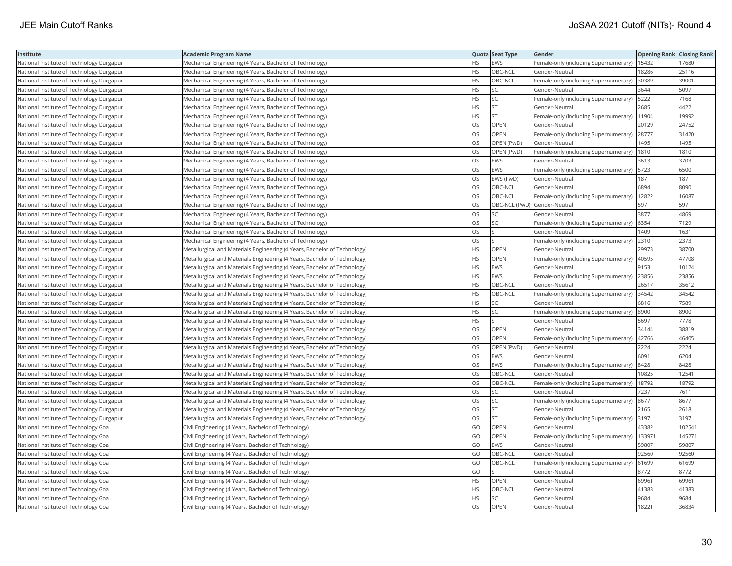| Institute                                 | Academic Program Name                                                     |           | Quota Seat Type              | Gender                                        | <b>Opening Rank Closing Rank</b> |        |
|-------------------------------------------|---------------------------------------------------------------------------|-----------|------------------------------|-----------------------------------------------|----------------------------------|--------|
| National Institute of Technology Durgapur | Mechanical Engineering (4 Years, Bachelor of Technology)                  | HS.       | EWS                          | Female-only (including Supernumerary)   15432 |                                  | 17680  |
| National Institute of Technology Durgapur | Mechanical Engineering (4 Years, Bachelor of Technology)                  | HS        | OBC-NCL                      | Gender-Neutral                                | 8286                             | 25116  |
| National Institute of Technology Durgapur | Mechanical Engineering (4 Years, Bachelor of Technology)                  | <b>HS</b> | OBC-NCL                      | Female-only (including Supernumerary)         | 30389                            | 39001  |
| National Institute of Technology Durgapur | Mechanical Engineering (4 Years, Bachelor of Technology)                  | HS        | SC                           | Gender-Neutral                                | 3644                             | 5097   |
| National Institute of Technology Durgapur | Mechanical Engineering (4 Years, Bachelor of Technology)                  | HS        | SC                           | Female-only (including Supernumerary)         | 5222                             | 7168   |
| National Institute of Technology Durgapur | Mechanical Engineering (4 Years, Bachelor of Technology)                  | HS        | lst                          | Gender-Neutral                                | 2685                             | 4422   |
| National Institute of Technology Durgapur | Mechanical Engineering (4 Years, Bachelor of Technology)                  | HS        | <b>ST</b>                    | Female-only (including Supernumerary)         | 11904                            | 19992  |
| National Institute of Technology Durgapur | Mechanical Engineering (4 Years, Bachelor of Technology)                  | <b>OS</b> | OPEN                         | Gender-Neutral                                | 20129                            | 24752  |
| National Institute of Technology Durgapur | Mechanical Engineering (4 Years, Bachelor of Technology)                  | OS        | <b>OPEN</b>                  | Female-only (including Supernumerary)         | 28777                            | 31420  |
| National Institute of Technology Durgapur | Mechanical Engineering (4 Years, Bachelor of Technology)                  | OS        | OPEN (PwD)                   | Gender-Neutral                                | 1495                             | 1495   |
| National Institute of Technology Durgapur | Mechanical Engineering (4 Years, Bachelor of Technology)                  | OS        | OPEN (PwD)                   | Female-only (including Supernumerary)         | 1810                             | 1810   |
| National Institute of Technology Durgapur | Mechanical Engineering (4 Years, Bachelor of Technology)                  | OS        | EWS                          | Gender-Neutral                                | 3613                             | 3703   |
| National Institute of Technology Durgapur | Mechanical Engineering (4 Years, Bachelor of Technology)                  | <b>OS</b> | EWS                          | Female-only (including Supernumerary)         | 5723                             | 6500   |
| National Institute of Technology Durgapur | Mechanical Engineering (4 Years, Bachelor of Technology)                  | OS        | EWS (PwD)                    | Gender-Neutral                                | 187                              | 187    |
| National Institute of Technology Durgapur | Mechanical Engineering (4 Years, Bachelor of Technology)                  | OS        | OBC-NCL                      | Gender-Neutral                                | 6894                             | 8090   |
| National Institute of Technology Durgapur | Mechanical Engineering (4 Years, Bachelor of Technology)                  | OS        | OBC-NCL                      | Female-only (including Supernumerary)   12822 |                                  | 16087  |
| National Institute of Technology Durgapur | Mechanical Engineering (4 Years, Bachelor of Technology)                  | <b>OS</b> | OBC-NCL (PwD) Gender-Neutral |                                               | 597                              | 597    |
| National Institute of Technology Durgapur | Mechanical Engineering (4 Years, Bachelor of Technology)                  | OS        | <b>SC</b>                    | Gender-Neutral                                | 3877                             | 4869   |
| National Institute of Technology Durgapur | Mechanical Engineering (4 Years, Bachelor of Technology)                  | OS        | SC                           | Female-only (including Supernumerary)         | 6354                             | 7129   |
| National Institute of Technology Durgapur | Mechanical Engineering (4 Years, Bachelor of Technology)                  | OS.       | <b>ST</b>                    | Gender-Neutral                                | 1409                             | 1631   |
| National Institute of Technology Durgapur | Mechanical Engineering (4 Years, Bachelor of Technology)                  | OS.       | <b>ST</b>                    | Female-only (including Supernumerary)         | 2310                             | 2373   |
| National Institute of Technology Durgapur | Metallurgical and Materials Engineering (4 Years, Bachelor of Technology) | HS        | OPEN                         | Gender-Neutral                                | 29973                            | 38700  |
| National Institute of Technology Durgapur | Metallurgical and Materials Engineering (4 Years, Bachelor of Technology) | ΗS        | OPEN                         | Female-only (including Supernumerary)         | 40595                            | 47708  |
| National Institute of Technology Durgapur | Metallurgical and Materials Engineering (4 Years, Bachelor of Technology) | HS        | EWS                          | Gender-Neutral                                | 9153                             | 10124  |
| National Institute of Technology Durgapur | Metallurgical and Materials Engineering (4 Years, Bachelor of Technology) | HS        | EWS                          | Female-only (including Supernumerary)         | 23856                            | 23856  |
| National Institute of Technology Durgapur | Metallurgical and Materials Engineering (4 Years, Bachelor of Technology) | <b>HS</b> | OBC-NCL                      | Gender-Neutral                                | 26517                            | 35612  |
| National Institute of Technology Durgapur | Metallurgical and Materials Engineering (4 Years, Bachelor of Technology) | HS        | OBC-NCL                      | Female-only (including Supernumerary)         | 34542                            | 34542  |
| National Institute of Technology Durgapur | Metallurgical and Materials Engineering (4 Years, Bachelor of Technology) | HS        | <b>SC</b>                    | Gender-Neutral                                | 6816                             | 7589   |
| National Institute of Technology Durgapur | Metallurgical and Materials Engineering (4 Years, Bachelor of Technology) | <b>HS</b> | <b>SC</b>                    | Female-only (including Supernumerary)         | 8900                             | 8900   |
| National Institute of Technology Durgapur | Metallurgical and Materials Engineering (4 Years, Bachelor of Technology) | HS        | <b>ST</b>                    | Gender-Neutral                                | 5697                             | 7778   |
| National Institute of Technology Durgapur | Metallurgical and Materials Engineering (4 Years, Bachelor of Technology) | OS        | OPEN                         | Gender-Neutral                                | 34144                            | 38819  |
| National Institute of Technology Durgapur | Metallurgical and Materials Engineering (4 Years, Bachelor of Technology) | OS        | OPEN                         | Female-only (including Supernumerary)         | 42766                            | 46405  |
| National Institute of Technology Durgapur | Metallurgical and Materials Engineering (4 Years, Bachelor of Technology) | OS        | OPEN (PwD)                   | Gender-Neutral                                | 2224                             | 2224   |
| National Institute of Technology Durgapur | Metallurgical and Materials Engineering (4 Years, Bachelor of Technology) | OS        | EWS                          | Gender-Neutral                                | 6091                             | 6204   |
| National Institute of Technology Durgapur | Metallurgical and Materials Engineering (4 Years, Bachelor of Technology) | OS        | EWS                          | Female-only (including Supernumerary)         | 8428                             | 8428   |
| National Institute of Technology Durgapur | Metallurgical and Materials Engineering (4 Years, Bachelor of Technology) | <b>OS</b> | OBC-NCL                      | Gender-Neutral                                | 10825                            | 12541  |
| National Institute of Technology Durgapur | Metallurgical and Materials Engineering (4 Years, Bachelor of Technology) | OS        | OBC-NCL                      | Female-only (including Supernumerary)         | 18792                            | 18792  |
| National Institute of Technology Durgapur | Metallurgical and Materials Engineering (4 Years, Bachelor of Technology) | OS        | <b>SC</b>                    | Gender-Neutral                                | 7237                             | 7611   |
| National Institute of Technology Durgapur | Metallurgical and Materials Engineering (4 Years, Bachelor of Technology) | OS        | SC                           | Female-only (including Supernumerary)  8677   |                                  | 8677   |
| National Institute of Technology Durgapur | Metallurgical and Materials Engineering (4 Years, Bachelor of Technology) | OS        | <b>ST</b>                    | Gender-Neutral                                | 2165                             | 2618   |
| National Institute of Technology Durgapur | Metallurgical and Materials Engineering (4 Years, Bachelor of Technology) | OS        | <b>ST</b>                    | Female-only (including Supernumerary)         | 3197                             | 3197   |
| National Institute of Technology Goa      | Civil Engineering (4 Years, Bachelor of Technology)                       | GO        | OPEN                         | Gender-Neutral                                | 43382                            | 102541 |
| National Institute of Technology Goa      | Civil Engineering (4 Years, Bachelor of Technology)                       | GO        | OPEN                         | Female-only (including Supernumerary)         | 133971                           | 145271 |
| National Institute of Technology Goa      | Civil Engineering (4 Years, Bachelor of Technology)                       | GO        | <b>EWS</b>                   | Gender-Neutral                                | 59807                            | 59807  |
| National Institute of Technology Goa      | Civil Engineering (4 Years, Bachelor of Technology)                       | GO        | OBC-NCL                      | Gender-Neutral                                | 92560                            | 92560  |
| National Institute of Technology Goa      | Civil Engineering (4 Years, Bachelor of Technology)                       | GO        | OBC-NCL                      | Female-only (including Supernumerary)         | 61699                            | 61699  |
| National Institute of Technology Goa      | Civil Engineering (4 Years, Bachelor of Technology)                       | GO        | <b>ST</b>                    | Gender-Neutral                                | 8772                             | 8772   |
| National Institute of Technology Goa      | Civil Engineering (4 Years, Bachelor of Technology)                       | НS        | OPEN                         | Gender-Neutral                                | 69961                            | 69961  |
| National Institute of Technology Goa      | Civil Engineering (4 Years, Bachelor of Technology)                       | HS        | OBC-NCL                      | Gender-Neutral                                | 41383                            | 41383  |
| National Institute of Technology Goa      | Civil Engineering (4 Years, Bachelor of Technology)                       | <b>HS</b> | <b>SC</b>                    | Gender-Neutral                                | 9684                             | 9684   |
| National Institute of Technology Goa      | Civil Engineering (4 Years, Bachelor of Technology)                       | OS        | OPEN                         | Gender-Neutral                                | 18221                            | 36834  |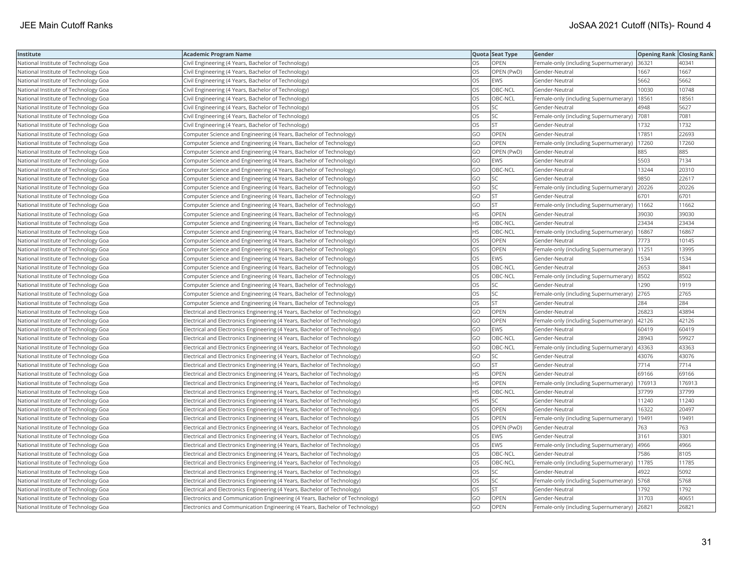| Institute                            | Academic Program Name                                                       |           | Quota Seat Type | Gender                                        | <b>Opening Rank   Closing Rank</b> |        |
|--------------------------------------|-----------------------------------------------------------------------------|-----------|-----------------|-----------------------------------------------|------------------------------------|--------|
| National Institute of Technology Goa | Civil Engineering (4 Years, Bachelor of Technology)                         | OS        | OPEN            | Female-only (including Supernumerary)         | 36321                              | 40341  |
| National Institute of Technology Goa | Civil Engineering (4 Years, Bachelor of Technology)                         | OS.       | OPEN (PwD)      | Gender-Neutral                                | 1667                               | 1667   |
| National Institute of Technology Goa | Civil Engineering (4 Years, Bachelor of Technology)                         | OS        | EWS             | Gender-Neutral                                | 5662                               | 5662   |
| National Institute of Technology Goa | Civil Engineering (4 Years, Bachelor of Technology)                         | OS        | OBC-NCL         | Gender-Neutral                                | 10030                              | 10748  |
| National Institute of Technology Goa | Civil Engineering (4 Years, Bachelor of Technology)                         | OS.       | OBC-NCL         | Female-only (including Supernumerary)         | 18561                              | 18561  |
| National Institute of Technology Goa | Civil Engineering (4 Years, Bachelor of Technology)                         | OS        | SC              | Gender-Neutral                                | 4948                               | 5627   |
| National Institute of Technology Goa | Civil Engineering (4 Years, Bachelor of Technology)                         | OS        | SC              | Female-only (including Supernumerary)         | 7081                               | 7081   |
| National Institute of Technology Goa | Civil Engineering (4 Years, Bachelor of Technology)                         | OS        | <b>ST</b>       | Gender-Neutral                                | 1732                               | 1732   |
| National Institute of Technology Goa | Computer Science and Engineering (4 Years, Bachelor of Technology)          | GO        | OPEN            | Gender-Neutral                                | 17851                              | 22693  |
| National Institute of Technology Goa | Computer Science and Engineering (4 Years, Bachelor of Technology)          | GO        | <b>OPEN</b>     | Female-only (including Supernumerary)         | 17260                              | 17260  |
| National Institute of Technology Goa | Computer Science and Engineering (4 Years, Bachelor of Technology)          | GO        | OPEN (PwD)      | Gender-Neutral                                | 885                                | 885    |
| National Institute of Technology Goa | Computer Science and Engineering (4 Years, Bachelor of Technology)          | GO        | <b>EWS</b>      | Gender-Neutral                                | 5503                               | 7134   |
| National Institute of Technology Goa | Computer Science and Engineering (4 Years, Bachelor of Technology)          | GO        | OBC-NCL         | Gender-Neutral                                | 13244                              | 20310  |
| National Institute of Technology Goa | Computer Science and Engineering (4 Years, Bachelor of Technology)          | GO        | SC              | Gender-Neutral                                | 9850                               | 22617  |
| National Institute of Technology Goa | Computer Science and Engineering (4 Years, Bachelor of Technology)          | GO        | SC              | Female-only (including Supernumerary)         | 20226                              | 20226  |
| National Institute of Technology Goa | Computer Science and Engineering (4 Years, Bachelor of Technology)          | GO        | <b>ST</b>       | Gender-Neutral                                | 6701                               | 6701   |
| National Institute of Technology Goa | Computer Science and Engineering (4 Years, Bachelor of Technology)          | GO        | <b>ST</b>       | Female-only (including Supernumerary)   11662 |                                    | 11662  |
| National Institute of Technology Goa | Computer Science and Engineering (4 Years, Bachelor of Technology)          | НS        | OPEN            | Gender-Neutral                                | 39030                              | 39030  |
| National Institute of Technology Goa | Computer Science and Engineering (4 Years, Bachelor of Technology)          | HS.       | OBC-NCL         | Gender-Neutral                                | 23434                              | 23434  |
| National Institute of Technology Goa | Computer Science and Engineering (4 Years, Bachelor of Technology)          | <b>HS</b> | OBC-NCL         | Female-only (including Supernumerary)         | 16867                              | 16867  |
| National Institute of Technology Goa | Computer Science and Engineering (4 Years, Bachelor of Technology)          | <b>OS</b> | OPEN            | Gender-Neutral                                | 7773                               | 10145  |
| National Institute of Technology Goa | Computer Science and Engineering (4 Years, Bachelor of Technology)          | OS.       | <b>OPEN</b>     | Female-only (including Supernumerary)         | 11251                              | 13995  |
| National Institute of Technology Goa | Computer Science and Engineering (4 Years, Bachelor of Technology)          | OS        | EWS             | Gender-Neutral                                | 1534                               | 1534   |
| National Institute of Technology Goa | Computer Science and Engineering (4 Years, Bachelor of Technology)          | OS        | OBC-NCL         | Gender-Neutral                                | 2653                               | 3841   |
| National Institute of Technology Goa | Computer Science and Engineering (4 Years, Bachelor of Technology)          | OS.       | OBC-NCL         | Female-only (including Supernumerary)         | 8502                               | 8502   |
| National Institute of Technology Goa | Computer Science and Engineering (4 Years, Bachelor of Technology)          | OS        | SC              | Gender-Neutral                                | 1290                               | 1919   |
| National Institute of Technology Goa | Computer Science and Engineering (4 Years, Bachelor of Technology)          | OS        | SC              | Female-only (including Supernumerary)         | 2765                               | 2765   |
| National Institute of Technology Goa | Computer Science and Engineering (4 Years, Bachelor of Technology)          | OS.       | <b>ST</b>       | Gender-Neutral                                | 284                                | 284    |
| National Institute of Technology Goa | Electrical and Electronics Engineering (4 Years, Bachelor of Technology)    | GO        | OPEN            | Gender-Neutral                                | 26823                              | 43894  |
| National Institute of Technology Goa | Electrical and Electronics Engineering (4 Years, Bachelor of Technology)    | GO        | <b>OPEN</b>     | Female-only (including Supernumerary)         | 42126                              | 42126  |
| National Institute of Technology Goa | Electrical and Electronics Engineering (4 Years, Bachelor of Technology)    | GO        | EWS             | Gender-Neutral                                | 60419                              | 60419  |
| National Institute of Technology Goa | Electrical and Electronics Engineering (4 Years, Bachelor of Technology)    | GO        | OBC-NCL         | Gender-Neutral                                | 28943                              | 59927  |
| National Institute of Technology Goa | Electrical and Electronics Engineering (4 Years, Bachelor of Technology)    | GO        | OBC-NCL         | Female-only (including Supernumerary)         | 43363                              | 43363  |
| National Institute of Technology Goa | Electrical and Electronics Engineering (4 Years, Bachelor of Technology)    | GO        | SC              | Gender-Neutral                                | 43076                              | 43076  |
| National Institute of Technology Goa | Electrical and Electronics Engineering (4 Years, Bachelor of Technology)    | GO        | <b>ST</b>       | Gender-Neutral                                | 7714                               | 7714   |
| National Institute of Technology Goa | Electrical and Electronics Engineering (4 Years, Bachelor of Technology)    | HS        | <b>OPEN</b>     | Gender-Neutral                                | 69166                              | 69166  |
| National Institute of Technology Goa | Electrical and Electronics Engineering (4 Years, Bachelor of Technology)    | HS        | OPEN            | Female-only (including Supernumerary)         | 176913                             | 176913 |
| National Institute of Technology Goa | Electrical and Electronics Engineering (4 Years, Bachelor of Technology)    | <b>HS</b> | OBC-NCL         | Gender-Neutral                                | 37799                              | 37799  |
| National Institute of Technology Goa | Electrical and Electronics Engineering (4 Years, Bachelor of Technology)    | HS.       | SC              | Gender-Neutral                                | 11240                              | 11240  |
| National Institute of Technology Goa | Electrical and Electronics Engineering (4 Years, Bachelor of Technology)    | OS        | OPEN            | Gender-Neutral                                | 16322                              | 20497  |
| National Institute of Technology Goa | Electrical and Electronics Engineering (4 Years, Bachelor of Technology)    | OS        | OPEN            | Female-only (including Supernumerary)         | 19491                              | 19491  |
| National Institute of Technology Goa | Electrical and Electronics Engineering (4 Years, Bachelor of Technology)    | OS        | OPEN (PwD)      | Gender-Neutral                                | 763                                | 763    |
| National Institute of Technology Goa | Electrical and Electronics Engineering (4 Years, Bachelor of Technology)    | OS        | EWS             | Gender-Neutral                                | 3161                               | 3301   |
| National Institute of Technology Goa | Electrical and Electronics Engineering (4 Years, Bachelor of Technology)    | OS        | <b>EWS</b>      | Female-only (including Supernumerary)         | 4966                               | 4966   |
| National Institute of Technology Goa | Electrical and Electronics Engineering (4 Years, Bachelor of Technology)    | OS        | OBC-NCL         | Gender-Neutral                                | 7586                               | 8105   |
| National Institute of Technology Goa | Electrical and Electronics Engineering (4 Years, Bachelor of Technology)    | OS.       | OBC-NCL         | Female-only (including Supernumerary)         | 11785                              | 11785  |
| National Institute of Technology Goa | Electrical and Electronics Engineering (4 Years, Bachelor of Technology)    | OS        | SC              | Gender-Neutral                                | 4922                               | 5092   |
| National Institute of Technology Goa | Electrical and Electronics Engineering (4 Years, Bachelor of Technology)    | OS        | SC              | Female-only (including Supernumerary)  5768   |                                    | 5768   |
| National Institute of Technology Goa | Electrical and Electronics Engineering (4 Years, Bachelor of Technology)    | OS        | <b>ST</b>       | Gender-Neutral                                | 1792                               | 1792   |
| National Institute of Technology Goa | Electronics and Communication Engineering (4 Years, Bachelor of Technology) | GO        | OPEN            | Gender-Neutral                                | 31703                              | 40651  |
| National Institute of Technology Goa | Electronics and Communication Engineering (4 Years, Bachelor of Technology) | GO        | OPEN            | Female-only (including Supernumerary)         | 26821                              | 26821  |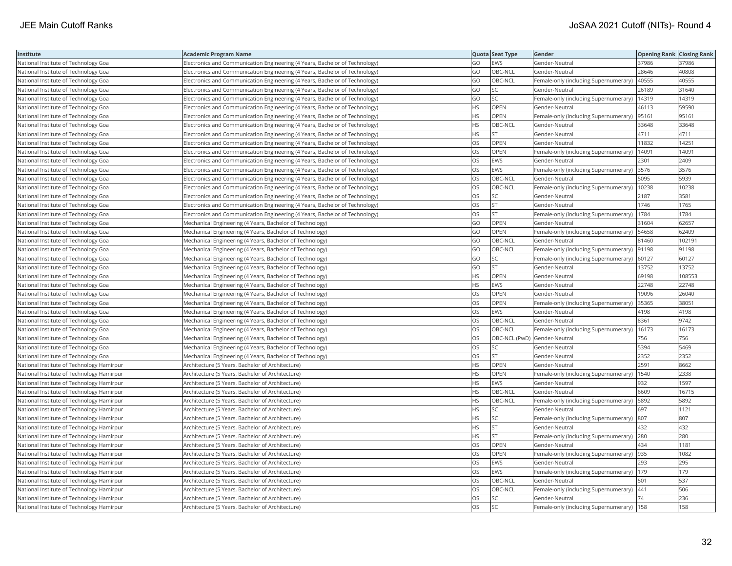| Institute                                 | <b>Academic Program Name</b>                                                |           | Quota Seat Type              | Gender                                       | <b>Opening Rank Closing Rank</b> |        |
|-------------------------------------------|-----------------------------------------------------------------------------|-----------|------------------------------|----------------------------------------------|----------------------------------|--------|
| National Institute of Technology Goa      | Electronics and Communication Engineering (4 Years, Bachelor of Technology) | GO        | EWS                          | Gender-Neutral                               | 37986                            | 37986  |
| National Institute of Technology Goa      | Electronics and Communication Engineering (4 Years, Bachelor of Technology) | GO        | OBC-NCL                      | Gender-Neutral                               | 28646                            | 40808  |
| National Institute of Technology Goa      | Electronics and Communication Engineering (4 Years, Bachelor of Technology) | GO        | OBC-NCL                      | Female-only (including Supernumerary)        | 40555                            | 40555  |
| National Institute of Technology Goa      | Electronics and Communication Engineering (4 Years, Bachelor of Technology) | GO        | SC.                          | Gender-Neutral                               | 26189                            | 31640  |
| National Institute of Technology Goa      | Electronics and Communication Engineering (4 Years, Bachelor of Technology) | GO        | SC                           | Female-only (including Supernumerary)        | 14319                            | 14319  |
| National Institute of Technology Goa      | Electronics and Communication Engineering (4 Years, Bachelor of Technology) | <b>HS</b> | OPEN                         | Gender-Neutral                               | 46113                            | 59590  |
| National Institute of Technology Goa      | Electronics and Communication Engineering (4 Years, Bachelor of Technology) | <b>HS</b> | OPEN                         | Female-only (including Supernumerary)        | 95161                            | 95161  |
| National Institute of Technology Goa      | Electronics and Communication Engineering (4 Years, Bachelor of Technology) | <b>HS</b> | OBC-NCL                      | Gender-Neutral                               | 33648                            | 33648  |
| National Institute of Technology Goa      | Electronics and Communication Engineering (4 Years, Bachelor of Technology) | <b>HS</b> | <b>ST</b>                    | Gender-Neutral                               | 4711                             | 4711   |
| National Institute of Technology Goa      | Electronics and Communication Engineering (4 Years, Bachelor of Technology) | OS        | OPEN                         | Gender-Neutral                               | 11832                            | 14251  |
| National Institute of Technology Goa      | Electronics and Communication Engineering (4 Years, Bachelor of Technology) | <b>OS</b> | <b>OPEN</b>                  | Female-only (including Supernumerary)        | 14091                            | 14091  |
| National Institute of Technology Goa      | Electronics and Communication Engineering (4 Years, Bachelor of Technology) | OS        | <b>EWS</b>                   | Gender-Neutral                               | 2301                             | 2409   |
| National Institute of Technology Goa      | Electronics and Communication Engineering (4 Years, Bachelor of Technology) | OS        | <b>EWS</b>                   | Female-only (including Supernumerary) 3576   |                                  | 3576   |
| National Institute of Technology Goa      | Electronics and Communication Engineering (4 Years, Bachelor of Technology) | <b>OS</b> | OBC-NCL                      | Gender-Neutral                               | 5095                             | 5939   |
| National Institute of Technology Goa      | Electronics and Communication Engineering (4 Years, Bachelor of Technology) | OS        | OBC-NCL                      | Female-only (including Supernumerary)        | 10238                            | 10238  |
| National Institute of Technology Goa      | Electronics and Communication Engineering (4 Years, Bachelor of Technology) | OS.       | SC                           | Gender-Neutral                               | 2187                             | 3581   |
| National Institute of Technology Goa      | Electronics and Communication Engineering (4 Years, Bachelor of Technology) | OS        | <b>ST</b>                    | Gender-Neutral                               | 1746                             | 1765   |
| National Institute of Technology Goa      | Electronics and Communication Engineering (4 Years, Bachelor of Technology) | OS        | <b>ST</b>                    | Female-only (including Supernumerary)        | 1784                             | 1784   |
| National Institute of Technology Goa      | Mechanical Engineering (4 Years, Bachelor of Technology)                    | GO        | <b>OPEN</b>                  | Gender-Neutral                               | 31604                            | 62657  |
| National Institute of Technology Goa      | Mechanical Engineering (4 Years, Bachelor of Technology)                    | GO        | OPEN                         | Female-only (including Supernumerary)        | 54658                            | 62409  |
| National Institute of Technology Goa      | Mechanical Engineering (4 Years, Bachelor of Technology)                    | GO        | OBC-NCL                      | Gender-Neutral                               | 81460                            | 102191 |
| National Institute of Technology Goa      | Mechanical Engineering (4 Years, Bachelor of Technology)                    | GO        | OBC-NCL                      | Female-only (including Supernumerary)  91198 |                                  | 91198  |
| National Institute of Technology Goa      | Mechanical Engineering (4 Years, Bachelor of Technology)                    | GO        | SC                           | Female-only (including Supernumerary)        | 60127                            | 60127  |
| National Institute of Technology Goa      | Mechanical Engineering (4 Years, Bachelor of Technology)                    | GO        | <b>ST</b>                    | Gender-Neutral                               | 13752                            | 13752  |
| National Institute of Technology Goa      | Mechanical Engineering (4 Years, Bachelor of Technology)                    | <b>HS</b> | OPEN                         | Gender-Neutral                               | 69198                            | 108553 |
| National Institute of Technology Goa      | Mechanical Engineering (4 Years, Bachelor of Technology)                    | <b>HS</b> | EWS                          | Gender-Neutral                               | 22748                            | 22748  |
| National Institute of Technology Goa      | Mechanical Engineering (4 Years, Bachelor of Technology)                    | <b>OS</b> | OPEN                         | Gender-Neutral                               | 19096                            | 26040  |
| National Institute of Technology Goa      | Mechanical Engineering (4 Years, Bachelor of Technology)                    | OS        | OPEN                         | Female-only (including Supernumerary)        | 35365                            | 38051  |
| National Institute of Technology Goa      | Mechanical Engineering (4 Years, Bachelor of Technology)                    | OS        | <b>EWS</b>                   | Gender-Neutral                               | 4198                             | 4198   |
| National Institute of Technology Goa      | Mechanical Engineering (4 Years, Bachelor of Technology)                    | OS        | OBC-NCL                      | Gender-Neutral                               | 8361                             | 9742   |
| National Institute of Technology Goa      | Mechanical Engineering (4 Years, Bachelor of Technology)                    | OS        | OBC-NCL                      | Female-only (including Supernumerary)        | 16173                            | 16173  |
| National Institute of Technology Goa      | Mechanical Engineering (4 Years, Bachelor of Technology)                    | OS        | OBC-NCL (PwD) Gender-Neutral |                                              | 756                              | 756    |
| National Institute of Technology Goa      | Mechanical Engineering (4 Years, Bachelor of Technology)                    | OS        | SC                           | Gender-Neutra                                | 5394                             | 5469   |
| National Institute of Technology Goa      | Mechanical Engineering (4 Years, Bachelor of Technology)                    | OS        | <b>ST</b>                    | Gender-Neutral                               | 2352                             | 2352   |
| National Institute of Technology Hamirpur | Architecture (5 Years, Bachelor of Architecture)                            | <b>HS</b> | OPEN                         | Gender-Neutral                               | 2591                             | 8662   |
| National Institute of Technology Hamirpur | Architecture (5 Years, Bachelor of Architecture)                            | <b>HS</b> | <b>OPEN</b>                  | Female-only (including Supernumerary)        | 1540                             | 2338   |
| National Institute of Technology Hamirpur | Architecture (5 Years, Bachelor of Architecture)                            | <b>HS</b> | <b>EWS</b>                   | Gender-Neutral                               | 932                              | 1597   |
| National Institute of Technology Hamirpur | Architecture (5 Years, Bachelor of Architecture)                            | <b>HS</b> | OBC-NCL                      | Gender-Neutral                               | 6609                             | 16715  |
| National Institute of Technology Hamirpur | Architecture (5 Years, Bachelor of Architecture)                            | <b>HS</b> | OBC-NCL                      | Female-only (including Supernumerary)        | 5892                             | 5892   |
| National Institute of Technology Hamirpur | Architecture (5 Years, Bachelor of Architecture)                            | HS        | SC                           | Gender-Neutral                               | 697                              | 1121   |
| National Institute of Technology Hamirpur | Architecture (5 Years, Bachelor of Architecture)                            | <b>HS</b> | SC.                          | Female-only (including Supernumerary)        | 807                              | 807    |
| National Institute of Technology Hamirpur | Architecture (5 Years, Bachelor of Architecture)                            | <b>HS</b> | <b>ST</b>                    | Gender-Neutral                               | 432                              | 432    |
| National Institute of Technology Hamirpur | Architecture (5 Years, Bachelor of Architecture)                            | <b>HS</b> | <b>ST</b>                    | Female-only (including Supernumerary)        | 280                              | 280    |
| National Institute of Technology Hamirpur | Architecture (5 Years, Bachelor of Architecture)                            | OS        | OPEN                         | Gender-Neutral                               | 434                              | 1181   |
| National Institute of Technology Hamirpur | Architecture (5 Years, Bachelor of Architecture)                            | <b>OS</b> | <b>OPEN</b>                  | Female-only (including Supernumerary) 935    |                                  | 1082   |
| National Institute of Technology Hamirpur | Architecture (5 Years, Bachelor of Architecture)                            | OS        | EWS                          | Gender-Neutral                               | 293                              | 295    |
| National Institute of Technology Hamirpur | Architecture (5 Years, Bachelor of Architecture)                            | <b>OS</b> | <b>EWS</b>                   | Female-only (including Supernumerary)        | 1179                             | 179    |
| National Institute of Technology Hamirpur | Architecture (5 Years, Bachelor of Architecture)                            | OS        | OBC-NCL                      | Gender-Neutral                               | 501                              | 537    |
| National Institute of Technology Hamirpur | Architecture (5 Years, Bachelor of Architecture)                            | OS        | OBC-NCL                      | Female-only (including Supernumerary)        | 441                              | 506    |
| National Institute of Technology Hamirpur | Architecture (5 Years, Bachelor of Architecture)                            | OS        | lsc                          | Gender-Neutral                               | 74                               | 236    |
| National Institute of Technology Hamirpur | Architecture (5 Years, Bachelor of Architecture)                            | <b>OS</b> | lsc                          | Female-only (including Supernumerary)   158  |                                  | 158    |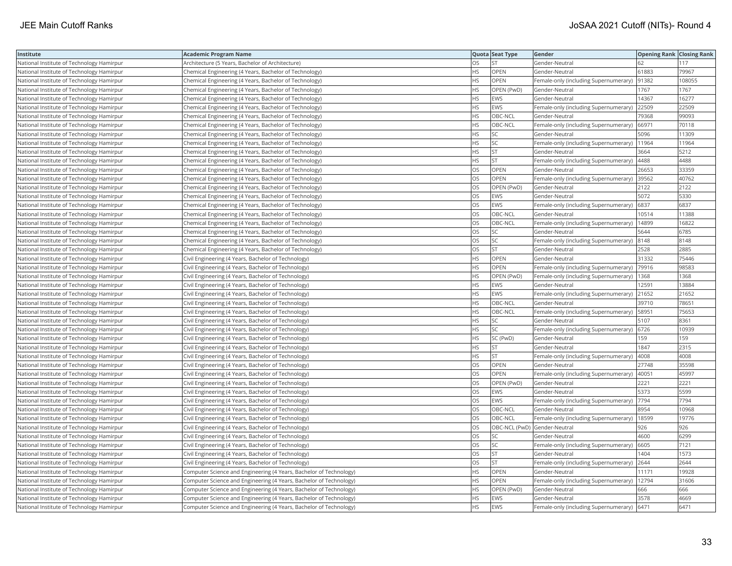| Institute                                 | <b>Academic Program Name</b>                                       |           | Quota Seat Type              | Gender                                        | <b>Opening Rank Closing Rank</b> |        |
|-------------------------------------------|--------------------------------------------------------------------|-----------|------------------------------|-----------------------------------------------|----------------------------------|--------|
| National Institute of Technology Hamirpur | Architecture (5 Years, Bachelor of Architecture)                   | OS        | <b>ST</b>                    | Gender-Neutral                                | 62                               | 117    |
| National Institute of Technology Hamirpur | Chemical Engineering (4 Years, Bachelor of Technology)             | HS        | OPEN                         | Gender-Neutral                                | 61883                            | 79967  |
| National Institute of Technology Hamirpur | Chemical Engineering (4 Years, Bachelor of Technology)             | HS        | OPEN                         | Female-only (including Supernumerary)         | 91382                            | 108055 |
| National Institute of Technology Hamirpur | Chemical Engineering (4 Years, Bachelor of Technology)             | HS        | OPEN (PwD)                   | Gender-Neutral                                | 1767                             | 1767   |
| National Institute of Technology Hamirpur | Chemical Engineering (4 Years, Bachelor of Technology)             | <b>HS</b> | <b>EWS</b>                   | Gender-Neutral                                | 14367                            | 16277  |
| National Institute of Technology Hamirpur | Chemical Engineering (4 Years, Bachelor of Technology)             | HS        | EWS                          | Female-only (including Supernumerary) 22509   |                                  | 22509  |
| National Institute of Technology Hamirpur | Chemical Engineering (4 Years, Bachelor of Technology)             | ΗS        | OBC-NCL                      | Gender-Neutral                                | 79368                            | 99093  |
| National Institute of Technology Hamirpur | Chemical Engineering (4 Years, Bachelor of Technology)             | <b>HS</b> | OBC-NCL                      | Female-only (including Supernumerary) 66971   |                                  | 70118  |
| National Institute of Technology Hamirpur | Chemical Engineering (4 Years, Bachelor of Technology)             | ΗS        | SC                           | Gender-Neutral                                | 5096                             | 11309  |
| National Institute of Technology Hamirpur | Chemical Engineering (4 Years, Bachelor of Technology)             | HS        | SC                           | Female-only (including Supernumerary)   1964  |                                  | 11964  |
| National Institute of Technology Hamirpur | Chemical Engineering (4 Years, Bachelor of Technology)             | HS        | <b>ST</b>                    | Gender-Neutral                                | 3664                             | 5212   |
| National Institute of Technology Hamirpur | Chemical Engineering (4 Years, Bachelor of Technology)             | <b>HS</b> | <b>ST</b>                    | Female-only (including Supernumerary) 4488    |                                  | 4488   |
| National Institute of Technology Hamirpur | Chemical Engineering (4 Years, Bachelor of Technology)             | OS        | OPEN                         | Gender-Neutral                                | 26653                            | 33359  |
| National Institute of Technology Hamirpur | Chemical Engineering (4 Years, Bachelor of Technology)             | OS        | OPEN                         | Female-only (including Supernumerary) 39562   |                                  | 40762  |
| National Institute of Technology Hamirpur | Chemical Engineering (4 Years, Bachelor of Technology)             | OS        | OPEN (PwD)                   | Gender-Neutral                                | 2122                             | 2122   |
| National Institute of Technology Hamirpur | Chemical Engineering (4 Years, Bachelor of Technology)             | OS        | <b>EWS</b>                   | Gender-Neutral                                | 5072                             | 5330   |
| National Institute of Technology Hamirpur | Chemical Engineering (4 Years, Bachelor of Technology)             | OS        | <b>EWS</b>                   | Female-only (including Supernumerary)         | 6837                             | 6837   |
| National Institute of Technology Hamirpur | Chemical Engineering (4 Years, Bachelor of Technology)             | OS        | OBC-NCL                      | Gender-Neutral                                | 10514                            | 11388  |
| National Institute of Technology Hamirpur | Chemical Engineering (4 Years, Bachelor of Technology)             | OS        | OBC-NCL                      | Female-only (including Supernumerary)         | 14899                            | 16822  |
| National Institute of Technology Hamirpur | Chemical Engineering (4 Years, Bachelor of Technology)             | <b>OS</b> | SC                           | Gender-Neutral                                | 5644                             | 6785   |
| National Institute of Technology Hamirpur | Chemical Engineering (4 Years, Bachelor of Technology)             | OS        | SC                           | Female-only (including Supernumerary)  8148   |                                  | 8148   |
| National Institute of Technology Hamirpur | Chemical Engineering (4 Years, Bachelor of Technology)             | OS        | <b>ST</b>                    | Gender-Neutral                                | 2528                             | 2885   |
| National Institute of Technology Hamirpur | Civil Engineering (4 Years, Bachelor of Technology)                | ΗS        | OPEN                         | Gender-Neutral                                | 31332                            | 75446  |
| National Institute of Technology Hamirpur | Civil Engineering (4 Years, Bachelor of Technology)                | HS        | OPEN                         | Female-only (including Supernumerary)         | 79916                            | 98583  |
| National Institute of Technology Hamirpur | Civil Engineering (4 Years, Bachelor of Technology)                | ΗS        | OPEN (PwD)                   | Female-only (including Supernumerary)         | 1368                             | 1368   |
| National Institute of Technology Hamirpur | Civil Engineering (4 Years, Bachelor of Technology)                | HS        | <b>EWS</b>                   | Gender-Neutral                                | 12591                            | 13884  |
| National Institute of Technology Hamirpur | Civil Engineering (4 Years, Bachelor of Technology)                | HS        | EWS                          | Female-only (including Supernumerary)         | 21652                            | 21652  |
| National Institute of Technology Hamirpur | Civil Engineering (4 Years, Bachelor of Technology)                | <b>HS</b> | OBC-NCL                      | Gender-Neutral                                | 39710                            | 78651  |
| National Institute of Technology Hamirpur | Civil Engineering (4 Years, Bachelor of Technology)                | HS        | OBC-NCL                      | Female-only (including Supernumerary)         | 58951                            | 75653  |
| National Institute of Technology Hamirpur | Civil Engineering (4 Years, Bachelor of Technology)                | HS        | SC                           | Gender-Neutral                                | 5107                             | 8361   |
| National Institute of Technology Hamirpur | Civil Engineering (4 Years, Bachelor of Technology)                | HS        | <b>SC</b>                    | Female-only (including Supernumerary)   6726  |                                  | 10939  |
| National Institute of Technology Hamirpur | Civil Engineering (4 Years, Bachelor of Technology)                | ΗS        | SC (PwD)                     | Gender-Neutral                                | 159                              | 159    |
| National Institute of Technology Hamirpur | Civil Engineering (4 Years, Bachelor of Technology)                | <b>HS</b> | <b>ST</b>                    | Gender-Neutral                                | 1847                             | 2315   |
| National Institute of Technology Hamirpur | Civil Engineering (4 Years, Bachelor of Technology)                | HS        | <b>ST</b>                    | Female-only (including Supernumerary)         | 4008                             | 4008   |
| National Institute of Technology Hamirpur | Civil Engineering (4 Years, Bachelor of Technology)                | OS        | OPEN                         | Gender-Neutral                                | 27748                            | 35598  |
| National Institute of Technology Hamirpur | Civil Engineering (4 Years, Bachelor of Technology)                | OS        | OPEN                         | Female-only (including Supernumerary)         | 40051                            | 45997  |
| National Institute of Technology Hamirpur | Civil Engineering (4 Years, Bachelor of Technology)                | OS        | OPEN (PwD)                   | Gender-Neutral                                | 2221                             | 2221   |
| National Institute of Technology Hamirpur | Civil Engineering (4 Years, Bachelor of Technology)                | OS        | <b>EWS</b>                   | Gender-Neutral                                | 5373                             | 5599   |
| National Institute of Technology Hamirpur | Civil Engineering (4 Years, Bachelor of Technology)                | OS        | <b>EWS</b>                   | Female-only (including Supernumerary)  7794   |                                  | 7794   |
| National Institute of Technology Hamirpur | Civil Engineering (4 Years, Bachelor of Technology)                | <b>OS</b> | OBC-NCL                      | Gender-Neutral                                | 8954                             | 10968  |
| National Institute of Technology Hamirpur | Civil Engineering (4 Years, Bachelor of Technology)                | OS        | OBC-NCL                      | Female-only (including Supernumerary)         | 18599                            | 19776  |
| National Institute of Technology Hamirpur | Civil Engineering (4 Years, Bachelor of Technology)                | OS        | OBC-NCL (PwD) Gender-Neutral |                                               | 926                              | 926    |
| National Institute of Technology Hamirpur | Civil Engineering (4 Years, Bachelor of Technology)                | OS        | SC                           | Gender-Neutral                                | 4600                             | 6299   |
| National Institute of Technology Hamirpur | Civil Engineering (4 Years, Bachelor of Technology)                | OS        | <b>SC</b>                    | Female-only (including Supernumerary) 6605    |                                  | 7121   |
| National Institute of Technology Hamirpur | Civil Engineering (4 Years, Bachelor of Technology)                | OS        | <b>ST</b>                    | Gender-Neutral                                | 1404                             | 1573   |
| National Institute of Technology Hamirpur | Civil Engineering (4 Years, Bachelor of Technology)                | OS        | <b>ST</b>                    | Female-only (including Supernumerary) 2644    |                                  | 2644   |
| National Institute of Technology Hamirpur | Computer Science and Engineering (4 Years, Bachelor of Technology) | HS.       | OPEN                         | Gender-Neutral                                | 11171                            | 19928  |
| National Institute of Technology Hamirpur | Computer Science and Engineering (4 Years, Bachelor of Technology) | HS        | OPEN                         | Female-only (including Supernumerary)   12794 |                                  | 31606  |
| National Institute of Technology Hamirpur | Computer Science and Engineering (4 Years, Bachelor of Technology) | ΗS        | OPEN (PwD)                   | Gender-Neutral                                | 666                              | 666    |
| National Institute of Technology Hamirpur | Computer Science and Engineering (4 Years, Bachelor of Technology) | HS        | <b>EWS</b>                   | Gender-Neutral                                | 3578                             | 4669   |
| National Institute of Technology Hamirpur | Computer Science and Engineering (4 Years, Bachelor of Technology) | <b>HS</b> | EWS                          | Female-only (including Supernumerary) 6471    |                                  | 6471   |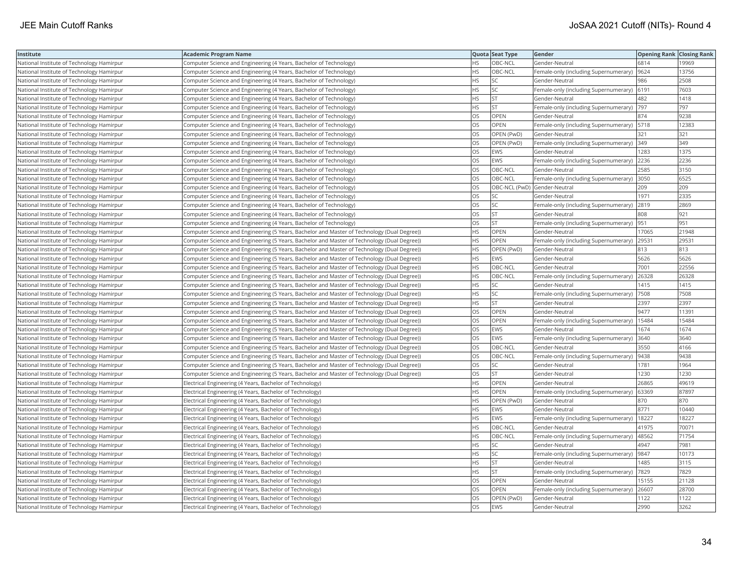| Institute                                 | <b>Academic Program Name</b>                                                                |           | Quota Seat Type              | Gender                                        | <b>Opening Rank Closing Rank</b> |       |
|-------------------------------------------|---------------------------------------------------------------------------------------------|-----------|------------------------------|-----------------------------------------------|----------------------------------|-------|
| National Institute of Technology Hamirpur | Computer Science and Engineering (4 Years, Bachelor of Technology)                          | HS        | OBC-NCL                      | Gender-Neutral                                | 6814                             | 19969 |
| National Institute of Technology Hamirpur | Computer Science and Engineering (4 Years, Bachelor of Technology)                          | HS        | OBC-NCL                      | Female-only (including Supernumerary)         | 9624                             | 13756 |
| National Institute of Technology Hamirpur | Computer Science and Engineering (4 Years, Bachelor of Technology)                          | HS        | <b>SC</b>                    | Gender-Neutral                                | 986                              | 2508  |
| National Institute of Technology Hamirpur | Computer Science and Engineering (4 Years, Bachelor of Technology)                          | HS        | SC                           | Female-only (including Supernumerary)         | 6191                             | 7603  |
| National Institute of Technology Hamirpur | Computer Science and Engineering (4 Years, Bachelor of Technology)                          | <b>HS</b> | <b>ST</b>                    | Gender-Neutral                                | 482                              | 1418  |
| National Institute of Technology Hamirpur | Computer Science and Engineering (4 Years, Bachelor of Technology)                          | HS        | <b>ST</b>                    | Female-only (including Supernumerary)  797    |                                  | 797   |
| National Institute of Technology Hamirpur | Computer Science and Engineering (4 Years, Bachelor of Technology)                          | OS        | OPEN                         | Gender-Neutral                                | 874                              | 9238  |
| National Institute of Technology Hamirpur | Computer Science and Engineering (4 Years, Bachelor of Technology)                          | OS        | <b>OPEN</b>                  | Female-only (including Supernumerary)   5718  |                                  | 12383 |
| National Institute of Technology Hamirpur | Computer Science and Engineering (4 Years, Bachelor of Technology)                          | OS        | OPEN (PwD)                   | Gender-Neutral                                | 321                              | 321   |
| National Institute of Technology Hamirpur | Computer Science and Engineering (4 Years, Bachelor of Technology)                          | OS        | OPEN (PwD)                   | Female-only (including Supernumerary) 349     |                                  | 349   |
| National Institute of Technology Hamirpur | Computer Science and Engineering (4 Years, Bachelor of Technology)                          | OS        | <b>EWS</b>                   | Gender-Neutral                                | 1283                             | 1375  |
| National Institute of Technology Hamirpur | Computer Science and Engineering (4 Years, Bachelor of Technology)                          | OS        | <b>EWS</b>                   | Female-only (including Supernumerary) 2236    |                                  | 2236  |
| National Institute of Technology Hamirpur | Computer Science and Engineering (4 Years, Bachelor of Technology)                          | OS        | OBC-NCL                      | Gender-Neutral                                | 2585                             | 3150  |
| National Institute of Technology Hamirpur | Computer Science and Engineering (4 Years, Bachelor of Technology)                          | OS        | OBC-NCL                      | Female-only (including Supernumerary) 3050    |                                  | 6525  |
| National Institute of Technology Hamirpur | Computer Science and Engineering (4 Years, Bachelor of Technology)                          | OS        | OBC-NCL (PwD) Gender-Neutral |                                               | 209                              | 209   |
| National Institute of Technology Hamirpur | Computer Science and Engineering (4 Years, Bachelor of Technology)                          | OS        | SC                           | Gender-Neutral                                | 1971                             | 2335  |
| National Institute of Technology Hamirpur | Computer Science and Engineering (4 Years, Bachelor of Technology)                          | OS        | SC                           | Female-only (including Supernumerary)         | 2819                             | 2869  |
| National Institute of Technology Hamirpur | Computer Science and Engineering (4 Years, Bachelor of Technology)                          | OS        | <b>ST</b>                    | Gender-Neutral                                | 808                              | 921   |
| National Institute of Technology Hamirpur | Computer Science and Engineering (4 Years, Bachelor of Technology)                          | OS        | <b>ST</b>                    | Female-only (including Supernumerary)         | 951                              | 951   |
| National Institute of Technology Hamirpur | Computer Science and Engineering (5 Years, Bachelor and Master of Technology (Dual Degree)) | HS        | <b>OPEN</b>                  | Gender-Neutral                                | 17065                            | 21948 |
| National Institute of Technology Hamirpur | Computer Science and Engineering (5 Years, Bachelor and Master of Technology (Dual Degree)) | HS        | OPEN                         | Female-only (including Supernumerary)         | 29531                            | 29531 |
| National Institute of Technology Hamirpur | Computer Science and Engineering (5 Years, Bachelor and Master of Technology (Dual Degree)) | <b>HS</b> | OPEN (PwD)                   | Gender-Neutral                                | 813                              | 813   |
| National Institute of Technology Hamirpur | Computer Science and Engineering (5 Years, Bachelor and Master of Technology (Dual Degree)) | ΗS        | <b>EWS</b>                   | Gender-Neutral                                | 5626                             | 5626  |
| National Institute of Technology Hamirpur | Computer Science and Engineering (5 Years, Bachelor and Master of Technology (Dual Degree)) | HS        | OBC-NCL                      | Gender-Neutral                                | 7001                             | 22556 |
| National Institute of Technology Hamirpur | Computer Science and Engineering (5 Years, Bachelor and Master of Technology (Dual Degree)) | HS        | OBC-NCL                      | Female-only (including Supernumerary)         | 26328                            | 26328 |
| National Institute of Technology Hamirpur | Computer Science and Engineering (5 Years, Bachelor and Master of Technology (Dual Degree)) | HS        | SC                           | Gender-Neutral                                | 1415                             | 1415  |
| National Institute of Technology Hamirpur | Computer Science and Engineering (5 Years, Bachelor and Master of Technology (Dual Degree)) | HS        | SC                           | Female-only (including Supernumerary)         | 7508                             | 7508  |
| National Institute of Technology Hamirpur | Computer Science and Engineering (5 Years, Bachelor and Master of Technology (Dual Degree)) | <b>HS</b> | <b>ST</b>                    | Gender-Neutral                                | 2397                             | 2397  |
| National Institute of Technology Hamirpur | Computer Science and Engineering (5 Years, Bachelor and Master of Technology (Dual Degree)) | OS        | OPEN                         | Gender-Neutral                                | 9477                             | 11391 |
| National Institute of Technology Hamirpur | Computer Science and Engineering (5 Years, Bachelor and Master of Technology (Dual Degree)) | OS        | OPEN                         | Female-only (including Supernumerary)   15484 |                                  | 15484 |
| National Institute of Technology Hamirpur | Computer Science and Engineering (5 Years, Bachelor and Master of Technology (Dual Degree)) | OS        | <b>EWS</b>                   | Gender-Neutral                                | 1674                             | 1674  |
| National Institute of Technology Hamirpur | Computer Science and Engineering (5 Years, Bachelor and Master of Technology (Dual Degree)) | OS        | EWS                          | Female-only (including Supernumerary)         | 3640                             | 3640  |
| National Institute of Technology Hamirpur | Computer Science and Engineering (5 Years, Bachelor and Master of Technology (Dual Degree)) | OS        | OBC-NCL                      | Gender-Neutral                                | 3550                             | 4166  |
| National Institute of Technology Hamirpur | Computer Science and Engineering (5 Years, Bachelor and Master of Technology (Dual Degree)) | OS        | OBC-NCL                      | Female-only (including Supernumerary)         | 9438                             | 9438  |
| National Institute of Technology Hamirpur | Computer Science and Engineering (5 Years, Bachelor and Master of Technology (Dual Degree)) | OS        | SC                           | Gender-Neutral                                | 1781                             | 1964  |
| National Institute of Technology Hamirpur | Computer Science and Engineering (5 Years, Bachelor and Master of Technology (Dual Degree)) | OS        | <b>ST</b>                    | Gender-Neutral                                | 1230                             | 1230  |
| National Institute of Technology Hamirpur | Electrical Engineering (4 Years, Bachelor of Technology)                                    | HS        | <b>OPEN</b>                  | Gender-Neutral                                | 26865                            | 49619 |
| National Institute of Technology Hamirpur | Electrical Engineering (4 Years, Bachelor of Technology)                                    | HS        | <b>OPEN</b>                  | Female-only (including Supernumerary)   63369 |                                  | 87897 |
| National Institute of Technology Hamirpur | Electrical Engineering (4 Years, Bachelor of Technology)                                    | ΗS        | OPEN (PwD)                   | Gender-Neutral                                | 870                              | 870   |
| National Institute of Technology Hamirpur | Electrical Engineering (4 Years, Bachelor of Technology)                                    | <b>HS</b> | <b>EWS</b>                   | Gender-Neutral                                | 8771                             | 10440 |
| National Institute of Technology Hamirpur | Electrical Engineering (4 Years, Bachelor of Technology)                                    | HS        | EWS                          | Female-only (including Supernumerary)         | 18227                            | 18227 |
| National Institute of Technology Hamirpur | Electrical Engineering (4 Years, Bachelor of Technology)                                    | <b>HS</b> | OBC-NCL                      | Gender-Neutral                                | 41975                            | 70071 |
| National Institute of Technology Hamirpur | Electrical Engineering (4 Years, Bachelor of Technology)                                    | HS        | OBC-NCL                      | Female-only (including Supernumerary)         | 48562                            | 71754 |
| National Institute of Technology Hamirpur | Electrical Engineering (4 Years, Bachelor of Technology)                                    | <b>HS</b> | <b>SC</b>                    | Gender-Neutral                                | 4947                             | 7981  |
| National Institute of Technology Hamirpur | Electrical Engineering (4 Years, Bachelor of Technology)                                    | HS        | SC                           | Female-only (including Supernumerary)  9847   |                                  | 10173 |
| National Institute of Technology Hamirpur | Electrical Engineering (4 Years, Bachelor of Technology)                                    | HS        | <b>ST</b>                    | Gender-Neutral                                | 1485                             | 3115  |
| National Institute of Technology Hamirpur | Electrical Engineering (4 Years, Bachelor of Technology)                                    | <b>HS</b> | <b>ST</b>                    | Female-only (including Supernumerary)   7829  |                                  | 7829  |
| National Institute of Technology Hamirpur | Electrical Engineering (4 Years, Bachelor of Technology)                                    | OS        | <b>OPEN</b>                  | Gender-Neutral                                | 15155                            | 21128 |
| National Institute of Technology Hamirpur | Electrical Engineering (4 Years, Bachelor of Technology)                                    | OS        | OPEN                         | Female-only (including Supernumerary)         | 26607                            | 28700 |
| National Institute of Technology Hamirpur | Electrical Engineering (4 Years, Bachelor of Technology)                                    | OS        | OPEN (PwD)                   | Gender-Neutral                                | 1122                             | 1122  |
| National Institute of Technology Hamirpur | Electrical Engineering (4 Years, Bachelor of Technology)                                    | <b>OS</b> | EWS                          | Gender-Neutral                                | 2990                             | 3262  |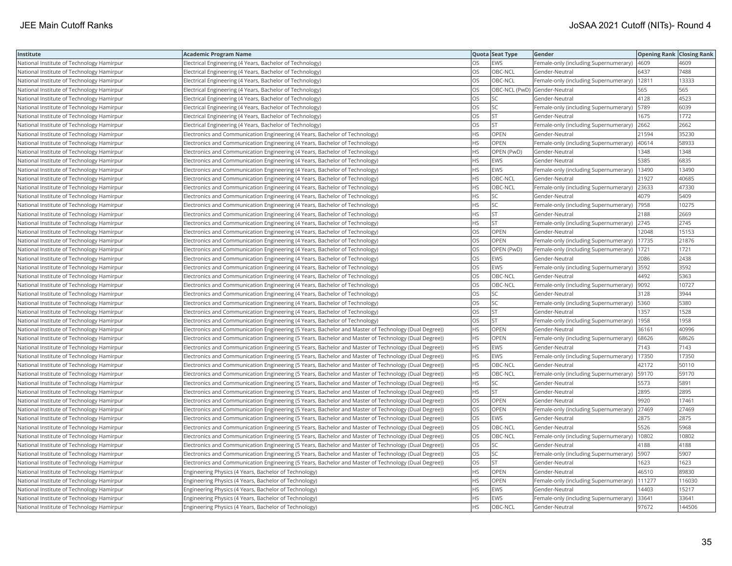| Institute                                 | <b>Academic Program Name</b>                                                                         |           | Quota Seat Type              | Gender                                        | <b>Opening Rank Closing Rank</b> |        |
|-------------------------------------------|------------------------------------------------------------------------------------------------------|-----------|------------------------------|-----------------------------------------------|----------------------------------|--------|
| National Institute of Technology Hamirpur | Electrical Engineering (4 Years, Bachelor of Technology)                                             | OS        | <b>EWS</b>                   | Female-only (including Supernumerary)         | 4609                             | 4609   |
| National Institute of Technology Hamirpur | Electrical Engineering (4 Years, Bachelor of Technology)                                             | OS        | OBC-NCL                      | Gender-Neutral                                | 6437                             | 7488   |
| National Institute of Technology Hamirpur | Electrical Engineering (4 Years, Bachelor of Technology)                                             | OS        | OBC-NCL                      | Female-only (including Supernumerary)         | 12811                            | 13333  |
| National Institute of Technology Hamirpur | Electrical Engineering (4 Years, Bachelor of Technology)                                             | OS        | OBC-NCL (PwD) Gender-Neutral |                                               | 565                              | 565    |
| National Institute of Technology Hamirpur | Electrical Engineering (4 Years, Bachelor of Technology)                                             | OS        | <b>SC</b>                    | Gender-Neutral                                | 4128                             | 4523   |
| National Institute of Technology Hamirpur | Electrical Engineering (4 Years, Bachelor of Technology)                                             | OS        | SC                           | Female-only (including Supernumerary)   5789  |                                  | 6039   |
| National Institute of Technology Hamirpur | Electrical Engineering (4 Years, Bachelor of Technology)                                             | OS        | <b>ST</b>                    | Gender-Neutral                                | 1675                             | 1772   |
| National Institute of Technology Hamirpur | Electrical Engineering (4 Years, Bachelor of Technology)                                             | OS        | <b>ST</b>                    | Female-only (including Supernumerary)         | 2662                             | 2662   |
| National Institute of Technology Hamirpur | Electronics and Communication Engineering (4 Years, Bachelor of Technology)                          | HS        | OPEN                         | Gender-Neutral                                | 21594                            | 35230  |
| National Institute of Technology Hamirpur | Electronics and Communication Engineering (4 Years, Bachelor of Technology)                          | HS        | OPEN                         | Female-only (including Supernumerary)         | 40614                            | 58933  |
| National Institute of Technology Hamirpur | Electronics and Communication Engineering (4 Years, Bachelor of Technology)                          | <b>HS</b> | OPEN (PwD)                   | Gender-Neutral                                | 1348                             | 1348   |
| National Institute of Technology Hamirpur | Electronics and Communication Engineering (4 Years, Bachelor of Technology)                          | HS        | <b>EWS</b>                   | Gender-Neutral                                | 5385                             | 6835   |
| National Institute of Technology Hamirpur | Electronics and Communication Engineering (4 Years, Bachelor of Technology)                          | HS        | EWS                          | Female-only (including Supernumerary)         | 13490                            | 13490  |
| National Institute of Technology Hamirpur | Electronics and Communication Engineering (4 Years, Bachelor of Technology)                          | ΗS        | OBC-NCL                      | Gender-Neutral                                | 21927                            | 40685  |
| National Institute of Technology Hamirpur | Electronics and Communication Engineering (4 Years, Bachelor of Technology)                          | <b>HS</b> | OBC-NCL                      | Female-only (including Supernumerary)         | 23633                            | 47330  |
| National Institute of Technology Hamirpur | Electronics and Communication Engineering (4 Years, Bachelor of Technology)                          | ΗS        | SC                           | Gender-Neutral                                | 4079                             | 5409   |
| National Institute of Technology Hamirpur | Electronics and Communication Engineering (4 Years, Bachelor of Technology)                          | HS        | SC                           | Female-only (including Supernumerary)         | 7958                             | 10275  |
| National Institute of Technology Hamirpur | Electronics and Communication Engineering (4 Years, Bachelor of Technology)                          | <b>HS</b> | <b>ST</b>                    | Gender-Neutral                                | 2188                             | 2669   |
| National Institute of Technology Hamirpur | Electronics and Communication Engineering (4 Years, Bachelor of Technology)                          | HS        | <b>ST</b>                    | Female-only (including Supernumerary)         | 2745                             | 2745   |
| National Institute of Technology Hamirpur | Electronics and Communication Engineering (4 Years, Bachelor of Technology)                          | OS        | OPEN                         | Gender-Neutral                                | 12048                            | 15153  |
| National Institute of Technology Hamirpur | Electronics and Communication Engineering (4 Years, Bachelor of Technology)                          | OS        | <b>OPEN</b>                  | Female-only (including Supernumerary)   17735 |                                  | 21876  |
| National Institute of Technology Hamirpur | Electronics and Communication Engineering (4 Years, Bachelor of Technology)                          | <b>OS</b> | OPEN (PwD)                   | Female-only (including Supernumerary)   1721  |                                  | 1721   |
| National Institute of Technology Hamirpur | Electronics and Communication Engineering (4 Years, Bachelor of Technology)                          | OS        | <b>EWS</b>                   | Gender-Neutral                                | 2086                             | 2438   |
| National Institute of Technology Hamirpur | Electronics and Communication Engineering (4 Years, Bachelor of Technology)                          | <b>OS</b> | <b>EWS</b>                   | Female-only (including Supernumerary) 3592    |                                  | 3592   |
| National Institute of Technology Hamirpur | Electronics and Communication Engineering (4 Years, Bachelor of Technology)                          | OS        | OBC-NCL                      | Gender-Neutral                                | 4492                             | 5363   |
| National Institute of Technology Hamirpur | Electronics and Communication Engineering (4 Years, Bachelor of Technology)                          | OS        | OBC-NCL                      | Female-only (including Supernumerary)         | 9092                             | 10727  |
| National Institute of Technology Hamirpur | Electronics and Communication Engineering (4 Years, Bachelor of Technology)                          | <b>OS</b> | <b>SC</b>                    | Gender-Neutral                                | 3128                             | 3944   |
| National Institute of Technology Hamirpur | Electronics and Communication Engineering (4 Years, Bachelor of Technology)                          | OS        | SC                           | Female-only (including Supernumerary)   5360  |                                  | 5380   |
| National Institute of Technology Hamirpur | Electronics and Communication Engineering (4 Years, Bachelor of Technology)                          | OS        | ST                           | Gender-Neutral                                | 1357                             | 1528   |
| National Institute of Technology Hamirpur | Electronics and Communication Engineering (4 Years, Bachelor of Technology)                          | OS        | <b>ST</b>                    | Female-only (including Supernumerary)         | 1958                             | 1958   |
| National Institute of Technology Hamirpur | Electronics and Communication Engineering (5 Years, Bachelor and Master of Technology (Dual Degree)) | HS        | OPEN                         | Gender-Neutral                                | 36161                            | 40996  |
| National Institute of Technology Hamirpur | Electronics and Communication Engineering (5 Years, Bachelor and Master of Technology (Dual Degree)) | HS        | OPEN                         | Female-only (including Supernumerary)         | 68626                            | 68626  |
| National Institute of Technology Hamirpur | Electronics and Communication Engineering (5 Years, Bachelor and Master of Technology (Dual Degree)) | <b>HS</b> | EWS                          | Gender-Neutral                                | 7143                             | 7143   |
| National Institute of Technology Hamirpur | Electronics and Communication Engineering (5 Years, Bachelor and Master of Technology (Dual Degree)) | <b>HS</b> | <b>EWS</b>                   | Female-only (including Supernumerary)         | 17350                            | 17350  |
| National Institute of Technology Hamirpur | Electronics and Communication Engineering (5 Years, Bachelor and Master of Technology (Dual Degree)) | HS        | OBC-NCL                      | Gender-Neutral                                | 42172                            | 50110  |
| National Institute of Technology Hamirpur | Electronics and Communication Engineering (5 Years, Bachelor and Master of Technology (Dual Degree)) | ΗS        | OBC-NCL                      | Female-only (including Supernumerary)   59170 |                                  | 59170  |
| National Institute of Technology Hamirpur | Electronics and Communication Engineering (5 Years, Bachelor and Master of Technology (Dual Degree)) | HS        | SC                           | Gender-Neutral                                | 5573                             | 5891   |
| National Institute of Technology Hamirpur | Electronics and Communication Engineering (5 Years, Bachelor and Master of Technology (Dual Degree)) | <b>HS</b> | <b>ST</b>                    | Gender-Neutral                                | 2895                             | 2895   |
| National Institute of Technology Hamirpur | Electronics and Communication Engineering (5 Years, Bachelor and Master of Technology (Dual Degree)) | OS        | OPEN                         | Gender-Neutral                                | 9920                             | 17461  |
| National Institute of Technology Hamirpur | Electronics and Communication Engineering (5 Years, Bachelor and Master of Technology (Dual Degree)) | OS        | OPEN                         | Female-only (including Supernumerary)         | 27469                            | 27469  |
| National Institute of Technology Hamirpur | Electronics and Communication Engineering (5 Years, Bachelor and Master of Technology (Dual Degree)) | <b>OS</b> | <b>EWS</b>                   | Gender-Neutral                                | 2875                             | 2875   |
| National Institute of Technology Hamirpur | Electronics and Communication Engineering (5 Years, Bachelor and Master of Technology (Dual Degree)) | OS        | OBC-NCL                      | Gender-Neutral                                | 5526                             | 5968   |
| National Institute of Technology Hamirpur | Electronics and Communication Engineering (5 Years, Bachelor and Master of Technology (Dual Degree)) | OS        | OBC-NCL                      | Female-only (including Supernumerary)         | 10802                            | 10802  |
| National Institute of Technology Hamirpur | Electronics and Communication Engineering (5 Years, Bachelor and Master of Technology (Dual Degree)) | OS        | SC                           | Gender-Neutral                                | 4188                             | 4188   |
| National Institute of Technology Hamirpur | Electronics and Communication Engineering (5 Years, Bachelor and Master of Technology (Dual Degree)) | OS        | SC                           | Female-only (including Supernumerary)   5907  |                                  | 5907   |
| National Institute of Technology Hamirpur | Electronics and Communication Engineering (5 Years, Bachelor and Master of Technology (Dual Degree)) | OS        | <b>ST</b>                    | Gender-Neutral                                | 1623                             | 1623   |
| National Institute of Technology Hamirpur | Engineering Physics (4 Years, Bachelor of Technology)                                                | HS        | OPEN                         | Gender-Neutral                                | 46510                            | 89830  |
| National Institute of Technology Hamirpur | Engineering Physics (4 Years, Bachelor of Technology)                                                | HS        | OPEN                         | Female-only (including Supernumerary)         | 111277                           | 116030 |
| National Institute of Technology Hamirpur | Engineering Physics (4 Years, Bachelor of Technology)                                                | <b>HS</b> | <b>EWS</b>                   | Gender-Neutral                                | 14403                            | 15217  |
| National Institute of Technology Hamirpur | Engineering Physics (4 Years, Bachelor of Technology)                                                | HS        | EWS                          | Female-only (including Supernumerary)         | 33641                            | 33641  |
| National Institute of Technology Hamirpur | Engineering Physics (4 Years, Bachelor of Technology)                                                | HS        | OBC-NCL                      | Gender-Neutral                                | 97672                            | 144506 |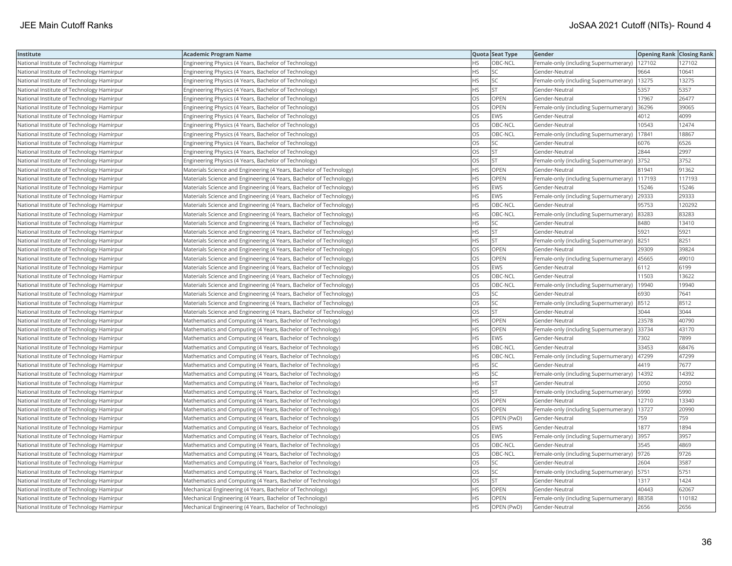| Institute                                 | <b>Academic Program Name</b>                                        |           | Quota Seat Type | Gender                                        | Opening Rank Closing Rank |        |
|-------------------------------------------|---------------------------------------------------------------------|-----------|-----------------|-----------------------------------------------|---------------------------|--------|
| National Institute of Technology Hamirpur | Engineering Physics (4 Years, Bachelor of Technology)               | HS        | OBC-NCL         | Female-only (including Supernumerary)         | 127102                    | 127102 |
| National Institute of Technology Hamirpur | Engineering Physics (4 Years, Bachelor of Technology)               | <b>HS</b> | SC              | Gender-Neutral                                | 9664                      | 10641  |
| National Institute of Technology Hamirpur | Engineering Physics (4 Years, Bachelor of Technology)               | <b>HS</b> | SC              | Female-only (including Supernumerary)   13275 |                           | 13275  |
| National Institute of Technology Hamirpur | Engineering Physics (4 Years, Bachelor of Technology)               | <b>HS</b> | <b>ST</b>       | Gender-Neutral                                | 5357                      | 5357   |
| National Institute of Technology Hamirpur | Engineering Physics (4 Years, Bachelor of Technology)               | OS        | <b>OPEN</b>     | Gender-Neutral                                | 17967                     | 26477  |
| National Institute of Technology Hamirpur | Engineering Physics (4 Years, Bachelor of Technology)               | OS        | OPEN            | Female-only (including Supernumerary) 36296   |                           | 39065  |
| National Institute of Technology Hamirpur | Engineering Physics (4 Years, Bachelor of Technology)               | OS        | EWS             | Gender-Neutral                                | 4012                      | 4099   |
| National Institute of Technology Hamirpur | Engineering Physics (4 Years, Bachelor of Technology)               | OS        | OBC-NCL         | Gender-Neutral                                | 10543                     | 12474  |
| National Institute of Technology Hamirpur | Engineering Physics (4 Years, Bachelor of Technology)               | OS        | OBC-NCL         | Female-only (including Supernumerary)         | 17841                     | 18867  |
| National Institute of Technology Hamirpur | Engineering Physics (4 Years, Bachelor of Technology)               | OS        | SC              | Gender-Neutral                                | 6076                      | 6526   |
| National Institute of Technology Hamirpur | Engineering Physics (4 Years, Bachelor of Technology)               | OS        | <b>ST</b>       | Gender-Neutral                                | 2844                      | 2997   |
| National Institute of Technology Hamirpur | Engineering Physics (4 Years, Bachelor of Technology)               | OS        | <b>ST</b>       | Female-only (including Supernumerary) 3752    |                           | 3752   |
| National Institute of Technology Hamirpur | Materials Science and Engineering (4 Years, Bachelor of Technology) | HS        | <b>OPEN</b>     | Gender-Neutral                                | 81941                     | 91362  |
| National Institute of Technology Hamirpur | Materials Science and Engineering (4 Years, Bachelor of Technology) | HS        | OPEN            | Female-only (including Supernumerary)         | 117193                    | 117193 |
| National Institute of Technology Hamirpur | Materials Science and Engineering (4 Years, Bachelor of Technology) | HS        | <b>EWS</b>      | Gender-Neutral                                | 15246                     | 15246  |
| National Institute of Technology Hamirpur | Materials Science and Engineering (4 Years, Bachelor of Technology) | HS        | EWS             | Female-only (including Supernumerary)         | 29333                     | 29333  |
| National Institute of Technology Hamirpur | Materials Science and Engineering (4 Years, Bachelor of Technology) | <b>HS</b> | OBC-NCL         | Gender-Neutral                                | 95753                     | 120292 |
| National Institute of Technology Hamirpur | Materials Science and Engineering (4 Years, Bachelor of Technology) | НS        | OBC-NCL         | Female-only (including Supernumerary)         | 83283                     | 83283  |
| National Institute of Technology Hamirpur | Materials Science and Engineering (4 Years, Bachelor of Technology) | HS        | SC              | Gender-Neutral                                | 8480                      | 13410  |
| National Institute of Technology Hamirpur | Materials Science and Engineering (4 Years, Bachelor of Technology) | <b>HS</b> | <b>ST</b>       | Gender-Neutral                                | 5921                      | 5921   |
| National Institute of Technology Hamirpur | Materials Science and Engineering (4 Years, Bachelor of Technology) | HS        | <b>ST</b>       | Female-only (including Supernumerary)         | 8251                      | 8251   |
| National Institute of Technology Hamirpur | Materials Science and Engineering (4 Years, Bachelor of Technology) | OS        | OPEN            | Gender-Neutral                                | 29309                     | 39824  |
| National Institute of Technology Hamirpur | Materials Science and Engineering (4 Years, Bachelor of Technology) | OS        | <b>OPEN</b>     | Female-only (including Supernumerary)  45665  |                           | 49010  |
| National Institute of Technology Hamirpur | Materials Science and Engineering (4 Years, Bachelor of Technology) | OS        | <b>EWS</b>      | Gender-Neutral                                | 6112                      | 6199   |
| National Institute of Technology Hamirpur | Materials Science and Engineering (4 Years, Bachelor of Technology) | OS        | OBC-NCL         | Gender-Neutral                                | 11503                     | 13622  |
| National Institute of Technology Hamirpur | Materials Science and Engineering (4 Years, Bachelor of Technology) | OS        | OBC-NCL         | Female-only (including Supernumerary)         | 19940                     | 19940  |
| National Institute of Technology Hamirpur | Materials Science and Engineering (4 Years, Bachelor of Technology) | OS        | <b>SC</b>       | Gender-Neutral                                | 6930                      | 7641   |
| National Institute of Technology Hamirpur | Materials Science and Engineering (4 Years, Bachelor of Technology) | OS        | <b>SC</b>       | Female-only (including Supernumerary) 8512    |                           | 8512   |
| National Institute of Technology Hamirpur | Materials Science and Engineering (4 Years, Bachelor of Technology) | OS        | <b>ST</b>       | Gender-Neutral                                | 3044                      | 3044   |
| National Institute of Technology Hamirpur | Mathematics and Computing (4 Years, Bachelor of Technology)         | HS        | OPEN            | Gender-Neutral                                | 23578                     | 40790  |
| National Institute of Technology Hamirpur | Mathematics and Computing (4 Years, Bachelor of Technology)         | HS        | OPEN            | Female-only (including Supernumerary) 33734   |                           | 43170  |
| National Institute of Technology Hamirpur | Mathematics and Computing (4 Years, Bachelor of Technology)         | ΗS        | EWS             | Gender-Neutral                                | 7302                      | 7899   |
| National Institute of Technology Hamirpur | Mathematics and Computing (4 Years, Bachelor of Technology)         | HS        | OBC-NCL         | Gender-Neutral                                | 33453                     | 68476  |
| National Institute of Technology Hamirpur | Mathematics and Computing (4 Years, Bachelor of Technology)         | HS        | OBC-NCL         | Female-only (including Supernumerary)         | 47299                     | 47299  |
| National Institute of Technology Hamirpur | Mathematics and Computing (4 Years, Bachelor of Technology)         | HS        | <b>SC</b>       | Gender-Neutral                                | 4419                      | 7677   |
| National Institute of Technology Hamirpur | Mathematics and Computing (4 Years, Bachelor of Technology)         | <b>HS</b> | SC              | Female-only (including Supernumerary)         | 14392                     | 14392  |
| National Institute of Technology Hamirpur | Mathematics and Computing (4 Years, Bachelor of Technology)         | HS        | <b>ST</b>       | Gender-Neutral                                | 2050                      | 2050   |
| National Institute of Technology Hamirpur | Mathematics and Computing (4 Years, Bachelor of Technology)         | HS        | <b>ST</b>       | Female-only (including Supernumerary)   5990  |                           | 5990   |
| National Institute of Technology Hamirpur | Mathematics and Computing (4 Years, Bachelor of Technology)         | OS        | OPEN            | Gender-Neutral                                | 12710                     | 13340  |
| National Institute of Technology Hamirpur | Mathematics and Computing (4 Years, Bachelor of Technology)         | OS        | OPEN            | Female-only (including Supernumerary)         | 13727                     | 20990  |
| National Institute of Technology Hamirpur | Mathematics and Computing (4 Years, Bachelor of Technology)         | OS        | OPEN (PwD)      | Gender-Neutral                                | 759                       | 759    |
| National Institute of Technology Hamirpur | Mathematics and Computing (4 Years, Bachelor of Technology)         | OS        | <b>EWS</b>      | Gender-Neutral                                | 1877                      | 1894   |
| National Institute of Technology Hamirpur | Mathematics and Computing (4 Years, Bachelor of Technology)         | OS        | <b>EWS</b>      | Female-only (including Supernumerary)         | 3957                      | 3957   |
| National Institute of Technology Hamirpur | Mathematics and Computing (4 Years, Bachelor of Technology)         | OS        | OBC-NCL         | Gender-Neutral                                | 3545                      | 4869   |
| National Institute of Technology Hamirpur | Mathematics and Computing (4 Years, Bachelor of Technology)         | OS        | OBC-NCL         | Female-only (including Supernumerary)  9726   |                           | 9726   |
| National Institute of Technology Hamirpur | Mathematics and Computing (4 Years, Bachelor of Technology)         | OS        | <b>SC</b>       | Gender-Neutral                                | 2604                      | 3587   |
| National Institute of Technology Hamirpur | Mathematics and Computing (4 Years, Bachelor of Technology)         | OS        | SC              | Female-only (including Supernumerary)   5751  |                           | 5751   |
| National Institute of Technology Hamirpur | Mathematics and Computing (4 Years, Bachelor of Technology)         | OS        | <b>ST</b>       | Gender-Neutral                                | 1317                      | 1424   |
| National Institute of Technology Hamirpur | Mechanical Engineering (4 Years, Bachelor of Technology)            | HS        | OPEN            | Gender-Neutral                                | 40443                     | 62067  |
| National Institute of Technology Hamirpur | Mechanical Engineering (4 Years, Bachelor of Technology)            | HS        | OPEN            | Female-only (including Supernumerary)         | 88358                     | 110182 |
| National Institute of Technology Hamirpur | Mechanical Engineering (4 Years, Bachelor of Technology)            | <b>HS</b> | OPEN (PwD)      | Gender-Neutral                                | 2656                      | 2656   |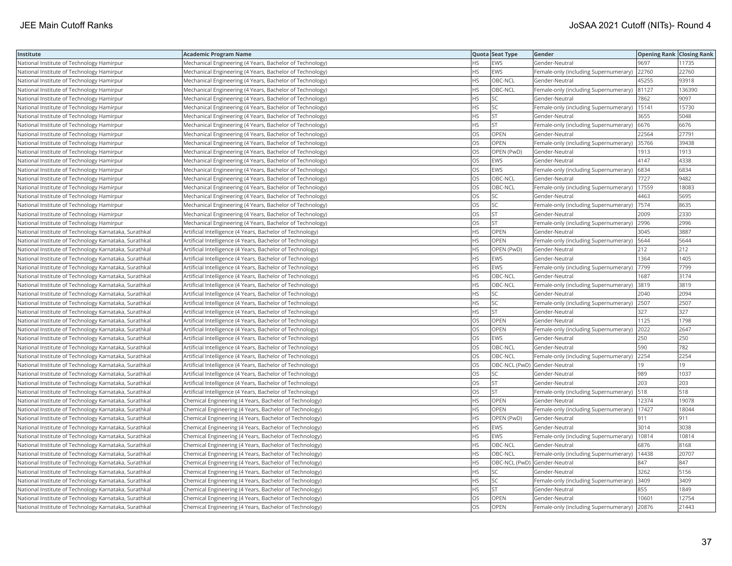| Institute                                             | Academic Program Name                                     |           | Quota Seat Type              | Gender                                        | <b>Opening Rank Closing Rank</b> |        |
|-------------------------------------------------------|-----------------------------------------------------------|-----------|------------------------------|-----------------------------------------------|----------------------------------|--------|
| National Institute of Technology Hamirpur             | Mechanical Engineering (4 Years, Bachelor of Technology)  | HS.       | <b>EWS</b>                   | Gender-Neutral                                | 9697                             | 11735  |
| National Institute of Technology Hamirpur             | Mechanical Engineering (4 Years, Bachelor of Technology)  | HS        | EWS                          | Female-only (including Supernumerary)         | 22760                            | 22760  |
| National Institute of Technology Hamirpur             | Mechanical Engineering (4 Years, Bachelor of Technology)  | <b>HS</b> | OBC-NCL                      | Gender-Neutral                                | 45255                            | 93918  |
| National Institute of Technology Hamirpur             | Mechanical Engineering (4 Years, Bachelor of Technology)  | HS.       | OBC-NCL                      | Female-only (including Supernumerary)         | 81127                            | 136390 |
| National Institute of Technology Hamirpur             | Mechanical Engineering (4 Years, Bachelor of Technology)  | HS        | <b>SC</b>                    | Gender-Neutral                                | 7862                             | 9097   |
| National Institute of Technology Hamirpur             | Mechanical Engineering (4 Years, Bachelor of Technology)  | HS        | SC                           | Female-only (including Supernumerary)         | 15141                            | 15730  |
| National Institute of Technology Hamirpur             | Mechanical Engineering (4 Years, Bachelor of Technology)  | HS        | <b>ST</b>                    | Gender-Neutral                                | 3655                             | 5048   |
| National Institute of Technology Hamirpur             | Mechanical Engineering (4 Years, Bachelor of Technology)  | HS.       | <b>ST</b>                    | Female-only (including Supernumerary)         | 6676                             | 6676   |
| National Institute of Technology Hamirpur             | Mechanical Engineering (4 Years, Bachelor of Technology)  | OS        | <b>OPEN</b>                  | Gender-Neutral                                | 22564                            | 27791  |
| National Institute of Technology Hamirpur             | Mechanical Engineering (4 Years, Bachelor of Technology)  | OS        | OPEN                         | Female-only (including Supernumerary)         | 35766                            | 39438  |
| National Institute of Technology Hamirpur             | Mechanical Engineering (4 Years, Bachelor of Technology)  | OS        | OPEN (PwD)                   | Gender-Neutral                                | 1913                             | 1913   |
| National Institute of Technology Hamirpur             | Mechanical Engineering (4 Years, Bachelor of Technology)  | OS        | <b>EWS</b>                   | Gender-Neutral                                | 4147                             | 4338   |
| National Institute of Technology Hamirpur             | Mechanical Engineering (4 Years, Bachelor of Technology)  | <b>OS</b> | <b>EWS</b>                   | Female-only (including Supernumerary)         | 6834                             | 6834   |
| National Institute of Technology Hamirpur             | Mechanical Engineering (4 Years, Bachelor of Technology)  | OS        | OBC-NCL                      | Gender-Neutral                                | 7727                             | 9482   |
| National Institute of Technology Hamirpur             | Mechanical Engineering (4 Years, Bachelor of Technology)  | OS        | OBC-NCL                      | Female-only (including Supernumerary)         | 17559                            | 18083  |
| National Institute of Technology Hamirpur             | Mechanical Engineering (4 Years, Bachelor of Technology)  | OS        | SC                           | Gender-Neutral                                | 4463                             | 5695   |
| National Institute of Technology Hamirpur             | Mechanical Engineering (4 Years, Bachelor of Technology)  | <b>OS</b> | <b>SC</b>                    | Female-only (including Supernumerary)  7574   |                                  | 8635   |
| National Institute of Technology Hamirpur             | Mechanical Engineering (4 Years, Bachelor of Technology)  | OS        | <b>ST</b>                    | Gender-Neutral                                | 2009                             | 2330   |
| National Institute of Technology Hamirpur             | Mechanical Engineering (4 Years, Bachelor of Technology)  | OS        | ST                           | Female-only (including Supernumerary)         | 2996                             | 2996   |
| National Institute of Technology Karnataka, Surathkal | Artificial Intelligence (4 Years, Bachelor of Technology) | HS.       | OPEN                         | Gender-Neutral                                | 3045                             | 3887   |
| National Institute of Technology Karnataka, Surathkal | Artificial Intelligence (4 Years, Bachelor of Technology) | <b>HS</b> | <b>OPEN</b>                  | Female-only (including Supernumerary)   5644  |                                  | 5644   |
| National Institute of Technology Karnataka, Surathkal | Artificial Intelligence (4 Years, Bachelor of Technology) | HS        | OPEN (PwD)                   | Gender-Neutral                                | 212                              | 212    |
| National Institute of Technology Karnataka, Surathkal | Artificial Intelligence (4 Years, Bachelor of Technology) | ΗS        | EWS                          | Gender-Neutral                                | 1364                             | 1405   |
| National Institute of Technology Karnataka, Surathkal | Artificial Intelligence (4 Years, Bachelor of Technology) | HS.       | <b>EWS</b>                   | Female-only (including Supernumerary)  7799   |                                  | 7799   |
| National Institute of Technology Karnataka, Surathkal | Artificial Intelligence (4 Years, Bachelor of Technology) | HS        | OBC-NCL                      | Gender-Neutral                                | 1687                             | 3174   |
| National Institute of Technology Karnataka, Surathkal | Artificial Intelligence (4 Years, Bachelor of Technology) | <b>HS</b> | OBC-NCL                      | Female-only (including Supernumerary)         | 3819                             | 3819   |
| National Institute of Technology Karnataka, Surathkal | Artificial Intelligence (4 Years, Bachelor of Technology) | HS        | SC                           | Gender-Neutral                                | 2040                             | 2094   |
| National Institute of Technology Karnataka, Surathkal | Artificial Intelligence (4 Years, Bachelor of Technology) | HS.       | SC                           | Female-only (including Supernumerary)         | 2507                             | 2507   |
| National Institute of Technology Karnataka, Surathkal | Artificial Intelligence (4 Years, Bachelor of Technology) | <b>HS</b> | <b>ST</b>                    | Gender-Neutral                                | 327                              | 327    |
| National Institute of Technology Karnataka, Surathkal | Artificial Intelligence (4 Years, Bachelor of Technology) | OS        | OPEN                         | Gender-Neutral                                | 1125                             | 1798   |
| National Institute of Technology Karnataka, Surathkal | Artificial Intelligence (4 Years, Bachelor of Technology) | OS        | OPEN                         | Female-only (including Supernumerary) 2022    |                                  | 2647   |
| National Institute of Technology Karnataka, Surathkal | Artificial Intelligence (4 Years, Bachelor of Technology) | OS        | EWS                          | Gender-Neutral                                | 250                              | 250    |
| National Institute of Technology Karnataka, Surathkal | Artificial Intelligence (4 Years, Bachelor of Technology) | OS        | OBC-NCL                      | Gender-Neutral                                | 590                              | 782    |
| National Institute of Technology Karnataka, Surathkal | Artificial Intelligence (4 Years, Bachelor of Technology) | OS        | OBC-NCL                      | Female-only (including Supernumerary)         | 2254                             | 2254   |
| National Institute of Technology Karnataka, Surathkal | Artificial Intelligence (4 Years, Bachelor of Technology) | OS        | OBC-NCL (PwD) Gender-Neutral |                                               | 19                               | 19     |
| National Institute of Technology Karnataka, Surathkal | Artificial Intelligence (4 Years, Bachelor of Technology) | <b>OS</b> | <b>SC</b>                    | Gender-Neutral                                | 989                              | 1037   |
| National Institute of Technology Karnataka, Surathkal | Artificial Intelligence (4 Years, Bachelor of Technology) | OS        | <b>ST</b>                    | Gender-Neutral                                | 203                              | 203    |
| National Institute of Technology Karnataka, Surathkal | Artificial Intelligence (4 Years, Bachelor of Technology) | OS.       | lst                          | Female-only (including Supernumerary)   518   |                                  | 518    |
| National Institute of Technology Karnataka, Surathkal | Chemical Engineering (4 Years, Bachelor of Technology)    | НS        | OPEN                         | Gender-Neutral                                | 12374                            | 19078  |
| National Institute of Technology Karnataka, Surathkal | Chemical Engineering (4 Years, Bachelor of Technology)    | HS        | <b>OPEN</b>                  | Female-only (including Supernumerary)   17427 |                                  | 18044  |
| National Institute of Technology Karnataka, Surathkal | Chemical Engineering (4 Years, Bachelor of Technology)    | HS.       | OPEN (PwD)                   | Gender-Neutral                                | 911                              | 911    |
| National Institute of Technology Karnataka, Surathkal | Chemical Engineering (4 Years, Bachelor of Technology)    | HS        | <b>EWS</b>                   | Gender-Neutral                                | 3014                             | 3038   |
| National Institute of Technology Karnataka, Surathkal | Chemical Engineering (4 Years, Bachelor of Technology)    | HS.       | EWS                          | Female-only (including Supernumerary)         | 10814                            | 10814  |
| National Institute of Technology Karnataka, Surathkal | Chemical Engineering (4 Years, Bachelor of Technology)    | <b>HS</b> | OBC-NCL                      | Gender-Neutral                                | 6876                             | 8168   |
| National Institute of Technology Karnataka, Surathkal | Chemical Engineering (4 Years, Bachelor of Technology)    | HS        | OBC-NCL                      | Female-only (including Supernumerary)         | 14438                            | 20707  |
| National Institute of Technology Karnataka, Surathkal | Chemical Engineering (4 Years, Bachelor of Technology)    | HS.       |                              | OBC-NCL (PwD) Gender-Neutral                  | 847                              | 847    |
| National Institute of Technology Karnataka, Surathkal | Chemical Engineering (4 Years, Bachelor of Technology)    | HS        | SC                           | Gender-Neutral                                | 3262                             | 5156   |
| National Institute of Technology Karnataka, Surathkal | Chemical Engineering (4 Years, Bachelor of Technology)    | HS        | SC                           | Female-only (including Supernumerary)         | 3409                             | 3409   |
| National Institute of Technology Karnataka, Surathkal | Chemical Engineering (4 Years, Bachelor of Technology)    | HS        | <b>ST</b>                    | Gender-Neutral                                | 855                              | 1849   |
| National Institute of Technology Karnataka, Surathkal | Chemical Engineering (4 Years, Bachelor of Technology)    | OS        | OPEN                         | Gender-Neutral                                | 10601                            | 12754  |
| National Institute of Technology Karnataka, Surathkal | Chemical Engineering (4 Years, Bachelor of Technology)    | OS        | OPEN                         | Female-only (including Supernumerary)         | 20876                            | 21443  |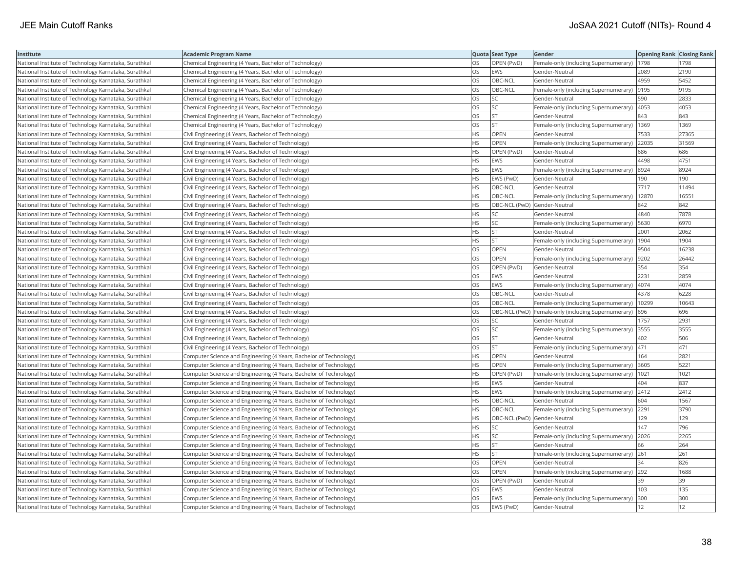| Institute                                             | <b>Academic Program Name</b>                                       |           | Quota Seat Type              | Gender                                               | Opening Rank Closing Rank |       |
|-------------------------------------------------------|--------------------------------------------------------------------|-----------|------------------------------|------------------------------------------------------|---------------------------|-------|
| National Institute of Technology Karnataka, Surathkal | Chemical Engineering (4 Years, Bachelor of Technology)             | OS        | OPEN (PwD)                   | Female-only (including Supernumerary)                | 1798                      | 1798  |
| National Institute of Technology Karnataka, Surathkal | Chemical Engineering (4 Years, Bachelor of Technology)             | OS        | <b>EWS</b>                   | Gender-Neutral                                       | 2089                      | 2190  |
| National Institute of Technology Karnataka, Surathkal | Chemical Engineering (4 Years, Bachelor of Technology)             | OS        | OBC-NCL                      | Gender-Neutral                                       | 4959                      | 5452  |
| National Institute of Technology Karnataka, Surathkal | Chemical Engineering (4 Years, Bachelor of Technology)             | OS        | OBC-NCL                      | Female-only (including Supernumerary)                | 9195                      | 9195  |
| National Institute of Technology Karnataka, Surathkal | Chemical Engineering (4 Years, Bachelor of Technology)             | OS        | SC                           | Gender-Neutral                                       | 590                       | 2833  |
| National Institute of Technology Karnataka, Surathkal | Chemical Engineering (4 Years, Bachelor of Technology)             | OS        | <b>SC</b>                    | Female-only (including Supernumerary)                | 4053                      | 4053  |
| National Institute of Technology Karnataka, Surathkal | Chemical Engineering (4 Years, Bachelor of Technology)             | OS        | lst                          | Gender-Neutral                                       | 843                       | 843   |
| National Institute of Technology Karnataka, Surathkal | Chemical Engineering (4 Years, Bachelor of Technology)             | OS        | <b>ST</b>                    | Female-only (including Supernumerary)                | 1369                      | 1369  |
| National Institute of Technology Karnataka, Surathkal | Civil Engineering (4 Years, Bachelor of Technology)                | <b>HS</b> | OPEN                         | Gender-Neutral                                       | 7533                      | 27365 |
| National Institute of Technology Karnataka, Surathkal | Civil Engineering (4 Years, Bachelor of Technology)                | HS        | OPEN                         | Female-only (including Supernumerary)                | 22035                     | 31569 |
| National Institute of Technology Karnataka, Surathkal | Civil Engineering (4 Years, Bachelor of Technology)                | <b>HS</b> | OPEN (PwD)                   | Gender-Neutral                                       | 686                       | 686   |
| National Institute of Technology Karnataka, Surathkal | Civil Engineering (4 Years, Bachelor of Technology)                | <b>HS</b> | EWS                          | Gender-Neutral                                       | 4498                      | 4751  |
| National Institute of Technology Karnataka, Surathkal | Civil Engineering (4 Years, Bachelor of Technology)                | <b>HS</b> | EWS                          | Female-only (including Supernumerary)                | 8924                      | 8924  |
| National Institute of Technology Karnataka, Surathkal | Civil Engineering (4 Years, Bachelor of Technology)                | <b>HS</b> | EWS (PwD)                    | Gender-Neutral                                       | 190                       | 190   |
| National Institute of Technology Karnataka, Surathkal | Civil Engineering (4 Years, Bachelor of Technology)                | <b>HS</b> | OBC-NCL                      | Gender-Neutral                                       | 7717                      | 11494 |
| National Institute of Technology Karnataka, Surathkal | Civil Engineering (4 Years, Bachelor of Technology)                | <b>HS</b> | OBC-NCL                      | Female-only (including Supernumerary)                | 12870                     | 16551 |
| National Institute of Technology Karnataka, Surathkal | Civil Engineering (4 Years, Bachelor of Technology)                | <b>HS</b> | OBC-NCL (PwD) Gender-Neutral |                                                      | 842                       | 842   |
| National Institute of Technology Karnataka, Surathkal | Civil Engineering (4 Years, Bachelor of Technology)                | <b>HS</b> | SC                           | Gender-Neutral                                       | 4840                      | 7878  |
| National Institute of Technology Karnataka, Surathkal | Civil Engineering (4 Years, Bachelor of Technology)                | <b>HS</b> | SC                           | Female-only (including Supernumerary)                | 5630                      | 6970  |
| National Institute of Technology Karnataka, Surathkal | Civil Engineering (4 Years, Bachelor of Technology)                | <b>HS</b> | <b>ST</b>                    | Gender-Neutral                                       | 2001                      | 2062  |
| National Institute of Technology Karnataka, Surathkal | Civil Engineering (4 Years, Bachelor of Technology)                | <b>HS</b> | lst                          | Female-only (including Supernumerary)                | 1904                      | 1904  |
| National Institute of Technology Karnataka, Surathkal | Civil Engineering (4 Years, Bachelor of Technology)                | <b>OS</b> | OPEN                         | Gender-Neutral                                       | 9504                      | 16238 |
| National Institute of Technology Karnataka, Surathkal | Civil Engineering (4 Years, Bachelor of Technology)                | OS        | OPEN                         | Female-only (including Supernumerary)  9202          |                           | 26442 |
| National Institute of Technology Karnataka, Surathkal | Civil Engineering (4 Years, Bachelor of Technology)                | OS        | OPEN (PwD)                   | Gender-Neutral                                       | 354                       | 354   |
| National Institute of Technology Karnataka, Surathkal | Civil Engineering (4 Years, Bachelor of Technology)                | OS        | <b>EWS</b>                   | Gender-Neutral                                       | 2231                      | 2859  |
| National Institute of Technology Karnataka, Surathkal | Civil Engineering (4 Years, Bachelor of Technology)                | OS        | EWS                          | Female-only (including Supernumerary)                | 4074                      | 4074  |
| National Institute of Technology Karnataka, Surathkal | Civil Engineering (4 Years, Bachelor of Technology)                | OS        | OBC-NCL                      | Gender-Neutral                                       | 4378                      | 6228  |
| National Institute of Technology Karnataka, Surathkal | Civil Engineering (4 Years, Bachelor of Technology)                | <b>OS</b> | OBC-NCL                      | Female-only (including Supernumerary)                | 10299                     | 10643 |
| National Institute of Technology Karnataka, Surathkal | Civil Engineering (4 Years, Bachelor of Technology)                | OS        |                              | OBC-NCL (PwD)  Female-only (including Supernumerary) | 696                       | 696   |
| National Institute of Technology Karnataka, Surathkal | Civil Engineering (4 Years, Bachelor of Technology)                | OS        | SC                           | Gender-Neutral                                       | 1757                      | 2931  |
| National Institute of Technology Karnataka, Surathkal | Civil Engineering (4 Years, Bachelor of Technology)                | OS        | SC                           | Female-only (including Supernumerary) 3555           |                           | 3555  |
| National Institute of Technology Karnataka, Surathkal | Civil Engineering (4 Years, Bachelor of Technology)                | OS.       | İst                          | Gender-Neutral                                       | 402                       | 506   |
| National Institute of Technology Karnataka, Surathkal | Civil Engineering (4 Years, Bachelor of Technology)                | OS        | <b>ST</b>                    | Female-only (including Supernumerary)                | 471                       | 471   |
| National Institute of Technology Karnataka, Surathkal | Computer Science and Engineering (4 Years, Bachelor of Technology) | <b>HS</b> | OPEN                         | Gender-Neutral                                       | 164                       | 2821  |
| National Institute of Technology Karnataka, Surathkal | Computer Science and Engineering (4 Years, Bachelor of Technology) | <b>HS</b> | OPEN                         | Female-only (including Supernumerary)                | 3605                      | 5221  |
| National Institute of Technology Karnataka, Surathkal | Computer Science and Engineering (4 Years, Bachelor of Technology) | <b>HS</b> | OPEN (PwD)                   | Female-only (including Supernumerary)                | 1021                      | 1021  |
| National Institute of Technology Karnataka, Surathkal | Computer Science and Engineering (4 Years, Bachelor of Technology) | <b>HS</b> | EWS                          | Gender-Neutral                                       | 404                       | 837   |
| National Institute of Technology Karnataka, Surathkal | Computer Science and Engineering (4 Years, Bachelor of Technology) | <b>HS</b> | EWS                          | Female-only (including Supernumerary) 2412           |                           | 2412  |
| National Institute of Technology Karnataka, Surathkal | Computer Science and Engineering (4 Years, Bachelor of Technology) | <b>HS</b> | OBC-NCL                      | Gender-Neutral                                       | 604                       | 1567  |
| National Institute of Technology Karnataka, Surathkal | Computer Science and Engineering (4 Years, Bachelor of Technology) | <b>HS</b> | OBC-NCL                      | Female-only (including Supernumerary)                | 2291                      | 3790  |
| National Institute of Technology Karnataka, Surathkal | Computer Science and Engineering (4 Years, Bachelor of Technology) | <b>HS</b> | OBC-NCL (PwD) Gender-Neutral |                                                      | 129                       | 129   |
| National Institute of Technology Karnataka, Surathkal | Computer Science and Engineering (4 Years, Bachelor of Technology) | <b>HS</b> | SC                           | Gender-Neutral                                       | 147                       | 796   |
| National Institute of Technology Karnataka, Surathkal | Computer Science and Engineering (4 Years, Bachelor of Technology) | <b>HS</b> | lsc                          | Female-only (including Supernumerary)                | 2026                      | 2265  |
| National Institute of Technology Karnataka, Surathkal | Computer Science and Engineering (4 Years, Bachelor of Technology) | <b>HS</b> | <b>ST</b>                    | Gender-Neutral                                       | 66                        | 264   |
| National Institute of Technology Karnataka, Surathkal | Computer Science and Engineering (4 Years, Bachelor of Technology) | <b>HS</b> | <b>ST</b>                    | Female-only (including Supernumerary) 261            |                           | 261   |
| National Institute of Technology Karnataka, Surathkal | Computer Science and Engineering (4 Years, Bachelor of Technology) | OS        | OPEN                         | Gender-Neutral                                       | 34                        | 826   |
| National Institute of Technology Karnataka, Surathkal | Computer Science and Engineering (4 Years, Bachelor of Technology) | OS        | OPEN                         | Female-only (including Supernumerary)                | 292                       | 1688  |
| National Institute of Technology Karnataka, Surathkal | Computer Science and Engineering (4 Years, Bachelor of Technology) | OS        | OPEN (PwD)                   | Gender-Neutral                                       | 39                        | 39    |
| National Institute of Technology Karnataka, Surathkal | Computer Science and Engineering (4 Years, Bachelor of Technology) | OS        | EWS                          | Gender-Neutral                                       | 103                       | 135   |
| National Institute of Technology Karnataka, Surathkal | Computer Science and Engineering (4 Years, Bachelor of Technology) | <b>OS</b> | EWS                          | Female-only (including Supernumerary)                | 300                       | 300   |
| National Institute of Technology Karnataka, Surathkal | Computer Science and Engineering (4 Years, Bachelor of Technology) | <b>OS</b> | EWS (PwD)                    | Gender-Neutral                                       | 12                        | 12    |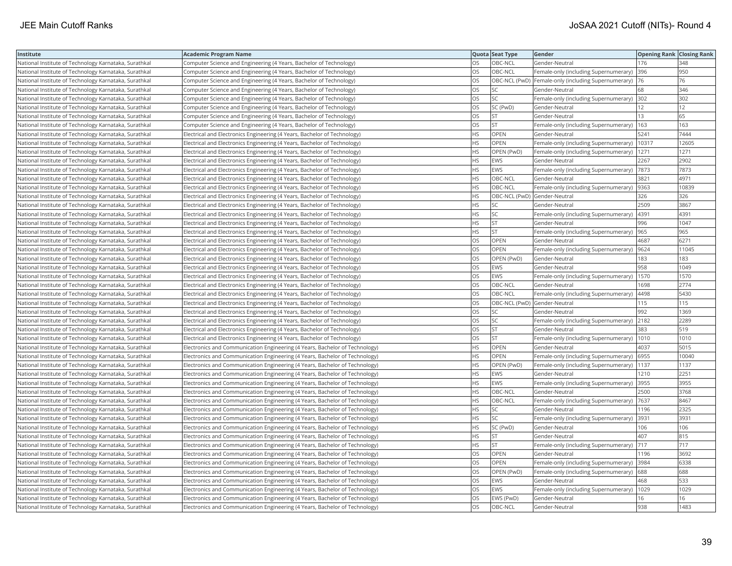| Institute                                             | <b>Academic Program Name</b>                                                |           | Quota Seat Type              | Gender                                              | <b>Opening Rank Closing Rank</b> |       |
|-------------------------------------------------------|-----------------------------------------------------------------------------|-----------|------------------------------|-----------------------------------------------------|----------------------------------|-------|
| National Institute of Technology Karnataka, Surathkal | Computer Science and Engineering (4 Years, Bachelor of Technology)          | OS        | OBC-NCL                      | Gender-Neutral                                      | 176                              | 348   |
| National Institute of Technology Karnataka, Surathkal | Computer Science and Engineering (4 Years, Bachelor of Technology)          | OS        | OBC-NCL                      | Female-only (including Supernumerary)               | 396                              | 950   |
| National Institute of Technology Karnataka, Surathkal | Computer Science and Engineering (4 Years, Bachelor of Technology)          | <b>OS</b> |                              | OBC-NCL (PwD) Female-only (including Supernumerary) | 76                               | 76    |
| National Institute of Technology Karnataka, Surathkal | Computer Science and Engineering (4 Years, Bachelor of Technology)          | OS        | SC.                          | Gender-Neutral                                      | 68                               | 346   |
| National Institute of Technology Karnataka, Surathkal | Computer Science and Engineering (4 Years, Bachelor of Technology)          | OS        | SC.                          | Female-only (including Supernumerary)               | 302                              | 302   |
| National Institute of Technology Karnataka, Surathkal | Computer Science and Engineering (4 Years, Bachelor of Technology)          | OS        | SC (PwD)                     | Gender-Neutral                                      | 12                               | 12    |
| National Institute of Technology Karnataka, Surathkal | Computer Science and Engineering (4 Years, Bachelor of Technology)          | OS        | <b>ST</b>                    | Gender-Neutral                                      | 13                               | 65    |
| National Institute of Technology Karnataka, Surathkal | Computer Science and Engineering (4 Years, Bachelor of Technology)          | OS        | İst                          | Female-only (including Supernumerary)               | 163                              | 163   |
| National Institute of Technology Karnataka, Surathkal | Electrical and Electronics Engineering (4 Years, Bachelor of Technology)    | <b>HS</b> | OPEN                         | Gender-Neutral                                      | 5241                             | 7444  |
| National Institute of Technology Karnataka, Surathkal | Electrical and Electronics Engineering (4 Years, Bachelor of Technology)    | <b>HS</b> | OPEN                         | Female-only (including Supernumerary)               | 10317                            | 12605 |
| National Institute of Technology Karnataka, Surathkal | Electrical and Electronics Engineering (4 Years, Bachelor of Technology)    | <b>HS</b> | OPEN (PwD)                   | Female-only (including Supernumerary)               | 1271                             | 1271  |
| National Institute of Technology Karnataka, Surathkal | Electrical and Electronics Engineering (4 Years, Bachelor of Technology)    | <b>HS</b> | <b>EWS</b>                   | Gender-Neutral                                      | 2267                             | 2902  |
| National Institute of Technology Karnataka, Surathkal | Electrical and Electronics Engineering (4 Years, Bachelor of Technology)    | <b>HS</b> | <b>EWS</b>                   | Female-only (including Supernumerary)   7873        |                                  | 7873  |
| National Institute of Technology Karnataka, Surathkal | Electrical and Electronics Engineering (4 Years, Bachelor of Technology)    | <b>HS</b> | OBC-NCL                      | Gender-Neutral                                      | 3821                             | 4971  |
| National Institute of Technology Karnataka, Surathkal | Electrical and Electronics Engineering (4 Years, Bachelor of Technology)    | <b>HS</b> | OBC-NCL                      | Female-only (including Supernumerary)               | 9363                             | 10839 |
| National Institute of Technology Karnataka, Surathkal | Electrical and Electronics Engineering (4 Years, Bachelor of Technology)    | HS        | OBC-NCL (PwD) Gender-Neutral |                                                     | 326                              | 326   |
| National Institute of Technology Karnataka, Surathkal | Electrical and Electronics Engineering (4 Years, Bachelor of Technology)    | <b>HS</b> | SC                           | Gender-Neutral                                      | 2509                             | 3867  |
| National Institute of Technology Karnataka, Surathkal | Electrical and Electronics Engineering (4 Years, Bachelor of Technology)    | <b>HS</b> | SC.                          | Female-only (including Supernumerary)               | 4391                             | 4391  |
| National Institute of Technology Karnataka, Surathkal | Electrical and Electronics Engineering (4 Years, Bachelor of Technology)    | <b>HS</b> | İst                          | Gender-Neutral                                      | 996                              | 1047  |
| National Institute of Technology Karnataka, Surathkal | Electrical and Electronics Engineering (4 Years, Bachelor of Technology)    | <b>HS</b> | <b>ST</b>                    | Female-only (including Supernumerary)               | 965                              | 965   |
| National Institute of Technology Karnataka, Surathkal | Electrical and Electronics Engineering (4 Years, Bachelor of Technology)    | OS        | OPEN                         | Gender-Neutral                                      | 4687                             | 6271  |
| National Institute of Technology Karnataka, Surathkal | Electrical and Electronics Engineering (4 Years, Bachelor of Technology)    | OS        | OPEN                         | Female-only (including Supernumerary)  9624         |                                  | 11045 |
| National Institute of Technology Karnataka, Surathkal | Electrical and Electronics Engineering (4 Years, Bachelor of Technology)    | OS        | OPEN (PwD)                   | Gender-Neutral                                      | 183                              | 183   |
| National Institute of Technology Karnataka, Surathkal | Electrical and Electronics Engineering (4 Years, Bachelor of Technology)    | <b>OS</b> | <b>EWS</b>                   | Gender-Neutral                                      | 958                              | 1049  |
| National Institute of Technology Karnataka, Surathkal | Electrical and Electronics Engineering (4 Years, Bachelor of Technology)    | OS        | EWS                          | Female-only (including Supernumerary)               | 1570                             | 1570  |
| National Institute of Technology Karnataka, Surathkal | Electrical and Electronics Engineering (4 Years, Bachelor of Technology)    | OS        | OBC-NCL                      | Gender-Neutral                                      | 1698                             | 2774  |
| National Institute of Technology Karnataka, Surathkal | Electrical and Electronics Engineering (4 Years, Bachelor of Technology)    | OS        | OBC-NCL                      | Female-only (including Supernumerary)               | 4498                             | 5430  |
| National Institute of Technology Karnataka, Surathkal | Electrical and Electronics Engineering (4 Years, Bachelor of Technology)    | OS        | OBC-NCL (PwD) Gender-Neutral |                                                     | 115                              | 115   |
| National Institute of Technology Karnataka, Surathkal | Electrical and Electronics Engineering (4 Years, Bachelor of Technology)    | OS        | SC.                          | Gender-Neutral                                      | 992                              | 1369  |
| National Institute of Technology Karnataka, Surathkal | Electrical and Electronics Engineering (4 Years, Bachelor of Technology)    | OS        | SC                           | Female-only (including Supernumerary) 2182          |                                  | 2289  |
| National Institute of Technology Karnataka, Surathkal | Electrical and Electronics Engineering (4 Years, Bachelor of Technology)    | OS        | İst                          | Gender-Neutral                                      | 383                              | 519   |
| National Institute of Technology Karnataka, Surathkal | Electrical and Electronics Engineering (4 Years, Bachelor of Technology)    | OS        | <b>ST</b>                    | Female-only (including Supernumerary)               | 1010                             | 1010  |
| National Institute of Technology Karnataka, Surathkal | Electronics and Communication Engineering (4 Years, Bachelor of Technology) | <b>HS</b> | OPEN                         | Gender-Neutral                                      | 4037                             | 5015  |
| National Institute of Technology Karnataka, Surathkal | Electronics and Communication Engineering (4 Years, Bachelor of Technology) | <b>HS</b> | OPEN                         | Female-only (including Supernumerary)               | 6955                             | 10040 |
| National Institute of Technology Karnataka, Surathkal | Electronics and Communication Engineering (4 Years, Bachelor of Technology) | <b>HS</b> | OPEN (PwD)                   | Female-only (including Supernumerary)               | 1137                             | 1137  |
| National Institute of Technology Karnataka, Surathkal | Electronics and Communication Engineering (4 Years, Bachelor of Technology) | <b>HS</b> | <b>EWS</b>                   | Gender-Neutral                                      | 1210                             | 2251  |
| National Institute of Technology Karnataka, Surathkal | Electronics and Communication Engineering (4 Years, Bachelor of Technology) | <b>HS</b> | EWS                          | Female-only (including Supernumerary)               | 3955                             | 3955  |
| National Institute of Technology Karnataka, Surathkal | Electronics and Communication Engineering (4 Years, Bachelor of Technology) | <b>HS</b> | OBC-NCL                      | Gender-Neutral                                      | 2500                             | 3768  |
| National Institute of Technology Karnataka, Surathkal | Electronics and Communication Engineering (4 Years, Bachelor of Technology) | <b>HS</b> | OBC-NCL                      | Female-only (including Supernumerary)               | 7637                             | 8467  |
| National Institute of Technology Karnataka, Surathkal | Electronics and Communication Engineering (4 Years, Bachelor of Technology) | <b>HS</b> | SC                           | Gender-Neutral                                      | 1196                             | 2325  |
| National Institute of Technology Karnataka, Surathkal | Electronics and Communication Engineering (4 Years, Bachelor of Technology) | <b>HS</b> | <b>SC</b>                    | Female-only (including Supernumerary)               | 3931                             | 3931  |
| National Institute of Technology Karnataka, Surathkal | Electronics and Communication Engineering (4 Years, Bachelor of Technology) | <b>HS</b> | SC (PwD)                     | Gender-Neutral                                      | 106                              | 106   |
| National Institute of Technology Karnataka, Surathkal | Electronics and Communication Engineering (4 Years, Bachelor of Technology) | <b>HS</b> | <b>ST</b>                    | Gender-Neutral                                      | 407                              | 815   |
| National Institute of Technology Karnataka, Surathkal | Electronics and Communication Engineering (4 Years, Bachelor of Technology) | <b>HS</b> | <b>ST</b>                    | Female-only (including Supernumerary)               | 717                              | 717   |
| National Institute of Technology Karnataka, Surathkal | Electronics and Communication Engineering (4 Years, Bachelor of Technology) | OS        | <b>OPEN</b>                  | Gender-Neutral                                      | 1196                             | 3692  |
| National Institute of Technology Karnataka, Surathkal | Electronics and Communication Engineering (4 Years, Bachelor of Technology) | OS        | OPEN                         | Female-only (including Supernumerary) 3984          |                                  | 6338  |
| National Institute of Technology Karnataka, Surathkal | Electronics and Communication Engineering (4 Years, Bachelor of Technology) | OS        | OPEN (PwD)                   | Female-only (including Supernumerary) 688           |                                  | 688   |
| National Institute of Technology Karnataka, Surathkal | Electronics and Communication Engineering (4 Years, Bachelor of Technology) | OS        | <b>EWS</b>                   | Gender-Neutral                                      | 468                              | 533   |
| National Institute of Technology Karnataka, Surathkal | Electronics and Communication Engineering (4 Years, Bachelor of Technology) | OS        | EWS                          | Female-only (including Supernumerary)               | 1029                             | 1029  |
| National Institute of Technology Karnataka, Surathkal | Electronics and Communication Engineering (4 Years, Bachelor of Technology) | OS        | EWS (PwD)                    | Gender-Neutral                                      | 16                               | 16    |
| National Institute of Technology Karnataka, Surathkal | Electronics and Communication Engineering (4 Years, Bachelor of Technology) | <b>OS</b> | OBC-NCL                      | Gender-Neutral                                      | 938                              | 1483  |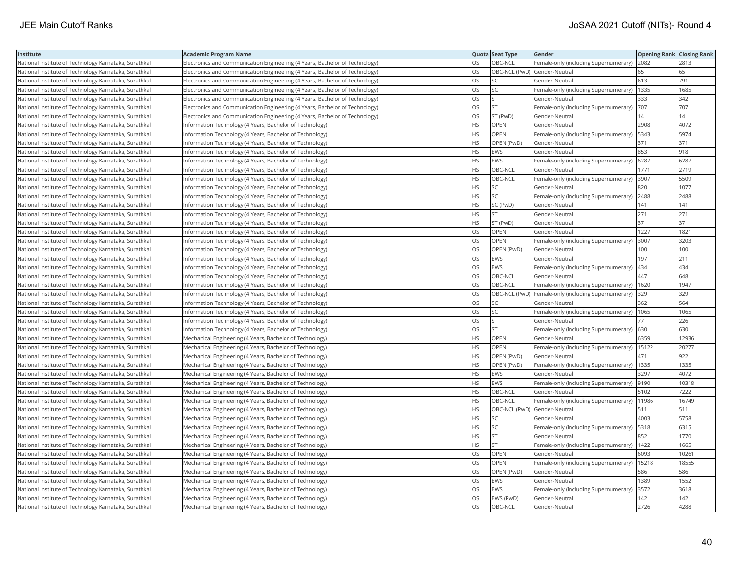| Institute                                             | <b>Academic Program Name</b>                                                |           | Quota Seat Type              | <b>Gender</b>                                       | <b>Opening Rank Closing Rank</b> |       |
|-------------------------------------------------------|-----------------------------------------------------------------------------|-----------|------------------------------|-----------------------------------------------------|----------------------------------|-------|
| National Institute of Technology Karnataka, Surathkal | Electronics and Communication Engineering (4 Years, Bachelor of Technology) | OS        | OBC-NCL                      | Female-only (including Supernumerary)               | 2082                             | 2813  |
| National Institute of Technology Karnataka, Surathkal | Electronics and Communication Engineering (4 Years, Bachelor of Technology) | OS.       | OBC-NCL (PwD) Gender-Neutral |                                                     | 65                               | 65    |
| National Institute of Technology Karnataka, Surathkal | Electronics and Communication Engineering (4 Years, Bachelor of Technology) | OS        | <b>SC</b>                    | Gender-Neutral                                      | 613                              | 791   |
| National Institute of Technology Karnataka, Surathkal | Electronics and Communication Engineering (4 Years, Bachelor of Technology) | OS        | <b>SC</b>                    | Female-only (including Supernumerary)               | 1335                             | 1685  |
| National Institute of Technology Karnataka, Surathkal | Electronics and Communication Engineering (4 Years, Bachelor of Technology) | <b>OS</b> | lst                          | Gender-Neutral                                      | 333                              | 342   |
| National Institute of Technology Karnataka, Surathkal | Electronics and Communication Engineering (4 Years, Bachelor of Technology) | OS        | <b>ST</b>                    | Female-only (including Supernumerary)               | 707                              | 707   |
| National Institute of Technology Karnataka, Surathkal | Electronics and Communication Engineering (4 Years, Bachelor of Technology) | OS        | ST (PwD)                     | Gender-Neutral                                      | 14                               | 14    |
| National Institute of Technology Karnataka, Surathkal | Information Technology (4 Years, Bachelor of Technology)                    | <b>HS</b> | <b>OPEN</b>                  | Gender-Neutral                                      | 2908                             | 4072  |
| National Institute of Technology Karnataka, Surathkal | Information Technology (4 Years, Bachelor of Technology)                    | НS        | <b>OPEN</b>                  | Female-only (including Supernumerary)               | 5343                             | 5974  |
| National Institute of Technology Karnataka, Surathkal | Information Technology (4 Years, Bachelor of Technology)                    | <b>HS</b> | OPEN (PwD)                   | Gender-Neutral                                      | 371                              | 371   |
| National Institute of Technology Karnataka, Surathkal | Information Technology (4 Years, Bachelor of Technology)                    | <b>HS</b> | <b>EWS</b>                   | Gender-Neutral                                      | 853                              | 918   |
| National Institute of Technology Karnataka, Surathkal | Information Technology (4 Years, Bachelor of Technology)                    | <b>HS</b> | <b>EWS</b>                   | Female-only (including Supernumerary)               | 6287                             | 6287  |
| National Institute of Technology Karnataka, Surathkal | Information Technology (4 Years, Bachelor of Technology)                    | HS.       | OBC-NCL                      | Gender-Neutral                                      | 1771                             | 2719  |
| National Institute of Technology Karnataka, Surathkal | Information Technology (4 Years, Bachelor of Technology)                    | HS        | OBC-NCL                      | Female-only (including Supernumerary)               | 3907                             | 5509  |
| National Institute of Technology Karnataka, Surathkal | Information Technology (4 Years, Bachelor of Technology)                    | <b>HS</b> | SC                           | Gender-Neutral                                      | 820                              | 1077  |
| National Institute of Technology Karnataka, Surathkal | Information Technology (4 Years, Bachelor of Technology)                    | HS.       | lsc                          | Female-only (including Supernumerary)               | 2488                             | 2488  |
| National Institute of Technology Karnataka, Surathkal | Information Technology (4 Years, Bachelor of Technology)                    | HS        | SC (PwD)                     | Gender-Neutral                                      | 141                              | 141   |
| National Institute of Technology Karnataka, Surathkal | Information Technology (4 Years, Bachelor of Technology)                    | <b>HS</b> | <b>ST</b>                    | Gender-Neutral                                      | 271                              | 271   |
| National Institute of Technology Karnataka, Surathkal | Information Technology (4 Years, Bachelor of Technology)                    | <b>HS</b> | ST (PwD)                     | Gender-Neutral                                      | 37                               | 37    |
| National Institute of Technology Karnataka, Surathkal | Information Technology (4 Years, Bachelor of Technology)                    | OS.       | <b>OPEN</b>                  | Gender-Neutral                                      | 1227                             | 1821  |
| National Institute of Technology Karnataka, Surathkal | Information Technology (4 Years, Bachelor of Technology)                    | OS        | <b>OPEN</b>                  | Female-only (including Supernumerary)               | 3007                             | 3203  |
| National Institute of Technology Karnataka, Surathkal | Information Technology (4 Years, Bachelor of Technology)                    | OS        | OPEN (PwD)                   | Gender-Neutral                                      | 100                              | 100   |
| National Institute of Technology Karnataka, Surathkal | Information Technology (4 Years, Bachelor of Technology)                    | OS        | <b>EWS</b>                   | Gender-Neutral                                      | 197                              | 211   |
| National Institute of Technology Karnataka, Surathkal | Information Technology (4 Years, Bachelor of Technology)                    | OS        | <b>EWS</b>                   | Female-only (including Supernumerary)               | 434                              | 434   |
| National Institute of Technology Karnataka, Surathkal | Information Technology (4 Years, Bachelor of Technology)                    | OS        | OBC-NCL                      | Gender-Neutral                                      | 447                              | 648   |
| National Institute of Technology Karnataka, Surathkal | Information Technology (4 Years, Bachelor of Technology)                    | OS        | OBC-NCL                      | Female-only (including Supernumerary)               | 1620                             | 1947  |
| National Institute of Technology Karnataka, Surathkal | Information Technology (4 Years, Bachelor of Technology)                    | OS        |                              | OBC-NCL (PwD) Female-only (including Supernumerary) | 329                              | 329   |
| National Institute of Technology Karnataka, Surathkal | Information Technology (4 Years, Bachelor of Technology)                    | <b>OS</b> | lsc                          | Gender-Neutral                                      | 362                              | 564   |
| National Institute of Technology Karnataka, Surathkal | Information Technology (4 Years, Bachelor of Technology)                    | OS        | <b>SC</b>                    | Female-only (including Supernumerary)               | 1065                             | 1065  |
| National Institute of Technology Karnataka, Surathkal | Information Technology (4 Years, Bachelor of Technology)                    | OS        | <b>ST</b>                    | Gender-Neutral                                      | 77                               | 226   |
| National Institute of Technology Karnataka, Surathkal | Information Technology (4 Years, Bachelor of Technology)                    | OS        | <b>ST</b>                    | Female-only (including Supernumerary) 630           |                                  | 630   |
| National Institute of Technology Karnataka, Surathkal | Mechanical Engineering (4 Years, Bachelor of Technology)                    | HS.       | <b>OPEN</b>                  | Gender-Neutral                                      | 6359                             | 12936 |
| National Institute of Technology Karnataka, Surathkal | Mechanical Engineering (4 Years, Bachelor of Technology)                    | <b>HS</b> | <b>OPEN</b>                  | Female-only (including Supernumerary)               | 15122                            | 20277 |
| National Institute of Technology Karnataka, Surathkal | Mechanical Engineering (4 Years, Bachelor of Technology)                    | HS        | OPEN (PwD)                   | Gender-Neutral                                      | 471                              | 922   |
| National Institute of Technology Karnataka, Surathkal | Mechanical Engineering (4 Years, Bachelor of Technology)                    | <b>HS</b> | OPEN (PwD)                   | Female-only (including Supernumerary)               | 1335                             | 1335  |
| National Institute of Technology Karnataka, Surathkal | Mechanical Engineering (4 Years, Bachelor of Technology)                    | <b>HS</b> | <b>EWS</b>                   | Gender-Neutral                                      | 3297                             | 4072  |
| National Institute of Technology Karnataka, Surathkal | Mechanical Engineering (4 Years, Bachelor of Technology)                    | HS        | EWS                          | Female-only (including Supernumerary)               | 9190                             | 10318 |
| National Institute of Technology Karnataka, Surathkal | Mechanical Engineering (4 Years, Bachelor of Technology)                    | <b>HS</b> | OBC-NCL                      | Gender-Neutral                                      | 5102                             | 7222  |
| National Institute of Technology Karnataka, Surathkal | Mechanical Engineering (4 Years, Bachelor of Technology)                    | HS        | OBC-NCL                      | Female-only (including Supernumerary)               | 11986                            | 16749 |
| National Institute of Technology Karnataka, Surathkal | Mechanical Engineering (4 Years, Bachelor of Technology)                    | <b>HS</b> | OBC-NCL (PwD) Gender-Neutral |                                                     | 511                              | 511   |
| National Institute of Technology Karnataka, Surathkal | Mechanical Engineering (4 Years, Bachelor of Technology)                    | <b>HS</b> | lsc                          | Gender-Neutral                                      | 4003                             | 5758  |
| National Institute of Technology Karnataka, Surathkal | Mechanical Engineering (4 Years, Bachelor of Technology)                    | HS        | <b>SC</b>                    | Female-only (including Supernumerary)               | 5318                             | 6315  |
| National Institute of Technology Karnataka, Surathkal | Mechanical Engineering (4 Years, Bachelor of Technology)                    | HS.       | <b>ST</b>                    | Gender-Neutral                                      | 852                              | 1770  |
| National Institute of Technology Karnataka, Surathkal | Mechanical Engineering (4 Years, Bachelor of Technology)                    | <b>HS</b> | <b>IST</b>                   | Female-only (including Supernumerary)               | 1422                             | 1665  |
| National Institute of Technology Karnataka, Surathkal | Mechanical Engineering (4 Years, Bachelor of Technology)                    | OS        | <b>OPEN</b>                  | Gender-Neutral                                      | 6093                             | 10261 |
| National Institute of Technology Karnataka, Surathkal | Mechanical Engineering (4 Years, Bachelor of Technology)                    | OS        | <b>OPEN</b>                  | Female-only (including Supernumerary)               | 15218                            | 18555 |
| National Institute of Technology Karnataka, Surathkal | Mechanical Engineering (4 Years, Bachelor of Technology)                    | OS.       | OPEN (PwD)                   | Gender-Neutral                                      | 586                              | 586   |
| National Institute of Technology Karnataka, Surathkal | Mechanical Engineering (4 Years, Bachelor of Technology)                    | OS        | <b>EWS</b>                   | Gender-Neutral                                      | 1389                             | 1552  |
| National Institute of Technology Karnataka, Surathkal | Mechanical Engineering (4 Years, Bachelor of Technology)                    | OS        | EWS                          | Female-only (including Supernumerary)               | 3572                             | 3618  |
| National Institute of Technology Karnataka, Surathkal | Mechanical Engineering (4 Years, Bachelor of Technology)                    | <b>OS</b> | EWS (PwD)                    | Gender-Neutral                                      | 142                              | 142   |
| National Institute of Technology Karnataka, Surathkal | Mechanical Engineering (4 Years, Bachelor of Technology)                    | <b>OS</b> | OBC-NCL                      | Gender-Neutral                                      | 2726                             | 4288  |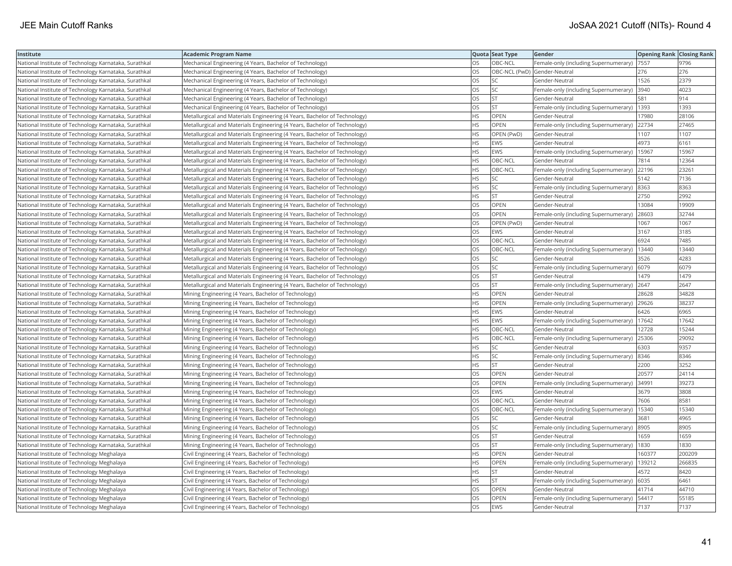| Institute                                             | <b>Academic Program Name</b>                                              |           | Quota Seat Type              | Gender                                      | <b>Opening Rank Closing Rank</b> |        |
|-------------------------------------------------------|---------------------------------------------------------------------------|-----------|------------------------------|---------------------------------------------|----------------------------------|--------|
| National Institute of Technology Karnataka, Surathkal | Mechanical Engineering (4 Years, Bachelor of Technology)                  | <b>OS</b> | OBC-NCL                      | Female-only (including Supernumerary)  7557 |                                  | 9796   |
| National Institute of Technology Karnataka, Surathkal | Mechanical Engineering (4 Years, Bachelor of Technology)                  | OS        | OBC-NCL (PwD) Gender-Neutral |                                             | 276                              | 276    |
| National Institute of Technology Karnataka, Surathkal | Mechanical Engineering (4 Years, Bachelor of Technology)                  | OS        | SC.                          | Gender-Neutral                              | 1526                             | 2379   |
| National Institute of Technology Karnataka, Surathkal | Mechanical Engineering (4 Years, Bachelor of Technology)                  | OS        | <b>SC</b>                    | Female-only (including Supernumerary)       | 3940                             | 4023   |
| National Institute of Technology Karnataka, Surathkal | Mechanical Engineering (4 Years, Bachelor of Technology)                  | OS        | <b>ST</b>                    | Gender-Neutral                              | 581                              | 914    |
| National Institute of Technology Karnataka, Surathkal | Mechanical Engineering (4 Years, Bachelor of Technology)                  | OS        | lst                          | Female-only (including Supernumerary)       | 1393                             | 1393   |
| National Institute of Technology Karnataka, Surathkal | Metallurgical and Materials Engineering (4 Years, Bachelor of Technology) | <b>HS</b> | <b>OPEN</b>                  | Gender-Neutral                              | 17980                            | 28106  |
| National Institute of Technology Karnataka, Surathkal | Metallurgical and Materials Engineering (4 Years, Bachelor of Technology) | <b>HS</b> | OPEN                         | Female-only (including Supernumerary)       | 22734                            | 27465  |
| National Institute of Technology Karnataka, Surathkal | Metallurgical and Materials Engineering (4 Years, Bachelor of Technology) | <b>HS</b> | OPEN (PwD)                   | Gender-Neutral                              | 1107                             | 1107   |
| National Institute of Technology Karnataka, Surathkal | Metallurgical and Materials Engineering (4 Years, Bachelor of Technology) | <b>HS</b> | <b>EWS</b>                   | Gender-Neutral                              | 4973                             | 6161   |
| National Institute of Technology Karnataka, Surathkal | Metallurgical and Materials Engineering (4 Years, Bachelor of Technology) | <b>HS</b> | EWS                          | Female-only (including Supernumerary)       | 15967                            | 15967  |
| National Institute of Technology Karnataka, Surathkal | Metallurgical and Materials Engineering (4 Years, Bachelor of Technology) | <b>HS</b> | OBC-NCL                      | Gender-Neutral                              | 7814                             | 12364  |
| National Institute of Technology Karnataka, Surathkal | Metallurgical and Materials Engineering (4 Years, Bachelor of Technology) | <b>HS</b> | OBC-NCL                      | Female-only (including Supernumerary)       | 22196                            | 23261  |
| National Institute of Technology Karnataka, Surathkal | Metallurgical and Materials Engineering (4 Years, Bachelor of Technology) | <b>HS</b> | SC.                          | Gender-Neutral                              | 5142                             | 7136   |
| National Institute of Technology Karnataka, Surathkal | Metallurgical and Materials Engineering (4 Years, Bachelor of Technology) | <b>HS</b> | SC                           | Female-only (including Supernumerary) 8363  |                                  | 8363   |
| National Institute of Technology Karnataka, Surathkal | Metallurgical and Materials Engineering (4 Years, Bachelor of Technology) | <b>HS</b> | lst                          | Gender-Neutral                              | 2750                             | 2992   |
| National Institute of Technology Karnataka, Surathkal | Metallurgical and Materials Engineering (4 Years, Bachelor of Technology) | OS        | OPEN                         | Gender-Neutral                              | 13084                            | 19909  |
| National Institute of Technology Karnataka, Surathkal | Metallurgical and Materials Engineering (4 Years, Bachelor of Technology) | <b>OS</b> | OPEN                         | Female-only (including Supernumerary)       | 28603                            | 32744  |
| National Institute of Technology Karnataka, Surathkal | Metallurgical and Materials Engineering (4 Years, Bachelor of Technology) | OS        | OPEN (PwD)                   | Gender-Neutral                              | 1067                             | 1067   |
| National Institute of Technology Karnataka, Surathkal | Metallurgical and Materials Engineering (4 Years, Bachelor of Technology) | <b>OS</b> | <b>EWS</b>                   | Gender-Neutral                              | 3167                             | 3185   |
| National Institute of Technology Karnataka, Surathkal | Metallurgical and Materials Engineering (4 Years, Bachelor of Technology) | <b>OS</b> | OBC-NCL                      | Gender-Neutral                              | 6924                             | 7485   |
| National Institute of Technology Karnataka, Surathkal | Metallurgical and Materials Engineering (4 Years, Bachelor of Technology) | OS        | OBC-NCL                      | Female-only (including Supernumerary)       | 13440                            | 13440  |
| National Institute of Technology Karnataka, Surathkal | Metallurgical and Materials Engineering (4 Years, Bachelor of Technology) | OS        | SC                           | Gender-Neutral                              | 3526                             | 4283   |
| National Institute of Technology Karnataka, Surathkal | Metallurgical and Materials Engineering (4 Years, Bachelor of Technology) | OS        | SC                           | Female-only (including Supernumerary)       | 6079                             | 6079   |
| National Institute of Technology Karnataka, Surathkal | Metallurgical and Materials Engineering (4 Years, Bachelor of Technology) | OS        | <b>ST</b>                    | Gender-Neutral                              | 1479                             | 1479   |
| National Institute of Technology Karnataka, Surathkal | Metallurgical and Materials Engineering (4 Years, Bachelor of Technology) | OS        | <b>ST</b>                    | Female-only (including Supernumerary)       | 2647                             | 2647   |
| National Institute of Technology Karnataka, Surathkal | Mining Engineering (4 Years, Bachelor of Technology)                      | <b>HS</b> | OPEN                         | Gender-Neutral                              | 28628                            | 34828  |
| National Institute of Technology Karnataka, Surathkal | Mining Engineering (4 Years, Bachelor of Technology)                      | <b>HS</b> | <b>OPEN</b>                  | Female-only (including Supernumerary)       | 29626                            | 38237  |
| National Institute of Technology Karnataka, Surathkal | Mining Engineering (4 Years, Bachelor of Technology)                      | <b>HS</b> | EWS                          | Gender-Neutral                              | 6426                             | 6965   |
| National Institute of Technology Karnataka, Surathkal | Mining Engineering (4 Years, Bachelor of Technology)                      | <b>HS</b> | EWS                          | Female-only (including Supernumerary)       | 17642                            | 17642  |
| National Institute of Technology Karnataka, Surathkal | Mining Engineering (4 Years, Bachelor of Technology)                      | <b>HS</b> | OBC-NCL                      | Gender-Neutral                              | 12728                            | 15244  |
| National Institute of Technology Karnataka, Surathkal | Mining Engineering (4 Years, Bachelor of Technology)                      | HS.       | OBC-NCL                      | Female-only (including Supernumerary)       | 25306                            | 29092  |
| National Institute of Technology Karnataka, Surathkal | Mining Engineering (4 Years, Bachelor of Technology)                      | <b>HS</b> | SC                           | Gender-Neutral                              | 6303                             | 9357   |
| National Institute of Technology Karnataka, Surathkal | Mining Engineering (4 Years, Bachelor of Technology)                      | <b>HS</b> | <b>SC</b>                    | Female-only (including Supernumerary)       | 8346                             | 8346   |
| National Institute of Technology Karnataka, Surathkal | Mining Engineering (4 Years, Bachelor of Technology)                      | <b>HS</b> | lst                          | Gender-Neutral                              | 2200                             | 3252   |
| National Institute of Technology Karnataka, Surathkal | Mining Engineering (4 Years, Bachelor of Technology)                      | OS        | OPEN                         | Gender-Neutral                              | 20577                            | 24114  |
| National Institute of Technology Karnataka, Surathkal | Mining Engineering (4 Years, Bachelor of Technology)                      | <b>OS</b> | OPEN                         | Female-only (including Supernumerary)       | 34991                            | 39273  |
| National Institute of Technology Karnataka, Surathkal | Mining Engineering (4 Years, Bachelor of Technology)                      | OS        | EWS                          | Gender-Neutral                              | 3679                             | 3808   |
| National Institute of Technology Karnataka, Surathkal | Mining Engineering (4 Years, Bachelor of Technology)                      | OS        | OBC-NCL                      | Gender-Neutral                              | 7606                             | 8581   |
| National Institute of Technology Karnataka, Surathkal | Mining Engineering (4 Years, Bachelor of Technology)                      | <b>OS</b> | OBC-NCL                      | Female-only (including Supernumerary)       | 15340                            | 15340  |
| National Institute of Technology Karnataka, Surathkal | Mining Engineering (4 Years, Bachelor of Technology)                      | OS        | SC                           | Gender-Neutral                              | 3681                             | 4965   |
| National Institute of Technology Karnataka, Surathkal | Mining Engineering (4 Years, Bachelor of Technology)                      | OS        | SC                           | Female-only (including Supernumerary)       | 8905                             | 8905   |
| National Institute of Technology Karnataka, Surathkal | Mining Engineering (4 Years, Bachelor of Technology)                      | <b>OS</b> | lst                          | Gender-Neutral                              | 1659                             | 1659   |
| National Institute of Technology Karnataka, Surathkal | Mining Engineering (4 Years, Bachelor of Technology)                      | OS        | lst                          | Female-only (including Supernumerary)       | 1830                             | 1830   |
| National Institute of Technology Meghalaya            | Civil Engineering (4 Years, Bachelor of Technology)                       | <b>HS</b> | OPEN                         | Gender-Neutral                              | 160377                           | 200209 |
| National Institute of Technology Meghalaya            | Civil Engineering (4 Years, Bachelor of Technology)                       | <b>HS</b> | OPEN                         | Female-only (including Supernumerary)       | 139212                           | 266835 |
| National Institute of Technology Meghalaya            | Civil Engineering (4 Years, Bachelor of Technology)                       | <b>HS</b> | <b>ST</b>                    | Gender-Neutral                              | 4572                             | 8420   |
| National Institute of Technology Meghalaya            | Civil Engineering (4 Years, Bachelor of Technology)                       | HS.       | ST                           | Female-only (including Supernumerary)       | 6035                             | 6461   |
| National Institute of Technology Meghalaya            | Civil Engineering (4 Years, Bachelor of Technology)                       | OS        | OPEN                         | Gender-Neutral                              | 41714                            | 44710  |
| National Institute of Technology Meghalaya            | Civil Engineering (4 Years, Bachelor of Technology)                       | OS        | <b>OPEN</b>                  | Female-only (including Supernumerary)       | 54417                            | 55185  |
| National Institute of Technology Meghalaya            | Civil Engineering (4 Years, Bachelor of Technology)                       | <b>OS</b> | <b>EWS</b>                   | Gender-Neutral                              | 7137                             | 7137   |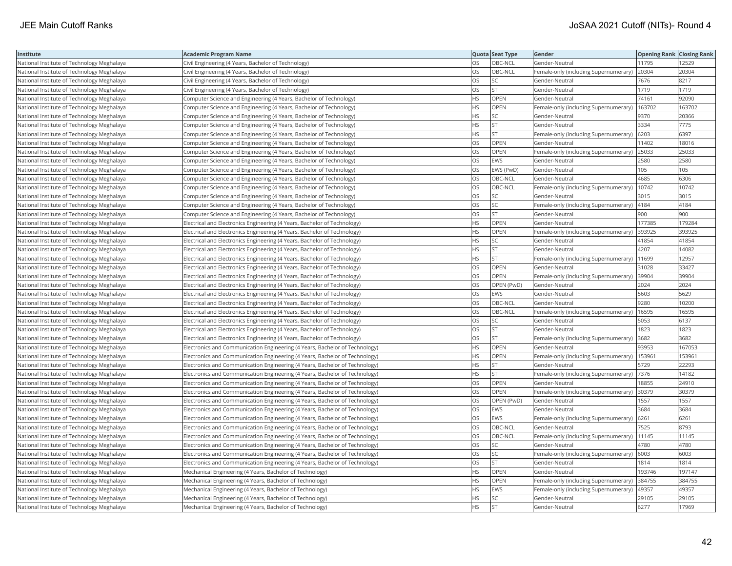| Institute                                  | <b>Academic Program Name</b>                                                |           | Quota Seat Type | Gender                                       | <b>Opening Rank Closing Rank</b> |        |
|--------------------------------------------|-----------------------------------------------------------------------------|-----------|-----------------|----------------------------------------------|----------------------------------|--------|
| National Institute of Technology Meghalaya | Civil Engineering (4 Years, Bachelor of Technology)                         | OS        | OBC-NCL         | Gender-Neutral                               | 11795                            | 12529  |
| National Institute of Technology Meghalaya | Civil Engineering (4 Years, Bachelor of Technology)                         | OS        | OBC-NCL         | Female-only (including Supernumerary)        | 20304                            | 20304  |
| National Institute of Technology Meghalaya | Civil Engineering (4 Years, Bachelor of Technology)                         | OS        | SC              | Gender-Neutral                               | 7676                             | 8217   |
| National Institute of Technology Meghalaya | Civil Engineering (4 Years, Bachelor of Technology)                         | <b>OS</b> | <b>ST</b>       | Gender-Neutral                               | 1719                             | 1719   |
| National Institute of Technology Meghalaya | Computer Science and Engineering (4 Years, Bachelor of Technology)          | НS        | <b>OPEN</b>     | Gender-Neutral                               | 74161                            | 92090  |
| National Institute of Technology Meghalaya | Computer Science and Engineering (4 Years, Bachelor of Technology)          | HS        | OPEN            | Female-only (including Supernumerary)        | 163702                           | 163702 |
| National Institute of Technology Meghalaya | Computer Science and Engineering (4 Years, Bachelor of Technology)          | HS        | SC              | Gender-Neutral                               | 9370                             | 20366  |
| National Institute of Technology Meghalaya | Computer Science and Engineering (4 Years, Bachelor of Technology)          | HS        | <b>ST</b>       | Gender-Neutral                               | 3334                             | 7775   |
| National Institute of Technology Meghalaya | Computer Science and Engineering (4 Years, Bachelor of Technology)          | HS        | <b>ST</b>       | Female-only (including Supernumerary)        | 6203                             | 6397   |
| National Institute of Technology Meghalaya | Computer Science and Engineering (4 Years, Bachelor of Technology)          | OS        | <b>OPEN</b>     | Gender-Neutral                               | 11402                            | 18016  |
| National Institute of Technology Meghalaya | Computer Science and Engineering (4 Years, Bachelor of Technology)          | OS        | <b>OPEN</b>     | Female-only (including Supernumerary)        | 25033                            | 25033  |
| National Institute of Technology Meghalaya | Computer Science and Engineering (4 Years, Bachelor of Technology)          | OS        | <b>EWS</b>      | Gender-Neutral                               | 2580                             | 2580   |
| National Institute of Technology Meghalaya | Computer Science and Engineering (4 Years, Bachelor of Technology)          | OS        | EWS (PwD)       | Gender-Neutral                               | 105                              | 105    |
| National Institute of Technology Meghalaya | Computer Science and Engineering (4 Years, Bachelor of Technology)          | OS        | OBC-NCL         | Gender-Neutral                               | 4685                             | 6306   |
| National Institute of Technology Meghalaya | Computer Science and Engineering (4 Years, Bachelor of Technology)          | OS.       | OBC-NCL         | Female-only (including Supernumerary)        | 10742                            | 10742  |
| National Institute of Technology Meghalaya | Computer Science and Engineering (4 Years, Bachelor of Technology)          | OS        | SC              | Gender-Neutral                               | 3015                             | 3015   |
| National Institute of Technology Meghalaya | Computer Science and Engineering (4 Years, Bachelor of Technology)          | OS        | SC              | Female-only (including Supernumerary)   4184 |                                  | 4184   |
| National Institute of Technology Meghalaya | Computer Science and Engineering (4 Years, Bachelor of Technology)          | OS        | <b>ST</b>       | Gender-Neutral                               | 900                              | 900    |
| National Institute of Technology Meghalaya | Electrical and Electronics Engineering (4 Years, Bachelor of Technology)    | <b>HS</b> | <b>OPEN</b>     | Gender-Neutral                               | 177385                           | 179284 |
| National Institute of Technology Meghalaya | Electrical and Electronics Engineering (4 Years, Bachelor of Technology)    | HS        | <b>OPEN</b>     | Female-only (including Supernumerary)        | 393925                           | 393925 |
| National Institute of Technology Meghalaya | Electrical and Electronics Engineering (4 Years, Bachelor of Technology)    | HS        | SC              | Gender-Neutral                               | 41854                            | 41854  |
| National Institute of Technology Meghalaya | Electrical and Electronics Engineering (4 Years, Bachelor of Technology)    | HS        | <b>ST</b>       | Gender-Neutral                               | 4207                             | 14082  |
| National Institute of Technology Meghalaya | Electrical and Electronics Engineering (4 Years, Bachelor of Technology)    | HS        | <b>ST</b>       | Female-only (including Supernumerary)        | 11699                            | 12957  |
| National Institute of Technology Meghalaya | Electrical and Electronics Engineering (4 Years, Bachelor of Technology)    | OS        | OPEN            | Gender-Neutral                               | 31028                            | 33427  |
| National Institute of Technology Meghalaya | Electrical and Electronics Engineering (4 Years, Bachelor of Technology)    | OS        | OPEN            | Female-only (including Supernumerary)        | 39904                            | 39904  |
| National Institute of Technology Meghalaya | Electrical and Electronics Engineering (4 Years, Bachelor of Technology)    | OS        | OPEN (PwD)      | Gender-Neutral                               | 2024                             | 2024   |
| National Institute of Technology Meghalaya | Electrical and Electronics Engineering (4 Years, Bachelor of Technology)    | OS        | <b>EWS</b>      | Gender-Neutral                               | 5603                             | 5629   |
| National Institute of Technology Meghalaya | Electrical and Electronics Engineering (4 Years, Bachelor of Technology)    | OS        | OBC-NCL         | Gender-Neutral                               | 9280                             | 10200  |
| National Institute of Technology Meghalaya | Electrical and Electronics Engineering (4 Years, Bachelor of Technology)    | OS        | OBC-NCL         | Female-only (including Supernumerary)        | 16595                            | 16595  |
| National Institute of Technology Meghalaya | Electrical and Electronics Engineering (4 Years, Bachelor of Technology)    | OS        | <b>SC</b>       | Gender-Neutral                               | 5053                             | 6137   |
| National Institute of Technology Meghalaya | Electrical and Electronics Engineering (4 Years, Bachelor of Technology)    | OS        | <b>ST</b>       | Gender-Neutral                               | 1823                             | 1823   |
| National Institute of Technology Meghalaya | Electrical and Electronics Engineering (4 Years, Bachelor of Technology)    | OS        | <b>ST</b>       | Female-only (including Supernumerary)        | 3682                             | 3682   |
| National Institute of Technology Meghalaya | Electronics and Communication Engineering (4 Years, Bachelor of Technology) | НS        | OPEN            | Gender-Neutral                               | 93953                            | 167053 |
| National Institute of Technology Meghalaya | Electronics and Communication Engineering (4 Years, Bachelor of Technology) | HS        | OPEN            | Female-only (including Supernumerary)        | 153961                           | 153961 |
| National Institute of Technology Meghalaya | Electronics and Communication Engineering (4 Years, Bachelor of Technology) | <b>HS</b> | <b>ST</b>       | Gender-Neutral                               | 5729                             | 22293  |
| National Institute of Technology Meghalaya | Electronics and Communication Engineering (4 Years, Bachelor of Technology) | HS        | <b>ST</b>       | Female-only (including Supernumerary)        | 7376                             | 14182  |
| National Institute of Technology Meghalaya | Electronics and Communication Engineering (4 Years, Bachelor of Technology) | OS        | OPEN            | Gender-Neutral                               | 18855                            | 24910  |
| National Institute of Technology Meghalaya | Electronics and Communication Engineering (4 Years, Bachelor of Technology) | OS        | OPEN            | Female-only (including Supernumerary) 30379  |                                  | 30379  |
| National Institute of Technology Meghalaya | Electronics and Communication Engineering (4 Years, Bachelor of Technology) | OS        | OPEN (PwD)      | Gender-Neutral                               | 1557                             | 1557   |
| National Institute of Technology Meghalaya | Electronics and Communication Engineering (4 Years, Bachelor of Technology) | <b>OS</b> | <b>EWS</b>      | Gender-Neutral                               | 3684                             | 3684   |
| National Institute of Technology Meghalaya | Electronics and Communication Engineering (4 Years, Bachelor of Technology) | OS        | <b>EWS</b>      | Female-only (including Supernumerary)        | 6261                             | 6261   |
| National Institute of Technology Meghalaya | Electronics and Communication Engineering (4 Years, Bachelor of Technology) | OS        | OBC-NCL         | Gender-Neutral                               | 7525                             | 8793   |
| National Institute of Technology Meghalaya | Electronics and Communication Engineering (4 Years, Bachelor of Technology) | OS        | OBC-NCL         | Female-only (including Supernumerary)        | 11145                            | 11145  |
| National Institute of Technology Meghalaya | Electronics and Communication Engineering (4 Years, Bachelor of Technology) | OS        | SC              | Gender-Neutral                               | 4780                             | 4780   |
| National Institute of Technology Meghalaya | Electronics and Communication Engineering (4 Years, Bachelor of Technology) | OS        | SC              | Female-only (including Supernumerary) 6003   |                                  | 6003   |
| National Institute of Technology Meghalaya | Electronics and Communication Engineering (4 Years, Bachelor of Technology) | OS        | <b>ST</b>       | Gender-Neutral                               | 1814                             | 1814   |
| National Institute of Technology Meghalaya | Mechanical Engineering (4 Years, Bachelor of Technology)                    | HS        | OPEN            | Gender-Neutral                               | 193746                           | 197147 |
| National Institute of Technology Meghalaya | Mechanical Engineering (4 Years, Bachelor of Technology)                    | HS        | <b>OPEN</b>     | Female-only (including Supernumerary)        | 384755                           | 384755 |
| National Institute of Technology Meghalaya | Mechanical Engineering (4 Years, Bachelor of Technology)                    | ΗS        | EWS             | Female-only (including Supernumerary)        | 49357                            | 49357  |
| National Institute of Technology Meghalaya | Mechanical Engineering (4 Years, Bachelor of Technology)                    | <b>HS</b> | SC              | Gender-Neutral                               | 29105                            | 29105  |
| National Institute of Technology Meghalaya | Mechanical Engineering (4 Years, Bachelor of Technology)                    | <b>HS</b> | <b>ST</b>       | Gender-Neutral                               | 6277                             | 17969  |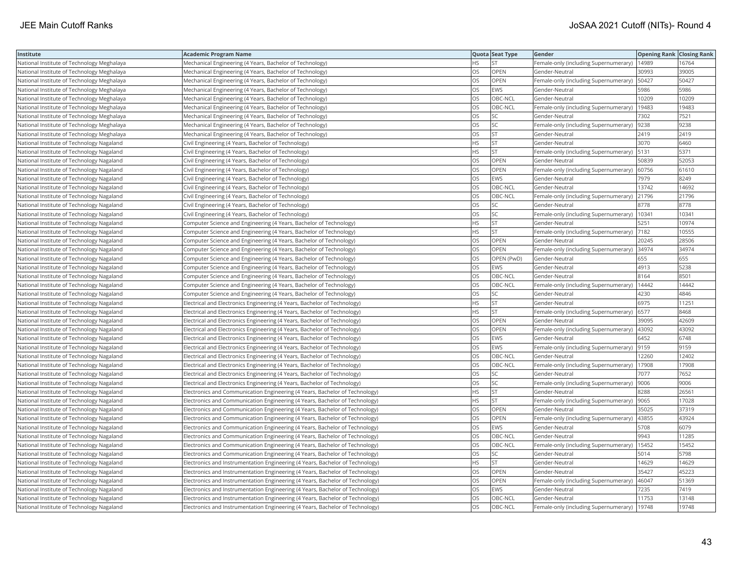| Institute                                  | <b>Academic Program Name</b>                                                  |           | Quota Seat Type | Gender                                        | <b>Opening Rank Closing Rank</b> |       |
|--------------------------------------------|-------------------------------------------------------------------------------|-----------|-----------------|-----------------------------------------------|----------------------------------|-------|
| National Institute of Technology Meghalaya | Mechanical Engineering (4 Years, Bachelor of Technology)                      | <b>HS</b> | <b>ST</b>       | Female-only (including Supernumerary)   14989 |                                  | 16764 |
| National Institute of Technology Meghalaya | Mechanical Engineering (4 Years, Bachelor of Technology)                      | ЭS        | OPEN            | Gender-Neutral                                | 30993                            | 39005 |
| National Institute of Technology Meghalaya | Mechanical Engineering (4 Years, Bachelor of Technology)                      | OS        | OPEN            | Female-only (including Supernumerary)   50427 |                                  | 50427 |
| National Institute of Technology Meghalaya | Mechanical Engineering (4 Years, Bachelor of Technology)                      | OS        | <b>EWS</b>      | Gender-Neutral                                | 5986                             | 5986  |
| National Institute of Technology Meghalaya | Mechanical Engineering (4 Years, Bachelor of Technology)                      | OS        | OBC-NCL         | Gender-Neutral                                | 10209                            | 10209 |
| National Institute of Technology Meghalaya | Mechanical Engineering (4 Years, Bachelor of Technology)                      | OS        | OBC-NCL         | Female-only (including Supernumerary)         | 19483                            | 19483 |
| National Institute of Technology Meghalaya | Mechanical Engineering (4 Years, Bachelor of Technology)                      | OS        | SC              | Gender-Neutral                                | 7302                             | 7521  |
| National Institute of Technology Meghalaya | Mechanical Engineering (4 Years, Bachelor of Technology)                      | <b>OS</b> | <b>SC</b>       | Female-only (including Supernumerary)   9238  |                                  | 9238  |
| National Institute of Technology Meghalaya | Mechanical Engineering (4 Years, Bachelor of Technology)                      | OS        | <b>ST</b>       | Gender-Neutral                                | 2419                             | 2419  |
| National Institute of Technology Nagaland  | Civil Engineering (4 Years, Bachelor of Technology)                           | ΗS        | <b>ST</b>       | Gender-Neutral                                | 3070                             | 6460  |
| National Institute of Technology Nagaland  | Civil Engineering (4 Years, Bachelor of Technology)                           | <b>HS</b> | ST              | Female-only (including Supernumerary)         | 5131                             | 5371  |
| National Institute of Technology Nagaland  | Civil Engineering (4 Years, Bachelor of Technology)                           | OS        | <b>OPEN</b>     | Gender-Neutral                                | 50839                            | 52053 |
| National Institute of Technology Nagaland  | Civil Engineering (4 Years, Bachelor of Technology)                           | OS        | OPEN            | Female-only (including Supernumerary)         | 60756                            | 61610 |
| National Institute of Technology Nagaland  | Civil Engineering (4 Years, Bachelor of Technology)                           | OS        | EWS             | Gender-Neutral                                | 7979                             | 8249  |
| National Institute of Technology Nagaland  | Civil Engineering (4 Years, Bachelor of Technology)                           | OS        | OBC-NCL         | Gender-Neutral                                | 13742                            | 14692 |
| National Institute of Technology Nagaland  | Civil Engineering (4 Years, Bachelor of Technology)                           | OS        | OBC-NCL         | Female-only (including Supernumerary) 21796   |                                  | 21796 |
| National Institute of Technology Nagaland  | Civil Engineering (4 Years, Bachelor of Technology)                           | OS        | <b>SC</b>       | Gender-Neutral                                | 8778                             | 8778  |
| National Institute of Technology Nagaland  | Civil Engineering (4 Years, Bachelor of Technology)                           | OS        | SC              | Female-only (including Supernumerary)         | 10341                            | 10341 |
| National Institute of Technology Nagaland  | Computer Science and Engineering (4 Years, Bachelor of Technology)            | HS        | ST              | Gender-Neutral                                | 5251                             | 10974 |
| National Institute of Technology Nagaland  | Computer Science and Engineering (4 Years, Bachelor of Technology)            | <b>HS</b> | <b>ST</b>       | Female-only (including Supernumerary)         | 7182                             | 10555 |
| National Institute of Technology Nagaland  | Computer Science and Engineering (4 Years, Bachelor of Technology)            | OS        | <b>OPEN</b>     | Gender-Neutral                                | 20245                            | 28506 |
| National Institute of Technology Nagaland  | Computer Science and Engineering (4 Years, Bachelor of Technology)            | OS        | <b>OPEN</b>     | Female-only (including Supernumerary) 34974   |                                  | 34974 |
| National Institute of Technology Nagaland  | Computer Science and Engineering (4 Years, Bachelor of Technology)            | OS        | OPEN (PwD)      | Gender-Neutral                                | 655                              | 655   |
| National Institute of Technology Nagaland  | Computer Science and Engineering (4 Years, Bachelor of Technology)            | OS        | <b>EWS</b>      | Gender-Neutral                                | 4913                             | 5238  |
| National Institute of Technology Nagaland  | Computer Science and Engineering (4 Years, Bachelor of Technology)            | OS        | OBC-NCL         | Gender-Neutral                                | 8164                             | 8501  |
| National Institute of Technology Nagaland  | Computer Science and Engineering (4 Years, Bachelor of Technology)            | OS        | OBC-NCL         | Female-only (including Supernumerary)         | 14442                            | 14442 |
| National Institute of Technology Nagaland  | Computer Science and Engineering (4 Years, Bachelor of Technology)            | OS        | SC              | Gender-Neutral                                | 4230                             | 4846  |
| National Institute of Technology Nagaland  | Electrical and Electronics Engineering (4 Years, Bachelor of Technology)      | HS        | <b>ST</b>       | Gender-Neutral                                | 6975                             | 11251 |
| National Institute of Technology Nagaland  | Electrical and Electronics Engineering (4 Years, Bachelor of Technology)      | <b>HS</b> | <b>ST</b>       | Female-only (including Supernumerary)         | 6577                             | 8468  |
| National Institute of Technology Nagaland  | Electrical and Electronics Engineering (4 Years, Bachelor of Technology)      | OS        | OPEN            | Gender-Neutral                                | 39095                            | 42609 |
| National Institute of Technology Nagaland  | Electrical and Electronics Engineering (4 Years, Bachelor of Technology)      | OS        | OPEN            | Female-only (including Supernumerary)  43092  |                                  | 43092 |
| National Institute of Technology Nagaland  | Electrical and Electronics Engineering (4 Years, Bachelor of Technology)      | OS        | <b>EWS</b>      | Gender-Neutral                                | 6452                             | 6748  |
| National Institute of Technology Nagaland  | Electrical and Electronics Engineering (4 Years, Bachelor of Technology)      | OS        | <b>EWS</b>      | Female-only (including Supernumerary)         | 9159                             | 9159  |
| National Institute of Technology Nagaland  | Electrical and Electronics Engineering (4 Years, Bachelor of Technology)      | OS        | OBC-NCL         | Gender-Neutral                                | 12260                            | 12402 |
| National Institute of Technology Nagaland  | Electrical and Electronics Engineering (4 Years, Bachelor of Technology)      | OS        | OBC-NCL         | Female-only (including Supernumerary)         | 17908                            | 17908 |
| National Institute of Technology Nagaland  | Electrical and Electronics Engineering (4 Years, Bachelor of Technology)      | <b>OS</b> | <b>SC</b>       | Gender-Neutral                                | 7077                             | 7652  |
| National Institute of Technology Nagaland  | Electrical and Electronics Engineering (4 Years, Bachelor of Technology)      | OS        | SC              | Female-only (including Supernumerary)  9006   |                                  | 9006  |
| National Institute of Technology Nagaland  | Electronics and Communication Engineering (4 Years, Bachelor of Technology)   | HS.       | <b>ST</b>       | Gender-Neutral                                | 8288                             | 26561 |
| National Institute of Technology Nagaland  | Electronics and Communication Engineering (4 Years, Bachelor of Technology)   | НS        | <b>ST</b>       | Female-only (including Supernumerary)  9065   |                                  | 17028 |
| National Institute of Technology Nagaland  | Electronics and Communication Engineering (4 Years, Bachelor of Technology)   | OS        | OPEN            | Gender-Neutral                                | 35025                            | 37319 |
| National Institute of Technology Nagaland  | Electronics and Communication Engineering (4 Years, Bachelor of Technology)   | OS        | OPEN            | Female-only (including Supernumerary)         | 43855                            | 43924 |
| National Institute of Technology Nagaland  | Electronics and Communication Engineering (4 Years, Bachelor of Technology)   | OS        | <b>EWS</b>      | Gender-Neutral                                | 5708                             | 6079  |
| National Institute of Technology Nagaland  | Electronics and Communication Engineering (4 Years, Bachelor of Technology)   | OS        | OBC-NCL         | Gender-Neutral                                | 9943                             | 11285 |
| National Institute of Technology Nagaland  | Electronics and Communication Engineering (4 Years, Bachelor of Technology)   | OS        | OBC-NCL         | Female-only (including Supernumerary)         | 15452                            | 15452 |
| National Institute of Technology Nagaland  | Electronics and Communication Engineering (4 Years, Bachelor of Technology)   | OS        | SC              | Gender-Neutral                                | 5014                             | 5798  |
| National Institute of Technology Nagaland  | Electronics and Instrumentation Engineering (4 Years, Bachelor of Technology) | HS        | <b>ST</b>       | Gender-Neutral                                | 14629                            | 14629 |
| National Institute of Technology Nagaland  | Electronics and Instrumentation Engineering (4 Years, Bachelor of Technology) | OS        | <b>OPEN</b>     | Gender-Neutral                                | 35427                            | 45223 |
| National Institute of Technology Nagaland  | Electronics and Instrumentation Engineering (4 Years, Bachelor of Technology) | OS        | <b>OPEN</b>     | Female-only (including Supernumerary)         | 46047                            | 51369 |
| National Institute of Technology Nagaland  | Electronics and Instrumentation Engineering (4 Years, Bachelor of Technology) | OS        | EWS             | Gender-Neutral                                | 7235                             | 7419  |
| National Institute of Technology Nagaland  | Electronics and Instrumentation Engineering (4 Years, Bachelor of Technology) | OS        | OBC-NCL         | Gender-Neutral                                | 11753                            | 13148 |
| National Institute of Technology Nagaland  | Electronics and Instrumentation Engineering (4 Years, Bachelor of Technology) | <b>OS</b> | OBC-NCL         | Female-only (including Supernumerary)         | 19748                            | 19748 |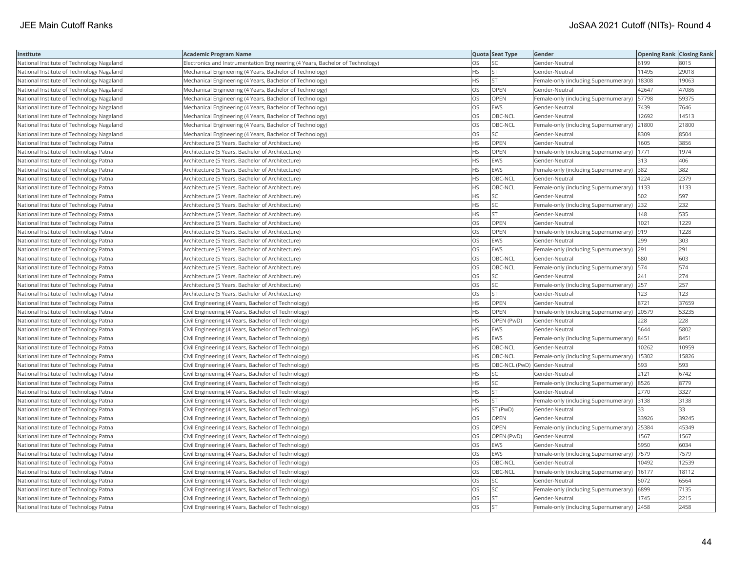| Institute                                 | <b>Academic Program Name</b>                                                  |           | Quota Seat Type              | Gender                                        | <b>Opening Rank Closing Rank</b> |       |
|-------------------------------------------|-------------------------------------------------------------------------------|-----------|------------------------------|-----------------------------------------------|----------------------------------|-------|
| National Institute of Technology Nagaland | Electronics and Instrumentation Engineering (4 Years, Bachelor of Technology) | ЭS        | SC                           | Gender-Neutral                                | 6199                             | 8015  |
| National Institute of Technology Nagaland | Mechanical Engineering (4 Years, Bachelor of Technology)                      | HS        | <b>ST</b>                    | Gender-Neutral                                | 11495                            | 29018 |
| National Institute of Technology Nagaland | Mechanical Engineering (4 Years, Bachelor of Technology)                      | НS        | <b>ST</b>                    | Female-only (including Supernumerary)         | 18308                            | 19063 |
| National Institute of Technology Nagaland | Mechanical Engineering (4 Years, Bachelor of Technology)                      | OS        | OPEN                         | Gender-Neutral                                | 42647                            | 47086 |
| National Institute of Technology Nagaland | Mechanical Engineering (4 Years, Bachelor of Technology)                      | OS        | <b>OPEN</b>                  | Female-only (including Supernumerary)         | 57798                            | 59375 |
| National Institute of Technology Nagaland | Mechanical Engineering (4 Years, Bachelor of Technology)                      | OS        | EWS                          | Gender-Neutral                                | 7439                             | 7646  |
| National Institute of Technology Nagaland | Mechanical Engineering (4 Years, Bachelor of Technology)                      | OS        | OBC-NCL                      | Gender-Neutral                                | 12692                            | 14513 |
| National Institute of Technology Nagaland | Mechanical Engineering (4 Years, Bachelor of Technology)                      | OS        | OBC-NCL                      | Female-only (including Supernumerary)         | 21800                            | 21800 |
| National Institute of Technology Nagaland | Mechanical Engineering (4 Years, Bachelor of Technology)                      | OS        | SC                           | Gender-Neutral                                | 8309                             | 8504  |
| National Institute of Technology Patna    | Architecture (5 Years, Bachelor of Architecture)                              | HS        | OPEN                         | Gender-Neutral                                | 1605                             | 3856  |
| National Institute of Technology Patna    | Architecture (5 Years, Bachelor of Architecture)                              | <b>HS</b> | OPEN                         | Female-only (including Supernumerary)         | 1771                             | 1974  |
| National Institute of Technology Patna    | Architecture (5 Years, Bachelor of Architecture)                              | <b>HS</b> | <b>EWS</b>                   | Gender-Neutral                                | 313                              | 406   |
| National Institute of Technology Patna    | Architecture (5 Years, Bachelor of Architecture)                              | HS        | <b>EWS</b>                   | Female-only (including Supernumerary)         | 382                              | 382   |
| National Institute of Technology Patna    | Architecture (5 Years, Bachelor of Architecture)                              | HS        | OBC-NCL                      | Gender-Neutral                                | 1224                             | 2379  |
| National Institute of Technology Patna    | Architecture (5 Years, Bachelor of Architecture)                              | HS        | OBC-NCL                      | Female-only (including Supernumerary)   1133  |                                  | 1133  |
| National Institute of Technology Patna    | Architecture (5 Years, Bachelor of Architecture)                              | ΗS        | SC                           | Gender-Neutral                                | 502                              | 597   |
| National Institute of Technology Patna    | Architecture (5 Years, Bachelor of Architecture)                              | HS        | SC                           | Female-only (including Supernumerary)         | 232                              | 232   |
| National Institute of Technology Patna    | Architecture (5 Years, Bachelor of Architecture)                              | HS        | <b>ST</b>                    | Gender-Neutral                                | 148                              | 535   |
| National Institute of Technology Patna    | Architecture (5 Years, Bachelor of Architecture)                              | OS        | OPEN                         | Gender-Neutral                                | 1021                             | 1229  |
| National Institute of Technology Patna    | Architecture (5 Years, Bachelor of Architecture)                              | <b>OS</b> | OPEN                         | Female-only (including Supernumerary)         | 919                              | 1228  |
| National Institute of Technology Patna    | Architecture (5 Years, Bachelor of Architecture)                              | OS        | <b>EWS</b>                   | Gender-Neutral                                | 299                              | 303   |
| National Institute of Technology Patna    | Architecture (5 Years, Bachelor of Architecture)                              | OS        | <b>EWS</b>                   | Female-only (including Supernumerary) 291     |                                  | 291   |
| National Institute of Technology Patna    | Architecture (5 Years, Bachelor of Architecture)                              | OS        | OBC-NCL                      | Gender-Neutral                                | 580                              | 603   |
| National Institute of Technology Patna    | Architecture (5 Years, Bachelor of Architecture)                              | OS        | OBC-NCL                      | Female-only (including Supernumerary)   574   |                                  | 574   |
| National Institute of Technology Patna    | Architecture (5 Years, Bachelor of Architecture)                              | OS        | SC                           | Gender-Neutral                                | 241                              | 274   |
| National Institute of Technology Patna    | Architecture (5 Years, Bachelor of Architecture)                              | OS        | SC                           | Female-only (including Supernumerary) 257     |                                  | 257   |
| National Institute of Technology Patna    | Architecture (5 Years, Bachelor of Architecture)                              | OS        | <b>ST</b>                    | Gender-Neutral                                | 123                              | 123   |
| National Institute of Technology Patna    | Civil Engineering (4 Years, Bachelor of Technology)                           | <b>HS</b> | <b>OPEN</b>                  | Gender-Neutral                                | 8721                             | 37659 |
| National Institute of Technology Patna    | Civil Engineering (4 Years, Bachelor of Technology)                           | HS        | OPEN                         | Female-only (including Supernumerary)         | 20579                            | 53235 |
| National Institute of Technology Patna    | Civil Engineering (4 Years, Bachelor of Technology)                           | HS        | OPEN (PwD)                   | Gender-Neutral                                | 228                              | 228   |
| National Institute of Technology Patna    | Civil Engineering (4 Years, Bachelor of Technology)                           | HS        | <b>EWS</b>                   | Gender-Neutral                                | 5644                             | 5802  |
| National Institute of Technology Patna    | Civil Engineering (4 Years, Bachelor of Technology)                           | ΗS        | EWS                          | Female-only (including Supernumerary)         | 8451                             | 8451  |
| National Institute of Technology Patna    | Civil Engineering (4 Years, Bachelor of Technology)                           | <b>HS</b> | OBC-NCL                      | Gender-Neutral                                | 10262                            | 10959 |
| National Institute of Technology Patna    | Civil Engineering (4 Years, Bachelor of Technology)                           | HS        | OBC-NCL                      | Female-only (including Supernumerary)         | 15302                            | 15826 |
| National Institute of Technology Patna    | Civil Engineering (4 Years, Bachelor of Technology)                           | HS        | OBC-NCL (PwD) Gender-Neutral |                                               | 593                              | 593   |
| National Institute of Technology Patna    | Civil Engineering (4 Years, Bachelor of Technology)                           | <b>HS</b> | <b>SC</b>                    | Gender-Neutral                                | 2121                             | 6742  |
| National Institute of Technology Patna    | Civil Engineering (4 Years, Bachelor of Technology)                           | ΗS        | SC                           | Female-only (including Supernumerary)  8526   |                                  | 8779  |
| National Institute of Technology Patna    | Civil Engineering (4 Years, Bachelor of Technology)                           | HS        | <b>ST</b>                    | Gender-Neutral                                | 2770                             | 3327  |
| National Institute of Technology Patna    | Civil Engineering (4 Years, Bachelor of Technology)                           | HS        | <b>ST</b>                    | Female-only (including Supernumerary)         | 3138                             | 3138  |
| National Institute of Technology Patna    | Civil Engineering (4 Years, Bachelor of Technology)                           | <b>HS</b> | ST (PwD)                     | Gender-Neutral                                | 33                               | 33    |
| National Institute of Technology Patna    | Civil Engineering (4 Years, Bachelor of Technology)                           | OS        | OPEN                         | Gender-Neutral                                | 33926                            | 39245 |
| National Institute of Technology Patna    | Civil Engineering (4 Years, Bachelor of Technology)                           | OS        | OPEN                         | Female-only (including Supernumerary) 25384   |                                  | 45349 |
| National Institute of Technology Patna    | Civil Engineering (4 Years, Bachelor of Technology)                           | OS        | OPEN (PwD)                   | Gender-Neutral                                | 1567                             | 1567  |
| National Institute of Technology Patna    | Civil Engineering (4 Years, Bachelor of Technology)                           | OS        | <b>EWS</b>                   | Gender-Neutral                                | 5950                             | 6034  |
| National Institute of Technology Patna    | Civil Engineering (4 Years, Bachelor of Technology)                           | OS        | <b>EWS</b>                   | Female-only (including Supernumerary)         | 7579                             | 7579  |
| National Institute of Technology Patna    | Civil Engineering (4 Years, Bachelor of Technology)                           | OS        | OBC-NCL                      | Gender-Neutral                                | 10492                            | 12539 |
| National Institute of Technology Patna    | Civil Engineering (4 Years, Bachelor of Technology)                           | OS        | OBC-NCL                      | Female-only (including Supernumerary)   16177 |                                  | 18112 |
| National Institute of Technology Patna    | Civil Engineering (4 Years, Bachelor of Technology)                           | OS        | SC                           | Gender-Neutral                                | 5072                             | 6564  |
| National Institute of Technology Patna    | Civil Engineering (4 Years, Bachelor of Technology)                           | OS        | SC                           | Female-only (including Supernumerary)         | 6899                             | 7135  |
| National Institute of Technology Patna    | Civil Engineering (4 Years, Bachelor of Technology)                           | OS        | <b>ST</b>                    | Gender-Neutral                                | 1745                             | 2215  |
| National Institute of Technology Patna    | Civil Engineering (4 Years, Bachelor of Technology)                           | <b>OS</b> | <b>ST</b>                    | Female-only (including Supernumerary)         | 2458                             | 2458  |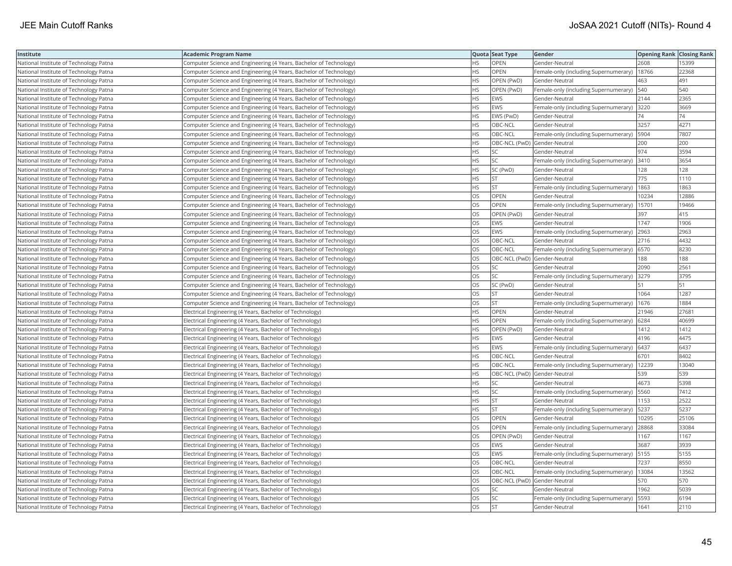| Institute                              | <b>Academic Program Name</b>                                       |           | Quota Seat Type              | Gender                                        | <b>Opening Rank Closing Rank</b> |       |
|----------------------------------------|--------------------------------------------------------------------|-----------|------------------------------|-----------------------------------------------|----------------------------------|-------|
| National Institute of Technology Patna | Computer Science and Engineering (4 Years, Bachelor of Technology) | НS        | OPEN                         | Gender-Neutral                                | 2608                             | 15399 |
| National Institute of Technology Patna | Computer Science and Engineering (4 Years, Bachelor of Technology) | <b>HS</b> | OPEN                         | Female-only (including Supernumerary)         | 18766                            | 22368 |
| National Institute of Technology Patna | Computer Science and Engineering (4 Years, Bachelor of Technology) | HS        | OPEN (PwD)                   | Gender-Neutral                                | 463                              | 491   |
| National Institute of Technology Patna | Computer Science and Engineering (4 Years, Bachelor of Technology) | HS        | OPEN (PwD)                   | Female-only (including Supernumerary)         | 540                              | 540   |
| National Institute of Technology Patna | Computer Science and Engineering (4 Years, Bachelor of Technology) | НS        | <b>EWS</b>                   | Gender-Neutral                                | 2144                             | 2365  |
| National Institute of Technology Patna | Computer Science and Engineering (4 Years, Bachelor of Technology) | HS        | <b>EWS</b>                   | Female-only (including Supernumerary) 3220    |                                  | 3669  |
| National Institute of Technology Patna | Computer Science and Engineering (4 Years, Bachelor of Technology) | HS        | EWS (PwD)                    | Gender-Neutral                                | 74                               | 74    |
| National Institute of Technology Patna | Computer Science and Engineering (4 Years, Bachelor of Technology) | НS        | OBC-NCL                      | Gender-Neutral                                | 3257                             | 4271  |
| National Institute of Technology Patna | Computer Science and Engineering (4 Years, Bachelor of Technology) | HS        | OBC-NCL                      | Female-only (including Supernumerary)         | 5904                             | 7807  |
| National Institute of Technology Patna | Computer Science and Engineering (4 Years, Bachelor of Technology) | HS        | OBC-NCL (PwD) Gender-Neutral |                                               | 200                              | 200   |
| National Institute of Technology Patna | Computer Science and Engineering (4 Years, Bachelor of Technology) | <b>HS</b> | <b>SC</b>                    | Gender-Neutral                                | 974                              | 3594  |
| National Institute of Technology Patna | Computer Science and Engineering (4 Years, Bachelor of Technology) | HS        | SC                           | Female-only (including Supernumerary) 3410    |                                  | 3654  |
| National Institute of Technology Patna | Computer Science and Engineering (4 Years, Bachelor of Technology) | HS        | SC (PwD)                     | Gender-Neutral                                | 128                              | 128   |
| National Institute of Technology Patna | Computer Science and Engineering (4 Years, Bachelor of Technology) | HS        | <b>ST</b>                    | Gender-Neutral                                | 775                              | 1110  |
| National Institute of Technology Patna | Computer Science and Engineering (4 Years, Bachelor of Technology) | HS        | <b>ST</b>                    | Female-only (including Supernumerary)         | 1863                             | 1863  |
| National Institute of Technology Patna | Computer Science and Engineering (4 Years, Bachelor of Technology) | OS        | <b>OPEN</b>                  | Gender-Neutral                                | 10234                            | 12886 |
| National Institute of Technology Patna | Computer Science and Engineering (4 Years, Bachelor of Technology) | OS        | OPEN                         | Female-only (including Supernumerary)         | 15701                            | 19466 |
| National Institute of Technology Patna | Computer Science and Engineering (4 Years, Bachelor of Technology) | OS        | OPEN (PwD)                   | Gender-Neutral                                | 397                              | 415   |
| National Institute of Technology Patna | Computer Science and Engineering (4 Years, Bachelor of Technology) | OS        | <b>EWS</b>                   | Gender-Neutral                                | 1747                             | 1906  |
| National Institute of Technology Patna | Computer Science and Engineering (4 Years, Bachelor of Technology) | OS        | <b>EWS</b>                   | Female-only (including Supernumerary)         | 2963                             | 2963  |
| National Institute of Technology Patna | Computer Science and Engineering (4 Years, Bachelor of Technology) | OS        | OBC-NCL                      | Gender-Neutral                                | 2716                             | 4432  |
| National Institute of Technology Patna | Computer Science and Engineering (4 Years, Bachelor of Technology) | OS        | OBC-NCL                      | Female-only (including Supernumerary)   6570  |                                  | 8230  |
| National Institute of Technology Patna | Computer Science and Engineering (4 Years, Bachelor of Technology) | OS        | OBC-NCL (PwD) Gender-Neutral |                                               | 188                              | 188   |
| National Institute of Technology Patna | Computer Science and Engineering (4 Years, Bachelor of Technology) | OS        | SC                           | Gender-Neutral                                | 2090                             | 2561  |
| National Institute of Technology Patna | Computer Science and Engineering (4 Years, Bachelor of Technology) | OS        | SC                           | Female-only (including Supernumerary)         | 3279                             | 3795  |
| National Institute of Technology Patna | Computer Science and Engineering (4 Years, Bachelor of Technology) | OS        | SC (PwD)                     | Gender-Neutral                                | 51                               | 51    |
| National Institute of Technology Patna | Computer Science and Engineering (4 Years, Bachelor of Technology) | OS        | <b>ST</b>                    | Gender-Neutral                                | 1064                             | 1287  |
| National Institute of Technology Patna | Computer Science and Engineering (4 Years, Bachelor of Technology) | OS        | <b>ST</b>                    | Female-only (including Supernumerary)         | 1676                             | 1884  |
| National Institute of Technology Patna | Electrical Engineering (4 Years, Bachelor of Technology)           | HS        | <b>OPEN</b>                  | Gender-Neutral                                | 21946                            | 27681 |
| National Institute of Technology Patna | Electrical Engineering (4 Years, Bachelor of Technology)           | HS        | OPEN                         | Female-only (including Supernumerary)         | 6284                             | 40699 |
| National Institute of Technology Patna | Electrical Engineering (4 Years, Bachelor of Technology)           | <b>HS</b> | OPEN (PwD)                   | Gender-Neutral                                | 1412                             | 1412  |
| National Institute of Technology Patna | Electrical Engineering (4 Years, Bachelor of Technology)           | ΗS        | <b>EWS</b>                   | Gender-Neutral                                | 4196                             | 4475  |
| National Institute of Technology Patna | Electrical Engineering (4 Years, Bachelor of Technology)           | HS        | <b>EWS</b>                   | Female-only (including Supernumerary)         | 6437                             | 6437  |
| National Institute of Technology Patna | Electrical Engineering (4 Years, Bachelor of Technology)           | HS        | OBC-NCL                      | Gender-Neutral                                | 6701                             | 8402  |
| National Institute of Technology Patna | Electrical Engineering (4 Years, Bachelor of Technology)           | НS        | OBC-NCL                      | Female-only (including Supernumerary)         | 12239                            | 13040 |
| National Institute of Technology Patna | Electrical Engineering (4 Years, Bachelor of Technology)           | HS        | OBC-NCL (PwD) Gender-Neutral |                                               | 539                              | 539   |
| National Institute of Technology Patna | Electrical Engineering (4 Years, Bachelor of Technology)           | HS        | <b>SC</b>                    | Gender-Neutral                                | 4673                             | 5398  |
| National Institute of Technology Patna | Electrical Engineering (4 Years, Bachelor of Technology)           | HS        | SC                           | Female-only (including Supernumerary)   5560  |                                  | 7412  |
| National Institute of Technology Patna | Electrical Engineering (4 Years, Bachelor of Technology)           | ΗS        | ST                           | Gender-Neutral                                | 1153                             | 2522  |
| National Institute of Technology Patna | Electrical Engineering (4 Years, Bachelor of Technology)           | HS.       | <b>ST</b>                    | Female-only (including Supernumerary)         | 5237                             | 5237  |
| National Institute of Technology Patna | Electrical Engineering (4 Years, Bachelor of Technology)           | OS        | OPEN                         | Gender-Neutral                                | 10295                            | 25106 |
| National Institute of Technology Patna | Electrical Engineering (4 Years, Bachelor of Technology)           | OS        | OPEN                         | Female-only (including Supernumerary) 28868   |                                  | 33084 |
| National Institute of Technology Patna | Electrical Engineering (4 Years, Bachelor of Technology)           | OS        | OPEN (PwD)                   | Gender-Neutral                                | 1167                             | 1167  |
| National Institute of Technology Patna | Electrical Engineering (4 Years, Bachelor of Technology)           | OS        | <b>EWS</b>                   | Gender-Neutral                                | 3687                             | 3939  |
| National Institute of Technology Patna | Electrical Engineering (4 Years, Bachelor of Technology)           | OS        | <b>EWS</b>                   | Female-only (including Supernumerary)   5155  |                                  | 5155  |
| National Institute of Technology Patna | Electrical Engineering (4 Years, Bachelor of Technology)           | OS        | OBC-NCL                      | Gender-Neutral                                | 7237                             | 8550  |
| National Institute of Technology Patna | Electrical Engineering (4 Years, Bachelor of Technology)           | OS        | OBC-NCL                      | Female-only (including Supernumerary)   13084 |                                  | 13562 |
| National Institute of Technology Patna | Electrical Engineering (4 Years, Bachelor of Technology)           | OS        | OBC-NCL (PwD) Gender-Neutral |                                               | 570                              | 570   |
| National Institute of Technology Patna | Electrical Engineering (4 Years, Bachelor of Technology)           | OS        | SC                           | Gender-Neutral                                | 1962                             | 5039  |
| National Institute of Technology Patna | Electrical Engineering (4 Years, Bachelor of Technology)           | OS        | SC                           | Female-only (including Supernumerary)         | 5593                             | 6194  |
| National Institute of Technology Patna | Electrical Engineering (4 Years, Bachelor of Technology)           | OS        | <b>ST</b>                    | Gender-Neutral                                | 1641                             | 2110  |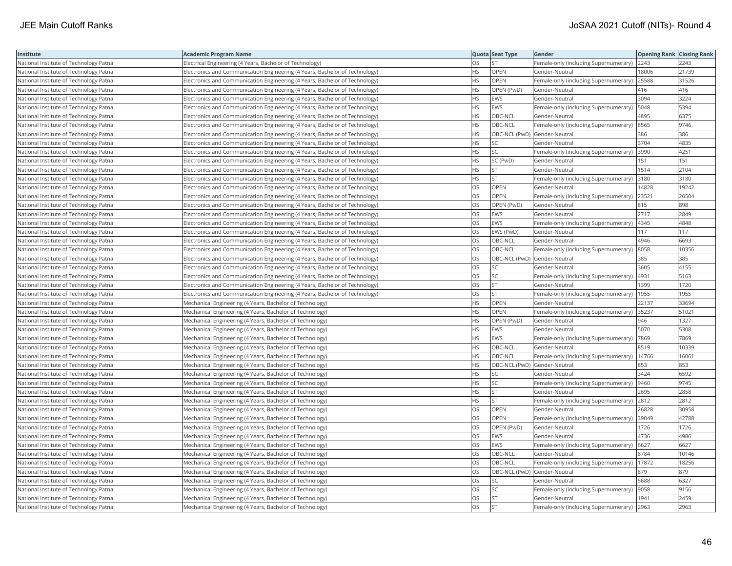| Institute                              | <b>Academic Program Name</b>                                                 |           | Quota Seat Type              | Gender                                       | <b>Opening Rank Closing Rank</b> |       |
|----------------------------------------|------------------------------------------------------------------------------|-----------|------------------------------|----------------------------------------------|----------------------------------|-------|
| National Institute of Technology Patna | Electrical Engineering (4 Years, Bachelor of Technology)                     | OS        | <b>ST</b>                    | Female-only (including Supernumerary)        | 2243                             | 2243  |
| National Institute of Technology Patna | Electronics and Communication Engineering (4 Years, Bachelor of Technology)  | HS.       | OPEN                         | Gender-Neutral                               | 18006                            | 21739 |
| National Institute of Technology Patna | Electronics and Communication Engineering (4 Years, Bachelor of Technology)  | HS        | OPEN                         | Female-only (including Supernumerary)        | 25588                            | 31526 |
| National Institute of Technology Patna | Electronics and Communication Engineering (4 Years, Bachelor of Technology)  | HS.       | OPEN (PwD)                   | Gender-Neutral                               | 416                              | 416   |
| National Institute of Technology Patna | Electronics and Communication Engineering (4 Years, Bachelor of Technology)  | HS        | EWS                          | Gender-Neutral                               | 3094                             | 3224  |
| National Institute of Technology Patna | Electronics and Communication Engineering (4 Years, Bachelor of Technology)  | ΗS        | EWS                          | Female-only (including Supernumerary)   5048 |                                  | 5394  |
| National Institute of Technology Patna | Electronics and Communication Engineering (4 Years, Bachelor of Technology)  | НS        | OBC-NCL                      | Gender-Neutral                               | 4895                             | 6375  |
| National Institute of Technology Patna | Electronics and Communication Engineering (4 Years, Bachelor of Technology)  | HS.       | OBC-NCL                      | Female-only (including Supernumerary)        | 8565                             | 9746  |
| National Institute of Technology Patna | Electronics and Communication Engineering (4 Years, Bachelor of Technology)  | HS.       | OBC-NCL (PwD) Gender-Neutral |                                              | 386                              | 386   |
| National Institute of Technology Patna | Electronics and Communication Engineering (4 Years, Bachelor of Technology)  | HS        | SC                           | Gender-Neutral                               | 3704                             | 4835  |
| National Institute of Technology Patna | Electronics and Communication Engineering (4 Years, Bachelor of Technology)  | <b>HS</b> | SC                           | Female-only (including Supernumerary)        | 3990                             | 4251  |
| National Institute of Technology Patna | Electronics and Communication Engineering (4 Years, Bachelor of Technology)  | HS.       | SC (PwD)                     | Gender-Neutral                               | 151                              | 151   |
| National Institute of Technology Patna | Electronics and Communication Engineering (4 Years, Bachelor of Technology)  | HS        | <b>ST</b>                    | Gender-Neutral                               | 1514                             | 2104  |
| National Institute of Technology Patna | Electronics and Communication Engineering (4 Years, Bachelor of Technology)  | HS.       | <b>ST</b>                    | Female-only (including Supernumerary)        | 3180                             | 3180  |
| National Institute of Technology Patna | Electronics and Communication Engineering (4 Years, Bachelor of Technology)  | OS        | OPEN                         | Gender-Neutral                               | 14828                            | 19242 |
| National Institute of Technology Patna | Electronics and Communication Engineering (4 Years, Bachelor of Technology)  | OS.       | <b>OPEN</b>                  | Female-only (including Supernumerary)        | 23521                            | 26504 |
| National Institute of Technology Patna | Electronics and Communication Engineering (4 Years, Bachelor of Technology)  | OS        | OPEN (PwD)                   | Gender-Neutral                               | 815                              | 898   |
| National Institute of Technology Patna | Electronics and Communication Engineering (4 Years, Bachelor of Technology)  | OS        | EWS                          | Gender-Neutral                               | 2717                             | 2849  |
| National Institute of Technology Patna | Electronics and Communication Engineering (4 Years, Bachelor of Technology)  | OS        | EWS                          | Female-only (including Supernumerary)        | 4345                             | 4848  |
| National Institute of Technology Patna | Electronics and Communication Engineering (4 Years, Bachelor of Technology)  | OS.       | EWS (PwD)                    | Gender-Neutral                               | 117                              | 117   |
| National Institute of Technology Patna | Electronics and Communication Engineering (4 Years, Bachelor of Technology)  | OS.       | OBC-NCL                      | Gender-Neutral                               | 4946                             | 6693  |
| National Institute of Technology Patna | Electronics and Communication Engineering (4 Years, Bachelor of Technology)  | OS        | OBC-NCL                      | Female-only (including Supernumerary)  8058  |                                  | 10356 |
| National Institute of Technology Patna | Electronics and Communication Engineering (4 Years, Bachelor of Technology)  | OS        | OBC-NCL (PwD) Gender-Neutral |                                              | 385                              | 385   |
| National Institute of Technology Patna | Electronics and Communication Engineering (4 Years, Bachelor of Technology)  | OS        | SC                           | Gender-Neutral                               | 3605                             | 4155  |
| National Institute of Technology Patna | Electronics and Communication Engineering (4 Years, Bachelor of Technology)  | OS        | SC                           | Female-only (including Supernumerary)        | 4931                             | 5163  |
| National Institute of Technology Patna | Electronics and Communication Engineering (4 Years, Bachelor of Technology)  | OS.       | <b>ST</b>                    | Gender-Neutral                               | 1399                             | 1720  |
| National Institute of Technology Patna | [Electronics and Communication Engineering (4 Years, Bachelor of Technology) | OS        | <b>ST</b>                    | Female-only (including Supernumerary)        | 1955                             | 1955  |
| National Institute of Technology Patna | Mechanical Engineering (4 Years, Bachelor of Technology)                     | HS.       | OPEN                         | Gender-Neutral                               | 22137                            | 33694 |
| National Institute of Technology Patna | Mechanical Engineering (4 Years, Bachelor of Technology)                     | HS.       | <b>OPEN</b>                  | Female-only (including Supernumerary)        | 35237                            | 51021 |
| National Institute of Technology Patna | Mechanical Engineering (4 Years, Bachelor of Technology)                     | HS.       | OPEN (PwD)                   | Gender-Neutral                               | 946                              | 1327  |
| National Institute of Technology Patna | Mechanical Engineering (4 Years, Bachelor of Technology)                     | HS.       | EWS                          | Gender-Neutral                               | 5070                             | 5308  |
| National Institute of Technology Patna | Mechanical Engineering (4 Years, Bachelor of Technology)                     | НS        | EWS                          | Female-only (including Supernumerary)        | 7869                             | 7869  |
| National Institute of Technology Patna | Mechanical Engineering (4 Years, Bachelor of Technology)                     | HS.       | OBC-NCL                      | Gender-Neutral                               | 8519                             | 10339 |
| National Institute of Technology Patna | Mechanical Engineering (4 Years, Bachelor of Technology)                     | НS        | OBC-NCL                      | Female-only (including Supernumerary)        | 14766                            | 1606' |
| National Institute of Technology Patna | Mechanical Engineering (4 Years, Bachelor of Technology)                     | HS.       | OBC-NCL (PwD) Gender-Neutral |                                              | 853                              | 853   |
| National Institute of Technology Patna | Mechanical Engineering (4 Years, Bachelor of Technology)                     | HS.       | <b>SC</b>                    | Gender-Neutral                               | 3424                             | 6592  |
| National Institute of Technology Patna | Mechanical Engineering (4 Years, Bachelor of Technology)                     | HS.       | <b>SC</b>                    | Female-only (including Supernumerary)  9460  |                                  | 9745  |
| National Institute of Technology Patna | Mechanical Engineering (4 Years, Bachelor of Technology)                     | HS        | <b>ST</b>                    | Gender-Neutral                               | 2695                             | 2858  |
| National Institute of Technology Patna | Mechanical Engineering (4 Years, Bachelor of Technology)                     | HS        | <b>ST</b>                    | Female-only (including Supernumerary) 2812   |                                  | 2812  |
| National Institute of Technology Patna | Mechanical Engineering (4 Years, Bachelor of Technology)                     | OS        | OPEN                         | Gender-Neutral                               | 26828                            | 30958 |
| National Institute of Technology Patna | Mechanical Engineering (4 Years, Bachelor of Technology)                     | OS        | OPEN                         | Female-only (including Supernumerary)  39049 |                                  | 42788 |
| National Institute of Technology Patna | Mechanical Engineering (4 Years, Bachelor of Technology)                     | OS        | OPEN (PwD)                   | Gender-Neutral                               | 1726                             | 1726  |
| National Institute of Technology Patna | Mechanical Engineering (4 Years, Bachelor of Technology)                     | OS.       | <b>EWS</b>                   | Gender-Neutral                               | 4736                             | 4986  |
| National Institute of Technology Patna | Mechanical Engineering (4 Years, Bachelor of Technology)                     | OS        | EWS                          | Female-only (including Supernumerary)        | 6627                             | 6627  |
| National Institute of Technology Patna | Mechanical Engineering (4 Years, Bachelor of Technology)                     | OS        | OBC-NCL                      | Gender-Neutral                               | 8784                             | 10146 |
| National Institute of Technology Patna | Mechanical Engineering (4 Years, Bachelor of Technology)                     | OS.       | OBC-NCL                      | Female-only (including Supernumerary)        | 17872                            | 18256 |
| National Institute of Technology Patna | Mechanical Engineering (4 Years, Bachelor of Technology)                     | OS        | OBC-NCL (PwD) Gender-Neutral |                                              | 879                              | 879   |
| National Institute of Technology Patna | Mechanical Engineering (4 Years, Bachelor of Technology)                     | OS        | SC                           | Gender-Neutral                               | 5688                             | 6327  |
| National Institute of Technology Patna | Mechanical Engineering (4 Years, Bachelor of Technology)                     | OS        | SC                           | Female-only (including Supernumerary)  9058  |                                  | 9156  |
| National Institute of Technology Patna | Mechanical Engineering (4 Years, Bachelor of Technology)                     | OS        | <b>ST</b>                    | Gender-Neutral                               | 1941                             | 2459  |
| National Institute of Technology Patna | Mechanical Engineering (4 Years, Bachelor of Technology)                     | OS.       | İst                          | Female-only (including Supernumerary)        | 2963                             | 2963  |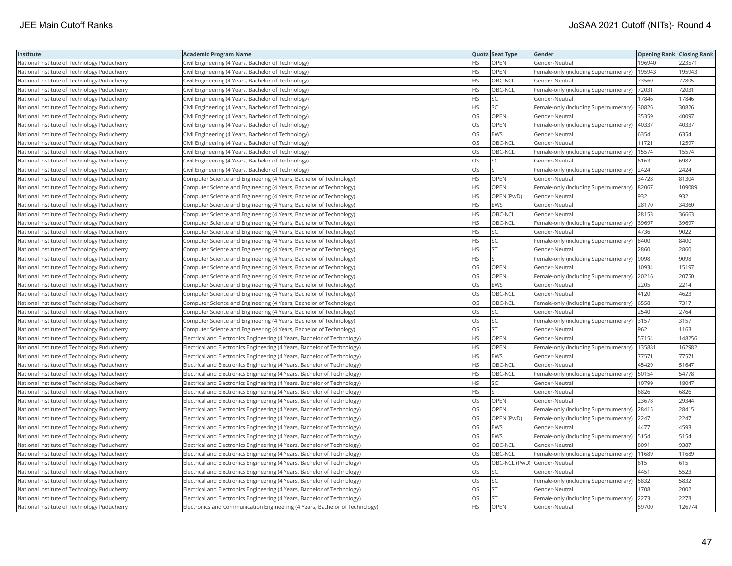| Institute                                   | <b>Academic Program Name</b>                                                |           | Quota Seat Type | Gender                                        | <b>Opening Rank Closing Rank</b> |        |
|---------------------------------------------|-----------------------------------------------------------------------------|-----------|-----------------|-----------------------------------------------|----------------------------------|--------|
| National Institute of Technology Puducherry | Civil Engineering (4 Years, Bachelor of Technology)                         | ΗS        | OPEN            | Gender-Neutral                                | 196940                           | 223571 |
| National Institute of Technology Puducherry | Civil Engineering (4 Years, Bachelor of Technology)                         | HS        | OPEN            | Female-only (including Supernumerary)         | 195943                           | 195943 |
| National Institute of Technology Puducherry | Civil Engineering (4 Years, Bachelor of Technology)                         | HS        | OBC-NCL         | Gender-Neutral                                | 73560                            | 77805  |
| National Institute of Technology Puducherry | Civil Engineering (4 Years, Bachelor of Technology)                         | HS        | OBC-NCL         | Female-only (including Supernumerary)         | 72031                            | 72031  |
| National Institute of Technology Puducherry | Civil Engineering (4 Years, Bachelor of Technology)                         | <b>HS</b> | <b>SC</b>       | Gender-Neutral                                | 17846                            | 17846  |
| National Institute of Technology Puducherry | Civil Engineering (4 Years, Bachelor of Technology)                         | HS        | SC              | Female-only (including Supernumerary) 30826   |                                  | 30826  |
| National Institute of Technology Puducherry | Civil Engineering (4 Years, Bachelor of Technology)                         | OS        | OPEN            | Gender-Neutral                                | 35359                            | 40097  |
| National Institute of Technology Puducherry | Civil Engineering (4 Years, Bachelor of Technology)                         | OS        | <b>OPEN</b>     | Female-only (including Supernumerary)   40337 |                                  | 40337  |
| National Institute of Technology Puducherry | Civil Engineering (4 Years, Bachelor of Technology)                         | OS        | EWS             | Gender-Neutral                                | 6354                             | 6354   |
| National Institute of Technology Puducherry | Civil Engineering (4 Years, Bachelor of Technology)                         | OS        | OBC-NCL         | Gender-Neutral                                | 11721                            | 12597  |
| National Institute of Technology Puducherry | Civil Engineering (4 Years, Bachelor of Technology)                         | OS        | OBC-NCL         | Female-only (including Supernumerary)         | 15574                            | 15574  |
| National Institute of Technology Puducherry | Civil Engineering (4 Years, Bachelor of Technology)                         | <b>OS</b> | <b>SC</b>       | Gender-Neutral                                | 6163                             | 6982   |
| National Institute of Technology Puducherry | Civil Engineering (4 Years, Bachelor of Technology)                         | OS        | <b>ST</b>       | Female-only (including Supernumerary)         | 2424                             | 2424   |
| National Institute of Technology Puducherry | Computer Science and Engineering (4 Years, Bachelor of Technology)          | HS        | OPEN            | Gender-Neutral                                | 34728                            | 81304  |
| National Institute of Technology Puducherry | Computer Science and Engineering (4 Years, Bachelor of Technology)          | HS        | <b>OPEN</b>     | Female-only (including Supernumerary) 82067   |                                  | 109089 |
| National Institute of Technology Puducherry | Computer Science and Engineering (4 Years, Bachelor of Technology)          | ΗS        | OPEN (PwD)      | Gender-Neutral                                | 932                              | 932    |
| National Institute of Technology Puducherry | Computer Science and Engineering (4 Years, Bachelor of Technology)          | HS        | <b>EWS</b>      | Gender-Neutral                                | 28170                            | 34360  |
| National Institute of Technology Puducherry | Computer Science and Engineering (4 Years, Bachelor of Technology)          | HS        | OBC-NCL         | Gender-Neutral                                | 28153                            | 36663  |
| National Institute of Technology Puducherry | Computer Science and Engineering (4 Years, Bachelor of Technology)          | <b>HS</b> | OBC-NCL         | Female-only (including Supernumerary)         | 39697                            | 39697  |
| National Institute of Technology Puducherry | Computer Science and Engineering (4 Years, Bachelor of Technology)          | <b>HS</b> | <b>SC</b>       | Gender-Neutral                                | 4736                             | 9022   |
| National Institute of Technology Puducherry | Computer Science and Engineering (4 Years, Bachelor of Technology)          | HS        | SC              | Female-only (including Supernumerary)         | 8400                             | 8400   |
| National Institute of Technology Puducherry | Computer Science and Engineering (4 Years, Bachelor of Technology)          | HS        | <b>ST</b>       | Gender-Neutral                                | 2860                             | 2860   |
| National Institute of Technology Puducherry | Computer Science and Engineering (4 Years, Bachelor of Technology)          | ΗS        | <b>ST</b>       | Female-only (including Supernumerary)  9098   |                                  | 9098   |
| National Institute of Technology Puducherry | Computer Science and Engineering (4 Years, Bachelor of Technology)          | OS        | OPEN            | Gender-Neutral                                | 10934                            | 15197  |
| National Institute of Technology Puducherry | Computer Science and Engineering (4 Years, Bachelor of Technology)          | OS        | OPEN            | Female-only (including Supernumerary)         | 20216                            | 20750  |
| National Institute of Technology Puducherry | Computer Science and Engineering (4 Years, Bachelor of Technology)          | OS        | <b>EWS</b>      | Gender-Neutral                                | 2205                             | 2214   |
| National Institute of Technology Puducherry | Computer Science and Engineering (4 Years, Bachelor of Technology)          | OS        | OBC-NCL         | Gender-Neutral                                | 4120                             | 4623   |
| National Institute of Technology Puducherry | Computer Science and Engineering (4 Years, Bachelor of Technology)          | OS        | OBC-NCL         | Female-only (including Supernumerary)         | 6558                             | 7317   |
| National Institute of Technology Puducherry | Computer Science and Engineering (4 Years, Bachelor of Technology)          | OS        | SC              | Gender-Neutral                                | 2540                             | 2764   |
| National Institute of Technology Puducherry | Computer Science and Engineering (4 Years, Bachelor of Technology)          | OS        | SC              | Female-only (including Supernumerary) 3157    |                                  | 3157   |
| National Institute of Technology Puducherry | Computer Science and Engineering (4 Years, Bachelor of Technology)          | OS        | <b>ST</b>       | Gender-Neutral                                | 962                              | 1163   |
| National Institute of Technology Puducherry | Electrical and Electronics Engineering (4 Years, Bachelor of Technology)    | HS        | OPEN            | Gender-Neutral                                | 57154                            | 148256 |
| National Institute of Technology Puducherry | Electrical and Electronics Engineering (4 Years, Bachelor of Technology)    | <b>HS</b> | OPEN            | Female-only (including Supernumerary)         | 13588                            | 162982 |
| National Institute of Technology Puducherry | Electrical and Electronics Engineering (4 Years, Bachelor of Technology)    | HS        | <b>EWS</b>      | Gender-Neutral                                | 77571                            | 77571  |
| National Institute of Technology Puducherry | Electrical and Electronics Engineering (4 Years, Bachelor of Technology)    | HS        | OBC-NCL         | Gender-Neutral                                | 45429                            | 51647  |
| National Institute of Technology Puducherry | Electrical and Electronics Engineering (4 Years, Bachelor of Technology)    | <b>HS</b> | OBC-NCL         | Female-only (including Supernumerary)         | 50154                            | 54778  |
| National Institute of Technology Puducherry | Electrical and Electronics Engineering (4 Years, Bachelor of Technology)    | HS        | SC              | Gender-Neutral                                | 10799                            | 18047  |
| National Institute of Technology Puducherry | Electrical and Electronics Engineering (4 Years, Bachelor of Technology)    | HS        | <b>ST</b>       | Gender-Neutral                                | 6826                             | 6826   |
| National Institute of Technology Puducherry | Electrical and Electronics Engineering (4 Years, Bachelor of Technology)    | OS        | OPEN            | Gender-Neutral                                | 23678                            | 29344  |
| National Institute of Technology Puducherry | Electrical and Electronics Engineering (4 Years, Bachelor of Technology)    | <b>OS</b> | OPEN            | Female-only (including Supernumerary)         | 28415                            | 28415  |
| National Institute of Technology Puducherry | Electrical and Electronics Engineering (4 Years, Bachelor of Technology)    | OS        | OPEN (PwD)      | Female-only (including Supernumerary)         | 2247                             | 2247   |
| National Institute of Technology Puducherry | Electrical and Electronics Engineering (4 Years, Bachelor of Technology)    | OS        | <b>EWS</b>      | Gender-Neutral                                | 4477                             | 4593   |
| National Institute of Technology Puducherry | Electrical and Electronics Engineering (4 Years, Bachelor of Technology)    | OS        | EWS             | Female-only (including Supernumerary)         | 5154                             | 5154   |
| National Institute of Technology Puducherry | Electrical and Electronics Engineering (4 Years, Bachelor of Technology)    | OS        | OBC-NCL         | Gender-Neutral                                | 8091                             | 9387   |
| National Institute of Technology Puducherry | Electrical and Electronics Engineering (4 Years, Bachelor of Technology)    | OS        | OBC-NCL         | Female-only (including Supernumerary)   11689 |                                  | 11689  |
| National Institute of Technology Puducherry | Electrical and Electronics Engineering (4 Years, Bachelor of Technology)    | OS        |                 | OBC-NCL (PwD) Gender-Neutral                  | 615                              | 615    |
| National Institute of Technology Puducherry | Electrical and Electronics Engineering (4 Years, Bachelor of Technology)    | OS        | <b>SC</b>       | Gender-Neutral                                | 4451                             | 5523   |
| National Institute of Technology Puducherry | Electrical and Electronics Engineering (4 Years, Bachelor of Technology)    | OS        | <b>SC</b>       | Female-only (including Supernumerary)         | 5832                             | 5832   |
| National Institute of Technology Puducherry | Electrical and Electronics Engineering (4 Years, Bachelor of Technology)    | OS        | <b>ST</b>       | Gender-Neutral                                | 1708                             | 2002   |
| National Institute of Technology Puducherry | Electrical and Electronics Engineering (4 Years, Bachelor of Technology)    | OS        | <b>ST</b>       | Female-only (including Supernumerary)         | 2273                             | 2273   |
| National Institute of Technology Puducherry | Electronics and Communication Engineering (4 Years, Bachelor of Technology) | <b>HS</b> | OPEN            | Gender-Neutral                                | 59700                            | 126774 |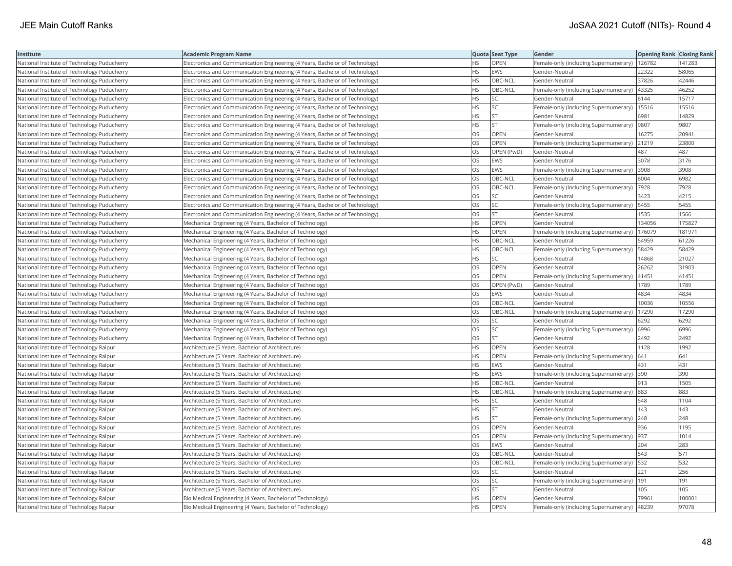| Institute                                   | <b>Academic Program Name</b>                                                |           | Quota Seat Type | Gender                                        | <b>Opening Rank Closing Rank</b> |        |
|---------------------------------------------|-----------------------------------------------------------------------------|-----------|-----------------|-----------------------------------------------|----------------------------------|--------|
| National Institute of Technology Puducherry | Electronics and Communication Engineering (4 Years, Bachelor of Technology) | НS        | OPEN            | Female-only (including Supernumerary)         | 126782                           | 141283 |
| National Institute of Technology Puducherry | Electronics and Communication Engineering (4 Years, Bachelor of Technology) | <b>HS</b> | <b>EWS</b>      | Gender-Neutral                                | 22322                            | 58065  |
| National Institute of Technology Puducherry | Electronics and Communication Engineering (4 Years, Bachelor of Technology) | HS.       | OBC-NCL         | Gender-Neutral                                | 37826                            | 42446  |
| National Institute of Technology Puducherry | Electronics and Communication Engineering (4 Years, Bachelor of Technology) | HS        | OBC-NCL         | Female-only (including Supernumerary)         | 43325                            | 46252  |
| National Institute of Technology Puducherry | Electronics and Communication Engineering (4 Years, Bachelor of Technology) | HS        | <b>SC</b>       | Gender-Neutral                                | 6144                             | 15717  |
| National Institute of Technology Puducherry | Electronics and Communication Engineering (4 Years, Bachelor of Technology) | HS        | SC              | Female-only (including Supernumerary)   15516 |                                  | 15516  |
| National Institute of Technology Puducherry | Electronics and Communication Engineering (4 Years, Bachelor of Technology) | ΗS        | ST              | Gender-Neutral                                | 6981                             | 14829  |
| National Institute of Technology Puducherry | Electronics and Communication Engineering (4 Years, Bachelor of Technology) | HS        | <b>ST</b>       | Female-only (including Supernumerary)         | 9807                             | 9807   |
| National Institute of Technology Puducherry | Electronics and Communication Engineering (4 Years, Bachelor of Technology) | OS        | OPEN            | Gender-Neutral                                | 16275                            | 20941  |
| National Institute of Technology Puducherry | Electronics and Communication Engineering (4 Years, Bachelor of Technology) | OS        | OPEN            | Female-only (including Supernumerary)         | 21219                            | 23800  |
| National Institute of Technology Puducherry | Electronics and Communication Engineering (4 Years, Bachelor of Technology) | OS        | OPEN (PwD)      | Gender-Neutral                                | 487                              | 487    |
| National Institute of Technology Puducherry | Electronics and Communication Engineering (4 Years, Bachelor of Technology) | OS        | <b>EWS</b>      | Gender-Neutral                                | 3078                             | 3176   |
| National Institute of Technology Puducherry | Electronics and Communication Engineering (4 Years, Bachelor of Technology) | OS        | <b>EWS</b>      | Female-only (including Supernumerary)         | 3908                             | 3908   |
| National Institute of Technology Puducherry | Electronics and Communication Engineering (4 Years, Bachelor of Technology) | OS        | OBC-NCL         | Gender-Neutral                                | 6004                             | 6982   |
| National Institute of Technology Puducherry | Electronics and Communication Engineering (4 Years, Bachelor of Technology) | OS        | OBC-NCL         | Female-only (including Supernumerary)         | 7928                             | 7928   |
| National Institute of Technology Puducherry | Electronics and Communication Engineering (4 Years, Bachelor of Technology) | OS        | SC              | Gender-Neutral                                | 3423                             | 4215   |
| National Institute of Technology Puducherry | Electronics and Communication Engineering (4 Years, Bachelor of Technology) | OS        | SC              | Female-only (including Supernumerary)         | 5455                             | 5455   |
| National Institute of Technology Puducherry | Electronics and Communication Engineering (4 Years, Bachelor of Technology) | OS        | <b>ST</b>       | Gender-Neutral                                | 1535                             | 1566   |
| National Institute of Technology Puducherry | Mechanical Engineering (4 Years, Bachelor of Technology)                    | <b>HS</b> | OPEN            | Gender-Neutral                                | 134056                           | 175827 |
| National Institute of Technology Puducherry | Mechanical Engineering (4 Years, Bachelor of Technology)                    | HS        | OPEN            | Female-only (including Supernumerary)         | 176079                           | 181971 |
| National Institute of Technology Puducherry | Mechanical Engineering (4 Years, Bachelor of Technology)                    | HS        | OBC-NCL         | Gender-Neutral                                | 54959                            | 61226  |
| National Institute of Technology Puducherry | Mechanical Engineering (4 Years, Bachelor of Technology)                    | HS        | OBC-NCL         | Female-only (including Supernumerary)   58429 |                                  | 58429  |
| National Institute of Technology Puducherry | Mechanical Engineering (4 Years, Bachelor of Technology)                    | ΗS        | SC              | Gender-Neutral                                | 14868                            | 21027  |
| National Institute of Technology Puducherry | Mechanical Engineering (4 Years, Bachelor of Technology)                    | OS        | <b>OPEN</b>     | Gender-Neutral                                | 26262                            | 31903  |
| National Institute of Technology Puducherry | Mechanical Engineering (4 Years, Bachelor of Technology)                    | OS        | OPEN            | Female-only (including Supernumerary)         | 41451                            | 41451  |
| National Institute of Technology Puducherry | Mechanical Engineering (4 Years, Bachelor of Technology)                    | OS        | OPEN (PwD)      | Gender-Neutral                                | 1789                             | 1789   |
| National Institute of Technology Puducherry | Mechanical Engineering (4 Years, Bachelor of Technology)                    | OS        | <b>EWS</b>      | Gender-Neutral                                | 4834                             | 4834   |
| National Institute of Technology Puducherry | Mechanical Engineering (4 Years, Bachelor of Technology)                    | OS        | OBC-NCL         | Gender-Neutral                                | 10036                            | 10556  |
| National Institute of Technology Puducherry | Mechanical Engineering (4 Years, Bachelor of Technology)                    | OS        | OBC-NCL         | Female-only (including Supernumerary)         | 17290                            | 17290  |
| National Institute of Technology Puducherry | Mechanical Engineering (4 Years, Bachelor of Technology)                    | OS        | SC              | Gender-Neutral                                | 6292                             | 6292   |
| National Institute of Technology Puducherry | Mechanical Engineering (4 Years, Bachelor of Technology)                    | OS        | <b>SC</b>       | Female-only (including Supernumerary) 6996    |                                  | 6996   |
| National Institute of Technology Puducherry | Mechanical Engineering (4 Years, Bachelor of Technology)                    | OS        | <b>ST</b>       | Gender-Neutral                                | 2492                             | 2492   |
| National Institute of Technology Raipur     | Architecture (5 Years, Bachelor of Architecture)                            | HS        | OPEN            | Gender-Neutral                                | 1128                             | 1992   |
| National Institute of Technology Raipur     | Architecture (5 Years, Bachelor of Architecture)                            | HS        | OPEN            | Female-only (including Supernumerary)         | 641                              | 641    |
| National Institute of Technology Raipur     | Architecture (5 Years, Bachelor of Architecture)                            | НS        | <b>EWS</b>      | Gender-Neutral                                | 431                              | 431    |
| National Institute of Technology Raipur     | Architecture (5 Years, Bachelor of Architecture)                            | HS        | <b>EWS</b>      | Female-only (including Supernumerary)         | 390                              | 390    |
| National Institute of Technology Raipur     | Architecture (5 Years, Bachelor of Architecture)                            | HS        | OBC-NCL         | Gender-Neutral                                | 913                              | 1505   |
| National Institute of Technology Raipur     | Architecture (5 Years, Bachelor of Architecture)                            | HS        | OBC-NCL         | Female-only (including Supernumerary) 883     |                                  | 883    |
| National Institute of Technology Raipur     | Architecture (5 Years, Bachelor of Architecture)                            | ΗS        | <b>SC</b>       | Gender-Neutral                                | 548                              | 1104   |
| National Institute of Technology Raipur     | Architecture (5 Years, Bachelor of Architecture)                            | <b>HS</b> | <b>ST</b>       | Gender-Neutral                                | 143                              | 143    |
| National Institute of Technology Raipur     | Architecture (5 Years, Bachelor of Architecture)                            | HS        | <b>ST</b>       | Female-only (including Supernumerary)         | 248                              | 248    |
| National Institute of Technology Raipur     | Architecture (5 Years, Bachelor of Architecture)                            | OS        | OPEN            | Gender-Neutral                                | 936                              | 1195   |
| National Institute of Technology Raipur     | Architecture (5 Years, Bachelor of Architecture)                            | OS        | OPEN            | Female-only (including Supernumerary)         | 937                              | 1014   |
| National Institute of Technology Raipur     | Architecture (5 Years, Bachelor of Architecture)                            | OS        | <b>EWS</b>      | Gender-Neutral                                | 204                              | 283    |
| National Institute of Technology Raipur     | Architecture (5 Years, Bachelor of Architecture)                            | OS        | OBC-NCL         | Gender-Neutral                                | 543                              | 571    |
| National Institute of Technology Raipur     | Architecture (5 Years, Bachelor of Architecture)                            | OS        | OBC-NCL         | Female-only (including Supernumerary)   532   |                                  | 532    |
| National Institute of Technology Raipur     | Architecture (5 Years, Bachelor of Architecture)                            | OS        | <b>SC</b>       | Gender-Neutral                                | 221                              | 256    |
| National Institute of Technology Raipur     | Architecture (5 Years, Bachelor of Architecture)                            | OS        | <b>SC</b>       | Female-only (including Supernumerary)  191    |                                  | 191    |
| National Institute of Technology Raipur     | Architecture (5 Years, Bachelor of Architecture)                            | OS        | <b>ST</b>       | Gender-Neutral                                | 105                              | 105    |
| National Institute of Technology Raipur     | Bio Medical Engineering (4 Years, Bachelor of Technology)                   | <b>HS</b> | OPEN            | Gender-Neutral                                | 79961                            | 100001 |
| National Institute of Technology Raipur     | Bio Medical Engineering (4 Years, Bachelor of Technology)                   | <b>HS</b> | OPEN            | Female-only (including Supernumerary)         | 48239                            | 97078  |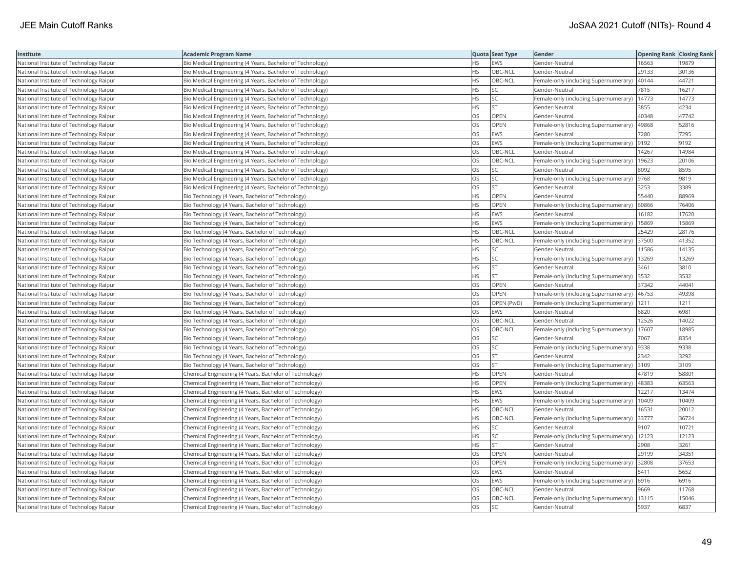| Institute                               | <b>Academic Program Name</b>                              |           | Quota Seat Type | Gender                                        | <b>Opening Rank Closing Rank</b> |       |
|-----------------------------------------|-----------------------------------------------------------|-----------|-----------------|-----------------------------------------------|----------------------------------|-------|
| National Institute of Technology Raipur | Bio Medical Engineering (4 Years, Bachelor of Technology) | ΗS        | EWS             | Gender-Neutral                                | 16563                            | 19879 |
| National Institute of Technology Raipur | Bio Medical Engineering (4 Years, Bachelor of Technology) | HS        | OBC-NCL         | Gender-Neutral                                | 29133                            | 30136 |
| National Institute of Technology Raipur | Bio Medical Engineering (4 Years, Bachelor of Technology) | НS        | OBC-NCL         | Female-only (including Supernumerary)         | 40144                            | 44721 |
| National Institute of Technology Raipur | Bio Medical Engineering (4 Years, Bachelor of Technology) | HS        | SC              | Gender-Neutral                                | 7815                             | 16217 |
| National Institute of Technology Raipur | Bio Medical Engineering (4 Years, Bachelor of Technology) | <b>HS</b> | <b>SC</b>       | Female-only (including Supernumerary)         | 14773                            | 14773 |
| National Institute of Technology Raipur | Bio Medical Engineering (4 Years, Bachelor of Technology) | HS        | <b>ST</b>       | Gender-Neutral                                | 3855                             | 4234  |
| National Institute of Technology Raipur | Bio Medical Engineering (4 Years, Bachelor of Technology) | OS        | OPEN            | Gender-Neutral                                | 40348                            | 47742 |
| National Institute of Technology Raipur | Bio Medical Engineering (4 Years, Bachelor of Technology) | OS        | <b>OPEN</b>     | Female-only (including Supernumerary)         | 49868                            | 52816 |
| National Institute of Technology Raipur | Bio Medical Engineering (4 Years, Bachelor of Technology) | OS        | EWS             | Gender-Neutral                                | 7280                             | 7295  |
| National Institute of Technology Raipur | Bio Medical Engineering (4 Years, Bachelor of Technology) | OS        | <b>EWS</b>      | Female-only (including Supernumerary) 9192    |                                  | 9192  |
| National Institute of Technology Raipur | Bio Medical Engineering (4 Years, Bachelor of Technology) | OS        | OBC-NCL         | Gender-Neutral                                | 14267                            | 14984 |
| National Institute of Technology Raipur | Bio Medical Engineering (4 Years, Bachelor of Technology) | OS        | OBC-NCL         | Female-only (including Supernumerary)         | 19623                            | 20106 |
| National Institute of Technology Raipur | Bio Medical Engineering (4 Years, Bachelor of Technology) | OS        | SC              | Gender-Neutral                                | 8092                             | 8595  |
| National Institute of Technology Raipur | Bio Medical Engineering (4 Years, Bachelor of Technology) | OS        | SC              | Female-only (including Supernumerary)  9768   |                                  | 9819  |
| National Institute of Technology Raipur | Bio Medical Engineering (4 Years, Bachelor of Technology) | OS        | <b>ST</b>       | Gender-Neutral                                | 3253                             | 3389  |
| National Institute of Technology Raipur | Bio Technology (4 Years, Bachelor of Technology)          | ΗS        | OPEN            | Gender-Neutral                                | 55440                            | 88969 |
| National Institute of Technology Raipur | Bio Technology (4 Years, Bachelor of Technology)          | HS        | OPEN            | Female-only (including Supernumerary)         | 60866                            | 76406 |
| National Institute of Technology Raipur | Bio Technology (4 Years, Bachelor of Technology)          | HS        | <b>EWS</b>      | Gender-Neutral                                | 16182                            | 17620 |
| National Institute of Technology Raipur | Bio Technology (4 Years, Bachelor of Technology)          | <b>HS</b> | <b>EWS</b>      | Female-only (including Supernumerary)         | 15869                            | 15869 |
| National Institute of Technology Raipur | Bio Technology (4 Years, Bachelor of Technology)          | <b>HS</b> | OBC-NCL         | Gender-Neutral                                | 25429                            | 28176 |
| National Institute of Technology Raipur | Bio Technology (4 Years, Bachelor of Technology)          | HS        | OBC-NCL         | Female-only (including Supernumerary)         | 37500                            | 41352 |
| National Institute of Technology Raipur | Bio Technology (4 Years, Bachelor of Technology)          | HS        | SC              | Gender-Neutral                                | 11586                            | 14135 |
| National Institute of Technology Raipur | Bio Technology (4 Years, Bachelor of Technology)          | ΗS        | SC              | Female-only (including Supernumerary)         | 13269                            | 13269 |
| National Institute of Technology Raipur | Bio Technology (4 Years, Bachelor of Technology)          | HS        | <b>ST</b>       | Gender-Neutral                                | 3461                             | 3810  |
| National Institute of Technology Raipur | Bio Technology (4 Years, Bachelor of Technology)          | ΗS        | <b>ST</b>       | Female-only (including Supernumerary)         | 3532                             | 3532  |
| National Institute of Technology Raipur | Bio Technology (4 Years, Bachelor of Technology)          | OS        | OPEN            | Gender-Neutral                                | 37342                            | 44041 |
| National Institute of Technology Raipur | Bio Technology (4 Years, Bachelor of Technology)          | OS        | OPEN            | Female-only (including Supernumerary)         | 46753                            | 49398 |
| National Institute of Technology Raipur | Bio Technology (4 Years, Bachelor of Technology)          | OS        | OPEN (PwD)      | Female-only (including Supernumerary)   1211  |                                  | 1211  |
| National Institute of Technology Raipur | Bio Technology (4 Years, Bachelor of Technology)          | OS        | <b>EWS</b>      | Gender-Neutral                                | 6820                             | 6981  |
| National Institute of Technology Raipur | Bio Technology (4 Years, Bachelor of Technology)          | OS        | OBC-NCL         | Gender-Neutral                                | 12526                            | 14022 |
| National Institute of Technology Raipur | Bio Technology (4 Years, Bachelor of Technology)          | OS        | OBC-NCL         | Female-only (including Supernumerary)   17607 |                                  | 18985 |
| National Institute of Technology Raipur | Bio Technology (4 Years, Bachelor of Technology)          | OS        | SC              | Gender-Neutral                                | 7067                             | 8354  |
| National Institute of Technology Raipur | Bio Technology (4 Years, Bachelor of Technology)          | OS        | SC              | Female-only (including Supernumerary)         | 9338                             | 9338  |
| National Institute of Technology Raipur | Bio Technology (4 Years, Bachelor of Technology)          | OS        | <b>ST</b>       | Gender-Neutral                                | 2342                             | 3292  |
| National Institute of Technology Raipur | Bio Technology (4 Years, Bachelor of Technology)          | OS        | ST              | Female-only (including Supernumerary) 3109    |                                  | 3109  |
| National Institute of Technology Raipur | Chemical Engineering (4 Years, Bachelor of Technology)    | <b>HS</b> | <b>OPEN</b>     | Gender-Neutral                                | 47819                            | 58801 |
| National Institute of Technology Raipur | Chemical Engineering (4 Years, Bachelor of Technology)    | HS        | <b>OPEN</b>     | Female-only (including Supernumerary)         | 48383                            | 63563 |
| National Institute of Technology Raipur | Chemical Engineering (4 Years, Bachelor of Technology)    | HS        | <b>EWS</b>      | Gender-Neutral                                | 12217                            | 13474 |
| National Institute of Technology Raipur | Chemical Engineering (4 Years, Bachelor of Technology)    | HS        | <b>EWS</b>      | Female-only (including Supernumerary)         | 10409                            | 10409 |
| National Institute of Technology Raipur | Chemical Engineering (4 Years, Bachelor of Technology)    | HS        | OBC-NCL         | Gender-Neutral                                | 16531                            | 20012 |
| National Institute of Technology Raipur | Chemical Engineering (4 Years, Bachelor of Technology)    | HS        | OBC-NCL         | Female-only (including Supernumerary)         | 33777                            | 36724 |
| National Institute of Technology Raipur | Chemical Engineering (4 Years, Bachelor of Technology)    | HS        | SC              | Gender-Neutral                                | 9107                             | 10721 |
| National Institute of Technology Raipur | Chemical Engineering (4 Years, Bachelor of Technology)    | HS        | SC              | Female-only (including Supernumerary)         | 12123                            | 12123 |
| National Institute of Technology Raipur | Chemical Engineering (4 Years, Bachelor of Technology)    | <b>HS</b> | <b>ST</b>       | Gender-Neutral                                | 2908                             | 3261  |
| National Institute of Technology Raipur | Chemical Engineering (4 Years, Bachelor of Technology)    | OS        | <b>OPEN</b>     | Gender-Neutral                                | 29199                            | 34351 |
| National Institute of Technology Raipur | Chemical Engineering (4 Years, Bachelor of Technology)    | OS        | OPEN            | Female-only (including Supernumerary) 32808   |                                  | 37653 |
| National Institute of Technology Raipur | Chemical Engineering (4 Years, Bachelor of Technology)    | OS        | <b>EWS</b>      | Gender-Neutral                                | 5411                             | 5652  |
| National Institute of Technology Raipur | Chemical Engineering (4 Years, Bachelor of Technology)    | OS        | <b>EWS</b>      | Female-only (including Supernumerary) 6916    |                                  | 6916  |
| National Institute of Technology Raipur | Chemical Engineering (4 Years, Bachelor of Technology)    | OS        | OBC-NCL         | Gender-Neutral                                | 9669                             | 11768 |
| National Institute of Technology Raipur | Chemical Engineering (4 Years, Bachelor of Technology)    | OS        | OBC-NCL         | Female-only (including Supernumerary)         | 13115                            | 15046 |
| National Institute of Technology Raipur | Chemical Engineering (4 Years, Bachelor of Technology)    | <b>OS</b> | <b>SC</b>       | Gender-Neutral                                | 5937                             | 6837  |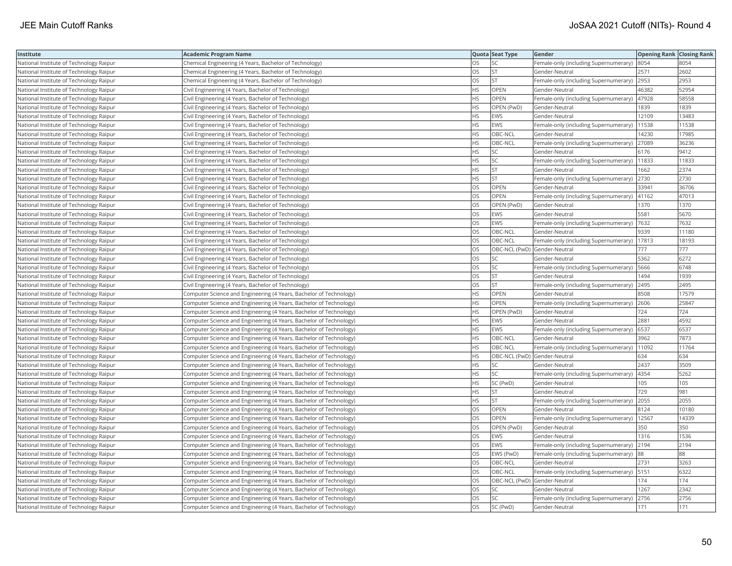| Institute                               | <b>Academic Program Name</b>                                       |           | Quota Seat Type | Gender                                        | <b>Opening Rank Closing Rank</b> |       |
|-----------------------------------------|--------------------------------------------------------------------|-----------|-----------------|-----------------------------------------------|----------------------------------|-------|
| National Institute of Technology Raipur | Chemical Engineering (4 Years, Bachelor of Technology)             | OS        | SC              | Female-only (including Supernumerary)         | 8054                             | 8054  |
| National Institute of Technology Raipur | Chemical Engineering (4 Years, Bachelor of Technology)             | OS        | <b>ST</b>       | Gender-Neutral                                | 2571                             | 2602  |
| National Institute of Technology Raipur | Chemical Engineering (4 Years, Bachelor of Technology)             | OS        | <b>ST</b>       | Female-only (including Supernumerary)         | 2953                             | 2953  |
| National Institute of Technology Raipur | Civil Engineering (4 Years, Bachelor of Technology)                | HS        | OPEN            | Gender-Neutral                                | 46382                            | 52954 |
| National Institute of Technology Raipur | Civil Engineering (4 Years, Bachelor of Technology)                | <b>HS</b> | <b>OPEN</b>     | Female-only (including Supernumerary)         | 47928                            | 58558 |
| National Institute of Technology Raipur | Civil Engineering (4 Years, Bachelor of Technology)                | HS        | OPEN (PwD)      | Gender-Neutral                                | 1839                             | 1839  |
| National Institute of Technology Raipur | Civil Engineering (4 Years, Bachelor of Technology)                | ΗS        | <b>EWS</b>      | Gender-Neutral                                | 12109                            | 13483 |
| National Institute of Technology Raipur | Civil Engineering (4 Years, Bachelor of Technology)                | <b>HS</b> | <b>EWS</b>      | Female-only (including Supernumerary)         | 11538                            | 11538 |
| National Institute of Technology Raipur | Civil Engineering (4 Years, Bachelor of Technology)                | HS        | OBC-NCL         | Gender-Neutral                                | 14230                            | 17985 |
| National Institute of Technology Raipur | Civil Engineering (4 Years, Bachelor of Technology)                | HS        | OBC-NCL         | Female-only (including Supernumerary)         | 27089                            | 36236 |
| National Institute of Technology Raipur | Civil Engineering (4 Years, Bachelor of Technology)                | HS        | <b>SC</b>       | Gender-Neutral                                | 6176                             | 9412  |
| National Institute of Technology Raipur | Civil Engineering (4 Years, Bachelor of Technology)                | <b>HS</b> | <b>SC</b>       | Female-only (including Supernumerary)   1833  |                                  | 11833 |
| National Institute of Technology Raipur | Civil Engineering (4 Years, Bachelor of Technology)                | HS        | <b>ST</b>       | Gender-Neutral                                | 1662                             | 2374  |
| National Institute of Technology Raipur | Civil Engineering (4 Years, Bachelor of Technology)                | HS        | <b>ST</b>       | Female-only (including Supernumerary) 2730    |                                  | 2730  |
| National Institute of Technology Raipur | Civil Engineering (4 Years, Bachelor of Technology)                | OS        | OPEN            | Gender-Neutral                                | 33941                            | 36706 |
| National Institute of Technology Raipur | Civil Engineering (4 Years, Bachelor of Technology)                | OS        | OPEN            | Female-only (including Supernumerary)   41162 |                                  | 47013 |
| National Institute of Technology Raipur | Civil Engineering (4 Years, Bachelor of Technology)                | OS        | OPEN (PwD)      | Gender-Neutral                                | 1370                             | 1370  |
| National Institute of Technology Raipur | Civil Engineering (4 Years, Bachelor of Technology)                | OS        | <b>EWS</b>      | Gender-Neutral                                | 5581                             | 5670  |
| National Institute of Technology Raipur | Civil Engineering (4 Years, Bachelor of Technology)                | OS        | <b>EWS</b>      | Female-only (including Supernumerary)         | 7632                             | 7632  |
| National Institute of Technology Raipur | Civil Engineering (4 Years, Bachelor of Technology)                | OS        | OBC-NCL         | Gender-Neutral                                | 9339                             | 11180 |
| National Institute of Technology Raipur | Civil Engineering (4 Years, Bachelor of Technology)                | OS        | OBC-NCL         | Female-only (including Supernumerary)         | 17813                            | 18193 |
| National Institute of Technology Raipur | Civil Engineering (4 Years, Bachelor of Technology)                | OS        |                 | OBC-NCL (PwD) Gender-Neutral                  | 777                              | 777   |
| National Institute of Technology Raipur | Civil Engineering (4 Years, Bachelor of Technology)                | OS        | SC              | Gender-Neutral                                | 5362                             | 6272  |
| National Institute of Technology Raipur | Civil Engineering (4 Years, Bachelor of Technology)                | OS        | SC              | Female-only (including Supernumerary)   5666  |                                  | 6748  |
| National Institute of Technology Raipur | Civil Engineering (4 Years, Bachelor of Technology)                | OS        | <b>ST</b>       | Gender-Neutral                                | 1494                             | 1939  |
| National Institute of Technology Raipur | Civil Engineering (4 Years, Bachelor of Technology)                | OS        | <b>ST</b>       | Female-only (including Supernumerary) 2495    |                                  | 2495  |
| National Institute of Technology Raipur | Computer Science and Engineering (4 Years, Bachelor of Technology) | HS        | OPEN            | Gender-Neutral                                | 8508                             | 17579 |
| National Institute of Technology Raipur | Computer Science and Engineering (4 Years, Bachelor of Technology) | <b>HS</b> | <b>OPEN</b>     | Female-only (including Supernumerary) 2606    |                                  | 25847 |
| National Institute of Technology Raipur | Computer Science and Engineering (4 Years, Bachelor of Technology) | HS        | OPEN (PwD)      | Gender-Neutral                                | 724                              | 724   |
| National Institute of Technology Raipur | Computer Science and Engineering (4 Years, Bachelor of Technology) | HS        | <b>EWS</b>      | Gender-Neutral                                | 2881                             | 4592  |
| National Institute of Technology Raipur | Computer Science and Engineering (4 Years, Bachelor of Technology) | HS        | <b>EWS</b>      | Female-only (including Supernumerary)   6537  |                                  | 6537  |
| National Institute of Technology Raipur | Computer Science and Engineering (4 Years, Bachelor of Technology) | HS        | OBC-NCL         | Gender-Neutral                                | 3962                             | 7873  |
| National Institute of Technology Raipur | Computer Science and Engineering (4 Years, Bachelor of Technology) | <b>HS</b> | OBC-NCL         | Female-only (including Supernumerary)         | 11092                            | 11764 |
| National Institute of Technology Raipur | Computer Science and Engineering (4 Years, Bachelor of Technology) | НS        |                 | OBC-NCL (PwD) Gender-Neutral                  | 634                              | 634   |
| National Institute of Technology Raipur | Computer Science and Engineering (4 Years, Bachelor of Technology) | HS        | SC              | Gender-Neutral                                | 2437                             | 3509  |
| National Institute of Technology Raipur | Computer Science and Engineering (4 Years, Bachelor of Technology) | <b>HS</b> | <b>SC</b>       | Female-only (including Supernumerary)         | 4354                             | 5262  |
| National Institute of Technology Raipur | Computer Science and Engineering (4 Years, Bachelor of Technology) | HS        | SC (PwD)        | Gender-Neutral                                | 105                              | 105   |
| National Institute of Technology Raipur | Computer Science and Engineering (4 Years, Bachelor of Technology) | HS        | <b>ST</b>       | Gender-Neutral                                | 729                              | 981   |
| National Institute of Technology Raipur | Computer Science and Engineering (4 Years, Bachelor of Technology) | HS        | <b>ST</b>       | Female-only (including Supernumerary) 2055    |                                  | 2055  |
| National Institute of Technology Raipur | Computer Science and Engineering (4 Years, Bachelor of Technology) | OS.       | OPEN            | Gender-Neutral                                | 8124                             | 10180 |
| National Institute of Technology Raipur | Computer Science and Engineering (4 Years, Bachelor of Technology) | OS        | OPEN            | Female-only (including Supernumerary)         | 12567                            | 14339 |
| National Institute of Technology Raipur | Computer Science and Engineering (4 Years, Bachelor of Technology) | OS        | OPEN (PwD)      | Gender-Neutral                                | 350                              | 350   |
| National Institute of Technology Raipur | Computer Science and Engineering (4 Years, Bachelor of Technology) | OS        | <b>EWS</b>      | Gender-Neutral                                | 1316                             | 1536  |
| National Institute of Technology Raipur | Computer Science and Engineering (4 Years, Bachelor of Technology) | OS        | <b>EWS</b>      | Female-only (including Supernumerary)         | 2194                             | 2194  |
| National Institute of Technology Raipur | Computer Science and Engineering (4 Years, Bachelor of Technology) | OS        | EWS (PwD)       | Female-only (including Supernumerary) 88      |                                  | 88    |
| National Institute of Technology Raipur | Computer Science and Engineering (4 Years, Bachelor of Technology) | OS        | OBC-NCL         | Gender-Neutral                                | 2731                             | 3263  |
| National Institute of Technology Raipur | Computer Science and Engineering (4 Years, Bachelor of Technology) | OS.       | OBC-NCL         | Female-only (including Supernumerary)   5151  |                                  | 6322  |
| National Institute of Technology Raipur | Computer Science and Engineering (4 Years, Bachelor of Technology) | OS        |                 | OBC-NCL (PwD) Gender-Neutral                  | 174                              | 174   |
| National Institute of Technology Raipur | Computer Science and Engineering (4 Years, Bachelor of Technology) | OS        | SC              | Gender-Neutral                                | 1267                             | 2342  |
| National Institute of Technology Raipur | Computer Science and Engineering (4 Years, Bachelor of Technology) | OS        | SC              | Female-only (including Supernumerary)         | 2756                             | 2756  |
| National Institute of Technology Raipur | Computer Science and Engineering (4 Years, Bachelor of Technology) | OS        | SC (PwD)        | Gender-Neutral                                | 171                              | 171   |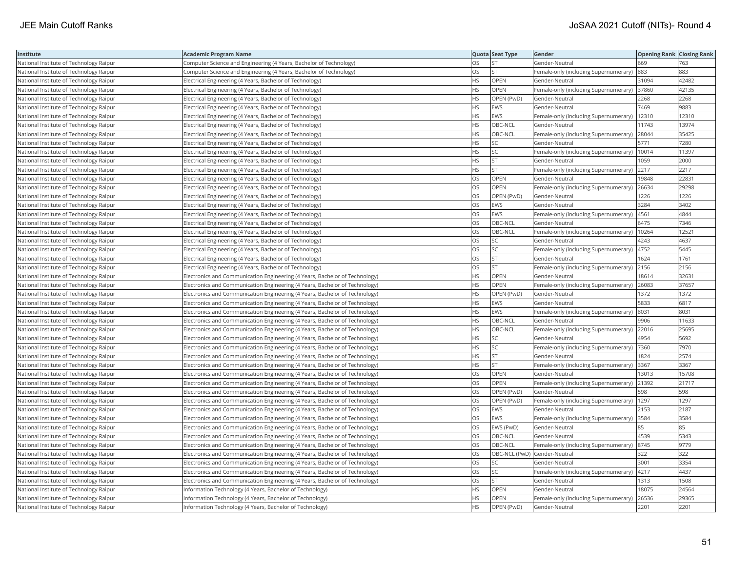| Institute                               | <b>Academic Program Name</b>                                                |           | Quota Seat Type | Gender                                       | <b>Opening Rank   Closing Rank</b> |       |
|-----------------------------------------|-----------------------------------------------------------------------------|-----------|-----------------|----------------------------------------------|------------------------------------|-------|
| National Institute of Technology Raipur | Computer Science and Engineering (4 Years, Bachelor of Technology)          | OS        | <b>ST</b>       | Gender-Neutral                               | 669                                | 763   |
| National Institute of Technology Raipur | Computer Science and Engineering (4 Years, Bachelor of Technology)          | OS        | <b>ST</b>       | Female-only (including Supernumerary)        | 883                                | 883   |
| National Institute of Technology Raipur | Electrical Engineering (4 Years, Bachelor of Technology)                    | <b>HS</b> | OPEN            | Gender-Neutral                               | 31094                              | 42482 |
| National Institute of Technology Raipur | Electrical Engineering (4 Years, Bachelor of Technology)                    | HS        | <b>OPEN</b>     | Female-only (including Supernumerary) 37860  |                                    | 42135 |
| National Institute of Technology Raipur | Electrical Engineering (4 Years, Bachelor of Technology)                    | НS        | OPEN (PwD)      | Gender-Neutral                               | 2268                               | 2268  |
| National Institute of Technology Raipur | Electrical Engineering (4 Years, Bachelor of Technology)                    | HS        | <b>EWS</b>      | Gender-Neutral                               | 7469                               | 9883  |
| National Institute of Technology Raipur | Electrical Engineering (4 Years, Bachelor of Technology)                    | ΗS        | EWS             | Female-only (including Supernumerary)        | 12310                              | 12310 |
| National Institute of Technology Raipur | Electrical Engineering (4 Years, Bachelor of Technology)                    | HS        | OBC-NCL         | Gender-Neutral                               | 11743                              | 13974 |
| National Institute of Technology Raipur | Electrical Engineering (4 Years, Bachelor of Technology)                    | HS        | OBC-NCL         | Female-only (including Supernumerary)        | 28044                              | 35425 |
| National Institute of Technology Raipur | Electrical Engineering (4 Years, Bachelor of Technology)                    | HS        | <b>SC</b>       | Gender-Neutral                               | 5771                               | 7280  |
| National Institute of Technology Raipur | Electrical Engineering (4 Years, Bachelor of Technology)                    | <b>HS</b> | <b>SC</b>       | Female-only (including Supernumerary)        | 10014                              | 11397 |
| National Institute of Technology Raipur | Electrical Engineering (4 Years, Bachelor of Technology)                    | HS        | <b>ST</b>       | Gender-Neutral                               | 1059                               | 2000  |
| National Institute of Technology Raipur | Electrical Engineering (4 Years, Bachelor of Technology)                    | HS        | <b>ST</b>       | Female-only (including Supernumerary)        | 2217                               | 2217  |
| National Institute of Technology Raipur | Electrical Engineering (4 Years, Bachelor of Technology)                    | OS        | OPEN            | Gender-Neutral                               | 19848                              | 22831 |
| National Institute of Technology Raipur | Electrical Engineering (4 Years, Bachelor of Technology)                    | OS        | OPEN            | Female-only (including Supernumerary) 26634  |                                    | 29298 |
| National Institute of Technology Raipur | Electrical Engineering (4 Years, Bachelor of Technology)                    | OS        | OPEN (PwD)      | Gender-Neutral                               | 1226                               | 1226  |
| National Institute of Technology Raipur | Electrical Engineering (4 Years, Bachelor of Technology)                    | OS        | <b>EWS</b>      | Gender-Neutral                               | 3284                               | 3402  |
| National Institute of Technology Raipur | Electrical Engineering (4 Years, Bachelor of Technology)                    | OS        | <b>EWS</b>      | Female-only (including Supernumerary)        | 4561                               | 4844  |
| National Institute of Technology Raipur | Electrical Engineering (4 Years, Bachelor of Technology)                    | OS        | OBC-NCL         | Gender-Neutral                               | 6475                               | 7346  |
| National Institute of Technology Raipur | Electrical Engineering (4 Years, Bachelor of Technology)                    | OS        | OBC-NCL         | Female-only (including Supernumerary)        | 10264                              | 12521 |
| National Institute of Technology Raipur | Electrical Engineering (4 Years, Bachelor of Technology)                    | OS        | <b>SC</b>       | Gender-Neutral                               | 4243                               | 4637  |
| National Institute of Technology Raipur | Electrical Engineering (4 Years, Bachelor of Technology)                    | OS        | SC              | Female-only (including Supernumerary)   4752 |                                    | 5445  |
| National Institute of Technology Raipur | Electrical Engineering (4 Years, Bachelor of Technology)                    | OS        | ST              | Gender-Neutral                               | 1624                               | 1761  |
| National Institute of Technology Raipur | Electrical Engineering (4 Years, Bachelor of Technology)                    | OS        | <b>ST</b>       | Female-only (including Supernumerary)        | 2156                               | 2156  |
| National Institute of Technology Raipur | Electronics and Communication Engineering (4 Years, Bachelor of Technology) | HS        | OPEN            | Gender-Neutral                               | 18614                              | 3263  |
| National Institute of Technology Raipur | Electronics and Communication Engineering (4 Years, Bachelor of Technology) | HS        | OPEN            | Female-only (including Supernumerary)        | 26083                              | 37657 |
| National Institute of Technology Raipur | Electronics and Communication Engineering (4 Years, Bachelor of Technology) | HS        | OPEN (PwD)      | Gender-Neutral                               | 1372                               | 1372  |
| National Institute of Technology Raipur | Electronics and Communication Engineering (4 Years, Bachelor of Technology) | <b>HS</b> | <b>EWS</b>      | Gender-Neutral                               | 5833                               | 6817  |
| National Institute of Technology Raipur | Electronics and Communication Engineering (4 Years, Bachelor of Technology) | HS        | <b>EWS</b>      | Female-only (including Supernumerary)        | 8031                               | 8031  |
| National Institute of Technology Raipur | Electronics and Communication Engineering (4 Years, Bachelor of Technology) | ΗS        | OBC-NCL         | Gender-Neutral                               | 9906                               | 11633 |
| National Institute of Technology Raipur | Electronics and Communication Engineering (4 Years, Bachelor of Technology) | <b>HS</b> | OBC-NCL         | Female-only (including Supernumerary) 22016  |                                    | 25695 |
| National Institute of Technology Raipur | Electronics and Communication Engineering (4 Years, Bachelor of Technology) | ΗS        | SC              | Gender-Neutral                               | 4954                               | 5692  |
| National Institute of Technology Raipur | Electronics and Communication Engineering (4 Years, Bachelor of Technology) | HS        | SC              | Female-only (including Supernumerary)        | 7360                               | 7970  |
| National Institute of Technology Raipur | Electronics and Communication Engineering (4 Years, Bachelor of Technology) | HS        | <b>ST</b>       | Gender-Neutral                               | 1824                               | 2574  |
| National Institute of Technology Raipur | Electronics and Communication Engineering (4 Years, Bachelor of Technology) | НS        | <b>ST</b>       | Female-only (including Supernumerary)        | 3367                               | 3367  |
| National Institute of Technology Raipur | Electronics and Communication Engineering (4 Years, Bachelor of Technology) | OS        | OPEN            | Gender-Neutral                               | 13013                              | 15708 |
| National Institute of Technology Raipur | Electronics and Communication Engineering (4 Years, Bachelor of Technology) | OS        | OPEN            | Female-only (including Supernumerary)        | 21392                              | 21717 |
| National Institute of Technology Raipur | Electronics and Communication Engineering (4 Years, Bachelor of Technology) | OS        | OPEN (PwD)      | Gender-Neutral                               | 598                                | 598   |
| National Institute of Technology Raipur | Electronics and Communication Engineering (4 Years, Bachelor of Technology) | OS        | OPEN (PwD)      | Female-only (including Supernumerary)  1297  |                                    | 1297  |
| National Institute of Technology Raipur | Electronics and Communication Engineering (4 Years, Bachelor of Technology) | OS.       | <b>EWS</b>      | Gender-Neutral                               | 2153                               | 2187  |
| National Institute of Technology Raipur | Electronics and Communication Engineering (4 Years, Bachelor of Technology) | OS        | EWS             | Female-only (including Supernumerary)        | 3584                               | 3584  |
| National Institute of Technology Raipur | Electronics and Communication Engineering (4 Years, Bachelor of Technology) | OS        | EWS (PwD)       | Gender-Neutral                               | 85                                 | 85    |
| National Institute of Technology Raipur | Electronics and Communication Engineering (4 Years, Bachelor of Technology) | OS        | OBC-NCL         | Gender-Neutral                               | 4539                               | 5343  |
| National Institute of Technology Raipur | Electronics and Communication Engineering (4 Years, Bachelor of Technology) | OS        | OBC-NCL         | Female-only (including Supernumerary)  8745  |                                    | 9779  |
| National Institute of Technology Raipur | Electronics and Communication Engineering (4 Years, Bachelor of Technology) | OS        |                 | OBC-NCL (PwD) Gender-Neutral                 | 322                                | 322   |
| National Institute of Technology Raipur | Electronics and Communication Engineering (4 Years, Bachelor of Technology) | OS        | SC              | Gender-Neutral                               | 3001                               | 3354  |
| National Institute of Technology Raipur | Electronics and Communication Engineering (4 Years, Bachelor of Technology) | OS        | <b>SC</b>       | Female-only (including Supernumerary)   4217 |                                    | 4437  |
| National Institute of Technology Raipur | Electronics and Communication Engineering (4 Years, Bachelor of Technology) | OS        | <b>ST</b>       | Gender-Neutral                               | 1313                               | 1508  |
| National Institute of Technology Raipur | Information Technology (4 Years, Bachelor of Technology)                    | HS        | OPEN            | Gender-Neutral                               | 18075                              | 24564 |
| National Institute of Technology Raipur | Information Technology (4 Years, Bachelor of Technology)                    | <b>HS</b> | OPEN            | Female-only (including Supernumerary)        | 26536                              | 29365 |
| National Institute of Technology Raipur | Information Technology (4 Years, Bachelor of Technology)                    | <b>HS</b> | OPEN (PwD)      | Gender-Neutral                               | 2201                               | 2201  |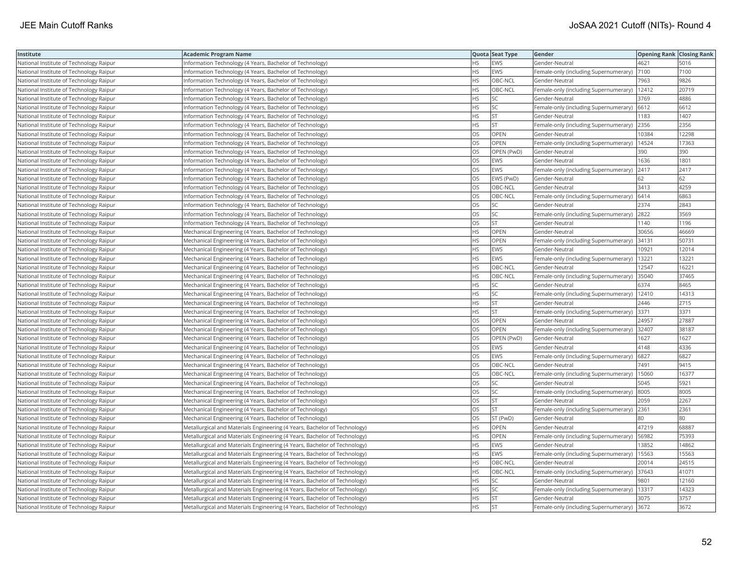| Institute                               | <b>Academic Program Name</b>                                              |           | Quota Seat Type | Gender                                        | <b>Opening Rank Closing Rank</b> |       |
|-----------------------------------------|---------------------------------------------------------------------------|-----------|-----------------|-----------------------------------------------|----------------------------------|-------|
| National Institute of Technology Raipur | Information Technology (4 Years, Bachelor of Technology)                  | <b>HS</b> | EWS             | Gender-Neutral                                | 4621                             | 5016  |
| National Institute of Technology Raipur | nformation Technology (4 Years, Bachelor of Technology)                   | ΗS        | EWS             | Female-only (including Supernumerary)         | 7100                             | 7100  |
| National Institute of Technology Raipur | Information Technology (4 Years, Bachelor of Technology)                  | <b>HS</b> | OBC-NCL         | Gender-Neutral                                | 7963                             | 9826  |
| National Institute of Technology Raipur | nformation Technology (4 Years, Bachelor of Technology)                   | HS        | OBC-NCL         | Female-only (including Supernumerary)         | 12412                            | 20719 |
| National Institute of Technology Raipur | Information Technology (4 Years, Bachelor of Technology)                  | <b>HS</b> | <b>SC</b>       | Gender-Neutral                                | 3769                             | 4886  |
| National Institute of Technology Raipur | nformation Technology (4 Years, Bachelor of Technology)                   | HS.       | SC              | Female-only (including Supernumerary) 6612    |                                  | 6612  |
| National Institute of Technology Raipur | Information Technology (4 Years, Bachelor of Technology)                  | HS        | <b>ST</b>       | Gender-Neutral                                | 1183                             | 1407  |
| National Institute of Technology Raipur | Information Technology (4 Years, Bachelor of Technology)                  | <b>HS</b> | <b>ST</b>       | Female-only (including Supernumerary)         | 2356                             | 2356  |
| National Institute of Technology Raipur | Information Technology (4 Years, Bachelor of Technology)                  | OS        | <b>OPEN</b>     | Gender-Neutral                                | 10384                            | 12298 |
| National Institute of Technology Raipur | Information Technology (4 Years, Bachelor of Technology)                  | OS        | OPEN            | Female-only (including Supernumerary)         | 14524                            | 17363 |
| National Institute of Technology Raipur | Information Technology (4 Years, Bachelor of Technology)                  | OS        | OPEN (PwD)      | Gender-Neutral                                | 390                              | 390   |
| National Institute of Technology Raipur | Information Technology (4 Years, Bachelor of Technology)                  | OS        | <b>EWS</b>      | Gender-Neutral                                | 1636                             | 1801  |
| National Institute of Technology Raipur | Information Technology (4 Years, Bachelor of Technology)                  | OS        | <b>EWS</b>      | Female-only (including Supernumerary)         | 2417                             | 2417  |
| National Institute of Technology Raipur | Information Technology (4 Years, Bachelor of Technology)                  | OS        | EWS (PwD)       | Gender-Neutral                                | 62                               | 62    |
| National Institute of Technology Raipur | Information Technology (4 Years, Bachelor of Technology)                  | OS        | OBC-NCL         | Gender-Neutral                                | 3413                             | 4259  |
| National Institute of Technology Raipur | Information Technology (4 Years, Bachelor of Technology)                  | OS        | OBC-NCL         | Female-only (including Supernumerary) 6414    |                                  | 6863  |
| National Institute of Technology Raipur | Information Technology (4 Years, Bachelor of Technology)                  | OS.       | <b>SC</b>       | Gender-Neutral                                | 2374                             | 2843  |
| National Institute of Technology Raipur | nformation Technology (4 Years, Bachelor of Technology)                   | OS        | SC              | Female-only (including Supernumerary)         | 2822                             | 3569  |
| National Institute of Technology Raipur | Information Technology (4 Years, Bachelor of Technology)                  | OS        | ST              | Gender-Neutral                                | 1140                             | 1196  |
| National Institute of Technology Raipur | Mechanical Engineering (4 Years, Bachelor of Technology)                  | HS.       | OPEN            | Gender-Neutral                                | 30656                            | 46669 |
| National Institute of Technology Raipur | Mechanical Engineering (4 Years, Bachelor of Technology)                  | HS        | OPEN            | Female-only (including Supernumerary)         | 34131                            | 50731 |
| National Institute of Technology Raipur | Mechanical Engineering (4 Years, Bachelor of Technology)                  | HS        | <b>EWS</b>      | Gender-Neutral                                | 10921                            | 12014 |
| National Institute of Technology Raipur | Mechanical Engineering (4 Years, Bachelor of Technology)                  | HS        | <b>EWS</b>      | Female-only (including Supernumerary)         | 13221                            | 13221 |
| National Institute of Technology Raipur | Mechanical Engineering (4 Years, Bachelor of Technology)                  | ΗS        | OBC-NCL         | Gender-Neutral                                | 12547                            | 16221 |
| National Institute of Technology Raipur | Mechanical Engineering (4 Years, Bachelor of Technology)                  | HS        | OBC-NCL         | Female-only (including Supernumerary)         | 35040                            | 37465 |
| National Institute of Technology Raipur | Mechanical Engineering (4 Years, Bachelor of Technology)                  | ΗS        | SC              | Gender-Neutral                                | 6374                             | 8465  |
| National Institute of Technology Raipur | Mechanical Engineering (4 Years, Bachelor of Technology)                  | HS        | SC              | Female-only (including Supernumerary)         | 12410                            | 14313 |
| National Institute of Technology Raipur | Mechanical Engineering (4 Years, Bachelor of Technology)                  | НS        | <b>ST</b>       | Gender-Neutral                                | 2446                             | 2715  |
| National Institute of Technology Raipur | Mechanical Engineering (4 Years, Bachelor of Technology)                  | <b>HS</b> | <b>ST</b>       | Female-only (including Supernumerary)         | 3371                             | 3371  |
| National Institute of Technology Raipur | Mechanical Engineering (4 Years, Bachelor of Technology)                  | OS        | OPEN            | Gender-Neutral                                | 24957                            | 27887 |
| National Institute of Technology Raipur | Mechanical Engineering (4 Years, Bachelor of Technology)                  | OS        | OPEN            | Female-only (including Supernumerary) 32407   |                                  | 38187 |
| National Institute of Technology Raipur | Mechanical Engineering (4 Years, Bachelor of Technology)                  | OS        | OPEN (PwD)      | Gender-Neutral                                | 1627                             | 1627  |
| National Institute of Technology Raipur | Mechanical Engineering (4 Years, Bachelor of Technology)                  | OS        | <b>EWS</b>      | Gender-Neutral                                | 4148                             | 4336  |
| National Institute of Technology Raipur | Mechanical Engineering (4 Years, Bachelor of Technology)                  | OS        | EWS             | Female-only (including Supernumerary)         | 6827                             | 6827  |
| National Institute of Technology Raipur | Mechanical Engineering (4 Years, Bachelor of Technology)                  | OS        | OBC-NCL         | Gender-Neutral                                | 7491                             | 9415  |
| National Institute of Technology Raipur | Mechanical Engineering (4 Years, Bachelor of Technology)                  | OS        | OBC-NCL         | Female-only (including Supernumerary)         | 15060                            | 16377 |
| National Institute of Technology Raipur | Mechanical Engineering (4 Years, Bachelor of Technology)                  | OS        | SC              | Gender-Neutral                                | 5045                             | 5921  |
| National Institute of Technology Raipur | Mechanical Engineering (4 Years, Bachelor of Technology)                  | OS        | SC              | Female-only (including Supernumerary)         | 8005                             | 8005  |
| National Institute of Technology Raipur | Mechanical Engineering (4 Years, Bachelor of Technology)                  | OS        | <b>ST</b>       | Gender-Neutral                                | 2059                             | 2267  |
| National Institute of Technology Raipur | Mechanical Engineering (4 Years, Bachelor of Technology)                  | OS        | <b>ST</b>       | Female-only (including Supernumerary) 2361    |                                  | 2361  |
| National Institute of Technology Raipur | Mechanical Engineering (4 Years, Bachelor of Technology)                  | OS        | ST (PwD)        | Gender-Neutral                                | 80                               | 80    |
| National Institute of Technology Raipur | Metallurgical and Materials Engineering (4 Years, Bachelor of Technology) | НS        | <b>OPEN</b>     | Gender-Neutral                                | 47219                            | 68887 |
| National Institute of Technology Raipur | Metallurgical and Materials Engineering (4 Years, Bachelor of Technology) | НS        | <b>OPEN</b>     | Female-only (including Supernumerary)         | 56982                            | 75393 |
| National Institute of Technology Raipur | Metallurgical and Materials Engineering (4 Years, Bachelor of Technology) | HS        | <b>EWS</b>      | Gender-Neutral                                | 13852                            | 14862 |
| National Institute of Technology Raipur | Metallurgical and Materials Engineering (4 Years, Bachelor of Technology) | <b>HS</b> | <b>EWS</b>      | Female-only (including Supernumerary)         | 15563                            | 15563 |
| National Institute of Technology Raipur | Metallurgical and Materials Engineering (4 Years, Bachelor of Technology) | HS        | OBC-NCL         | Gender-Neutral                                | 20014                            | 24515 |
| National Institute of Technology Raipur | Metallurgical and Materials Engineering (4 Years, Bachelor of Technology) | HS        | OBC-NCL         | Female-only (including Supernumerary) 37643   |                                  | 41071 |
| National Institute of Technology Raipur | Metallurgical and Materials Engineering (4 Years, Bachelor of Technology) | ΗS        | <b>SC</b>       | Gender-Neutral                                | 9801                             | 12160 |
| National Institute of Technology Raipur | Metallurgical and Materials Engineering (4 Years, Bachelor of Technology) | ΗS        | SC              | Female-only (including Supernumerary)   13317 |                                  | 14323 |
| National Institute of Technology Raipur | Metallurgical and Materials Engineering (4 Years, Bachelor of Technology) | HS        | <b>ST</b>       | Gender-Neutral                                | 3075                             | 3757  |
| National Institute of Technology Raipur | Metallurgical and Materials Engineering (4 Years, Bachelor of Technology) | <b>HS</b> | <b>ST</b>       | Female-only (including Supernumerary) 3672    |                                  | 3672  |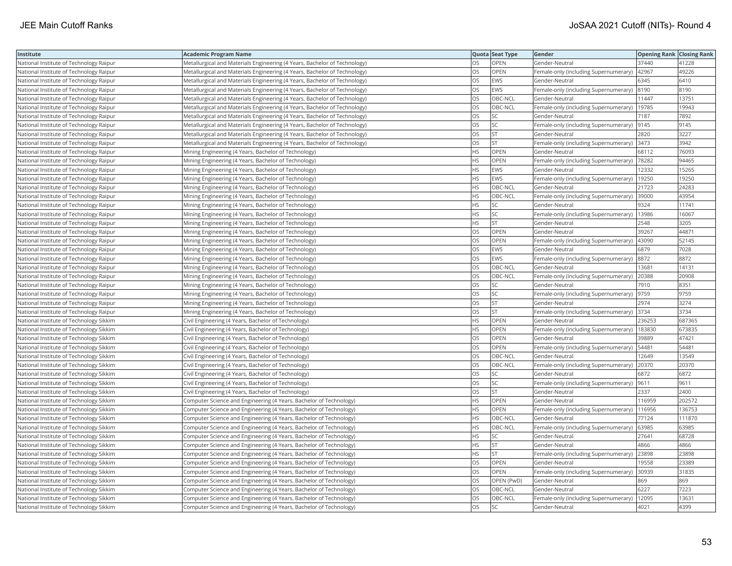| Institute                               | <b>Academic Program Name</b>                                              |           | Quota Seat Type | Gender                                         | <b>Opening Rank Closing Rank</b> |        |
|-----------------------------------------|---------------------------------------------------------------------------|-----------|-----------------|------------------------------------------------|----------------------------------|--------|
| National Institute of Technology Raipur | Metallurgical and Materials Engineering (4 Years, Bachelor of Technology) | OS        | OPEN            | Gender-Neutral                                 | 37440                            | 41228  |
| National Institute of Technology Raipur | Metallurgical and Materials Engineering (4 Years, Bachelor of Technology) | OS        | OPEN            | Female-only (including Supernumerary)          | 42967                            | 49226  |
| National Institute of Technology Raipur | Metallurgical and Materials Engineering (4 Years, Bachelor of Technology) | OS        | <b>EWS</b>      | Gender-Neutral                                 | 6345                             | 6410   |
| National Institute of Technology Raipur | Metallurgical and Materials Engineering (4 Years, Bachelor of Technology) | OS        | <b>EWS</b>      | Female-only (including Supernumerary) 8190     |                                  | 8190   |
| National Institute of Technology Raipur | Metallurgical and Materials Engineering (4 Years, Bachelor of Technology) | OS        | OBC-NCL         | Gender-Neutral                                 | 11447                            | 13751  |
| National Institute of Technology Raipur | Metallurgical and Materials Engineering (4 Years, Bachelor of Technology) | OS        | OBC-NCL         | Female-only (including Supernumerary)   19785  |                                  | 19943  |
| National Institute of Technology Raipur | Metallurgical and Materials Engineering (4 Years, Bachelor of Technology) | OS        | SC              | Gender-Neutral                                 | 7187                             | 7892   |
| National Institute of Technology Raipur | Metallurgical and Materials Engineering (4 Years, Bachelor of Technology) | OS        | SC              | Female-only (including Supernumerary)  9145    |                                  | 9145   |
| National Institute of Technology Raipur | Metallurgical and Materials Engineering (4 Years, Bachelor of Technology) | OS        | <b>ST</b>       | Gender-Neutral                                 | 2820                             | 3227   |
| National Institute of Technology Raipur | Metallurgical and Materials Engineering (4 Years, Bachelor of Technology) | OS        | <b>ST</b>       | Female-only (including Supernumerary) 3473     |                                  | 3942   |
| National Institute of Technology Raipur | Mining Engineering (4 Years, Bachelor of Technology)                      | <b>HS</b> | OPEN            | Gender-Neutral                                 | 68112                            | 76093  |
| National Institute of Technology Raipur | Mining Engineering (4 Years, Bachelor of Technology)                      | HS        | OPEN            | Female-only (including Supernumerary)          | 78282                            | 94465  |
| National Institute of Technology Raipur | Mining Engineering (4 Years, Bachelor of Technology)                      | HS        | <b>EWS</b>      | Gender-Neutral                                 | 12332                            | 15265  |
| National Institute of Technology Raipur | Mining Engineering (4 Years, Bachelor of Technology)                      | HS        | EWS             | Female-only (including Supernumerary)          | 19250                            | 19250  |
| National Institute of Technology Raipur | Mining Engineering (4 Years, Bachelor of Technology)                      | HS        | OBC-NCL         | Gender-Neutral                                 | 21723                            | 24283  |
| National Institute of Technology Raipur | Mining Engineering (4 Years, Bachelor of Technology)                      | HS        | OBC-NCL         | Female-only (including Supernumerary)          | 39000                            | 43954  |
| National Institute of Technology Raipur | Mining Engineering (4 Years, Bachelor of Technology)                      | HS        | SC              | Gender-Neutral                                 | 9324                             | 11741  |
| National Institute of Technology Raipur | Mining Engineering (4 Years, Bachelor of Technology)                      | HS        | SC              | Female-only (including Supernumerary)          | 13986                            | 16067  |
| National Institute of Technology Raipur | Mining Engineering (4 Years, Bachelor of Technology)                      | <b>HS</b> | <b>ST</b>       | Gender-Neutral                                 | 2548                             | 3205   |
| National Institute of Technology Raipur | Mining Engineering (4 Years, Bachelor of Technology)                      | OS        | OPEN            | Gender-Neutral                                 | 39267                            | 44871  |
| National Institute of Technology Raipur | Mining Engineering (4 Years, Bachelor of Technology)                      | OS        | OPEN            | Female-only (including Supernumerary)          | 43090                            | 52145  |
| National Institute of Technology Raipur | Mining Engineering (4 Years, Bachelor of Technology)                      | OS        | <b>EWS</b>      | Gender-Neutral                                 | 6879                             | 7028   |
| National Institute of Technology Raipur | Mining Engineering (4 Years, Bachelor of Technology)                      | OS        | EWS             | Female-only (including Supernumerary)  8872    |                                  | 8872   |
| National Institute of Technology Raipur | Mining Engineering (4 Years, Bachelor of Technology)                      | OS        | OBC-NCL         | Gender-Neutral                                 | 13681                            | 14131  |
| National Institute of Technology Raipur | Mining Engineering (4 Years, Bachelor of Technology)                      | OS        | OBC-NCL         | Female-only (including Supernumerary)          | 20388                            | 20908  |
| National Institute of Technology Raipur | Mining Engineering (4 Years, Bachelor of Technology)                      | OS        | SC              | Gender-Neutral                                 | 7910                             | 8351   |
| National Institute of Technology Raipur | Mining Engineering (4 Years, Bachelor of Technology)                      | OS        | SC              | Female-only (including Supernumerary)          | 9759                             | 9759   |
| National Institute of Technology Raipur | Mining Engineering (4 Years, Bachelor of Technology)                      | OS        | <b>ST</b>       | Gender-Neutral                                 | 2974                             | 3274   |
| National Institute of Technology Raipur | Mining Engineering (4 Years, Bachelor of Technology)                      | OS        | <b>ST</b>       | Female-only (including Supernumerary) 3734     |                                  | 3734   |
| National Institute of Technology Sikkim | Civil Engineering (4 Years, Bachelor of Technology)                       | HS        | OPEN            | Gender-Neutral                                 | 236253                           | 687365 |
| National Institute of Technology Sikkim | Civil Engineering (4 Years, Bachelor of Technology)                       | <b>HS</b> | OPEN            | Female-only (including Supernumerary)   183830 |                                  | 673835 |
| National Institute of Technology Sikkim | Civil Engineering (4 Years, Bachelor of Technology)                       | OS        | OPEN            | Gender-Neutral                                 | 39889                            | 47421  |
| National Institute of Technology Sikkim | Civil Engineering (4 Years, Bachelor of Technology)                       | OS        | OPEN            | Female-only (including Supernumerary)          | 54481                            | 54481  |
| National Institute of Technology Sikkim | Civil Engineering (4 Years, Bachelor of Technology)                       | OS        | OBC-NCL         | Gender-Neutral                                 | 12649                            | 13549  |
| National Institute of Technology Sikkim | Civil Engineering (4 Years, Bachelor of Technology)                       | OS        | OBC-NCL         | Female-only (including Supernumerary)          | 20370                            | 20370  |
| National Institute of Technology Sikkim | Civil Engineering (4 Years, Bachelor of Technology)                       | OS        | SC              | Gender-Neutral                                 | 6872                             | 6872   |
| National Institute of Technology Sikkim | Civil Engineering (4 Years, Bachelor of Technology)                       | OS        | SC              | Female-only (including Supernumerary)  9611    |                                  | 9611   |
| National Institute of Technology Sikkim | Civil Engineering (4 Years, Bachelor of Technology)                       | OS        | <b>ST</b>       | Gender-Neutral                                 | 2337                             | 2400   |
| National Institute of Technology Sikkim | Computer Science and Engineering (4 Years, Bachelor of Technology)        | ΗS        | OPEN            | Gender-Neutral                                 | 116959                           | 202572 |
| National Institute of Technology Sikkim | Computer Science and Engineering (4 Years, Bachelor of Technology)        | HS.       | <b>OPEN</b>     | Female-only (including Supernumerary)          | 116956                           | 136753 |
| National Institute of Technology Sikkim | Computer Science and Engineering (4 Years, Bachelor of Technology)        | HS        | OBC-NCL         | Gender-Neutral                                 | 77124                            | 111870 |
| National Institute of Technology Sikkim | Computer Science and Engineering (4 Years, Bachelor of Technology)        | <b>HS</b> | OBC-NCL         | Female-only (including Supernumerary) 63985    |                                  | 63985  |
| National Institute of Technology Sikkim | Computer Science and Engineering (4 Years, Bachelor of Technology)        | HS        | SC              | Gender-Neutral                                 | 27641                            | 68728  |
| National Institute of Technology Sikkim | Computer Science and Engineering (4 Years, Bachelor of Technology)        | HS        | <b>ST</b>       | Gender-Neutral                                 | 4866                             | 4866   |
| National Institute of Technology Sikkim | Computer Science and Engineering (4 Years, Bachelor of Technology)        | HS        | <b>ST</b>       | Female-only (including Supernumerary)          | 23898                            | 23898  |
| National Institute of Technology Sikkim | Computer Science and Engineering (4 Years, Bachelor of Technology)        | OS        | OPEN            | Gender-Neutral                                 | 19558                            | 23389  |
| National Institute of Technology Sikkim | Computer Science and Engineering (4 Years, Bachelor of Technology)        | <b>OS</b> | OPEN            | Female-only (including Supernumerary) 30939    |                                  | 31835  |
| National Institute of Technology Sikkim | Computer Science and Engineering (4 Years, Bachelor of Technology)        | OS        | OPEN (PwD)      | Gender-Neutral                                 | 869                              | 869    |
| National Institute of Technology Sikkim | Computer Science and Engineering (4 Years, Bachelor of Technology)        | OS        | OBC-NCL         | Gender-Neutral                                 | 6227                             | 7223   |
| National Institute of Technology Sikkim | Computer Science and Engineering (4 Years, Bachelor of Technology)        | OS        | OBC-NCL         | Female-only (including Supernumerary)          | 12095                            | 13631  |
| National Institute of Technology Sikkim | Computer Science and Engineering (4 Years, Bachelor of Technology)        | OS        | <b>SC</b>       | Gender-Neutral                                 | 4021                             | 4399   |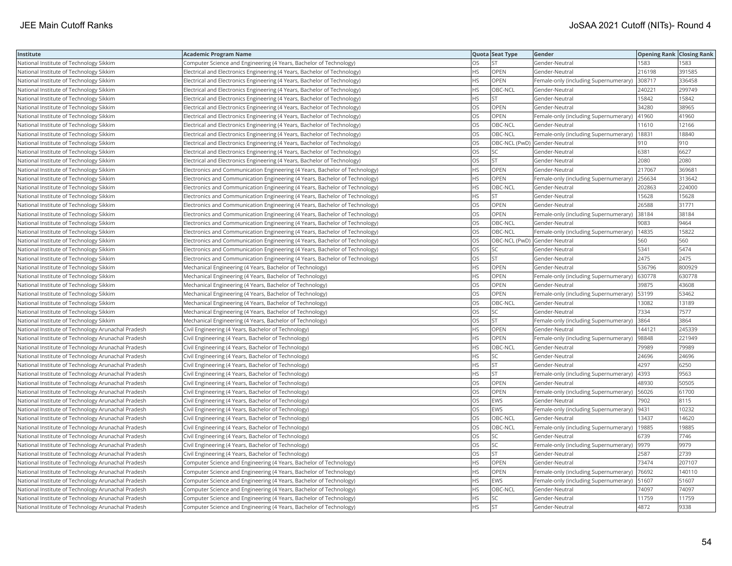| Institute                                          | Academic Program Name                                                       |           | Quota Seat Type              | Gender                                        | <b>Opening Rank Closing Rank</b> |        |
|----------------------------------------------------|-----------------------------------------------------------------------------|-----------|------------------------------|-----------------------------------------------|----------------------------------|--------|
| National Institute of Technology Sikkim            | Computer Science and Engineering (4 Years, Bachelor of Technology)          | OS.       | <b>ST</b>                    | Gender-Neutral                                | 1583                             | 1583   |
| National Institute of Technology Sikkim            | Electrical and Electronics Engineering (4 Years, Bachelor of Technology)    | НS        | OPEN                         | Gender-Neutral                                | 216198                           | 391585 |
| National Institute of Technology Sikkim            | Electrical and Electronics Engineering (4 Years, Bachelor of Technology)    | HS.       | OPEN                         | Female-only (including Supernumerary)         | 308717                           | 336458 |
| National Institute of Technology Sikkim            | Electrical and Electronics Engineering (4 Years, Bachelor of Technology)    | <b>HS</b> | OBC-NCL                      | Gender-Neutral                                | 240221                           | 299749 |
| National Institute of Technology Sikkim            | Electrical and Electronics Engineering (4 Years, Bachelor of Technology)    | HS        | <b>ST</b>                    | Gender-Neutral                                | 15842                            | 15842  |
| National Institute of Technology Sikkim            | Electrical and Electronics Engineering (4 Years, Bachelor of Technology)    | OS        | OPEN                         | Gender-Neutral                                | 34280                            | 38965  |
| National Institute of Technology Sikkim            | Electrical and Electronics Engineering (4 Years, Bachelor of Technology)    | OS.       | OPEN                         | Female-only (including Supernumerary)         | 41960                            | 41960  |
| National Institute of Technology Sikkim            | Electrical and Electronics Engineering (4 Years, Bachelor of Technology)    | OS        | OBC-NCL                      | Gender-Neutral                                | 11610                            | 12166  |
| National Institute of Technology Sikkim            | Electrical and Electronics Engineering (4 Years, Bachelor of Technology)    | OS        | OBC-NCL                      | Female-only (including Supernumerary)         | 18831                            | 18840  |
| National Institute of Technology Sikkim            | Electrical and Electronics Engineering (4 Years, Bachelor of Technology)    | OS        | OBC-NCL (PwD) Gender-Neutral |                                               | 910                              | 910    |
| National Institute of Technology Sikkim            | Electrical and Electronics Engineering (4 Years, Bachelor of Technology)    | OS        | SC                           | Gender-Neutral                                | 6381                             | 6627   |
| National Institute of Technology Sikkim            | Electrical and Electronics Engineering (4 Years, Bachelor of Technology)    | OS        | <b>ST</b>                    | Gender-Neutral                                | 2080                             | 2080   |
| National Institute of Technology Sikkim            | Electronics and Communication Engineering (4 Years, Bachelor of Technology) | HS        | OPEN                         | Gender-Neutral                                | 217067                           | 369681 |
| National Institute of Technology Sikkim            | Electronics and Communication Engineering (4 Years, Bachelor of Technology) | HS        | OPEN                         | Female-only (including Supernumerary)         | 256634                           | 313642 |
| National Institute of Technology Sikkim            | Electronics and Communication Engineering (4 Years, Bachelor of Technology) | <b>HS</b> | OBC-NCL                      | Gender-Neutral                                | 202863                           | 224000 |
| National Institute of Technology Sikkim            | Electronics and Communication Engineering (4 Years, Bachelor of Technology) | HS        | <b>ST</b>                    | Gender-Neutral                                | 15628                            | 15628  |
| National Institute of Technology Sikkim            | Electronics and Communication Engineering (4 Years, Bachelor of Technology) | OS        | OPEN                         | Gender-Neutral                                | 26588                            | 31771  |
| National Institute of Technology Sikkim            | Electronics and Communication Engineering (4 Years, Bachelor of Technology) | OS        | OPEN                         | Female-only (including Supernumerary)         | 38184                            | 38184  |
| National Institute of Technology Sikkim            | Electronics and Communication Engineering (4 Years, Bachelor of Technology) | <b>OS</b> | OBC-NCL                      | Gender-Neutral                                | 9083                             | 9464   |
| National Institute of Technology Sikkim            | Electronics and Communication Engineering (4 Years, Bachelor of Technology) | OS        | OBC-NCL                      | Female-only (including Supernumerary)         | 14835                            | 15822  |
| National Institute of Technology Sikkim            | Electronics and Communication Engineering (4 Years, Bachelor of Technology) | OS        | OBC-NCL (PwD) Gender-Neutral |                                               | 560                              | 560    |
| National Institute of Technology Sikkim            | Electronics and Communication Engineering (4 Years, Bachelor of Technology) | OS        | SC                           | Gender-Neutral                                | 5341                             | 5474   |
| National Institute of Technology Sikkim            | Electronics and Communication Engineering (4 Years, Bachelor of Technology) | OS        | <b>ST</b>                    | Gender-Neutral                                | 2475                             | 2475   |
| National Institute of Technology Sikkim            | Mechanical Engineering (4 Years, Bachelor of Technology)                    | HS        | OPEN                         | Gender-Neutral                                | 536796                           | 800929 |
| National Institute of Technology Sikkim            | Mechanical Engineering (4 Years, Bachelor of Technology)                    | HS.       | OPEN                         | Female-only (including Supernumerary)         | 630778                           | 630778 |
| National Institute of Technology Sikkim            | Mechanical Engineering (4 Years, Bachelor of Technology)                    | OS        | OPEN                         | Gender-Neutral                                | 39875                            | 43608  |
| National Institute of Technology Sikkim            | Mechanical Engineering (4 Years, Bachelor of Technology)                    | <b>OS</b> | <b>OPEN</b>                  | Female-only (including Supernumerary)         | 53199                            | 53462  |
| National Institute of Technology Sikkim            | Mechanical Engineering (4 Years, Bachelor of Technology)                    | OS        | OBC-NCL                      | Gender-Neutral                                | 13082                            | 13189  |
| National Institute of Technology Sikkim            | Mechanical Engineering (4 Years, Bachelor of Technology)                    | OS        | SC                           | Gender-Neutral                                | 7334                             | 7577   |
| National Institute of Technology Sikkim            | Mechanical Engineering (4 Years, Bachelor of Technology)                    | OS        | <b>ST</b>                    | Female-only (including Supernumerary)         | 3864                             | 3864   |
| National Institute of Technology Arunachal Pradesh | Civil Engineering (4 Years, Bachelor of Technology)                         | HS        | OPEN                         | Gender-Neutral                                | 144121                           | 245339 |
| National Institute of Technology Arunachal Pradesh | Civil Engineering (4 Years, Bachelor of Technology)                         | HS.       | OPEN                         | Female-only (including Supernumerary)         | 98848                            | 221949 |
| National Institute of Technology Arunachal Pradesh | Civil Engineering (4 Years, Bachelor of Technology)                         | HS        | OBC-NCL                      | Gender-Neutral                                | 79989                            | 79989  |
| National Institute of Technology Arunachal Pradesh | Civil Engineering (4 Years, Bachelor of Technology)                         | HS        | SC                           | Gender-Neutral                                | 24696                            | 24696  |
| National Institute of Technology Arunachal Pradesh | Civil Engineering (4 Years, Bachelor of Technology)                         | HS        | <b>ST</b>                    | Gender-Neutral                                | 4297                             | 6250   |
| National Institute of Technology Arunachal Pradesh | Civil Engineering (4 Years, Bachelor of Technology)                         | HS.       | lst                          | Female-only (including Supernumerary)         | 4393                             | 9563   |
| National Institute of Technology Arunachal Pradesh | Civil Engineering (4 Years, Bachelor of Technology)                         | OS.       | OPEN                         | Gender-Neutral                                | 48930                            | 50505  |
| National Institute of Technology Arunachal Pradesh | Civil Engineering (4 Years, Bachelor of Technology)                         | OS        | OPEN                         | Female-only (including Supernumerary)   56026 |                                  | 61700  |
| National Institute of Technology Arunachal Pradesh | Civil Engineering (4 Years, Bachelor of Technology)                         | OS        | EWS                          | Gender-Neutral                                | 7902                             | 8115   |
| National Institute of Technology Arunachal Pradesh | Civil Engineering (4 Years, Bachelor of Technology)                         | <b>OS</b> | <b>EWS</b>                   | Female-only (including Supernumerary)         | 9431                             | 10232  |
| National Institute of Technology Arunachal Pradesh | Civil Engineering (4 Years, Bachelor of Technology)                         | OS        | OBC-NCL                      | Gender-Neutral                                | 13437                            | 14620  |
| National Institute of Technology Arunachal Pradesh | Civil Engineering (4 Years, Bachelor of Technology)                         | OS        | OBC-NCL                      | Female-only (including Supernumerary)         | 19885                            | 19885  |
| National Institute of Technology Arunachal Pradesh | Civil Engineering (4 Years, Bachelor of Technology)                         | OS.       | <b>SC</b>                    | Gender-Neutral                                | 6739                             | 7746   |
| National Institute of Technology Arunachal Pradesh | Civil Engineering (4 Years, Bachelor of Technology)                         | OS        | SC                           | Female-only (including Supernumerary)  9979   |                                  | 9979   |
| National Institute of Technology Arunachal Pradesh | Civil Engineering (4 Years, Bachelor of Technology)                         | OS.       | <b>ST</b>                    | Gender-Neutral                                | 2587                             | 2739   |
| National Institute of Technology Arunachal Pradesh | Computer Science and Engineering (4 Years, Bachelor of Technology)          | HS        | OPEN                         | Gender-Neutral                                | 73474                            | 207107 |
| National Institute of Technology Arunachal Pradesh | Computer Science and Engineering (4 Years, Bachelor of Technology)          | HS        | OPEN                         | Female-only (including Supernumerary)         | 76692                            | 140110 |
| National Institute of Technology Arunachal Pradesh | Computer Science and Engineering (4 Years, Bachelor of Technology)          | HS        | <b>EWS</b>                   | Female-only (including Supernumerary)         | 51607                            | 51607  |
| National Institute of Technology Arunachal Pradesh | Computer Science and Engineering (4 Years, Bachelor of Technology)          | HS        | OBC-NCL                      | Gender-Neutral                                | 74097                            | 74097  |
| National Institute of Technology Arunachal Pradesh | Computer Science and Engineering (4 Years, Bachelor of Technology)          | HS.       | <b>SC</b>                    | Gender-Neutral                                | 11759                            | 11759  |
| National Institute of Technology Arunachal Pradesh | Computer Science and Engineering (4 Years, Bachelor of Technology)          | <b>HS</b> | <b>ST</b>                    | Gender-Neutral                                | 4872                             | 9338   |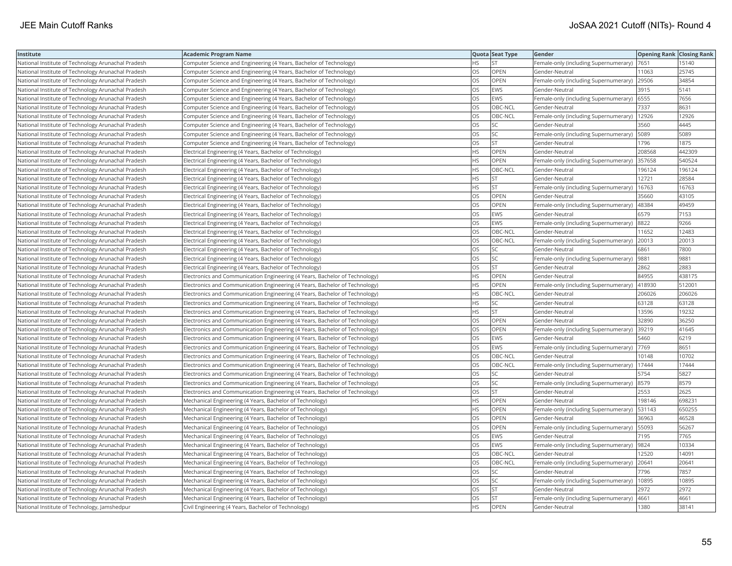| Institute                                          | <b>Academic Program Name</b>                                                |           | Quota Seat Type | Gender                                      | <b>Opening Rank Closing Rank</b> |        |
|----------------------------------------------------|-----------------------------------------------------------------------------|-----------|-----------------|---------------------------------------------|----------------------------------|--------|
| National Institute of Technology Arunachal Pradesh | Computer Science and Engineering (4 Years, Bachelor of Technology)          | НS        | <b>ST</b>       | Female-only (including Supernumerary)       | 7651                             | 15140  |
| National Institute of Technology Arunachal Pradesh | Computer Science and Engineering (4 Years, Bachelor of Technology)          | OS.       | OPEN            | Gender-Neutral                              | 11063                            | 25745  |
| National Institute of Technology Arunachal Pradesh | Computer Science and Engineering (4 Years, Bachelor of Technology)          | OS.       | OPEN            | Female-only (including Supernumerary)       | 29506                            | 34854  |
| National Institute of Technology Arunachal Pradesh | Computer Science and Engineering (4 Years, Bachelor of Technology)          | OS        | <b>EWS</b>      | Gender-Neutral                              | 3915                             | 5141   |
| National Institute of Technology Arunachal Pradesh | Computer Science and Engineering (4 Years, Bachelor of Technology)          | OS        | <b>EWS</b>      | Female-only (including Supernumerary)       | 6555                             | 7656   |
| National Institute of Technology Arunachal Pradesh | Computer Science and Engineering (4 Years, Bachelor of Technology)          | OS        | OBC-NCL         | Gender-Neutral                              | 7337                             | 8631   |
| National Institute of Technology Arunachal Pradesh | Computer Science and Engineering (4 Years, Bachelor of Technology)          | OS        | OBC-NCL         | Female-only (including Supernumerary)       | 12926                            | 12926  |
| National Institute of Technology Arunachal Pradesh | Computer Science and Engineering (4 Years, Bachelor of Technology)          | OS        | <b>SC</b>       | Gender-Neutral                              | 3560                             | 4445   |
| National Institute of Technology Arunachal Pradesh | Computer Science and Engineering (4 Years, Bachelor of Technology)          | OS        | SC              | Female-only (including Supernumerary)       | 5089                             | 5089   |
| National Institute of Technology Arunachal Pradesh | Computer Science and Engineering (4 Years, Bachelor of Technology)          | OS        | ST              | Gender-Neutral                              | 1796                             | 1875   |
| National Institute of Technology Arunachal Pradesh | Electrical Engineering (4 Years, Bachelor of Technology)                    | <b>HS</b> | <b>OPEN</b>     | Gender-Neutral                              | 208568                           | 442309 |
| National Institute of Technology Arunachal Pradesh | Electrical Engineering (4 Years, Bachelor of Technology)                    | HS.       | <b>OPEN</b>     | Female-only (including Supernumerary)       | 357658                           | 540524 |
| National Institute of Technology Arunachal Pradesh | Electrical Engineering (4 Years, Bachelor of Technology)                    | <b>HS</b> | OBC-NCL         | Gender-Neutral                              | 196124                           | 196124 |
| National Institute of Technology Arunachal Pradesh | Electrical Engineering (4 Years, Bachelor of Technology)                    | НS        | <b>ST</b>       | Gender-Neutral                              | 12721                            | 28584  |
| National Institute of Technology Arunachal Pradesh | Electrical Engineering (4 Years, Bachelor of Technology)                    | HS        | <b>ST</b>       | Female-only (including Supernumerary)       | 16763                            | 16763  |
| National Institute of Technology Arunachal Pradesh | Electrical Engineering (4 Years, Bachelor of Technology)                    | OS.       | OPEN            | Gender-Neutral                              | 35660                            | 43105  |
| National Institute of Technology Arunachal Pradesh | Electrical Engineering (4 Years, Bachelor of Technology)                    | OS        | <b>OPEN</b>     | Female-only (including Supernumerary)       | 48384                            | 49459  |
| National Institute of Technology Arunachal Pradesh | Electrical Engineering (4 Years, Bachelor of Technology)                    | OS        | <b>EWS</b>      | Gender-Neutral                              | 6579                             | 7153   |
| National Institute of Technology Arunachal Pradesh | Electrical Engineering (4 Years, Bachelor of Technology)                    | OS.       | <b>EWS</b>      | Female-only (including Supernumerary)       | 8822                             | 9266   |
| National Institute of Technology Arunachal Pradesh | Electrical Engineering (4 Years, Bachelor of Technology)                    | OS        | OBC-NCL         | Gender-Neutral                              | 11652                            | 12483  |
| National Institute of Technology Arunachal Pradesh | Electrical Engineering (4 Years, Bachelor of Technology)                    | OS        | OBC-NCL         | Female-only (including Supernumerary)       | 20013                            | 20013  |
| National Institute of Technology Arunachal Pradesh | Electrical Engineering (4 Years, Bachelor of Technology)                    | OS        | SC              | Gender-Neutral                              | 6861                             | 7800   |
| National Institute of Technology Arunachal Pradesh | Electrical Engineering (4 Years, Bachelor of Technology)                    | OS        | SC              | Female-only (including Supernumerary)  9881 |                                  | 9881   |
| National Institute of Technology Arunachal Pradesh | Electrical Engineering (4 Years, Bachelor of Technology)                    | OS        | <b>ST</b>       | Gender-Neutral                              | 2862                             | 2883   |
| National Institute of Technology Arunachal Pradesh | Electronics and Communication Engineering (4 Years, Bachelor of Technology) | HS.       | OPEN            | Gender-Neutral                              | 84955                            | 438175 |
| National Institute of Technology Arunachal Pradesh | Electronics and Communication Engineering (4 Years, Bachelor of Technology) | HS.       | OPEN            | Female-only (including Supernumerary)       | 418930                           | 512001 |
| National Institute of Technology Arunachal Pradesh | Electronics and Communication Engineering (4 Years, Bachelor of Technology) | HS.       | OBC-NCL         | Gender-Neutral                              | 206026                           | 206026 |
| National Institute of Technology Arunachal Pradesh | Electronics and Communication Engineering (4 Years, Bachelor of Technology) | HS        | SC              | Gender-Neutral                              | 63128                            | 63128  |
| National Institute of Technology Arunachal Pradesh | Electronics and Communication Engineering (4 Years, Bachelor of Technology) | HS        | <b>ST</b>       | Gender-Neutral                              | 13596                            | 19232  |
| National Institute of Technology Arunachal Pradesh | Electronics and Communication Engineering (4 Years, Bachelor of Technology) | OS        | OPEN            | Gender-Neutral                              | 32890                            | 36250  |
| National Institute of Technology Arunachal Pradesh | Electronics and Communication Engineering (4 Years, Bachelor of Technology) | OS        | <b>OPEN</b>     | Female-only (including Supernumerary)       | 39219                            | 41645  |
| National Institute of Technology Arunachal Pradesh | Electronics and Communication Engineering (4 Years, Bachelor of Technology) | OS        | EWS             | Gender-Neutral                              | 5460                             | 6219   |
| National Institute of Technology Arunachal Pradesh | Electronics and Communication Engineering (4 Years, Bachelor of Technology) | OS        | <b>EWS</b>      | Female-only (including Supernumerary)       | 7769                             | 8651   |
| National Institute of Technology Arunachal Pradesh | Electronics and Communication Engineering (4 Years, Bachelor of Technology) | OS        | OBC-NCL         | Gender-Neutral                              | 10148                            | 10702  |
| National Institute of Technology Arunachal Pradesh | Electronics and Communication Engineering (4 Years, Bachelor of Technology) | <b>OS</b> | OBC-NCL         | Female-only (including Supernumerary)       | 17444                            | 17444  |
| National Institute of Technology Arunachal Pradesh | Electronics and Communication Engineering (4 Years, Bachelor of Technology) | OS        | SC              | Gender-Neutral                              | 5754                             | 5827   |
| National Institute of Technology Arunachal Pradesh | Electronics and Communication Engineering (4 Years, Bachelor of Technology) | OS        | SC              | Female-only (including Supernumerary) 8579  |                                  | 8579   |
| National Institute of Technology Arunachal Pradesh | Electronics and Communication Engineering (4 Years, Bachelor of Technology) | OS        | <b>ST</b>       | Gender-Neutral                              | 2553                             | 2625   |
| National Institute of Technology Arunachal Pradesh | Mechanical Engineering (4 Years, Bachelor of Technology)                    | <b>HS</b> | <b>OPEN</b>     | Gender-Neutral                              | 198146                           | 698231 |
| National Institute of Technology Arunachal Pradesh | Mechanical Engineering (4 Years, Bachelor of Technology)                    | HS        | OPEN            | Female-only (including Supernumerary)       | 531143                           | 650255 |
| National Institute of Technology Arunachal Pradesh | Mechanical Engineering (4 Years, Bachelor of Technology)                    | OS        | OPEN            | Gender-Neutral                              | 36963                            | 46528  |
| National Institute of Technology Arunachal Pradesh | Mechanical Engineering (4 Years, Bachelor of Technology)                    | OS        | OPEN            | Female-only (including Supernumerary)       | 55093                            | 56267  |
| National Institute of Technology Arunachal Pradesh | Mechanical Engineering (4 Years, Bachelor of Technology)                    | OS        | <b>EWS</b>      | Gender-Neutral                              | 7195                             | 7765   |
| National Institute of Technology Arunachal Pradesh | Mechanical Engineering (4 Years, Bachelor of Technology)                    | OS        | <b>EWS</b>      | Female-only (including Supernumerary)       | 9824                             | 10334  |
| National Institute of Technology Arunachal Pradesh | Mechanical Engineering (4 Years, Bachelor of Technology)                    | OS        | OBC-NCL         | Gender-Neutral                              | 12520                            | 14091  |
| National Institute of Technology Arunachal Pradesh | Mechanical Engineering (4 Years, Bachelor of Technology)                    | OS        | OBC-NCL         | Female-only (including Supernumerary)       | 20641                            | 20641  |
| National Institute of Technology Arunachal Pradesh | Mechanical Engineering (4 Years, Bachelor of Technology)                    | OS.       | <b>SC</b>       | Gender-Neutral                              | 7796                             | 7857   |
| National Institute of Technology Arunachal Pradesh | Mechanical Engineering (4 Years, Bachelor of Technology)                    | OS        | SC              | Female-only (including Supernumerary)       | 10895                            | 0895   |
| National Institute of Technology Arunachal Pradesh | Mechanical Engineering (4 Years, Bachelor of Technology)                    | OS        | <b>ST</b>       | Gender-Neutral                              | 2972                             | 2972   |
| National Institute of Technology Arunachal Pradesh | Mechanical Engineering (4 Years, Bachelor of Technology)                    | OS.       | <b>ST</b>       | Female-only (including Supernumerary)       | 4661                             | 4661   |
| National Institute of Technology, Jamshedpur       | Civil Engineering (4 Years, Bachelor of Technology)                         | <b>HS</b> | <b>OPEN</b>     | Gender-Neutral                              | 1380                             | 38141  |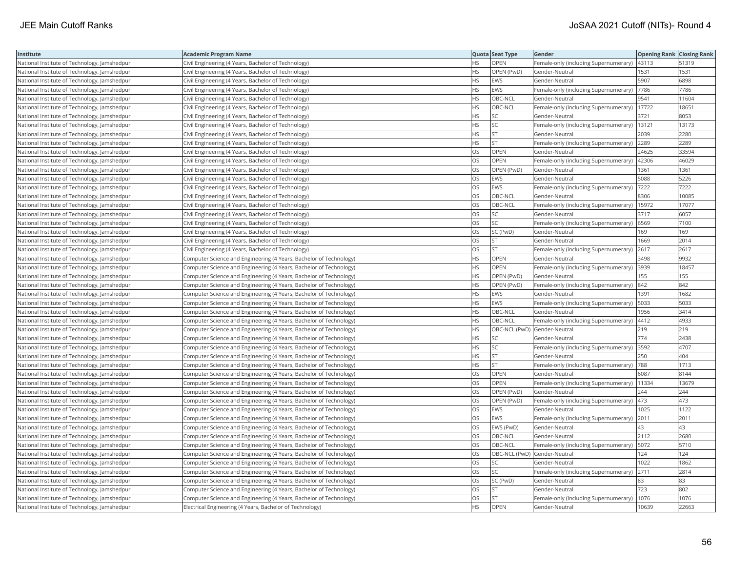| Institute                                    | <b>Academic Program Name</b>                                       |           | Quota Seat Type              | Gender                                        | <b>Opening Rank Closing Rank</b> |       |
|----------------------------------------------|--------------------------------------------------------------------|-----------|------------------------------|-----------------------------------------------|----------------------------------|-------|
| National Institute of Technology, Jamshedpur | Civil Engineering (4 Years, Bachelor of Technology)                | HS        | OPEN                         | Female-only (including Supernumerary)  43113  |                                  | 51319 |
| National Institute of Technology, Jamshedpur | Civil Engineering (4 Years, Bachelor of Technology)                | <b>HS</b> | OPEN (PwD)                   | Gender-Neutral                                | 1531                             | 1531  |
| National Institute of Technology, Jamshedpur | Civil Engineering (4 Years, Bachelor of Technology)                | <b>HS</b> | <b>EWS</b>                   | Gender-Neutral                                | 5907                             | 6898  |
| National Institute of Technology, Jamshedpur | Civil Engineering (4 Years, Bachelor of Technology)                | HS        | <b>EWS</b>                   | Female-only (including Supernumerary)         | 7786                             | 7786  |
| National Institute of Technology, Jamshedpur | Civil Engineering (4 Years, Bachelor of Technology)                | HS.       | OBC-NCL                      | Gender-Neutral                                | 9541                             | 11604 |
| National Institute of Technology, Jamshedpur | Civil Engineering (4 Years, Bachelor of Technology)                | HS        | OBC-NCL                      | Female-only (including Supernumerary)   17722 |                                  | 18651 |
| National Institute of Technology, Jamshedpur | Civil Engineering (4 Years, Bachelor of Technology)                | HS        | SC                           | Gender-Neutral                                | 3721                             | 8053  |
| National Institute of Technology, Jamshedpur | Civil Engineering (4 Years, Bachelor of Technology)                | HS        | SC                           | Female-only (including Supernumerary)         | 13121                            | 13173 |
| National Institute of Technology, Jamshedpur | Civil Engineering (4 Years, Bachelor of Technology)                | HS        | <b>ST</b>                    | Gender-Neutral                                | 2039                             | 2280  |
| National Institute of Technology, Jamshedpur | Civil Engineering (4 Years, Bachelor of Technology)                | <b>HS</b> | ST                           | Female-only (including Supernumerary)         | 2289                             | 2289  |
| National Institute of Technology, Jamshedpur | Civil Engineering (4 Years, Bachelor of Technology)                | OS.       | OPEN                         | Gender-Neutral                                | 24625                            | 33594 |
| National Institute of Technology, Jamshedpur | Civil Engineering (4 Years, Bachelor of Technology)                | OS        | OPEN                         | Female-only (including Supernumerary)         | 42306                            | 46029 |
| National Institute of Technology, Jamshedpur | Civil Engineering (4 Years, Bachelor of Technology)                | OS.       | OPEN (PwD)                   | Gender-Neutral                                | 1361                             | 1361  |
| National Institute of Technology, Jamshedpur | Civil Engineering (4 Years, Bachelor of Technology)                | OS        | <b>EWS</b>                   | Gender-Neutral                                | 5088                             | 5226  |
| National Institute of Technology, Jamshedpur | Civil Engineering (4 Years, Bachelor of Technology)                | OS        | <b>EWS</b>                   | Female-only (including Supernumerary)         | 7222                             | 7222  |
| National Institute of Technology, Jamshedpur | Civil Engineering (4 Years, Bachelor of Technology)                | OS.       | OBC-NCL                      | Gender-Neutral                                | 8306                             | 10085 |
| National Institute of Technology, Jamshedpur | Civil Engineering (4 Years, Bachelor of Technology)                | OS        | OBC-NCL                      | Female-only (including Supernumerary)  15972  |                                  | 17077 |
| National Institute of Technology, Jamshedpur | Civil Engineering (4 Years, Bachelor of Technology)                | OS        | SC                           | Gender-Neutral                                | 3717                             | 6057  |
| National Institute of Technology, Jamshedpur | Civil Engineering (4 Years, Bachelor of Technology)                | OS.       | <b>SC</b>                    | Female-only (including Supernumerary) (6569   |                                  | 7100  |
| National Institute of Technology, Jamshedpur | Civil Engineering (4 Years, Bachelor of Technology)                | OS        | SC (PwD)                     | Gender-Neutral                                | 169                              | 169   |
| National Institute of Technology, Jamshedpur | Civil Engineering (4 Years, Bachelor of Technology)                | OS        | <b>ST</b>                    | Gender-Neutral                                | 1669                             | 2014  |
| National Institute of Technology, Jamshedpur | Civil Engineering (4 Years, Bachelor of Technology)                | OS        | <b>ST</b>                    | Female-only (including Supernumerary) 2617    |                                  | 2617  |
| National Institute of Technology, Jamshedpur | Computer Science and Engineering (4 Years, Bachelor of Technology) | HS        | OPEN                         | Gender-Neutral                                | 3498                             | 9932  |
| National Institute of Technology, Jamshedpur | Computer Science and Engineering (4 Years, Bachelor of Technology) | HS        | OPEN                         | Female-only (including Supernumerary)  3939   |                                  | 18457 |
| National Institute of Technology, Jamshedpur | Computer Science and Engineering (4 Years, Bachelor of Technology) | HS.       | OPEN (PwD)                   | Gender-Neutral                                | 155                              | 155   |
| National Institute of Technology, Jamshedpur | Computer Science and Engineering (4 Years, Bachelor of Technology) | HS.       | OPEN (PwD)                   | Female-only (including Supernumerary)  842    |                                  | 842   |
| National Institute of Technology, Jamshedpur | Computer Science and Engineering (4 Years, Bachelor of Technology) | HS.       | EWS                          | Gender-Neutral                                | 1391                             | 1682  |
| National Institute of Technology, Jamshedpur | Computer Science and Engineering (4 Years, Bachelor of Technology) | HS        | <b>EWS</b>                   | Female-only (including Supernumerary)         | 5033                             | 5033  |
| National Institute of Technology, Jamshedpur | Computer Science and Engineering (4 Years, Bachelor of Technology) | HS        | OBC-NCL                      | Gender-Neutral                                | 1956                             | 3414  |
| National Institute of Technology, Jamshedpur | Computer Science and Engineering (4 Years, Bachelor of Technology) | HS        | OBC-NCL                      | Female-only (including Supernumerary)   4412  |                                  | 4933  |
| National Institute of Technology, Jamshedpur | Computer Science and Engineering (4 Years, Bachelor of Technology) | HS        | OBC-NCL (PwD) Gender-Neutral |                                               | 219                              | 219   |
| National Institute of Technology, Jamshedpur | Computer Science and Engineering (4 Years, Bachelor of Technology) | HS        | SC                           | Gender-Neutral                                | 774                              | 2438  |
| National Institute of Technology, Jamshedpur | Computer Science and Engineering (4 Years, Bachelor of Technology) | HS.       | SC                           | Female-only (including Supernumerary)         | 3592                             | 4707  |
| National Institute of Technology, Jamshedpur | Computer Science and Engineering (4 Years, Bachelor of Technology) | HS        | <b>ST</b>                    | Gender-Neutral                                | 250                              | 404   |
| National Institute of Technology, Jamshedpur | Computer Science and Engineering (4 Years, Bachelor of Technology) | HS.       | <b>ST</b>                    | Female-only (including Supernumerary)  788    |                                  | 1713  |
| National Institute of Technology, Jamshedpur | Computer Science and Engineering (4 Years, Bachelor of Technology) | OS        | <b>OPEN</b>                  | Gender-Neutral                                | 6087                             | 8144  |
| National Institute of Technology, Jamshedpur | Computer Science and Engineering (4 Years, Bachelor of Technology) | OS        | OPEN                         | Female-only (including Supernumerary)   11334 |                                  | 13679 |
| National Institute of Technology, Jamshedpur | Computer Science and Engineering (4 Years, Bachelor of Technology) | OS        | OPEN (PwD)                   | Gender-Neutral                                | 244                              | 244   |
| National Institute of Technology, Jamshedpur | Computer Science and Engineering (4 Years, Bachelor of Technology) | OS        | OPEN (PwD)                   | Female-only (including Supernumerary)  473    |                                  | 473   |
| National Institute of Technology, Jamshedpur | Computer Science and Engineering (4 Years, Bachelor of Technology) | OS        | <b>EWS</b>                   | Gender-Neutral                                | 1025                             | 1122  |
| National Institute of Technology, Jamshedpur | Computer Science and Engineering (4 Years, Bachelor of Technology) | OS        | <b>EWS</b>                   | Female-only (including Supernumerary)         | 2011                             | 2011  |
| National Institute of Technology, Jamshedpur | Computer Science and Engineering (4 Years, Bachelor of Technology) | OS        | EWS (PwD)                    | Gender-Neutral                                | 43                               | 43    |
| National Institute of Technology, Jamshedpur | Computer Science and Engineering (4 Years, Bachelor of Technology) | OS        | OBC-NCL                      | Gender-Neutral                                | 2112                             | 2680  |
| National Institute of Technology, Jamshedpur | Computer Science and Engineering (4 Years, Bachelor of Technology) | OS        | OBC-NCL                      | Female-only (including Supernumerary)         | 5072                             | 5710  |
| National Institute of Technology, Jamshedpur | Computer Science and Engineering (4 Years, Bachelor of Technology) | OS        | OBC-NCL (PwD) Gender-Neutral |                                               | 124                              | 124   |
| National Institute of Technology, Jamshedpur | Computer Science and Engineering (4 Years, Bachelor of Technology) | OS        | SC                           | Gender-Neutral                                | 1022                             | 1862  |
| National Institute of Technology, Jamshedpur | Computer Science and Engineering (4 Years, Bachelor of Technology) | <b>OS</b> | <b>SC</b>                    | Female-only (including Supernumerary)         | 2711                             | 2814  |
| National Institute of Technology, Jamshedpur | Computer Science and Engineering (4 Years, Bachelor of Technology) | OS        | SC (PwD)                     | Gender-Neutral                                | 83                               | 83    |
| National Institute of Technology, Jamshedpur | Computer Science and Engineering (4 Years, Bachelor of Technology) | OS        | <b>ST</b>                    | Gender-Neutral                                | 723                              | 802   |
| National Institute of Technology, Jamshedpur | Computer Science and Engineering (4 Years, Bachelor of Technology) | OS.       | <b>ST</b>                    | Female-only (including Supernumerary)         | 1076                             | 1076  |
| National Institute of Technology, Jamshedpur | Electrical Engineering (4 Years, Bachelor of Technology)           | <b>HS</b> | OPEN                         | Gender-Neutral                                | 10639                            | 22663 |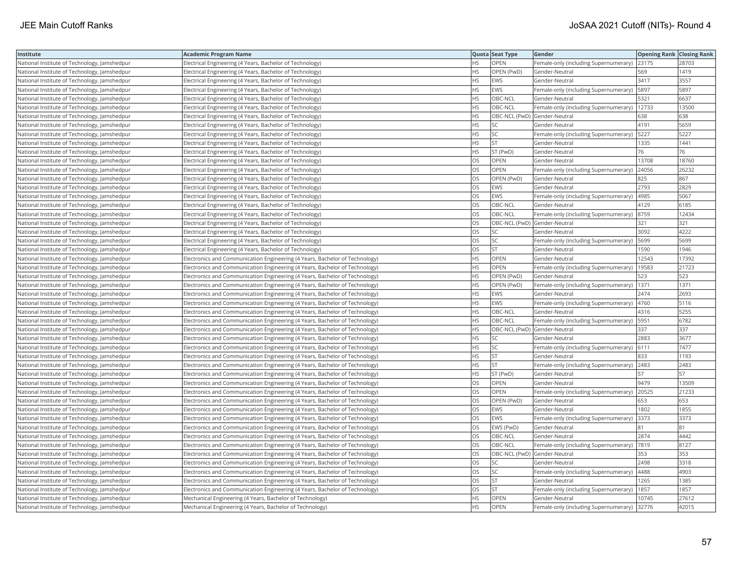| Institute                                    | <b>Academic Program Name</b>                                                |           | Quota Seat Type              | Gender                                        | <b>Opening Rank Closing Rank</b> |       |
|----------------------------------------------|-----------------------------------------------------------------------------|-----------|------------------------------|-----------------------------------------------|----------------------------------|-------|
| National Institute of Technology, Jamshedpur | Electrical Engineering (4 Years, Bachelor of Technology)                    | <b>HS</b> | OPEN                         | Female-only (including Supernumerary) 23175   |                                  | 28703 |
| National Institute of Technology, Jamshedpur | Electrical Engineering (4 Years, Bachelor of Technology)                    | ΗS        | OPEN (PwD)                   | Gender-Neutral                                | 569                              | 1419  |
| National Institute of Technology, Jamshedpur | Electrical Engineering (4 Years, Bachelor of Technology)                    | <b>HS</b> | <b>EWS</b>                   | Gender-Neutral                                | 3417                             | 3557  |
| National Institute of Technology, Jamshedpur | Electrical Engineering (4 Years, Bachelor of Technology)                    | HS        | <b>EWS</b>                   | Female-only (including Supernumerary)         | 5897                             | 5897  |
| National Institute of Technology, Jamshedpur | Electrical Engineering (4 Years, Bachelor of Technology)                    | HS        | OBC-NCL                      | Gender-Neutral                                | 5321                             | 6637  |
| National Institute of Technology, Jamshedpur | Electrical Engineering (4 Years, Bachelor of Technology)                    | HS.       | OBC-NCL                      | Female-only (including Supernumerary)   12733 |                                  | 13500 |
| National Institute of Technology, Jamshedpur | Electrical Engineering (4 Years, Bachelor of Technology)                    | HS        |                              | OBC-NCL (PwD) Gender-Neutral                  | 638                              | 638   |
| National Institute of Technology, Jamshedpur | Electrical Engineering (4 Years, Bachelor of Technology)                    | <b>HS</b> | <b>SC</b>                    | Gender-Neutral                                | 4191                             | 5659  |
| National Institute of Technology, Jamshedpur | Electrical Engineering (4 Years, Bachelor of Technology)                    | HS        | SC                           | Female-only (including Supernumerary)   5227  |                                  | 5227  |
| National Institute of Technology, Jamshedpur | Electrical Engineering (4 Years, Bachelor of Technology)                    | ΗS        | <b>ST</b>                    | Gender-Neutral                                | 1335                             | 1441  |
| National Institute of Technology, Jamshedpur | Electrical Engineering (4 Years, Bachelor of Technology)                    | HS        | ST (PwD)                     | Gender-Neutral                                | 76                               | 76    |
| National Institute of Technology, Jamshedpur | Electrical Engineering (4 Years, Bachelor of Technology)                    | OS        | OPEN                         | Gender-Neutral                                | 13708                            | 18760 |
| National Institute of Technology, Jamshedpur | Electrical Engineering (4 Years, Bachelor of Technology)                    | <b>OS</b> | OPEN                         | Female-only (including Supernumerary)         | 24056                            | 26232 |
| National Institute of Technology, Jamshedpur | Electrical Engineering (4 Years, Bachelor of Technology)                    | OS        | OPEN (PwD)                   | Gender-Neutral                                | 825                              | 867   |
| National Institute of Technology, Jamshedpur | Electrical Engineering (4 Years, Bachelor of Technology)                    | OS        | <b>EWS</b>                   | Gender-Neutral                                | 2793                             | 2829  |
| National Institute of Technology, Jamshedpur | Electrical Engineering (4 Years, Bachelor of Technology)                    | OS        | <b>EWS</b>                   | Female-only (including Supernumerary)   4985  |                                  | 5067  |
| National Institute of Technology, Jamshedpur | Electrical Engineering (4 Years, Bachelor of Technology)                    | OS        | OBC-NCL                      | Gender-Neutral                                | 4129                             | 6185  |
| National Institute of Technology, Jamshedpur | Electrical Engineering (4 Years, Bachelor of Technology)                    | OS        | OBC-NCL                      | Female-only (including Supernumerary)         | 8759                             | 12434 |
| National Institute of Technology, Jamshedpur | Electrical Engineering (4 Years, Bachelor of Technology)                    | OS        | OBC-NCL (PwD) Gender-Neutral |                                               | 321                              | 321   |
| National Institute of Technology, Jamshedpur | Electrical Engineering (4 Years, Bachelor of Technology)                    | OS        | <b>SC</b>                    | Gender-Neutral                                | 3092                             | 4222  |
| National Institute of Technology, Jamshedpur | Electrical Engineering (4 Years, Bachelor of Technology)                    | OS        | <b>SC</b>                    | Female-only (including Supernumerary)         | 5699                             | 5699  |
| National Institute of Technology, Jamshedpur | Electrical Engineering (4 Years, Bachelor of Technology)                    | OS        | <b>ST</b>                    | Gender-Neutral                                | 1590                             | 1946  |
| National Institute of Technology, Jamshedpur | Electronics and Communication Engineering (4 Years, Bachelor of Technology) | HS        | OPEN                         | Gender-Neutral                                | 12543                            | 17392 |
| National Institute of Technology, Jamshedpur | Electronics and Communication Engineering (4 Years, Bachelor of Technology) | HS        | OPEN                         | Female-only (including Supernumerary)   19583 |                                  | 21723 |
| National Institute of Technology, Jamshedpur | Electronics and Communication Engineering (4 Years, Bachelor of Technology) | HS        | OPEN (PwD)                   | Gender-Neutral                                | 523                              | 523   |
| National Institute of Technology, Jamshedpur | Electronics and Communication Engineering (4 Years, Bachelor of Technology) | <b>HS</b> | OPEN (PwD)                   | Female-only (including Supernumerary)         | 1371                             | 1371  |
| National Institute of Technology, Jamshedpur | Electronics and Communication Engineering (4 Years, Bachelor of Technology) | HS        | <b>EWS</b>                   | Gender-Neutral                                | 2474                             | 2693  |
| National Institute of Technology, Jamshedpur | Electronics and Communication Engineering (4 Years, Bachelor of Technology) | HS        | <b>EWS</b>                   | Female-only (including Supernumerary) 4760    |                                  | 5116  |
| National Institute of Technology, Jamshedpur | Electronics and Communication Engineering (4 Years, Bachelor of Technology) | <b>HS</b> | OBC-NCL                      | Gender-Neutral                                | 4316                             | 5255  |
| National Institute of Technology, Jamshedpur | Electronics and Communication Engineering (4 Years, Bachelor of Technology) | HS        | OBC-NCL                      | Female-only (including Supernumerary)   5951  |                                  | 6782  |
| National Institute of Technology, Jamshedpur | Electronics and Communication Engineering (4 Years, Bachelor of Technology) | HS        | OBC-NCL (PwD) Gender-Neutral |                                               | 337                              | 337   |
| National Institute of Technology, Jamshedpur | Electronics and Communication Engineering (4 Years, Bachelor of Technology) | ΗS        | SC                           | Gender-Neutral                                | 2883                             | 3677  |
| National Institute of Technology, Jamshedpur | Electronics and Communication Engineering (4 Years, Bachelor of Technology) | ΗS        | SC                           | Female-only (including Supernumerary)         | 6111                             | 7477  |
| National Institute of Technology, Jamshedpur | Electronics and Communication Engineering (4 Years, Bachelor of Technology) | ΗS        | <b>ST</b>                    | Gender-Neutral                                | 833                              | 1193  |
| National Institute of Technology, Jamshedpur | Electronics and Communication Engineering (4 Years, Bachelor of Technology) | <b>HS</b> | ST                           | Female-only (including Supernumerary)         | 2483                             | 2483  |
| National Institute of Technology, Jamshedpur | Electronics and Communication Engineering (4 Years, Bachelor of Technology) | HS.       | ST (PwD)                     | Gender-Neutral                                | 157                              | 57    |
| National Institute of Technology, Jamshedpur | Electronics and Communication Engineering (4 Years, Bachelor of Technology) | OS        | OPEN                         | Gender-Neutral                                | 9479                             | 13509 |
| National Institute of Technology, Jamshedpur | Electronics and Communication Engineering (4 Years, Bachelor of Technology) | OS.       | OPEN                         | Female-only (including Supernumerary) 20525   |                                  | 21233 |
| National Institute of Technology, Jamshedpur | Electronics and Communication Engineering (4 Years, Bachelor of Technology) | OS        | OPEN (PwD)                   | Gender-Neutral                                | 653                              | 653   |
| National Institute of Technology, Jamshedpur | Electronics and Communication Engineering (4 Years, Bachelor of Technology) | OS        | <b>EWS</b>                   | Gender-Neutral                                | 1802                             | 1855  |
| National Institute of Technology, Jamshedpur | Electronics and Communication Engineering (4 Years, Bachelor of Technology) | OS        | EWS                          | Female-only (including Supernumerary)         | 3373                             | 3373  |
| National Institute of Technology, Jamshedpur | Electronics and Communication Engineering (4 Years, Bachelor of Technology) | OS        | EWS (PwD)                    | Gender-Neutral                                | 81                               | 81    |
| National Institute of Technology, Jamshedpur | Electronics and Communication Engineering (4 Years, Bachelor of Technology) | OS        | OBC-NCL                      | Gender-Neutral                                | 2874                             | 4442  |
| National Institute of Technology, Jamshedpur | Electronics and Communication Engineering (4 Years, Bachelor of Technology) | OS        | OBC-NCL                      | Female-only (including Supernumerary)  7819   |                                  | 8127  |
| National Institute of Technology, Jamshedpur | Electronics and Communication Engineering (4 Years, Bachelor of Technology) | OS        | OBC-NCL (PwD) Gender-Neutral |                                               | 353                              | 353   |
| National Institute of Technology, Jamshedpur | Electronics and Communication Engineering (4 Years, Bachelor of Technology) | OS        | SC                           | Gender-Neutral                                | 2498                             | 3318  |
| National Institute of Technology, Jamshedpur | Electronics and Communication Engineering (4 Years, Bachelor of Technology) | OS        | SC                           | Female-only (including Supernumerary)   4488  |                                  | 4903  |
| National Institute of Technology, Jamshedpur | Electronics and Communication Engineering (4 Years, Bachelor of Technology) | OS        | <b>ST</b>                    | Gender-Neutral                                | 1265                             | 1385  |
| National Institute of Technology, Jamshedpur | Electronics and Communication Engineering (4 Years, Bachelor of Technology) | OS        | <b>ST</b>                    | Female-only (including Supernumerary)         | 1857                             | 1857  |
| National Institute of Technology, Jamshedpur | Mechanical Engineering (4 Years, Bachelor of Technology)                    | <b>HS</b> | OPEN                         | Gender-Neutral                                | 10745                            | 27612 |
| National Institute of Technology, Jamshedpur | Mechanical Engineering (4 Years, Bachelor of Technology)                    | <b>HS</b> | OPEN                         | Female-only (including Supernumerary)         | 32776                            | 42015 |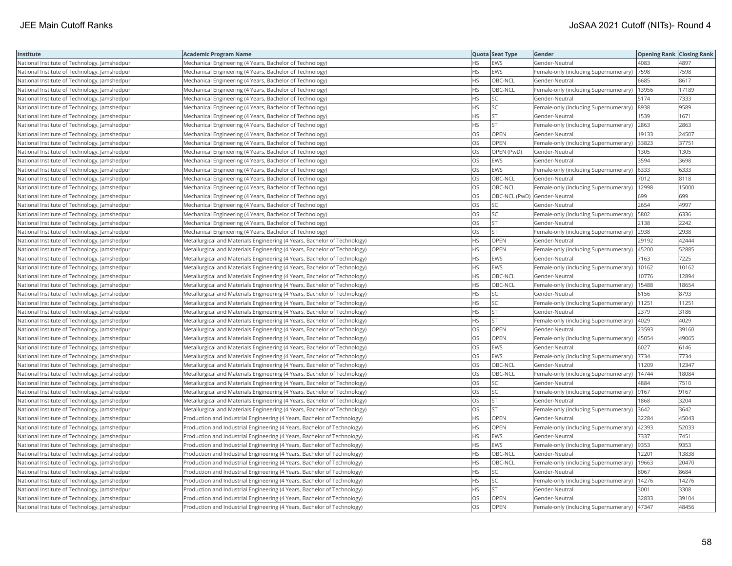| Institute                                    | Academic Program Name                                                     |           | Quota Seat Type              | Gender                                        | <b>Opening Rank Closing Rank</b> |       |
|----------------------------------------------|---------------------------------------------------------------------------|-----------|------------------------------|-----------------------------------------------|----------------------------------|-------|
| National Institute of Technology, Jamshedpur | Mechanical Engineering (4 Years, Bachelor of Technology)                  | HS.       | <b>EWS</b>                   | Gender-Neutral                                | 4083                             | 4897  |
| National Institute of Technology, Jamshedpur | Mechanical Engineering (4 Years, Bachelor of Technology)                  | HS        | EWS                          | Female-only (including Supernumerary)         | 7598                             | 7598  |
| National Institute of Technology, Jamshedpur | Mechanical Engineering (4 Years, Bachelor of Technology)                  | <b>HS</b> | OBC-NCL                      | Gender-Neutral                                | 6685                             | 8617  |
| National Institute of Technology, Jamshedpur | Mechanical Engineering (4 Years, Bachelor of Technology)                  | HS.       | OBC-NCL                      | Female-only (including Supernumerary)         | 13956                            | 17189 |
| National Institute of Technology, Jamshedpur | Mechanical Engineering (4 Years, Bachelor of Technology)                  | HS        | SC                           | Gender-Neutral                                | 5174                             | 7333  |
| National Institute of Technology, Jamshedpur | Mechanical Engineering (4 Years, Bachelor of Technology)                  | HS        | SC                           | Female-only (including Supernumerary)         | 8938                             | 9589  |
| National Institute of Technology, Jamshedpur | Mechanical Engineering (4 Years, Bachelor of Technology)                  | HS        | <b>ST</b>                    | Gender-Neutral                                | 1539                             | 1671  |
| National Institute of Technology, Jamshedpur | Mechanical Engineering (4 Years, Bachelor of Technology)                  | HS.       | <b>ST</b>                    | Female-only (including Supernumerary)         | 2863                             | 2863  |
| National Institute of Technology, Jamshedpur | Mechanical Engineering (4 Years, Bachelor of Technology)                  | OS        | <b>OPEN</b>                  | Gender-Neutral                                | 19133                            | 24507 |
| National Institute of Technology, Jamshedpur | Mechanical Engineering (4 Years, Bachelor of Technology)                  | OS        | OPEN                         | Female-only (including Supernumerary)         | 33823                            | 37751 |
| National Institute of Technology, Jamshedpur | Mechanical Engineering (4 Years, Bachelor of Technology)                  | OS        | OPEN (PwD)                   | Gender-Neutral                                | 1305                             | 1305  |
| National Institute of Technology, Jamshedpur | Mechanical Engineering (4 Years, Bachelor of Technology)                  | OS        | <b>EWS</b>                   | Gender-Neutral                                | 3594                             | 3698  |
| National Institute of Technology, Jamshedpur | Mechanical Engineering (4 Years, Bachelor of Technology)                  | <b>OS</b> | <b>EWS</b>                   | Female-only (including Supernumerary)         | 6333                             | 6333  |
| National Institute of Technology, Jamshedpur | Mechanical Engineering (4 Years, Bachelor of Technology)                  | OS        | OBC-NCL                      | Gender-Neutral                                | 7012                             | 8118  |
| National Institute of Technology, Jamshedpur | Mechanical Engineering (4 Years, Bachelor of Technology)                  | OS        | OBC-NCL                      | Female-only (including Supernumerary)   12998 |                                  | 15000 |
| National Institute of Technology, Jamshedpur | Mechanical Engineering (4 Years, Bachelor of Technology)                  | OS        | OBC-NCL (PwD) Gender-Neutral |                                               | 699                              | 699   |
| National Institute of Technology, Jamshedpur | Mechanical Engineering (4 Years, Bachelor of Technology)                  | <b>OS</b> | <b>SC</b>                    | Gender-Neutral                                | 2654                             | 4997  |
| National Institute of Technology, Jamshedpur | Mechanical Engineering (4 Years, Bachelor of Technology)                  | OS        | SC                           | Female-only (including Supernumerary)         | 5802                             | 6336  |
| National Institute of Technology, Jamshedpur | Mechanical Engineering (4 Years, Bachelor of Technology)                  | OS        | ST.                          | Gender-Neutral                                | 2138                             | 2242  |
| National Institute of Technology, Jamshedpur | Mechanical Engineering (4 Years, Bachelor of Technology)                  | OS.       | <b>ST</b>                    | Female-only (including Supernumerary)         | 2938                             | 2938  |
| National Institute of Technology, Jamshedpur | Metallurgical and Materials Engineering (4 Years, Bachelor of Technology) | <b>HS</b> | <b>OPEN</b>                  | Gender-Neutral                                | 29192                            | 42444 |
| National Institute of Technology, Jamshedpur | Metallurgical and Materials Engineering (4 Years, Bachelor of Technology) | HS        | OPEN                         | Female-only (including Supernumerary)  45200  |                                  | 52885 |
| National Institute of Technology, Jamshedpur | Metallurgical and Materials Engineering (4 Years, Bachelor of Technology) | ΗS        | EWS                          | Gender-Neutral                                | 7163                             | 7225  |
| National Institute of Technology, Jamshedpur | Metallurgical and Materials Engineering (4 Years, Bachelor of Technology) | HS        | EWS                          | Female-only (including Supernumerary)   10162 |                                  | 10162 |
| National Institute of Technology, Jamshedpur | Metallurgical and Materials Engineering (4 Years, Bachelor of Technology) | HS        | OBC-NCL                      | Gender-Neutral                                | 10776                            | 12894 |
| National Institute of Technology, Jamshedpur | Metallurgical and Materials Engineering (4 Years, Bachelor of Technology) | <b>HS</b> | OBC-NCL                      | Female-only (including Supernumerary)         | 15488                            | 18654 |
| National Institute of Technology, Jamshedpur | Metallurgical and Materials Engineering (4 Years, Bachelor of Technology) | HS        | SC                           | Gender-Neutral                                | 6156                             | 8793  |
| National Institute of Technology, Jamshedpur | Metallurgical and Materials Engineering (4 Years, Bachelor of Technology) | HS        | SC                           | Female-only (including Supernumerary)         | 11251                            | 11251 |
| National Institute of Technology, Jamshedpur | Metallurgical and Materials Engineering (4 Years, Bachelor of Technology) | HS.       | lst                          | Gender-Neutral                                | 2379                             | 3186  |
| National Institute of Technology, Jamshedpur | Metallurgical and Materials Engineering (4 Years, Bachelor of Technology) | HS        | <b>ST</b>                    | Female-only (including Supernumerary)   4029  |                                  | 4029  |
| National Institute of Technology, Jamshedpur | Metallurgical and Materials Engineering (4 Years, Bachelor of Technology) | OS        | OPEN                         | Gender-Neutral                                | 23593                            | 39160 |
| National Institute of Technology, Jamshedpur | Metallurgical and Materials Engineering (4 Years, Bachelor of Technology) | OS        | OPEN                         | Female-only (including Supernumerary)         | 45054                            | 49065 |
| National Institute of Technology, Jamshedpur | Metallurgical and Materials Engineering (4 Years, Bachelor of Technology) | OS        | EWS                          | Gender-Neutral                                | 6027                             | 6146  |
| National Institute of Technology, Jamshedpur | Metallurgical and Materials Engineering (4 Years, Bachelor of Technology) | OS        | EWS                          | Female-only (including Supernumerary)         | 7734                             | 7734  |
| National Institute of Technology, Jamshedpur | Metallurgical and Materials Engineering (4 Years, Bachelor of Technology) | OS.       | OBC-NCL                      | Gender-Neutral                                | 11209                            | 12347 |
| National Institute of Technology, Jamshedpur | Metallurgical and Materials Engineering (4 Years, Bachelor of Technology) | <b>OS</b> | OBC-NCL                      | Female-only (including Supernumerary)         | 14744                            | 18084 |
| National Institute of Technology, Jamshedpur | Metallurgical and Materials Engineering (4 Years, Bachelor of Technology) | OS        | SC                           | Gender-Neutral                                | 4884                             | 7510  |
| National Institute of Technology, Jamshedpur | Metallurgical and Materials Engineering (4 Years, Bachelor of Technology) | OS.       | <b>SC</b>                    | Female-only (including Supernumerary)  9167   |                                  | 9167  |
| National Institute of Technology, Jamshedpur | Metallurgical and Materials Engineering (4 Years, Bachelor of Technology) | OS        | <b>ST</b>                    | Gender-Neutral                                | 1868                             | 3204  |
| National Institute of Technology, Jamshedpur | Metallurgical and Materials Engineering (4 Years, Bachelor of Technology) | OS        | <b>ST</b>                    | Female-only (including Supernumerary)         | 3642                             | 3642  |
| National Institute of Technology, Jamshedpur | Production and Industrial Engineering (4 Years, Bachelor of Technology)   | HS.       | OPEN                         | Gender-Neutral                                | 32284                            | 45043 |
| National Institute of Technology, Jamshedpur | Production and Industrial Engineering (4 Years, Bachelor of Technology)   | HS        | OPEN                         | Female-only (including Supernumerary)   42393 |                                  | 52033 |
| National Institute of Technology, Jamshedpur | Production and Industrial Engineering (4 Years, Bachelor of Technology)   | HS        | EWS                          | Gender-Neutral                                | 7337                             | 7451  |
| National Institute of Technology, Jamshedpur | Production and Industrial Engineering (4 Years, Bachelor of Technology)   | <b>HS</b> | <b>EWS</b>                   | Female-only (including Supernumerary)         | 9353                             | 9353  |
| National Institute of Technology, Jamshedpur | Production and Industrial Engineering (4 Years, Bachelor of Technology)   | HS        | OBC-NCL                      | Gender-Neutral                                | 12201                            | 13838 |
| National Institute of Technology, Jamshedpur | Production and Industrial Engineering (4 Years, Bachelor of Technology)   | HS        | OBC-NCL                      | Female-only (including Supernumerary)         | 19663                            | 20470 |
| National Institute of Technology, Jamshedpur | Production and Industrial Engineering (4 Years, Bachelor of Technology)   | HS        | SC                           | Gender-Neutral                                | 8067                             | 8684  |
| National Institute of Technology, Jamshedpur | Production and Industrial Engineering (4 Years, Bachelor of Technology)   | HS        | SC                           | Female-only (including Supernumerary)         | 14276                            | 14276 |
| National Institute of Technology, Jamshedpur | Production and Industrial Engineering (4 Years, Bachelor of Technology)   | HS        | <b>ST</b>                    | Gender-Neutral                                | 3001                             | 3308  |
| National Institute of Technology, Jamshedpur | Production and Industrial Engineering (4 Years, Bachelor of Technology)   | OS        | OPEN                         | Gender-Neutral                                | 32833                            | 39104 |
| National Institute of Technology, Jamshedpur | Production and Industrial Engineering (4 Years, Bachelor of Technology)   | OS        | OPEN                         | Female-only (including Supernumerary)         | 47347                            | 48456 |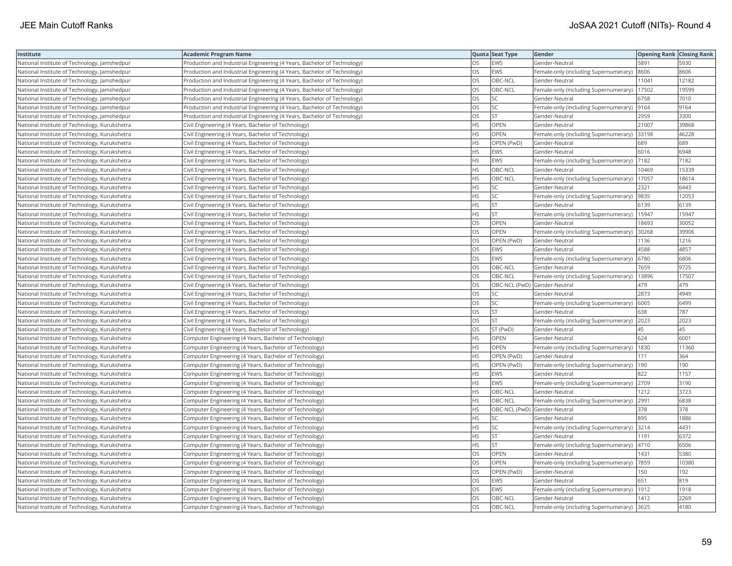| Institute                                     | Academic Program Name                                                   |           | Quota Seat Type              | Gender                                      | <b>Opening Rank Closing Rank</b> |       |
|-----------------------------------------------|-------------------------------------------------------------------------|-----------|------------------------------|---------------------------------------------|----------------------------------|-------|
| National Institute of Technology, Jamshedpur  | Production and Industrial Engineering (4 Years, Bachelor of Technology) | OS.       | EWS                          | Gender-Neutral                              | 5891                             | 5930  |
| National Institute of Technology, Jamshedpur  | Production and Industrial Engineering (4 Years, Bachelor of Technology) | OS        | EWS                          | Female-only (including Supernumerary)       | 8606                             | 8606  |
| National Institute of Technology, Jamshedpur  | Production and Industrial Engineering (4 Years, Bachelor of Technology) | OS        | OBC-NCL                      | Gender-Neutral                              | 11041                            | 12182 |
| National Institute of Technology, Jamshedpur  | Production and Industrial Engineering (4 Years, Bachelor of Technology) | OS.       | OBC-NCL                      | Female-only (including Supernumerary)       | 17502                            | 19599 |
| National Institute of Technology, Jamshedpur  | Production and Industrial Engineering (4 Years, Bachelor of Technology) | OS        | SC                           | Gender-Neutral                              | 6758                             | 7010  |
| National Institute of Technology, Jamshedpur  | Production and Industrial Engineering (4 Years, Bachelor of Technology) | OS        | SC                           | Female-only (including Supernumerary)  9164 |                                  | 9164  |
| National Institute of Technology, Jamshedpur  | Production and Industrial Engineering (4 Years, Bachelor of Technology) | OS.       | <b>ST</b>                    | Gender-Neutral                              | 2959                             | 3300  |
| National Institute of Technology, Kurukshetra | Civil Engineering (4 Years, Bachelor of Technology)                     | HS        | OPEN                         | Gender-Neutral                              | 21007                            | 39868 |
| National Institute of Technology, Kurukshetra | Civil Engineering (4 Years, Bachelor of Technology)                     | <b>HS</b> | OPEN                         | Female-only (including Supernumerary)       | 33198                            | 46228 |
| National Institute of Technology, Kurukshetra | Civil Engineering (4 Years, Bachelor of Technology)                     | HS        | OPEN (PwD)                   | Gender-Neutral                              | 689                              | 689   |
| National Institute of Technology, Kurukshetra | Civil Engineering (4 Years, Bachelor of Technology)                     | HS        | EWS                          | Gender-Neutral                              | 6016                             | 6948  |
| National Institute of Technology, Kurukshetra | Civil Engineering (4 Years, Bachelor of Technology)                     | HS        | EWS                          | Female-only (including Supernumerary)       | 7182                             | 7182  |
| National Institute of Technology, Kurukshetra | Civil Engineering (4 Years, Bachelor of Technology)                     | HS        | OBC-NCL                      | Gender-Neutral                              | 10469                            | 15339 |
| National Institute of Technology, Kurukshetra | Civil Engineering (4 Years, Bachelor of Technology)                     | HS        | OBC-NCL                      | Female-only (including Supernumerary)       | 17057                            | 18614 |
| National Institute of Technology, Kurukshetra | Civil Engineering (4 Years, Bachelor of Technology)                     | HS        | <b>SC</b>                    | Gender-Neutral                              | 2321                             | 6443  |
| National Institute of Technology, Kurukshetra | Civil Engineering (4 Years, Bachelor of Technology)                     | ΗS        | SC                           | Female-only (including Supernumerary)       | 9835                             | 12053 |
| National Institute of Technology, Kurukshetra | Civil Engineering (4 Years, Bachelor of Technology)                     | HS.       | <b>ST</b>                    | Gender-Neutral                              | 6139                             | 6139  |
| National Institute of Technology, Kurukshetra | Civil Engineering (4 Years, Bachelor of Technology)                     | HS        | <b>ST</b>                    | Female-only (including Supernumerary)       | 15947                            | 15947 |
| National Institute of Technology, Kurukshetra | Civil Engineering (4 Years, Bachelor of Technology)                     | OS.       | <b>OPEN</b>                  | Gender-Neutral                              | 18693                            | 30052 |
| National Institute of Technology, Kurukshetra | Civil Engineering (4 Years, Bachelor of Technology)                     | OS        | <b>OPEN</b>                  | Female-only (including Supernumerary)       | 30268                            | 39906 |
| National Institute of Technology, Kurukshetra | Civil Engineering (4 Years, Bachelor of Technology)                     | OS        | OPEN (PwD)                   | Gender-Neutral                              | 1136                             | 1216  |
| National Institute of Technology, Kurukshetra | Civil Engineering (4 Years, Bachelor of Technology)                     | OS        | EWS                          | Gender-Neutral                              | 4588                             | 4857  |
| National Institute of Technology, Kurukshetra | Civil Engineering (4 Years, Bachelor of Technology)                     | OS        | EWS                          | Female-only (including Supernumerary)       | 6780                             | 6806  |
| National Institute of Technology, Kurukshetra | Civil Engineering (4 Years, Bachelor of Technology)                     | OS        | OBC-NCL                      | Gender-Neutral                              | 7659                             | 9725  |
| National Institute of Technology, Kurukshetra | Civil Engineering (4 Years, Bachelor of Technology)                     | OS        | OBC-NCL                      | Female-only (including Supernumerary)       | 13896                            | 17507 |
| National Institute of Technology, Kurukshetra | Civil Engineering (4 Years, Bachelor of Technology)                     | OS        | OBC-NCL (PwD) Gender-Neutral |                                             | 479                              | 479   |
| National Institute of Technology, Kurukshetra | Civil Engineering (4 Years, Bachelor of Technology)                     | <b>OS</b> | <b>SC</b>                    | Gender-Neutral                              | 2873                             | 4949  |
| National Institute of Technology, Kurukshetra | Civil Engineering (4 Years, Bachelor of Technology)                     | OS        | SC                           | Female-only (including Supernumerary)       | 6065                             | 6499  |
| National Institute of Technology, Kurukshetra | Civil Engineering (4 Years, Bachelor of Technology)                     | OS        | <b>ST</b>                    | Gender-Neutral                              | 638                              | 787   |
| National Institute of Technology, Kurukshetra | Civil Engineering (4 Years, Bachelor of Technology)                     | OS        | <b>ST</b>                    | Female-only (including Supernumerary) 2023  |                                  | 2023  |
| National Institute of Technology, Kurukshetra | Civil Engineering (4 Years, Bachelor of Technology)                     | OS        | ST (PwD)                     | Gender-Neutral                              | 45                               | 45    |
| National Institute of Technology, Kurukshetra | Computer Engineering (4 Years, Bachelor of Technology)                  | HS.       | <b>OPEN</b>                  | Gender-Neutral                              | 624                              | 6001  |
| National Institute of Technology, Kurukshetra | Computer Engineering (4 Years, Bachelor of Technology)                  | HS        | OPEN                         | Female-only (including Supernumerary)       | 1830                             | 11360 |
| National Institute of Technology, Kurukshetra | Computer Engineering (4 Years, Bachelor of Technology)                  | HS.       | OPEN (PwD)                   | Gender-Neutral                              | 171                              | 364   |
| National Institute of Technology, Kurukshetra | Computer Engineering (4 Years, Bachelor of Technology)                  | HS.       | OPEN (PwD)                   | Female-only (including Supernumerary)       | 190                              | 190   |
| National Institute of Technology, Kurukshetra | Computer Engineering (4 Years, Bachelor of Technology)                  | HS        | EWS                          | Gender-Neutral                              | 822                              | 1157  |
| National Institute of Technology, Kurukshetra | Computer Engineering (4 Years, Bachelor of Technology)                  | HS.       | EWS                          | Female-only (including Supernumerary) 2709  |                                  | 3190  |
| National Institute of Technology, Kurukshetra | Computer Engineering (4 Years, Bachelor of Technology)                  | HS.       | OBC-NCL                      | Gender-Neutral                              | 1212                             | 3723  |
| National Institute of Technology, Kurukshetra | Computer Engineering (4 Years, Bachelor of Technology)                  | HS        | OBC-NCL                      | Female-only (including Supernumerary)       | 2991                             | 6838  |
| National Institute of Technology, Kurukshetra | Computer Engineering (4 Years, Bachelor of Technology)                  | HS.       | OBC-NCL (PwD) Gender-Neutral |                                             | 378                              | 378   |
| National Institute of Technology, Kurukshetra | Computer Engineering (4 Years, Bachelor of Technology)                  | HS        | SC                           | Gender-Neutral                              | 895                              | 1886  |
| National Institute of Technology, Kurukshetra | Computer Engineering (4 Years, Bachelor of Technology)                  | <b>HS</b> | SC                           | Female-only (including Supernumerary) 3214  |                                  | 4431  |
| National Institute of Technology, Kurukshetra | Computer Engineering (4 Years, Bachelor of Technology)                  | HS        | <b>ST</b>                    | Gender-Neutral                              | 1191                             | 6372  |
| National Institute of Technology, Kurukshetra | Computer Engineering (4 Years, Bachelor of Technology)                  | HS.       | <b>ST</b>                    | Female-only (including Supernumerary)       | 4710                             | 6506  |
| National Institute of Technology, Kurukshetra | Computer Engineering (4 Years, Bachelor of Technology)                  | OS        | OPEN                         | Gender-Neutral                              | 1431                             | 5380  |
| National Institute of Technology, Kurukshetra | Computer Engineering (4 Years, Bachelor of Technology)                  | OS        | <b>OPEN</b>                  | Female-only (including Supernumerary)  7859 |                                  | 10380 |
| National Institute of Technology, Kurukshetra | Computer Engineering (4 Years, Bachelor of Technology)                  | OS        | OPEN (PwD)                   | Gender-Neutral                              | 150                              | 192   |
| National Institute of Technology, Kurukshetra | Computer Engineering (4 Years, Bachelor of Technology)                  | OS        | <b>EWS</b>                   | Gender-Neutral                              | 651                              | 819   |
| National Institute of Technology, Kurukshetra | Computer Engineering (4 Years, Bachelor of Technology)                  | OS        | EWS                          | Female-only (including Supernumerary)       | 1912                             | 1918  |
| National Institute of Technology, Kurukshetra | Computer Engineering (4 Years, Bachelor of Technology)                  | OS.       | OBC-NCL                      | Gender-Neutral                              | 1412                             | 2269  |
| National Institute of Technology, Kurukshetra | Computer Engineering (4 Years, Bachelor of Technology)                  | <b>OS</b> | OBC-NCL                      | Female-only (including Supernumerary) 3625  |                                  | 4180  |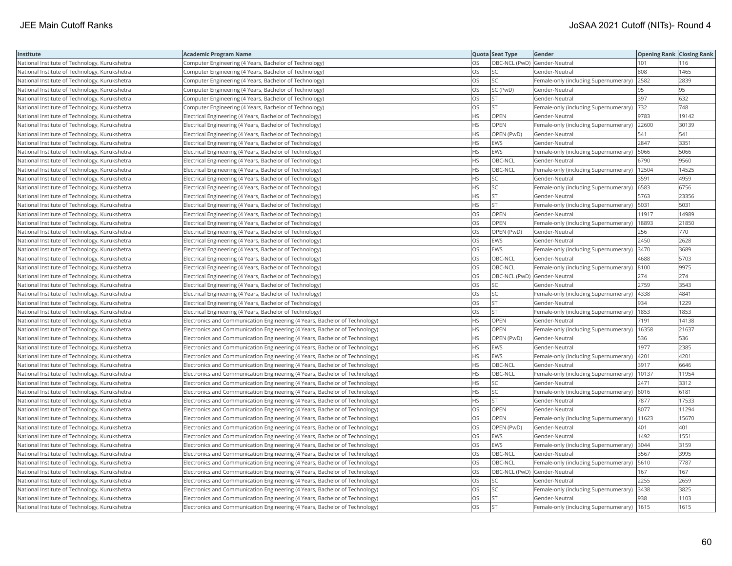| Institute                                     | Academic Program Name                                                        |           | Quota Seat Type              | Gender                                        | <b>Opening Rank Closing Rank</b> |       |
|-----------------------------------------------|------------------------------------------------------------------------------|-----------|------------------------------|-----------------------------------------------|----------------------------------|-------|
| National Institute of Technology, Kurukshetra | Computer Engineering (4 Years, Bachelor of Technology)                       | OS        | OBC-NCL (PwD) Gender-Neutral |                                               | 101                              | 116   |
| National Institute of Technology, Kurukshetra | Computer Engineering (4 Years, Bachelor of Technology)                       | OS.       | <b>SC</b>                    | Gender-Neutral                                | 808                              | 1465  |
| National Institute of Technology, Kurukshetra | Computer Engineering (4 Years, Bachelor of Technology)                       | OS        | SC                           | Female-only (including Supernumerary)         | 2582                             | 2839  |
| National Institute of Technology, Kurukshetra | Computer Engineering (4 Years, Bachelor of Technology)                       | OS        | SC (PwD)                     | Gender-Neutral                                | 95                               | 95    |
| National Institute of Technology, Kurukshetra | Computer Engineering (4 Years, Bachelor of Technology)                       | OS.       | <b>ST</b>                    | Gender-Neutral                                | 397                              | 632   |
| National Institute of Technology, Kurukshetra | Computer Engineering (4 Years, Bachelor of Technology)                       | OS        | <b>ST</b>                    | Female-only (including Supernumerary)  732    |                                  | 748   |
| National Institute of Technology, Kurukshetra | Electrical Engineering (4 Years, Bachelor of Technology)                     | HS        | OPEN                         | Gender-Neutral                                | 9783                             | 19142 |
| National Institute of Technology, Kurukshetra | Electrical Engineering (4 Years, Bachelor of Technology)                     | HS.       | <b>OPEN</b>                  | Female-only (including Supernumerary) 22600   |                                  | 30139 |
| National Institute of Technology, Kurukshetra | Electrical Engineering (4 Years, Bachelor of Technology)                     | HS        | OPEN (PwD)                   | Gender-Neutral                                | 541                              | 541   |
| National Institute of Technology, Kurukshetra | Electrical Engineering (4 Years, Bachelor of Technology)                     | HS.       | <b>EWS</b>                   | Gender-Neutral                                | 2847                             | 3351  |
| National Institute of Technology, Kurukshetra | Electrical Engineering (4 Years, Bachelor of Technology)                     | HS.       | <b>EWS</b>                   | Female-only (including Supernumerary)         | 5066                             | 5066  |
| National Institute of Technology, Kurukshetra | Electrical Engineering (4 Years, Bachelor of Technology)                     | <b>HS</b> | OBC-NCL                      | Gender-Neutral                                | 6790                             | 9560  |
| National Institute of Technology, Kurukshetra | Electrical Engineering (4 Years, Bachelor of Technology)                     | HS.       | OBC-NCL                      | Female-only (including Supernumerary)         | 12504                            | 14525 |
| National Institute of Technology, Kurukshetra | Electrical Engineering (4 Years, Bachelor of Technology)                     | HS.       | SC                           | Gender-Neutral                                | 3591                             | 4959  |
| National Institute of Technology, Kurukshetra | Electrical Engineering (4 Years, Bachelor of Technology)                     | HS        | SC                           | Female-only (including Supernumerary) 6583    |                                  | 6756  |
| National Institute of Technology, Kurukshetra | Electrical Engineering (4 Years, Bachelor of Technology)                     | ΗS        | <b>ST</b>                    | Gender-Neutral                                | 5763                             | 23356 |
| National Institute of Technology, Kurukshetra | Electrical Engineering (4 Years, Bachelor of Technology)                     | HS        | <b>ST</b>                    | Female-only (including Supernumerary)         | 5031                             | 5031  |
| National Institute of Technology, Kurukshetra | Electrical Engineering (4 Years, Bachelor of Technology)                     | OS        | OPEN                         | Gender-Neutral                                | 11917                            | 14989 |
| National Institute of Technology, Kurukshetra | Electrical Engineering (4 Years, Bachelor of Technology)                     | OS.       | <b>OPEN</b>                  | Female-only (including Supernumerary)         | 18893                            | 21850 |
| National Institute of Technology, Kurukshetra | Electrical Engineering (4 Years, Bachelor of Technology)                     | <b>OS</b> | OPEN (PwD)                   | Gender-Neutral                                | 256                              | 770   |
| National Institute of Technology, Kurukshetra | Electrical Engineering (4 Years, Bachelor of Technology)                     | OS        | <b>EWS</b>                   | Gender-Neutral                                | 2450                             | 2628  |
| National Institute of Technology, Kurukshetra | Electrical Engineering (4 Years, Bachelor of Technology)                     | OS        | <b>EWS</b>                   | Female-only (including Supernumerary)  3470   |                                  | 3689  |
| National Institute of Technology, Kurukshetra | Electrical Engineering (4 Years, Bachelor of Technology)                     | OS        | OBC-NCL                      | Gender-Neutral                                | 4688                             | 5703  |
| National Institute of Technology, Kurukshetra | Electrical Engineering (4 Years, Bachelor of Technology)                     | OS        | OBC-NCL                      | Female-only (including Supernumerary)  8100   |                                  | 9975  |
| National Institute of Technology, Kurukshetra | Electrical Engineering (4 Years, Bachelor of Technology)                     | OS        |                              | OBC-NCL (PwD) Gender-Neutral                  | 274                              | 274   |
| National Institute of Technology, Kurukshetra | Electrical Engineering (4 Years, Bachelor of Technology)                     | OS        | SC                           | Gender-Neutral                                | 2759                             | 3543  |
| National Institute of Technology, Kurukshetra | Electrical Engineering (4 Years, Bachelor of Technology)                     | OS        | SC                           | Female-only (including Supernumerary)         | 4338                             | 4841  |
| National Institute of Technology, Kurukshetra | Electrical Engineering (4 Years, Bachelor of Technology)                     | OS.       | <b>ST</b>                    | Gender-Neutral                                | 934                              | 1229  |
| National Institute of Technology, Kurukshetra | Electrical Engineering (4 Years, Bachelor of Technology)                     | OS        | <b>ST</b>                    | Female-only (including Supernumerary)         | 1853                             | 1853  |
| National Institute of Technology, Kurukshetra | Electronics and Communication Engineering (4 Years, Bachelor of Technology)  | HS.       | OPEN                         | Gender-Neutral                                | 7191                             | 14138 |
| National Institute of Technology, Kurukshetra | Electronics and Communication Engineering (4 Years, Bachelor of Technology)  | HS.       | OPEN                         | Female-only (including Supernumerary)   16358 |                                  | 21637 |
| National Institute of Technology, Kurukshetra | Electronics and Communication Engineering (4 Years, Bachelor of Technology)  | HS        | OPEN (PwD)                   | Gender-Neutral                                | 536                              | 536   |
| National Institute of Technology, Kurukshetra | Electronics and Communication Engineering (4 Years, Bachelor of Technology)  | HS.       | <b>EWS</b>                   | Gender-Neutral                                | 1977                             | 2385  |
| National Institute of Technology, Kurukshetra | Electronics and Communication Engineering (4 Years, Bachelor of Technology)  | HS        | <b>EWS</b>                   | Female-only (including Supernumerary)         | 4201                             | 4201  |
| National Institute of Technology, Kurukshetra | Electronics and Communication Engineering (4 Years, Bachelor of Technology)  | HS.       | OBC-NCL                      | Gender-Neutral                                | 3917                             | 6646  |
| National Institute of Technology, Kurukshetra | Electronics and Communication Engineering (4 Years, Bachelor of Technology)  | <b>HS</b> | OBC-NCL                      | Female-only (including Supernumerary)         | 10137                            | 11954 |
| National Institute of Technology, Kurukshetra | Electronics and Communication Engineering (4 Years, Bachelor of Technology)  | HS        | SC                           | Gender-Neutral                                | 2471                             | 3312  |
| National Institute of Technology, Kurukshetra | Electronics and Communication Engineering (4 Years, Bachelor of Technology)  | HS        | SC                           | Female-only (including Supernumerary) 6016    |                                  | 6181  |
| National Institute of Technology, Kurukshetra | Electronics and Communication Engineering (4 Years, Bachelor of Technology)  | HS        | <b>ST</b>                    | Gender-Neutral                                | 7877                             | 17533 |
| National Institute of Technology, Kurukshetra | Electronics and Communication Engineering (4 Years, Bachelor of Technology)  | <b>OS</b> | OPEN                         | Gender-Neutral                                | 8077                             | 11294 |
| National Institute of Technology, Kurukshetra | Electronics and Communication Engineering (4 Years, Bachelor of Technology)  | OS        | OPEN                         | Female-only (including Supernumerary)         | 11623                            | 15670 |
| National Institute of Technology, Kurukshetra | Electronics and Communication Engineering (4 Years, Bachelor of Technology)  | OS        | OPEN (PwD)                   | Gender-Neutral                                | 401                              | 401   |
| National Institute of Technology, Kurukshetra | Electronics and Communication Engineering (4 Years, Bachelor of Technology)  | OS        | <b>EWS</b>                   | Gender-Neutral                                | 1492                             | 1551  |
| National Institute of Technology, Kurukshetra | Electronics and Communication Engineering (4 Years, Bachelor of Technology)  | OS.       | <b>EWS</b>                   | Female-only (including Supernumerary)  3044   |                                  | 3159  |
| National Institute of Technology, Kurukshetra | Electronics and Communication Engineering (4 Years, Bachelor of Technology)  | OS        | OBC-NCL                      | Gender-Neutral                                | 3567                             | 3995  |
| National Institute of Technology, Kurukshetra | [Electronics and Communication Engineering (4 Years, Bachelor of Technology) | OS        | OBC-NCL                      | Female-only (including Supernumerary)   5610  |                                  | 7787  |
| National Institute of Technology, Kurukshetra | Electronics and Communication Engineering (4 Years, Bachelor of Technology)  | OS.       | OBC-NCL (PwD) Gender-Neutral |                                               | 167                              | 167   |
| National Institute of Technology, Kurukshetra | Electronics and Communication Engineering (4 Years, Bachelor of Technology)  | OS        | <b>SC</b>                    | Gender-Neutral                                | 2255                             | 2659  |
| National Institute of Technology, Kurukshetra | Electronics and Communication Engineering (4 Years, Bachelor of Technology)  | OS        | SC                           | Female-only (including Supernumerary)         | 3438                             | 3825  |
| National Institute of Technology, Kurukshetra | Electronics and Communication Engineering (4 Years, Bachelor of Technology)  | OS        | <b>ST</b>                    | Gender-Neutral                                | 938                              | 1103  |
| National Institute of Technology, Kurukshetra | Electronics and Communication Engineering (4 Years, Bachelor of Technology)  | OS        | İst                          | Female-only (including Supernumerary)   1615  |                                  | 1615  |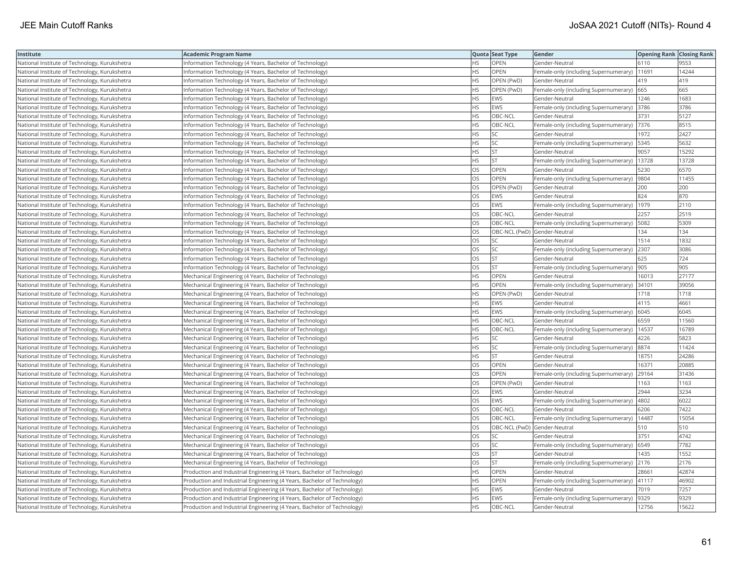| Institute                                     | Academic Program Name                                                   |           | Quota Seat Type              | Gender                                        | <b>Opening Rank Closing Rank</b> |       |
|-----------------------------------------------|-------------------------------------------------------------------------|-----------|------------------------------|-----------------------------------------------|----------------------------------|-------|
| National Institute of Technology, Kurukshetra | Information Technology (4 Years, Bachelor of Technology)                | HS.       | OPEN                         | Gender-Neutral                                | 6110                             | 9553  |
| National Institute of Technology, Kurukshetra | Information Technology (4 Years, Bachelor of Technology)                | ΗS        | OPEN                         | Female-only (including Supernumerary)         | 11691                            | 14244 |
| National Institute of Technology, Kurukshetra | Information Technology (4 Years, Bachelor of Technology)                | HS.       | OPEN (PwD)                   | Gender-Neutral                                | 419                              | 419   |
| National Institute of Technology, Kurukshetra | Information Technology (4 Years, Bachelor of Technology)                | HS.       | OPEN (PwD)                   | Female-only (including Supernumerary)         | 665                              | 665   |
| National Institute of Technology, Kurukshetra | Information Technology (4 Years, Bachelor of Technology)                | HS        | EWS                          | Gender-Neutral                                | 1246                             | 1683  |
| National Institute of Technology, Kurukshetra | Information Technology (4 Years, Bachelor of Technology)                | HS.       | <b>EWS</b>                   | Female-only (including Supernumerary)         | 3786                             | 3786  |
| National Institute of Technology, Kurukshetra | Information Technology (4 Years, Bachelor of Technology)                | HS.       | OBC-NCL                      | Gender-Neutral                                | 3731                             | 5127  |
| National Institute of Technology, Kurukshetra | Information Technology (4 Years, Bachelor of Technology)                | HS.       | OBC-NCL                      | Female-only (including Supernumerary)         | 7376                             | 8515  |
| National Institute of Technology, Kurukshetra | Information Technology (4 Years, Bachelor of Technology)                | HS        | SC                           | Gender-Neutral                                | 1972                             | 2427  |
| National Institute of Technology, Kurukshetra | Information Technology (4 Years, Bachelor of Technology)                | HS        | SC                           | Female-only (including Supernumerary)         | 5345                             | 5632  |
| National Institute of Technology, Kurukshetra | Information Technology (4 Years, Bachelor of Technology)                | <b>HS</b> | <b>ST</b>                    | Gender-Neutral                                | 9057                             | 15292 |
| National Institute of Technology, Kurukshetra | Information Technology (4 Years, Bachelor of Technology)                | HS        | <b>ST</b>                    | Female-only (including Supernumerary)         | 13728                            | 13728 |
| National Institute of Technology, Kurukshetra | Information Technology (4 Years, Bachelor of Technology)                | <b>OS</b> | OPEN                         | Gender-Neutral                                | 5230                             | 6570  |
| National Institute of Technology, Kurukshetra | Information Technology (4 Years, Bachelor of Technology)                | OS        | <b>OPEN</b>                  | Female-only (including Supernumerary)         | 9804                             | 11455 |
| National Institute of Technology, Kurukshetra | Information Technology (4 Years, Bachelor of Technology)                | OS        | OPEN (PwD)                   | Gender-Neutral                                | 200                              | 200   |
| National Institute of Technology, Kurukshetra | Information Technology (4 Years, Bachelor of Technology)                | OS        | <b>EWS</b>                   | Gender-Neutral                                | 824                              | 870   |
| National Institute of Technology, Kurukshetra | Information Technology (4 Years, Bachelor of Technology)                | <b>OS</b> | <b>EWS</b>                   | Female-only (including Supernumerary)         | 1979                             | 2110  |
| National Institute of Technology, Kurukshetra | Information Technology (4 Years, Bachelor of Technology)                | OS        | OBC-NCL                      | Gender-Neutral                                | 2257                             | 2519  |
| National Institute of Technology, Kurukshetra | Information Technology (4 Years, Bachelor of Technology)                | OS        | OBC-NCL                      | Female-only (including Supernumerary)         | 5082                             | 5309  |
| National Institute of Technology, Kurukshetra | Information Technology (4 Years, Bachelor of Technology)                | OS.       | OBC-NCL (PwD) Gender-Neutral |                                               | 134                              | 134   |
| National Institute of Technology, Kurukshetra | Information Technology (4 Years, Bachelor of Technology)                | OS.       | <b>SC</b>                    | Gender-Neutral                                | 1514                             | 1832  |
| National Institute of Technology, Kurukshetra | Information Technology (4 Years, Bachelor of Technology)                | OS        | <b>SC</b>                    | Female-only (including Supernumerary)         | 2307                             | 3086  |
| National Institute of Technology, Kurukshetra | Information Technology (4 Years, Bachelor of Technology)                | OS        | ST                           | Gender-Neutral                                | 625                              | 724   |
| National Institute of Technology, Kurukshetra | Information Technology (4 Years, Bachelor of Technology)                | OS        | <b>ST</b>                    | Female-only (including Supernumerary)  905    |                                  | 905   |
| National Institute of Technology, Kurukshetra | Mechanical Engineering (4 Years, Bachelor of Technology)                | HS        | OPEN                         | Gender-Neutral                                | 16013                            | 27177 |
| National Institute of Technology, Kurukshetra | Mechanical Engineering (4 Years, Bachelor of Technology)                | <b>HS</b> | <b>OPEN</b>                  | Female-only (including Supernumerary)         | 34101                            | 39056 |
| National Institute of Technology, Kurukshetra | Mechanical Engineering (4 Years, Bachelor of Technology)                | НS        | OPEN (PwD)                   | Gender-Neutral                                | 1718                             | 1718  |
| National Institute of Technology, Kurukshetra | Mechanical Engineering (4 Years, Bachelor of Technology)                | HS.       | <b>EWS</b>                   | Gender-Neutral                                | 4115                             | 4661  |
| National Institute of Technology, Kurukshetra | Mechanical Engineering (4 Years, Bachelor of Technology)                | <b>HS</b> | <b>EWS</b>                   | Female-only (including Supernumerary)         | 6045                             | 6045  |
| National Institute of Technology, Kurukshetra | Mechanical Engineering (4 Years, Bachelor of Technology)                | HS        | OBC-NCL                      | Gender-Neutral                                | 6559                             | 11560 |
| National Institute of Technology, Kurukshetra | Mechanical Engineering (4 Years, Bachelor of Technology)                | ΗS        | OBC-NCL                      | Female-only (including Supernumerary)   14537 |                                  | 16789 |
| National Institute of Technology, Kurukshetra | Mechanical Engineering (4 Years, Bachelor of Technology)                | ΗS        | <b>SC</b>                    | Gender-Neutral                                | 4226                             | 5823  |
| National Institute of Technology, Kurukshetra | Mechanical Engineering (4 Years, Bachelor of Technology)                | HS        | SC                           | Female-only (including Supernumerary)         | 8874                             | 11424 |
| National Institute of Technology, Kurukshetra | Mechanical Engineering (4 Years, Bachelor of Technology)                | HS        | <b>ST</b>                    | Gender-Neutral                                | 18751                            | 24286 |
| National Institute of Technology, Kurukshetra | Mechanical Engineering (4 Years, Bachelor of Technology)                | OS        | OPEN                         | Gender-Neutral                                | 16371                            | 20885 |
| National Institute of Technology, Kurukshetra | Mechanical Engineering (4 Years, Bachelor of Technology)                | <b>OS</b> | <b>OPEN</b>                  | Female-only (including Supernumerary)         | 29164                            | 31436 |
| National Institute of Technology, Kurukshetra | Mechanical Engineering (4 Years, Bachelor of Technology)                | OS        | OPEN (PwD)                   | Gender-Neutral                                | 1163                             | 1163  |
| National Institute of Technology, Kurukshetra | Mechanical Engineering (4 Years, Bachelor of Technology)                | OS        | EWS                          | Gender-Neutral                                | 2944                             | 3234  |
| National Institute of Technology, Kurukshetra | Mechanical Engineering (4 Years, Bachelor of Technology)                | OS        | EWS                          | Female-only (including Supernumerary)         | 4802                             | 6022  |
| National Institute of Technology, Kurukshetra | Mechanical Engineering (4 Years, Bachelor of Technology)                | OS        | OBC-NCL                      | Gender-Neutral                                | 6206                             | 7422  |
| National Institute of Technology, Kurukshetra | Mechanical Engineering (4 Years, Bachelor of Technology)                | OS        | OBC-NCL                      | Female-only (including Supernumerary)         | 14487                            | 15054 |
| National Institute of Technology, Kurukshetra | Mechanical Engineering (4 Years, Bachelor of Technology)                | OS        | OBC-NCL (PwD) Gender-Neutral |                                               | 510                              | 510   |
| National Institute of Technology, Kurukshetra | Mechanical Engineering (4 Years, Bachelor of Technology)                | OS        | SC                           | Gender-Neutral                                | 3751                             | 4742  |
| National Institute of Technology, Kurukshetra | Mechanical Engineering (4 Years, Bachelor of Technology)                | OS.       | <b>SC</b>                    | Female-only (including Supernumerary)         | 6549                             | 7782  |
| National Institute of Technology, Kurukshetra | Mechanical Engineering (4 Years, Bachelor of Technology)                | OS        | <b>ST</b>                    | Gender-Neutral                                | 1435                             | 1552  |
| National Institute of Technology, Kurukshetra | Mechanical Engineering (4 Years, Bachelor of Technology)                | OS        | <b>ST</b>                    | Female-only (including Supernumerary)         | 2176                             | 2176  |
| National Institute of Technology, Kurukshetra | Production and Industrial Engineering (4 Years, Bachelor of Technology) | HS        | <b>OPEN</b>                  | Gender-Neutral                                | 28661                            | 42874 |
| National Institute of Technology, Kurukshetra | Production and Industrial Engineering (4 Years, Bachelor of Technology) | НS        | <b>OPEN</b>                  | Female-only (including Supernumerary)         | 41117                            | 46902 |
| National Institute of Technology, Kurukshetra | Production and Industrial Engineering (4 Years, Bachelor of Technology) | HS        | EWS                          | Gender-Neutral                                | 7019                             | 7257  |
| National Institute of Technology, Kurukshetra | Production and Industrial Engineering (4 Years, Bachelor of Technology) | <b>HS</b> | EWS                          | Female-only (including Supernumerary)         | 9329                             | 9329  |
| National Institute of Technology, Kurukshetra | Production and Industrial Engineering (4 Years, Bachelor of Technology) | <b>HS</b> | OBC-NCL                      | Gender-Neutral                                | 12756                            | 15622 |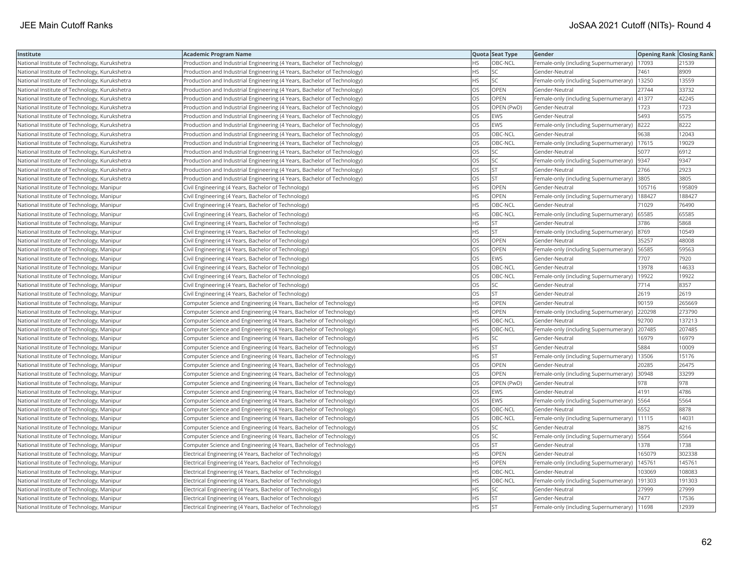| Institute                                     | Academic Program Name                                                   |           | Quota Seat Type | Gender                                        | <b>Opening Rank Closing Rank</b> |        |
|-----------------------------------------------|-------------------------------------------------------------------------|-----------|-----------------|-----------------------------------------------|----------------------------------|--------|
| National Institute of Technology, Kurukshetra | Production and Industrial Engineering (4 Years, Bachelor of Technology) | HS        | OBC-NCL         | Female-only (including Supernumerary)         | 17093                            | 21539  |
| National Institute of Technology, Kurukshetra | Production and Industrial Engineering (4 Years, Bachelor of Technology) | <b>HS</b> | <b>SC</b>       | Gender-Neutral                                | 7461                             | 8909   |
| National Institute of Technology, Kurukshetra | Production and Industrial Engineering (4 Years, Bachelor of Technology) | <b>HS</b> | <b>SC</b>       | Female-only (including Supernumerary)         | 13250                            | 13559  |
| National Institute of Technology, Kurukshetra | Production and Industrial Engineering (4 Years, Bachelor of Technology) | OS        | OPEN            | Gender-Neutral                                | 27744                            | 33732  |
| National Institute of Technology, Kurukshetra | Production and Industrial Engineering (4 Years, Bachelor of Technology) | OS        | OPEN            | Female-only (including Supernumerary)         | 41377                            | 42245  |
| National Institute of Technology, Kurukshetra | Production and Industrial Engineering (4 Years, Bachelor of Technology) | OS        | OPEN (PwD)      | Gender-Neutral                                | 1723                             | 1723   |
| National Institute of Technology, Kurukshetra | Production and Industrial Engineering (4 Years, Bachelor of Technology) | OS        | <b>EWS</b>      | Gender-Neutral                                | 5493                             | 5575   |
| National Institute of Technology, Kurukshetra | Production and Industrial Engineering (4 Years, Bachelor of Technology) | OS        | EWS             | Female-only (including Supernumerary)         | 8222                             | 8222   |
| National Institute of Technology, Kurukshetra | Production and Industrial Engineering (4 Years, Bachelor of Technology) | OS        | OBC-NCL         | Gender-Neutral                                | 9638                             | 12043  |
| National Institute of Technology, Kurukshetra | Production and Industrial Engineering (4 Years, Bachelor of Technology) | OS        | OBC-NCL         | Female-only (including Supernumerary)   17615 |                                  | 19029  |
| National Institute of Technology, Kurukshetra | Production and Industrial Engineering (4 Years, Bachelor of Technology) | <b>OS</b> | <b>SC</b>       | Gender-Neutral                                | 5077                             | 6912   |
| National Institute of Technology, Kurukshetra | Production and Industrial Engineering (4 Years, Bachelor of Technology) | OS        | SC              | Female-only (including Supernumerary)         | 9347                             | 9347   |
| National Institute of Technology, Kurukshetra | Production and Industrial Engineering (4 Years, Bachelor of Technology) | OS        | <b>ST</b>       | Gender-Neutral                                | 2766                             | 2923   |
| National Institute of Technology, Kurukshetra | Production and Industrial Engineering (4 Years, Bachelor of Technology) | OS        | <b>ST</b>       | Female-only (including Supernumerary)         | 3805                             | 3805   |
| National Institute of Technology, Manipur     | Civil Engineering (4 Years, Bachelor of Technology)                     | HS.       | OPEN            | Gender-Neutral                                | 105716                           | 195809 |
| National Institute of Technology, Manipur     | Civil Engineering (4 Years, Bachelor of Technology)                     | HS.       | OPEN            | Female-only (including Supernumerary)         | 188427                           | 188427 |
| National Institute of Technology, Manipur     | Civil Engineering (4 Years, Bachelor of Technology)                     | HS.       | OBC-NCL         | Gender-Neutral                                | 71029                            | 76490  |
| National Institute of Technology, Manipur     | Civil Engineering (4 Years, Bachelor of Technology)                     | <b>HS</b> | OBC-NCL         | Female-only (including Supernumerary)         | 65585                            | 65585  |
| National Institute of Technology, Manipur     | Civil Engineering (4 Years, Bachelor of Technology)                     | HS        | <b>ST</b>       | Gender-Neutral                                | 3786                             | 5868   |
| National Institute of Technology, Manipur     | Civil Engineering (4 Years, Bachelor of Technology)                     | HS.       | <b>ST</b>       | Female-only (including Supernumerary)         | 8769                             | 10549  |
| National Institute of Technology, Manipur     | Civil Engineering (4 Years, Bachelor of Technology)                     | OS        | OPEN            | Gender-Neutral                                | 35257                            | 48008  |
| National Institute of Technology, Manipur     | Civil Engineering (4 Years, Bachelor of Technology)                     | OS        | OPEN            | Female-only (including Supernumerary)   56585 |                                  | 59563  |
| National Institute of Technology, Manipur     | Civil Engineering (4 Years, Bachelor of Technology)                     | OS        | EWS             | Gender-Neutral                                | 7707                             | 7920   |
| National Institute of Technology, Manipur     | Civil Engineering (4 Years, Bachelor of Technology)                     | OS.       | OBC-NCL         | Gender-Neutral                                | 13978                            | 14633  |
| National Institute of Technology, Manipur     | Civil Engineering (4 Years, Bachelor of Technology)                     | OS        | OBC-NCL         | Female-only (including Supernumerary)         | 19922                            | 19922  |
| National Institute of Technology, Manipur     | Civil Engineering (4 Years, Bachelor of Technology)                     | OS        | SC              | Gender-Neutral                                | 7714                             | 8357   |
| National Institute of Technology, Manipur     | Civil Engineering (4 Years, Bachelor of Technology)                     | OS        | <b>ST</b>       | Gender-Neutral                                | 2619                             | 2619   |
| National Institute of Technology, Manipur     | Computer Science and Engineering (4 Years, Bachelor of Technology)      | HS.       | OPEN            | Gender-Neutral                                | 90159                            | 265669 |
| National Institute of Technology, Manipur     | Computer Science and Engineering (4 Years, Bachelor of Technology)      | HS.       | <b>OPEN</b>     | Female-only (including Supernumerary)         | 220298                           | 273790 |
| National Institute of Technology, Manipur     | Computer Science and Engineering (4 Years, Bachelor of Technology)      | ΗS        | OBC-NCL         | Gender-Neutral                                | 92700                            | 137213 |
| National Institute of Technology, Manipur     | Computer Science and Engineering (4 Years, Bachelor of Technology)      | HS.       | OBC-NCL         | Female-only (including Supernumerary) 207485  |                                  | 207485 |
| National Institute of Technology, Manipur     | Computer Science and Engineering (4 Years, Bachelor of Technology)      | HS        | <b>SC</b>       | Gender-Neutral                                | 16979                            | 16979  |
| National Institute of Technology, Manipur     | Computer Science and Engineering (4 Years, Bachelor of Technology)      | HS        | <b>ST</b>       | Gender-Neutral                                | 5884                             | 10009  |
| National Institute of Technology, Manipur     | Computer Science and Engineering (4 Years, Bachelor of Technology)      | HS.       | <b>ST</b>       | Female-only (including Supernumerary)         | 13506                            | 15176  |
| National Institute of Technology, Manipur     | Computer Science and Engineering (4 Years, Bachelor of Technology)      | OS        | OPEN            | Gender-Neutral                                | 20285                            | 26475  |
| National Institute of Technology, Manipur     | Computer Science and Engineering (4 Years, Bachelor of Technology)      | OS        | <b>OPEN</b>     | Female-only (including Supernumerary)         | 30948                            | 33299  |
| National Institute of Technology, Manipur     | Computer Science and Engineering (4 Years, Bachelor of Technology)      | OS        | OPEN (PwD)      | Gender-Neutral                                | 978                              | 978    |
| National Institute of Technology, Manipur     | Computer Science and Engineering (4 Years, Bachelor of Technology)      | OS        | EWS             | Gender-Neutral                                | 4191                             | 4786   |
| National Institute of Technology, Manipur     | Computer Science and Engineering (4 Years, Bachelor of Technology)      | OS        | EWS             | Female-only (including Supernumerary)   5564  |                                  | 5564   |
| National Institute of Technology, Manipur     | Computer Science and Engineering (4 Years, Bachelor of Technology)      | OS.       | OBC-NCL         | Gender-Neutral                                | 6552                             | 8878   |
| National Institute of Technology, Manipur     | Computer Science and Engineering (4 Years, Bachelor of Technology)      | OS        | OBC-NCL         | Female-only (including Supernumerary)         | 11115                            | 1403'  |
| National Institute of Technology, Manipur     | Computer Science and Engineering (4 Years, Bachelor of Technology)      | OS        | <b>SC</b>       | Gender-Neutral                                | 3875                             | 4216   |
| National Institute of Technology, Manipur     | Computer Science and Engineering (4 Years, Bachelor of Technology)      | OS        | SC              | Female-only (including Supernumerary)         | 5564                             | 5564   |
| National Institute of Technology, Manipur     | Computer Science and Engineering (4 Years, Bachelor of Technology)      | OS        | <b>ST</b>       | Gender-Neutral                                | 1378                             | 1738   |
| National Institute of Technology, Manipur     | Electrical Engineering (4 Years, Bachelor of Technology)                | HS        | <b>OPEN</b>     | Gender-Neutral                                | 165079                           | 302338 |
| National Institute of Technology, Manipur     | Electrical Engineering (4 Years, Bachelor of Technology)                | HS        | <b>OPEN</b>     | Female-only (including Supernumerary)         | 145761                           | 145761 |
| National Institute of Technology, Manipur     | Electrical Engineering (4 Years, Bachelor of Technology)                | <b>HS</b> | OBC-NCL         | Gender-Neutral                                | 103069                           | 108083 |
| National Institute of Technology, Manipur     | Electrical Engineering (4 Years, Bachelor of Technology)                | HS        | OBC-NCL         | Female-only (including Supernumerary)         | 191303                           | 191303 |
| National Institute of Technology, Manipur     | Electrical Engineering (4 Years, Bachelor of Technology)                | HS        | SC              | Gender-Neutral                                | 27999                            | 27999  |
| National Institute of Technology, Manipur     | Electrical Engineering (4 Years, Bachelor of Technology)                | HS.       | <b>ST</b>       | Gender-Neutral                                | 7477                             | 17536  |
| National Institute of Technology, Manipur     | Electrical Engineering (4 Years, Bachelor of Technology)                | <b>HS</b> | İst             | Female-only (including Supernumerary)         | 11698                            | 12939  |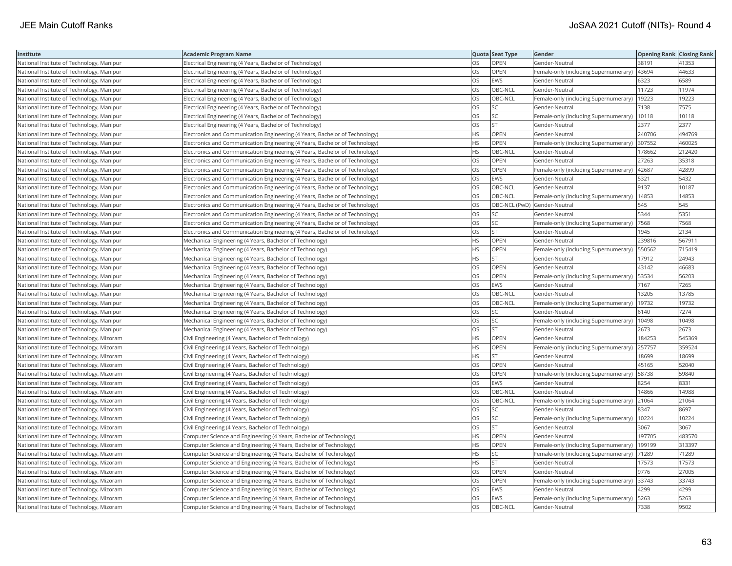| Institute                                 | <b>Academic Program Name</b>                                                |           | Quota Seat Type              | Gender                                         | <b>Opening Rank Closing Rank</b> |        |
|-------------------------------------------|-----------------------------------------------------------------------------|-----------|------------------------------|------------------------------------------------|----------------------------------|--------|
| National Institute of Technology, Manipur | Electrical Engineering (4 Years, Bachelor of Technology)                    | OS        | OPEN                         | Gender-Neutral                                 | 38191                            | 41353  |
| National Institute of Technology, Manipur | Electrical Engineering (4 Years, Bachelor of Technology)                    | OS        | OPEN                         | Female-only (including Supernumerary)          | 43694                            | 44633  |
| National Institute of Technology, Manipur | Electrical Engineering (4 Years, Bachelor of Technology)                    | OS        | <b>EWS</b>                   | Gender-Neutral                                 | 6323                             | 6589   |
| National Institute of Technology, Manipur | Electrical Engineering (4 Years, Bachelor of Technology)                    | OS        | OBC-NCL                      | Gender-Neutral                                 | 11723                            | 11974  |
| National Institute of Technology, Manipur | Electrical Engineering (4 Years, Bachelor of Technology)                    | OS        | OBC-NCL                      | Female-only (including Supernumerary)          | 19223                            | 19223  |
| National Institute of Technology, Manipur | Electrical Engineering (4 Years, Bachelor of Technology)                    | OS        | SC                           | Gender-Neutral                                 | 7138                             | 7575   |
| National Institute of Technology, Manipur | Electrical Engineering (4 Years, Bachelor of Technology)                    | OS        | SC                           | Female-only (including Supernumerary)          | 10118                            | 10118  |
| National Institute of Technology, Manipur | Electrical Engineering (4 Years, Bachelor of Technology)                    | OS        | <b>ST</b>                    | Gender-Neutral                                 | 2377                             | 2377   |
| National Institute of Technology, Manipur | Electronics and Communication Engineering (4 Years, Bachelor of Technology) | ΗS        | OPEN                         | Gender-Neutral                                 | 240706                           | 494769 |
| National Institute of Technology, Manipur | Electronics and Communication Engineering (4 Years, Bachelor of Technology) | HS        | OPEN                         | Female-only (including Supernumerary)          | 307552                           | 460025 |
| National Institute of Technology, Manipur | Electronics and Communication Engineering (4 Years, Bachelor of Technology) | <b>HS</b> | OBC-NCL                      | Gender-Neutral                                 | 178662                           | 212420 |
| National Institute of Technology, Manipur | Electronics and Communication Engineering (4 Years, Bachelor of Technology) | <b>OS</b> | <b>OPEN</b>                  | Gender-Neutral                                 | 27263                            | 35318  |
| National Institute of Technology, Manipur | Electronics and Communication Engineering (4 Years, Bachelor of Technology) | OS        | OPEN                         | Female-only (including Supernumerary)          | 42687                            | 42899  |
| National Institute of Technology, Manipur | Electronics and Communication Engineering (4 Years, Bachelor of Technology) | OS        | <b>EWS</b>                   | Gender-Neutral                                 | 5321                             | 5432   |
| National Institute of Technology, Manipur | Electronics and Communication Engineering (4 Years, Bachelor of Technology) | OS        | OBC-NCL                      | Gender-Neutral                                 | 9137                             | 10187  |
| National Institute of Technology, Manipur | Electronics and Communication Engineering (4 Years, Bachelor of Technology) | OS        | OBC-NCL                      | Female-only (including Supernumerary)          | 14853                            | 14853  |
| National Institute of Technology, Manipur | Electronics and Communication Engineering (4 Years, Bachelor of Technology) | OS        | OBC-NCL (PwD) Gender-Neutral |                                                | 545                              | 545    |
| National Institute of Technology, Manipur | Electronics and Communication Engineering (4 Years, Bachelor of Technology) | OS        | SC                           | Gender-Neutral                                 | 5344                             | 5351   |
| National Institute of Technology, Manipur | Electronics and Communication Engineering (4 Years, Bachelor of Technology) | OS        | SC                           | Female-only (including Supernumerary)          | 7568                             | 7568   |
| National Institute of Technology, Manipur | Electronics and Communication Engineering (4 Years, Bachelor of Technology) | <b>OS</b> | <b>ST</b>                    | Gender-Neutral                                 | 1945                             | 2134   |
| National Institute of Technology, Manipur | Mechanical Engineering (4 Years, Bachelor of Technology)                    | HS        | OPEN                         | Gender-Neutral                                 | 239816                           | 567911 |
| National Institute of Technology, Manipur | Mechanical Engineering (4 Years, Bachelor of Technology)                    | HS        | OPEN                         | Female-only (including Supernumerary)   550562 |                                  | 715419 |
| National Institute of Technology, Manipur | Mechanical Engineering (4 Years, Bachelor of Technology)                    | ΗS        | <b>ST</b>                    | Gender-Neutral                                 | 17912                            | 24943  |
| National Institute of Technology, Manipur | Mechanical Engineering (4 Years, Bachelor of Technology)                    | OS        | OPEN                         | Gender-Neutral                                 | 43142                            | 46683  |
| National Institute of Technology, Manipur | Mechanical Engineering (4 Years, Bachelor of Technology)                    | OS        | OPEN                         | Female-only (including Supernumerary)          | 53534                            | 56203  |
| National Institute of Technology, Manipur | Mechanical Engineering (4 Years, Bachelor of Technology)                    | OS        | <b>EWS</b>                   | Gender-Neutral                                 | 7167                             | 7265   |
| National Institute of Technology, Manipur | Mechanical Engineering (4 Years, Bachelor of Technology)                    | OS        | OBC-NCL                      | Gender-Neutral                                 | 13205                            | 13785  |
| National Institute of Technology, Manipur | Mechanical Engineering (4 Years, Bachelor of Technology)                    | OS        | OBC-NCL                      | Female-only (including Supernumerary)          | 19732                            | 19732  |
| National Institute of Technology, Manipur | Mechanical Engineering (4 Years, Bachelor of Technology)                    | OS        | SC                           | Gender-Neutral                                 | 6140                             | 7274   |
| National Institute of Technology, Manipur | Mechanical Engineering (4 Years, Bachelor of Technology)                    | OS        | SC                           | Female-only (including Supernumerary)          | 10498                            | 10498  |
| National Institute of Technology, Manipur | Mechanical Engineering (4 Years, Bachelor of Technology)                    | OS        | <b>ST</b>                    | Gender-Neutral                                 | 2673                             | 2673   |
| National Institute of Technology, Mizoram | Civil Engineering (4 Years, Bachelor of Technology)                         | ΗS        | OPEN                         | Gender-Neutral                                 | 184253                           | 545369 |
| National Institute of Technology, Mizoram | Civil Engineering (4 Years, Bachelor of Technology)                         | HS        | OPEN                         | Female-only (including Supernumerary)          | 257757                           | 359524 |
| National Institute of Technology, Mizoram | Civil Engineering (4 Years, Bachelor of Technology)                         | HS        | <b>ST</b>                    | Gender-Neutral                                 | 18699                            | 18699  |
| National Institute of Technology, Mizoram | Civil Engineering (4 Years, Bachelor of Technology)                         | OS        | OPEN                         | Gender-Neutral                                 | 45165                            | 52040  |
| National Institute of Technology, Mizoram | Civil Engineering (4 Years, Bachelor of Technology)                         | OS        | <b>OPEN</b>                  | Female-only (including Supernumerary)          | 58738                            | 59840  |
| National Institute of Technology, Mizoram | Civil Engineering (4 Years, Bachelor of Technology)                         | OS        | <b>EWS</b>                   | Gender-Neutral                                 | 8254                             | 8331   |
| National Institute of Technology, Mizoram | Civil Engineering (4 Years, Bachelor of Technology)                         | OS        | OBC-NCL                      | Gender-Neutral                                 | 14866                            | 14988  |
| National Institute of Technology, Mizoram | Civil Engineering (4 Years, Bachelor of Technology)                         | OS        | OBC-NCL                      | Female-only (including Supernumerary)          | 21064                            | 21064  |
| National Institute of Technology, Mizoram | Civil Engineering (4 Years, Bachelor of Technology)                         | OS        | SC                           | Gender-Neutral                                 | 8347                             | 8697   |
| National Institute of Technology, Mizoram | Civil Engineering (4 Years, Bachelor of Technology)                         | OS        | SC                           | Female-only (including Supernumerary)          | 10224                            | 10224  |
| National Institute of Technology, Mizoram | Civil Engineering (4 Years, Bachelor of Technology)                         | OS        | <b>ST</b>                    | Gender-Neutral                                 | 3067                             | 3067   |
| National Institute of Technology, Mizoram | Computer Science and Engineering (4 Years, Bachelor of Technology)          | HS        | OPEN                         | Gender-Neutral                                 | 197705                           | 483570 |
| National Institute of Technology, Mizoram | Computer Science and Engineering (4 Years, Bachelor of Technology)          | <b>HS</b> | <b>OPEN</b>                  | Female-only (including Supernumerary)          | 199199                           | 313397 |
| National Institute of Technology, Mizoram | Computer Science and Engineering (4 Years, Bachelor of Technology)          | HS        | SC                           | Female-only (including Supernumerary)          | 71289                            | 71289  |
| National Institute of Technology, Mizoram | Computer Science and Engineering (4 Years, Bachelor of Technology)          | HS        | <b>ST</b>                    | Gender-Neutral                                 | 17573                            | 17573  |
| National Institute of Technology, Mizoram | Computer Science and Engineering (4 Years, Bachelor of Technology)          | OS        | OPEN                         | Gender-Neutral                                 | 9776                             | 27005  |
| National Institute of Technology, Mizoram | Computer Science and Engineering (4 Years, Bachelor of Technology)          | OS        | <b>OPEN</b>                  | Female-only (including Supernumerary)          | 33743                            | 33743  |
| National Institute of Technology, Mizoram | Computer Science and Engineering (4 Years, Bachelor of Technology)          | OS        | EWS                          | Gender-Neutral                                 | 4299                             | 4299   |
| National Institute of Technology, Mizoram | Computer Science and Engineering (4 Years, Bachelor of Technology)          | OS        | <b>EWS</b>                   | Female-only (including Supernumerary)          | 5263                             | 5263   |
| National Institute of Technology, Mizoram | Computer Science and Engineering (4 Years, Bachelor of Technology)          | <b>OS</b> | OBC-NCL                      | Gender-Neutral                                 | 7338                             | 9502   |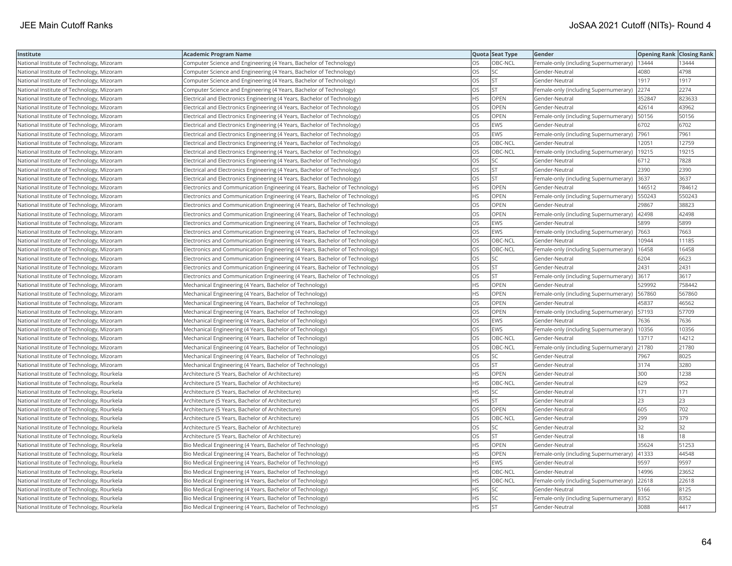| Institute                                  | <b>Academic Program Name</b>                                                |           | Quota Seat Type | Gender                                        | <b>Opening Rank Closing Rank</b> |        |
|--------------------------------------------|-----------------------------------------------------------------------------|-----------|-----------------|-----------------------------------------------|----------------------------------|--------|
| National Institute of Technology, Mizoram  | Computer Science and Engineering (4 Years, Bachelor of Technology)          | OS        | OBC-NCL         | Female-only (including Supernumerary)   13444 |                                  | 13444  |
| National Institute of Technology, Mizoram  | Computer Science and Engineering (4 Years, Bachelor of Technology)          | OS        | <b>SC</b>       | Gender-Neutral                                | 4080                             | 4798   |
| National Institute of Technology, Mizoram  | Computer Science and Engineering (4 Years, Bachelor of Technology)          | OS        | <b>ST</b>       | Gender-Neutral                                | 1917                             | 1917   |
| National Institute of Technology, Mizoram  | Computer Science and Engineering (4 Years, Bachelor of Technology)          | OS        | <b>ST</b>       | Female-only (including Supernumerary)         | 2274                             | 2274   |
| National Institute of Technology, Mizoram  | Electrical and Electronics Engineering (4 Years, Bachelor of Technology)    | НS        | <b>OPEN</b>     | Gender-Neutral                                | 352847                           | 823633 |
| National Institute of Technology, Mizoram  | Electrical and Electronics Engineering (4 Years, Bachelor of Technology)    | OS        | OPEN            | Gender-Neutral                                | 42614                            | 43962  |
| National Institute of Technology, Mizoram  | Electrical and Electronics Engineering (4 Years, Bachelor of Technology)    | OS        | OPEN            | Female-only (including Supernumerary)         | 50156                            | 50156  |
| National Institute of Technology, Mizoram  | Electrical and Electronics Engineering (4 Years, Bachelor of Technology)    | OS        | <b>EWS</b>      | Gender-Neutral                                | 6702                             | 6702   |
| National Institute of Technology, Mizoram  | Electrical and Electronics Engineering (4 Years, Bachelor of Technology)    | OS        | <b>EWS</b>      | Female-only (including Supernumerary)         | 7961                             | 7961   |
| National Institute of Technology, Mizoram  | Electrical and Electronics Engineering (4 Years, Bachelor of Technology)    | OS        | OBC-NCL         | Gender-Neutral                                | 12051                            | 12759  |
| National Institute of Technology, Mizoram  | Electrical and Electronics Engineering (4 Years, Bachelor of Technology)    | OS        | OBC-NCL         | Female-only (including Supernumerary)         | 19215                            | 19215  |
| National Institute of Technology, Mizoram  | Electrical and Electronics Engineering (4 Years, Bachelor of Technology)    | OS        | SC              | Gender-Neutral                                | 6712                             | 7828   |
| National Institute of Technology, Mizoram  | Electrical and Electronics Engineering (4 Years, Bachelor of Technology)    | OS        | <b>ST</b>       | Gender-Neutral                                | 2390                             | 2390   |
| National Institute of Technology, Mizoram  | Electrical and Electronics Engineering (4 Years, Bachelor of Technology)    | OS        | <b>ST</b>       | Female-only (including Supernumerary)         | 3637                             | 3637   |
| National Institute of Technology, Mizoram  | Electronics and Communication Engineering (4 Years, Bachelor of Technology) | HS        | OPEN            | Gender-Neutral                                | 146512                           | 784612 |
| National Institute of Technology, Mizoram  | Electronics and Communication Engineering (4 Years, Bachelor of Technology) | HS        | OPEN            | Female-only (including Supernumerary)         | 550243                           | 550243 |
| National Institute of Technology, Mizoram  | Electronics and Communication Engineering (4 Years, Bachelor of Technology) | OS        | OPEN            | Gender-Neutral                                | 29867                            | 38823  |
| National Institute of Technology, Mizoram  | Electronics and Communication Engineering (4 Years, Bachelor of Technology) | OS        | OPEN            | Female-only (including Supernumerary)         | 42498                            | 42498  |
| National Institute of Technology, Mizoram  | Electronics and Communication Engineering (4 Years, Bachelor of Technology) | OS        | <b>EWS</b>      | Gender-Neutral                                | 5899                             | 5899   |
| National Institute of Technology, Mizoram  | Electronics and Communication Engineering (4 Years, Bachelor of Technology) | OS        | <b>EWS</b>      | Female-only (including Supernumerary)         | 7663                             | 7663   |
| National Institute of Technology, Mizoram  | Electronics and Communication Engineering (4 Years, Bachelor of Technology) | OS        | OBC-NCL         | Gender-Neutral                                | 10944                            | 11185  |
| National Institute of Technology, Mizoram  | Electronics and Communication Engineering (4 Years, Bachelor of Technology) | OS        | OBC-NCL         | Female-only (including Supernumerary)   16458 |                                  | 16458  |
| National Institute of Technology, Mizoram  | Electronics and Communication Engineering (4 Years, Bachelor of Technology) | OS        | <b>SC</b>       | Gender-Neutral                                | 6204                             | 6623   |
| National Institute of Technology, Mizoram  | Electronics and Communication Engineering (4 Years, Bachelor of Technology) | OS        | <b>ST</b>       | Gender-Neutral                                | 2431                             | 2431   |
| National Institute of Technology, Mizoram  | Electronics and Communication Engineering (4 Years, Bachelor of Technology) | OS        | <b>ST</b>       | Female-only (including Supernumerary)         | 3617                             | 3617   |
| National Institute of Technology, Mizoram  | Mechanical Engineering (4 Years, Bachelor of Technology)                    | HS        | OPEN            | Gender-Neutral                                | 529992                           | 758442 |
| National Institute of Technology, Mizoram  | Mechanical Engineering (4 Years, Bachelor of Technology)                    | HS        | <b>OPEN</b>     | Female-only (including Supernumerary)         | 567860                           | 567860 |
| National Institute of Technology, Mizoram  | Mechanical Engineering (4 Years, Bachelor of Technology)                    | OS        | <b>OPEN</b>     | Gender-Neutral                                | 45837                            | 46562  |
| National Institute of Technology, Mizoram  | Mechanical Engineering (4 Years, Bachelor of Technology)                    | OS        | <b>OPEN</b>     | Female-only (including Supernumerary)         | 57193                            | 57709  |
| National Institute of Technology, Mizoram  | Mechanical Engineering (4 Years, Bachelor of Technology)                    | OS        | <b>EWS</b>      | Gender-Neutral                                | 7636                             | 7636   |
| National Institute of Technology, Mizoram  | Mechanical Engineering (4 Years, Bachelor of Technology)                    | OS        | EWS             | Female-only (including Supernumerary)         | 10356                            | 10356  |
| National Institute of Technology, Mizoram  | Mechanical Engineering (4 Years, Bachelor of Technology)                    | OS        | OBC-NCL         | Gender-Neutral                                | 13717                            | 14212  |
| National Institute of Technology, Mizoram  | Mechanical Engineering (4 Years, Bachelor of Technology)                    | OS        | OBC-NCL         | Female-only (including Supernumerary)         | 21780                            | 21780  |
| National Institute of Technology, Mizoram  | Mechanical Engineering (4 Years, Bachelor of Technology)                    | OS        | SC              | Gender-Neutral                                | 7967                             | 8025   |
| National Institute of Technology, Mizoram  | Mechanical Engineering (4 Years, Bachelor of Technology)                    | OS        | <b>ST</b>       | Gender-Neutral                                | 3174                             | 3280   |
| National Institute of Technology, Rourkela | Architecture (5 Years, Bachelor of Architecture)                            | HS        | OPEN            | Gender-Neutral                                | 300                              | 1238   |
| National Institute of Technology, Rourkela | Architecture (5 Years, Bachelor of Architecture)                            | ΗS        | OBC-NCL         | Gender-Neutral                                | 629                              | 952    |
| National Institute of Technology, Rourkela | Architecture (5 Years, Bachelor of Architecture)                            | HS        | SC              | Gender-Neutral                                | 171                              | 171    |
| National Institute of Technology, Rourkela | Architecture (5 Years, Bachelor of Architecture)                            | ΗS        | ST              | Gender-Neutral                                | 23                               | 23     |
| National Institute of Technology, Rourkela | Architecture (5 Years, Bachelor of Architecture)                            | OS        | <b>OPEN</b>     | Gender-Neutral                                | 605                              | 702    |
| National Institute of Technology, Rourkela | Architecture (5 Years, Bachelor of Architecture)                            | OS        | OBC-NCL         | Gender-Neutral                                | 299                              | 379    |
| National Institute of Technology, Rourkela | Architecture (5 Years, Bachelor of Architecture)                            | OS        | <b>SC</b>       | Gender-Neutral                                | 32                               | 32     |
| National Institute of Technology, Rourkela | Architecture (5 Years, Bachelor of Architecture)                            | OS        | <b>ST</b>       | Gender-Neutral                                | 18                               | 18     |
| National Institute of Technology, Rourkela | Bio Medical Engineering (4 Years, Bachelor of Technology)                   | HS        | <b>OPEN</b>     | Gender-Neutral                                | 35624                            | 51253  |
| National Institute of Technology, Rourkela | Bio Medical Engineering (4 Years, Bachelor of Technology)                   | HS        | <b>OPEN</b>     | Female-only (including Supernumerary)         | 41333                            | 44548  |
| National Institute of Technology, Rourkela | Bio Medical Engineering (4 Years, Bachelor of Technology)                   | HS        | <b>EWS</b>      | Gender-Neutral                                | 9597                             | 9597   |
| National Institute of Technology, Rourkela | Bio Medical Engineering (4 Years, Bachelor of Technology)                   | <b>HS</b> | OBC-NCL         | Gender-Neutral                                | 14996                            | 23652  |
| National Institute of Technology, Rourkela | Bio Medical Engineering (4 Years, Bachelor of Technology)                   | ΗS        | OBC-NCL         | Female-only (including Supernumerary)         | 22618                            | 22618  |
| National Institute of Technology, Rourkela | Bio Medical Engineering (4 Years, Bachelor of Technology)                   | ΗS        | SC              | Gender-Neutral                                | 5166                             | 8125   |
| National Institute of Technology, Rourkela | Bio Medical Engineering (4 Years, Bachelor of Technology)                   | HS        | SC              | Female-only (including Supernumerary)         | 8352                             | 8352   |
| National Institute of Technology, Rourkela | Bio Medical Engineering (4 Years, Bachelor of Technology)                   | <b>HS</b> | <b>ST</b>       | Gender-Neutral                                | 3088                             | 4417   |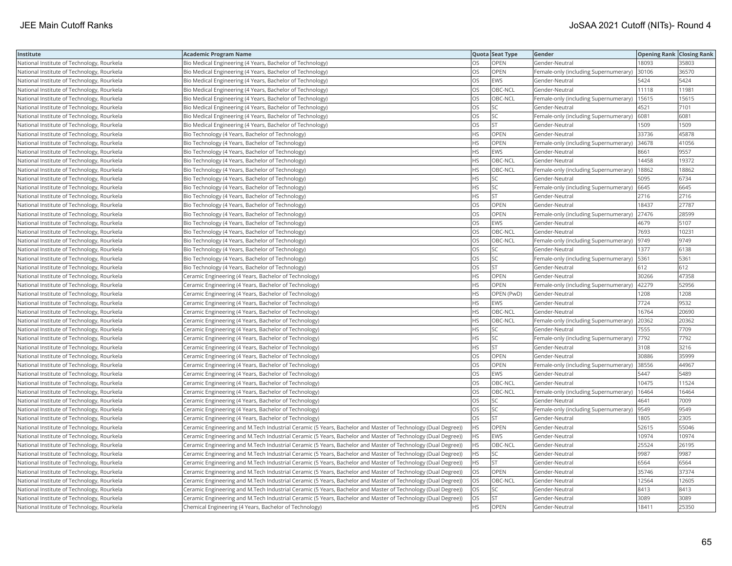| Institute                                  | <b>Academic Program Name</b>                                                                                 |           | Quota Seat Type | Gender                                       | <b>Opening Rank Closing Rank</b> |       |
|--------------------------------------------|--------------------------------------------------------------------------------------------------------------|-----------|-----------------|----------------------------------------------|----------------------------------|-------|
| National Institute of Technology, Rourkela | Bio Medical Engineering (4 Years, Bachelor of Technology)                                                    | OS        | OPEN            | Gender-Neutral                               | 18093                            | 35803 |
| National Institute of Technology, Rourkela | Bio Medical Engineering (4 Years, Bachelor of Technology)                                                    | OS        | OPEN            | Female-only (including Supernumerary)        | 30106                            | 36570 |
| National Institute of Technology, Rourkela | Bio Medical Engineering (4 Years, Bachelor of Technology)                                                    | OS        | <b>EWS</b>      | Gender-Neutral                               | 5424                             | 5424  |
| National Institute of Technology, Rourkela | Bio Medical Engineering (4 Years, Bachelor of Technology)                                                    | OS        | OBC-NCL         | Gender-Neutral                               | 11118                            | 11981 |
| National Institute of Technology, Rourkela | Bio Medical Engineering (4 Years, Bachelor of Technology)                                                    | OS        | OBC-NCL         | Female-only (including Supernumerary)        | 15615                            | 15615 |
| National Institute of Technology, Rourkela | Bio Medical Engineering (4 Years, Bachelor of Technology)                                                    | OS        | SC              | Gender-Neutral                               | 4521                             | 7101  |
| National Institute of Technology, Rourkela | Bio Medical Engineering (4 Years, Bachelor of Technology)                                                    | OS        | SC              | Female-only (including Supernumerary)        | 6081                             | 6081  |
| National Institute of Technology, Rourkela | Bio Medical Engineering (4 Years, Bachelor of Technology)                                                    | OS        | <b>ST</b>       | Gender-Neutral                               | 1509                             | 1509  |
| National Institute of Technology, Rourkela | Bio Technology (4 Years, Bachelor of Technology)                                                             | ΗS        | OPEN            | Gender-Neutral                               | 33736                            | 45878 |
| National Institute of Technology, Rourkela | Bio Technology (4 Years, Bachelor of Technology)                                                             | HS        | OPEN            | Female-only (including Supernumerary)        | 34678                            | 41056 |
| National Institute of Technology, Rourkela | Bio Technology (4 Years, Bachelor of Technology)                                                             | HS        | <b>EWS</b>      | Gender-Neutral                               | 8661                             | 9557  |
| National Institute of Technology, Rourkela | Bio Technology (4 Years, Bachelor of Technology)                                                             | <b>HS</b> | OBC-NCL         | Gender-Neutral                               | 14458                            | 19372 |
| National Institute of Technology, Rourkela | Bio Technology (4 Years, Bachelor of Technology)                                                             | HS        | OBC-NCL         | Female-only (including Supernumerary)        | 18862                            | 18862 |
| National Institute of Technology, Rourkela | Bio Technology (4 Years, Bachelor of Technology)                                                             | HS        | SC              | Gender-Neutral                               | 5095                             | 6734  |
| National Institute of Technology, Rourkela | Bio Technology (4 Years, Bachelor of Technology)                                                             | ΗS        | SC              | Female-only (including Supernumerary) 6645   |                                  | 6645  |
| National Institute of Technology, Rourkela | Bio Technology (4 Years, Bachelor of Technology)                                                             | ٦S        | <b>ST</b>       | Gender-Neutral                               | 2716                             | 2716  |
| National Institute of Technology, Rourkela | Bio Technology (4 Years, Bachelor of Technology)                                                             | OS        | <b>OPEN</b>     | Gender-Neutral                               | 18437                            | 27787 |
| National Institute of Technology, Rourkela | Bio Technology (4 Years, Bachelor of Technology)                                                             | OS        | OPEN            | Female-only (including Supernumerary)        | 27476                            | 28599 |
| National Institute of Technology, Rourkela | Bio Technology (4 Years, Bachelor of Technology)                                                             | OS        | <b>EWS</b>      | Gender-Neutral                               | 4679                             | 5107  |
| National Institute of Technology, Rourkela | Bio Technology (4 Years, Bachelor of Technology)                                                             | OS        | OBC-NCL         | Gender-Neutral                               | 7693                             | 10231 |
| National Institute of Technology, Rourkela | Bio Technology (4 Years, Bachelor of Technology)                                                             | OS        | OBC-NCL         | Female-only (including Supernumerary)        | 9749                             | 9749  |
| National Institute of Technology, Rourkela | Bio Technology (4 Years, Bachelor of Technology)                                                             | OS        | SC              | Gender-Neutral                               | 1377                             | 6138  |
| National Institute of Technology, Rourkela | Bio Technology (4 Years, Bachelor of Technology)                                                             | OS        | SC              | Female-only (including Supernumerary)   5361 |                                  | 5361  |
| National Institute of Technology, Rourkela | Bio Technology (4 Years, Bachelor of Technology)                                                             | OS        | <b>ST</b>       | Gender-Neutral                               | 612                              | 612   |
| National Institute of Technology, Rourkela | Ceramic Engineering (4 Years, Bachelor of Technology)                                                        | ΗS        | OPEN            | Gender-Neutral                               | 30266                            | 47358 |
| National Institute of Technology, Rourkela | Ceramic Engineering (4 Years, Bachelor of Technology)                                                        | HS        | OPEN            | Female-only (including Supernumerary)        | 42279                            | 52956 |
| National Institute of Technology, Rourkela | Ceramic Engineering (4 Years, Bachelor of Technology)                                                        | HS        | OPEN (PwD)      | Gender-Neutral                               | 1208                             | 1208  |
| National Institute of Technology, Rourkela | Ceramic Engineering (4 Years, Bachelor of Technology)                                                        | <b>HS</b> | <b>EWS</b>      | Gender-Neutral                               | 7724                             | 9532  |
| National Institute of Technology, Rourkela | Ceramic Engineering (4 Years, Bachelor of Technology)                                                        | HS        | OBC-NCL         | Gender-Neutral                               | 16764                            | 20690 |
| National Institute of Technology, Rourkela | Ceramic Engineering (4 Years, Bachelor of Technology)                                                        | HS        | OBC-NCL         | Female-only (including Supernumerary)        | 20362                            | 20362 |
| National Institute of Technology, Rourkela | Ceramic Engineering (4 Years, Bachelor of Technology)                                                        | HS.       | SC              | Gender-Neutral                               | 7555                             | 7709  |
| National Institute of Technology, Rourkela | Ceramic Engineering (4 Years, Bachelor of Technology)                                                        | ΗS        | SC              | Female-only (including Supernumerary)        | 7792                             | 7792  |
| National Institute of Technology, Rourkela | Ceramic Engineering (4 Years, Bachelor of Technology)                                                        | HS        | <b>ST</b>       | Gender-Neutral                               | 3108                             | 3216  |
| National Institute of Technology, Rourkela | Ceramic Engineering (4 Years, Bachelor of Technology)                                                        | OS        | OPEN            | Gender-Neutral                               | 30886                            | 35999 |
| National Institute of Technology, Rourkela | Ceramic Engineering (4 Years, Bachelor of Technology)                                                        | OS        | OPEN            | Female-only (including Supernumerary)        | 38556                            | 44967 |
| National Institute of Technology, Rourkela | Ceramic Engineering (4 Years, Bachelor of Technology)                                                        | OS        | <b>EWS</b>      | Gender-Neutral                               | 5447                             | 5489  |
| National Institute of Technology, Rourkela | Ceramic Engineering (4 Years, Bachelor of Technology)                                                        | OS        | OBC-NCL         | Gender-Neutral                               | 10475                            | 11524 |
| National Institute of Technology, Rourkela | Ceramic Engineering (4 Years, Bachelor of Technology)                                                        | OS        | OBC-NCL         | Female-only (including Supernumerary)        | 16464                            | 16464 |
| National Institute of Technology, Rourkela | Ceramic Engineering (4 Years, Bachelor of Technology)                                                        | OS        | SC              | Gender-Neutral                               | 4641                             | 7009  |
| National Institute of Technology, Rourkela | Ceramic Engineering (4 Years, Bachelor of Technology)                                                        | <b>OS</b> | <b>SC</b>       | Female-only (including Supernumerary)        | 9549                             | 9549  |
| National Institute of Technology, Rourkela | Ceramic Engineering (4 Years, Bachelor of Technology)                                                        | OS        | <b>ST</b>       | Gender-Neutral                               | 1805                             | 2305  |
| National Institute of Technology, Rourkela | Ceramic Engineering and M.Tech Industrial Ceramic (5 Years, Bachelor and Master of Technology (Dual Degree)) | <b>HS</b> | OPEN            | Gender-Neutral                               | 52615                            | 55046 |
| National Institute of Technology, Rourkela | Ceramic Engineering and M.Tech Industrial Ceramic (5 Years, Bachelor and Master of Technology (Dual Degree)) | HS        | <b>EWS</b>      | Gender-Neutral                               | 10974                            | 10974 |
| National Institute of Technology, Rourkela | Ceramic Engineering and M.Tech Industrial Ceramic (5 Years, Bachelor and Master of Technology (Dual Degree)) | HS.       | OBC-NCL         | Gender-Neutral                               | 25524                            | 26195 |
| National Institute of Technology, Rourkela | Ceramic Engineering and M.Tech Industrial Ceramic (5 Years, Bachelor and Master of Technology (Dual Degree)) | HS        | SC              | Gender-Neutral                               | 9987                             | 9987  |
| National Institute of Technology, Rourkela | Ceramic Engineering and M.Tech Industrial Ceramic (5 Years, Bachelor and Master of Technology (Dual Degree)) | HS        | <b>ST</b>       | Gender-Neutral                               | 6564                             | 6564  |
| National Institute of Technology, Rourkela | Ceramic Engineering and M.Tech Industrial Ceramic (5 Years, Bachelor and Master of Technology (Dual Degree)) | OS        | OPEN            | Gender-Neutral                               | 35746                            | 37374 |
| National Institute of Technology, Rourkela | Ceramic Engineering and M.Tech Industrial Ceramic (5 Years, Bachelor and Master of Technology (Dual Degree)) | OS        | OBC-NCL         | Gender-Neutral                               | 12564                            | 12605 |
| National Institute of Technology, Rourkela | Ceramic Engineering and M.Tech Industrial Ceramic (5 Years, Bachelor and Master of Technology (Dual Degree)) | ЭS        | SC              | Gender-Neutral                               | 8413                             | 8413  |
| National Institute of Technology, Rourkela | Ceramic Engineering and M.Tech Industrial Ceramic (5 Years, Bachelor and Master of Technology (Dual Degree)) | OS        | <b>ST</b>       | Gender-Neutral                               | 3089                             | 3089  |
| National Institute of Technology, Rourkela | Chemical Engineering (4 Years, Bachelor of Technology)                                                       | HS.       | OPEN            | Gender-Neutral                               | 18411                            | 25350 |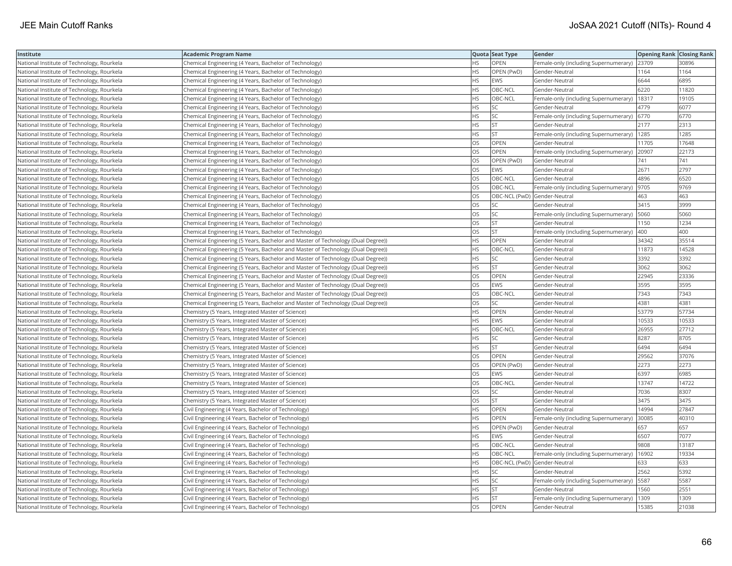| Institute                                  | Academic Program Name                                                           |           | Quota Seat Type | Gender                                       | <b>Opening Rank Closing Rank</b> |       |
|--------------------------------------------|---------------------------------------------------------------------------------|-----------|-----------------|----------------------------------------------|----------------------------------|-------|
| National Institute of Technology, Rourkela | Chemical Engineering (4 Years, Bachelor of Technology)                          | НS        | OPEN            | Female-only (including Supernumerary)  23709 |                                  | 30896 |
| National Institute of Technology, Rourkela | Chemical Engineering (4 Years, Bachelor of Technology)                          | HS        | OPEN (PwD)      | Gender-Neutral                               | 1164                             | 1164  |
| National Institute of Technology, Rourkela | Chemical Engineering (4 Years, Bachelor of Technology)                          | <b>HS</b> | EWS             | Gender-Neutral                               | 6644                             | 6895  |
| National Institute of Technology, Rourkela | Chemical Engineering (4 Years, Bachelor of Technology)                          | <b>HS</b> | OBC-NCL         | Gender-Neutral                               | 6220                             | 11820 |
| National Institute of Technology, Rourkela | Chemical Engineering (4 Years, Bachelor of Technology)                          | HS        | OBC-NCL         | Female-only (including Supernumerary)        | 18317                            | 19105 |
| National Institute of Technology, Rourkela | Chemical Engineering (4 Years, Bachelor of Technology)                          | <b>HS</b> | SC              | Gender-Neutral                               | 4779                             | 6077  |
| National Institute of Technology, Rourkela | Chemical Engineering (4 Years, Bachelor of Technology)                          | HS        | SC              | Female-only (including Supernumerary)        | 6770                             | 6770  |
| National Institute of Technology, Rourkela | Chemical Engineering (4 Years, Bachelor of Technology)                          | HS        | ST              | Gender-Neutral                               | 2177                             | 2313  |
| National Institute of Technology, Rourkela | Chemical Engineering (4 Years, Bachelor of Technology)                          | HS        | <b>ST</b>       | Female-only (including Supernumerary)   1285 |                                  | 1285  |
| National Institute of Technology, Rourkela | Chemical Engineering (4 Years, Bachelor of Technology)                          | OS.       | <b>OPEN</b>     | Gender-Neutral                               | 11705                            | 17648 |
| National Institute of Technology, Rourkela | Chemical Engineering (4 Years, Bachelor of Technology)                          | OS        | OPEN            | Female-only (including Supernumerary)        | 20907                            | 22173 |
| National Institute of Technology, Rourkela | Chemical Engineering (4 Years, Bachelor of Technology)                          | OS        | OPEN (PwD)      | Gender-Neutral                               | 741                              | 741   |
| National Institute of Technology, Rourkela | Chemical Engineering (4 Years, Bachelor of Technology)                          | OS        | <b>EWS</b>      | Gender-Neutral                               | 2671                             | 2797  |
| National Institute of Technology, Rourkela | Chemical Engineering (4 Years, Bachelor of Technology)                          | OS        | OBC-NCL         | Gender-Neutral                               | 4896                             | 6520  |
| National Institute of Technology, Rourkela | Chemical Engineering (4 Years, Bachelor of Technology)                          | OS        | OBC-NCL         | Female-only (including Supernumerary)        | 9705                             | 9769  |
| National Institute of Technology, Rourkela | Chemical Engineering (4 Years, Bachelor of Technology)                          | OS        |                 | OBC-NCL (PwD) Gender-Neutral                 | 463                              | 463   |
| National Institute of Technology, Rourkela | Chemical Engineering (4 Years, Bachelor of Technology)                          | OS        | <b>SC</b>       | Gender-Neutral                               | 3415                             | 3999  |
| National Institute of Technology, Rourkela | Chemical Engineering (4 Years, Bachelor of Technology)                          | OS        | SC              | Female-only (including Supernumerary)        | 5060                             | 5060  |
| National Institute of Technology, Rourkela | Chemical Engineering (4 Years, Bachelor of Technology)                          | OS        | <b>ST</b>       | Gender-Neutral                               | 1150                             | 1234  |
| National Institute of Technology, Rourkela | Chemical Engineering (4 Years, Bachelor of Technology)                          | OS        | <b>ST</b>       | Female-only (including Supernumerary)        | 400                              | 400   |
| National Institute of Technology, Rourkela | Chemical Engineering (5 Years, Bachelor and Master of Technology (Dual Degree)) | <b>HS</b> | <b>OPEN</b>     | Gender-Neutral                               | 34342                            | 35514 |
| National Institute of Technology, Rourkela | Chemical Engineering (5 Years, Bachelor and Master of Technology (Dual Degree)) | HS        | OBC-NCL         | Gender-Neutral                               | 11873                            | 14528 |
| National Institute of Technology, Rourkela | Chemical Engineering (5 Years, Bachelor and Master of Technology (Dual Degree)) | HS        | SC              | Gender-Neutral                               | 3392                             | 3392  |
| National Institute of Technology, Rourkela | Chemical Engineering (5 Years, Bachelor and Master of Technology (Dual Degree)) | HS        | <b>ST</b>       | Gender-Neutral                               | 3062                             | 3062  |
| National Institute of Technology, Rourkela | Chemical Engineering (5 Years, Bachelor and Master of Technology (Dual Degree)) | OS        | OPEN            | Gender-Neutral                               | 22945                            | 23336 |
| National Institute of Technology, Rourkela | Chemical Engineering (5 Years, Bachelor and Master of Technology (Dual Degree)) | OS        | <b>EWS</b>      | Gender-Neutral                               | 3595                             | 3595  |
| National Institute of Technology, Rourkela | Chemical Engineering (5 Years, Bachelor and Master of Technology (Dual Degree)) | OS        | OBC-NCL         | Gender-Neutral                               | 7343                             | 7343  |
| National Institute of Technology, Rourkela | Chemical Engineering (5 Years, Bachelor and Master of Technology (Dual Degree)) | OS        | <b>SC</b>       | Gender-Neutral                               | 4381                             | 4381  |
| National Institute of Technology, Rourkela | Chemistry (5 Years, Integrated Master of Science)                               | HS        | OPEN            | Gender-Neutral                               | 53779                            | 57734 |
| National Institute of Technology, Rourkela | Chemistry (5 Years, Integrated Master of Science)                               | HS        | <b>EWS</b>      | Gender-Neutral                               | 10533                            | 10533 |
| National Institute of Technology, Rourkela | Chemistry (5 Years, Integrated Master of Science)                               | HS        | OBC-NCL         | Gender-Neutral                               | 26955                            | 27712 |
| National Institute of Technology, Rourkela | Chemistry (5 Years, Integrated Master of Science)                               | HS        | SC              | Gender-Neutral                               | 8287                             | 8705  |
| National Institute of Technology, Rourkela | Chemistry (5 Years, Integrated Master of Science)                               | <b>HS</b> | <b>ST</b>       | Gender-Neutral                               | 6494                             | 6494  |
| National Institute of Technology, Rourkela | Chemistry (5 Years, Integrated Master of Science)                               | OS        | OPEN            | Gender-Neutral                               | 29562                            | 37076 |
| National Institute of Technology, Rourkela | Chemistry (5 Years, Integrated Master of Science)                               | OS        | OPEN (PwD)      | Gender-Neutral                               | 2273                             | 2273  |
| National Institute of Technology, Rourkela | Chemistry (5 Years, Integrated Master of Science)                               | OS        | <b>EWS</b>      | Gender-Neutral                               | 6397                             | 6985  |
| National Institute of Technology, Rourkela | Chemistry (5 Years, Integrated Master of Science)                               | OS        | OBC-NCL         | Gender-Neutral                               | 13747                            | 14722 |
| National Institute of Technology, Rourkela | Chemistry (5 Years, Integrated Master of Science)                               | OS        | SC              | Gender-Neutral                               | 7036                             | 8307  |
| National Institute of Technology, Rourkela | Chemistry (5 Years, Integrated Master of Science)                               | OS        | ST              | Gender-Neutral                               | 3475                             | 3475  |
| National Institute of Technology, Rourkela | Civil Engineering (4 Years, Bachelor of Technology)                             | <b>HS</b> | <b>OPEN</b>     | Gender-Neutral                               | 14994                            | 27847 |
| National Institute of Technology, Rourkela | Civil Engineering (4 Years, Bachelor of Technology)                             | HS        | OPEN            | Female-only (including Supernumerary)        | 30085                            | 40310 |
| National Institute of Technology, Rourkela | Civil Engineering (4 Years, Bachelor of Technology)                             | <b>HS</b> | OPEN (PwD)      | Gender-Neutral                               | 657                              | 657   |
| National Institute of Technology, Rourkela | Civil Engineering (4 Years, Bachelor of Technology)                             | <b>HS</b> | <b>EWS</b>      | Gender-Neutral                               | 6507                             | 7077  |
| National Institute of Technology, Rourkela | Civil Engineering (4 Years, Bachelor of Technology)                             | HS        | OBC-NCL         | Gender-Neutral                               | 9808                             | 13187 |
| National Institute of Technology, Rourkela | Civil Engineering (4 Years, Bachelor of Technology)                             | HS        | OBC-NCL         | Female-only (including Supernumerary)        | 16902                            | 19334 |
| National Institute of Technology, Rourkela | Civil Engineering (4 Years, Bachelor of Technology)                             | HS        |                 | OBC-NCL (PwD) Gender-Neutral                 | 633                              | 633   |
| National Institute of Technology, Rourkela | Civil Engineering (4 Years, Bachelor of Technology)                             | HS        | SC              | Gender-Neutral                               | 2562                             | 5392  |
| National Institute of Technology, Rourkela | Civil Engineering (4 Years, Bachelor of Technology)                             | HS        | SC              | Female-only (including Supernumerary)   5587 |                                  | 5587  |
| National Institute of Technology, Rourkela | Civil Engineering (4 Years, Bachelor of Technology)                             | HS        | <b>ST</b>       | Gender-Neutral                               | 1560                             | 2551  |
| National Institute of Technology, Rourkela | Civil Engineering (4 Years, Bachelor of Technology)                             | HS.       | <b>ST</b>       | Female-only (including Supernumerary)        | 1309                             | 1309  |
| National Institute of Technology, Rourkela | Civil Engineering (4 Years, Bachelor of Technology)                             | OS        | <b>OPEN</b>     | Gender-Neutral                               | 15385                            | 21038 |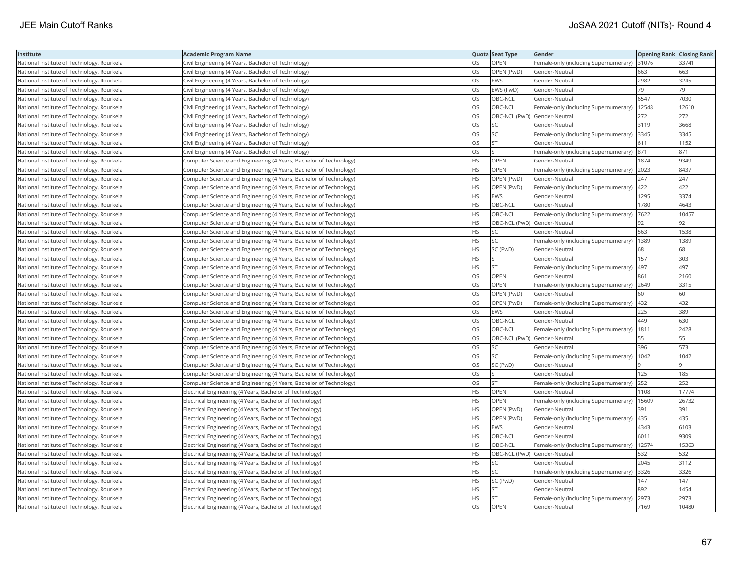| Institute                                  | <b>Academic Program Name</b>                                       |           | Quota Seat Type              | Gender                                        | <b>Opening Rank Closing Rank</b> |       |
|--------------------------------------------|--------------------------------------------------------------------|-----------|------------------------------|-----------------------------------------------|----------------------------------|-------|
| National Institute of Technology, Rourkela | Civil Engineering (4 Years, Bachelor of Technology)                | OS        | OPEN                         | Female-only (including Supernumerary) 31076   |                                  | 33741 |
| National Institute of Technology, Rourkela | Civil Engineering (4 Years, Bachelor of Technology)                | OS        | OPEN (PwD)                   | Gender-Neutral                                | 663                              | 663   |
| National Institute of Technology, Rourkela | Civil Engineering (4 Years, Bachelor of Technology)                | OS        | <b>EWS</b>                   | Gender-Neutral                                | 2982                             | 3245  |
| National Institute of Technology, Rourkela | Civil Engineering (4 Years, Bachelor of Technology)                | OS        | EWS (PwD)                    | Gender-Neutral                                | 79                               | 79    |
| National Institute of Technology, Rourkela | Civil Engineering (4 Years, Bachelor of Technology)                | OS        | OBC-NCL                      | Gender-Neutral                                | 6547                             | 7030  |
| National Institute of Technology, Rourkela | Civil Engineering (4 Years, Bachelor of Technology)                | OS        | OBC-NCL                      | Female-only (including Supernumerary)   12548 |                                  | 12610 |
| National Institute of Technology, Rourkela | Civil Engineering (4 Years, Bachelor of Technology)                | OS        | OBC-NCL (PwD) Gender-Neutral |                                               | 272                              | 272   |
| National Institute of Technology, Rourkela | Civil Engineering (4 Years, Bachelor of Technology)                | OS        | <b>SC</b>                    | Gender-Neutral                                | 3119                             | 3668  |
| National Institute of Technology, Rourkela | Civil Engineering (4 Years, Bachelor of Technology)                | OS        | SC                           | Female-only (including Supernumerary) 3345    |                                  | 3345  |
| National Institute of Technology, Rourkela | Civil Engineering (4 Years, Bachelor of Technology)                | OS        | <b>ST</b>                    | Gender-Neutral                                | 611                              | 1152  |
| National Institute of Technology, Rourkela | Civil Engineering (4 Years, Bachelor of Technology)                | OS        | <b>ST</b>                    | Female-only (including Supernumerary)         | 871                              | 871   |
| National Institute of Technology, Rourkela | Computer Science and Engineering (4 Years, Bachelor of Technology) | <b>HS</b> | OPEN                         | Gender-Neutral                                | 1874                             | 9349  |
| National Institute of Technology, Rourkela | Computer Science and Engineering (4 Years, Bachelor of Technology) | HS        | OPEN                         | Female-only (including Supernumerary)         | 2023                             | 8437  |
| National Institute of Technology, Rourkela | Computer Science and Engineering (4 Years, Bachelor of Technology) | <b>HS</b> | OPEN (PwD)                   | Gender-Neutral                                | 247                              | 247   |
| National Institute of Technology, Rourkela | Computer Science and Engineering (4 Years, Bachelor of Technology) | HS        | OPEN (PwD)                   | Female-only (including Supernumerary)   422   |                                  | 422   |
| National Institute of Technology, Rourkela | Computer Science and Engineering (4 Years, Bachelor of Technology) | ΗS        | <b>EWS</b>                   | Gender-Neutral                                | 1295                             | 3374  |
| National Institute of Technology, Rourkela | Computer Science and Engineering (4 Years, Bachelor of Technology) | HS        | OBC-NCL                      | Gender-Neutral                                | 1780                             | 4643  |
| National Institute of Technology, Rourkela | Computer Science and Engineering (4 Years, Bachelor of Technology) | HS        | OBC-NCL                      | Female-only (including Supernumerary)         | 7622                             | 10457 |
| National Institute of Technology, Rourkela | Computer Science and Engineering (4 Years, Bachelor of Technology) | <b>HS</b> | OBC-NCL (PwD) Gender-Neutral |                                               | 92                               | 92    |
| National Institute of Technology, Rourkela | Computer Science and Engineering (4 Years, Bachelor of Technology) | HS        | SC                           | Gender-Neutral                                | 563                              | 1538  |
| National Institute of Technology, Rourkela | Computer Science and Engineering (4 Years, Bachelor of Technology) | HS        | SC                           | Female-only (including Supernumerary)         | 1389                             | 1389  |
| National Institute of Technology, Rourkela | Computer Science and Engineering (4 Years, Bachelor of Technology) | HS        | SC (PwD)                     | Gender-Neutral                                | 68                               | 68    |
| National Institute of Technology, Rourkela | Computer Science and Engineering (4 Years, Bachelor of Technology) | ΗS        | <b>ST</b>                    | Gender-Neutral                                | 157                              | 303   |
| National Institute of Technology, Rourkela | Computer Science and Engineering (4 Years, Bachelor of Technology) | HS        | <b>ST</b>                    | Female-only (including Supernumerary) 497     |                                  | 497   |
| National Institute of Technology, Rourkela | Computer Science and Engineering (4 Years, Bachelor of Technology) | OS        | OPEN                         | Gender-Neutral                                | 861                              | 2160  |
| National Institute of Technology, Rourkela | Computer Science and Engineering (4 Years, Bachelor of Technology) | OS        | OPEN                         | Female-only (including Supernumerary) 2649    |                                  | 3315  |
| National Institute of Technology, Rourkela | Computer Science and Engineering (4 Years, Bachelor of Technology) | OS        | OPEN (PwD)                   | Gender-Neutral                                | 60                               | 60    |
| National Institute of Technology, Rourkela | Computer Science and Engineering (4 Years, Bachelor of Technology) | OS        | OPEN (PwD)                   | Female-only (including Supernumerary)  432    |                                  | 432   |
| National Institute of Technology, Rourkela | Computer Science and Engineering (4 Years, Bachelor of Technology) | OS        | <b>EWS</b>                   | Gender-Neutral                                | 225                              | 389   |
| National Institute of Technology, Rourkela | Computer Science and Engineering (4 Years, Bachelor of Technology) | OS        | OBC-NCL                      | Gender-Neutral                                | 449                              | 630   |
| National Institute of Technology, Rourkela | Computer Science and Engineering (4 Years, Bachelor of Technology) | OS        | OBC-NCL                      | Female-only (including Supernumerary)   1811  |                                  | 2428  |
| National Institute of Technology, Rourkela | Computer Science and Engineering (4 Years, Bachelor of Technology) | OS        | OBC-NCL (PwD) Gender-Neutral |                                               | 55                               | 55    |
| National Institute of Technology, Rourkela | Computer Science and Engineering (4 Years, Bachelor of Technology) | OS        | SC                           | Gender-Neutral                                | 396                              | 573   |
| National Institute of Technology, Rourkela | Computer Science and Engineering (4 Years, Bachelor of Technology) | OS        | SC                           | Female-only (including Supernumerary)         | 1042                             | 1042  |
| National Institute of Technology, Rourkela | Computer Science and Engineering (4 Years, Bachelor of Technology) | OS        | SC (PwD)                     | Gender-Neutral                                |                                  |       |
| National Institute of Technology, Rourkela | Computer Science and Engineering (4 Years, Bachelor of Technology) | OS        | <b>ST</b>                    | Gender-Neutral                                | 125                              | 185   |
| National Institute of Technology, Rourkela | Computer Science and Engineering (4 Years, Bachelor of Technology) | OS        | <b>ST</b>                    | Female-only (including Supernumerary) 252     |                                  | 252   |
| National Institute of Technology, Rourkela | Electrical Engineering (4 Years, Bachelor of Technology)           | HS        | <b>OPEN</b>                  | Gender-Neutral                                | 1108                             | 17774 |
| National Institute of Technology, Rourkela | Electrical Engineering (4 Years, Bachelor of Technology)           | ΗS        | OPEN                         | Female-only (including Supernumerary)         | 15609                            | 26732 |
| National Institute of Technology, Rourkela | Electrical Engineering (4 Years, Bachelor of Technology)           | HS        | OPEN (PwD)                   | Gender-Neutral                                | 391                              | 391   |
| National Institute of Technology, Rourkela | Electrical Engineering (4 Years, Bachelor of Technology)           | HS        | OPEN (PwD)                   | Female-only (including Supernumerary)         | 435                              | 435   |
| National Institute of Technology, Rourkela | Electrical Engineering (4 Years, Bachelor of Technology)           | <b>HS</b> | <b>EWS</b>                   | Gender-Neutral                                | 4343                             | 6103  |
| National Institute of Technology, Rourkela | Electrical Engineering (4 Years, Bachelor of Technology)           | HS        | OBC-NCL                      | Gender-Neutral                                | 6011                             | 9309  |
| National Institute of Technology, Rourkela | Electrical Engineering (4 Years, Bachelor of Technology)           | <b>HS</b> | OBC-NCL                      | Female-only (including Supernumerary)         | 12574                            | 15363 |
| National Institute of Technology, Rourkela | Electrical Engineering (4 Years, Bachelor of Technology)           | HS        | OBC-NCL (PwD) Gender-Neutral |                                               | 532                              | 532   |
| National Institute of Technology, Rourkela | Electrical Engineering (4 Years, Bachelor of Technology)           | HS        | SC                           | Gender-Neutral                                | 2045                             | 3112  |
| National Institute of Technology, Rourkela | Electrical Engineering (4 Years, Bachelor of Technology)           | HS        | <b>SC</b>                    | Female-only (including Supernumerary) 3326    |                                  | 3326  |
| National Institute of Technology, Rourkela | Electrical Engineering (4 Years, Bachelor of Technology)           | ΗS        | SC (PwD)                     | Gender-Neutral                                | 147                              | 147   |
| National Institute of Technology, Rourkela | Electrical Engineering (4 Years, Bachelor of Technology)           | ΗS        | <b>ST</b>                    | Gender-Neutral                                | 892                              | 1454  |
| National Institute of Technology, Rourkela | Electrical Engineering (4 Years, Bachelor of Technology)           | <b>HS</b> | <b>ST</b>                    | Female-only (including Supernumerary)         | 2973                             | 2973  |
| National Institute of Technology, Rourkela | Electrical Engineering (4 Years, Bachelor of Technology)           | OS        | OPEN                         | Gender-Neutral                                | 7169                             | 10480 |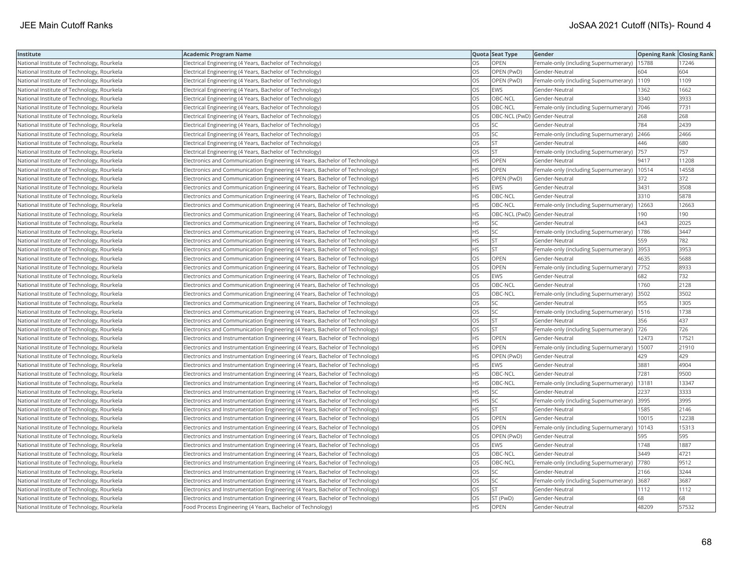| Institute                                  | <b>Academic Program Name</b>                                                  |           | Quota Seat Type | Gender                                       | <b>Opening Rank Closing Rank</b> |       |
|--------------------------------------------|-------------------------------------------------------------------------------|-----------|-----------------|----------------------------------------------|----------------------------------|-------|
| National Institute of Technology, Rourkela | Electrical Engineering (4 Years, Bachelor of Technology)                      | OS        | OPEN            | Female-only (including Supernumerary)        | 15788                            | 17246 |
| National Institute of Technology, Rourkela | Electrical Engineering (4 Years, Bachelor of Technology)                      | OS        | OPEN (PwD)      | Gender-Neutral                               | 604                              | 604   |
| National Institute of Technology, Rourkela | Electrical Engineering (4 Years, Bachelor of Technology)                      | OS        | OPEN (PwD)      | Female-only (including Supernumerary)        | 1109                             | 1109  |
| National Institute of Technology, Rourkela | Electrical Engineering (4 Years, Bachelor of Technology)                      | OS        | EWS             | Gender-Neutral                               | 1362                             | 1662  |
| National Institute of Technology, Rourkela | Electrical Engineering (4 Years, Bachelor of Technology)                      | OS        | OBC-NCL         | Gender-Neutral                               | 3340                             | 3933  |
| National Institute of Technology, Rourkela | Electrical Engineering (4 Years, Bachelor of Technology)                      | OS        | OBC-NCL         | Female-only (including Supernumerary)        | 7046                             | 7731  |
| National Institute of Technology, Rourkela | Electrical Engineering (4 Years, Bachelor of Technology)                      | OS        |                 | OBC-NCL (PwD) Gender-Neutral                 | 268                              | 268   |
| National Institute of Technology, Rourkela | Electrical Engineering (4 Years, Bachelor of Technology)                      | OS        | SC              | Gender-Neutral                               | 784                              | 2439  |
| National Institute of Technology, Rourkela | Electrical Engineering (4 Years, Bachelor of Technology)                      | OS        | SC              | Female-only (including Supernumerary)        | 2466                             | 2466  |
| National Institute of Technology, Rourkela | Electrical Engineering (4 Years, Bachelor of Technology)                      | OS        | <b>ST</b>       | Gender-Neutral                               | 446                              | 680   |
| National Institute of Technology, Rourkela | Electrical Engineering (4 Years, Bachelor of Technology)                      | OS        | <b>ST</b>       | Female-only (including Supernumerary)        | 757                              | 757   |
| National Institute of Technology, Rourkela | Electronics and Communication Engineering (4 Years, Bachelor of Technology)   | <b>HS</b> | OPEN            | Gender-Neutral                               | 9417                             | 11208 |
| National Institute of Technology, Rourkela | Electronics and Communication Engineering (4 Years, Bachelor of Technology)   | <b>HS</b> | OPEN            | Female-only (including Supernumerary)        | 10514                            | 14558 |
| National Institute of Technology, Rourkela | Electronics and Communication Engineering (4 Years, Bachelor of Technology)   | <b>HS</b> | OPEN (PwD)      | Gender-Neutral                               | 372                              | 372   |
| National Institute of Technology, Rourkela | Electronics and Communication Engineering (4 Years, Bachelor of Technology)   | HS        | EWS             | Gender-Neutral                               | 3431                             | 3508  |
| National Institute of Technology, Rourkela | Electronics and Communication Engineering (4 Years, Bachelor of Technology)   | ΗS        | OBC-NCL         | Gender-Neutral                               | 3310                             | 5878  |
| National Institute of Technology, Rourkela | Electronics and Communication Engineering (4 Years, Bachelor of Technology)   | <b>HS</b> | OBC-NCL         | Female-only (including Supernumerary)        | 12663                            | 12663 |
| National Institute of Technology, Rourkela | Electronics and Communication Engineering (4 Years, Bachelor of Technology)   | HS        |                 | OBC-NCL (PwD) Gender-Neutral                 | 190                              | 190   |
| National Institute of Technology, Rourkela | Electronics and Communication Engineering (4 Years, Bachelor of Technology)   | <b>HS</b> | <b>SC</b>       | Gender-Neutral                               | 643                              | 2025  |
| National Institute of Technology, Rourkela | Electronics and Communication Engineering (4 Years, Bachelor of Technology)   | <b>HS</b> | <b>SC</b>       | Female-only (including Supernumerary)        | 1786                             | 3447  |
| National Institute of Technology, Rourkela | Electronics and Communication Engineering (4 Years, Bachelor of Technology)   | HS        | <b>ST</b>       | Gender-Neutral                               | 559                              | 782   |
| National Institute of Technology, Rourkela | Electronics and Communication Engineering (4 Years, Bachelor of Technology)   | <b>HS</b> | <b>ST</b>       | Female-only (including Supernumerary)   3953 |                                  | 3953  |
| National Institute of Technology, Rourkela | Electronics and Communication Engineering (4 Years, Bachelor of Technology)   | OS        | OPEN            | Gender-Neutral                               | 4635                             | 5688  |
| National Institute of Technology, Rourkela | Electronics and Communication Engineering (4 Years, Bachelor of Technology)   | OS        | OPEN            | Female-only (including Supernumerary)  7752  |                                  | 8933  |
| National Institute of Technology, Rourkela | Electronics and Communication Engineering (4 Years, Bachelor of Technology)   | OS        | EWS             | Gender-Neutral                               | 682                              | 732   |
| National Institute of Technology, Rourkela | Electronics and Communication Engineering (4 Years, Bachelor of Technology)   | OS        | OBC-NCL         | Gender-Neutral                               | 1760                             | 2128  |
| National Institute of Technology, Rourkela | Electronics and Communication Engineering (4 Years, Bachelor of Technology)   | OS        | OBC-NCL         | Female-only (including Supernumerary)        | 3502                             | 3502  |
| National Institute of Technology, Rourkela | Electronics and Communication Engineering (4 Years, Bachelor of Technology)   | OS        | SC              | Gender-Neutral                               | 955                              | 1305  |
| National Institute of Technology, Rourkela | Electronics and Communication Engineering (4 Years, Bachelor of Technology)   | OS        | SC              | Female-only (including Supernumerary)        | 1516                             | 1738  |
| National Institute of Technology, Rourkela | Electronics and Communication Engineering (4 Years, Bachelor of Technology)   | OS        | <b>ST</b>       | Gender-Neutral                               | 356                              | 437   |
| National Institute of Technology, Rourkela | Electronics and Communication Engineering (4 Years, Bachelor of Technology)   | OS        | <b>ST</b>       | Female-only (including Supernumerary)   726  |                                  | 726   |
| National Institute of Technology, Rourkela | Electronics and Instrumentation Engineering (4 Years, Bachelor of Technology) | HS        | OPEN            | Gender-Neutral                               | 12473                            | 17521 |
| National Institute of Technology, Rourkela | Electronics and Instrumentation Engineering (4 Years, Bachelor of Technology) | <b>HS</b> | OPEN            | Female-only (including Supernumerary)        | 15007                            | 21910 |
| National Institute of Technology, Rourkela | Electronics and Instrumentation Engineering (4 Years, Bachelor of Technology) | НS        | OPEN (PwD)      | Gender-Neutral                               | 429                              | 429   |
| National Institute of Technology, Rourkela | Electronics and Instrumentation Engineering (4 Years, Bachelor of Technology) | <b>HS</b> | <b>EWS</b>      | Gender-Neutral                               | 3881                             | 4904  |
| National Institute of Technology, Rourkela | Electronics and Instrumentation Engineering (4 Years, Bachelor of Technology) | <b>HS</b> | OBC-NCL         | Gender-Neutral                               | 7281                             | 9500  |
| National Institute of Technology, Rourkela | Electronics and Instrumentation Engineering (4 Years, Bachelor of Technology) | HS        | OBC-NCL         | Female-only (including Supernumerary)        | 13181                            | 13347 |
| National Institute of Technology, Rourkela | Electronics and Instrumentation Engineering (4 Years, Bachelor of Technology) | HS        | SC              | Gender-Neutral                               | 2237                             | 3333  |
| National Institute of Technology, Rourkela | Electronics and Instrumentation Engineering (4 Years, Bachelor of Technology) | HS        | SC              | Female-only (including Supernumerary) 3995   |                                  | 3995  |
| National Institute of Technology, Rourkela | Electronics and Instrumentation Engineering (4 Years, Bachelor of Technology) | <b>HS</b> | <b>ST</b>       | Gender-Neutral                               | 1585                             | 2146  |
| National Institute of Technology, Rourkela | Electronics and Instrumentation Engineering (4 Years, Bachelor of Technology) | OS        | OPEN            | Gender-Neutral                               | 10015                            | 12238 |
| National Institute of Technology, Rourkela | Electronics and Instrumentation Engineering (4 Years, Bachelor of Technology) | OS        | OPEN            | Female-only (including Supernumerary)        | 10143                            | 15313 |
| National Institute of Technology, Rourkela | Electronics and Instrumentation Engineering (4 Years, Bachelor of Technology) | OS        | OPEN (PwD)      | Gender-Neutral                               | 595                              | 595   |
| National Institute of Technology, Rourkela | Electronics and Instrumentation Engineering (4 Years, Bachelor of Technology) | OS        | <b>EWS</b>      | Gender-Neutral                               | 1748                             | 1887  |
| National Institute of Technology, Rourkela | Electronics and Instrumentation Engineering (4 Years, Bachelor of Technology) | OS.       | OBC-NCL         | Gender-Neutral                               | 3449                             | 4721  |
| National Institute of Technology, Rourkela | Electronics and Instrumentation Engineering (4 Years, Bachelor of Technology) | OS        | OBC-NCL         | Female-only (including Supernumerary)        | 7780                             | 9512  |
| National Institute of Technology, Rourkela | Electronics and Instrumentation Engineering (4 Years, Bachelor of Technology) | OS        | <b>SC</b>       | Gender-Neutral                               | 2166                             | 3244  |
| National Institute of Technology, Rourkela | Electronics and Instrumentation Engineering (4 Years, Bachelor of Technology) | OS        | SC              | Female-only (including Supernumerary) 3687   |                                  | 3687  |
| National Institute of Technology, Rourkela | Electronics and Instrumentation Engineering (4 Years, Bachelor of Technology) | OS        | <b>ST</b>       | Gender-Neutral                               | 1112                             | 1112  |
| National Institute of Technology, Rourkela | Electronics and Instrumentation Engineering (4 Years, Bachelor of Technology) | OS        | ST (PwD)        | Gender-Neutral                               | 68                               | 68    |
| National Institute of Technology, Rourkela | Food Process Engineering (4 Years, Bachelor of Technology)                    | <b>HS</b> | <b>OPEN</b>     | Gender-Neutral                               | 48209                            | 57532 |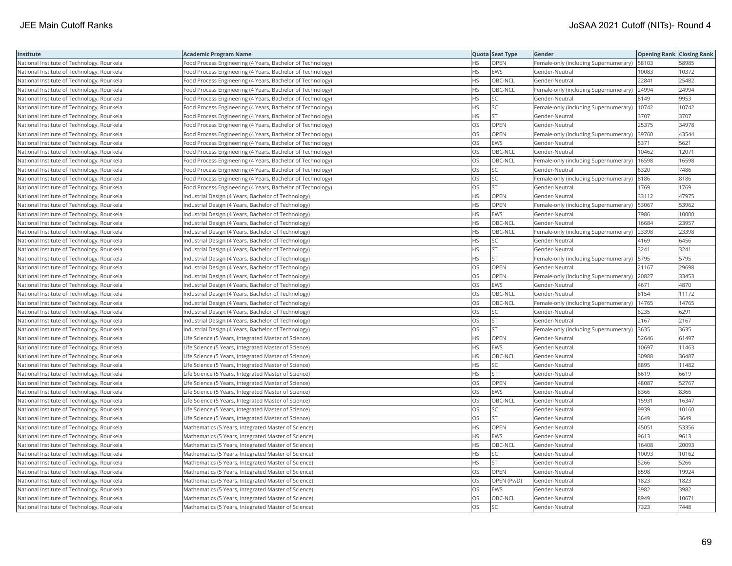| Institute                                  | <b>Academic Program Name</b>                               |           | Quota Seat Type | Gender                                        | <b>Opening Rank Closing Rank</b> |       |
|--------------------------------------------|------------------------------------------------------------|-----------|-----------------|-----------------------------------------------|----------------------------------|-------|
| National Institute of Technology, Rourkela | Food Process Engineering (4 Years, Bachelor of Technology) | НS        | OPEN            | Female-only (including Supernumerary)         | 58103                            | 58985 |
| National Institute of Technology, Rourkela | Food Process Engineering (4 Years, Bachelor of Technology) | <b>HS</b> | EWS             | Gender-Neutral                                | 10083                            | 10372 |
| National Institute of Technology, Rourkela | Food Process Engineering (4 Years, Bachelor of Technology) | HS        | OBC-NCL         | Gender-Neutral                                | 22841                            | 25482 |
| National Institute of Technology, Rourkela | Food Process Engineering (4 Years, Bachelor of Technology) | HS        | OBC-NCL         | Female-only (including Supernumerary)         | 24994                            | 24994 |
| National Institute of Technology, Rourkela | Food Process Engineering (4 Years, Bachelor of Technology) | <b>HS</b> | <b>SC</b>       | Gender-Neutral                                | 8149                             | 9953  |
| National Institute of Technology, Rourkela | Food Process Engineering (4 Years, Bachelor of Technology) | HS        | SC              | Female-only (including Supernumerary)   10742 |                                  | 10742 |
| National Institute of Technology, Rourkela | Food Process Engineering (4 Years, Bachelor of Technology) | ΗS        | ST              | Gender-Neutral                                | 3707                             | 3707  |
| National Institute of Technology, Rourkela | Food Process Engineering (4 Years, Bachelor of Technology) | OS        | <b>OPEN</b>     | Gender-Neutral                                | 25375                            | 34978 |
| National Institute of Technology, Rourkela | Food Process Engineering (4 Years, Bachelor of Technology) | OS        | OPEN            | Female-only (including Supernumerary)         | 39760                            | 43544 |
| National Institute of Technology, Rourkela | Food Process Engineering (4 Years, Bachelor of Technology) | OS        | <b>EWS</b>      | Gender-Neutral                                | 5371                             | 5621  |
| National Institute of Technology, Rourkela | Food Process Engineering (4 Years, Bachelor of Technology) | OS        | OBC-NCL         | Gender-Neutral                                | 10462                            | 12071 |
| National Institute of Technology, Rourkela | Food Process Engineering (4 Years, Bachelor of Technology) | OS        | OBC-NCL         | Female-only (including Supernumerary)         | 16598                            | 16598 |
| National Institute of Technology, Rourkela | Food Process Engineering (4 Years, Bachelor of Technology) | OS        | <b>SC</b>       | Gender-Neutral                                | 6320                             | 7486  |
| National Institute of Technology, Rourkela | Food Process Engineering (4 Years, Bachelor of Technology) | OS        | SC              | Female-only (including Supernumerary) 8186    |                                  | 8186  |
| National Institute of Technology, Rourkela | Food Process Engineering (4 Years, Bachelor of Technology) | OS        | <b>ST</b>       | Gender-Neutral                                | 1769                             | 1769  |
| National Institute of Technology, Rourkela | Industrial Design (4 Years, Bachelor of Technology)        | НS        | OPEN            | Gender-Neutral                                | 33112                            | 47975 |
| National Institute of Technology, Rourkela | Industrial Design (4 Years, Bachelor of Technology)        | HS        | OPEN            | Female-only (including Supernumerary)         | 53067                            | 53962 |
| National Institute of Technology, Rourkela | Industrial Design (4 Years, Bachelor of Technology)        | HS        | <b>EWS</b>      | Gender-Neutral                                | 7986                             | 10000 |
| National Institute of Technology, Rourkela | Industrial Design (4 Years, Bachelor of Technology)        | <b>HS</b> | OBC-NCL         | Gender-Neutral                                | 16684                            | 23957 |
| National Institute of Technology, Rourkela | Industrial Design (4 Years, Bachelor of Technology)        | <b>HS</b> | OBC-NCL         | Female-only (including Supernumerary)         | 23398                            | 23398 |
| National Institute of Technology, Rourkela | Industrial Design (4 Years, Bachelor of Technology)        | HS        | SC              | Gender-Neutral                                | 4169                             | 6456  |
| National Institute of Technology, Rourkela | Industrial Design (4 Years, Bachelor of Technology)        | HS        | <b>ST</b>       | Gender-Neutral                                | 3241                             | 3241  |
| National Institute of Technology, Rourkela | Industrial Design (4 Years, Bachelor of Technology)        | HS        | <b>ST</b>       | Female-only (including Supernumerary)   5795  |                                  | 5795  |
| National Institute of Technology, Rourkela | Industrial Design (4 Years, Bachelor of Technology)        | OS        | OPEN            | Gender-Neutral                                | 21167                            | 29698 |
| National Institute of Technology, Rourkela | Industrial Design (4 Years, Bachelor of Technology)        | OS        | OPEN            | Female-only (including Supernumerary)         | 20827                            | 33453 |
| National Institute of Technology, Rourkela | Industrial Design (4 Years, Bachelor of Technology)        | OS        | <b>EWS</b>      | Gender-Neutral                                | 4671                             | 4870  |
| National Institute of Technology, Rourkela | Industrial Design (4 Years, Bachelor of Technology)        | OS        | OBC-NCL         | Gender-Neutral                                | 8154                             | 11172 |
| National Institute of Technology, Rourkela | Industrial Design (4 Years, Bachelor of Technology)        | OS        | OBC-NCL         | Female-only (including Supernumerary)         | 14765                            | 14765 |
| National Institute of Technology, Rourkela | Industrial Design (4 Years, Bachelor of Technology)        | OS        | <b>SC</b>       | Gender-Neutral                                | 6235                             | 6291  |
| National Institute of Technology, Rourkela | Industrial Design (4 Years, Bachelor of Technology)        | OS        | <b>ST</b>       | Gender-Neutral                                | 2167                             | 2167  |
| National Institute of Technology, Rourkela | Industrial Design (4 Years, Bachelor of Technology)        | OS        | <b>ST</b>       | Female-only (including Supernumerary) 3635    |                                  | 3635  |
| National Institute of Technology, Rourkela | Life Science (5 Years, Integrated Master of Science)       | HS        | OPEN            | Gender-Neutral                                | 52646                            | 61497 |
| National Institute of Technology, Rourkela | Life Science (5 Years, Integrated Master of Science)       | <b>HS</b> | <b>EWS</b>      | Gender-Neutral                                | 10697                            | 11463 |
| National Institute of Technology, Rourkela | Life Science (5 Years, Integrated Master of Science)       | HS        | OBC-NCL         | Gender-Neutral                                | 30988                            | 36487 |
| National Institute of Technology, Rourkela | Life Science (5 Years, Integrated Master of Science)       | HS        | <b>SC</b>       | Gender-Neutral                                | 8895                             | 11482 |
| National Institute of Technology, Rourkela | Life Science (5 Years, Integrated Master of Science)       | <b>HS</b> | <b>ST</b>       | Gender-Neutral                                | 6619                             | 6619  |
| National Institute of Technology, Rourkela | Life Science (5 Years, Integrated Master of Science)       | OS        | <b>OPEN</b>     | Gender-Neutral                                | 48087                            | 52767 |
| National Institute of Technology, Rourkela | Life Science (5 Years, Integrated Master of Science)       | OS        | <b>EWS</b>      | Gender-Neutral                                | 8366                             | 8366  |
| National Institute of Technology, Rourkela | Life Science (5 Years, Integrated Master of Science)       | OS        | OBC-NCL         | Gender-Neutral                                | 15931                            | 16347 |
| National Institute of Technology, Rourkela | Life Science (5 Years, Integrated Master of Science)       | OS        | SC              | Gender-Neutral                                | 9939                             | 10160 |
| National Institute of Technology, Rourkela | Life Science (5 Years, Integrated Master of Science)       | OS        | <b>ST</b>       | Gender-Neutral                                | 3649                             | 3649  |
| National Institute of Technology, Rourkela | Mathematics (5 Years, Integrated Master of Science)        | <b>HS</b> | OPEN            | Gender-Neutral                                | 45051                            | 53356 |
| National Institute of Technology, Rourkela | Mathematics (5 Years, Integrated Master of Science)        | HS        | <b>EWS</b>      | Gender-Neutral                                | 9613                             | 9613  |
| National Institute of Technology, Rourkela | Mathematics (5 Years, Integrated Master of Science)        | <b>HS</b> | OBC-NCL         | Gender-Neutral                                | 16408                            | 20093 |
| National Institute of Technology, Rourkela | Mathematics (5 Years, Integrated Master of Science)        | HS        | SC              | Gender-Neutral                                | 10093                            | 10162 |
| National Institute of Technology, Rourkela | Mathematics (5 Years, Integrated Master of Science)        | HS        | <b>ST</b>       | Gender-Neutral                                | 5266                             | 5266  |
| National Institute of Technology, Rourkela | Mathematics (5 Years, Integrated Master of Science)        | OS        | <b>OPEN</b>     | Gender-Neutral                                | 8598                             | 19924 |
| National Institute of Technology, Rourkela | Mathematics (5 Years, Integrated Master of Science)        | OS        | OPEN (PwD)      | Gender-Neutral                                | 1823                             | 1823  |
| National Institute of Technology, Rourkela | Mathematics (5 Years, Integrated Master of Science)        | OS        | EWS             | Gender-Neutral                                | 3982                             | 3982  |
| National Institute of Technology, Rourkela | Mathematics (5 Years, Integrated Master of Science)        | OS        | OBC-NCL         | Gender-Neutral                                | 8949                             | 10671 |
| National Institute of Technology, Rourkela | Mathematics (5 Years, Integrated Master of Science)        | <b>OS</b> | <b>SC</b>       | Gender-Neutral                                | 7323                             | 7448  |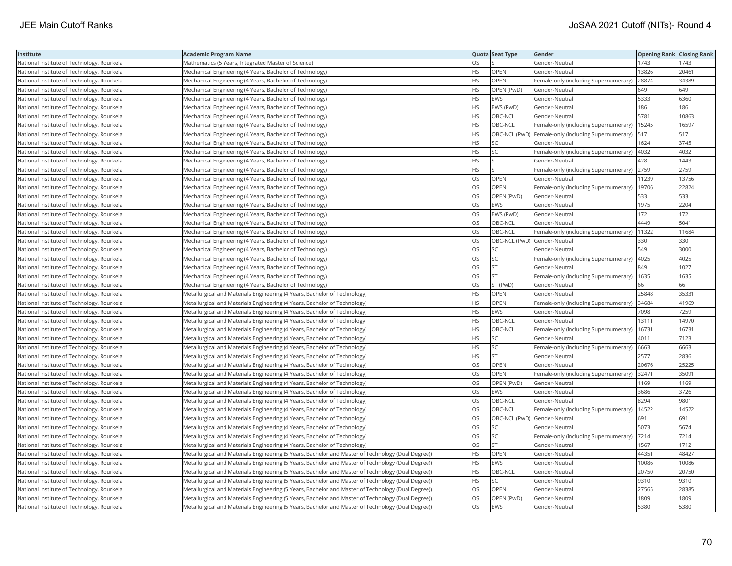| Institute                                  | <b>Academic Program Name</b>                                                                       |           | Quota Seat Type              | Gender                                                | <b>Opening Rank Closing Rank</b> |       |
|--------------------------------------------|----------------------------------------------------------------------------------------------------|-----------|------------------------------|-------------------------------------------------------|----------------------------------|-------|
| National Institute of Technology, Rourkela | Mathematics (5 Years, Integrated Master of Science)                                                | OS        | <b>ST</b>                    | Gender-Neutral                                        | 1743                             | 1743  |
| National Institute of Technology, Rourkela | Mechanical Engineering (4 Years, Bachelor of Technology)                                           | HS        | OPEN                         | Gender-Neutral                                        | 13826                            | 20461 |
| National Institute of Technology, Rourkela | Mechanical Engineering (4 Years, Bachelor of Technology)                                           | НS        | OPEN                         | Female-only (including Supernumerary)                 | 28874                            | 34389 |
| National Institute of Technology, Rourkela | Mechanical Engineering (4 Years, Bachelor of Technology)                                           | HS        | OPEN (PwD)                   | Gender-Neutral                                        | 649                              | 649   |
| National Institute of Technology, Rourkela | Mechanical Engineering (4 Years, Bachelor of Technology)                                           | <b>HS</b> | <b>EWS</b>                   | Gender-Neutral                                        | 5333                             | 6360  |
| National Institute of Technology, Rourkela | Mechanical Engineering (4 Years, Bachelor of Technology)                                           | HS        | EWS (PwD)                    | Gender-Neutral                                        | 186                              | 186   |
| National Institute of Technology, Rourkela | Mechanical Engineering (4 Years, Bachelor of Technology)                                           | HS        | OBC-NCL                      | Gender-Neutral                                        | 5781                             | 10863 |
| National Institute of Technology, Rourkela | Mechanical Engineering (4 Years, Bachelor of Technology)                                           | HS.       | OBC-NCL                      | Female-only (including Supernumerary)                 | 15245                            | 16597 |
| National Institute of Technology, Rourkela | Mechanical Engineering (4 Years, Bachelor of Technology)                                           | HS        |                              | OBC-NCL (PwD)   Female-only (including Supernumerary) | 517                              | 517   |
| National Institute of Technology, Rourkela | Mechanical Engineering (4 Years, Bachelor of Technology)                                           | HS        | SC                           | Gender-Neutral                                        | 1624                             | 3745  |
| National Institute of Technology, Rourkela | Mechanical Engineering (4 Years, Bachelor of Technology)                                           | HS        | <b>SC</b>                    | Female-only (including Supernumerary)                 | 4032                             | 4032  |
| National Institute of Technology, Rourkela | Mechanical Engineering (4 Years, Bachelor of Technology)                                           | <b>HS</b> | <b>ST</b>                    | Gender-Neutral                                        | 428                              | 1443  |
| National Institute of Technology, Rourkela | Mechanical Engineering (4 Years, Bachelor of Technology)                                           | HS        | <b>ST</b>                    | Female-only (including Supernumerary)                 | 2759                             | 2759  |
| National Institute of Technology, Rourkela | Mechanical Engineering (4 Years, Bachelor of Technology)                                           | OS        | OPEN                         | Gender-Neutral                                        | 11239                            | 13756 |
| National Institute of Technology, Rourkela | Mechanical Engineering (4 Years, Bachelor of Technology)                                           | OS        | OPEN                         | Female-only (including Supernumerary)   19706         |                                  | 22824 |
| National Institute of Technology, Rourkela | Mechanical Engineering (4 Years, Bachelor of Technology)                                           | OS        | OPEN (PwD)                   | Gender-Neutral                                        | 533                              | 533   |
| National Institute of Technology, Rourkela | Mechanical Engineering (4 Years, Bachelor of Technology)                                           | OS        | <b>EWS</b>                   | Gender-Neutral                                        | 1975                             | 2204  |
| National Institute of Technology, Rourkela | Mechanical Engineering (4 Years, Bachelor of Technology)                                           | OS        | EWS (PwD)                    | Gender-Neutral                                        | 172                              | 172   |
| National Institute of Technology, Rourkela | Mechanical Engineering (4 Years, Bachelor of Technology)                                           | OS        | OBC-NCL                      | Gender-Neutral                                        | 4449                             | 5041  |
| National Institute of Technology, Rourkela | Mechanical Engineering (4 Years, Bachelor of Technology)                                           | OS        | OBC-NCL                      | Female-only (including Supernumerary)                 | 11322                            | 11684 |
| National Institute of Technology, Rourkela | Mechanical Engineering (4 Years, Bachelor of Technology)                                           | OS        | OBC-NCL (PwD) Gender-Neutral |                                                       | 330                              | 330   |
| National Institute of Technology, Rourkela | Mechanical Engineering (4 Years, Bachelor of Technology)                                           | OS        | SC                           | Gender-Neutral                                        | 549                              | 3000  |
| National Institute of Technology, Rourkela | Mechanical Engineering (4 Years, Bachelor of Technology)                                           | OS        | SC                           | Female-only (including Supernumerary)   4025          |                                  | 4025  |
| National Institute of Technology, Rourkela | Mechanical Engineering (4 Years, Bachelor of Technology)                                           | OS        | <b>ST</b>                    | Gender-Neutral                                        | 849                              | 1027  |
| National Institute of Technology, Rourkela | Mechanical Engineering (4 Years, Bachelor of Technology)                                           | OS        | <b>ST</b>                    | Female-only (including Supernumerary)                 | 1635                             | 1635  |
| National Institute of Technology, Rourkela | Mechanical Engineering (4 Years, Bachelor of Technology)                                           | OS        | ST (PwD)                     | Gender-Neutral                                        | 66                               | 66    |
| National Institute of Technology, Rourkela | Metallurgical and Materials Engineering (4 Years, Bachelor of Technology)                          | HS        | OPEN                         | Gender-Neutral                                        | 25848                            | 35331 |
| National Institute of Technology, Rourkela | Metallurgical and Materials Engineering (4 Years, Bachelor of Technology)                          | <b>HS</b> | <b>OPEN</b>                  | Female-only (including Supernumerary)                 | 34684                            | 41969 |
| National Institute of Technology, Rourkela | Metallurgical and Materials Engineering (4 Years, Bachelor of Technology)                          | HS        | <b>EWS</b>                   | Gender-Neutral                                        | 7098                             | 7259  |
| National Institute of Technology, Rourkela | Metallurgical and Materials Engineering (4 Years, Bachelor of Technology)                          | HS        | OBC-NCL                      | Gender-Neutral                                        | 13111                            | 14970 |
| National Institute of Technology, Rourkela | Metallurgical and Materials Engineering (4 Years, Bachelor of Technology)                          | HS        | OBC-NCL                      | Female-only (including Supernumerary)                 | 16731                            | 16731 |
| National Institute of Technology, Rourkela | Metallurgical and Materials Engineering (4 Years, Bachelor of Technology)                          | HS        | SC                           | Gender-Neutral                                        | 4011                             | 7123  |
| National Institute of Technology, Rourkela | Metallurgical and Materials Engineering (4 Years, Bachelor of Technology)                          | HS        | SC                           | Female-only (including Supernumerary)                 | 6663                             | 6663  |
| National Institute of Technology, Rourkela | Metallurgical and Materials Engineering (4 Years, Bachelor of Technology)                          | HS        | <b>ST</b>                    | Gender-Neutral                                        | 2577                             | 2836  |
| National Institute of Technology, Rourkela | Metallurgical and Materials Engineering (4 Years, Bachelor of Technology)                          | OS        | OPEN                         | Gender-Neutral                                        | 20676                            | 25225 |
| National Institute of Technology, Rourkela | Metallurgical and Materials Engineering (4 Years, Bachelor of Technology)                          | OS        | <b>OPEN</b>                  | Female-only (including Supernumerary)                 | 32471                            | 35091 |
| National Institute of Technology, Rourkela | Metallurgical and Materials Engineering (4 Years, Bachelor of Technology)                          | OS        | OPEN (PwD)                   | Gender-Neutral                                        | 1169                             | 1169  |
| National Institute of Technology, Rourkela | Metallurgical and Materials Engineering (4 Years, Bachelor of Technology)                          | OS        | <b>EWS</b>                   | Gender-Neutral                                        | 3686                             | 3726  |
| National Institute of Technology, Rourkela | Metallurgical and Materials Engineering (4 Years, Bachelor of Technology)                          | OS        | OBC-NCL                      | Gender-Neutral                                        | 8294                             | 9801  |
| National Institute of Technology, Rourkela | Metallurgical and Materials Engineering (4 Years, Bachelor of Technology)                          | <b>OS</b> | OBC-NCL                      | Female-only (including Supernumerary)                 | 14522                            | 14522 |
| National Institute of Technology, Rourkela | Metallurgical and Materials Engineering (4 Years, Bachelor of Technology)                          | OS        | OBC-NCL (PwD) Gender-Neutral |                                                       | 691                              | 691   |
| National Institute of Technology, Rourkela | Metallurgical and Materials Engineering (4 Years, Bachelor of Technology)                          | OS        | SC                           | Gender-Neutral                                        | 5073                             | 5674  |
| National Institute of Technology, Rourkela | Metallurgical and Materials Engineering (4 Years, Bachelor of Technology)                          | OS        | SC                           | Female-only (including Supernumerary)                 | 7214                             | 7214  |
| National Institute of Technology, Rourkela | Metallurgical and Materials Engineering (4 Years, Bachelor of Technology)                          | OS        | <b>ST</b>                    | Gender-Neutral                                        | 1567                             | 1712  |
| National Institute of Technology, Rourkela | Metallurgical and Materials Engineering (5 Years, Bachelor and Master of Technology (Dual Degree)) | HS        | <b>OPEN</b>                  | Gender-Neutral                                        | 44351                            | 48427 |
| National Institute of Technology, Rourkela | Metallurgical and Materials Engineering (5 Years, Bachelor and Master of Technology (Dual Degree)) | HS        | <b>EWS</b>                   | Gender-Neutral                                        | 10086                            | 10086 |
| National Institute of Technology, Rourkela | Metallurgical and Materials Engineering (5 Years, Bachelor and Master of Technology (Dual Degree)) | HS        | OBC-NCL                      | Gender-Neutral                                        | 20750                            | 20750 |
| National Institute of Technology, Rourkela | Metallurgical and Materials Engineering (5 Years, Bachelor and Master of Technology (Dual Degree)) | HS        | <b>SC</b>                    | Gender-Neutral                                        | 9310                             | 9310  |
| National Institute of Technology, Rourkela | Metallurgical and Materials Engineering (5 Years, Bachelor and Master of Technology (Dual Degree)) | OS        | OPEN                         | Gender-Neutral                                        | 27565                            | 28385 |
| National Institute of Technology, Rourkela | Metallurgical and Materials Engineering (5 Years, Bachelor and Master of Technology (Dual Degree)) | OS        | OPEN (PwD)                   | Gender-Neutral                                        | 1809                             | 1809  |
| National Institute of Technology, Rourkela | Metallurgical and Materials Engineering (5 Years, Bachelor and Master of Technology (Dual Degree)) | OS        | <b>EWS</b>                   | Gender-Neutral                                        | 5380                             | 5380  |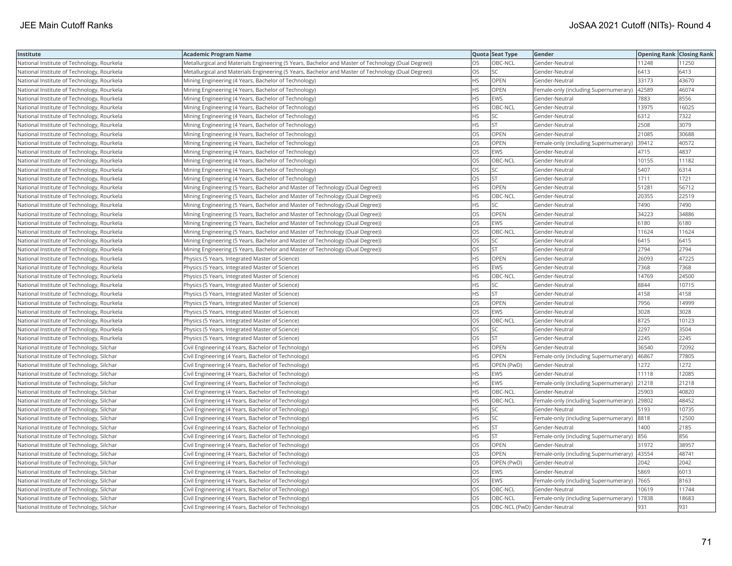| Institute                                  | <b>Academic Program Name</b>                                                                       |           | Quota Seat Type | Gender                                      | <b>Opening Rank Closing Rank</b> |       |
|--------------------------------------------|----------------------------------------------------------------------------------------------------|-----------|-----------------|---------------------------------------------|----------------------------------|-------|
| National Institute of Technology, Rourkela | Metallurgical and Materials Engineering (5 Years, Bachelor and Master of Technology (Dual Degree)) | OS        | OBC-NCL         | Gender-Neutral                              | 11248                            | 11250 |
| National Institute of Technology, Rourkela | Metallurgical and Materials Engineering (5 Years, Bachelor and Master of Technology (Dual Degree)) | OS        | <b>SC</b>       | Gender-Neutral                              | 6413                             | 6413  |
| National Institute of Technology, Rourkela | Mining Engineering (4 Years, Bachelor of Technology)                                               | HS        | OPEN            | Gender-Neutral                              | 33173                            | 43670 |
| National Institute of Technology, Rourkela | Mining Engineering (4 Years, Bachelor of Technology)                                               | HS        | OPEN            | Female-only (including Supernumerary)       | 42589                            | 46074 |
| National Institute of Technology, Rourkela | Mining Engineering (4 Years, Bachelor of Technology)                                               | HS        | <b>EWS</b>      | Gender-Neutral                              | 7883                             | 8556  |
| National Institute of Technology, Rourkela | Mining Engineering (4 Years, Bachelor of Technology)                                               | HS        | OBC-NCL         | Gender-Neutral                              | 13975                            | 16025 |
| National Institute of Technology, Rourkela | Mining Engineering (4 Years, Bachelor of Technology)                                               | ΗS        | SC              | Gender-Neutral                              | 6312                             | 7322  |
| National Institute of Technology, Rourkela | Mining Engineering (4 Years, Bachelor of Technology)                                               | HS        | <b>ST</b>       | Gender-Neutral                              | 2508                             | 3079  |
| National Institute of Technology, Rourkela | Mining Engineering (4 Years, Bachelor of Technology)                                               | OS        | OPEN            | Gender-Neutral                              | 21085                            | 30688 |
| National Institute of Technology, Rourkela | Mining Engineering (4 Years, Bachelor of Technology)                                               | OS        | OPEN            | Female-only (including Supernumerary)       | 39412                            | 40572 |
| National Institute of Technology, Rourkela | Mining Engineering (4 Years, Bachelor of Technology)                                               | OS        | <b>EWS</b>      | Gender-Neutral                              | 4715                             | 4837  |
| National Institute of Technology, Rourkela | Mining Engineering (4 Years, Bachelor of Technology)                                               | OS        | OBC-NCL         | Gender-Neutral                              | 10155                            | 11182 |
| National Institute of Technology, Rourkela | Mining Engineering (4 Years, Bachelor of Technology)                                               | OS.       | SC              | Gender-Neutral                              | 5407                             | 6314  |
| National Institute of Technology, Rourkela | Mining Engineering (4 Years, Bachelor of Technology)                                               | OS        | <b>ST</b>       | Gender-Neutral                              | 1711                             | 1721  |
| National Institute of Technology, Rourkela | Mining Engineering (5 Years, Bachelor and Master of Technology (Dual Degree))                      | HS        | OPEN            | Gender-Neutral                              | 51281                            | 56712 |
| National Institute of Technology, Rourkela | Mining Engineering (5 Years, Bachelor and Master of Technology (Dual Degree))                      | HS        | OBC-NCL         | Gender-Neutral                              | 20355                            | 22519 |
| National Institute of Technology, Rourkela | Mining Engineering (5 Years, Bachelor and Master of Technology (Dual Degree))                      | HS        | SC              | Gender-Neutral                              | 7490                             | 7490  |
| National Institute of Technology, Rourkela | Mining Engineering (5 Years, Bachelor and Master of Technology (Dual Degree))                      | OS        | OPEN            | Gender-Neutral                              | 34223                            | 34886 |
| National Institute of Technology, Rourkela | Mining Engineering (5 Years, Bachelor and Master of Technology (Dual Degree))                      | OS        | <b>EWS</b>      | Gender-Neutral                              | 6180                             | 6180  |
| National Institute of Technology, Rourkela | Mining Engineering (5 Years, Bachelor and Master of Technology (Dual Degree))                      | OS        | OBC-NCL         | Gender-Neutral                              | 11624                            | 11624 |
| National Institute of Technology, Rourkela | Mining Engineering (5 Years, Bachelor and Master of Technology (Dual Degree))                      | OS        | SC              | Gender-Neutral                              | 6415                             | 6415  |
| National Institute of Technology, Rourkela | Mining Engineering (5 Years, Bachelor and Master of Technology (Dual Degree))                      | OS        | <b>ST</b>       | Gender-Neutral                              | 2794                             | 2794  |
| National Institute of Technology, Rourkela | Physics (5 Years, Integrated Master of Science)                                                    | HS        | OPEN            | Gender-Neutral                              | 26093                            | 47225 |
| National Institute of Technology, Rourkela | Physics (5 Years, Integrated Master of Science)                                                    | HS        | EWS             | Gender-Neutral                              | 7368                             | 7368  |
| National Institute of Technology, Rourkela | Physics (5 Years, Integrated Master of Science)                                                    | HS        | OBC-NCL         | Gender-Neutral                              | 14769                            | 24500 |
| National Institute of Technology, Rourkela | Physics (5 Years, Integrated Master of Science)                                                    | HS        | SC              | Gender-Neutral                              | 8844                             | 10715 |
| National Institute of Technology, Rourkela | Physics (5 Years, Integrated Master of Science)                                                    | <b>HS</b> | <b>ST</b>       | Gender-Neutral                              | 4158                             | 4158  |
| National Institute of Technology, Rourkela | Physics (5 Years, Integrated Master of Science)                                                    | OS        | OPEN            | Gender-Neutral                              | 7956                             | 14999 |
| National Institute of Technology, Rourkela | Physics (5 Years, Integrated Master of Science)                                                    | OS        | <b>EWS</b>      | Gender-Neutral                              | 3028                             | 3028  |
| National Institute of Technology, Rourkela | Physics (5 Years, Integrated Master of Science)                                                    | OS        | OBC-NCL         | Gender-Neutral                              | 8725                             | 10123 |
| National Institute of Technology, Rourkela | Physics (5 Years, Integrated Master of Science)                                                    | OS        | SC              | Gender-Neutral                              | 2297                             | 3504  |
| National Institute of Technology, Rourkela | Physics (5 Years, Integrated Master of Science)                                                    | OS        | <b>ST</b>       | Gender-Neutral                              | 2245                             | 2245  |
| National Institute of Technology, Silchar  | Civil Engineering (4 Years, Bachelor of Technology)                                                | HS        | OPEN            | Gender-Neutral                              | 36540                            | 72092 |
| National Institute of Technology, Silchar  | Civil Engineering (4 Years, Bachelor of Technology)                                                | HS        | OPEN            | Female-only (including Supernumerary)       | 46867                            | 77805 |
| National Institute of Technology, Silchar  | Civil Engineering (4 Years, Bachelor of Technology)                                                | HS        | OPEN (PwD)      | Gender-Neutral                              | 1272                             | 1272  |
| National Institute of Technology, Silchar  | Civil Engineering (4 Years, Bachelor of Technology)                                                | HS        | <b>EWS</b>      | Gender-Neutral                              | 11118                            | 12085 |
| National Institute of Technology, Silchar  | Civil Engineering (4 Years, Bachelor of Technology)                                                | HS        | <b>EWS</b>      | Female-only (including Supernumerary)       | 21218                            | 21218 |
| National Institute of Technology, Silchar  | Civil Engineering (4 Years, Bachelor of Technology)                                                | HS        | OBC-NCL         | Gender-Neutral                              | 25903                            | 40820 |
| National Institute of Technology, Silchar  | Civil Engineering (4 Years, Bachelor of Technology)                                                | HS        | OBC-NCL         | Female-only (including Supernumerary)       | 29802                            | 48452 |
| National Institute of Technology, Silchar  | Civil Engineering (4 Years, Bachelor of Technology)                                                | HS        | SC              | Gender-Neutral                              | 5193                             | 10735 |
| National Institute of Technology, Silchar  | Civil Engineering (4 Years, Bachelor of Technology)                                                | HS        | SC              | Female-only (including Supernumerary)       | 8818                             | 12500 |
| National Institute of Technology, Silchar  | Civil Engineering (4 Years, Bachelor of Technology)                                                | HS        | <b>ST</b>       | Gender-Neutral                              | 1400                             | 2185  |
| National Institute of Technology, Silchar  | Civil Engineering (4 Years, Bachelor of Technology)                                                | HS        | <b>ST</b>       | Female-only (including Supernumerary)       | 856                              | 856   |
| National Institute of Technology, Silchar  | Civil Engineering (4 Years, Bachelor of Technology)                                                | OS        | OPEN            | Gender-Neutral                              | 31972                            | 38957 |
| National Institute of Technology, Silchar  | Civil Engineering (4 Years, Bachelor of Technology)                                                | OS        | OPEN            | Female-only (including Supernumerary) 43554 |                                  | 48741 |
| National Institute of Technology, Silchar  | Civil Engineering (4 Years, Bachelor of Technology)                                                | OS        | OPEN (PwD)      | Gender-Neutral                              | 2042                             | 2042  |
| National Institute of Technology, Silchar  | Civil Engineering (4 Years, Bachelor of Technology)                                                | OS        | <b>EWS</b>      | Gender-Neutral                              | 5869                             | 6013  |
| National Institute of Technology, Silchar  | Civil Engineering (4 Years, Bachelor of Technology)                                                | OS        | EWS             | Female-only (including Supernumerary)       | 7665                             | 8163  |
| National Institute of Technology, Silchar  | Civil Engineering (4 Years, Bachelor of Technology)                                                | OS        | OBC-NCL         | Gender-Neutral                              | 10619                            | 11744 |
| National Institute of Technology, Silchar  | Civil Engineering (4 Years, Bachelor of Technology)                                                | OS        | OBC-NCL         | Female-only (including Supernumerary)       | 17838                            | 18683 |
| National Institute of Technology, Silchar  | Civil Engineering (4 Years, Bachelor of Technology)                                                | OS        |                 | OBC-NCL (PwD) Gender-Neutral                | 931                              | 931   |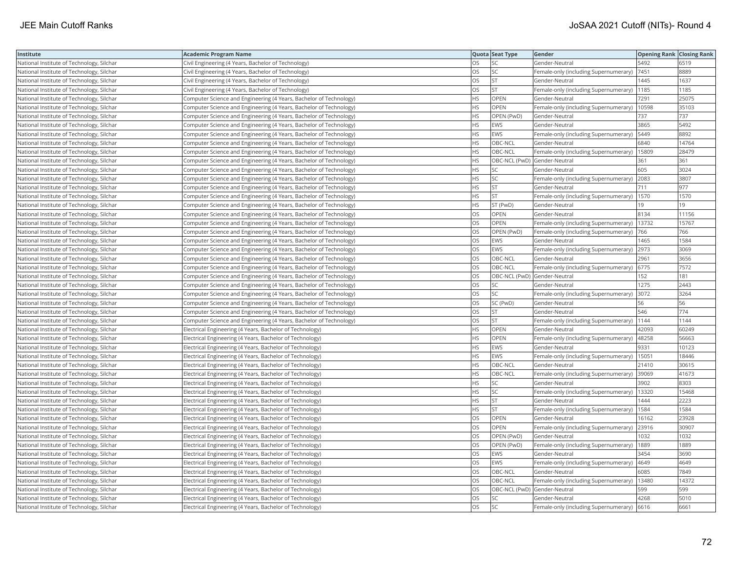| Institute                                 | <b>Academic Program Name</b>                                       |           | Quota Seat Type              | Gender                                        | <b>Opening Rank Closing Rank</b> |       |
|-------------------------------------------|--------------------------------------------------------------------|-----------|------------------------------|-----------------------------------------------|----------------------------------|-------|
| National Institute of Technology, Silchar | Civil Engineering (4 Years, Bachelor of Technology)                | OS        | SC                           | Gender-Neutral                                | 5492                             | 6519  |
| National Institute of Technology, Silchar | Civil Engineering (4 Years, Bachelor of Technology)                | OS        | SC                           | Female-only (including Supernumerary)         | 7451                             | 8889  |
| National Institute of Technology, Silchar | Civil Engineering (4 Years, Bachelor of Technology)                | OS        | <b>ST</b>                    | Gender-Neutral                                | 1445                             | 1637  |
| National Institute of Technology, Silchar | Civil Engineering (4 Years, Bachelor of Technology)                | OS        | <b>ST</b>                    | Female-only (including Supernumerary)         | 1185                             | 1185  |
| National Institute of Technology, Silchar | Computer Science and Engineering (4 Years, Bachelor of Technology) | НS        | <b>OPEN</b>                  | Gender-Neutral                                | 7291                             | 25075 |
| National Institute of Technology, Silchar | Computer Science and Engineering (4 Years, Bachelor of Technology) | ΗS        | OPEN                         | Female-only (including Supernumerary)   10598 |                                  | 35103 |
| National Institute of Technology, Silchar | Computer Science and Engineering (4 Years, Bachelor of Technology) | ΗS        | OPEN (PwD)                   | Gender-Neutral                                | 737                              | 737   |
| National Institute of Technology, Silchar | Computer Science and Engineering (4 Years, Bachelor of Technology) | HS        | <b>EWS</b>                   | Gender-Neutral                                | 3865                             | 5492  |
| National Institute of Technology, Silchar | Computer Science and Engineering (4 Years, Bachelor of Technology) | HS        | EWS                          | Female-only (including Supernumerary)         | 5449                             | 8892  |
| National Institute of Technology, Silchar | Computer Science and Engineering (4 Years, Bachelor of Technology) | HS        | OBC-NCL                      | Gender-Neutral                                | 6840                             | 14764 |
| National Institute of Technology, Silchar | Computer Science and Engineering (4 Years, Bachelor of Technology) | <b>HS</b> | OBC-NCL                      | Female-only (including Supernumerary)         | 15809                            | 28479 |
| National Institute of Technology, Silchar | Computer Science and Engineering (4 Years, Bachelor of Technology) | <b>HS</b> | OBC-NCL (PwD) Gender-Neutral |                                               | 361                              | 361   |
| National Institute of Technology, Silchar | Computer Science and Engineering (4 Years, Bachelor of Technology) | HS        | SC                           | Gender-Neutral                                | 605                              | 3024  |
| National Institute of Technology, Silchar | Computer Science and Engineering (4 Years, Bachelor of Technology) | HS        | SC                           | Female-only (including Supernumerary) 2083    |                                  | 3807  |
| National Institute of Technology, Silchar | Computer Science and Engineering (4 Years, Bachelor of Technology) | ΗS        | <b>ST</b>                    | Gender-Neutral                                | 711                              | 977   |
| National Institute of Technology, Silchar | Computer Science and Engineering (4 Years, Bachelor of Technology) | HS        | <b>ST</b>                    | Female-only (including Supernumerary)   1570  |                                  | 1570  |
| National Institute of Technology, Silchar | Computer Science and Engineering (4 Years, Bachelor of Technology) | НS        | ST (PwD)                     | Gender-Neutral                                | 19                               | 19    |
| National Institute of Technology, Silchar | Computer Science and Engineering (4 Years, Bachelor of Technology) | OS        | OPEN                         | Gender-Neutral                                | 8134                             | 11156 |
| National Institute of Technology, Silchar | Computer Science and Engineering (4 Years, Bachelor of Technology) | OS        | OPEN                         | Female-only (including Supernumerary)         | 13732                            | 15767 |
| National Institute of Technology, Silchar | Computer Science and Engineering (4 Years, Bachelor of Technology) | OS        | OPEN (PwD)                   | Female-only (including Supernumerary)         | 766                              | 766   |
| National Institute of Technology, Silchar | Computer Science and Engineering (4 Years, Bachelor of Technology) | OS        | <b>EWS</b>                   | Gender-Neutral                                | 1465                             | 1584  |
| National Institute of Technology, Silchar | Computer Science and Engineering (4 Years, Bachelor of Technology) | OS        | EWS                          | Female-only (including Supernumerary) 2973    |                                  | 3069  |
| National Institute of Technology, Silchar | Computer Science and Engineering (4 Years, Bachelor of Technology) | OS        | OBC-NCL                      | Gender-Neutral                                | 2961                             | 3656  |
| National Institute of Technology, Silchar | Computer Science and Engineering (4 Years, Bachelor of Technology) | OS        | OBC-NCL                      | Female-only (including Supernumerary) 6775    |                                  | 7572  |
| National Institute of Technology, Silchar | Computer Science and Engineering (4 Years, Bachelor of Technology) | OS        |                              | OBC-NCL (PwD) Gender-Neutral                  | 152                              | 181   |
| National Institute of Technology, Silchar | Computer Science and Engineering (4 Years, Bachelor of Technology) | OS        | SC                           | Gender-Neutral                                | 1275                             | 2443  |
| National Institute of Technology, Silchar | Computer Science and Engineering (4 Years, Bachelor of Technology) | OS        | SC                           | Female-only (including Supernumerary)         | 3072                             | 3264  |
| National Institute of Technology, Silchar | Computer Science and Engineering (4 Years, Bachelor of Technology) | OS        | SC (PwD)                     | Gender-Neutral                                | 56                               | 56    |
| National Institute of Technology, Silchar | Computer Science and Engineering (4 Years, Bachelor of Technology) | OS        | <b>ST</b>                    | Gender-Neutral                                | 546                              | 774   |
| National Institute of Technology, Silchar | Computer Science and Engineering (4 Years, Bachelor of Technology) | OS        | <b>ST</b>                    | Female-only (including Supernumerary)   1144  |                                  | 1144  |
| National Institute of Technology, Silchar | Electrical Engineering (4 Years, Bachelor of Technology)           | HS        | OPEN                         | Gender-Neutral                                | 42093                            | 60249 |
| National Institute of Technology, Silchar | Electrical Engineering (4 Years, Bachelor of Technology)           | ΗS        | OPEN                         | Female-only (including Supernumerary)         | 48258                            | 56663 |
| National Institute of Technology, Silchar | Electrical Engineering (4 Years, Bachelor of Technology)           | <b>HS</b> | <b>EWS</b>                   | Gender-Neutral                                | 9331                             | 10123 |
| National Institute of Technology, Silchar | Electrical Engineering (4 Years, Bachelor of Technology)           | ΗS        | EWS                          | Female-only (including Supernumerary)         | 15051                            | 18446 |
| National Institute of Technology, Silchar | Electrical Engineering (4 Years, Bachelor of Technology)           | HS        | OBC-NCL                      | Gender-Neutral                                | 21410                            | 30615 |
| National Institute of Technology, Silchar | Electrical Engineering (4 Years, Bachelor of Technology)           | <b>HS</b> | OBC-NCL                      | Female-only (including Supernumerary)         | 39069                            | 41673 |
| National Institute of Technology, Silchar | Electrical Engineering (4 Years, Bachelor of Technology)           | <b>HS</b> | <b>SC</b>                    | Gender-Neutral                                | 3902                             | 8303  |
| National Institute of Technology, Silchar | Electrical Engineering (4 Years, Bachelor of Technology)           | HS        | SC                           | Female-only (including Supernumerary)         | 13320                            | 15468 |
| National Institute of Technology, Silchar | Electrical Engineering (4 Years, Bachelor of Technology)           | HS        | <b>ST</b>                    | Gender-Neutral                                | 1444                             | 2223  |
| National Institute of Technology, Silchar | Electrical Engineering (4 Years, Bachelor of Technology)           | HS        | <b>ST</b>                    | Female-only (including Supernumerary)   1584  |                                  | 1584  |
| National Institute of Technology, Silchar | Electrical Engineering (4 Years, Bachelor of Technology)           | OS        | OPEN                         | Gender-Neutral                                | 16162                            | 23928 |
| National Institute of Technology, Silchar | Electrical Engineering (4 Years, Bachelor of Technology)           | OS        | OPEN                         | Female-only (including Supernumerary)         | 23916                            | 30907 |
| National Institute of Technology, Silchar | Electrical Engineering (4 Years, Bachelor of Technology)           | OS        | OPEN (PwD)                   | Gender-Neutral                                | 1032                             | 1032  |
| National Institute of Technology, Silchar | Electrical Engineering (4 Years, Bachelor of Technology)           | OS        | OPEN (PwD)                   | Female-only (including Supernumerary)         | 1889                             | 1889  |
| National Institute of Technology, Silchar | Electrical Engineering (4 Years, Bachelor of Technology)           | OS        | <b>EWS</b>                   | Gender-Neutral                                | 3454                             | 3690  |
| National Institute of Technology, Silchar | Electrical Engineering (4 Years, Bachelor of Technology)           | OS        | <b>EWS</b>                   | Female-only (including Supernumerary)   4649  |                                  | 4649  |
| National Institute of Technology, Silchar | Electrical Engineering (4 Years, Bachelor of Technology)           | OS        | OBC-NCL                      | Gender-Neutral                                | 6085                             | 7849  |
| National Institute of Technology, Silchar | Electrical Engineering (4 Years, Bachelor of Technology)           | OS        | OBC-NCL                      | Female-only (including Supernumerary)   13480 |                                  | 14372 |
| National Institute of Technology, Silchar | Electrical Engineering (4 Years, Bachelor of Technology)           | OS        | OBC-NCL (PwD) Gender-Neutral |                                               | 599                              | 599   |
| National Institute of Technology, Silchar | Electrical Engineering (4 Years, Bachelor of Technology)           | OS        | SC                           | Gender-Neutral                                | 4268                             | 5010  |
| National Institute of Technology, Silchar | Electrical Engineering (4 Years, Bachelor of Technology)           | OS        | <b>SC</b>                    | Female-only (including Supernumerary) 6616    |                                  | 6661  |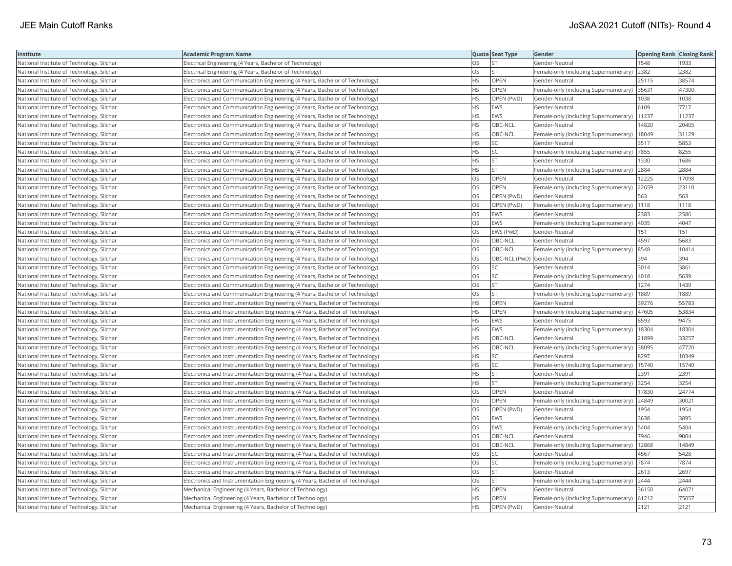| Institute                                 | <b>Academic Program Name</b>                                                  |           | Quota Seat Type              | Gender                                        | <b>Opening Rank   Closing Rank</b> |       |
|-------------------------------------------|-------------------------------------------------------------------------------|-----------|------------------------------|-----------------------------------------------|------------------------------------|-------|
| National Institute of Technology, Silchar | Electrical Engineering (4 Years, Bachelor of Technology)                      | OS        | <b>ST</b>                    | Gender-Neutral                                | 1548                               | 1933  |
| National Institute of Technology, Silchar | Electrical Engineering (4 Years, Bachelor of Technology)                      | OS        | <b>ST</b>                    | Female-only (including Supernumerary)         | 2382                               | 2382  |
| National Institute of Technology, Silchar | Electronics and Communication Engineering (4 Years, Bachelor of Technology)   | <b>HS</b> | OPEN                         | Gender-Neutral                                | 25115                              | 38574 |
| National Institute of Technology, Silchar | Electronics and Communication Engineering (4 Years, Bachelor of Technology)   | HS.       | <b>OPEN</b>                  | Female-only (including Supernumerary)         | 35631                              | 47300 |
| National Institute of Technology, Silchar | Electronics and Communication Engineering (4 Years, Bachelor of Technology)   | НS        | OPEN (PwD)                   | Gender-Neutral                                | 1038                               | 1038  |
| National Institute of Technology, Silchar | Electronics and Communication Engineering (4 Years, Bachelor of Technology)   | HS        | <b>EWS</b>                   | Gender-Neutral                                | 6109                               | 7717  |
| National Institute of Technology, Silchar | Electronics and Communication Engineering (4 Years, Bachelor of Technology)   | ΗS        | <b>EWS</b>                   | Female-only (including Supernumerary)         | 11237                              | 11237 |
| National Institute of Technology, Silchar | Electronics and Communication Engineering (4 Years, Bachelor of Technology)   | HS        | OBC-NCL                      | Gender-Neutral                                | 14820                              | 20405 |
| National Institute of Technology, Silchar | Electronics and Communication Engineering (4 Years, Bachelor of Technology)   | HS        | OBC-NCL                      | Female-only (including Supernumerary)         | 18049                              | 31129 |
| National Institute of Technology, Silchar | Electronics and Communication Engineering (4 Years, Bachelor of Technology)   | HS        | SC                           | Gender-Neutral                                | 3517                               | 5853  |
| National Institute of Technology, Silchar | Electronics and Communication Engineering (4 Years, Bachelor of Technology)   | HS        | <b>SC</b>                    | Female-only (including Supernumerary)         | 7855                               | 8255  |
| National Institute of Technology, Silchar | Electronics and Communication Engineering (4 Years, Bachelor of Technology)   | <b>HS</b> | <b>ST</b>                    | Gender-Neutral                                | 1330                               | 1686  |
| National Institute of Technology, Silchar | Electronics and Communication Engineering (4 Years, Bachelor of Technology)   | HS        | <b>ST</b>                    | Female-only (including Supernumerary)         | 2884                               | 2884  |
| National Institute of Technology, Silchar | Electronics and Communication Engineering (4 Years, Bachelor of Technology)   | OS        | OPEN                         | Gender-Neutral                                | 12225                              | 17098 |
| National Institute of Technology, Silchar | Electronics and Communication Engineering (4 Years, Bachelor of Technology)   | OS        | OPEN                         | Female-only (including Supernumerary)         | 22659                              | 23110 |
| National Institute of Technology, Silchar | Electronics and Communication Engineering (4 Years, Bachelor of Technology)   | OS        | OPEN (PwD)                   | Gender-Neutral                                | 563                                | 563   |
| National Institute of Technology, Silchar | Electronics and Communication Engineering (4 Years, Bachelor of Technology)   | OS        | OPEN (PwD)                   | Female-only (including Supernumerary)         | 1118                               | 1118  |
| National Institute of Technology, Silchar | Electronics and Communication Engineering (4 Years, Bachelor of Technology)   | OS        | <b>EWS</b>                   | Gender-Neutral                                | 2383                               | 2586  |
| National Institute of Technology, Silchar | Electronics and Communication Engineering (4 Years, Bachelor of Technology)   | OS        | <b>EWS</b>                   | Female-only (including Supernumerary)         | 4035                               | 4047  |
| National Institute of Technology, Silchar | Electronics and Communication Engineering (4 Years, Bachelor of Technology)   | OS        | EWS (PwD)                    | Gender-Neutral                                | 151                                | 151   |
| National Institute of Technology, Silchar | Electronics and Communication Engineering (4 Years, Bachelor of Technology)   | OS        | OBC-NCL                      | Gender-Neutral                                | 4597                               | 5683  |
| National Institute of Technology, Silchar | Electronics and Communication Engineering (4 Years, Bachelor of Technology)   | OS        | OBC-NCL                      | Female-only (including Supernumerary) 8548    |                                    | 10414 |
| National Institute of Technology, Silchar | Electronics and Communication Engineering (4 Years, Bachelor of Technology)   | OS        | OBC-NCL (PwD) Gender-Neutral |                                               | 394                                | 394   |
| National Institute of Technology, Silchar | Electronics and Communication Engineering (4 Years, Bachelor of Technology)   | OS        | SC                           | Gender-Neutral                                | 3014                               | 3861  |
| National Institute of Technology, Silchar | Electronics and Communication Engineering (4 Years, Bachelor of Technology)   | OS        | SC                           | Female-only (including Supernumerary)         | 4018                               | 5639  |
| National Institute of Technology, Silchar | Electronics and Communication Engineering (4 Years, Bachelor of Technology)   | OS        | <b>ST</b>                    | Gender-Neutral                                | 1274                               | 1439  |
| National Institute of Technology, Silchar | Electronics and Communication Engineering (4 Years, Bachelor of Technology)   | OS        | <b>ST</b>                    | Female-only (including Supernumerary)         | 1889                               | 1889  |
| National Institute of Technology, Silchar | Electronics and Instrumentation Engineering (4 Years, Bachelor of Technology) | HS.       | <b>OPEN</b>                  | Gender-Neutral                                | 39276                              | 55783 |
| National Institute of Technology, Silchar | Electronics and Instrumentation Engineering (4 Years, Bachelor of Technology) | HS        | <b>OPEN</b>                  | Female-only (including Supernumerary)         | 47605                              | 53834 |
| National Institute of Technology, Silchar | Electronics and Instrumentation Engineering (4 Years, Bachelor of Technology) | HS        | <b>EWS</b>                   | Gender-Neutral                                | 8593                               | 9475  |
| National Institute of Technology, Silchar | Electronics and Instrumentation Engineering (4 Years, Bachelor of Technology) | HS        | <b>EWS</b>                   | Female-only (including Supernumerary)   18304 |                                    | 18304 |
| National Institute of Technology, Silchar | Electronics and Instrumentation Engineering (4 Years, Bachelor of Technology) | ΗS        | OBC-NCL                      | Gender-Neutral                                | 21899                              | 33257 |
| National Institute of Technology, Silchar | Electronics and Instrumentation Engineering (4 Years, Bachelor of Technology) | HS        | OBC-NCL                      | Female-only (including Supernumerary)         | 38095                              | 47720 |
| National Institute of Technology, Silchar | Electronics and Instrumentation Engineering (4 Years, Bachelor of Technology) | HS        | SC                           | Gender-Neutral                                | 8297                               | 10349 |
| National Institute of Technology, Silchar | Electronics and Instrumentation Engineering (4 Years, Bachelor of Technology) | HS        | SC                           | Female-only (including Supernumerary)         | 15740                              | 15740 |
| National Institute of Technology, Silchar | Electronics and Instrumentation Engineering (4 Years, Bachelor of Technology) | <b>HS</b> | <b>ST</b>                    | Gender-Neutral                                | 2391                               | 2391  |
| National Institute of Technology, Silchar | Electronics and Instrumentation Engineering (4 Years, Bachelor of Technology) | HS        | <b>ST</b>                    | Female-only (including Supernumerary)         | 3254                               | 3254  |
| National Institute of Technology, Silchar | Electronics and Instrumentation Engineering (4 Years, Bachelor of Technology) | OS        | <b>OPEN</b>                  | Gender-Neutral                                | 17830                              | 24774 |
| National Institute of Technology, Silchar | Electronics and Instrumentation Engineering (4 Years, Bachelor of Technology) | OS        | OPEN                         | Female-only (including Supernumerary)         | 24849                              | 30021 |
| National Institute of Technology, Silchar | Electronics and Instrumentation Engineering (4 Years, Bachelor of Technology) | OS        | OPEN (PwD)                   | Gender-Neutral                                | 1954                               | 1954  |
| National Institute of Technology, Silchar | Electronics and Instrumentation Engineering (4 Years, Bachelor of Technology) | OS        | EWS                          | Gender-Neutral                                | 3638                               | 3895  |
| National Institute of Technology, Silchar | Electronics and Instrumentation Engineering (4 Years, Bachelor of Technology) | OS        | <b>EWS</b>                   | Female-only (including Supernumerary)         | 5404                               | 5404  |
| National Institute of Technology, Silchar | Electronics and Instrumentation Engineering (4 Years, Bachelor of Technology) | OS        | OBC-NCL                      | Gender-Neutral                                | 7946                               | 9004  |
| National Institute of Technology, Silchar | Electronics and Instrumentation Engineering (4 Years, Bachelor of Technology) | OS        | OBC-NCL                      | Female-only (including Supernumerary)         | 12868                              | 14849 |
| National Institute of Technology, Silchar | Electronics and Instrumentation Engineering (4 Years, Bachelor of Technology) | OS        | <b>SC</b>                    | Gender-Neutral                                | 4567                               | 5428  |
| National Institute of Technology, Silchar | Electronics and Instrumentation Engineering (4 Years, Bachelor of Technology) | OS        | SC                           | Female-only (including Supernumerary)  7874   |                                    | 7874  |
| National Institute of Technology, Silchar | Electronics and Instrumentation Engineering (4 Years, Bachelor of Technology) | OS        | <b>ST</b>                    | Gender-Neutral                                | 2613                               | 2697  |
| National Institute of Technology, Silchar | Electronics and Instrumentation Engineering (4 Years, Bachelor of Technology) | OS        | <b>ST</b>                    | Female-only (including Supernumerary) 2444    |                                    | 2444  |
| National Institute of Technology, Silchar | Mechanical Engineering (4 Years, Bachelor of Technology)                      | HS        | OPEN                         | Gender-Neutral                                | 36150                              | 64071 |
| National Institute of Technology, Silchar | Mechanical Engineering (4 Years, Bachelor of Technology)                      | HS        | OPEN                         | Female-only (including Supernumerary)         | 61212                              | 75057 |
| National Institute of Technology, Silchar | Mechanical Engineering (4 Years, Bachelor of Technology)                      | <b>HS</b> | OPEN (PwD)                   | Gender-Neutral                                | 2121                               | 2121  |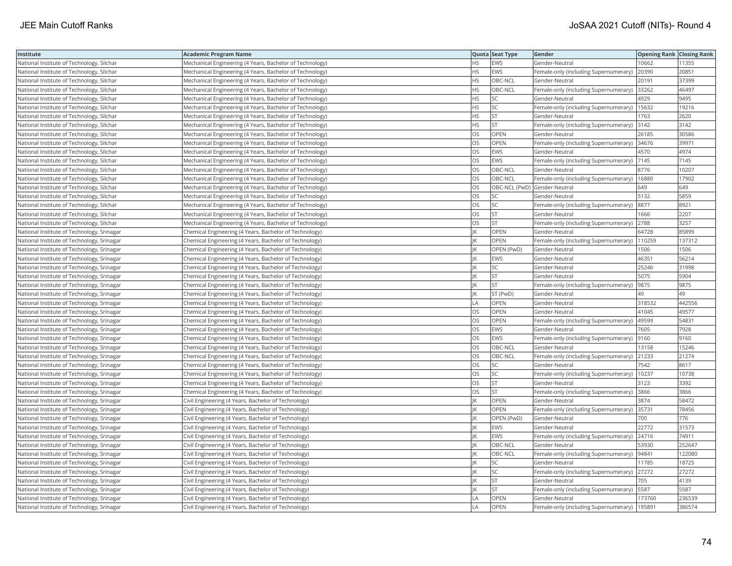| Institute                                  | <b>Academic Program Name</b>                             |           | Quota Seat Type              | Gender                                       | <b>Opening Rank Closing Rank</b> |        |
|--------------------------------------------|----------------------------------------------------------|-----------|------------------------------|----------------------------------------------|----------------------------------|--------|
| National Institute of Technology, Silchar  | Mechanical Engineering (4 Years, Bachelor of Technology) | ΗS        | <b>EWS</b>                   | Gender-Neutral                               | 10662                            | 11355  |
| National Institute of Technology, Silchar  | Mechanical Engineering (4 Years, Bachelor of Technology) | ΗS        | <b>EWS</b>                   | Female-only (including Supernumerary)        | 20390                            | 20851  |
| National Institute of Technology, Silchar  | Mechanical Engineering (4 Years, Bachelor of Technology) | <b>HS</b> | OBC-NCL                      | Gender-Neutral                               | 20191                            | 37399  |
| National Institute of Technology, Silchar  | Mechanical Engineering (4 Years, Bachelor of Technology) | HS        | OBC-NCL                      | Female-only (including Supernumerary)        | 33262                            | 46497  |
| National Institute of Technology, Silchar  | Mechanical Engineering (4 Years, Bachelor of Technology) | HS        | <b>SC</b>                    | Gender-Neutral                               | 4929                             | 9495   |
| National Institute of Technology, Silchar  | Mechanical Engineering (4 Years, Bachelor of Technology) | <b>HS</b> | <b>SC</b>                    | Female-only (including Supernumerary)        | 15632                            | 19216  |
| National Institute of Technology, Silchar  | Mechanical Engineering (4 Years, Bachelor of Technology) | HS        | <b>ST</b>                    | Gender-Neutral                               | 1763                             | 2620   |
| National Institute of Technology, Silchar  | Mechanical Engineering (4 Years, Bachelor of Technology) | ΗS        | <b>ST</b>                    | Female-only (including Supernumerary) 3142   |                                  | 3142   |
| National Institute of Technology, Silchar  | Mechanical Engineering (4 Years, Bachelor of Technology) | OS        | OPEN                         | Gender-Neutral                               | 26185                            | 30586  |
| National Institute of Technology, Silchar  | Mechanical Engineering (4 Years, Bachelor of Technology) | OS        | <b>OPEN</b>                  | Female-only (including Supernumerary) 34676  |                                  | 39971  |
| National Institute of Technology, Silchar  | Mechanical Engineering (4 Years, Bachelor of Technology) | OS        | <b>EWS</b>                   | Gender-Neutral                               | 4570                             | 4974   |
| National Institute of Technology, Silchar  | Mechanical Engineering (4 Years, Bachelor of Technology) | OS        | EWS                          | Female-only (including Supernumerary)  7145  |                                  | 7145   |
| National Institute of Technology, Silchar  | Mechanical Engineering (4 Years, Bachelor of Technology) | OS        | OBC-NCL                      | Gender-Neutral                               | 8776                             | 10207  |
| National Institute of Technology, Silchar  | Mechanical Engineering (4 Years, Bachelor of Technology) | OS        | OBC-NCL                      | Female-only (including Supernumerary)        | 16880                            | 17902  |
| National Institute of Technology, Silchar  | Mechanical Engineering (4 Years, Bachelor of Technology) | OS        | OBC-NCL (PwD) Gender-Neutral |                                              | 649                              | 649    |
| National Institute of Technology, Silchar  | Mechanical Engineering (4 Years, Bachelor of Technology) | OS        | SC                           | Gender-Neutral                               | 5132                             | 5859   |
| National Institute of Technology, Silchar  | Mechanical Engineering (4 Years, Bachelor of Technology) | OS        | SC                           | Female-only (including Supernumerary)        | 8877                             | 8921   |
| National Institute of Technology, Silchar  | Mechanical Engineering (4 Years, Bachelor of Technology) | OS        | <b>ST</b>                    | Gender-Neutral                               | 1666                             | 2207   |
| National Institute of Technology, Silchar  | Mechanical Engineering (4 Years, Bachelor of Technology) | OS        | <b>ST</b>                    | Female-only (including Supernumerary)        | 2788                             | 3257   |
| National Institute of Technology, Srinagar | Chemical Engineering (4 Years, Bachelor of Technology)   |           | OPEN                         | Gender-Neutral                               | 64728                            | 85899  |
| National Institute of Technology, Srinagar | Chemical Engineering (4 Years, Bachelor of Technology)   |           | OPEN                         | Female-only (including Supernumerary)        | 110259                           | 137312 |
| National Institute of Technology, Srinagar | Chemical Engineering (4 Years, Bachelor of Technology)   |           | OPEN (PwD)                   | Gender-Neutral                               | 1506                             | 1506   |
| National Institute of Technology, Srinagar | Chemical Engineering (4 Years, Bachelor of Technology)   |           | <b>EWS</b>                   | Gender-Neutral                               | 46351                            | 56214  |
| National Institute of Technology, Srinagar | Chemical Engineering (4 Years, Bachelor of Technology)   |           | SC                           | Gender-Neutral                               | 25246                            | 31998  |
| National Institute of Technology, Srinagar | Chemical Engineering (4 Years, Bachelor of Technology)   |           | <b>ST</b>                    | Gender-Neutral                               | 5075                             | 5904   |
| National Institute of Technology, Srinagar | Chemical Engineering (4 Years, Bachelor of Technology)   |           | <b>ST</b>                    | Female-only (including Supernumerary)        | 9875                             | 9875   |
| National Institute of Technology, Srinagar | Chemical Engineering (4 Years, Bachelor of Technology)   |           | ST (PwD)                     | Gender-Neutral                               | 49                               | 49     |
| National Institute of Technology, Srinagar | Chemical Engineering (4 Years, Bachelor of Technology)   | LA        | OPEN                         | Gender-Neutral                               | 318532                           | 442556 |
| National Institute of Technology, Srinagar | Chemical Engineering (4 Years, Bachelor of Technology)   | <b>OS</b> | <b>OPEN</b>                  | Gender-Neutral                               | 41045                            | 49577  |
| National Institute of Technology, Srinagar | Chemical Engineering (4 Years, Bachelor of Technology)   | OS        | OPEN                         | Female-only (including Supernumerary)        | 49599                            | 54831  |
| National Institute of Technology, Srinagar | Chemical Engineering (4 Years, Bachelor of Technology)   | OS        | <b>EWS</b>                   | Gender-Neutral                               | 7605                             | 7928   |
| National Institute of Technology, Srinagar | Chemical Engineering (4 Years, Bachelor of Technology)   | OS        | <b>EWS</b>                   | Female-only (including Supernumerary)  9160  |                                  | 9160   |
| National Institute of Technology, Srinagar | Chemical Engineering (4 Years, Bachelor of Technology)   | OS        | OBC-NCL                      | Gender-Neutral                               | 13158                            | 15246  |
| National Institute of Technology, Srinagar | Chemical Engineering (4 Years, Bachelor of Technology)   | OS        | OBC-NCL                      | Female-only (including Supernumerary)        | 21233                            | 21274  |
| National Institute of Technology, Srinagar | Chemical Engineering (4 Years, Bachelor of Technology)   | OS        | SC                           | Gender-Neutral                               | 7542                             | 8617   |
| National Institute of Technology, Srinagar | Chemical Engineering (4 Years, Bachelor of Technology)   | OS        | SC                           | Female-only (including Supernumerary)        | 10237                            | 10738  |
| National Institute of Technology, Srinagar | Chemical Engineering (4 Years, Bachelor of Technology)   | OS        | <b>ST</b>                    | Gender-Neutral                               | 3123                             | 3392   |
| National Institute of Technology, Srinagar | Chemical Engineering (4 Years, Bachelor of Technology)   | OS        | <b>ST</b>                    | Female-only (including Supernumerary) 3866   |                                  | 3866   |
| National Institute of Technology, Srinagar | Civil Engineering (4 Years, Bachelor of Technology)      |           | OPEN                         | Gender-Neutral                               | 3874                             | 58472  |
| National Institute of Technology, Srinagar | Civil Engineering (4 Years, Bachelor of Technology)      |           | OPEN                         | Female-only (including Supernumerary) 35731  |                                  | 78456  |
| National Institute of Technology, Srinagar | Civil Engineering (4 Years, Bachelor of Technology)      |           | OPEN (PwD)                   | Gender-Neutral                               | 700                              | 776    |
| National Institute of Technology, Srinagar | Civil Engineering (4 Years, Bachelor of Technology)      |           | <b>EWS</b>                   | Gender-Neutral                               | 22772                            | 31573  |
| National Institute of Technology, Srinagar | Civil Engineering (4 Years, Bachelor of Technology)      |           | EWS                          | Female-only (including Supernumerary)        | 24716                            | 74911  |
| National Institute of Technology, Srinagar | Civil Engineering (4 Years, Bachelor of Technology)      |           | OBC-NCL                      | Gender-Neutral                               | 53930                            | 252647 |
| National Institute of Technology, Srinagar | Civil Engineering (4 Years, Bachelor of Technology)      |           | OBC-NCL                      | Female-only (including Supernumerary)  94841 |                                  | 122080 |
| National Institute of Technology, Srinagar | Civil Engineering (4 Years, Bachelor of Technology)      |           | SC                           | Gender-Neutral                               | 11785                            | 18725  |
| National Institute of Technology, Srinagar | Civil Engineering (4 Years, Bachelor of Technology)      |           | SC                           | Female-only (including Supernumerary) 27272  |                                  | 27272  |
| National Institute of Technology, Srinagar | Civil Engineering (4 Years, Bachelor of Technology)      |           | <b>ST</b>                    | Gender-Neutral                               | 705                              | 4139   |
| National Institute of Technology, Srinagar | Civil Engineering (4 Years, Bachelor of Technology)      |           | <b>ST</b>                    | Female-only (including Supernumerary)        | 5587                             | 5587   |
| National Institute of Technology, Srinagar | Civil Engineering (4 Years, Bachelor of Technology)      | I A       | OPEN                         | Gender-Neutral                               | 173760                           | 236539 |
| National Institute of Technology, Srinagar | Civil Engineering (4 Years, Bachelor of Technology)      | LA        | OPEN                         | Female-only (including Supernumerary)        | 195891                           | 386574 |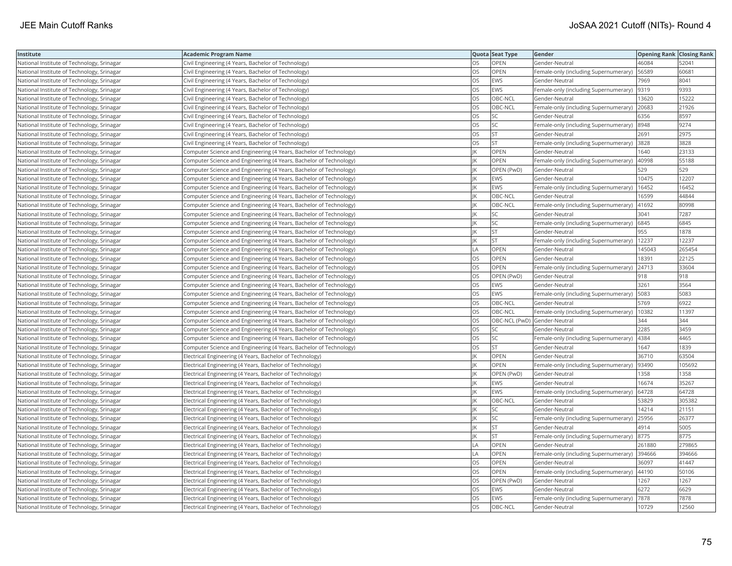| Institute                                  | <b>Academic Program Name</b>                                       |           | Quota Seat Type              | Gender                                        | <b>Opening Rank Closing Rank</b> |        |
|--------------------------------------------|--------------------------------------------------------------------|-----------|------------------------------|-----------------------------------------------|----------------------------------|--------|
| National Institute of Technology, Srinagar | Civil Engineering (4 Years, Bachelor of Technology)                | OS        | OPEN                         | Gender-Neutral                                | 46084                            | 52041  |
| National Institute of Technology, Srinagar | Civil Engineering (4 Years, Bachelor of Technology)                | OS        | OPEN                         | Female-only (including Supernumerary)         | 56589                            | 60681  |
| National Institute of Technology, Srinagar | Civil Engineering (4 Years, Bachelor of Technology)                | OS        | <b>EWS</b>                   | Gender-Neutral                                | 7969                             | 8041   |
| National Institute of Technology, Srinagar | Civil Engineering (4 Years, Bachelor of Technology)                | OS        | <b>EWS</b>                   | Female-only (including Supernumerary)         | 9319                             | 9393   |
| National Institute of Technology, Srinagar | Civil Engineering (4 Years, Bachelor of Technology)                | <b>OS</b> | OBC-NCL                      | Gender-Neutral                                | 13620                            | 15222  |
| National Institute of Technology, Srinagar | Civil Engineering (4 Years, Bachelor of Technology)                | OS        | OBC-NCL                      | Female-only (including Supernumerary) 20683   |                                  | 21926  |
| National Institute of Technology, Srinagar | Civil Engineering (4 Years, Bachelor of Technology)                | OS        | SC                           | Gender-Neutral                                | 6356                             | 8597   |
| National Institute of Technology, Srinagar | Civil Engineering (4 Years, Bachelor of Technology)                | <b>OS</b> | <b>SC</b>                    | Female-only (including Supernumerary)  8948   |                                  | 9274   |
| National Institute of Technology, Srinagar | Civil Engineering (4 Years, Bachelor of Technology)                | OS        | <b>ST</b>                    | Gender-Neutral                                | 2691                             | 2975   |
| National Institute of Technology, Srinagar | Civil Engineering (4 Years, Bachelor of Technology)                | OS        | <b>ST</b>                    | Female-only (including Supernumerary) 3828    |                                  | 3828   |
| National Institute of Technology, Srinagar | Computer Science and Engineering (4 Years, Bachelor of Technology) |           | OPEN                         | Gender-Neutral                                | 1640                             | 23133  |
| National Institute of Technology, Srinagar | Computer Science and Engineering (4 Years, Bachelor of Technology) |           | <b>OPEN</b>                  | Female-only (including Supernumerary)         | 40998                            | 55188  |
| National Institute of Technology, Srinagar | Computer Science and Engineering (4 Years, Bachelor of Technology) |           | OPEN (PwD)                   | Gender-Neutral                                | 529                              | 529    |
| National Institute of Technology, Srinagar | Computer Science and Engineering (4 Years, Bachelor of Technology) |           | <b>EWS</b>                   | Gender-Neutral                                | 10475                            | 12207  |
| National Institute of Technology, Srinagar | Computer Science and Engineering (4 Years, Bachelor of Technology) |           | <b>EWS</b>                   | Female-only (including Supernumerary)         | 16452                            | 16452  |
| National Institute of Technology, Srinagar | Computer Science and Engineering (4 Years, Bachelor of Technology) |           | OBC-NCL                      | Gender-Neutral                                | 16599                            | 44844  |
| National Institute of Technology, Srinagar | Computer Science and Engineering (4 Years, Bachelor of Technology) |           | OBC-NCL                      | Female-only (including Supernumerary)         | 41692                            | 80998  |
| National Institute of Technology, Srinagar | Computer Science and Engineering (4 Years, Bachelor of Technology) |           | SC                           | Gender-Neutral                                | 3041                             | 7287   |
| National Institute of Technology, Srinagar | Computer Science and Engineering (4 Years, Bachelor of Technology) |           | SC                           | Female-only (including Supernumerary)         | 6845                             | 6845   |
| National Institute of Technology, Srinagar | Computer Science and Engineering (4 Years, Bachelor of Technology) |           | <b>ST</b>                    | Gender-Neutral                                | 955                              | 1878   |
| National Institute of Technology, Srinagar | Computer Science and Engineering (4 Years, Bachelor of Technology) |           | <b>ST</b>                    | Female-only (including Supernumerary)         | 12237                            | 12237  |
| National Institute of Technology, Srinagar | Computer Science and Engineering (4 Years, Bachelor of Technology) | LA        | OPEN                         | Gender-Neutral                                | 145043                           | 265454 |
| National Institute of Technology, Srinagar | Computer Science and Engineering (4 Years, Bachelor of Technology) | OS        | OPEN                         | Gender-Neutral                                | 18391                            | 22125  |
| National Institute of Technology, Srinagar | Computer Science and Engineering (4 Years, Bachelor of Technology) | <b>OS</b> | <b>OPEN</b>                  | Female-only (including Supernumerary)         | 24713                            | 33604  |
| National Institute of Technology, Srinagar | Computer Science and Engineering (4 Years, Bachelor of Technology) | OS        | OPEN (PwD)                   | Gender-Neutral                                | 918                              | 918    |
| National Institute of Technology, Srinagar | Computer Science and Engineering (4 Years, Bachelor of Technology) | OS        | <b>EWS</b>                   | Gender-Neutral                                | 3261                             | 3564   |
| National Institute of Technology, Srinagar | Computer Science and Engineering (4 Years, Bachelor of Technology) | OS        | EWS                          | Female-only (including Supernumerary)         | 5083                             | 5083   |
| National Institute of Technology, Srinagar | Computer Science and Engineering (4 Years, Bachelor of Technology) | OS        | OBC-NCL                      | Gender-Neutral                                | 5769                             | 6922   |
| National Institute of Technology, Srinagar | Computer Science and Engineering (4 Years, Bachelor of Technology) | OS.       | OBC-NCL                      | Female-only (including Supernumerary)   10382 |                                  | 11397  |
| National Institute of Technology, Srinagar | Computer Science and Engineering (4 Years, Bachelor of Technology) | OS        | OBC-NCL (PwD) Gender-Neutral |                                               | 344                              | 344    |
| National Institute of Technology, Srinagar | Computer Science and Engineering (4 Years, Bachelor of Technology) | OS        | SC                           | Gender-Neutral                                | 2285                             | 3459   |
| National Institute of Technology, Srinagar | Computer Science and Engineering (4 Years, Bachelor of Technology) | OS        | <b>SC</b>                    | Female-only (including Supernumerary)         | 4384                             | 4465   |
| National Institute of Technology, Srinagar | Computer Science and Engineering (4 Years, Bachelor of Technology) | OS        | <b>ST</b>                    | Gender-Neutral                                | 1647                             | 1839   |
| National Institute of Technology, Srinagar | Electrical Engineering (4 Years, Bachelor of Technology)           |           | OPEN                         | Gender-Neutral                                | 36710                            | 63504  |
| National Institute of Technology, Srinagar | Electrical Engineering (4 Years, Bachelor of Technology)           |           | <b>OPEN</b>                  | Female-only (including Supernumerary)         | 93490                            | 105692 |
| National Institute of Technology, Srinagar | Electrical Engineering (4 Years, Bachelor of Technology)           |           | OPEN (PwD)                   | Gender-Neutral                                | 1358                             | 1358   |
| National Institute of Technology, Srinagar | Electrical Engineering (4 Years, Bachelor of Technology)           |           | <b>EWS</b>                   | Gender-Neutral                                | 16674                            | 35267  |
| National Institute of Technology, Srinagar | Electrical Engineering (4 Years, Bachelor of Technology)           |           | <b>EWS</b>                   | Female-only (including Supernumerary)   64728 |                                  | 64728  |
| National Institute of Technology, Srinagar | Electrical Engineering (4 Years, Bachelor of Technology)           |           | OBC-NCL                      | Gender-Neutral                                | 53829                            | 305382 |
| National Institute of Technology, Srinagar | Electrical Engineering (4 Years, Bachelor of Technology)           |           | SC                           | Gender-Neutral                                | 14214                            | 21151  |
| National Institute of Technology, Srinagar | Electrical Engineering (4 Years, Bachelor of Technology)           |           | SC                           | Female-only (including Supernumerary)         | 25956                            | 26377  |
| National Institute of Technology, Srinagar | Electrical Engineering (4 Years, Bachelor of Technology)           | ΙK        | <b>ST</b>                    | Gender-Neutral                                | 4914                             | 5005   |
| National Institute of Technology, Srinagar | Electrical Engineering (4 Years, Bachelor of Technology)           |           | <b>ST</b>                    | Female-only (including Supernumerary)         | 8775                             | 8775   |
| National Institute of Technology, Srinagar | Electrical Engineering (4 Years, Bachelor of Technology)           | LA        | <b>OPEN</b>                  | Gender-Neutral                                | 261880                           | 279865 |
| National Institute of Technology, Srinagar | Electrical Engineering (4 Years, Bachelor of Technology)           | LA        | <b>OPEN</b>                  | Female-only (including Supernumerary) 394666  |                                  | 394666 |
| National Institute of Technology, Srinagar | Electrical Engineering (4 Years, Bachelor of Technology)           | OS        | OPEN                         | Gender-Neutral                                | 36097                            | 41447  |
| National Institute of Technology, Srinagar | Electrical Engineering (4 Years, Bachelor of Technology)           | OS        | <b>OPEN</b>                  | Female-only (including Supernumerary)   44190 |                                  | 50106  |
| National Institute of Technology, Srinagar | Electrical Engineering (4 Years, Bachelor of Technology)           | OS        | OPEN (PwD)                   | Gender-Neutral                                | 1267                             | 1267   |
| National Institute of Technology, Srinagar | Electrical Engineering (4 Years, Bachelor of Technology)           | OS        | <b>EWS</b>                   | Gender-Neutral                                | 6272                             | 6629   |
| National Institute of Technology, Srinagar | Electrical Engineering (4 Years, Bachelor of Technology)           | OS        | <b>EWS</b>                   | Female-only (including Supernumerary)         | 7878                             | 7878   |
| National Institute of Technology, Srinagar | Electrical Engineering (4 Years, Bachelor of Technology)           | <b>OS</b> | OBC-NCL                      | Gender-Neutral                                | 10729                            | 12560  |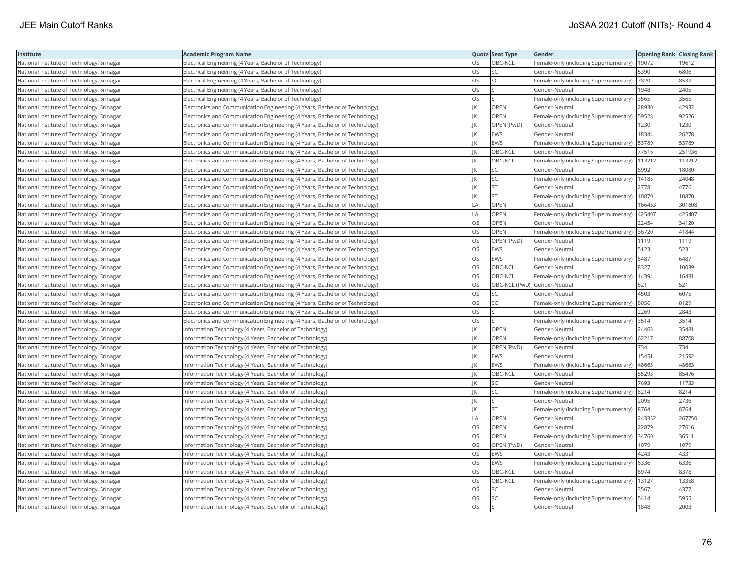| Institute                                  | <b>Academic Program Name</b>                                                |           | Quota Seat Type              | Gender                                        | <b>Opening Rank Closing Rank</b> |        |
|--------------------------------------------|-----------------------------------------------------------------------------|-----------|------------------------------|-----------------------------------------------|----------------------------------|--------|
| National Institute of Technology, Srinagar | Electrical Engineering (4 Years, Bachelor of Technology)                    | OS        | OBC-NCL                      | Female-only (including Supernumerary)         | 19072                            | 19612  |
| National Institute of Technology, Srinagar | Electrical Engineering (4 Years, Bachelor of Technology)                    | OS        | <b>SC</b>                    | Gender-Neutral                                | 5390                             | 6806   |
| National Institute of Technology, Srinagar | Electrical Engineering (4 Years, Bachelor of Technology)                    | OS        | <b>SC</b>                    | Female-only (including Supernumerary)  7820   |                                  | 8537   |
| National Institute of Technology, Srinagar | Electrical Engineering (4 Years, Bachelor of Technology)                    | OS        | <b>ST</b>                    | Gender-Neutral                                | 1948                             | 2405   |
| National Institute of Technology, Srinagar | Electrical Engineering (4 Years, Bachelor of Technology)                    | OS        | <b>ST</b>                    | Female-only (including Supernumerary) 3565    |                                  | 3565   |
| National Institute of Technology, Srinagar | Electronics and Communication Engineering (4 Years, Bachelor of Technology) | К         | OPEN                         | Gender-Neutral                                | 28930                            | 42932  |
| National Institute of Technology, Srinagar | Electronics and Communication Engineering (4 Years, Bachelor of Technology) |           | OPEN                         | Female-only (including Supernumerary)   59528 |                                  | 92526  |
| National Institute of Technology, Srinagar | Electronics and Communication Engineering (4 Years, Bachelor of Technology) |           | OPEN (PwD)                   | Gender-Neutral                                | 1230                             | 1230   |
| National Institute of Technology, Srinagar | Electronics and Communication Engineering (4 Years, Bachelor of Technology) |           | <b>EWS</b>                   | Gender-Neutral                                | 18344                            | 26278  |
| National Institute of Technology, Srinagar | Electronics and Communication Engineering (4 Years, Bachelor of Technology) | ΙK        | <b>EWS</b>                   | Female-only (including Supernumerary)         | 53789                            | 53789  |
| National Institute of Technology, Srinagar | Electronics and Communication Engineering (4 Years, Bachelor of Technology) |           | OBC-NCL                      | Gender-Neutral                                | 77516                            | 251936 |
| National Institute of Technology, Srinagar | Electronics and Communication Engineering (4 Years, Bachelor of Technology) |           | OBC-NCL                      | Female-only (including Supernumerary)         | 113212                           | 113212 |
| National Institute of Technology, Srinagar | Electronics and Communication Engineering (4 Years, Bachelor of Technology) |           | SC                           | Gender-Neutral                                | 5992                             | 18080  |
| National Institute of Technology, Srinagar | Electronics and Communication Engineering (4 Years, Bachelor of Technology) |           | SC                           | Female-only (including Supernumerary)         | 14185                            | 24048  |
| National Institute of Technology, Srinagar | Electronics and Communication Engineering (4 Years, Bachelor of Technology) |           | ST                           | Gender-Neutral                                | 2778                             | 4776   |
| National Institute of Technology, Srinagar | Electronics and Communication Engineering (4 Years, Bachelor of Technology) |           | <b>ST</b>                    | Female-only (including Supernumerary)         | 10870                            | 10870  |
| National Institute of Technology, Srinagar | Electronics and Communication Engineering (4 Years, Bachelor of Technology) | LA        | OPEN                         | Gender-Neutral                                | 166453                           | 301608 |
| National Institute of Technology, Srinagar | Electronics and Communication Engineering (4 Years, Bachelor of Technology) | LA        | OPEN                         | Female-only (including Supernumerary)         | 425407                           | 425407 |
| National Institute of Technology, Srinagar | Electronics and Communication Engineering (4 Years, Bachelor of Technology) | OS        | OPEN                         | Gender-Neutral                                | 22454                            | 34120  |
| National Institute of Technology, Srinagar | Electronics and Communication Engineering (4 Years, Bachelor of Technology) | OS        | <b>OPEN</b>                  | Female-only (including Supernumerary) 36720   |                                  | 41844  |
| National Institute of Technology, Srinagar | Electronics and Communication Engineering (4 Years, Bachelor of Technology) | OS        | OPEN (PwD)                   | Gender-Neutral                                | 1119                             | 1119   |
| National Institute of Technology, Srinagar | Electronics and Communication Engineering (4 Years, Bachelor of Technology) | OS        | EWS                          | Gender-Neutral                                | 5123                             | 5231   |
| National Institute of Technology, Srinagar | Electronics and Communication Engineering (4 Years, Bachelor of Technology) | OS        | EWS                          | Female-only (including Supernumerary)   6487  |                                  | 6487   |
| National Institute of Technology, Srinagar | Electronics and Communication Engineering (4 Years, Bachelor of Technology) | OS.       | OBC-NCL                      | Gender-Neutral                                | 8327                             | 10039  |
| National Institute of Technology, Srinagar | Electronics and Communication Engineering (4 Years, Bachelor of Technology) | OS        | OBC-NCL                      | Female-only (including Supernumerary)         | 14394                            | 1643'  |
| National Institute of Technology, Srinagar | Electronics and Communication Engineering (4 Years, Bachelor of Technology) | OS        | OBC-NCL (PwD) Gender-Neutral |                                               | 521                              | 521    |
| National Institute of Technology, Srinagar | Electronics and Communication Engineering (4 Years, Bachelor of Technology) | OS        | SC                           | Gender-Neutral                                | 4503                             | 6075   |
| National Institute of Technology, Srinagar | Electronics and Communication Engineering (4 Years, Bachelor of Technology) | OS        | SC                           | Female-only (including Supernumerary) 8056    |                                  | 8129   |
| National Institute of Technology, Srinagar | Electronics and Communication Engineering (4 Years, Bachelor of Technology) | OS        | <b>ST</b>                    | Gender-Neutral                                | 2269                             | 2843   |
| National Institute of Technology, Srinagar | Electronics and Communication Engineering (4 Years, Bachelor of Technology) | OS        | <b>ST</b>                    | Female-only (including Supernumerary) 3514    |                                  | 3514   |
| National Institute of Technology, Srinagar | Information Technology (4 Years, Bachelor of Technology)                    |           | OPEN                         | Gender-Neutral                                | 24463                            | 35481  |
| National Institute of Technology, Srinagar | Information Technology (4 Years, Bachelor of Technology)                    |           | OPEN                         | Female-only (including Supernumerary)         | 62217                            | 88708  |
| National Institute of Technology, Srinagar | Information Technology (4 Years, Bachelor of Technology)                    |           | OPEN (PwD)                   | Gender-Neutral                                | 734                              | 734    |
| National Institute of Technology, Srinagar | Information Technology (4 Years, Bachelor of Technology)                    |           | <b>EWS</b>                   | Gender-Neutral                                | 15451                            | 21592  |
| National Institute of Technology, Srinagar | Information Technology (4 Years, Bachelor of Technology)                    |           | <b>EWS</b>                   | Female-only (including Supernumerary)         | 48663                            | 48663  |
| National Institute of Technology, Srinagar | Information Technology (4 Years, Bachelor of Technology)                    |           | OBC-NCL                      | Gender-Neutral                                | 55293                            | 85476  |
| National Institute of Technology, Srinagar | Information Technology (4 Years, Bachelor of Technology)                    |           | <b>SC</b>                    | Gender-Neutral                                | 7693                             | 11733  |
| National Institute of Technology, Srinagar | Information Technology (4 Years, Bachelor of Technology)                    | К         | SC                           | Female-only (including Supernumerary) 8214    |                                  | 8214   |
| National Institute of Technology, Srinagar | Information Technology (4 Years, Bachelor of Technology)                    |           | ST                           | Gender-Neutral                                | 2095                             | 2736   |
| National Institute of Technology, Srinagar | Information Technology (4 Years, Bachelor of Technology)                    |           | <b>ST</b>                    | Female-only (including Supernumerary)  8764   |                                  | 8764   |
| National Institute of Technology, Srinagar | nformation Technology (4 Years, Bachelor of Technology)                     | LA        | OPEN                         | Gender-Neutral                                | 243352                           | 267750 |
| National Institute of Technology, Srinagar | Information Technology (4 Years, Bachelor of Technology)                    | OS        | OPEN                         | Gender-Neutral                                | 22879                            | 27616  |
| National Institute of Technology, Srinagar | nformation Technology (4 Years, Bachelor of Technology)                     | <b>OS</b> | OPEN                         | Female-only (including Supernumerary)         | 34760                            | 36511  |
| National Institute of Technology, Srinagar | Information Technology (4 Years, Bachelor of Technology)                    | OS        | OPEN (PwD)                   | Gender-Neutral                                | 1079                             | 1079   |
| National Institute of Technology, Srinagar | nformation Technology (4 Years, Bachelor of Technology)                     | OS        | <b>EWS</b>                   | Gender-Neutral                                | 4243                             | 4331   |
| National Institute of Technology, Srinagar | Information Technology (4 Years, Bachelor of Technology)                    | OS        | <b>EWS</b>                   | Female-only (including Supernumerary)         | 6336                             | 6336   |
| National Institute of Technology, Srinagar | Information Technology (4 Years, Bachelor of Technology)                    | OS        | OBC-NCL                      | Gender-Neutral                                | 6974                             | 8378   |
| National Institute of Technology, Srinagar | Information Technology (4 Years, Bachelor of Technology)                    | OS        | OBC-NCL                      | Female-only (including Supernumerary)         | 13127                            | 13358  |
| National Institute of Technology, Srinagar | nformation Technology (4 Years, Bachelor of Technology)                     | OS        | SC                           | Gender-Neutral                                | 3567                             | 4377   |
| National Institute of Technology, Srinagar | Information Technology (4 Years, Bachelor of Technology)                    | OS        | SC                           | Female-only (including Supernumerary)         | 5414                             | 5955   |
| National Institute of Technology, Srinagar | Information Technology (4 Years, Bachelor of Technology)                    | OS        | <b>ST</b>                    | Gender-Neutral                                | 1848                             | 2003   |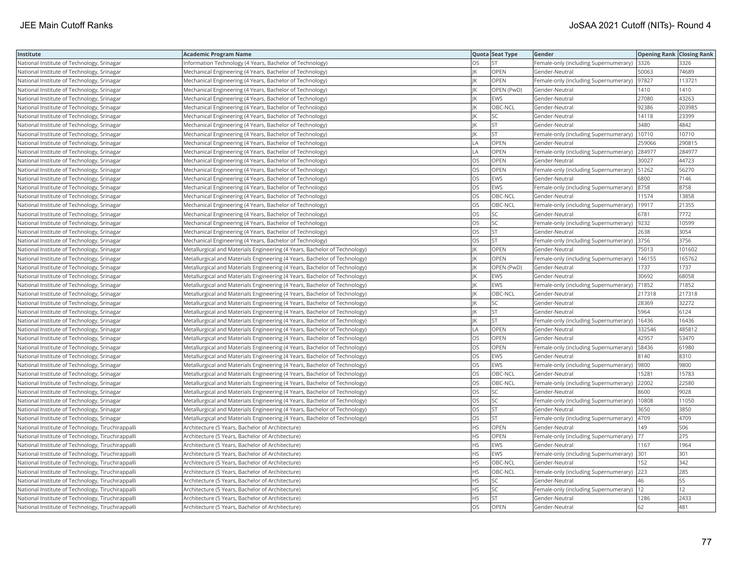| Institute                                         | Academic Program Name                                                     |           | Quota Seat Type | Gender                                       | <b>Opening Rank Closing Rank</b> |        |
|---------------------------------------------------|---------------------------------------------------------------------------|-----------|-----------------|----------------------------------------------|----------------------------------|--------|
| National Institute of Technology, Srinagar        | Information Technology (4 Years, Bachelor of Technology)                  | OS.       | <b>ST</b>       | Female-only (including Supernumerary) 3326   |                                  | 3326   |
| National Institute of Technology, Srinagar        | Mechanical Engineering (4 Years, Bachelor of Technology)                  |           | OPEN            | Gender-Neutral                               | 50063                            | 74689  |
| National Institute of Technology, Srinagar        | Mechanical Engineering (4 Years, Bachelor of Technology)                  | IK        | OPEN            | Female-only (including Supernumerary)  97827 |                                  | 113721 |
| National Institute of Technology, Srinagar        | Mechanical Engineering (4 Years, Bachelor of Technology)                  |           | OPEN (PwD)      | Gender-Neutral                               | 1410                             | 1410   |
| National Institute of Technology, Srinagar        | Mechanical Engineering (4 Years, Bachelor of Technology)                  |           | EWS             | Gender-Neutral                               | 27080                            | 43263  |
| National Institute of Technology, Srinagar        | Mechanical Engineering (4 Years, Bachelor of Technology)                  |           | OBC-NCL         | Gender-Neutral                               | 92386                            | 203985 |
| National Institute of Technology, Srinagar        | Mechanical Engineering (4 Years, Bachelor of Technology)                  |           | SC              | Gender-Neutral                               | 14118                            | 23399  |
| National Institute of Technology, Srinagar        | Mechanical Engineering (4 Years, Bachelor of Technology)                  |           | <b>ST</b>       | Gender-Neutral                               | 3480                             | 4842   |
| National Institute of Technology, Srinagar        | Mechanical Engineering (4 Years, Bachelor of Technology)                  |           | <b>ST</b>       | Female-only (including Supernumerary)        | 10710                            | 10710  |
| National Institute of Technology, Srinagar        | Mechanical Engineering (4 Years, Bachelor of Technology)                  | LA        | <b>OPEN</b>     | Gender-Neutral                               | 259066                           | 290815 |
| National Institute of Technology, Srinagar        | Mechanical Engineering (4 Years, Bachelor of Technology)                  | LA        | OPEN            | Female-only (including Supernumerary)        | 284977                           | 284977 |
| National Institute of Technology, Srinagar        | Mechanical Engineering (4 Years, Bachelor of Technology)                  | OS.       | OPEN            | Gender-Neutral                               | 30027                            | 44723  |
| National Institute of Technology, Srinagar        | Mechanical Engineering (4 Years, Bachelor of Technology)                  | OS.       | <b>OPEN</b>     | Female-only (including Supernumerary)        | 51262                            | 56270  |
| National Institute of Technology, Srinagar        | Mechanical Engineering (4 Years, Bachelor of Technology)                  | OS        | EWS             | Gender-Neutral                               | 6800                             | 7146   |
| National Institute of Technology, Srinagar        | Mechanical Engineering (4 Years, Bachelor of Technology)                  | OS        | EWS             | Female-only (including Supernumerary)  8758  |                                  | 8758   |
| National Institute of Technology, Srinagar        | Mechanical Engineering (4 Years, Bachelor of Technology)                  | OS        | OBC-NCL         | Gender-Neutral                               | 11574                            | 13858  |
| National Institute of Technology, Srinagar        | Mechanical Engineering (4 Years, Bachelor of Technology)                  | OS        | OBC-NCL         | Female-only (including Supernumerary)        | 19917                            | 21355  |
| National Institute of Technology, Srinagar        | Mechanical Engineering (4 Years, Bachelor of Technology)                  | <b>OS</b> | <b>SC</b>       | Gender-Neutral                               | 6781                             | 7772   |
| National Institute of Technology, Srinagar        | Mechanical Engineering (4 Years, Bachelor of Technology)                  | OS        | SC              | Female-only (including Supernumerary)        | 9232                             | 10599  |
| National Institute of Technology, Srinagar        | Mechanical Engineering (4 Years, Bachelor of Technology)                  | <b>OS</b> | <b>ST</b>       | Gender-Neutral                               | 2638                             | 3054   |
| National Institute of Technology, Srinagar        | Mechanical Engineering (4 Years, Bachelor of Technology)                  | OS        | <b>ST</b>       | Female-only (including Supernumerary)        | 3756                             | 3756   |
| National Institute of Technology, Srinagar        | Metallurgical and Materials Engineering (4 Years, Bachelor of Technology) | IK        | OPEN            | Gender-Neutral                               | 75013                            | 101602 |
| National Institute of Technology, Srinagar        | Metallurgical and Materials Engineering (4 Years, Bachelor of Technology) |           | OPEN            | Female-only (including Supernumerary)        | 146155                           | 165762 |
| National Institute of Technology, Srinagar        | Metallurgical and Materials Engineering (4 Years, Bachelor of Technology) |           | OPEN (PwD)      | Gender-Neutral                               | 1737                             | 1737   |
| National Institute of Technology, Srinagar        | Metallurgical and Materials Engineering (4 Years, Bachelor of Technology) |           | EWS             | Gender-Neutral                               | 30692                            | 68058  |
| National Institute of Technology, Srinagar        | Metallurgical and Materials Engineering (4 Years, Bachelor of Technology) |           | EWS             | Female-only (including Supernumerary)        | 71852                            | 71852  |
| National Institute of Technology, Srinagar        | Metallurgical and Materials Engineering (4 Years, Bachelor of Technology) |           | OBC-NCL         | Gender-Neutral                               | 217318                           | 217318 |
| National Institute of Technology, Srinagar        | Metallurgical and Materials Engineering (4 Years, Bachelor of Technology) |           | <b>SC</b>       | Gender-Neutral                               | 28369                            | 32272  |
| National Institute of Technology, Srinagar        | Metallurgical and Materials Engineering (4 Years, Bachelor of Technology) |           | <b>ST</b>       | Gender-Neutral                               | 5964                             | 6124   |
| National Institute of Technology, Srinagar        | Metallurgical and Materials Engineering (4 Years, Bachelor of Technology) |           | <b>ST</b>       | Female-only (including Supernumerary)        | 16436                            | 16436  |
| National Institute of Technology, Srinagar        | Metallurgical and Materials Engineering (4 Years, Bachelor of Technology) | LA        | <b>OPEN</b>     | Gender-Neutral                               | 332546                           | 485812 |
| National Institute of Technology, Srinagar        | Metallurgical and Materials Engineering (4 Years, Bachelor of Technology) | <b>OS</b> | <b>OPEN</b>     | Gender-Neutral                               | 42957                            | 53470  |
| National Institute of Technology, Srinagar        | Metallurgical and Materials Engineering (4 Years, Bachelor of Technology) | OS        | OPEN            | Female-only (including Supernumerary)        | 58436                            | 61980  |
| National Institute of Technology, Srinagar        | Metallurgical and Materials Engineering (4 Years, Bachelor of Technology) | OS        | EWS             | Gender-Neutral                               | 8140                             | 8310   |
| National Institute of Technology, Srinagar        | Metallurgical and Materials Engineering (4 Years, Bachelor of Technology) | <b>OS</b> | EWS             | Female-only (including Supernumerary)        | 9800                             | 9800   |
| National Institute of Technology, Srinagar        | Metallurgical and Materials Engineering (4 Years, Bachelor of Technology) | OS        | OBC-NCL         | Gender-Neutral                               | 15281                            | 15783  |
| National Institute of Technology, Srinagar        | Metallurgical and Materials Engineering (4 Years, Bachelor of Technology) | OS        | OBC-NCL         | Female-only (including Supernumerary)        | 22002                            | 22580  |
| National Institute of Technology, Srinagar        | Metallurgical and Materials Engineering (4 Years, Bachelor of Technology) | OS        | SC              | Gender-Neutral                               | 8600                             | 9028   |
| National Institute of Technology, Srinagar        | Metallurgical and Materials Engineering (4 Years, Bachelor of Technology) | OS        | SC              | Female-only (including Supernumerary)        | 10808                            | 11050  |
| National Institute of Technology, Srinagar        | Metallurgical and Materials Engineering (4 Years, Bachelor of Technology) | OS.       | <b>ST</b>       | Gender-Neutral                               | 3650                             | 3850   |
| National Institute of Technology, Srinagar        | Metallurgical and Materials Engineering (4 Years, Bachelor of Technology) | OS        | <b>ST</b>       | Female-only (including Supernumerary)        | 4709                             | 4709   |
| National Institute of Technology, Tiruchirappalli | Architecture (5 Years, Bachelor of Architecture)                          | HS.       | OPEN            | Gender-Neutral                               | 149                              | 506    |
| National Institute of Technology, Tiruchirappalli | Architecture (5 Years, Bachelor of Architecture)                          | HS.       | <b>OPEN</b>     | Female-only (including Supernumerary)        | 177                              | 275    |
| National Institute of Technology, Tiruchirappalli | Architecture (5 Years, Bachelor of Architecture)                          | HS.       | EWS             | Gender-Neutral                               | 1167                             | 1964   |
| National Institute of Technology, Tiruchirappalli | Architecture (5 Years, Bachelor of Architecture)                          | HS        | EWS             | Female-only (including Supernumerary) 301    |                                  | 301    |
| National Institute of Technology, Tiruchirappalli | Architecture (5 Years, Bachelor of Architecture)                          | ΗS        | OBC-NCL         | Gender-Neutral                               | 152                              | 342    |
| National Institute of Technology, Tiruchirappalli | Architecture (5 Years, Bachelor of Architecture)                          | <b>HS</b> | OBC-NCL         | Female-only (including Supernumerary)        | 223                              | 285    |
| National Institute of Technology, Tiruchirappalli | Architecture (5 Years, Bachelor of Architecture)                          | ΗS        | SC              | Gender-Neutral                               | 46                               | 55     |
| National Institute of Technology, Tiruchirappalli | Architecture (5 Years, Bachelor of Architecture)                          | HS        | SC              | Female-only (including Supernumerary)        | 12                               | 12     |
| National Institute of Technology, Tiruchirappalli | Architecture (5 Years, Bachelor of Architecture)                          | HS.       | <b>ST</b>       | Gender-Neutral                               | 1286                             | 2433   |
| National Institute of Technology, Tiruchirappalli | Architecture (5 Years, Bachelor of Architecture)                          | <b>OS</b> | <b>OPEN</b>     | Gender-Neutral                               | 62                               | 481    |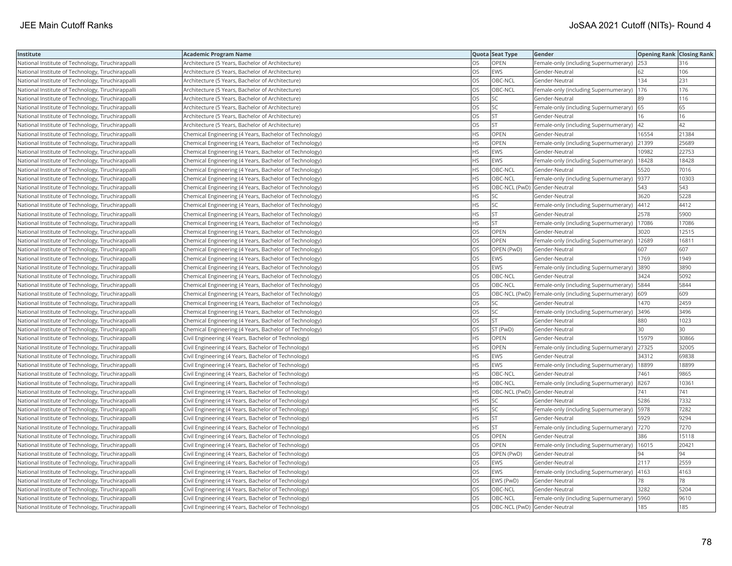| Institute                                         | Academic Program Name                                  |           | Quota Seat Type              | Gender                                                | <b>Opening Rank Closing Rank</b> |       |
|---------------------------------------------------|--------------------------------------------------------|-----------|------------------------------|-------------------------------------------------------|----------------------------------|-------|
| National Institute of Technology, Tiruchirappalli | Architecture (5 Years, Bachelor of Architecture)       | OS.       | OPEN                         | Female-only (including Supernumerary) 253             |                                  | 316   |
| National Institute of Technology, Tiruchirappalli | Architecture (5 Years, Bachelor of Architecture)       | OS        | EWS                          | Gender-Neutral                                        | 62                               | 106   |
| National Institute of Technology, Tiruchirappalli | Architecture (5 Years, Bachelor of Architecture)       | OS.       | OBC-NCL                      | Gender-Neutral                                        | 134                              | 231   |
| National Institute of Technology, Tiruchirappalli | Architecture (5 Years, Bachelor of Architecture)       | OS        | OBC-NCL                      | Female-only (including Supernumerary)                 | 176                              | 176   |
| National Institute of Technology, Tiruchirappalli | Architecture (5 Years, Bachelor of Architecture)       | OS        | <b>SC</b>                    | Gender-Neutral                                        | 89                               | 116   |
| National Institute of Technology, Tiruchirappalli | Architecture (5 Years, Bachelor of Architecture)       | OS        | SC                           | Female-only (including Supernumerary) 65              |                                  | 65    |
| National Institute of Technology, Tiruchirappalli | Architecture (5 Years, Bachelor of Architecture)       | OS        | <b>ST</b>                    | Gender-Neutral                                        | 16                               | 16    |
| National Institute of Technology, Tiruchirappalli | Architecture (5 Years, Bachelor of Architecture)       | OS        | <b>ST</b>                    | Female-only (including Supernumerary)  42             |                                  | 42    |
| National Institute of Technology, Tiruchirappalli | Chemical Engineering (4 Years, Bachelor of Technology) | HS.       | OPEN                         | Gender-Neutral                                        | 16554                            | 21384 |
| National Institute of Technology, Tiruchirappalli | Chemical Engineering (4 Years, Bachelor of Technology) | HS        | OPEN                         | Female-only (including Supernumerary)                 | 21399                            | 25689 |
| National Institute of Technology, Tiruchirappalli | Chemical Engineering (4 Years, Bachelor of Technology) | HS        | EWS                          | Gender-Neutral                                        | 10982                            | 22753 |
| National Institute of Technology, Tiruchirappalli | Chemical Engineering (4 Years, Bachelor of Technology) | HS.       | EWS                          | Female-only (including Supernumerary)                 | 18428                            | 18428 |
| National Institute of Technology, Tiruchirappalli | Chemical Engineering (4 Years, Bachelor of Technology) | <b>HS</b> | OBC-NCL                      | Gender-Neutral                                        | 5520                             | 7016  |
| National Institute of Technology, Tiruchirappalli | Chemical Engineering (4 Years, Bachelor of Technology) | HS        | OBC-NCL                      | Female-only (including Supernumerary)                 | 9377                             | 10303 |
| National Institute of Technology, Tiruchirappalli | Chemical Engineering (4 Years, Bachelor of Technology) | ΗS        | OBC-NCL (PwD) Gender-Neutral |                                                       | 543                              | 543   |
| National Institute of Technology, Tiruchirappalli | Chemical Engineering (4 Years, Bachelor of Technology) | HS        | <b>SC</b>                    | Gender-Neutral                                        | 3620                             | 5228  |
| National Institute of Technology, Tiruchirappalli | Chemical Engineering (4 Years, Bachelor of Technology) | HS        | SC                           | Female-only (including Supernumerary)                 | 4412                             | 4412  |
| National Institute of Technology, Tiruchirappalli | Chemical Engineering (4 Years, Bachelor of Technology) | HS.       | <b>ST</b>                    | Gender-Neutral                                        | 2578                             | 5900  |
| National Institute of Technology, Tiruchirappalli | Chemical Engineering (4 Years, Bachelor of Technology) | HS        | <b>ST</b>                    | Female-only (including Supernumerary)                 | 17086                            | 17086 |
| National Institute of Technology, Tiruchirappalli | Chemical Engineering (4 Years, Bachelor of Technology) | OS.       | OPEN                         | Gender-Neutral                                        | 3020                             | 12515 |
| National Institute of Technology, Tiruchirappalli | Chemical Engineering (4 Years, Bachelor of Technology) | OS        | <b>OPEN</b>                  | Female-only (including Supernumerary)                 | 12689                            | 16811 |
| National Institute of Technology, Tiruchirappalli | Chemical Engineering (4 Years, Bachelor of Technology) | OS        | OPEN (PwD)                   | Gender-Neutral                                        | 607                              | 607   |
| National Institute of Technology, Tiruchirappalli | Chemical Engineering (4 Years, Bachelor of Technology) | OS        | EWS                          | Gender-Neutral                                        | 1769                             | 1949  |
| National Institute of Technology, Tiruchirappalli | Chemical Engineering (4 Years, Bachelor of Technology) | OS        | EWS                          | Female-only (including Supernumerary)                 | 3890                             | 3890  |
| National Institute of Technology, Tiruchirappalli | Chemical Engineering (4 Years, Bachelor of Technology) | OS        | OBC-NCL                      | Gender-Neutral                                        | 3424                             | 5092  |
| National Institute of Technology, Tiruchirappalli | Chemical Engineering (4 Years, Bachelor of Technology) | OS        | OBC-NCL                      | Female-only (including Supernumerary)                 | 5844                             | 5844  |
| National Institute of Technology, Tiruchirappalli | Chemical Engineering (4 Years, Bachelor of Technology) | OS        |                              | OBC-NCL (PwD)   Female-only (including Supernumerary) | 609                              | 609   |
| National Institute of Technology, Tiruchirappalli | Chemical Engineering (4 Years, Bachelor of Technology) | OS.       | <b>SC</b>                    | Gender-Neutral                                        | 1470                             | 2459  |
| National Institute of Technology, Tiruchirappalli | Chemical Engineering (4 Years, Bachelor of Technology) | OS        | SC                           | Female-only (including Supernumerary)                 | 3496                             | 3496  |
| National Institute of Technology, Tiruchirappalli | Chemical Engineering (4 Years, Bachelor of Technology) | OS        | <b>ST</b>                    | Gender-Neutral                                        | 880                              | 1023  |
| National Institute of Technology, Tiruchirappalli | Chemical Engineering (4 Years, Bachelor of Technology) | OS        | ST (PwD)                     | Gender-Neutral                                        | 30                               | 30    |
| National Institute of Technology, Tiruchirappalli | Civil Engineering (4 Years, Bachelor of Technology)    | HS.       | <b>OPEN</b>                  | Gender-Neutral                                        | 15979                            | 30866 |
| National Institute of Technology, Tiruchirappalli | Civil Engineering (4 Years, Bachelor of Technology)    | HS.       | OPEN                         | Female-only (including Supernumerary)                 | 27325                            | 32005 |
| National Institute of Technology, Tiruchirappalli | Civil Engineering (4 Years, Bachelor of Technology)    | <b>HS</b> | <b>EWS</b>                   | Gender-Neutral                                        | 34312                            | 69838 |
| National Institute of Technology, Tiruchirappalli | Civil Engineering (4 Years, Bachelor of Technology)    | HS        | EWS                          | Female-only (including Supernumerary)                 | 18899                            | 18899 |
| National Institute of Technology, Tiruchirappalli | Civil Engineering (4 Years, Bachelor of Technology)    | HS.       | OBC-NCL                      | Gender-Neutral                                        | 7461                             | 9865  |
| National Institute of Technology, Tiruchirappalli | Civil Engineering (4 Years, Bachelor of Technology)    | <b>HS</b> | OBC-NCL                      | Female-only (including Supernumerary)  8267           |                                  | 10361 |
| National Institute of Technology, Tiruchirappalli | Civil Engineering (4 Years, Bachelor of Technology)    | HS.       | OBC-NCL (PwD) Gender-Neutral |                                                       | 741                              | 741   |
| National Institute of Technology, Tiruchirappalli | Civil Engineering (4 Years, Bachelor of Technology)    | HS        | SC                           | Gender-Neutral                                        | 5286                             | 7332  |
| National Institute of Technology, Tiruchirappalli | Civil Engineering (4 Years, Bachelor of Technology)    | HS.       | <b>SC</b>                    | Female-only (including Supernumerary)                 | 5978                             | 7282  |
| National Institute of Technology, Tiruchirappalli | Civil Engineering (4 Years, Bachelor of Technology)    | HS        | <b>ST</b>                    | Gender-Neutral                                        | 5929                             | 9294  |
| National Institute of Technology, Tiruchirappalli | Civil Engineering (4 Years, Bachelor of Technology)    | HS.       | <b>ST</b>                    | Female-only (including Supernumerary)  7270           |                                  | 7270  |
| National Institute of Technology, Tiruchirappalli | Civil Engineering (4 Years, Bachelor of Technology)    | OS.       | OPEN                         | Gender-Neutral                                        | 386                              | 15118 |
| National Institute of Technology, Tiruchirappalli | Civil Engineering (4 Years, Bachelor of Technology)    | OS        | <b>OPEN</b>                  | Female-only (including Supernumerary)                 | 16015                            | 20421 |
| National Institute of Technology, Tiruchirappalli | Civil Engineering (4 Years, Bachelor of Technology)    | OS        | OPEN (PwD)                   | Gender-Neutral                                        | 94                               | 94    |
| National Institute of Technology, Tiruchirappalli | Civil Engineering (4 Years, Bachelor of Technology)    | OS        | EWS                          | Gender-Neutral                                        | 2117                             | 2559  |
| National Institute of Technology, Tiruchirappalli | Civil Engineering (4 Years, Bachelor of Technology)    | OS.       | <b>EWS</b>                   | Female-only (including Supernumerary)  4163           |                                  | 4163  |
| National Institute of Technology, Tiruchirappalli | Civil Engineering (4 Years, Bachelor of Technology)    | OS        | EWS (PwD)                    | Gender-Neutral                                        | 78                               | 78    |
| National Institute of Technology, Tiruchirappalli | Civil Engineering (4 Years, Bachelor of Technology)    | OS        | OBC-NCL                      | Gender-Neutral                                        | 3282                             | 5204  |
| National Institute of Technology, Tiruchirappalli | Civil Engineering (4 Years, Bachelor of Technology)    | OS.       | OBC-NCL                      | Female-only (including Supernumerary)                 | 5960                             | 9610  |
| National Institute of Technology, Tiruchirappalli | Civil Engineering (4 Years, Bachelor of Technology)    | <b>OS</b> | OBC-NCL (PwD) Gender-Neutral |                                                       | 185                              | 185   |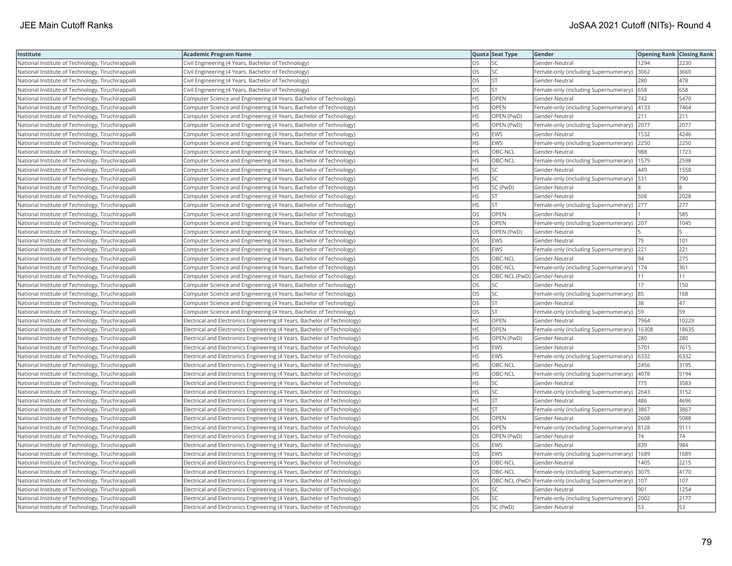| Institute                                         | <b>Academic Program Name</b>                                             |           | Quota Seat Type              | Gender                                                   | <b>Opening Rank   Closing Rank</b> |       |
|---------------------------------------------------|--------------------------------------------------------------------------|-----------|------------------------------|----------------------------------------------------------|------------------------------------|-------|
| National Institute of Technology, Tiruchirappalli | Civil Engineering (4 Years, Bachelor of Technology)                      | OS        | SC                           | Gender-Neutral                                           | 1294                               | 2230  |
| National Institute of Technology, Tiruchirappalli | Civil Engineering (4 Years, Bachelor of Technology)                      | OS        | <b>SC</b>                    | Female-only (including Supernumerary)                    | 3062                               | 3660  |
| National Institute of Technology, Tiruchirappalli | Civil Engineering (4 Years, Bachelor of Technology)                      | OS.       | <b>ST</b>                    | Gender-Neutral                                           | 280                                | 478   |
| National Institute of Technology, Tiruchirappalli | Civil Engineering (4 Years, Bachelor of Technology)                      | OS        | <b>ST</b>                    | Female-only (including Supernumerary)                    | 658                                | 658   |
| National Institute of Technology, Tiruchirappalli | Computer Science and Engineering (4 Years, Bachelor of Technology)       | HS.       | <b>OPEN</b>                  | Gender-Neutral                                           | 742                                | 5470  |
| National Institute of Technology, Tiruchirappalli | Computer Science and Engineering (4 Years, Bachelor of Technology)       | HS.       | OPEN                         | Female-only (including Supernumerary)   4133             |                                    | 7464  |
| National Institute of Technology, Tiruchirappalli | Computer Science and Engineering (4 Years, Bachelor of Technology)       | HS        | OPEN (PwD)                   | Gender-Neutral                                           | 211                                | 211   |
| National Institute of Technology, Tiruchirappalli | Computer Science and Engineering (4 Years, Bachelor of Technology)       | НS        | OPEN (PwD)                   | Female-only (including Supernumerary)                    | 2077                               | 2077  |
| National Institute of Technology, Tiruchirappalli | Computer Science and Engineering (4 Years, Bachelor of Technology)       | HS.       | EWS                          | Gender-Neutral                                           | 1532                               | 4246  |
| National Institute of Technology, Tiruchirappalli | Computer Science and Engineering (4 Years, Bachelor of Technology)       | HS.       | <b>EWS</b>                   | Female-only (including Supernumerary)                    | 2250                               | 2250  |
| National Institute of Technology, Tiruchirappalli | Computer Science and Engineering (4 Years, Bachelor of Technology)       | <b>HS</b> | OBC-NCL                      | Gender-Neutral                                           | 988                                | 1723  |
| National Institute of Technology, Tiruchirappalli | Computer Science and Engineering (4 Years, Bachelor of Technology)       | HS.       | OBC-NCL                      | Female-only (including Supernumerary)  1579              |                                    | 2598  |
| National Institute of Technology, Tiruchirappalli | Computer Science and Engineering (4 Years, Bachelor of Technology)       | HS.       | SC                           | Gender-Neutral                                           | 449                                | 1558  |
| National Institute of Technology, Tiruchirappalli | Computer Science and Engineering (4 Years, Bachelor of Technology)       | ΗS        | SC                           | Female-only (including Supernumerary)   531              |                                    | 790   |
| National Institute of Technology, Tiruchirappalli | Computer Science and Engineering (4 Years, Bachelor of Technology)       | HS.       | SC (PwD)                     | Gender-Neutral                                           |                                    |       |
| National Institute of Technology, Tiruchirappalli | Computer Science and Engineering (4 Years, Bachelor of Technology)       | HS.       | <b>ST</b>                    | Gender-Neutral                                           | 508                                | 2028  |
| National Institute of Technology, Tiruchirappalli | Computer Science and Engineering (4 Years, Bachelor of Technology)       | HS.       | <b>ST</b>                    | Female-only (including Supernumerary)                    | 277                                | 277   |
| National Institute of Technology, Tiruchirappalli | Computer Science and Engineering (4 Years, Bachelor of Technology)       | OS        | OPEN                         | Gender-Neutral                                           |                                    | 585   |
| National Institute of Technology, Tiruchirappalli | Computer Science and Engineering (4 Years, Bachelor of Technology)       | OS        | OPEN                         | Female-only (including Supernumerary)                    | 207                                | 1045  |
| National Institute of Technology, Tiruchirappalli | Computer Science and Engineering (4 Years, Bachelor of Technology)       | OS        | OPEN (PwD)                   | Gender-Neutral                                           |                                    |       |
| National Institute of Technology, Tiruchirappalli | Computer Science and Engineering (4 Years, Bachelor of Technology)       | OS        | EWS                          | Gender-Neutral                                           | 75                                 | 101   |
| National Institute of Technology, Tiruchirappalli | Computer Science and Engineering (4 Years, Bachelor of Technology)       | OS        | EWS                          | Female-only (including Supernumerary) 221                |                                    | 221   |
| National Institute of Technology, Tiruchirappalli | Computer Science and Engineering (4 Years, Bachelor of Technology)       | OS        | OBC-NCL                      | Gender-Neutral                                           | 94                                 | 275   |
| National Institute of Technology, Tiruchirappalli | Computer Science and Engineering (4 Years, Bachelor of Technology)       | OS.       | OBC-NCL                      | Female-only (including Supernumerary)   174              |                                    | 361   |
| National Institute of Technology, Tiruchirappalli | Computer Science and Engineering (4 Years, Bachelor of Technology)       | OS        | OBC-NCL (PwD) Gender-Neutral |                                                          | 11                                 | 11    |
| National Institute of Technology, Tiruchirappalli | Computer Science and Engineering (4 Years, Bachelor of Technology)       | OS        | <b>SC</b>                    | Gender-Neutral                                           | 17                                 | 150   |
| National Institute of Technology, Tiruchirappalli | Computer Science and Engineering (4 Years, Bachelor of Technology)       | OS        | SC                           | Female-only (including Supernumerary)                    | 85                                 | 168   |
| National Institute of Technology, Tiruchirappalli | Computer Science and Engineering (4 Years, Bachelor of Technology)       | OS        | <b>ST</b>                    | Gender-Neutral                                           | 38                                 | 47    |
| National Institute of Technology, Tiruchirappalli | Computer Science and Engineering (4 Years, Bachelor of Technology)       | OS        | <b>ST</b>                    | Female-only (including Supernumerary)  59                |                                    | 59    |
| National Institute of Technology, Tiruchirappalli | Electrical and Electronics Engineering (4 Years, Bachelor of Technology) | ΗS        | OPEN                         | Gender-Neutral                                           | 7964                               | 10229 |
| National Institute of Technology, Tiruchirappalli | Electrical and Electronics Engineering (4 Years, Bachelor of Technology) | HS.       | OPEN                         | Female-only (including Supernumerary)   16308            |                                    | 18635 |
| National Institute of Technology, Tiruchirappalli | Electrical and Electronics Engineering (4 Years, Bachelor of Technology) | НS        | OPEN (PwD)                   | Gender-Neutral                                           | 280                                | 280   |
| National Institute of Technology, Tiruchirappalli | Electrical and Electronics Engineering (4 Years, Bachelor of Technology) | HS.       | EWS                          | Gender-Neutral                                           | 5701                               | 7615  |
| National Institute of Technology, Tiruchirappalli | Electrical and Electronics Engineering (4 Years, Bachelor of Technology) | HS.       | <b>EWS</b>                   | Female-only (including Supernumerary)                    | 6332                               | 6332  |
| National Institute of Technology, Tiruchirappalli | Electrical and Electronics Engineering (4 Years, Bachelor of Technology) | HS        | OBC-NCL                      | Gender-Neutral                                           | 2456                               | 3195  |
| National Institute of Technology, Tiruchirappalli | Electrical and Electronics Engineering (4 Years, Bachelor of Technology) | HS.       | OBC-NCL                      | Female-only (including Supernumerary)                    | 4078                               | 5194  |
| National Institute of Technology, Tiruchirappalli | Electrical and Electronics Engineering (4 Years, Bachelor of Technology) | HS.       | <b>SC</b>                    | Gender-Neutral                                           | 775                                | 3583  |
| National Institute of Technology, Tiruchirappalli | Electrical and Electronics Engineering (4 Years, Bachelor of Technology) | HS        | <b>SC</b>                    | Female-only (including Supernumerary) 2643               |                                    | 3152  |
| National Institute of Technology, Tiruchirappalli | Electrical and Electronics Engineering (4 Years, Bachelor of Technology) | ΗS        | ST                           | Gender-Neutral                                           | 486                                | 4696  |
| National Institute of Technology, Tiruchirappalli | Electrical and Electronics Engineering (4 Years, Bachelor of Technology) | HS.       | <b>ST</b>                    | Female-only (including Supernumerary)                    | 3867                               | 3867  |
| National Institute of Technology, Tiruchirappalli | Electrical and Electronics Engineering (4 Years, Bachelor of Technology) | OS        | OPEN                         | Gender-Neutral                                           | 2608                               | 5088  |
| National Institute of Technology, Tiruchirappalli | Electrical and Electronics Engineering (4 Years, Bachelor of Technology) | OS        | OPEN                         | Female-only (including Supernumerary) 8128               |                                    | 9111  |
| National Institute of Technology, Tiruchirappalli | Electrical and Electronics Engineering (4 Years, Bachelor of Technology) | OS        | OPEN (PwD)                   | Gender-Neutral                                           | 74                                 | 74    |
| National Institute of Technology, Tiruchirappalli | Electrical and Electronics Engineering (4 Years, Bachelor of Technology) | OS        | EWS                          | Gender-Neutral                                           | 839                                | 984   |
| National Institute of Technology, Tiruchirappalli | Electrical and Electronics Engineering (4 Years, Bachelor of Technology) | OS        | EWS                          | Female-only (including Supernumerary)                    | 1689                               | 1689  |
| National Institute of Technology, Tiruchirappalli | Electrical and Electronics Engineering (4 Years, Bachelor of Technology) | OS        | OBC-NCL                      | Gender-Neutral                                           | 1405                               | 2215  |
| National Institute of Technology, Tiruchirappalli | Electrical and Electronics Engineering (4 Years, Bachelor of Technology) | OS.       | OBC-NCL                      | Female-only (including Supernumerary) 3075               |                                    | 4170  |
| National Institute of Technology, Tiruchirappalli | Electrical and Electronics Engineering (4 Years, Bachelor of Technology) | OS        |                              | OBC-NCL (PwD) Female-only (including Supernumerary)  107 |                                    | 107   |
| National Institute of Technology, Tiruchirappalli | Electrical and Electronics Engineering (4 Years, Bachelor of Technology) | OS        | SC                           | Gender-Neutral                                           | 901                                | 1254  |
| National Institute of Technology, Tiruchirappalli | Electrical and Electronics Engineering (4 Years, Bachelor of Technology) | OS        | SC                           | Female-only (including Supernumerary)                    | 2002                               | 2177  |
| National Institute of Technology, Tiruchirappalli | Electrical and Electronics Engineering (4 Years, Bachelor of Technology) | <b>OS</b> | SC (PwD)                     | Gender-Neutral                                           | 53                                 | 53    |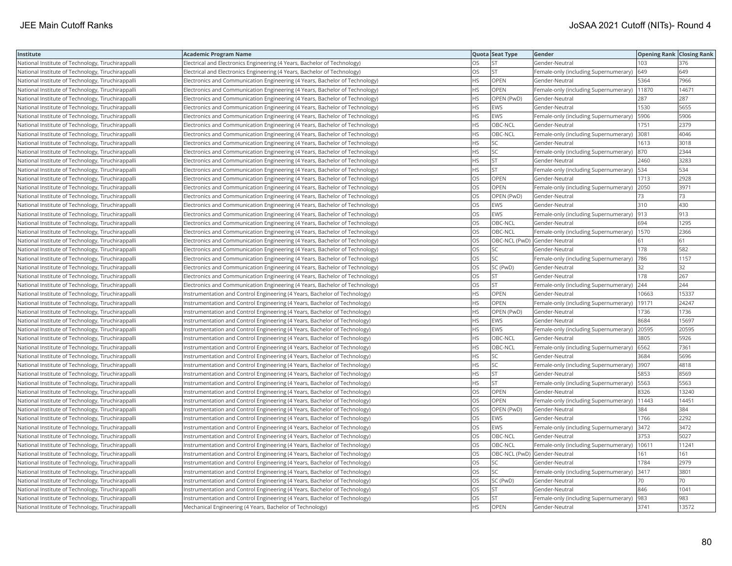| Institute                                         | <b>Academic Program Name</b>                                                |           | Quota Seat Type              | Gender                                        | <b>Opening Rank Closing Rank</b> |       |
|---------------------------------------------------|-----------------------------------------------------------------------------|-----------|------------------------------|-----------------------------------------------|----------------------------------|-------|
| National Institute of Technology, Tiruchirappalli | Electrical and Electronics Engineering (4 Years, Bachelor of Technology)    | OS        | <b>ST</b>                    | Gender-Neutral                                | 103                              | 376   |
| National Institute of Technology, Tiruchirappalli | Electrical and Electronics Engineering (4 Years, Bachelor of Technology)    | OS        | <b>ST</b>                    | Female-only (including Supernumerary)         | 649                              | 649   |
| National Institute of Technology, Tiruchirappalli | Electronics and Communication Engineering (4 Years, Bachelor of Technology) | <b>HS</b> | OPEN                         | Gender-Neutral                                | 5364                             | 7966  |
| National Institute of Technology, Tiruchirappalli | Electronics and Communication Engineering (4 Years, Bachelor of Technology) | HS        | <b>OPEN</b>                  | Female-only (including Supernumerary)   11870 |                                  | 14671 |
| National Institute of Technology, Tiruchirappalli | Electronics and Communication Engineering (4 Years, Bachelor of Technology) | НS        | OPEN (PwD)                   | Gender-Neutral                                | 287                              | 287   |
| National Institute of Technology, Tiruchirappalli | Electronics and Communication Engineering (4 Years, Bachelor of Technology) | HS        | <b>EWS</b>                   | Gender-Neutral                                | 1530                             | 5655  |
| National Institute of Technology, Tiruchirappalli | Electronics and Communication Engineering (4 Years, Bachelor of Technology) | HS        | EWS                          | Female-only (including Supernumerary)   5906  |                                  | 5906  |
| National Institute of Technology, Tiruchirappalli | Electronics and Communication Engineering (4 Years, Bachelor of Technology) | <b>HS</b> | OBC-NCL                      | Gender-Neutral                                | 1751                             | 2379  |
| National Institute of Technology, Tiruchirappalli | Electronics and Communication Engineering (4 Years, Bachelor of Technology) | HS        | OBC-NCL                      | Female-only (including Supernumerary) 3081    |                                  | 4046  |
| National Institute of Technology, Tiruchirappalli | Electronics and Communication Engineering (4 Years, Bachelor of Technology) | <b>HS</b> | <b>SC</b>                    | Gender-Neutral                                | 1613                             | 3018  |
| National Institute of Technology, Tiruchirappalli | Electronics and Communication Engineering (4 Years, Bachelor of Technology) | <b>HS</b> | <b>SC</b>                    | Female-only (including Supernumerary)         | 870                              | 2344  |
| National Institute of Technology, Tiruchirappalli | Electronics and Communication Engineering (4 Years, Bachelor of Technology) | HS        | <b>ST</b>                    | Gender-Neutral                                | 2460                             | 3283  |
| National Institute of Technology, Tiruchirappalli | Electronics and Communication Engineering (4 Years, Bachelor of Technology) | HS.       | <b>ST</b>                    | Female-only (including Supernumerary)   534   |                                  | 534   |
| National Institute of Technology, Tiruchirappalli | Electronics and Communication Engineering (4 Years, Bachelor of Technology) | OS        | <b>OPEN</b>                  | Gender-Neutral                                | 1713                             | 2928  |
| National Institute of Technology, Tiruchirappalli | Electronics and Communication Engineering (4 Years, Bachelor of Technology) | OS        | OPEN                         | Female-only (including Supernumerary) 2050    |                                  | 3971  |
| National Institute of Technology, Tiruchirappalli | Electronics and Communication Engineering (4 Years, Bachelor of Technology) | OS        | OPEN (PwD)                   | Gender-Neutral                                | 73                               | 73    |
| National Institute of Technology, Tiruchirappalli | Electronics and Communication Engineering (4 Years, Bachelor of Technology) | OS        | <b>EWS</b>                   | Gender-Neutral                                | 310                              | 430   |
| National Institute of Technology, Tiruchirappalli | Electronics and Communication Engineering (4 Years, Bachelor of Technology) | OS        | <b>EWS</b>                   | Female-only (including Supernumerary)  913    |                                  | 913   |
| National Institute of Technology, Tiruchirappalli | Electronics and Communication Engineering (4 Years, Bachelor of Technology) | OS        | OBC-NCL                      | Gender-Neutral                                | 694                              | 1295  |
| National Institute of Technology, Tiruchirappalli | Electronics and Communication Engineering (4 Years, Bachelor of Technology) | OS        | OBC-NCL                      | Female-only (including Supernumerary)   1570  |                                  | 2366  |
| National Institute of Technology, Tiruchirappalli | Electronics and Communication Engineering (4 Years, Bachelor of Technology) | OS        | OBC-NCL (PwD) Gender-Neutral |                                               | 61                               | 61    |
| National Institute of Technology, Tiruchirappalli | Electronics and Communication Engineering (4 Years, Bachelor of Technology) | OS        | SC                           | Gender-Neutral                                | 178                              | 582   |
| National Institute of Technology, Tiruchirappalli | Electronics and Communication Engineering (4 Years, Bachelor of Technology) | OS        | SC                           | Female-only (including Supernumerary)  786    |                                  | 1157  |
| National Institute of Technology, Tiruchirappalli | Electronics and Communication Engineering (4 Years, Bachelor of Technology) | OS        | SC (PwD)                     | Gender-Neutral                                | 32                               | 32    |
| National Institute of Technology, Tiruchirappall  | Electronics and Communication Engineering (4 Years, Bachelor of Technology) | OS        | <b>ST</b>                    | Gender-Neutral                                | 178                              | 267   |
| National Institute of Technology, Tiruchirappalli | Electronics and Communication Engineering (4 Years, Bachelor of Technology) | OS        | <b>ST</b>                    | Female-only (including Supernumerary)         | 244                              | 244   |
| National Institute of Technology, Tiruchirappalli | Instrumentation and Control Engineering (4 Years, Bachelor of Technology)   | <b>HS</b> | OPEN                         | Gender-Neutral                                | 10663                            | 15337 |
| National Institute of Technology, Tiruchirappalli | Instrumentation and Control Engineering (4 Years, Bachelor of Technology)   | НS        | <b>OPEN</b>                  | Female-only (including Supernumerary)         | 19171                            | 24247 |
| National Institute of Technology, Tiruchirappalli | Instrumentation and Control Engineering (4 Years, Bachelor of Technology)   | HS        | OPEN (PwD)                   | Gender-Neutral                                | 1736                             | 1736  |
| National Institute of Technology, Tiruchirappalli | Instrumentation and Control Engineering (4 Years, Bachelor of Technology)   | HS        | <b>EWS</b>                   | Gender-Neutral                                | 8684                             | 15697 |
| National Institute of Technology, Tiruchirappalli | Instrumentation and Control Engineering (4 Years, Bachelor of Technology)   | HS        | <b>EWS</b>                   | Female-only (including Supernumerary) 20595   |                                  | 20595 |
| National Institute of Technology, Tiruchirappalli | Instrumentation and Control Engineering (4 Years, Bachelor of Technology)   | HS        | OBC-NCL                      | Gender-Neutral                                | 3805                             | 5926  |
| National Institute of Technology, Tiruchirappalli | Instrumentation and Control Engineering (4 Years, Bachelor of Technology)   | <b>HS</b> | OBC-NCL                      | Female-only (including Supernumerary) 6562    |                                  | 7361  |
| National Institute of Technology, Tiruchirappalli | Instrumentation and Control Engineering (4 Years, Bachelor of Technology)   | HS        | <b>SC</b>                    | Gender-Neutral                                | 3684                             | 5696  |
| National Institute of Technology, Tiruchirappalli | Instrumentation and Control Engineering (4 Years, Bachelor of Technology)   | HS        | <b>SC</b>                    | Female-only (including Supernumerary) 3907    |                                  | 4818  |
| National Institute of Technology, Tiruchirappalli | Instrumentation and Control Engineering (4 Years, Bachelor of Technology)   | HS        | <b>ST</b>                    | Gender-Neutral                                | 5853                             | 8569  |
| National Institute of Technology, Tiruchirappalli | Instrumentation and Control Engineering (4 Years, Bachelor of Technology)   | HS        | <b>ST</b>                    | Female-only (including Supernumerary)   5563  |                                  | 5563  |
| National Institute of Technology, Tiruchirappalli | Instrumentation and Control Engineering (4 Years, Bachelor of Technology)   | OS        | OPEN                         | Gender-Neutral                                | 8326                             | 13240 |
| National Institute of Technology, Tiruchirappalli | Instrumentation and Control Engineering (4 Years, Bachelor of Technology)   | OS        | <b>OPEN</b>                  | Female-only (including Supernumerary)   11443 |                                  | 14451 |
| National Institute of Technology, Tiruchirappalli | Instrumentation and Control Engineering (4 Years, Bachelor of Technology)   | OS        | OPEN (PwD)                   | Gender-Neutral                                | 384                              | 384   |
| National Institute of Technology, Tiruchirappall  | Instrumentation and Control Engineering (4 Years, Bachelor of Technology)   | OS        | <b>EWS</b>                   | Gender-Neutral                                | 1766                             | 2292  |
| National Institute of Technology, Tiruchirappalli | Instrumentation and Control Engineering (4 Years, Bachelor of Technology)   | OS        | <b>EWS</b>                   | Female-only (including Supernumerary) 3472    |                                  | 3472  |
| National Institute of Technology, Tiruchirappalli | Instrumentation and Control Engineering (4 Years, Bachelor of Technology)   | OS        | OBC-NCL                      | Gender-Neutral                                | 3753                             | 5027  |
| National Institute of Technology, Tiruchirappalli | Instrumentation and Control Engineering (4 Years, Bachelor of Technology)   | OS        | OBC-NCL                      | Female-only (including Supernumerary)         | 10611                            | 11241 |
| National Institute of Technology, Tiruchirappalli | Instrumentation and Control Engineering (4 Years, Bachelor of Technology)   | OS        | OBC-NCL (PwD) Gender-Neutral |                                               | 161                              | 161   |
| National Institute of Technology, Tiruchirappalli | Instrumentation and Control Engineering (4 Years, Bachelor of Technology)   | OS        | SC                           | Gender-Neutral                                | 1784                             | 2979  |
| National Institute of Technology, Tiruchirappalli | Instrumentation and Control Engineering (4 Years, Bachelor of Technology)   | OS        | <b>SC</b>                    | Female-only (including Supernumerary)         | 3417                             | 3801  |
| National Institute of Technology, Tiruchirappalli | Instrumentation and Control Engineering (4 Years, Bachelor of Technology)   | OS        | SC (PwD)                     | Gender-Neutral                                | 70                               | 70    |
| National Institute of Technology, Tiruchirappalli | Instrumentation and Control Engineering (4 Years, Bachelor of Technology)   | OS        | <b>ST</b>                    | Gender-Neutral                                | 846                              | 1041  |
| National Institute of Technology, Tiruchirappalli | Instrumentation and Control Engineering (4 Years, Bachelor of Technology)   | OS        | <b>ST</b>                    | Female-only (including Supernumerary)         | 983                              | 983   |
| National Institute of Technology, Tiruchirappalli | Mechanical Engineering (4 Years, Bachelor of Technology)                    | <b>HS</b> | OPEN                         | Gender-Neutral                                | 3741                             | 13572 |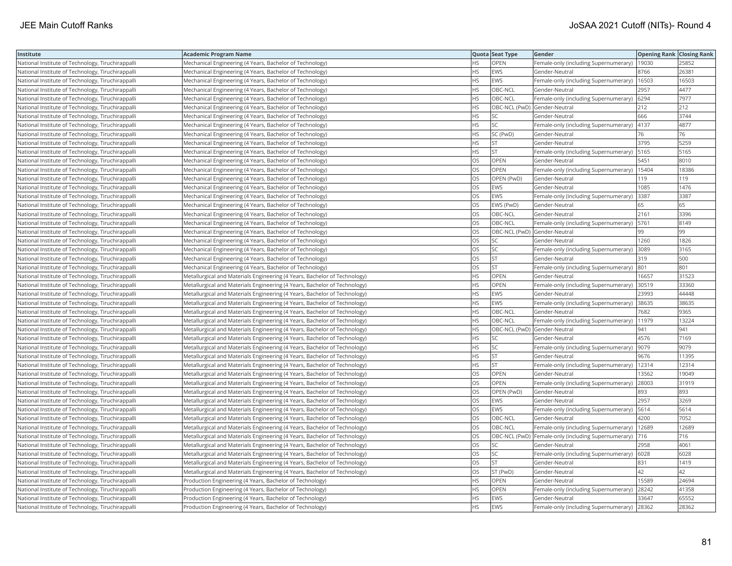| Institute                                         | Academic Program Name                                                     |           | Quota Seat Type              | Gender                                               | <b>Opening Rank Closing Rank</b> |       |
|---------------------------------------------------|---------------------------------------------------------------------------|-----------|------------------------------|------------------------------------------------------|----------------------------------|-------|
| National Institute of Technology, Tiruchirappalli | Mechanical Engineering (4 Years, Bachelor of Technology)                  | HS.       | OPEN                         | Female-only (including Supernumerary)   19030        |                                  | 25852 |
| National Institute of Technology, Tiruchirappalli | Mechanical Engineering (4 Years, Bachelor of Technology)                  | ΗS        | EWS                          | Gender-Neutral                                       | 8766                             | 26381 |
| National Institute of Technology, Tiruchirappalli | Mechanical Engineering (4 Years, Bachelor of Technology)                  | <b>HS</b> | <b>EWS</b>                   | Female-only (including Supernumerary)   16503        |                                  | 16503 |
| National Institute of Technology, Tiruchirappalli | Mechanical Engineering (4 Years, Bachelor of Technology)                  | HS.       | OBC-NCL                      | Gender-Neutral                                       | 2957                             | 4477  |
| National Institute of Technology, Tiruchirappalli | Mechanical Engineering (4 Years, Bachelor of Technology)                  | HS        | OBC-NCL                      | Female-only (including Supernumerary) 6294           |                                  | 7977  |
| National Institute of Technology, Tiruchirappalli | Mechanical Engineering (4 Years, Bachelor of Technology)                  | HS        | OBC-NCL (PwD) Gender-Neutral |                                                      | 212                              | 212   |
| National Institute of Technology, Tiruchirappalli | Mechanical Engineering (4 Years, Bachelor of Technology)                  | HS        | SC                           | Gender-Neutral                                       | 666                              | 3744  |
| National Institute of Technology, Tiruchirappalli | Mechanical Engineering (4 Years, Bachelor of Technology)                  | HS.       | <b>SC</b>                    | Female-only (including Supernumerary)   4137         |                                  | 4877  |
| National Institute of Technology, Tiruchirappalli | Mechanical Engineering (4 Years, Bachelor of Technology)                  | HS        | SC (PwD)                     | Gender-Neutral                                       | 76                               | 76    |
| National Institute of Technology, Tiruchirappalli | Mechanical Engineering (4 Years, Bachelor of Technology)                  | HS        | <b>ST</b>                    | Gender-Neutral                                       | 3795                             | 5259  |
| National Institute of Technology, Tiruchirappalli | Mechanical Engineering (4 Years, Bachelor of Technology)                  | <b>HS</b> | ST                           | Female-only (including Supernumerary)                | 5165                             | 5165  |
| National Institute of Technology, Tiruchirappalli | Mechanical Engineering (4 Years, Bachelor of Technology)                  | OS        | OPEN                         | Gender-Neutral                                       | 5451                             | 8010  |
| National Institute of Technology, Tiruchirappalli | Mechanical Engineering (4 Years, Bachelor of Technology)                  | <b>OS</b> | OPEN                         | Female-only (including Supernumerary)                | 15404                            | 18386 |
| National Institute of Technology, Tiruchirappalli | Mechanical Engineering (4 Years, Bachelor of Technology)                  | OS        | OPEN (PwD)                   | Gender-Neutral                                       | 119                              | 119   |
| National Institute of Technology, Tiruchirappalli | Mechanical Engineering (4 Years, Bachelor of Technology)                  | OS        | EWS                          | Gender-Neutral                                       | 1085                             | 1476  |
| National Institute of Technology, Tiruchirappalli | Mechanical Engineering (4 Years, Bachelor of Technology)                  | OS        | <b>EWS</b>                   | Female-only (including Supernumerary)                | 3387                             | 3387  |
| National Institute of Technology, Tiruchirappalli | Mechanical Engineering (4 Years, Bachelor of Technology)                  | <b>OS</b> | EWS (PwD)                    | Gender-Neutral                                       | 65                               | 65    |
| National Institute of Technology, Tiruchirappalli | Mechanical Engineering (4 Years, Bachelor of Technology)                  | OS        | OBC-NCL                      | Gender-Neutral                                       | 2161                             | 3396  |
| National Institute of Technology, Tiruchirappalli | Mechanical Engineering (4 Years, Bachelor of Technology)                  | OS        | OBC-NCL                      | Female-only (including Supernumerary)                | 5761                             | 8149  |
| National Institute of Technology, Tiruchirappalli | Mechanical Engineering (4 Years, Bachelor of Technology)                  | OS.       | OBC-NCL (PwD) Gender-Neutral |                                                      | 99                               | 99    |
| National Institute of Technology, Tiruchirappalli | Mechanical Engineering (4 Years, Bachelor of Technology)                  | OS.       | <b>SC</b>                    | Gender-Neutral                                       | 1260                             | 1826  |
| National Institute of Technology, Tiruchirappalli | Mechanical Engineering (4 Years, Bachelor of Technology)                  | OS        | SC                           | Female-only (including Supernumerary) 3089           |                                  | 3165  |
| National Institute of Technology, Tiruchirappalli | Mechanical Engineering (4 Years, Bachelor of Technology)                  | OS        | ST                           | Gender-Neutral                                       | 319                              | 500   |
| National Institute of Technology, Tiruchirappalli | Mechanical Engineering (4 Years, Bachelor of Technology)                  | OS        | <b>ST</b>                    | Female-only (including Supernumerary) 801            |                                  | 801   |
| National Institute of Technology, Tiruchirappalli | Metallurgical and Materials Engineering (4 Years, Bachelor of Technology) | HS        | OPEN                         | Gender-Neutral                                       | 16657                            | 31523 |
| National Institute of Technology, Tiruchirappalli | Metallurgical and Materials Engineering (4 Years, Bachelor of Technology) | <b>HS</b> | OPEN                         | Female-only (including Supernumerary)                | 30519                            | 33360 |
| National Institute of Technology, Tiruchirappalli | Metallurgical and Materials Engineering (4 Years, Bachelor of Technology) | HS        | EWS                          | Gender-Neutral                                       | 23993                            | 44448 |
| National Institute of Technology, Tiruchirappalli | Metallurgical and Materials Engineering (4 Years, Bachelor of Technology) | HS        | <b>EWS</b>                   | Female-only (including Supernumerary)                | 38635                            | 38635 |
| National Institute of Technology, Tiruchirappalli | Metallurgical and Materials Engineering (4 Years, Bachelor of Technology) | <b>HS</b> | OBC-NCL                      | Gender-Neutral                                       | 7682                             | 9365  |
| National Institute of Technology, Tiruchirappalli | Metallurgical and Materials Engineering (4 Years, Bachelor of Technology) | HS        | OBC-NCL                      | Female-only (including Supernumerary)                | 11979                            | 13224 |
| National Institute of Technology, Tiruchirappalli | Metallurgical and Materials Engineering (4 Years, Bachelor of Technology) | HS.       | OBC-NCL (PwD) Gender-Neutral |                                                      | 941                              | 941   |
| National Institute of Technology, Tiruchirappalli | Metallurgical and Materials Engineering (4 Years, Bachelor of Technology) | ΗS        | <b>SC</b>                    | Gender-Neutral                                       | 4576                             | 7169  |
| National Institute of Technology, Tiruchirappalli | Metallurgical and Materials Engineering (4 Years, Bachelor of Technology) | HS        | SC                           | Female-only (including Supernumerary)                | 9079                             | 9079  |
| National Institute of Technology, Tiruchirappalli | Metallurgical and Materials Engineering (4 Years, Bachelor of Technology) | HS        | <b>ST</b>                    | Gender-Neutral                                       | 9676                             | 11395 |
| National Institute of Technology, Tiruchirappalli | Metallurgical and Materials Engineering (4 Years, Bachelor of Technology) | ΗS        | ST                           | Female-only (including Supernumerary)                | 12314                            | 12314 |
| National Institute of Technology, Tiruchirappalli | Metallurgical and Materials Engineering (4 Years, Bachelor of Technology) | <b>OS</b> | <b>OPEN</b>                  | Gender-Neutral                                       | 13562                            | 19049 |
| National Institute of Technology, Tiruchirappalli | Metallurgical and Materials Engineering (4 Years, Bachelor of Technology) | OS        | <b>OPEN</b>                  | Female-only (including Supernumerary)                | 28003                            | 31919 |
| National Institute of Technology, Tiruchirappalli | Metallurgical and Materials Engineering (4 Years, Bachelor of Technology) | OS        | OPEN (PwD)                   | Gender-Neutral                                       | 893                              | 893   |
| National Institute of Technology, Tiruchirappalli | Metallurgical and Materials Engineering (4 Years, Bachelor of Technology) | OS        | <b>EWS</b>                   | Gender-Neutral                                       | 2957                             | 3269  |
| National Institute of Technology, Tiruchirappalli | Metallurgical and Materials Engineering (4 Years, Bachelor of Technology) | OS        | <b>EWS</b>                   | Female-only (including Supernumerary)   5614         |                                  | 5614  |
| National Institute of Technology, Tiruchirappalli | Metallurgical and Materials Engineering (4 Years, Bachelor of Technology) | OS        | OBC-NCL                      | Gender-Neutral                                       | 4200                             | 7052  |
| National Institute of Technology, Tiruchirappalli | Metallurgical and Materials Engineering (4 Years, Bachelor of Technology) | OS        | OBC-NCL                      | Female-only (including Supernumerary)                | 12689                            | 12689 |
| National Institute of Technology, Tiruchirappalli | Metallurgical and Materials Engineering (4 Years, Bachelor of Technology) | OS        |                              | OBC-NCL (PwD)  Female-only (including Supernumerary) | 716                              | 716   |
| National Institute of Technology, Tiruchirappalli | Metallurgical and Materials Engineering (4 Years, Bachelor of Technology) | OS.       | SC                           | Gender-Neutral                                       | 2958                             | 4061  |
| National Institute of Technology, Tiruchirappalli | Metallurgical and Materials Engineering (4 Years, Bachelor of Technology) | OS        | SC                           | Female-only (including Supernumerary) 6028           |                                  | 6028  |
| National Institute of Technology, Tiruchirappalli | Metallurgical and Materials Engineering (4 Years, Bachelor of Technology) | OS        | <b>ST</b>                    | Gender-Neutral                                       | 831                              | 1419  |
| National Institute of Technology, Tiruchirappalli | Metallurgical and Materials Engineering (4 Years, Bachelor of Technology) | OS.       | ST (PwD)                     | Gender-Neutral                                       | 42                               | 42    |
| National Institute of Technology, Tiruchirappalli | Production Engineering (4 Years, Bachelor of Technology)                  | НS        | <b>OPEN</b>                  | Gender-Neutral                                       | 15589                            | 24694 |
| National Institute of Technology, Tiruchirappalli | Production Engineering (4 Years, Bachelor of Technology)                  | HS        | OPEN                         | Female-only (including Supernumerary)                | 28242                            | 41358 |
| National Institute of Technology, Tiruchirappalli | Production Engineering (4 Years, Bachelor of Technology)                  | HS.       | <b>EWS</b>                   | Gender-Neutral                                       | 33647                            | 65552 |
| National Institute of Technology, Tiruchirappalli | Production Engineering (4 Years, Bachelor of Technology)                  | <b>HS</b> | <b>EWS</b>                   | Female-only (including Supernumerary)                | 28362                            | 28362 |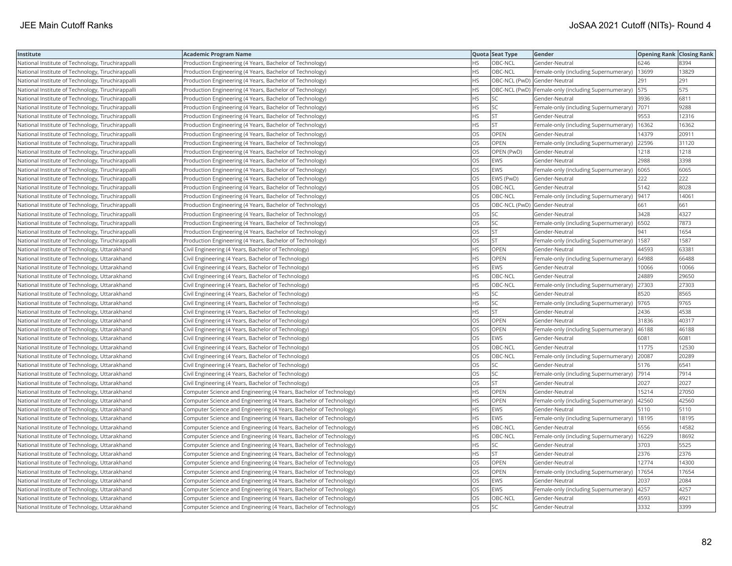| Institute                                         | <b>Academic Program Name</b>                                       |           | Quota Seat Type              | Gender                                              | <b>Opening Rank Closing Rank</b> |       |
|---------------------------------------------------|--------------------------------------------------------------------|-----------|------------------------------|-----------------------------------------------------|----------------------------------|-------|
| National Institute of Technology, Tiruchirappalli | Production Engineering (4 Years, Bachelor of Technology)           | <b>HS</b> | OBC-NCL                      | Gender-Neutral                                      | 6246                             | 8394  |
| National Institute of Technology, Tiruchirappalli | Production Engineering (4 Years, Bachelor of Technology)           | HS        | OBC-NCL                      | Female-only (including Supernumerary)               | 13699                            | 13829 |
| National Institute of Technology, Tiruchirappalli | Production Engineering (4 Years, Bachelor of Technology)           | HS        | OBC-NCL (PwD) Gender-Neutral |                                                     | 291                              | 291   |
| National Institute of Technology, Tiruchirappalli | Production Engineering (4 Years, Bachelor of Technology)           | HS        |                              | OBC-NCL (PwD) Female-only (including Supernumerary) | 575                              | 575   |
| National Institute of Technology, Tiruchirappalli | Production Engineering (4 Years, Bachelor of Technology)           | HS        | SC                           | Gender-Neutral                                      | 3936                             | 6811  |
| National Institute of Technology, Tiruchirappalli | Production Engineering (4 Years, Bachelor of Technology)           | HS        | SC                           | Female-only (including Supernumerary) 7071          |                                  | 9288  |
| National Institute of Technology, Tiruchirappalli | Production Engineering (4 Years, Bachelor of Technology)           | HS        | <b>ST</b>                    | Gender-Neutral                                      | 9553                             | 12316 |
| National Institute of Technology, Tiruchirappalli | Production Engineering (4 Years, Bachelor of Technology)           | <b>HS</b> | <b>ST</b>                    | Female-only (including Supernumerary)               | 16362                            | 16362 |
| National Institute of Technology, Tiruchirappalli | Production Engineering (4 Years, Bachelor of Technology)           | OS        | <b>OPEN</b>                  | Gender-Neutral                                      | 14379                            | 20911 |
| National Institute of Technology, Tiruchirappalli | Production Engineering (4 Years, Bachelor of Technology)           | OS        | OPEN                         | Female-only (including Supernumerary)               | 22596                            | 31120 |
| National Institute of Technology, Tiruchirappall  | Production Engineering (4 Years, Bachelor of Technology)           | OS        | OPEN (PwD)                   | Gender-Neutral                                      | 1218                             | 1218  |
| National Institute of Technology, Tiruchirappalli | Production Engineering (4 Years, Bachelor of Technology)           | OS        | <b>EWS</b>                   | Gender-Neutral                                      | 2988                             | 3398  |
| National Institute of Technology, Tiruchirappalli | Production Engineering (4 Years, Bachelor of Technology)           | <b>OS</b> | <b>EWS</b>                   | Female-only (including Supernumerary)               | 6065                             | 6065  |
| National Institute of Technology, Tiruchirappalli | Production Engineering (4 Years, Bachelor of Technology)           | OS        | EWS (PwD)                    | Gender-Neutral                                      | 222                              | 222   |
| National Institute of Technology, Tiruchirappalli | Production Engineering (4 Years, Bachelor of Technology)           | OS        | OBC-NCL                      | Gender-Neutral                                      | 5142                             | 8028  |
| National Institute of Technology, Tiruchirappalli | Production Engineering (4 Years, Bachelor of Technology)           | OS        | OBC-NCL                      | Female-only (including Supernumerary)  9417         |                                  | 14061 |
| National Institute of Technology, Tiruchirappalli | Production Engineering (4 Years, Bachelor of Technology)           | OS.       | OBC-NCL (PwD) Gender-Neutral |                                                     | 661                              | 661   |
| National Institute of Technology, Tiruchirappalli | Production Engineering (4 Years, Bachelor of Technology)           | OS        | <b>SC</b>                    | Gender-Neutral                                      | 3428                             | 4327  |
| National Institute of Technology, Tiruchirappall  | Production Engineering (4 Years, Bachelor of Technology)           | OS        | SC                           | Female-only (including Supernumerary)               | 6502                             | 7873  |
| National Institute of Technology, Tiruchirappalli | Production Engineering (4 Years, Bachelor of Technology)           | OS        | <b>ST</b>                    | Gender-Neutral                                      | 941                              | 1654  |
| National Institute of Technology, Tiruchirappall  | Production Engineering (4 Years, Bachelor of Technology)           | OS        | <b>ST</b>                    | Female-only (including Supernumerary)               | 1587                             | 1587  |
| National Institute of Technology, Uttarakhand     | Civil Engineering (4 Years, Bachelor of Technology)                | HS        | OPEN                         | Gender-Neutral                                      | 44593                            | 63381 |
| National Institute of Technology, Uttarakhand     | Civil Engineering (4 Years, Bachelor of Technology)                | HS        | OPEN                         | Female-only (including Supernumerary)   64988       |                                  | 66488 |
| National Institute of Technology, Uttarakhand     | Civil Engineering (4 Years, Bachelor of Technology)                | HS        | <b>EWS</b>                   | Gender-Neutral                                      | 10066                            | 10066 |
| National Institute of Technology, Uttarakhand     | Civil Engineering (4 Years, Bachelor of Technology)                | HS        | OBC-NCL                      | Gender-Neutral                                      | 24889                            | 29650 |
| National Institute of Technology, Uttarakhand     | Civil Engineering (4 Years, Bachelor of Technology)                | <b>HS</b> | OBC-NCL                      | Female-only (including Supernumerary)               | 27303                            | 27303 |
| National Institute of Technology, Uttarakhand     | Civil Engineering (4 Years, Bachelor of Technology)                | HS        | SC                           | Gender-Neutral                                      | 8520                             | 8565  |
| National Institute of Technology, Uttarakhand     | Civil Engineering (4 Years, Bachelor of Technology)                | HS        | SC                           | Female-only (including Supernumerary)               | 9765                             | 9765  |
| National Institute of Technology, Uttarakhand     | Civil Engineering (4 Years, Bachelor of Technology)                | <b>HS</b> | <b>ST</b>                    | Gender-Neutral                                      | 2436                             | 4538  |
| National Institute of Technology, Uttarakhand     | Civil Engineering (4 Years, Bachelor of Technology)                | OS        | OPEN                         | Gender-Neutral                                      | 31836                            | 40317 |
| National Institute of Technology, Uttarakhand     | Civil Engineering (4 Years, Bachelor of Technology)                | OS        | OPEN                         | Female-only (including Supernumerary)  46188        |                                  | 46188 |
| National Institute of Technology, Uttarakhand     | Civil Engineering (4 Years, Bachelor of Technology)                | OS        | EWS                          | Gender-Neutral                                      | 6081                             | 6081  |
| National Institute of Technology, Uttarakhand     | Civil Engineering (4 Years, Bachelor of Technology)                | OS        | OBC-NCL                      | Gender-Neutral                                      | 11775                            | 12530 |
| National Institute of Technology, Uttarakhand     | Civil Engineering (4 Years, Bachelor of Technology)                | OS        | OBC-NCL                      | Female-only (including Supernumerary)               | 20087                            | 20289 |
| National Institute of Technology, Uttarakhand     | Civil Engineering (4 Years, Bachelor of Technology)                | OS        | <b>SC</b>                    | Gender-Neutral                                      | 5176                             | 6541  |
| National Institute of Technology, Uttarakhand     | Civil Engineering (4 Years, Bachelor of Technology)                | OS        | <b>SC</b>                    | Female-only (including Supernumerary)               | 7914                             | 7914  |
| National Institute of Technology, Uttarakhand     | Civil Engineering (4 Years, Bachelor of Technology)                | OS        | <b>ST</b>                    | Gender-Neutral                                      | 2027                             | 2027  |
| National Institute of Technology, Uttarakhand     | Computer Science and Engineering (4 Years, Bachelor of Technology) | HS.       | OPEN                         | Gender-Neutral                                      | 15214                            | 27050 |
| National Institute of Technology, Uttarakhand     | Computer Science and Engineering (4 Years, Bachelor of Technology) | ΗS        | OPEN                         | Female-only (including Supernumerary)               | 42560                            | 42560 |
| National Institute of Technology, Uttarakhand     | Computer Science and Engineering (4 Years, Bachelor of Technology) | HS        | EWS                          | Gender-Neutral                                      | 5110                             | 5110  |
| National Institute of Technology, Uttarakhand     | Computer Science and Engineering (4 Years, Bachelor of Technology) | HS        | EWS                          | Female-only (including Supernumerary)               | 18195                            | 18195 |
| National Institute of Technology, Uttarakhand     | Computer Science and Engineering (4 Years, Bachelor of Technology) | HS        | OBC-NCL                      | Gender-Neutral                                      | 6556                             | 14582 |
| National Institute of Technology, Uttarakhand     | Computer Science and Engineering (4 Years, Bachelor of Technology) | HS        | OBC-NCL                      | Female-only (including Supernumerary)               | 16229                            | 18692 |
| National Institute of Technology, Uttarakhand     | Computer Science and Engineering (4 Years, Bachelor of Technology) | <b>HS</b> | <b>SC</b>                    | Gender-Neutral                                      | 3703                             | 5525  |
| National Institute of Technology, Uttarakhand     | Computer Science and Engineering (4 Years, Bachelor of Technology) | HS        | <b>ST</b>                    | Gender-Neutral                                      | 2376                             | 2376  |
| National Institute of Technology, Uttarakhand     | Computer Science and Engineering (4 Years, Bachelor of Technology) | OS        | OPEN                         | Gender-Neutral                                      | 12774                            | 14300 |
| National Institute of Technology, Uttarakhand     | Computer Science and Engineering (4 Years, Bachelor of Technology) | OS        | <b>OPEN</b>                  | Female-only (including Supernumerary)               | 17654                            | 17654 |
| National Institute of Technology, Uttarakhand     | Computer Science and Engineering (4 Years, Bachelor of Technology) | OS        | <b>EWS</b>                   | Gender-Neutral                                      | 2037                             | 2084  |
| National Institute of Technology, Uttarakhand     | Computer Science and Engineering (4 Years, Bachelor of Technology) | OS        | EWS                          | Female-only (including Supernumerary)               | 4257                             | 4257  |
| National Institute of Technology, Uttarakhand     | Computer Science and Engineering (4 Years, Bachelor of Technology) | OS        | OBC-NCL                      | Gender-Neutral                                      | 4593                             | 4921  |
| National Institute of Technology, Uttarakhand     | Computer Science and Engineering (4 Years, Bachelor of Technology) | <b>OS</b> | <b>SC</b>                    | Gender-Neutral                                      | 3332                             | 3399  |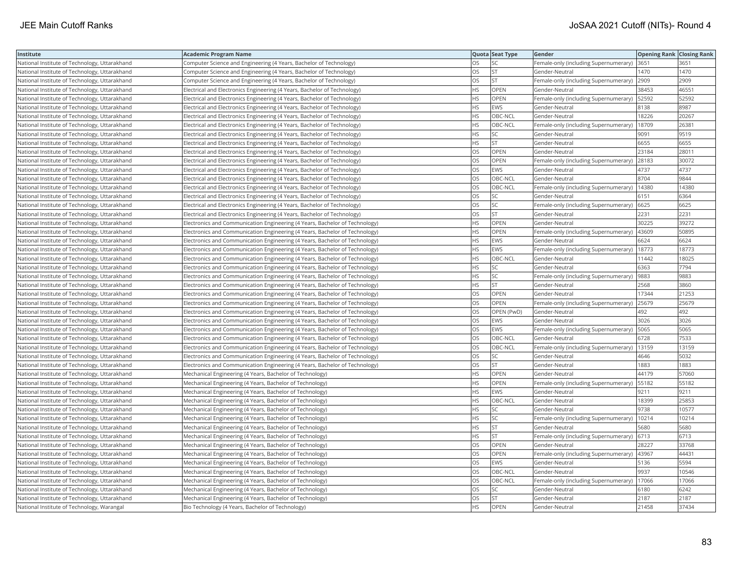| Institute                                     | <b>Academic Program Name</b>                                                |           | Quota Seat Type | Gender                                        | <b>Opening Rank Closing Rank</b> |       |
|-----------------------------------------------|-----------------------------------------------------------------------------|-----------|-----------------|-----------------------------------------------|----------------------------------|-------|
| National Institute of Technology, Uttarakhand | Computer Science and Engineering (4 Years, Bachelor of Technology)          | OS        | SC              | Female-only (including Supernumerary)         | 3651                             | 3651  |
| National Institute of Technology, Uttarakhand | Computer Science and Engineering (4 Years, Bachelor of Technology)          | OS        | <b>ST</b>       | Gender-Neutral                                | 1470                             | 1470  |
| National Institute of Technology, Uttarakhand | Computer Science and Engineering (4 Years, Bachelor of Technology)          | OS.       | <b>ST</b>       | Female-only (including Supernumerary)         | 2909                             | 2909  |
| National Institute of Technology, Uttarakhand | Electrical and Electronics Engineering (4 Years, Bachelor of Technology)    | HS        | OPEN            | Gender-Neutral                                | 38453                            | 46551 |
| National Institute of Technology, Uttarakhand | Electrical and Electronics Engineering (4 Years, Bachelor of Technology)    | HS.       | <b>OPEN</b>     | Female-only (including Supernumerary)         | 52592                            | 52592 |
| National Institute of Technology, Uttarakhand | Electrical and Electronics Engineering (4 Years, Bachelor of Technology)    | HS.       | EWS             | Gender-Neutral                                | 8138                             | 8987  |
| National Institute of Technology, Uttarakhand | Electrical and Electronics Engineering (4 Years, Bachelor of Technology)    | HS        | OBC-NCL         | Gender-Neutral                                | 18226                            | 20267 |
| National Institute of Technology, Uttarakhand | Electrical and Electronics Engineering (4 Years, Bachelor of Technology)    | HS        | OBC-NCL         | Female-only (including Supernumerary)         | 18709                            | 26381 |
| National Institute of Technology, Uttarakhand | Electrical and Electronics Engineering (4 Years, Bachelor of Technology)    | HS        | SC              | Gender-Neutral                                | 9091                             | 9519  |
| National Institute of Technology, Uttarakhand | Electrical and Electronics Engineering (4 Years, Bachelor of Technology)    | HS.       | <b>ST</b>       | Gender-Neutral                                | 6655                             | 6655  |
| National Institute of Technology, Uttarakhand | Electrical and Electronics Engineering (4 Years, Bachelor of Technology)    | OS.       | OPEN            | Gender-Neutral                                | 23184                            | 28011 |
| National Institute of Technology, Uttarakhand | Electrical and Electronics Engineering (4 Years, Bachelor of Technology)    | OS        | <b>OPEN</b>     | Female-only (including Supernumerary)         | 28183                            | 30072 |
| National Institute of Technology, Uttarakhand | Electrical and Electronics Engineering (4 Years, Bachelor of Technology)    | OS        | EWS             | Gender-Neutral                                | 4737                             | 4737  |
| National Institute of Technology, Uttarakhand | Electrical and Electronics Engineering (4 Years, Bachelor of Technology)    | OS        | OBC-NCL         | Gender-Neutral                                | 8704                             | 9844  |
| National Institute of Technology, Uttarakhand | Electrical and Electronics Engineering (4 Years, Bachelor of Technology)    | OS.       | OBC-NCL         | Female-only (including Supernumerary)         | 14380                            | 14380 |
| National Institute of Technology, Uttarakhand | Electrical and Electronics Engineering (4 Years, Bachelor of Technology)    | OS.       | SC              | Gender-Neutral                                | 6151                             | 6364  |
| National Institute of Technology, Uttarakhand | Electrical and Electronics Engineering (4 Years, Bachelor of Technology)    | OS        | SC              | Female-only (including Supernumerary)         | 6625                             | 6625  |
| National Institute of Technology, Uttarakhand | Electrical and Electronics Engineering (4 Years, Bachelor of Technology)    | OS        | <b>ST</b>       | Gender-Neutral                                | 2231                             | 2231  |
| National Institute of Technology, Uttarakhand | Electronics and Communication Engineering (4 Years, Bachelor of Technology) | HS.       | OPEN            | Gender-Neutral                                | 30225                            | 39272 |
| National Institute of Technology, Uttarakhand | Electronics and Communication Engineering (4 Years, Bachelor of Technology) | HS        | <b>OPEN</b>     | Female-only (including Supernumerary)         | 43609                            | 50895 |
| National Institute of Technology, Uttarakhand | Electronics and Communication Engineering (4 Years, Bachelor of Technology) | HS        | EWS             | Gender-Neutral                                | 6624                             | 6624  |
| National Institute of Technology, Uttarakhand | Electronics and Communication Engineering (4 Years, Bachelor of Technology) | HS        | EWS             | Female-only (including Supernumerary)   18773 |                                  | 18773 |
| National Institute of Technology, Uttarakhand | Electronics and Communication Engineering (4 Years, Bachelor of Technology) | HS        | OBC-NCL         | Gender-Neutral                                | 11442                            | 18025 |
| National Institute of Technology, Uttarakhand | Electronics and Communication Engineering (4 Years, Bachelor of Technology) | HS.       | SC              | Gender-Neutral                                | 6363                             | 7794  |
| National Institute of Technology, Uttarakhand | Electronics and Communication Engineering (4 Years, Bachelor of Technology) | HS        | SC              | Female-only (including Supernumerary)         | 9883                             | 9883  |
| National Institute of Technology, Uttarakhand | Electronics and Communication Engineering (4 Years, Bachelor of Technology) | <b>HS</b> | <b>ST</b>       | Gender-Neutral                                | 2568                             | 3860  |
| National Institute of Technology, Uttarakhand | Electronics and Communication Engineering (4 Years, Bachelor of Technology) | OS        | OPEN            | Gender-Neutral                                | 17344                            | 21253 |
| National Institute of Technology, Uttarakhand | Electronics and Communication Engineering (4 Years, Bachelor of Technology) | OS        | <b>OPEN</b>     | Female-only (including Supernumerary)         | 25679                            | 25679 |
| National Institute of Technology, Uttarakhand | Electronics and Communication Engineering (4 Years, Bachelor of Technology) | OS        | OPEN (PwD)      | Gender-Neutral                                | 492                              | 492   |
| National Institute of Technology, Uttarakhand | Electronics and Communication Engineering (4 Years, Bachelor of Technology) | OS        | EWS             | Gender-Neutral                                | 3026                             | 3026  |
| National Institute of Technology, Uttarakhand | Electronics and Communication Engineering (4 Years, Bachelor of Technology) | <b>OS</b> | EWS             | Female-only (including Supernumerary)         | 5065                             | 5065  |
| National Institute of Technology, Uttarakhand | Electronics and Communication Engineering (4 Years, Bachelor of Technology) | OS        | OBC-NCL         | Gender-Neutral                                | 6728                             | 7533  |
| National Institute of Technology, Uttarakhand | Electronics and Communication Engineering (4 Years, Bachelor of Technology) | OS        | OBC-NCL         | Female-only (including Supernumerary)         | 13159                            | 13159 |
| National Institute of Technology, Uttarakhand | Electronics and Communication Engineering (4 Years, Bachelor of Technology) | OS        | SC              | Gender-Neutral                                | 4646                             | 5032  |
| National Institute of Technology, Uttarakhand | Electronics and Communication Engineering (4 Years, Bachelor of Technology) | OS        | <b>ST</b>       | Gender-Neutral                                | 1883                             | 1883  |
| National Institute of Technology, Uttarakhand | Mechanical Engineering (4 Years, Bachelor of Technology)                    | HS        | OPEN            | Gender-Neutral                                | 44179                            | 57060 |
| National Institute of Technology, Uttarakhand | Mechanical Engineering (4 Years, Bachelor of Technology)                    | HS        | OPEN            | Female-only (including Supernumerary)         | 55182                            | 55182 |
| National Institute of Technology, Uttarakhand | Mechanical Engineering (4 Years, Bachelor of Technology)                    | HS        | EWS             | Gender-Neutral                                | 9211                             | 9211  |
| National Institute of Technology, Uttarakhand | Mechanical Engineering (4 Years, Bachelor of Technology)                    | HS        | OBC-NCL         | Gender-Neutral                                | 18399                            | 25853 |
| National Institute of Technology, Uttarakhand | Mechanical Engineering (4 Years, Bachelor of Technology)                    | HS.       | <b>SC</b>       | Gender-Neutral                                | 9738                             | 10577 |
| National Institute of Technology, Uttarakhand | Mechanical Engineering (4 Years, Bachelor of Technology)                    | HS        | SC              | Female-only (including Supernumerary)         | 10214                            | 10214 |
| National Institute of Technology, Uttarakhand | Mechanical Engineering (4 Years, Bachelor of Technology)                    | <b>HS</b> | <b>ST</b>       | Gender-Neutral                                | 5680                             | 5680  |
| National Institute of Technology, Uttarakhand | Mechanical Engineering (4 Years, Bachelor of Technology)                    | НS        | <b>ST</b>       | Female-only (including Supernumerary)         | 6713                             | 6713  |
| National Institute of Technology, Uttarakhand | Mechanical Engineering (4 Years, Bachelor of Technology)                    | OS        | <b>OPEN</b>     | Gender-Neutral                                | 28227                            | 33768 |
| National Institute of Technology, Uttarakhand | Mechanical Engineering (4 Years, Bachelor of Technology)                    | OS        | <b>OPEN</b>     | Female-only (including Supernumerary)         | 43967                            | 44431 |
| National Institute of Technology, Uttarakhand | Mechanical Engineering (4 Years, Bachelor of Technology)                    | OS        | EWS             | Gender-Neutral                                | 5136                             | 5594  |
| National Institute of Technology, Uttarakhand | Mechanical Engineering (4 Years, Bachelor of Technology)                    | OS.       | OBC-NCL         | Gender-Neutral                                | 9937                             | 10546 |
| National Institute of Technology, Uttarakhand | Mechanical Engineering (4 Years, Bachelor of Technology)                    | OS        | OBC-NCL         | Female-only (including Supernumerary)         | 17066                            | 17066 |
| National Institute of Technology, Uttarakhand | Mechanical Engineering (4 Years, Bachelor of Technology)                    | OS        | SC              | Gender-Neutral                                | 6180                             | 6242  |
| National Institute of Technology, Uttarakhand | Mechanical Engineering (4 Years, Bachelor of Technology)                    | OS.       | <b>ST</b>       | Gender-Neutral                                | 2187                             | 2187  |
| National Institute of Technology, Warangal    | Bio Technology (4 Years, Bachelor of Technology)                            | <b>HS</b> | OPEN            | Gender-Neutral                                | 21458                            | 37434 |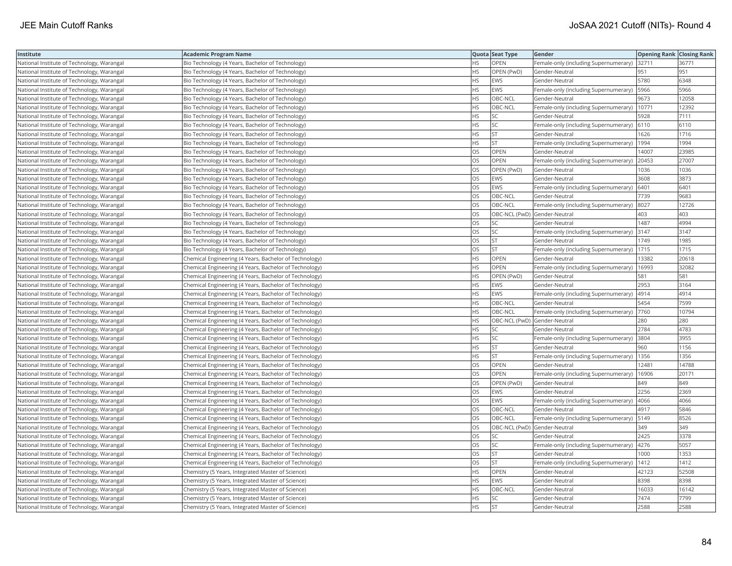| Institute                                  | <b>Academic Program Name</b>                           |           | Quota Seat Type              | Gender                                        | <b>Opening Rank Closing Rank</b> |       |
|--------------------------------------------|--------------------------------------------------------|-----------|------------------------------|-----------------------------------------------|----------------------------------|-------|
| National Institute of Technology, Warangal | Bio Technology (4 Years, Bachelor of Technology)       | <b>HS</b> | OPEN                         | Female-only (including Supernumerary) 32711   |                                  | 36771 |
| National Institute of Technology, Warangal | Bio Technology (4 Years, Bachelor of Technology)       | ΗS        | OPEN (PwD)                   | Gender-Neutral                                | 951                              | 951   |
| National Institute of Technology, Warangal | Bio Technology (4 Years, Bachelor of Technology)       | <b>HS</b> | <b>EWS</b>                   | Gender-Neutral                                | 5780                             | 6348  |
| National Institute of Technology, Warangal | Bio Technology (4 Years, Bachelor of Technology)       | HS        | <b>EWS</b>                   | Female-only (including Supernumerary)         | 5966                             | 5966  |
| National Institute of Technology, Warangal | Bio Technology (4 Years, Bachelor of Technology)       | HS        | OBC-NCL                      | Gender-Neutral                                | 9673                             | 12058 |
| National Institute of Technology, Warangal | Bio Technology (4 Years, Bachelor of Technology)       | HS        | OBC-NCL                      | Female-only (including Supernumerary)   10771 |                                  | 12392 |
| National Institute of Technology, Warangal | Bio Technology (4 Years, Bachelor of Technology)       | HS        | SC                           | Gender-Neutral                                | 5928                             | 7111  |
| National Institute of Technology, Warangal | Bio Technology (4 Years, Bachelor of Technology)       | HS        | SC                           | Female-only (including Supernumerary) 6110    |                                  | 6110  |
| National Institute of Technology, Warangal | Bio Technology (4 Years, Bachelor of Technology)       | HS        | <b>ST</b>                    | Gender-Neutral                                | 1626                             | 1716  |
| National Institute of Technology, Warangal | Bio Technology (4 Years, Bachelor of Technology)       | HS        | <b>ST</b>                    | Female-only (including Supernumerary)         | 1994                             | 1994  |
| National Institute of Technology, Warangal | Bio Technology (4 Years, Bachelor of Technology)       | OS        | OPEN                         | Gender-Neutral                                | 14007                            | 23985 |
| National Institute of Technology, Warangal | Bio Technology (4 Years, Bachelor of Technology)       | OS        | OPEN                         | Female-only (including Supernumerary)         | 20453                            | 27007 |
| National Institute of Technology, Warangal | Bio Technology (4 Years, Bachelor of Technology)       | OS        | OPEN (PwD)                   | Gender-Neutral                                | 1036                             | 1036  |
| National Institute of Technology, Warangal | Bio Technology (4 Years, Bachelor of Technology)       | OS        | <b>EWS</b>                   | Gender-Neutral                                | 3608                             | 3873  |
| National Institute of Technology, Warangal | Bio Technology (4 Years, Bachelor of Technology)       | OS        | EWS                          | Female-only (including Supernumerary)   6401  |                                  | 6401  |
| National Institute of Technology, Warangal | Bio Technology (4 Years, Bachelor of Technology)       | OS        | OBC-NCL                      | Gender-Neutral                                | 7739                             | 9683  |
| National Institute of Technology, Warangal | Bio Technology (4 Years, Bachelor of Technology)       | OS        | OBC-NCL                      | Female-only (including Supernumerary) 8027    |                                  | 12726 |
| National Institute of Technology, Warangal | Bio Technology (4 Years, Bachelor of Technology)       | OS        | OBC-NCL (PwD) Gender-Neutral |                                               | 403                              | 403   |
| National Institute of Technology, Warangal | Bio Technology (4 Years, Bachelor of Technology)       | OS        | <b>SC</b>                    | Gender-Neutral                                | 1487                             | 4994  |
| National Institute of Technology, Warangal | Bio Technology (4 Years, Bachelor of Technology)       | <b>OS</b> | <b>SC</b>                    | Female-only (including Supernumerary)         | 3147                             | 3147  |
| National Institute of Technology, Warangal | Bio Technology (4 Years, Bachelor of Technology)       | OS        | <b>ST</b>                    | Gender-Neutral                                | 1749                             | 1985  |
| National Institute of Technology, Warangal | Bio Technology (4 Years, Bachelor of Technology)       | OS        | <b>ST</b>                    | Female-only (including Supernumerary)   1715  |                                  | 1715  |
| National Institute of Technology, Warangal | Chemical Engineering (4 Years, Bachelor of Technology) | HS        | OPEN                         | Gender-Neutral                                | 13382                            | 20618 |
| National Institute of Technology, Warangal | Chemical Engineering (4 Years, Bachelor of Technology) | HS        | OPEN                         | Female-only (including Supernumerary)         | 16993                            | 32082 |
| National Institute of Technology, Warangal | Chemical Engineering (4 Years, Bachelor of Technology) | HS        | OPEN (PwD)                   | Gender-Neutral                                | 581                              | 581   |
| National Institute of Technology, Warangal | Chemical Engineering (4 Years, Bachelor of Technology) | HS        | <b>EWS</b>                   | Gender-Neutral                                | 2953                             | 3164  |
| National Institute of Technology, Warangal | Chemical Engineering (4 Years, Bachelor of Technology) | HS        | <b>EWS</b>                   | Female-only (including Supernumerary)         | 4914                             | 4914  |
| National Institute of Technology, Warangal | Chemical Engineering (4 Years, Bachelor of Technology) | <b>HS</b> | OBC-NCL                      | Gender-Neutral                                | 5454                             | 7599  |
| National Institute of Technology, Warangal | Chemical Engineering (4 Years, Bachelor of Technology) | HS        | OBC-NCL                      | Female-only (including Supernumerary)         | 7760                             | 10794 |
| National Institute of Technology, Warangal | Chemical Engineering (4 Years, Bachelor of Technology) | HS        | OBC-NCL (PwD) Gender-Neutral |                                               | 280                              | 280   |
| National Institute of Technology, Warangal | Chemical Engineering (4 Years, Bachelor of Technology) | HS        | <b>SC</b>                    | Gender-Neutral                                | 2784                             | 4783  |
| National Institute of Technology, Warangal | Chemical Engineering (4 Years, Bachelor of Technology) | ΗS        | <b>SC</b>                    | Female-only (including Supernumerary)         | 3804                             | 3955  |
| National Institute of Technology, Warangal | Chemical Engineering (4 Years, Bachelor of Technology) | HS        | <b>ST</b>                    | Gender-Neutral                                | 960                              | 1156  |
| National Institute of Technology, Warangal | Chemical Engineering (4 Years, Bachelor of Technology) | HS        | <b>ST</b>                    | Female-only (including Supernumerary)         | 1356                             | 1356  |
| National Institute of Technology, Warangal | Chemical Engineering (4 Years, Bachelor of Technology) | OS        | OPEN                         | Gender-Neutral                                | 12481                            | 14788 |
| National Institute of Technology, Warangal | Chemical Engineering (4 Years, Bachelor of Technology) | OS        | <b>OPEN</b>                  | Female-only (including Supernumerary)         | 16906                            | 20171 |
| National Institute of Technology, Warangal | Chemical Engineering (4 Years, Bachelor of Technology) | OS        | OPEN (PwD)                   | Gender-Neutral                                | 849                              | 849   |
| National Institute of Technology, Warangal | Chemical Engineering (4 Years, Bachelor of Technology) | OS        | <b>EWS</b>                   | Gender-Neutral                                | 2256                             | 2369  |
| National Institute of Technology, Warangal | Chemical Engineering (4 Years, Bachelor of Technology) | OS        | <b>EWS</b>                   | Female-only (including Supernumerary)  4066   |                                  | 4066  |
| National Institute of Technology, Warangal | Chemical Engineering (4 Years, Bachelor of Technology) | OS        | OBC-NCL                      | Gender-Neutral                                | 4917                             | 5846  |
| National Institute of Technology, Warangal | Chemical Engineering (4 Years, Bachelor of Technology) | OS        | OBC-NCL                      | Female-only (including Supernumerary)         | 5149                             | 8526  |
| National Institute of Technology, Warangal | Chemical Engineering (4 Years, Bachelor of Technology) | OS        | OBC-NCL (PwD) Gender-Neutral |                                               | 349                              | 349   |
| National Institute of Technology, Warangal | Chemical Engineering (4 Years, Bachelor of Technology) | OS        | <b>SC</b>                    | Gender-Neutral                                | 2425                             | 3378  |
| National Institute of Technology, Warangal | Chemical Engineering (4 Years, Bachelor of Technology) | OS        | SC                           | Female-only (including Supernumerary)         | 4276                             | 5057  |
| National Institute of Technology, Warangal | Chemical Engineering (4 Years, Bachelor of Technology) | OS        | <b>ST</b>                    | Gender-Neutral                                | 1000                             | 1353  |
| National Institute of Technology, Warangal | Chemical Engineering (4 Years, Bachelor of Technology) | OS        | <b>ST</b>                    | Female-only (including Supernumerary)         | 1412                             | 1412  |
| National Institute of Technology, Warangal | Chemistry (5 Years, Integrated Master of Science)      | <b>HS</b> | <b>OPEN</b>                  | Gender-Neutral                                | 42123                            | 52508 |
| National Institute of Technology, Warangal | Chemistry (5 Years, Integrated Master of Science)      | HS        | EWS                          | Gender-Neutral                                | 8398                             | 8398  |
| National Institute of Technology, Warangal | Chemistry (5 Years, Integrated Master of Science)      | HS        | OBC-NCL                      | Gender-Neutral                                | 16033                            | 16142 |
| National Institute of Technology, Warangal | Chemistry (5 Years, Integrated Master of Science)      | HS        | <b>SC</b>                    | Gender-Neutral                                | 7474                             | 7799  |
| National Institute of Technology, Warangal | Chemistry (5 Years, Integrated Master of Science)      | <b>HS</b> | <b>ST</b>                    | Gender-Neutral                                | 2588                             | 2588  |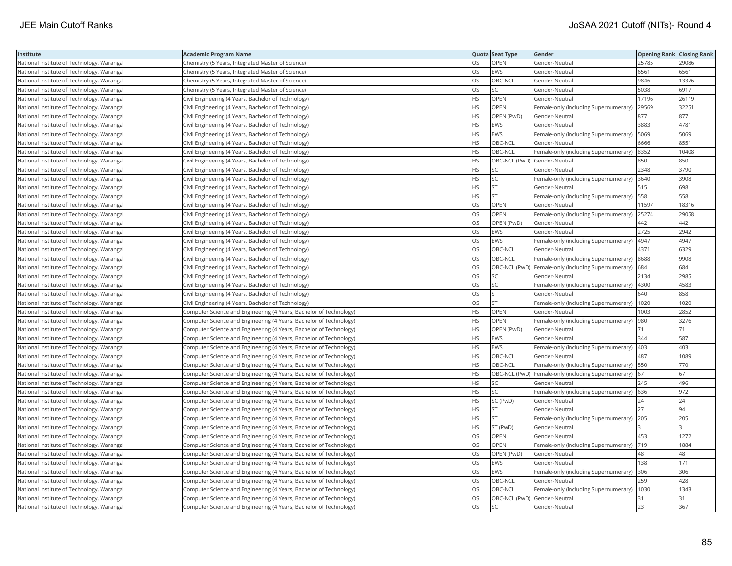| Institute                                  | <b>Academic Program Name</b>                                       |           | Quota Seat Type              | Gender                                                  | <b>Opening Rank Closing Rank</b> |       |
|--------------------------------------------|--------------------------------------------------------------------|-----------|------------------------------|---------------------------------------------------------|----------------------------------|-------|
| National Institute of Technology, Warangal | Chemistry (5 Years, Integrated Master of Science)                  | OS        | OPEN                         | Gender-Neutral                                          | 25785                            | 29086 |
| National Institute of Technology, Warangal | Chemistry (5 Years, Integrated Master of Science)                  | OS        | <b>EWS</b>                   | Gender-Neutral                                          | 6561                             | 6561  |
| National Institute of Technology, Warangal | Chemistry (5 Years, Integrated Master of Science)                  | OS        | OBC-NCL                      | Gender-Neutral                                          | 9846                             | 13376 |
| National Institute of Technology, Warangal | Chemistry (5 Years, Integrated Master of Science)                  | OS        | SC                           | Gender-Neutral                                          | 5038                             | 6917  |
| National Institute of Technology, Warangal | Civil Engineering (4 Years, Bachelor of Technology)                | HS        | OPEN                         | Gender-Neutral                                          | 17196                            | 26119 |
| National Institute of Technology, Warangal | Civil Engineering (4 Years, Bachelor of Technology)                | HS        | OPEN                         | Female-only (including Supernumerary)                   | 29569                            | 32251 |
| National Institute of Technology, Warangal | Civil Engineering (4 Years, Bachelor of Technology)                | ΗS        | OPEN (PwD)                   | Gender-Neutral                                          | 877                              | 877   |
| National Institute of Technology, Warangal | Civil Engineering (4 Years, Bachelor of Technology)                | HS        | <b>EWS</b>                   | Gender-Neutral                                          | 3883                             | 4781  |
| National Institute of Technology, Warangal | Civil Engineering (4 Years, Bachelor of Technology)                | HS        | <b>EWS</b>                   | Female-only (including Supernumerary)                   | 5069                             | 5069  |
| National Institute of Technology, Warangal | Civil Engineering (4 Years, Bachelor of Technology)                | HS        | OBC-NCL                      | Gender-Neutral                                          | 6666                             | 8551  |
| National Institute of Technology, Warangal | Civil Engineering (4 Years, Bachelor of Technology)                | HS        | OBC-NCL                      | Female-only (including Supernumerary)                   | 8352                             | 10408 |
| National Institute of Technology, Warangal | Civil Engineering (4 Years, Bachelor of Technology)                | HS        | OBC-NCL (PwD) Gender-Neutral |                                                         | 850                              | 850   |
| National Institute of Technology, Warangal | Civil Engineering (4 Years, Bachelor of Technology)                | HS        | SC                           | Gender-Neutral                                          | 2348                             | 3790  |
| National Institute of Technology, Warangal | Civil Engineering (4 Years, Bachelor of Technology)                | HS        | SC                           | Female-only (including Supernumerary)  3640             |                                  | 3908  |
| National Institute of Technology, Warangal | Civil Engineering (4 Years, Bachelor of Technology)                | ΗS        | ST                           | Gender-Neutral                                          | 515                              | 698   |
| National Institute of Technology, Warangal | Civil Engineering (4 Years, Bachelor of Technology)                | HS        | <b>ST</b>                    | Female-only (including Supernumerary)                   | 558                              | 558   |
| National Institute of Technology, Warangal | Civil Engineering (4 Years, Bachelor of Technology)                | OS        | OPEN                         | Gender-Neutral                                          | 11597                            | 18316 |
| National Institute of Technology, Warangal | Civil Engineering (4 Years, Bachelor of Technology)                | OS        | OPEN                         | Female-only (including Supernumerary)                   | 25274                            | 29058 |
| National Institute of Technology, Warangal | Civil Engineering (4 Years, Bachelor of Technology)                | OS        | OPEN (PwD)                   | Gender-Neutral                                          | 442                              | 442   |
| National Institute of Technology, Warangal | Civil Engineering (4 Years, Bachelor of Technology)                | OS        | <b>EWS</b>                   | Gender-Neutral                                          | 2725                             | 2942  |
| National Institute of Technology, Warangal | Civil Engineering (4 Years, Bachelor of Technology)                | OS        | <b>EWS</b>                   | Female-only (including Supernumerary)  4947             |                                  | 4947  |
| National Institute of Technology, Warangal | Civil Engineering (4 Years, Bachelor of Technology)                | OS        | OBC-NCL                      | Gender-Neutral                                          | 4371                             | 6329  |
| National Institute of Technology, Warangal | Civil Engineering (4 Years, Bachelor of Technology)                | OS        | OBC-NCL                      | Female-only (including Supernumerary) 8688              |                                  | 9908  |
| National Institute of Technology, Warangal | Civil Engineering (4 Years, Bachelor of Technology)                | OS        |                              | OBC-NCL (PwD) Female-only (including Supernumerary) 684 |                                  | 684   |
| National Institute of Technology, Warangal | Civil Engineering (4 Years, Bachelor of Technology)                | OS        | SC                           | Gender-Neutral                                          | 2134                             | 2985  |
| National Institute of Technology, Warangal | Civil Engineering (4 Years, Bachelor of Technology)                | OS        | SC                           | Female-only (including Supernumerary)  4300             |                                  | 4583  |
| National Institute of Technology, Warangal | Civil Engineering (4 Years, Bachelor of Technology)                | OS        | <b>ST</b>                    | Gender-Neutral                                          | 640                              | 858   |
| National Institute of Technology, Warangal | Civil Engineering (4 Years, Bachelor of Technology)                | OS        | <b>ST</b>                    | Female-only (including Supernumerary)                   | 1020                             | 1020  |
| National Institute of Technology, Warangal | Computer Science and Engineering (4 Years, Bachelor of Technology) | HS        | OPEN                         | Gender-Neutral                                          | 1003                             | 2852  |
| National Institute of Technology, Warangal | Computer Science and Engineering (4 Years, Bachelor of Technology) | HS        | OPEN                         | Female-only (including Supernumerary)                   | 980                              | 3276  |
| National Institute of Technology, Warangal | Computer Science and Engineering (4 Years, Bachelor of Technology) | <b>HS</b> | OPEN (PwD)                   | Gender-Neutral                                          | 71                               | 71    |
| National Institute of Technology, Warangal | Computer Science and Engineering (4 Years, Bachelor of Technology) | HS        | <b>EWS</b>                   | Gender-Neutral                                          | 344                              | 587   |
| National Institute of Technology, Warangal | Computer Science and Engineering (4 Years, Bachelor of Technology) | HS        | <b>EWS</b>                   | Female-only (including Supernumerary)                   | 403                              | 403   |
| National Institute of Technology, Warangal | Computer Science and Engineering (4 Years, Bachelor of Technology) | HS        | OBC-NCL                      | Gender-Neutral                                          | 487                              | 1089  |
| National Institute of Technology, Warangal | Computer Science and Engineering (4 Years, Bachelor of Technology) | НS        | OBC-NCL                      | Female-only (including Supernumerary)   550             |                                  | 770   |
| National Institute of Technology, Warangal | Computer Science and Engineering (4 Years, Bachelor of Technology) | HS        |                              | OBC-NCL (PwD) Female-only (including Supernumerary) 67  |                                  | 67    |
| National Institute of Technology, Warangal | Computer Science and Engineering (4 Years, Bachelor of Technology) | HS        | SC                           | Gender-Neutral                                          | 245                              | 496   |
| National Institute of Technology, Warangal | Computer Science and Engineering (4 Years, Bachelor of Technology) | HS        | SC                           | Female-only (including Supernumerary) 636               |                                  | 972   |
| National Institute of Technology, Warangal | Computer Science and Engineering (4 Years, Bachelor of Technology) | ΗS        | SC (PwD)                     | Gender-Neutral                                          | 24                               | 24    |
| National Institute of Technology, Warangal | Computer Science and Engineering (4 Years, Bachelor of Technology) | HS.       | <b>ST</b>                    | Gender-Neutral                                          | 27                               | 94    |
| National Institute of Technology, Warangal | Computer Science and Engineering (4 Years, Bachelor of Technology) | HS        | <b>ST</b>                    | Female-only (including Supernumerary)                   | 205                              | 205   |
| National Institute of Technology, Warangal | Computer Science and Engineering (4 Years, Bachelor of Technology) | HS        | ST (PwD)                     | Gender-Neutral                                          |                                  |       |
| National Institute of Technology, Warangal | Computer Science and Engineering (4 Years, Bachelor of Technology) | OS        | OPEN                         | Gender-Neutral                                          | 453                              | 1272  |
| National Institute of Technology, Warangal | Computer Science and Engineering (4 Years, Bachelor of Technology) | OS        | OPEN                         | Female-only (including Supernumerary) 719               |                                  | 1884  |
| National Institute of Technology, Warangal | Computer Science and Engineering (4 Years, Bachelor of Technology) | OS        | OPEN (PwD)                   | Gender-Neutral                                          | 48                               | 48    |
| National Institute of Technology, Warangal | Computer Science and Engineering (4 Years, Bachelor of Technology) | OS        | <b>EWS</b>                   | Gender-Neutral                                          | 138                              | 171   |
| National Institute of Technology, Warangal | Computer Science and Engineering (4 Years, Bachelor of Technology) | OS        | EWS                          | Female-only (including Supernumerary) 306               |                                  | 306   |
| National Institute of Technology, Warangal | Computer Science and Engineering (4 Years, Bachelor of Technology) | OS        | OBC-NCL                      | Gender-Neutral                                          | 259                              | 428   |
| National Institute of Technology, Warangal | Computer Science and Engineering (4 Years, Bachelor of Technology) | OS        | OBC-NCL                      | Female-only (including Supernumerary)                   | 1030                             | 1343  |
| National Institute of Technology, Warangal | Computer Science and Engineering (4 Years, Bachelor of Technology) | OS        | OBC-NCL (PwD) Gender-Neutral |                                                         | 31                               | 31    |
| National Institute of Technology, Warangal | Computer Science and Engineering (4 Years, Bachelor of Technology) | OS        | <b>SC</b>                    | Gender-Neutral                                          | $ 23\rangle$                     | 367   |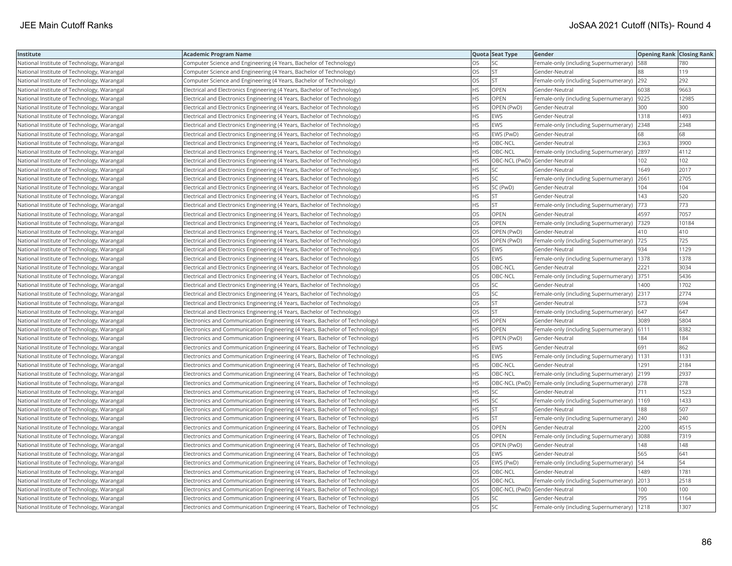| Institute                                  | <b>Academic Program Name</b>                                                |           | Quota Seat Type              | Gender                                                  | <b>Opening Rank Closing Rank</b> |       |
|--------------------------------------------|-----------------------------------------------------------------------------|-----------|------------------------------|---------------------------------------------------------|----------------------------------|-------|
| National Institute of Technology, Warangal | Computer Science and Engineering (4 Years, Bachelor of Technology)          | OS        | SC                           | Female-only (including Supernumerary)                   | 588                              | 780   |
| National Institute of Technology, Warangal | Computer Science and Engineering (4 Years, Bachelor of Technology)          | OS        | <b>ST</b>                    | Gender-Neutral                                          | 88                               | 119   |
| National Institute of Technology, Warangal | Computer Science and Engineering (4 Years, Bachelor of Technology)          | OS        | <b>ST</b>                    | Female-only (including Supernumerary) 292               |                                  | 292   |
| National Institute of Technology, Warangal | Electrical and Electronics Engineering (4 Years, Bachelor of Technology)    | <b>HS</b> | <b>OPEN</b>                  | Gender-Neutral                                          | 6038                             | 9663  |
| National Institute of Technology, Warangal | Electrical and Electronics Engineering (4 Years, Bachelor of Technology)    | НS        | <b>OPEN</b>                  | Female-only (including Supernumerary)  9225             |                                  | 12985 |
| National Institute of Technology, Warangal | Electrical and Electronics Engineering (4 Years, Bachelor of Technology)    | HS        | OPEN (PwD)                   | Gender-Neutral                                          | 300                              | 300   |
| National Institute of Technology, Warangal | Electrical and Electronics Engineering (4 Years, Bachelor of Technology)    | HS        | <b>EWS</b>                   | Gender-Neutral                                          | 1318                             | 1493  |
| National Institute of Technology, Warangal | Electrical and Electronics Engineering (4 Years, Bachelor of Technology)    | HS        | EWS                          | Female-only (including Supernumerary) 2348              |                                  | 2348  |
| National Institute of Technology, Warangal | Electrical and Electronics Engineering (4 Years, Bachelor of Technology)    | HS        | EWS (PwD)                    | Gender-Neutral                                          | 68                               | 68    |
| National Institute of Technology, Warangal | Electrical and Electronics Engineering (4 Years, Bachelor of Technology)    | НS        | OBC-NCL                      | Gender-Neutral                                          | 2363                             | 3900  |
| National Institute of Technology, Warangal | Electrical and Electronics Engineering (4 Years, Bachelor of Technology)    | <b>HS</b> | OBC-NCL                      | Female-only (including Supernumerary)                   | 2897                             | 4112  |
| National Institute of Technology, Warangal | Electrical and Electronics Engineering (4 Years, Bachelor of Technology)    | <b>HS</b> | OBC-NCL (PwD) Gender-Neutral |                                                         | 102                              | 102   |
| National Institute of Technology, Warangal | Electrical and Electronics Engineering (4 Years, Bachelor of Technology)    | HS        | SC                           | Gender-Neutral                                          | 1649                             | 2017  |
| National Institute of Technology, Warangal | Electrical and Electronics Engineering (4 Years, Bachelor of Technology)    | HS        | SC                           | Female-only (including Supernumerary) 2661              |                                  | 2705  |
| National Institute of Technology, Warangal | Electrical and Electronics Engineering (4 Years, Bachelor of Technology)    | HS        | SC (PwD)                     | Gender-Neutral                                          | 104                              | 104   |
| National Institute of Technology, Warangal | Electrical and Electronics Engineering (4 Years, Bachelor of Technology)    | HS        | <b>ST</b>                    | Gender-Neutral                                          | 143                              | 520   |
| National Institute of Technology, Warangal | Electrical and Electronics Engineering (4 Years, Bachelor of Technology)    | HS        | <b>ST</b>                    | Female-only (including Supernumerary)                   | 773                              | 773   |
| National Institute of Technology, Warangal | Electrical and Electronics Engineering (4 Years, Bachelor of Technology)    | OS        | OPEN                         | Gender-Neutral                                          | 4597                             | 7057  |
| National Institute of Technology, Warangal | Electrical and Electronics Engineering (4 Years, Bachelor of Technology)    | OS        | OPEN                         | Female-only (including Supernumerary)  7329             |                                  | 10184 |
| National Institute of Technology, Warangal | Electrical and Electronics Engineering (4 Years, Bachelor of Technology)    | <b>OS</b> | OPEN (PwD)                   | Gender-Neutral                                          | 410                              | 410   |
| National Institute of Technology, Warangal | Electrical and Electronics Engineering (4 Years, Bachelor of Technology)    | OS        | OPEN (PwD)                   | Female-only (including Supernumerary)  725              |                                  | 725   |
| National Institute of Technology, Warangal | Electrical and Electronics Engineering (4 Years, Bachelor of Technology)    | OS        | <b>EWS</b>                   | Gender-Neutral                                          | 934                              | 1129  |
| National Institute of Technology, Warangal | Electrical and Electronics Engineering (4 Years, Bachelor of Technology)    | OS        | EWS                          | Female-only (including Supernumerary)   1378            |                                  | 1378  |
| National Institute of Technology, Warangal | Electrical and Electronics Engineering (4 Years, Bachelor of Technology)    | OS        | OBC-NCL                      | Gender-Neutral                                          | 2221                             | 3034  |
| National Institute of Technology, Warangal | Electrical and Electronics Engineering (4 Years, Bachelor of Technology)    | OS        | OBC-NCL                      | Female-only (including Supernumerary) 3751              |                                  | 5436  |
| National Institute of Technology, Warangal | Electrical and Electronics Engineering (4 Years, Bachelor of Technology)    | OS        | SC                           | Gender-Neutral                                          | 1400                             | 1702  |
| National Institute of Technology, Warangal | Electrical and Electronics Engineering (4 Years, Bachelor of Technology)    | OS        | SC                           | Female-only (including Supernumerary) 2317              |                                  | 2774  |
| National Institute of Technology, Warangal | Electrical and Electronics Engineering (4 Years, Bachelor of Technology)    | OS        | <b>ST</b>                    | Gender-Neutral                                          | 573                              | 694   |
| National Institute of Technology, Warangal | Electrical and Electronics Engineering (4 Years, Bachelor of Technology)    | OS        | <b>ST</b>                    | Female-only (including Supernumerary)                   | 647                              | 647   |
| National Institute of Technology, Warangal | Electronics and Communication Engineering (4 Years, Bachelor of Technology) | <b>HS</b> | OPEN                         | Gender-Neutral                                          | 3089                             | 5804  |
| National Institute of Technology, Warangal | Electronics and Communication Engineering (4 Years, Bachelor of Technology) | HS        | OPEN                         | Female-only (including Supernumerary) 6111              |                                  | 8382  |
| National Institute of Technology, Warangal | Electronics and Communication Engineering (4 Years, Bachelor of Technology) | ΗS        | OPEN (PwD)                   | Gender-Neutral                                          | 184                              | 184   |
| National Institute of Technology, Warangal | Electronics and Communication Engineering (4 Years, Bachelor of Technology) | <b>HS</b> | <b>EWS</b>                   | Gender-Neutral                                          | 691                              | 862   |
| National Institute of Technology, Warangal | Electronics and Communication Engineering (4 Years, Bachelor of Technology) | ΗS        | EWS                          | Female-only (including Supernumerary)                   | 1131                             | 1131  |
| National Institute of Technology, Warangal | Electronics and Communication Engineering (4 Years, Bachelor of Technology) | HS        | OBC-NCL                      | Gender-Neutral                                          | 1291                             | 2184  |
| National Institute of Technology, Warangal | Electronics and Communication Engineering (4 Years, Bachelor of Technology) | <b>HS</b> | OBC-NCL                      | Female-only (including Supernumerary) 2199              |                                  | 2937  |
| National Institute of Technology, Warangal | Electronics and Communication Engineering (4 Years, Bachelor of Technology) | <b>HS</b> |                              | OBC-NCL (PwD) Female-only (including Supernumerary) 278 |                                  | 278   |
| National Institute of Technology, Warangal | Electronics and Communication Engineering (4 Years, Bachelor of Technology) | HS        | SC                           | Gender-Neutral                                          | 711                              | 1523  |
| National Institute of Technology, Warangal | Electronics and Communication Engineering (4 Years, Bachelor of Technology) | HS        | SC                           | Female-only (including Supernumerary)   1169            |                                  | 1433  |
| National Institute of Technology, Warangal | Electronics and Communication Engineering (4 Years, Bachelor of Technology) | ΗS        | <b>ST</b>                    | Gender-Neutral                                          | 188                              | 507   |
| National Institute of Technology, Warangal | Electronics and Communication Engineering (4 Years, Bachelor of Technology) | HS.       | <b>ST</b>                    | Female-only (including Supernumerary) 240               |                                  | 240   |
| National Institute of Technology, Warangal | Electronics and Communication Engineering (4 Years, Bachelor of Technology) | OS        | OPEN                         | Gender-Neutral                                          | 2200                             | 4515  |
| National Institute of Technology, Warangal | Electronics and Communication Engineering (4 Years, Bachelor of Technology) | OS        | OPEN                         | Female-only (including Supernumerary)                   | 3088                             | 7319  |
| National Institute of Technology, Warangal | Electronics and Communication Engineering (4 Years, Bachelor of Technology) | OS        | OPEN (PwD)                   | Gender-Neutral                                          | 148                              | 148   |
| National Institute of Technology, Warangal | Electronics and Communication Engineering (4 Years, Bachelor of Technology) | OS        | <b>EWS</b>                   | Gender-Neutral                                          | 565                              | 641   |
| National Institute of Technology, Warangal | Electronics and Communication Engineering (4 Years, Bachelor of Technology) | OS        | EWS (PwD)                    | Female-only (including Supernumerary)                   | 54                               | 54    |
| National Institute of Technology, Warangal | Electronics and Communication Engineering (4 Years, Bachelor of Technology) | OS        | OBC-NCL                      | Gender-Neutral                                          | 1489                             | 1781  |
| National Institute of Technology, Warangal | Electronics and Communication Engineering (4 Years, Bachelor of Technology) | OS        | OBC-NCL                      | Female-only (including Supernumerary) 2013              |                                  | 2518  |
| National Institute of Technology, Warangal | Electronics and Communication Engineering (4 Years, Bachelor of Technology) | OS        | OBC-NCL (PwD) Gender-Neutral |                                                         | 100                              | 100   |
| National Institute of Technology, Warangal | Electronics and Communication Engineering (4 Years, Bachelor of Technology) | OS        | SC                           | Gender-Neutral                                          | 795                              | 1164  |
| National Institute of Technology, Warangal | Electronics and Communication Engineering (4 Years, Bachelor of Technology) | <b>OS</b> | <b>SC</b>                    | Female-only (including Supernumerary)  1218             |                                  | 1307  |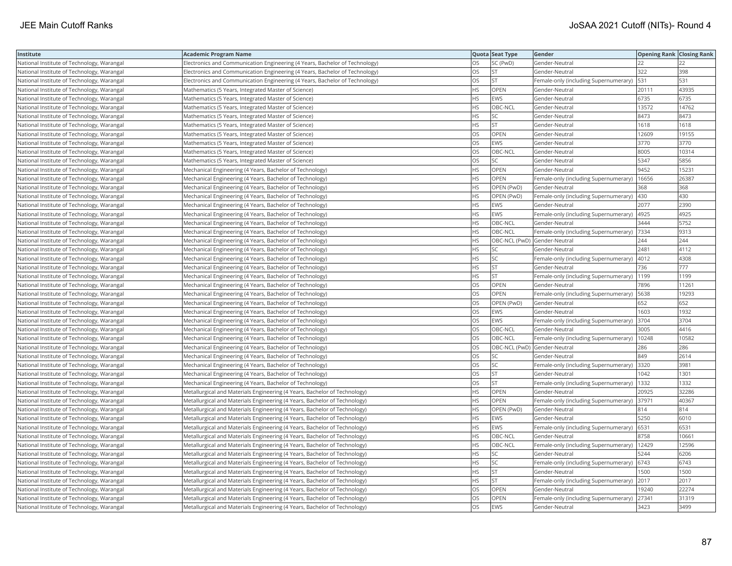| Institute                                  | <b>Academic Program Name</b>                                                |           | Quota Seat Type              | Gender                                      | <b>Opening Rank Closing Rank</b> |       |
|--------------------------------------------|-----------------------------------------------------------------------------|-----------|------------------------------|---------------------------------------------|----------------------------------|-------|
| National Institute of Technology, Warangal | Electronics and Communication Engineering (4 Years, Bachelor of Technology) | OS        | SC (PwD)                     | Gender-Neutral                              | 22                               |       |
| National Institute of Technology, Warangal | Electronics and Communication Engineering (4 Years, Bachelor of Technology) | OS        | <b>ST</b>                    | Gender-Neutral                              | 322                              | 398   |
| National Institute of Technology, Warangal | Electronics and Communication Engineering (4 Years, Bachelor of Technology) | OS        | <b>ST</b>                    | Female-only (including Supernumerary)       | 531                              | 531   |
| National Institute of Technology, Warangal | Mathematics (5 Years, Integrated Master of Science)                         | HS        | OPEN                         | Gender-Neutral                              | 20111                            | 43935 |
| National Institute of Technology, Warangal | Mathematics (5 Years, Integrated Master of Science)                         | HS        | <b>EWS</b>                   | Gender-Neutral                              | 6735                             | 6735  |
| National Institute of Technology, Warangal | Mathematics (5 Years, Integrated Master of Science)                         | ΗS        | OBC-NCL                      | Gender-Neutral                              | 13572                            | 14762 |
| National Institute of Technology, Warangal | Mathematics (5 Years, Integrated Master of Science)                         | ΗS        | SC                           | Gender-Neutral                              | 8473                             | 8473  |
| National Institute of Technology, Warangal | Mathematics (5 Years, Integrated Master of Science)                         | HS        | <b>ST</b>                    | Gender-Neutral                              | 1618                             | 1618  |
| National Institute of Technology, Warangal | Mathematics (5 Years, Integrated Master of Science)                         | OS        | OPEN                         | Gender-Neutral                              | 12609                            | 19155 |
| National Institute of Technology, Warangal | Mathematics (5 Years, Integrated Master of Science)                         | OS        | <b>EWS</b>                   | Gender-Neutral                              | 3770                             | 3770  |
| National Institute of Technology, Warangal | Mathematics (5 Years, Integrated Master of Science)                         | OS        | OBC-NCL                      | Gender-Neutral                              | 8005                             | 10314 |
| National Institute of Technology, Warangal | Mathematics (5 Years, Integrated Master of Science)                         | OS        | SC                           | Gender-Neutral                              | 5347                             | 5856  |
| National Institute of Technology, Warangal | Mechanical Engineering (4 Years, Bachelor of Technology)                    | HS        | OPEN                         | Gender-Neutral                              | 9452                             | 15231 |
| National Institute of Technology, Warangal | Mechanical Engineering (4 Years, Bachelor of Technology)                    | HS        | OPEN                         | Female-only (including Supernumerary)       | 16656                            | 26387 |
| National Institute of Technology, Warangal | Mechanical Engineering (4 Years, Bachelor of Technology)                    | HS        | OPEN (PwD)                   | Gender-Neutral                              | 368                              | 368   |
| National Institute of Technology, Warangal | Mechanical Engineering (4 Years, Bachelor of Technology)                    | HS        | OPEN (PwD)                   | Female-only (including Supernumerary)       | 430                              | 430   |
| National Institute of Technology, Warangal | Mechanical Engineering (4 Years, Bachelor of Technology)                    | HS        | EWS                          | Gender-Neutral                              | 2077                             | 2390  |
| National Institute of Technology, Warangal | Mechanical Engineering (4 Years, Bachelor of Technology)                    | HS        | <b>EWS</b>                   | Female-only (including Supernumerary)       | 4925                             | 4925  |
| National Institute of Technology, Warangal | Mechanical Engineering (4 Years, Bachelor of Technology)                    | HS        | OBC-NCL                      | Gender-Neutral                              | 3444                             | 5752  |
| National Institute of Technology, Warangal | Mechanical Engineering (4 Years, Bachelor of Technology)                    | HS        | OBC-NCL                      | Female-only (including Supernumerary)       | 7334                             | 9313  |
| National Institute of Technology, Warangal | Mechanical Engineering (4 Years, Bachelor of Technology)                    | HS        |                              | OBC-NCL (PwD) Gender-Neutral                | 244                              | 244   |
| National Institute of Technology, Warangal | Mechanical Engineering (4 Years, Bachelor of Technology)                    | ΗS        | SC                           | Gender-Neutral                              | 2481                             | 4112  |
| National Institute of Technology, Warangal | Mechanical Engineering (4 Years, Bachelor of Technology)                    | ΗS        | <b>SC</b>                    | Female-only (including Supernumerary)  4012 |                                  | 4308  |
| National Institute of Technology, Warangal | Mechanical Engineering (4 Years, Bachelor of Technology)                    | ΗS        | <b>ST</b>                    | Gender-Neutral                              | 736                              | 777   |
| National Institute of Technology, Warangal | Mechanical Engineering (4 Years, Bachelor of Technology)                    | ΗS        | <b>ST</b>                    | Female-only (including Supernumerary)       | 1199                             | 1199  |
| National Institute of Technology, Warangal | Mechanical Engineering (4 Years, Bachelor of Technology)                    | OS        | OPEN                         | Gender-Neutral                              | 7896                             | 11261 |
| National Institute of Technology, Warangal | Mechanical Engineering (4 Years, Bachelor of Technology)                    | OS        | OPEN                         | Female-only (including Supernumerary)       | 5638                             | 19293 |
| National Institute of Technology, Warangal | Mechanical Engineering (4 Years, Bachelor of Technology)                    | OS        | OPEN (PwD)                   | Gender-Neutral                              | 652                              | 652   |
| National Institute of Technology, Warangal | Mechanical Engineering (4 Years, Bachelor of Technology)                    | OS        | <b>EWS</b>                   | Gender-Neutral                              | 1603                             | 1932  |
| National Institute of Technology, Warangal | Mechanical Engineering (4 Years, Bachelor of Technology)                    | OS        | EWS                          | Female-only (including Supernumerary) 3704  |                                  | 3704  |
| National Institute of Technology, Warangal | Mechanical Engineering (4 Years, Bachelor of Technology)                    | <b>OS</b> | OBC-NCL                      | Gender-Neutral                              | 3005                             | 4416  |
| National Institute of Technology, Warangal | Mechanical Engineering (4 Years, Bachelor of Technology)                    | OS        | OBC-NCL                      | Female-only (including Supernumerary)       | 10248                            | 10582 |
| National Institute of Technology, Warangal | Mechanical Engineering (4 Years, Bachelor of Technology)                    | OS        | OBC-NCL (PwD) Gender-Neutral |                                             | 286                              | 286   |
| National Institute of Technology, Warangal | Mechanical Engineering (4 Years, Bachelor of Technology)                    | OS        | SC                           | Gender-Neutral                              | 849                              | 2614  |
| National Institute of Technology, Warangal | Mechanical Engineering (4 Years, Bachelor of Technology)                    | OS        | SC                           | Female-only (including Supernumerary)       | 3320                             | 3981  |
| National Institute of Technology, Warangal | Mechanical Engineering (4 Years, Bachelor of Technology)                    | OS        | <b>ST</b>                    | Gender-Neutral                              | 1042                             | 1301  |
| National Institute of Technology, Warangal | Mechanical Engineering (4 Years, Bachelor of Technology)                    | OS        | <b>ST</b>                    | Female-only (including Supernumerary)       | 1332                             | 1332  |
| National Institute of Technology, Warangal | Metallurgical and Materials Engineering (4 Years, Bachelor of Technology)   | HS        | OPEN                         | Gender-Neutral                              | 20925                            | 32286 |
| National Institute of Technology, Warangal | Metallurgical and Materials Engineering (4 Years, Bachelor of Technology)   | ΗS        | OPEN                         | Female-only (including Supernumerary)       | 37971                            | 40367 |
| National Institute of Technology, Warangal | Metallurgical and Materials Engineering (4 Years, Bachelor of Technology)   | <b>HS</b> | OPEN (PwD)                   | Gender-Neutral                              | 814                              | 814   |
| National Institute of Technology, Warangal | Metallurgical and Materials Engineering (4 Years, Bachelor of Technology)   | HS        | <b>EWS</b>                   | Gender-Neutral                              | 5250                             | 6010  |
| National Institute of Technology, Warangal | Metallurgical and Materials Engineering (4 Years, Bachelor of Technology)   | <b>HS</b> | <b>EWS</b>                   | Female-only (including Supernumerary) 6531  |                                  | 6531  |
| National Institute of Technology, Warangal | Metallurgical and Materials Engineering (4 Years, Bachelor of Technology)   | HS        | OBC-NCL                      | Gender-Neutral                              | 8758                             | 10661 |
| National Institute of Technology, Warangal | Metallurgical and Materials Engineering (4 Years, Bachelor of Technology)   | <b>HS</b> | OBC-NCL                      | Female-only (including Supernumerary)       | 12429                            | 12596 |
| National Institute of Technology, Warangal | Metallurgical and Materials Engineering (4 Years, Bachelor of Technology)   | HS        | SC                           | Gender-Neutral                              | 5244                             | 6206  |
| National Institute of Technology, Warangal | Metallurgical and Materials Engineering (4 Years, Bachelor of Technology)   | HS        | SC                           | Female-only (including Supernumerary) 6743  |                                  | 6743  |
| National Institute of Technology, Warangal | Metallurgical and Materials Engineering (4 Years, Bachelor of Technology)   | ΗS        | ST                           | Gender-Neutral                              | 1500                             | 1500  |
| National Institute of Technology, Warangal | Metallurgical and Materials Engineering (4 Years, Bachelor of Technology)   | ΗS        | <b>ST</b>                    | Female-only (including Supernumerary)       | 2017                             | 2017  |
| National Institute of Technology, Warangal | Metallurgical and Materials Engineering (4 Years, Bachelor of Technology)   | OS        | OPEN                         | Gender-Neutral                              | 19240                            | 22274 |
| National Institute of Technology, Warangal | Metallurgical and Materials Engineering (4 Years, Bachelor of Technology)   | OS        | OPEN                         | Female-only (including Supernumerary)       | 27341                            | 31319 |
| National Institute of Technology, Warangal | Metallurgical and Materials Engineering (4 Years, Bachelor of Technology)   | <b>OS</b> | <b>EWS</b>                   | Gender-Neutral                              | 3423                             | 3499  |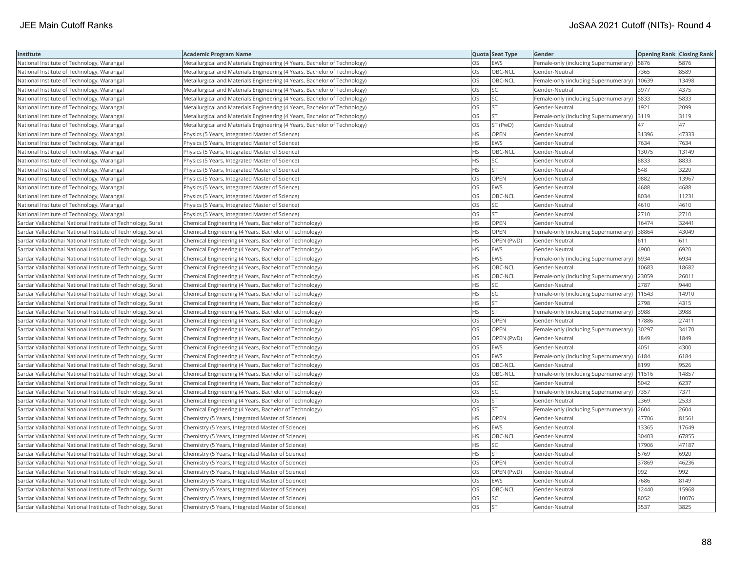| Institute                                                  | <b>Academic Program Name</b>                                              |           | Quota Seat Type | Gender                                       | <b>Opening Rank Closing Rank</b> |       |
|------------------------------------------------------------|---------------------------------------------------------------------------|-----------|-----------------|----------------------------------------------|----------------------------------|-------|
| National Institute of Technology, Warangal                 | Metallurgical and Materials Engineering (4 Years, Bachelor of Technology) | <b>OS</b> | EWS             | Female-only (including Supernumerary)        | 5876                             | 5876  |
| National Institute of Technology, Warangal                 | Metallurgical and Materials Engineering (4 Years, Bachelor of Technology) | OS        | OBC-NCL         | Gender-Neutral                               | 7365                             | 8589  |
| National Institute of Technology, Warangal                 | Metallurgical and Materials Engineering (4 Years, Bachelor of Technology) | OS        | OBC-NCL         | Female-only (including Supernumerary)        | 10639                            | 13498 |
| National Institute of Technology, Warangal                 | Metallurgical and Materials Engineering (4 Years, Bachelor of Technology) | <b>OS</b> | SC.             | Gender-Neutral                               | 3977                             | 4375  |
| National Institute of Technology, Warangal                 | Metallurgical and Materials Engineering (4 Years, Bachelor of Technology) | OS        | SC.             | Female-only (including Supernumerary)        | 5833                             | 5833  |
| National Institute of Technology, Warangal                 | Metallurgical and Materials Engineering (4 Years, Bachelor of Technology) | OS        | lst             | Gender-Neutral                               | 1921                             | 2099  |
| National Institute of Technology, Warangal                 | Metallurgical and Materials Engineering (4 Years, Bachelor of Technology) | OS        | <b>ST</b>       | Female-only (including Supernumerary)        | 3119                             | 3119  |
| National Institute of Technology, Warangal                 | Metallurgical and Materials Engineering (4 Years, Bachelor of Technology) | <b>OS</b> | ST (PwD)        | Gender-Neutral                               | 47                               | 47    |
| National Institute of Technology, Warangal                 | Physics (5 Years, Integrated Master of Science)                           | <b>HS</b> | <b>OPEN</b>     | Gender-Neutral                               | 31396                            | 47333 |
| National Institute of Technology, Warangal                 | Physics (5 Years, Integrated Master of Science)                           | <b>HS</b> | EWS             | Gender-Neutral                               | 7634                             | 7634  |
| National Institute of Technology, Warangal                 | Physics (5 Years, Integrated Master of Science)                           | <b>HS</b> | OBC-NCL         | Gender-Neutral                               | 13075                            | 13149 |
| National Institute of Technology, Warangal                 | Physics (5 Years, Integrated Master of Science)                           | <b>HS</b> | <b>SC</b>       | Gender-Neutral                               | 8833                             | 8833  |
| National Institute of Technology, Warangal                 | Physics (5 Years, Integrated Master of Science)                           | <b>HS</b> | lst             | Gender-Neutral                               | 548                              | 3220  |
| National Institute of Technology, Warangal                 | Physics (5 Years, Integrated Master of Science)                           | <b>OS</b> | <b>OPEN</b>     | Gender-Neutral                               | 9882                             | 13967 |
| National Institute of Technology, Warangal                 | Physics (5 Years, Integrated Master of Science)                           | OS        | <b>EWS</b>      | Gender-Neutral                               | 4688                             | 4688  |
| National Institute of Technology, Warangal                 | Physics (5 Years, Integrated Master of Science)                           | OS        | OBC-NCL         | Gender-Neutral                               | 8034                             | 11231 |
| National Institute of Technology, Warangal                 | Physics (5 Years, Integrated Master of Science)                           | <b>OS</b> | SC              | Gender-Neutral                               | 4610                             | 4610  |
| National Institute of Technology, Warangal                 | Physics (5 Years, Integrated Master of Science)                           | OS        | <b>ST</b>       | Gender-Neutral                               | 2710                             | 2710  |
| Sardar Vallabhbhai National Institute of Technology, Surat | Chemical Engineering (4 Years, Bachelor of Technology)                    | <b>HS</b> | OPEN            | Gender-Neutral                               | 16474                            | 32441 |
| Sardar Vallabhbhai National Institute of Technology, Surat | Chemical Engineering (4 Years, Bachelor of Technology)                    | <b>HS</b> | <b>OPEN</b>     | Female-only (including Supernumerary)        | 38864                            | 43049 |
| Sardar Vallabhbhai National Institute of Technology, Surat | Chemical Engineering (4 Years, Bachelor of Technology)                    | <b>HS</b> | OPEN (PwD)      | Gender-Neutral                               | 611                              | 611   |
| Sardar Vallabhbhai National Institute of Technology, Surat | Chemical Engineering (4 Years, Bachelor of Technology)                    | <b>HS</b> | <b>EWS</b>      | Gender-Neutral                               | 4900                             | 6920  |
| Sardar Vallabhbhai National Institute of Technology, Surat | Chemical Engineering (4 Years, Bachelor of Technology)                    | <b>HS</b> | EWS             | Female-only (including Supernumerary)   6934 |                                  | 6934  |
| Sardar Vallabhbhai National Institute of Technology, Surat | Chemical Engineering (4 Years, Bachelor of Technology)                    | <b>HS</b> | OBC-NCL         | Gender-Neutral                               | 10683                            | 18682 |
| Sardar Vallabhbhai National Institute of Technology, Surat | Chemical Engineering (4 Years, Bachelor of Technology)                    | HS        | OBC-NCL         | Female-only (including Supernumerary)        | 23059                            | 26011 |
| Sardar Vallabhbhai National Institute of Technology, Surat | Chemical Engineering (4 Years, Bachelor of Technology)                    | <b>HS</b> | SC              | Gender-Neutral                               | 2787                             | 9440  |
| Sardar Vallabhbhai National Institute of Technology, Surat | Chemical Engineering (4 Years, Bachelor of Technology)                    | <b>HS</b> | lsc             | Female-only (including Supernumerary)        | 11543                            | 14910 |
| Sardar Vallabhbhai National Institute of Technology, Surat | Chemical Engineering (4 Years, Bachelor of Technology)                    | <b>HS</b> | <b>ST</b>       | Gender-Neutral                               | 2798                             | 4315  |
| Sardar Vallabhbhai National Institute of Technology, Surat | Chemical Engineering (4 Years, Bachelor of Technology)                    | <b>HS</b> | lst             | Female-only (including Supernumerary)        | 3988                             | 3988  |
| Sardar Vallabhbhai National Institute of Technology, Surat | Chemical Engineering (4 Years, Bachelor of Technology)                    | OS        | <b>OPEN</b>     | Gender-Neutral                               | 17886                            | 27411 |
| Sardar Vallabhbhai National Institute of Technology, Surat | Chemical Engineering (4 Years, Bachelor of Technology)                    | OS        | OPEN            | Female-only (including Supernumerary) 30297  |                                  | 34170 |
| Sardar Vallabhbhai National Institute of Technology, Surat | Chemical Engineering (4 Years, Bachelor of Technology)                    | OS        | OPEN (PwD)      | Gender-Neutral                               | 1849                             | 1849  |
| Sardar Vallabhbhai National Institute of Technology, Surat | Chemical Engineering (4 Years, Bachelor of Technology)                    | OS        | <b>EWS</b>      | Gender-Neutral                               | 4051                             | 4300  |
| Sardar Vallabhbhai National Institute of Technology, Surat | Chemical Engineering (4 Years, Bachelor of Technology)                    | OS        | EWS             | Female-only (including Supernumerary)        | 6184                             | 6184  |
| Sardar Vallabhbhai National Institute of Technology, Surat | Chemical Engineering (4 Years, Bachelor of Technology)                    | OS        | OBC-NCL         | Gender-Neutral                               | 8199                             | 9526  |
| Sardar Vallabhbhai National Institute of Technology, Surat | Chemical Engineering (4 Years, Bachelor of Technology)                    | <b>OS</b> | OBC-NCL         | Female-only (including Supernumerary)        | 11516                            | 14857 |
| Sardar Vallabhbhai National Institute of Technology, Surat | Chemical Engineering (4 Years, Bachelor of Technology)                    | OS        | SC              | Gender-Neutral                               | 5042                             | 6237  |
| Sardar Vallabhbhai National Institute of Technology, Surat | Chemical Engineering (4 Years, Bachelor of Technology)                    | OS        | SC.             | Female-only (including Supernumerary) 7357   |                                  | 7371  |
| Sardar Vallabhbhai National Institute of Technology, Surat | Chemical Engineering (4 Years, Bachelor of Technology)                    | OS        | <b>ST</b>       | Gender-Neutral                               | 2369                             | 2533  |
| Sardar Vallabhbhai National Institute of Technology, Surat | Chemical Engineering (4 Years, Bachelor of Technology)                    | OS        | İst             | Female-only (including Supernumerary)        | 2604                             | 2604  |
| Sardar Vallabhbhai National Institute of Technology, Surat | Chemistry (5 Years, Integrated Master of Science)                         | <b>HS</b> | OPEN            | Gender-Neutral                               | 47706                            | 81561 |
| Sardar Vallabhbhai National Institute of Technology, Surat | Chemistry (5 Years, Integrated Master of Science)                         | <b>HS</b> | EWS             | Gender-Neutral                               | 13365                            | 17649 |
| Sardar Vallabhbhai National Institute of Technology, Surat | Chemistry (5 Years, Integrated Master of Science)                         | <b>HS</b> | OBC-NCL         | Gender-Neutral                               | 30403                            | 67855 |
| Sardar Vallabhbhai National Institute of Technology, Surat | Chemistry (5 Years, Integrated Master of Science)                         | <b>HS</b> | lsc             | Gender-Neutral                               | 17906                            | 47187 |
| Sardar Vallabhbhai National Institute of Technology, Surat | Chemistry (5 Years, Integrated Master of Science)                         | <b>HS</b> | lst             | Gender-Neutral                               | 5769                             | 6920  |
| Sardar Vallabhbhai National Institute of Technology, Surat | Chemistry (5 Years, Integrated Master of Science)                         | OS        | OPEN            | Gender-Neutral                               | 37869                            | 46236 |
| Sardar Vallabhbhai National Institute of Technology, Surat | Chemistry (5 Years, Integrated Master of Science)                         | OS        | OPEN (PwD)      | Gender-Neutral                               | 992                              | 992   |
| Sardar Vallabhbhai National Institute of Technology, Surat | Chemistry (5 Years, Integrated Master of Science)                         | OS        | EWS             | Gender-Neutral                               | 7686                             | 8149  |
| Sardar Vallabhbhai National Institute of Technology, Surat | Chemistry (5 Years, Integrated Master of Science)                         | OS        | OBC-NCL         | Gender-Neutral                               | 12440                            | 15968 |
| Sardar Vallabhbhai National Institute of Technology, Surat | Chemistry (5 Years, Integrated Master of Science)                         | OS        | SC              | Gender-Neutral                               | 8052                             | 10076 |
| Sardar Vallabhbhai National Institute of Technology, Surat | Chemistry (5 Years, Integrated Master of Science)                         | <b>OS</b> | <b>ST</b>       | Gender-Neutral                               | 3537                             | 3825  |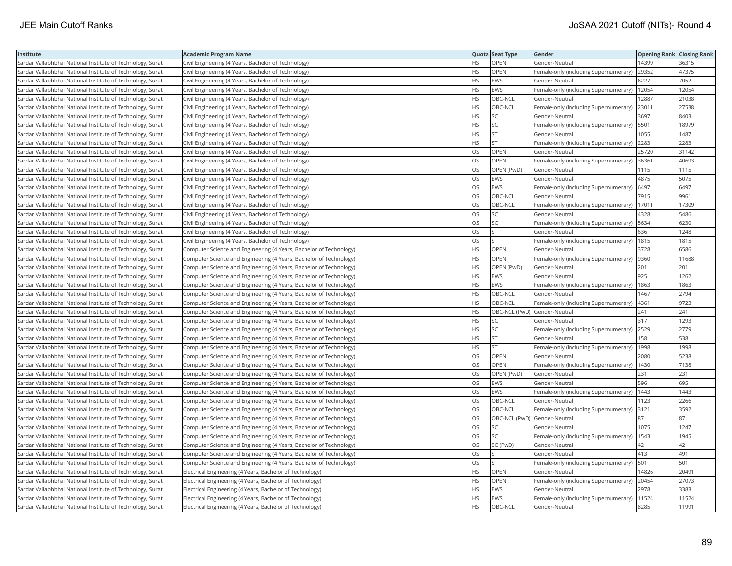| Institute                                                  | <b>Academic Program Name</b>                                       |           | Quota Seat Type              | Gender                                       | <b>Opening Rank Closing Rank</b> |       |
|------------------------------------------------------------|--------------------------------------------------------------------|-----------|------------------------------|----------------------------------------------|----------------------------------|-------|
| Sardar Vallabhbhai National Institute of Technology, Surat | Civil Engineering (4 Years, Bachelor of Technology)                | <b>HS</b> | <b>OPEN</b>                  | Gender-Neutral                               | 14399                            | 36315 |
| Sardar Vallabhbhai National Institute of Technology, Surat | Civil Engineering (4 Years, Bachelor of Technology)                | HS        | OPEN                         | Female-only (including Supernumerary)        | 29352                            | 47375 |
| Sardar Vallabhbhai National Institute of Technology, Surat | Civil Engineering (4 Years, Bachelor of Technology)                | <b>HS</b> | EWS                          | Gender-Neutral                               | 6227                             | 7052  |
| Sardar Vallabhbhai National Institute of Technology, Surat | Civil Engineering (4 Years, Bachelor of Technology)                | <b>HS</b> | EWS                          | Female-only (including Supernumerary)        | 12054                            | 12054 |
| Sardar Vallabhbhai National Institute of Technology, Surat | Civil Engineering (4 Years, Bachelor of Technology)                | <b>HS</b> | OBC-NCL                      | Gender-Neutral                               | 12887                            | 21038 |
| Sardar Vallabhbhai National Institute of Technology, Surat | Civil Engineering (4 Years, Bachelor of Technology)                | <b>HS</b> | OBC-NCL                      | Female-only (including Supernumerary)        | 23011                            | 27538 |
| Sardar Vallabhbhai National Institute of Technology, Surat | Civil Engineering (4 Years, Bachelor of Technology)                | <b>HS</b> | SC.                          | Gender-Neutral                               | 3697                             | 8403  |
| Sardar Vallabhbhai National Institute of Technology, Surat | Civil Engineering (4 Years, Bachelor of Technology)                | <b>HS</b> | SC.                          | Female-only (including Supernumerary)        | 5501                             | 18979 |
| Sardar Vallabhbhai National Institute of Technology, Surat | Civil Engineering (4 Years, Bachelor of Technology)                | <b>HS</b> | İst                          | Gender-Neutral                               | 1055                             | 1487  |
| Sardar Vallabhbhai National Institute of Technology, Surat | Civil Engineering (4 Years, Bachelor of Technology)                | <b>HS</b> | lst                          | Female-only (including Supernumerary)        | 2283                             | 2283  |
| Sardar Vallabhbhai National Institute of Technology, Surat | Civil Engineering (4 Years, Bachelor of Technology)                | OS        | OPEN                         | Gender-Neutral                               | 25720                            | 31142 |
| Sardar Vallabhbhai National Institute of Technology, Surat | Civil Engineering (4 Years, Bachelor of Technology)                | <b>OS</b> | <b>OPEN</b>                  | Female-only (including Supernumerary)        | 36361                            | 40693 |
| Sardar Vallabhbhai National Institute of Technology, Surat | Civil Engineering (4 Years, Bachelor of Technology)                | <b>OS</b> | OPEN (PwD)                   | Gender-Neutral                               | 1115                             | 1115  |
| Sardar Vallabhbhai National Institute of Technology, Surat | Civil Engineering (4 Years, Bachelor of Technology)                | OS        | EWS                          | Gender-Neutral                               | 4875                             | 5075  |
| Sardar Vallabhbhai National Institute of Technology, Surat | Civil Engineering (4 Years, Bachelor of Technology)                | OS        | <b>EWS</b>                   | Female-only (including Supernumerary)        | 6497                             | 6497  |
| Sardar Vallabhbhai National Institute of Technology, Surat | Civil Engineering (4 Years, Bachelor of Technology)                | OS        | OBC-NCL                      | Gender-Neutral                               | 7915                             | 9961  |
| Sardar Vallabhbhai National Institute of Technology, Surat | Civil Engineering (4 Years, Bachelor of Technology)                | OS        | OBC-NCL                      | Female-only (including Supernumerary)        | 17011                            | 17309 |
| Sardar Vallabhbhai National Institute of Technology, Surat | Civil Engineering (4 Years, Bachelor of Technology)                | <b>OS</b> | SC                           | Gender-Neutral                               | 4328                             | 5486  |
| Sardar Vallabhbhai National Institute of Technology, Surat | Civil Engineering (4 Years, Bachelor of Technology)                | OS        | SC.                          | Female-only (including Supernumerary)        | 5634                             | 6230  |
| Sardar Vallabhbhai National Institute of Technology, Surat | Civil Engineering (4 Years, Bachelor of Technology)                | <b>OS</b> | lst                          | Gender-Neutral                               | 636                              | 1248  |
| Sardar Vallabhbhai National Institute of Technology, Surat | Civil Engineering (4 Years, Bachelor of Technology)                | OS        | <b>ST</b>                    | Female-only (including Supernumerary)  1815  |                                  | 1815  |
| Sardar Vallabhbhai National Institute of Technology, Surat | Computer Science and Engineering (4 Years, Bachelor of Technology) | <b>HS</b> | OPEN                         | Gender-Neutral                               | 3728                             | 6586  |
| Sardar Vallabhbhai National Institute of Technology, Surat | Computer Science and Engineering (4 Years, Bachelor of Technology) | <b>HS</b> | OPEN                         | Female-only (including Supernumerary)  9360  |                                  | 11688 |
| Sardar Vallabhbhai National Institute of Technology, Surat | Computer Science and Engineering (4 Years, Bachelor of Technology) | <b>HS</b> | OPEN (PwD)                   | Gender-Neutral                               | 201                              | 201   |
| Sardar Vallabhbhai National Institute of Technology, Surat | Computer Science and Engineering (4 Years, Bachelor of Technology) | <b>HS</b> | <b>EWS</b>                   | Gender-Neutral                               | 925                              | 1262  |
| Sardar Vallabhbhai National Institute of Technology, Surat | Computer Science and Engineering (4 Years, Bachelor of Technology) | <b>HS</b> | EWS                          | Female-only (including Supernumerary)        | 1863                             | 1863  |
| Sardar Vallabhbhai National Institute of Technology, Surat | Computer Science and Engineering (4 Years, Bachelor of Technology) | <b>HS</b> | OBC-NCL                      | Gender-Neutral                               | 1467                             | 2794  |
| Sardar Vallabhbhai National Institute of Technology, Surat | Computer Science and Engineering (4 Years, Bachelor of Technology) | <b>HS</b> | OBC-NCL                      | Female-only (including Supernumerary)        | 4361                             | 9723  |
| Sardar Vallabhbhai National Institute of Technology, Surat | Computer Science and Engineering (4 Years, Bachelor of Technology) | <b>HS</b> | OBC-NCL (PwD) Gender-Neutral |                                              | 241                              | 241   |
| Sardar Vallabhbhai National Institute of Technology, Surat | Computer Science and Engineering (4 Years, Bachelor of Technology) | <b>HS</b> | SC                           | Gender-Neutral                               | 317                              | 1293  |
| Sardar Vallabhbhai National Institute of Technology, Surat | Computer Science and Engineering (4 Years, Bachelor of Technology) | <b>HS</b> | SC.                          | Female-only (including Supernumerary)        | 2529                             | 2779  |
| Sardar Vallabhbhai National Institute of Technology, Surat | Computer Science and Engineering (4 Years, Bachelor of Technology) | HS.       | İst                          | Gender-Neutral                               | 158                              | 538   |
| Sardar Vallabhbhai National Institute of Technology, Surat | Computer Science and Engineering (4 Years, Bachelor of Technology) | <b>HS</b> | <b>ST</b>                    | Female-only (including Supernumerary)        | 1998                             | 1998  |
| Sardar Vallabhbhai National Institute of Technology, Surat | Computer Science and Engineering (4 Years, Bachelor of Technology) | OS        | <b>OPEN</b>                  | Gender-Neutral                               | 2080                             | 5238  |
| Sardar Vallabhbhai National Institute of Technology, Surat | Computer Science and Engineering (4 Years, Bachelor of Technology) | <b>OS</b> | <b>OPEN</b>                  | Female-only (including Supernumerary)        | 1430                             | 7138  |
| Sardar Vallabhbhai National Institute of Technology, Surat | Computer Science and Engineering (4 Years, Bachelor of Technology) | OS        | OPEN (PwD)                   | Gender-Neutral                               | 231                              | 231   |
| Sardar Vallabhbhai National Institute of Technology, Surat | Computer Science and Engineering (4 Years, Bachelor of Technology) | OS        | <b>EWS</b>                   | Gender-Neutral                               | 596                              | 695   |
| Sardar Vallabhbhai National Institute of Technology, Surat | Computer Science and Engineering (4 Years, Bachelor of Technology) | OS        | <b>EWS</b>                   | Female-only (including Supernumerary)   1443 |                                  | 1443  |
| Sardar Vallabhbhai National Institute of Technology, Surat | Computer Science and Engineering (4 Years, Bachelor of Technology) | OS        | OBC-NCL                      | Gender-Neutral                               | 1123                             | 2266  |
| Sardar Vallabhbhai National Institute of Technology, Surat | Computer Science and Engineering (4 Years, Bachelor of Technology) | <b>OS</b> | OBC-NCL                      | Female-only (including Supernumerary)        | 3121                             | 3592  |
| Sardar Vallabhbhai National Institute of Technology, Surat | Computer Science and Engineering (4 Years, Bachelor of Technology) | OS        | OBC-NCL (PwD) Gender-Neutral |                                              | 87                               | 87    |
| Sardar Vallabhbhai National Institute of Technology, Surat | Computer Science and Engineering (4 Years, Bachelor of Technology) | <b>OS</b> | SC                           | Gender-Neutral                               | 1075                             | 1247  |
| Sardar Vallabhbhai National Institute of Technology, Surat | Computer Science and Engineering (4 Years, Bachelor of Technology) | <b>OS</b> | lsc                          | Female-only (including Supernumerary)        | 1543                             | 1945  |
| Sardar Vallabhbhai National Institute of Technology, Surat | Computer Science and Engineering (4 Years, Bachelor of Technology) | OS        | SC (PwD)                     | Gender-Neutral                               | 42                               | 42    |
| Sardar Vallabhbhai National Institute of Technology, Surat | Computer Science and Engineering (4 Years, Bachelor of Technology) | <b>OS</b> | <b>ST</b>                    | Gender-Neutral                               | 413                              | 491   |
| Sardar Vallabhbhai National Institute of Technology, Surat | Computer Science and Engineering (4 Years, Bachelor of Technology) | OS        | <b>ST</b>                    | Female-only (including Supernumerary)        | 501                              | 501   |
| Sardar Vallabhbhai National Institute of Technology, Surat | Electrical Engineering (4 Years, Bachelor of Technology)           | <b>HS</b> | <b>OPEN</b>                  | Gender-Neutral                               | 14826                            | 20491 |
| Sardar Vallabhbhai National Institute of Technology, Surat | Electrical Engineering (4 Years, Bachelor of Technology)           | HS        | OPEN                         | Female-only (including Supernumerary)        | 20454                            | 27073 |
| Sardar Vallabhbhai National Institute of Technology, Surat | Electrical Engineering (4 Years, Bachelor of Technology)           | <b>HS</b> | <b>EWS</b>                   | Gender-Neutral                               | 2978                             | 3383  |
| Sardar Vallabhbhai National Institute of Technology, Surat | Electrical Engineering (4 Years, Bachelor of Technology)           | <b>HS</b> | EWS                          | Female-only (including Supernumerary)        | 11524                            | 11524 |
| Sardar Vallabhbhai National Institute of Technology, Surat | Electrical Engineering (4 Years, Bachelor of Technology)           | <b>HS</b> | OBC-NCL                      | Gender-Neutral                               | 8285                             | 11991 |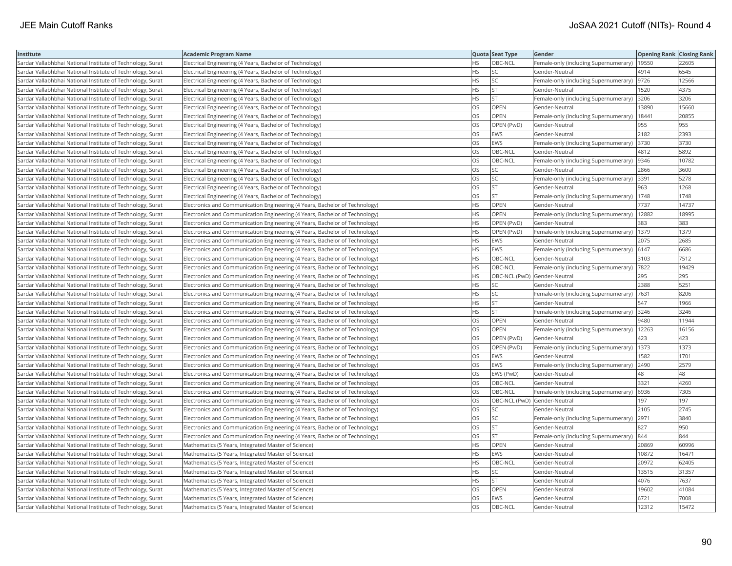| Institute                                                  | <b>Academic Program Name</b>                                                 |           | Quota Seat Type              | Gender                                        | <b>Opening Rank Closing Rank</b> |       |
|------------------------------------------------------------|------------------------------------------------------------------------------|-----------|------------------------------|-----------------------------------------------|----------------------------------|-------|
| Sardar Vallabhbhai National Institute of Technology, Surat | Electrical Engineering (4 Years, Bachelor of Technology)                     | <b>HS</b> | OBC-NCL                      | Female-only (including Supernumerary)   19550 |                                  | 22605 |
| Sardar Vallabhbhai National Institute of Technology, Surat | Electrical Engineering (4 Years, Bachelor of Technology)                     | HS        | SC                           | Gender-Neutral                                | 4914                             | 6545  |
| Sardar Vallabhbhai National Institute of Technology, Surat | Electrical Engineering (4 Years, Bachelor of Technology)                     | <b>HS</b> | SC.                          | Female-only (including Supernumerary)         | 9726                             | 12566 |
| Sardar Vallabhbhai National Institute of Technology, Surat | Electrical Engineering (4 Years, Bachelor of Technology)                     | <b>HS</b> | <b>ST</b>                    | Gender-Neutral                                | 1520                             | 4375  |
| Sardar Vallabhbhai National Institute of Technology, Surat | Electrical Engineering (4 Years, Bachelor of Technology)                     | <b>HS</b> | İst                          | Female-only (including Supernumerary)         | 3206                             | 3206  |
| Sardar Vallabhbhai National Institute of Technology, Surat | Electrical Engineering (4 Years, Bachelor of Technology)                     | <b>OS</b> | <b>OPEN</b>                  | Gender-Neutral                                | 13890                            | 15660 |
| Sardar Vallabhbhai National Institute of Technology, Surat | Electrical Engineering (4 Years, Bachelor of Technology)                     | OS        | <b>OPEN</b>                  | Female-only (including Supernumerary)         | 18441                            | 20855 |
| Sardar Vallabhbhai National Institute of Technology, Surat | Electrical Engineering (4 Years, Bachelor of Technology)                     | <b>OS</b> | OPEN (PwD)                   | Gender-Neutral                                | 955                              | 955   |
| Sardar Vallabhbhai National Institute of Technology, Surat | Electrical Engineering (4 Years, Bachelor of Technology)                     | <b>OS</b> | <b>EWS</b>                   | Gender-Neutral                                | 2182                             | 2393  |
| Sardar Vallabhbhai National Institute of Technology, Surat | Electrical Engineering (4 Years, Bachelor of Technology)                     | OS        | <b>EWS</b>                   | Female-only (including Supernumerary)         | 3730                             | 3730  |
| Sardar Vallabhbhai National Institute of Technology, Surat | Electrical Engineering (4 Years, Bachelor of Technology)                     | OS        | OBC-NCL                      | Gender-Neutral                                | 4812                             | 5892  |
| Sardar Vallabhbhai National Institute of Technology, Surat | Electrical Engineering (4 Years, Bachelor of Technology)                     | <b>OS</b> | OBC-NCL                      | Female-only (including Supernumerary)         | 9346                             | 10782 |
| Sardar Vallabhbhai National Institute of Technology, Surat | Electrical Engineering (4 Years, Bachelor of Technology)                     | <b>OS</b> | lsc                          | Gender-Neutral                                | 2866                             | 3600  |
| Sardar Vallabhbhai National Institute of Technology, Surat | Electrical Engineering (4 Years, Bachelor of Technology)                     | OS        | SC.                          | Female-only (including Supernumerary) 3391    |                                  | 5278  |
| Sardar Vallabhbhai National Institute of Technology, Surat | Electrical Engineering (4 Years, Bachelor of Technology)                     | OS        | <b>ST</b>                    | Gender-Neutral                                | 963                              | 1268  |
| Sardar Vallabhbhai National Institute of Technology, Surat | Electrical Engineering (4 Years, Bachelor of Technology)                     | OS        | lst                          | Female-only (including Supernumerary)   1748  |                                  | 1748  |
| Sardar Vallabhbhai National Institute of Technology, Surat | Electronics and Communication Engineering (4 Years, Bachelor of Technology)  | <b>HS</b> | OPEN                         | Gender-Neutral                                | 7737                             | 14737 |
| Sardar Vallabhbhai National Institute of Technology, Surat | Electronics and Communication Engineering (4 Years, Bachelor of Technology)  | <b>HS</b> | <b>OPEN</b>                  | Female-only (including Supernumerary)         | 12882                            | 18995 |
| Sardar Vallabhbhai National Institute of Technology, Surat | Electronics and Communication Engineering (4 Years, Bachelor of Technology)  | <b>HS</b> | OPEN (PwD)                   | Gender-Neutral                                | 383                              | 383   |
| Sardar Vallabhbhai National Institute of Technology, Surat | Electronics and Communication Engineering (4 Years, Bachelor of Technology)  | <b>HS</b> | OPEN (PwD)                   | [Female-only (including Supernumerary)        | 1379                             | 1379  |
| Sardar Vallabhbhai National Institute of Technology, Surat | Electronics and Communication Engineering (4 Years, Bachelor of Technology)  | <b>HS</b> | EWS                          | Gender-Neutral                                | 2075                             | 2685  |
| Sardar Vallabhbhai National Institute of Technology, Surat | Electronics and Communication Engineering (4 Years, Bachelor of Technology)  | <b>HS</b> | <b>EWS</b>                   | Female-only (including Supernumerary) 6147    |                                  | 6686  |
| Sardar Vallabhbhai National Institute of Technology, Surat | Electronics and Communication Engineering (4 Years, Bachelor of Technology)  | <b>HS</b> | OBC-NCL                      | Gender-Neutral                                | 3103                             | 7512  |
| Sardar Vallabhbhai National Institute of Technology, Surat | Electronics and Communication Engineering (4 Years, Bachelor of Technology)  | <b>HS</b> | OBC-NCL                      | Female-only (including Supernumerary)  7822   |                                  | 19429 |
| Sardar Vallabhbhai National Institute of Technology, Surat | Electronics and Communication Engineering (4 Years, Bachelor of Technology)  | <b>HS</b> | OBC-NCL (PwD) Gender-Neutral |                                               | 295                              | 295   |
| Sardar Vallabhbhai National Institute of Technology, Surat | Electronics and Communication Engineering (4 Years, Bachelor of Technology)  | <b>HS</b> | SC                           | Gender-Neutral                                | 2388                             | 5251  |
| Sardar Vallabhbhai National Institute of Technology, Surat | Electronics and Communication Engineering (4 Years, Bachelor of Technology)  | <b>HS</b> | SC.                          | Female-only (including Supernumerary)         | 7631                             | 8206  |
| Sardar Vallabhbhai National Institute of Technology, Surat | Electronics and Communication Engineering (4 Years, Bachelor of Technology)  | <b>HS</b> | lst                          | Gender-Neutral                                | 547                              | 1966  |
| Sardar Vallabhbhai National Institute of Technology, Surat | Electronics and Communication Engineering (4 Years, Bachelor of Technology)  | <b>HS</b> | lst                          | Female-only (including Supernumerary)         | 3246                             | 3246  |
| Sardar Vallabhbhai National Institute of Technology, Surat | Electronics and Communication Engineering (4 Years, Bachelor of Technology)  | OS        | <b>OPEN</b>                  | Gender-Neutral                                | 9480                             | 11944 |
| Sardar Vallabhbhai National Institute of Technology, Surat | Electronics and Communication Engineering (4 Years, Bachelor of Technology)  | OS        | <b>OPEN</b>                  | Female-only (including Supernumerary)   12263 |                                  | 16156 |
| Sardar Vallabhbhai National Institute of Technology, Surat | Electronics and Communication Engineering (4 Years, Bachelor of Technology)  | <b>OS</b> | OPEN (PwD)                   | Gender-Neutral                                | 423                              | 423   |
| Sardar Vallabhbhai National Institute of Technology, Surat | Electronics and Communication Engineering (4 Years, Bachelor of Technology)  | OS        | OPEN (PwD)                   | Female-only (including Supernumerary)         | 1373                             | 1373  |
| Sardar Vallabhbhai National Institute of Technology, Surat | Electronics and Communication Engineering (4 Years, Bachelor of Technology)  | OS        | EWS                          | Gender-Neutral                                | 1582                             | 1701  |
| Sardar Vallabhbhai National Institute of Technology, Surat | Electronics and Communication Engineering (4 Years, Bachelor of Technology)  | <b>OS</b> | EWS                          | Female-only (including Supernumerary)         | 2490                             | 2579  |
| Sardar Vallabhbhai National Institute of Technology, Surat | Electronics and Communication Engineering (4 Years, Bachelor of Technology)  | OS        | EWS (PwD)                    | Gender-Neutral                                | 48                               | 48    |
| Sardar Vallabhbhai National Institute of Technology, Surat | Electronics and Communication Engineering (4 Years, Bachelor of Technology)  | <b>OS</b> | OBC-NCL                      | Gender-Neutral                                | 3321                             | 4260  |
| Sardar Vallabhbhai National Institute of Technology, Surat | [Electronics and Communication Engineering (4 Years, Bachelor of Technology) | OS        | OBC-NCL                      | Female-only (including Supernumerary) 6936    |                                  | 7305  |
| Sardar Vallabhbhai National Institute of Technology, Surat | Electronics and Communication Engineering (4 Years, Bachelor of Technology)  | OS        | OBC-NCL (PwD) Gender-Neutral |                                               | 197                              | 197   |
| Sardar Vallabhbhai National Institute of Technology, Surat | Electronics and Communication Engineering (4 Years, Bachelor of Technology)  | <b>OS</b> | SC                           | Gender-Neutral                                | 2105                             | 2745  |
| Sardar Vallabhbhai National Institute of Technology, Surat | Electronics and Communication Engineering (4 Years, Bachelor of Technology)  | OS        | <b>SC</b>                    | Female-only (including Supernumerary)         | 2971                             | 3840  |
| Sardar Vallabhbhai National Institute of Technology, Surat | Electronics and Communication Engineering (4 Years, Bachelor of Technology)  | OS        | <b>ST</b>                    | Gender-Neutral                                | 827                              | 950   |
| Sardar Vallabhbhai National Institute of Technology, Surat | Electronics and Communication Engineering (4 Years, Bachelor of Technology)  | <b>OS</b> | lst                          | Female-only (including Supernumerary)         | 844                              | 844   |
| Sardar Vallabhbhai National Institute of Technology, Surat | Mathematics (5 Years, Integrated Master of Science)                          | <b>HS</b> | <b>OPEN</b>                  | Gender-Neutral                                | 20869                            | 60996 |
| Sardar Vallabhbhai National Institute of Technology, Surat | Mathematics (5 Years, Integrated Master of Science)                          | <b>HS</b> | <b>EWS</b>                   | Gender-Neutral                                | 10872                            | 16471 |
| Sardar Vallabhbhai National Institute of Technology, Surat | Mathematics (5 Years, Integrated Master of Science)                          | <b>HS</b> | OBC-NCL                      | Gender-Neutral                                | 20972                            | 62405 |
| Sardar Vallabhbhai National Institute of Technology, Surat | Mathematics (5 Years, Integrated Master of Science)                          | <b>HS</b> | SC                           | Gender-Neutral                                | 13515                            | 31357 |
| Sardar Vallabhbhai National Institute of Technology, Surat | Mathematics (5 Years, Integrated Master of Science)                          | HS        | <b>ST</b>                    | Gender-Neutral                                | 4076                             | 7637  |
| Sardar Vallabhbhai National Institute of Technology, Surat | Mathematics (5 Years, Integrated Master of Science)                          | OS        | OPEN                         | Gender-Neutral                                | 19602                            | 41084 |
| Sardar Vallabhbhai National Institute of Technology, Surat | Mathematics (5 Years, Integrated Master of Science)                          | <b>OS</b> | EWS                          | Gender-Neutral                                | 6721                             | 7008  |
| Sardar Vallabhbhai National Institute of Technology, Surat | Mathematics (5 Years, Integrated Master of Science)                          | <b>OS</b> | OBC-NCL                      | lGender-Neutral                               | 12312                            | 15472 |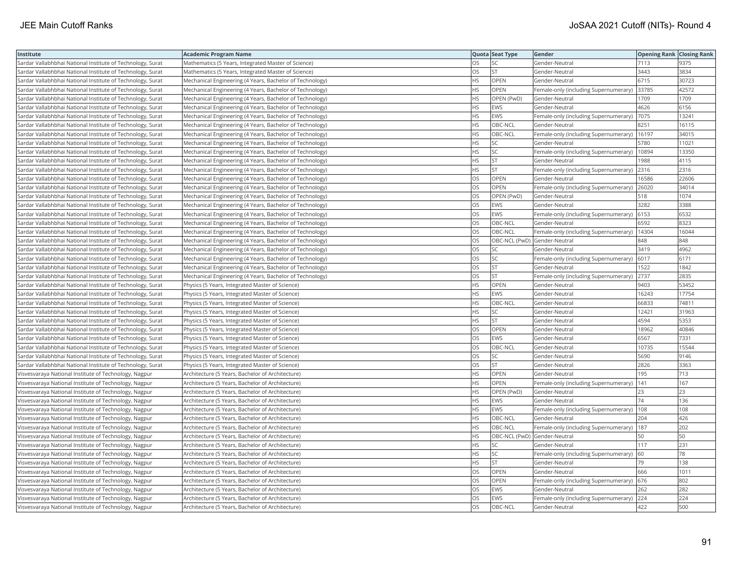| Institute                                                  | <b>Academic Program Name</b>                             |           | Quota Seat Type              | Gender                                      | Opening Rank Closing Rank |       |
|------------------------------------------------------------|----------------------------------------------------------|-----------|------------------------------|---------------------------------------------|---------------------------|-------|
| Sardar Vallabhbhai National Institute of Technology, Surat | Mathematics (5 Years, Integrated Master of Science)      | <b>OS</b> | <b>SC</b>                    | Gender-Neutral                              | 7113                      | 9375  |
| Sardar Vallabhbhai National Institute of Technology, Surat | Mathematics (5 Years, Integrated Master of Science)      | OS        | <b>ST</b>                    | Gender-Neutral                              | 3443                      | 3834  |
| Sardar Vallabhbhai National Institute of Technology, Surat | Mechanical Engineering (4 Years, Bachelor of Technology) | <b>HS</b> | OPEN                         | Gender-Neutral                              | 6715                      | 30723 |
| Sardar Vallabhbhai National Institute of Technology, Surat | Mechanical Engineering (4 Years, Bachelor of Technology) | HS        | <b>OPEN</b>                  | Female-only (including Supernumerary)       | 33785                     | 42572 |
| Sardar Vallabhbhai National Institute of Technology, Surat | Mechanical Engineering (4 Years, Bachelor of Technology) | <b>HS</b> | OPEN (PwD)                   | Gender-Neutral                              | 1709                      | 1709  |
| Sardar Vallabhbhai National Institute of Technology, Surat | Mechanical Engineering (4 Years, Bachelor of Technology) | <b>HS</b> | EWS                          | Gender-Neutral                              | 4626                      | 6156  |
| Sardar Vallabhbhai National Institute of Technology, Surat | Mechanical Engineering (4 Years, Bachelor of Technology) | HS        | <b>EWS</b>                   | Female-only (including Supernumerary)       | 7075                      | 13241 |
| Sardar Vallabhbhai National Institute of Technology, Surat | Mechanical Engineering (4 Years, Bachelor of Technology) | <b>HS</b> | OBC-NCL                      | Gender-Neutral                              | 8251                      | 16115 |
| Sardar Vallabhbhai National Institute of Technology, Surat | Mechanical Engineering (4 Years, Bachelor of Technology) | HS        | OBC-NCL                      | Female-only (including Supernumerary)       | 16197                     | 34015 |
| Sardar Vallabhbhai National Institute of Technology, Surat | Mechanical Engineering (4 Years, Bachelor of Technology) | <b>HS</b> | lsc                          | Gender-Neutral                              | 5780                      | 11021 |
| Sardar Vallabhbhai National Institute of Technology, Surat | Mechanical Engineering (4 Years, Bachelor of Technology) | <b>HS</b> | <b>SC</b>                    | Female-only (including Supernumerary)       | 10894                     | 13350 |
| Sardar Vallabhbhai National Institute of Technology, Surat | Mechanical Engineering (4 Years, Bachelor of Technology) | <b>HS</b> | <b>ST</b>                    | Gender-Neutral                              | 988                       | 4115  |
| Sardar Vallabhbhai National Institute of Technology, Surat | Mechanical Engineering (4 Years, Bachelor of Technology) | <b>HS</b> | lst.                         | Female-only (including Supernumerary)       | 2316                      | 2316  |
| Sardar Vallabhbhai National Institute of Technology, Surat | Mechanical Engineering (4 Years, Bachelor of Technology) | OS        | <b>OPEN</b>                  | Gender-Neutral                              | 16586                     | 22606 |
| Sardar Vallabhbhai National Institute of Technology, Surat | Mechanical Engineering (4 Years, Bachelor of Technology) | OS        | <b>OPEN</b>                  | Female-only (including Supernumerary) 26020 |                           | 34014 |
| Sardar Vallabhbhai National Institute of Technology, Surat | Mechanical Engineering (4 Years, Bachelor of Technology) | OS        | OPEN (PwD)                   | Gender-Neutral                              | 518                       | 1074  |
| Sardar Vallabhbhai National Institute of Technology, Surat | Mechanical Engineering (4 Years, Bachelor of Technology) | OS        | <b>EWS</b>                   | Gender-Neutral                              | 3282                      | 3388  |
| Sardar Vallabhbhai National Institute of Technology, Surat | Mechanical Engineering (4 Years, Bachelor of Technology) | OS        | <b>EWS</b>                   | Female-only (including Supernumerary)       | 6153                      | 6532  |
| Sardar Vallabhbhai National Institute of Technology, Surat | Mechanical Engineering (4 Years, Bachelor of Technology) | <b>OS</b> | OBC-NCL                      | Gender-Neutral                              | 6592                      | 8323  |
| Sardar Vallabhbhai National Institute of Technology, Surat | Mechanical Engineering (4 Years, Bachelor of Technology) | <b>OS</b> | OBC-NCL                      | Female-only (including Supernumerary)       | 14304                     | 16044 |
| Sardar Vallabhbhai National Institute of Technology, Surat | Mechanical Engineering (4 Years, Bachelor of Technology) | <b>OS</b> | OBC-NCL (PwD) Gender-Neutral |                                             | 848                       | 848   |
| Sardar Vallabhbhai National Institute of Technology, Surat | Mechanical Engineering (4 Years, Bachelor of Technology) | OS        | <b>SC</b>                    | Gender-Neutral                              | 3419                      | 4962  |
| Sardar Vallabhbhai National Institute of Technology, Surat | Mechanical Engineering (4 Years, Bachelor of Technology) | OS        | <b>SC</b>                    | Female-only (including Supernumerary)       | 6017                      | 6171  |
| Sardar Vallabhbhai National Institute of Technology, Surat | Mechanical Engineering (4 Years, Bachelor of Technology) | OS.       | <b>ST</b>                    | Gender-Neutral                              | 1522                      | 1842  |
| Sardar Vallabhbhai National Institute of Technology, Surat | Mechanical Engineering (4 Years, Bachelor of Technology) | OS        | <b>ST</b>                    | Female-only (including Supernumerary)       | 2737                      | 2835  |
| Sardar Vallabhbhai National Institute of Technology, Surat | Physics (5 Years, Integrated Master of Science)          | <b>HS</b> | <b>OPEN</b>                  | Gender-Neutral                              | 9403                      | 53452 |
| Sardar Vallabhbhai National Institute of Technology, Surat | Physics (5 Years, Integrated Master of Science)          | <b>HS</b> | <b>EWS</b>                   | Gender-Neutral                              | 16243                     | 17754 |
| Sardar Vallabhbhai National Institute of Technology, Surat | Physics (5 Years, Integrated Master of Science)          | <b>HS</b> | OBC-NCL                      | Gender-Neutral                              | 66833                     | 74811 |
| Sardar Vallabhbhai National Institute of Technology, Surat | Physics (5 Years, Integrated Master of Science)          | <b>HS</b> | <b>SC</b>                    | Gender-Neutral                              | 12421                     | 31963 |
| Sardar Vallabhbhai National Institute of Technology, Surat | Physics (5 Years, Integrated Master of Science)          | HS        | <b>ST</b>                    | Gender-Neutral                              | 4594                      | 5353  |
| Sardar Vallabhbhai National Institute of Technology, Surat | Physics (5 Years, Integrated Master of Science)          | <b>OS</b> | <b>OPEN</b>                  | Gender-Neutral                              | 18962                     | 40846 |
| Sardar Vallabhbhai National Institute of Technology, Surat | Physics (5 Years, Integrated Master of Science)          | OS        | EWS                          | Gender-Neutral                              | 6567                      | 7331  |
| Sardar Vallabhbhai National Institute of Technology, Surat | Physics (5 Years, Integrated Master of Science)          | OS        | OBC-NCL                      | Gender-Neutral                              | 10735                     | 15544 |
| Sardar Vallabhbhai National Institute of Technology, Surat | Physics (5 Years, Integrated Master of Science)          | OS        | <b>SC</b>                    | Gender-Neutral                              | 5690                      | 9146  |
| Sardar Vallabhbhai National Institute of Technology, Surat | Physics (5 Years, Integrated Master of Science)          | OS        | <b>ST</b>                    | Gender-Neutral                              | 2826                      | 3363  |
| Visvesvaraya National Institute of Technology, Nagpur      | Architecture (5 Years, Bachelor of Architecture)         | <b>HS</b> | <b>OPEN</b>                  | Gender-Neutral                              | 195                       | 713   |
| Visvesvaraya National Institute of Technology, Nagpur      | Architecture (5 Years, Bachelor of Architecture)         | <b>HS</b> | <b>OPEN</b>                  | Female-only (including Supernumerary)       | 141                       | 167   |
| Visvesvaraya National Institute of Technology, Nagpur      | Architecture (5 Years, Bachelor of Architecture)         | <b>HS</b> | OPEN (PwD)                   | Gender-Neutral                              | 23                        | 23    |
| Visvesvaraya National Institute of Technology, Nagpur      | Architecture (5 Years, Bachelor of Architecture)         | <b>HS</b> | <b>EWS</b>                   | Gender-Neutral                              | 74                        | 136   |
| Visvesvaraya National Institute of Technology, Nagpur      | Architecture (5 Years, Bachelor of Architecture)         | <b>HS</b> | EWS                          | Female-only (including Supernumerary)       | 108                       | 108   |
| Visvesvaraya National Institute of Technology, Nagpur      | Architecture (5 Years, Bachelor of Architecture)         | <b>HS</b> | OBC-NCL                      | Gender-Neutral                              | 204                       | 426   |
| Visvesvaraya National Institute of Technology, Nagpur      | Architecture (5 Years, Bachelor of Architecture)         | <b>HS</b> | OBC-NCL                      | Female-only (including Supernumerary)       | 187                       | 202   |
| Visvesvaraya National Institute of Technology, Nagpur      | Architecture (5 Years, Bachelor of Architecture)         | <b>HS</b> | OBC-NCL (PwD) Gender-Neutral |                                             | 50                        | 50    |
| Visvesvaraya National Institute of Technology, Nagpur      | Architecture (5 Years, Bachelor of Architecture)         | <b>HS</b> | <b>SC</b>                    | Gender-Neutral                              | 117                       | 231   |
| Visvesvaraya National Institute of Technology, Nagpur      | Architecture (5 Years, Bachelor of Architecture)         | <b>HS</b> | <b>SC</b>                    | Female-only (including Supernumerary)       | 60                        | 78    |
| Visvesvaraya National Institute of Technology, Nagpur      | Architecture (5 Years, Bachelor of Architecture)         | HS        | <b>ST</b>                    | Gender-Neutral                              | 79                        | 138   |
| Visvesvaraya National Institute of Technology, Nagpur      | Architecture (5 Years, Bachelor of Architecture)         | OS        | OPEN                         | Gender-Neutral                              | 666                       | 1011  |
| Visvesvaraya National Institute of Technology, Nagpur      | Architecture (5 Years, Bachelor of Architecture)         | OS        | OPEN                         | Female-only (including Supernumerary)       | 676                       | 802   |
| Visvesvaraya National Institute of Technology, Nagpur      | Architecture (5 Years, Bachelor of Architecture)         | OS        | <b>EWS</b>                   | Gender-Neutral                              | 262                       | 282   |
| Visvesvaraya National Institute of Technology, Nagpur      | Architecture (5 Years, Bachelor of Architecture)         | <b>OS</b> | <b>EWS</b>                   | Female-only (including Supernumerary)       | 224                       | 224   |
| Visvesvaraya National Institute of Technology, Nagpur      | Architecture (5 Years, Bachelor of Architecture)         | OS        | OBC-NCL                      | Gender-Neutral                              | 422                       | 500   |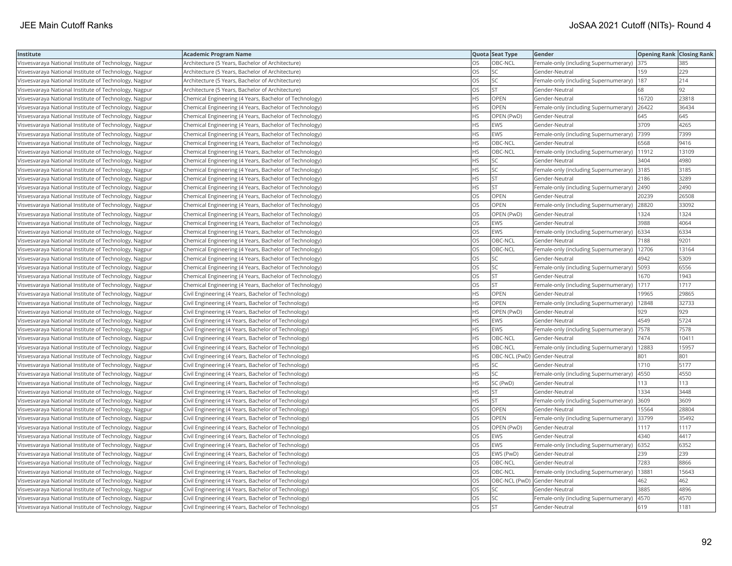| Institute                                             | <b>Academic Program Name</b>                           |           | Quota Seat Type              | <b>Gender</b>                                 | <b>Opening Rank Closing Rank</b> |       |
|-------------------------------------------------------|--------------------------------------------------------|-----------|------------------------------|-----------------------------------------------|----------------------------------|-------|
| Visvesvaraya National Institute of Technology, Nagpur | Architecture (5 Years, Bachelor of Architecture)       | OS        | OBC-NCL                      | Female-only (including Supernumerary)         | 375                              | 385   |
| Visvesvaraya National Institute of Technology, Nagpur | Architecture (5 Years, Bachelor of Architecture)       | <b>OS</b> | lsc                          | Gender-Neutral                                | 159                              | 229   |
| Visvesvaraya National Institute of Technology, Nagpur | Architecture (5 Years, Bachelor of Architecture)       | OS        | <b>SC</b>                    | Female-only (including Supernumerary)         | 187                              | 214   |
| Visvesvaraya National Institute of Technology, Nagpur | Architecture (5 Years, Bachelor of Architecture)       | OS        | <b>ST</b>                    | Gender-Neutral                                | 68                               | 92    |
| Visvesvaraya National Institute of Technology, Nagpur | Chemical Engineering (4 Years, Bachelor of Technology) | <b>HS</b> | <b>OPEN</b>                  | Gender-Neutral                                | 16720                            | 23818 |
| Visvesvaraya National Institute of Technology, Nagpur | Chemical Engineering (4 Years, Bachelor of Technology) | HS        | <b>OPEN</b>                  | Female-only (including Supernumerary)         | 26422                            | 36434 |
| Visvesvaraya National Institute of Technology, Nagpur | Chemical Engineering (4 Years, Bachelor of Technology) | <b>HS</b> | OPEN (PwD)                   | Gender-Neutral                                | 645                              | 645   |
| Visvesvaraya National Institute of Technology, Nagpur | Chemical Engineering (4 Years, Bachelor of Technology) | HS.       | <b>EWS</b>                   | Gender-Neutral                                | 3709                             | 4265  |
| Visvesvaraya National Institute of Technology, Nagpur | Chemical Engineering (4 Years, Bachelor of Technology) | HS        | EWS                          | Female-only (including Supernumerary)         | 7399                             | 7399  |
| Visvesvaraya National Institute of Technology, Nagpur | Chemical Engineering (4 Years, Bachelor of Technology) | <b>HS</b> | OBC-NCL                      | Gender-Neutral                                | 6568                             | 9416  |
| Visvesvaraya National Institute of Technology, Nagpur | Chemical Engineering (4 Years, Bachelor of Technology) | <b>HS</b> | OBC-NCL                      | Female-only (including Supernumerary)         | 11912                            | 13109 |
| Visvesvaraya National Institute of Technology, Nagpur | Chemical Engineering (4 Years, Bachelor of Technology) | <b>HS</b> | lsc                          | Gender-Neutral                                | 3404                             | 4980  |
| Visvesvaraya National Institute of Technology, Nagpur | Chemical Engineering (4 Years, Bachelor of Technology) | HS.       | <b>SC</b>                    | Female-only (including Supernumerary)         | 3185                             | 3185  |
| Visvesvaraya National Institute of Technology, Nagpur | Chemical Engineering (4 Years, Bachelor of Technology) | <b>HS</b> | <b>ST</b>                    | Gender-Neutral                                | 2186                             | 3289  |
| Visvesvaraya National Institute of Technology, Nagpur | Chemical Engineering (4 Years, Bachelor of Technology) | HS        | <b>ST</b>                    | Female-only (including Supernumerary) 2490    |                                  | 2490  |
| Visvesvaraya National Institute of Technology, Nagpur | Chemical Engineering (4 Years, Bachelor of Technology) | OS        | OPEN                         | Gender-Neutral                                | 20239                            | 26508 |
| Visvesvaraya National Institute of Technology, Nagpur | Chemical Engineering (4 Years, Bachelor of Technology) | <b>OS</b> | <b>OPEN</b>                  | Female-only (including Supernumerary)         | 28820                            | 33092 |
| Visvesvaraya National Institute of Technology, Nagpur | Chemical Engineering (4 Years, Bachelor of Technology) | OS        | OPEN (PwD)                   | Gender-Neutral                                | 1324                             | 1324  |
| Visvesvaraya National Institute of Technology, Nagpur | Chemical Engineering (4 Years, Bachelor of Technology) | OS        | <b>EWS</b>                   | Gender-Neutral                                | 3988                             | 4064  |
| Visvesvaraya National Institute of Technology, Nagpur | Chemical Engineering (4 Years, Bachelor of Technology) | <b>OS</b> | <b>EWS</b>                   | Female-only (including Supernumerary)         | 6334                             | 6334  |
| Visvesvaraya National Institute of Technology, Nagpur | Chemical Engineering (4 Years, Bachelor of Technology) | OS        | OBC-NCL                      | Gender-Neutral                                | 7188                             | 9201  |
| Visvesvaraya National Institute of Technology, Nagpur | Chemical Engineering (4 Years, Bachelor of Technology) | OS        | OBC-NCL                      | Female-only (including Supernumerary)   12706 |                                  | 13164 |
| Visvesvaraya National Institute of Technology, Nagpur | Chemical Engineering (4 Years, Bachelor of Technology) | OS        | <b>SC</b>                    | Gender-Neutral                                | 4942                             | 5309  |
| Visvesvaraya National Institute of Technology, Nagpur | Chemical Engineering (4 Years, Bachelor of Technology) | <b>OS</b> | <b>SC</b>                    | Female-only (including Supernumerary)         | 5093                             | 6556  |
| Visvesvaraya National Institute of Technology, Nagpur | Chemical Engineering (4 Years, Bachelor of Technology) | OS        | <b>ST</b>                    | Gender-Neutral                                | 1670                             | 1943  |
| Visvesvaraya National Institute of Technology, Nagpur | Chemical Engineering (4 Years, Bachelor of Technology) | OS        | <b>ST</b>                    | Female-only (including Supernumerary)         | 1717                             | 1717  |
| Visvesvaraya National Institute of Technology, Nagpur | Civil Engineering (4 Years, Bachelor of Technology)    | HS        | <b>OPEN</b>                  | Gender-Neutral                                | 19965                            | 29865 |
| Visvesvaraya National Institute of Technology, Nagpur | Civil Engineering (4 Years, Bachelor of Technology)    | <b>HS</b> | <b>OPEN</b>                  | Female-only (including Supernumerary)         | 12848                            | 32733 |
| Visvesvaraya National Institute of Technology, Nagpur | Civil Engineering (4 Years, Bachelor of Technology)    | <b>HS</b> | OPEN (PwD)                   | Gender-Neutral                                | 929                              | 929   |
| Visvesvaraya National Institute of Technology, Nagpur | Civil Engineering (4 Years, Bachelor of Technology)    | <b>HS</b> | <b>EWS</b>                   | Gender-Neutral                                | 4549                             | 5724  |
| Visvesvaraya National Institute of Technology, Nagpur | Civil Engineering (4 Years, Bachelor of Technology)    | <b>HS</b> | <b>EWS</b>                   | Female-only (including Supernumerary)         | 7578                             | 7578  |
| Visvesvaraya National Institute of Technology, Nagpur | Civil Engineering (4 Years, Bachelor of Technology)    | <b>HS</b> | OBC-NCL                      | Gender-Neutral                                | 7474                             | 10411 |
| Visvesvaraya National Institute of Technology, Nagpur | Civil Engineering (4 Years, Bachelor of Technology)    | <b>HS</b> | OBC-NCL                      | Female-only (including Supernumerary)         | 12883                            | 15957 |
| Visvesvaraya National Institute of Technology, Nagpur | Civil Engineering (4 Years, Bachelor of Technology)    | <b>HS</b> | OBC-NCL (PwD) Gender-Neutral |                                               | 801                              | 801   |
| Visvesvaraya National Institute of Technology, Nagpur | Civil Engineering (4 Years, Bachelor of Technology)    | <b>HS</b> | lsc                          | Gender-Neutral                                | 1710                             | 5177  |
| Visvesvaraya National Institute of Technology, Nagpur | Civil Engineering (4 Years, Bachelor of Technology)    | <b>HS</b> | <b>SC</b>                    | Female-only (including Supernumerary)         | 4550                             | 4550  |
| Visvesvaraya National Institute of Technology, Nagpur | Civil Engineering (4 Years, Bachelor of Technology)    | <b>HS</b> | SC (PwD)                     | Gender-Neutral                                | 113                              | 113   |
| Visvesvaraya National Institute of Technology, Nagpur | Civil Engineering (4 Years, Bachelor of Technology)    | <b>HS</b> | <b>ST</b>                    | Gender-Neutral                                | 1334                             | 3448  |
| Visvesvaraya National Institute of Technology, Nagpur | Civil Engineering (4 Years, Bachelor of Technology)    | <b>HS</b> | <b>ST</b>                    | Female-only (including Supernumerary)         | 3609                             | 3609  |
| Visvesvaraya National Institute of Technology, Nagpur | Civil Engineering (4 Years, Bachelor of Technology)    | OS        | <b>OPEN</b>                  | Gender-Neutral                                | 15564                            | 28804 |
| Visvesvaraya National Institute of Technology, Nagpur | Civil Engineering (4 Years, Bachelor of Technology)    | OS        | <b>OPEN</b>                  | Female-only (including Supernumerary)         | 33799                            | 35492 |
| Visvesvaraya National Institute of Technology, Nagpur | Civil Engineering (4 Years, Bachelor of Technology)    | OS        | OPEN (PwD)                   | Gender-Neutral                                | 1117                             | 1117  |
| Visvesvaraya National Institute of Technology, Nagpur | Civil Engineering (4 Years, Bachelor of Technology)    | OS        | <b>EWS</b>                   | Gender-Neutral                                | 4340                             | 4417  |
| Visvesvaraya National Institute of Technology, Nagpur | Civil Engineering (4 Years, Bachelor of Technology)    | OS        | <b>EWS</b>                   | Female-only (including Supernumerary)         | 6352                             | 6352  |
| Visvesvaraya National Institute of Technology, Nagpur | Civil Engineering (4 Years, Bachelor of Technology)    | OS        | EWS (PwD)                    | Gender-Neutral                                | 239                              | 239   |
| Visvesvaraya National Institute of Technology, Nagpur | Civil Engineering (4 Years, Bachelor of Technology)    | OS        | OBC-NCL                      | Gender-Neutral                                | 7283                             | 8866  |
| Visvesvaraya National Institute of Technology, Nagpur | Civil Engineering (4 Years, Bachelor of Technology)    | <b>OS</b> | OBC-NCL                      | Female-only (including Supernumerary)         | 13881                            | 15643 |
| Visvesvaraya National Institute of Technology, Nagpur | Civil Engineering (4 Years, Bachelor of Technology)    | OS        | OBC-NCL (PwD) Gender-Neutral |                                               | 462                              | 462   |
| Visvesvaraya National Institute of Technology, Nagpur | Civil Engineering (4 Years, Bachelor of Technology)    | OS        | SC.                          | Gender-Neutral                                | 3885                             | 4896  |
| Visvesvaraya National Institute of Technology, Nagpur | Civil Engineering (4 Years, Bachelor of Technology)    | OS        | <b>SC</b>                    | Female-only (including Supernumerary)         | 4570                             | 4570  |
| Visvesvaraya National Institute of Technology, Nagpur | Civil Engineering (4 Years, Bachelor of Technology)    | <b>OS</b> | lst                          | Gender-Neutral                                | 619                              | 1181  |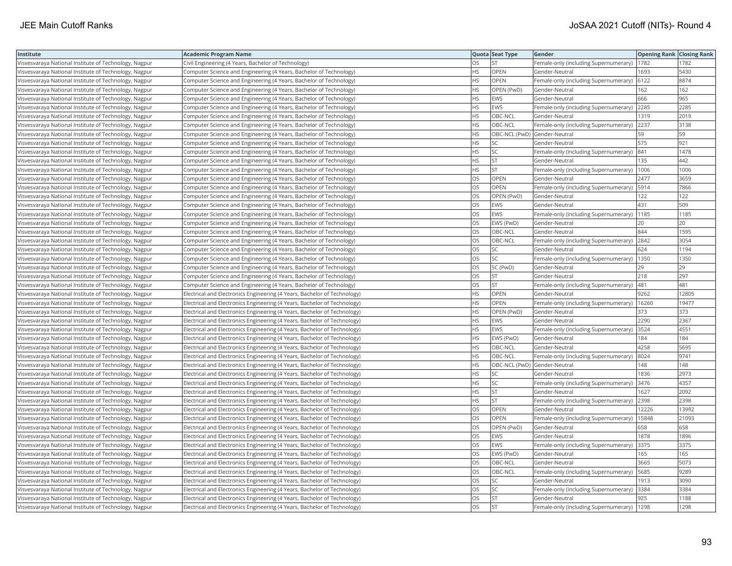| Institute                                             | <b>Academic Program Name</b>                                             |           | Quota Seat Type              | Gender                                | <b>Opening Rank Closing Rank</b> |       |
|-------------------------------------------------------|--------------------------------------------------------------------------|-----------|------------------------------|---------------------------------------|----------------------------------|-------|
| Visvesvaraya National Institute of Technology, Nagpur | Civil Engineering (4 Years, Bachelor of Technology)                      | OS        | <b>ST</b>                    | Female-only (including Supernumerary) | 1782                             | 1782  |
| Visvesvaraya National Institute of Technology, Nagpur | Computer Science and Engineering (4 Years, Bachelor of Technology)       | HS.       | OPEN                         | Gender-Neutral                        | 1693                             | 5430  |
| Visvesvaraya National Institute of Technology, Nagpur | Computer Science and Engineering (4 Years, Bachelor of Technology)       | HS        | <b>OPEN</b>                  | Female-only (including Supernumerary) | 6122                             | 8874  |
| Visvesvaraya National Institute of Technology, Nagpur | Computer Science and Engineering (4 Years, Bachelor of Technology)       | HS        | OPEN (PwD)                   | Gender-Neutral                        | 162                              | 162   |
| Visvesvaraya National Institute of Technology, Nagpur | Computer Science and Engineering (4 Years, Bachelor of Technology)       | HS.       | <b>EWS</b>                   | Gender-Neutral                        | 666                              | 965   |
| Visvesvaraya National Institute of Technology, Nagpur | Computer Science and Engineering (4 Years, Bachelor of Technology)       | HS        | EWS                          | Female-only (including Supernumerary) | 2285                             | 2285  |
| Visvesvaraya National Institute of Technology, Nagpur | Computer Science and Engineering (4 Years, Bachelor of Technology)       | ΗS        | OBC-NCL                      | Gender-Neutral                        | 1319                             | 2019  |
| Visvesvaraya National Institute of Technology, Nagpur | Computer Science and Engineering (4 Years, Bachelor of Technology)       | HS.       | OBC-NCL                      | Female-only (including Supernumerary) | 2237                             | 3138  |
| Visvesvaraya National Institute of Technology, Nagpur | Computer Science and Engineering (4 Years, Bachelor of Technology)       | HS        | OBC-NCL (PwD) Gender-Neutral |                                       | 59                               | 59    |
| Visvesvaraya National Institute of Technology, Nagpur | Computer Science and Engineering (4 Years, Bachelor of Technology)       | HS        | SC                           | Gender-Neutral                        | 575                              | 921   |
| Visvesvaraya National Institute of Technology, Nagpur | Computer Science and Engineering (4 Years, Bachelor of Technology)       | HS        | <b>SC</b>                    | Female-only (including Supernumerary) | 841                              | 1478  |
| Visvesvaraya National Institute of Technology, Nagpur | Computer Science and Engineering (4 Years, Bachelor of Technology)       | HS        | <b>ST</b>                    | Gender-Neutral                        | 135                              | 442   |
| Visvesvaraya National Institute of Technology, Nagpur | Computer Science and Engineering (4 Years, Bachelor of Technology)       | HS        | <b>ST</b>                    | Female-only (including Supernumerary) | 1006                             | 1006  |
| Visvesvaraya National Institute of Technology, Nagpur | Computer Science and Engineering (4 Years, Bachelor of Technology)       | OS        | <b>OPEN</b>                  | Gender-Neutral                        | 2477                             | 3659  |
| Visvesvaraya National Institute of Technology, Nagpur | Computer Science and Engineering (4 Years, Bachelor of Technology)       | OS        | OPEN                         | Female-only (including Supernumerary) | 5914                             | 7866  |
| Visvesvaraya National Institute of Technology, Nagpur | Computer Science and Engineering (4 Years, Bachelor of Technology)       | OS        | OPEN (PwD)                   | Gender-Neutral                        | 122                              | 122   |
| Visvesvaraya National Institute of Technology, Nagpur | Computer Science and Engineering (4 Years, Bachelor of Technology)       | OS        | EWS                          | Gender-Neutral                        | 431                              | 509   |
| Visvesvaraya National Institute of Technology, Nagpur | Computer Science and Engineering (4 Years, Bachelor of Technology)       | OS        | <b>EWS</b>                   | Female-only (including Supernumerary) | 1185                             | 1185  |
| Visvesvaraya National Institute of Technology, Nagpur | Computer Science and Engineering (4 Years, Bachelor of Technology)       | OS        | EWS (PwD)                    | Gender-Neutral                        | 20                               | 20    |
| Visvesvaraya National Institute of Technology, Nagpur | Computer Science and Engineering (4 Years, Bachelor of Technology)       | OS        | OBC-NCL                      | Gender-Neutral                        | 844                              | 1595  |
| Visvesvaraya National Institute of Technology, Nagpur | Computer Science and Engineering (4 Years, Bachelor of Technology)       | OS        | OBC-NCL                      | Female-only (including Supernumerary) | 2842                             | 3054  |
| Visvesvaraya National Institute of Technology, Nagpur | Computer Science and Engineering (4 Years, Bachelor of Technology)       | OS        | <b>SC</b>                    | Gender-Neutral                        | 624                              | 1194  |
| Visvesvaraya National Institute of Technology, Nagpur | Computer Science and Engineering (4 Years, Bachelor of Technology)       | OS        | <b>SC</b>                    | Female-only (including Supernumerary) | 1350                             | 1350  |
| Visvesvaraya National Institute of Technology, Nagpur | Computer Science and Engineering (4 Years, Bachelor of Technology)       | OS        | SC (PwD)                     | Gender-Neutral                        | 29                               | 29    |
| Visvesvaraya National Institute of Technology, Nagpur | Computer Science and Engineering (4 Years, Bachelor of Technology)       | OS.       | <b>ST</b>                    | Gender-Neutral                        | 218                              | 297   |
| Visvesvaraya National Institute of Technology, Nagpur | Computer Science and Engineering (4 Years, Bachelor of Technology)       | OS        | <b>ST</b>                    | Female-only (including Supernumerary) | 481                              | 481   |
| Visvesvaraya National Institute of Technology, Nagpur | Electrical and Electronics Engineering (4 Years, Bachelor of Technology) | HS        | OPEN                         | Gender-Neutral                        | 9262                             | 12805 |
| Visvesvaraya National Institute of Technology, Nagpur | Electrical and Electronics Engineering (4 Years, Bachelor of Technology) | HS.       | <b>OPEN</b>                  | Female-only (including Supernumerary) | 16260                            | 19477 |
| Visvesvaraya National Institute of Technology, Nagpur | Electrical and Electronics Engineering (4 Years, Bachelor of Technology) | HS        | OPEN (PwD)                   | Gender-Neutral                        | 373                              | 373   |
| Visvesvaraya National Institute of Technology, Nagpur | Electrical and Electronics Engineering (4 Years, Bachelor of Technology) | HS        | EWS                          | Gender-Neutral                        | 2290                             | 2367  |
| Visvesvaraya National Institute of Technology, Nagpur | Electrical and Electronics Engineering (4 Years, Bachelor of Technology) | HS        | EWS                          | Female-only (including Supernumerary) | 3524                             | 4551  |
| Visvesvaraya National Institute of Technology, Nagpur | Electrical and Electronics Engineering (4 Years, Bachelor of Technology) | HS        | EWS (PwD)                    | Gender-Neutral                        | 184                              | 184   |
| Visvesvaraya National Institute of Technology, Nagpur | Electrical and Electronics Engineering (4 Years, Bachelor of Technology) | HS.       | OBC-NCL                      | Gender-Neutral                        | 4258                             | 5695  |
| Visvesvaraya National Institute of Technology, Nagpur | Electrical and Electronics Engineering (4 Years, Bachelor of Technology) | HS.       | OBC-NCL                      | Female-only (including Supernumerary) | 8024                             | 9741  |
| Visvesvaraya National Institute of Technology, Nagpur | Electrical and Electronics Engineering (4 Years, Bachelor of Technology) | HS        | OBC-NCL (PwD) Gender-Neutral |                                       | 148                              | 148   |
| Visvesvaraya National Institute of Technology, Nagpur | Electrical and Electronics Engineering (4 Years, Bachelor of Technology) | HS.       | lsc                          | Gender-Neutral                        | 1836                             | 2973  |
| Visvesvaraya National Institute of Technology, Nagpur | Electrical and Electronics Engineering (4 Years, Bachelor of Technology) | HS        | SC                           | Female-only (including Supernumerary) | 3476                             | 4357  |
| Visvesvaraya National Institute of Technology, Nagpur | Electrical and Electronics Engineering (4 Years, Bachelor of Technology) | HS        | <b>ST</b>                    | Gender-Neutral                        | 1627                             | 2092  |
| Visvesvaraya National Institute of Technology, Nagpur | Electrical and Electronics Engineering (4 Years, Bachelor of Technology) | HS        | <b>ST</b>                    | Female-only (including Supernumerary) | 2398                             | 2398  |
| Visvesvaraya National Institute of Technology, Nagpur | Electrical and Electronics Engineering (4 Years, Bachelor of Technology) | OS.       | OPEN                         | Gender-Neutral                        | 12226                            | 13992 |
| Visvesvaraya National Institute of Technology, Nagpur | Electrical and Electronics Engineering (4 Years, Bachelor of Technology) | OS        | OPEN                         | Female-only (including Supernumerary) | 15848                            | 21093 |
| Visvesvaraya National Institute of Technology, Nagpur | Electrical and Electronics Engineering (4 Years, Bachelor of Technology) | OS        | OPEN (PwD)                   | Gender-Neutral                        | 658                              | 658   |
| Visvesvaraya National Institute of Technology, Nagpur | Electrical and Electronics Engineering (4 Years, Bachelor of Technology) | OS        | <b>EWS</b>                   | Gender-Neutral                        | 1878                             | 1896  |
| Visvesvaraya National Institute of Technology, Nagpur | Electrical and Electronics Engineering (4 Years, Bachelor of Technology) | OS.       | <b>EWS</b>                   | Female-only (including Supernumerary) | 3375                             | 3375  |
| Visvesvaraya National Institute of Technology, Nagpur | Electrical and Electronics Engineering (4 Years, Bachelor of Technology) | OS        | EWS (PwD)                    | Gender-Neutral                        | 165                              | 165   |
| Visvesvaraya National Institute of Technology, Nagpur | Electrical and Electronics Engineering (4 Years, Bachelor of Technology) | OS        | OBC-NCL                      | Gender-Neutral                        | 3665                             | 5073  |
| Visvesvaraya National Institute of Technology, Nagpur | Electrical and Electronics Engineering (4 Years, Bachelor of Technology) | OS.       | OBC-NCL                      | Female-only (including Supernumerary) | 5685                             | 9289  |
| Visvesvaraya National Institute of Technology, Nagpur | Electrical and Electronics Engineering (4 Years, Bachelor of Technology) | OS.       | SC                           | Gender-Neutral                        | 1913                             | 3090  |
| Visvesvaraya National Institute of Technology, Nagpur | Electrical and Electronics Engineering (4 Years, Bachelor of Technology) | OS        | SC                           | Female-only (including Supernumerary) | 3384                             | 3384  |
| Visvesvaraya National Institute of Technology, Nagpur | Electrical and Electronics Engineering (4 Years, Bachelor of Technology) | OS.       | <b>ST</b>                    | Gender-Neutral                        | 925                              | 1188  |
| Visvesvaraya National Institute of Technology, Nagpur | Electrical and Electronics Engineering (4 Years, Bachelor of Technology) | <b>OS</b> | <b>ST</b>                    | Female-only (including Supernumerary) | 1298                             | 1298  |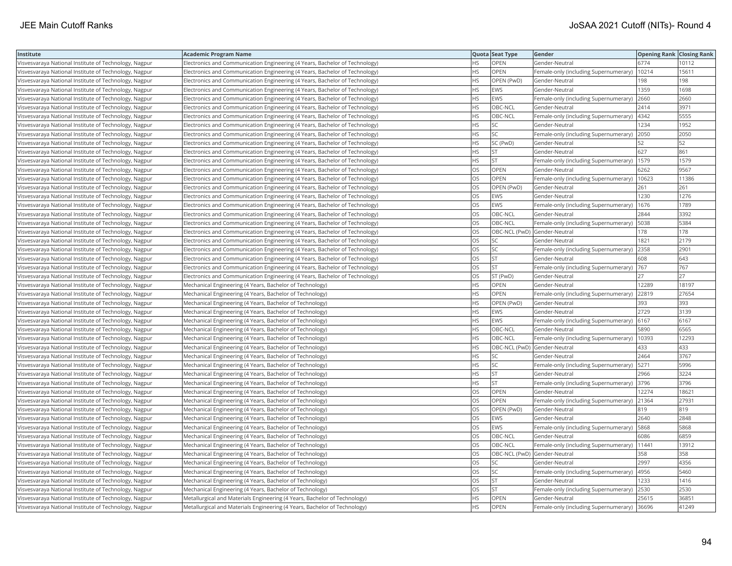| Institute                                             | <b>Academic Program Name</b>                                                |           | Quota Seat Type              | Gender                                | <b>Opening Rank   Closing Rank</b> |       |
|-------------------------------------------------------|-----------------------------------------------------------------------------|-----------|------------------------------|---------------------------------------|------------------------------------|-------|
| Visvesvaraya National Institute of Technology, Nagpur | Electronics and Communication Engineering (4 Years, Bachelor of Technology) | HS        | OPEN                         | Gender-Neutral                        | 6774                               | 10112 |
| Visvesvaraya National Institute of Technology, Nagpur | Electronics and Communication Engineering (4 Years, Bachelor of Technology) | HS.       | OPEN                         | Female-only (including Supernumerary) | 10214                              | 15611 |
| Visvesvaraya National Institute of Technology, Nagpur | Electronics and Communication Engineering (4 Years, Bachelor of Technology) | HS        | OPEN (PwD)                   | Gender-Neutral                        | 198                                | 198   |
| Visvesvaraya National Institute of Technology, Nagpur | Electronics and Communication Engineering (4 Years, Bachelor of Technology) | HS.       | <b>EWS</b>                   | Gender-Neutral                        | 1359                               | 1698  |
| Visvesvaraya National Institute of Technology, Nagpur | Electronics and Communication Engineering (4 Years, Bachelor of Technology) | HS        | EWS                          | Female-only (including Supernumerary) | 2660                               | 2660  |
| Visvesvaraya National Institute of Technology, Nagpur | Electronics and Communication Engineering (4 Years, Bachelor of Technology) | ΗS        | OBC-NCL                      | Gender-Neutral                        | 2414                               | 3971  |
| Visvesvaraya National Institute of Technology, Nagpur | Electronics and Communication Engineering (4 Years, Bachelor of Technology) | НS        | OBC-NCL                      | Female-only (including Supernumerary) | 4342                               | 5555  |
| Visvesvaraya National Institute of Technology, Nagpur | Electronics and Communication Engineering (4 Years, Bachelor of Technology) | HS        | SC                           | Gender-Neutral                        | 1234                               | 1952  |
| Visvesvaraya National Institute of Technology, Nagpur | Electronics and Communication Engineering (4 Years, Bachelor of Technology) | <b>HS</b> | SC                           | Female-only (including Supernumerary) | 2050                               | 2050  |
| Visvesvaraya National Institute of Technology, Nagpur | Electronics and Communication Engineering (4 Years, Bachelor of Technology) | HS        | SC (PwD)                     | Gender-Neutral                        | 52                                 | 52    |
| Visvesvaraya National Institute of Technology, Nagpur | Electronics and Communication Engineering (4 Years, Bachelor of Technology) | HS.       | <b>ST</b>                    | Gender-Neutral                        | 627                                | 861   |
| Visvesvaraya National Institute of Technology, Nagpur | Electronics and Communication Engineering (4 Years, Bachelor of Technology) | HS.       | <b>IST</b>                   | Female-only (including Supernumerary) | 1579                               | 1579  |
| Visvesvaraya National Institute of Technology, Nagpur | Electronics and Communication Engineering (4 Years, Bachelor of Technology) | OS        | OPEN                         | Gender-Neutral                        | 6262                               | 9567  |
| Visvesvaraya National Institute of Technology, Nagpur | Electronics and Communication Engineering (4 Years, Bachelor of Technology) | OS        | OPEN                         | Female-only (including Supernumerary) | 10623                              | 11386 |
| Visvesvaraya National Institute of Technology, Nagpur | Electronics and Communication Engineering (4 Years, Bachelor of Technology) | OS        | OPEN (PwD)                   | Gender-Neutral                        | 261                                | 261   |
| Visvesvaraya National Institute of Technology, Nagpur | Electronics and Communication Engineering (4 Years, Bachelor of Technology) | OS        | EWS                          | Gender-Neutral                        | 1230                               | 1276  |
| Visvesvaraya National Institute of Technology, Nagpur | Electronics and Communication Engineering (4 Years, Bachelor of Technology) | OS        | EWS                          | Female-only (including Supernumerary) | 1676                               | 1789  |
| Visvesvaraya National Institute of Technology, Nagpur | Electronics and Communication Engineering (4 Years, Bachelor of Technology) | OS        | OBC-NCL                      | Gender-Neutral                        | 2844                               | 3392  |
| Visvesvaraya National Institute of Technology, Nagpur | Electronics and Communication Engineering (4 Years, Bachelor of Technology) | OS.       | OBC-NCL                      | Female-only (including Supernumerary) | 5038                               | 5384  |
| Visvesvaraya National Institute of Technology, Nagpur | Electronics and Communication Engineering (4 Years, Bachelor of Technology) | OS        | OBC-NCL (PwD) Gender-Neutral |                                       | 178                                | 178   |
| Visvesvaraya National Institute of Technology, Nagpur | Electronics and Communication Engineering (4 Years, Bachelor of Technology) | OS.       | SC                           | Gender-Neutral                        | 1821                               | 2179  |
| Visvesvaraya National Institute of Technology, Nagpur | Electronics and Communication Engineering (4 Years, Bachelor of Technology) | OS        | <b>SC</b>                    | Female-only (including Supernumerary) | 2358                               | 2901  |
| Visvesvaraya National Institute of Technology, Nagpur | Electronics and Communication Engineering (4 Years, Bachelor of Technology) | OS        | <b>ST</b>                    | Gender-Neutral                        | 608                                | 643   |
| Visvesvaraya National Institute of Technology, Nagpur | Electronics and Communication Engineering (4 Years, Bachelor of Technology) | OS.       | lst                          | Female-only (including Supernumerary) | 767                                | 767   |
| Visvesvaraya National Institute of Technology, Nagpur | Electronics and Communication Engineering (4 Years, Bachelor of Technology) | OS        | ST (PwD)                     | Gender-Neutral                        | 27                                 | 27    |
| Visvesvaraya National Institute of Technology, Nagpur | Mechanical Engineering (4 Years, Bachelor of Technology)                    | HS.       | <b>OPEN</b>                  | Gender-Neutral                        | 12289                              | 18197 |
| Visvesvaraya National Institute of Technology, Nagpur | Mechanical Engineering (4 Years, Bachelor of Technology)                    | HS        | OPEN                         | Female-only (including Supernumerary) | 22819                              | 27654 |
| Visvesvaraya National Institute of Technology, Nagpur | Mechanical Engineering (4 Years, Bachelor of Technology)                    | HS        | OPEN (PwD)                   | Gender-Neutral                        | 393                                | 393   |
| Visvesvaraya National Institute of Technology, Nagpur | Mechanical Engineering (4 Years, Bachelor of Technology)                    | HS.       | <b>EWS</b>                   | Gender-Neutral                        | 2729                               | 3139  |
| Visvesvaraya National Institute of Technology, Nagpur | Mechanical Engineering (4 Years, Bachelor of Technology)                    | HS        | EWS                          | Female-only (including Supernumerary) | 6167                               | 6167  |
| Visvesvaraya National Institute of Technology, Nagpur | Mechanical Engineering (4 Years, Bachelor of Technology)                    | HS        | OBC-NCL                      | Gender-Neutral                        | 5890                               | 6565  |
| Visvesvaraya National Institute of Technology, Nagpur | Mechanical Engineering (4 Years, Bachelor of Technology)                    | НS        | OBC-NCL                      | Female-only (including Supernumerary) | 10393                              | 12293 |
| Visvesvaraya National Institute of Technology, Nagpur | Mechanical Engineering (4 Years, Bachelor of Technology)                    | <b>HS</b> |                              | OBC-NCL (PwD) Gender-Neutral          | 433                                | 433   |
| Visvesvaraya National Institute of Technology, Nagpur | Mechanical Engineering (4 Years, Bachelor of Technology)                    | HS        | SC                           | Gender-Neutral                        | 2464                               | 3767  |
| Visvesvaraya National Institute of Technology, Nagpur | Mechanical Engineering (4 Years, Bachelor of Technology)                    | HS        | <b>SC</b>                    | Female-only (including Supernumerary) | 5271                               | 5996  |
| Visvesvaraya National Institute of Technology, Nagpur | Mechanical Engineering (4 Years, Bachelor of Technology)                    | HS        | <b>ST</b>                    | Gender-Neutral                        | 2966                               | 3224  |
| Visvesvaraya National Institute of Technology, Nagpur | Mechanical Engineering (4 Years, Bachelor of Technology)                    | HS        | <b>ST</b>                    | Female-only (including Supernumerary) | 3796                               | 3796  |
| Visvesvaraya National Institute of Technology, Nagpur | Mechanical Engineering (4 Years, Bachelor of Technology)                    | OS        | OPEN                         | Gender-Neutral                        | 12274                              | 18621 |
| Visvesvaraya National Institute of Technology, Nagpur | Mechanical Engineering (4 Years, Bachelor of Technology)                    | OS        | <b>OPEN</b>                  | Female-only (including Supernumerary) | 21364                              | 27931 |
| Visvesvaraya National Institute of Technology, Nagpur | Mechanical Engineering (4 Years, Bachelor of Technology)                    | OS        | OPEN (PwD)                   | Gender-Neutral                        | 819                                | 819   |
| Visvesvaraya National Institute of Technology, Nagpur | Mechanical Engineering (4 Years, Bachelor of Technology)                    | OS        | EWS                          | Gender-Neutral                        | 2640                               | 2848  |
| Visvesvaraya National Institute of Technology, Nagpur | Mechanical Engineering (4 Years, Bachelor of Technology)                    | OS        | EWS                          | Female-only (including Supernumerary) | 5868                               | 5868  |
| Visvesvaraya National Institute of Technology, Nagpur | Mechanical Engineering (4 Years, Bachelor of Technology)                    | OS.       | OBC-NCL                      | Gender-Neutral                        | 6086                               | 6859  |
| Visvesvaraya National Institute of Technology, Nagpur | Mechanical Engineering (4 Years, Bachelor of Technology)                    | OS        | OBC-NCL                      | Female-only (including Supernumerary) | 11441                              | 13912 |
| Visvesvaraya National Institute of Technology, Nagpur | Mechanical Engineering (4 Years, Bachelor of Technology)                    | OS        | OBC-NCL (PwD) Gender-Neutral |                                       | 358                                | 358   |
| Visvesvaraya National Institute of Technology, Nagpur | Mechanical Engineering (4 Years, Bachelor of Technology)                    | OS        | SC                           | Gender-Neutral                        | 2997                               | 4356  |
| Visvesvaraya National Institute of Technology, Nagpur | Mechanical Engineering (4 Years, Bachelor of Technology)                    | OS        | <b>SC</b>                    | Female-only (including Supernumerary) | 4956                               | 5460  |
| Visvesvaraya National Institute of Technology, Nagpur | Mechanical Engineering (4 Years, Bachelor of Technology)                    | OS        | <b>ST</b>                    | Gender-Neutral                        | 1233                               | 1416  |
| Visvesvaraya National Institute of Technology, Nagpur | Mechanical Engineering (4 Years, Bachelor of Technology)                    | OS.       | <b>ST</b>                    | Female-only (including Supernumerary) | 2530                               | 2530  |
| Visvesvaraya National Institute of Technology, Nagpur | Metallurgical and Materials Engineering (4 Years, Bachelor of Technology)   | ΗS        | OPEN                         | Gender-Neutral                        | 25615                              | 36851 |
| Visvesvaraya National Institute of Technology, Nagpur | Metallurgical and Materials Engineering (4 Years, Bachelor of Technology)   | <b>HS</b> | <b>OPEN</b>                  | Female-only (including Supernumerary) | 36696                              | 41249 |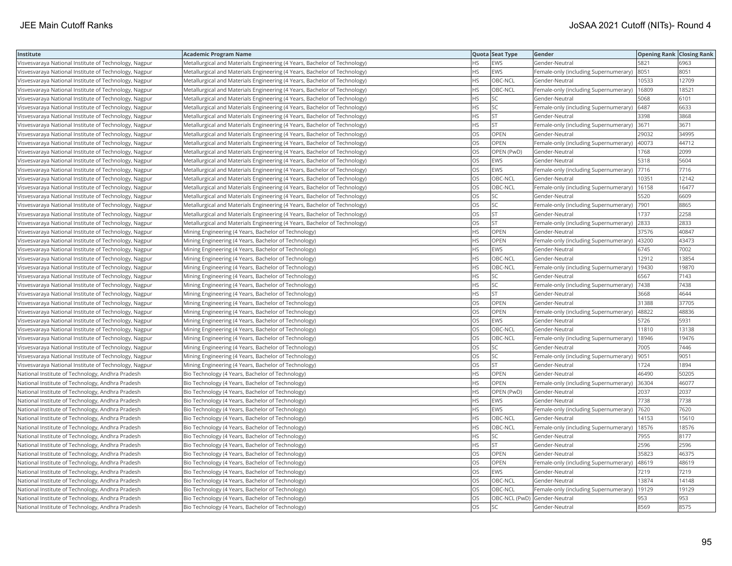| Institute                                             | <b>Academic Program Name</b>                                              |           | Quota Seat Type              | Gender                                        | <b>Opening Rank   Closing Rank</b> |       |
|-------------------------------------------------------|---------------------------------------------------------------------------|-----------|------------------------------|-----------------------------------------------|------------------------------------|-------|
| Visvesvaraya National Institute of Technology, Nagpur | Metallurgical and Materials Engineering (4 Years, Bachelor of Technology) | HS        | <b>EWS</b>                   | Gender-Neutral                                | 5821                               | 6963  |
| Visvesvaraya National Institute of Technology, Nagpur | Metallurgical and Materials Engineering (4 Years, Bachelor of Technology) | <b>HS</b> | <b>EWS</b>                   | Female-only (including Supernumerary)         | 8051                               | 8051  |
| Visvesvaraya National Institute of Technology, Nagpur | Metallurgical and Materials Engineering (4 Years, Bachelor of Technology) | <b>HS</b> | OBC-NCL                      | Gender-Neutral                                | 10533                              | 12709 |
| Visvesvaraya National Institute of Technology, Nagpur | Metallurgical and Materials Engineering (4 Years, Bachelor of Technology) | <b>HS</b> | OBC-NCL                      | Female-only (including Supernumerary)         | 16809                              | 18521 |
| Visvesvaraya National Institute of Technology, Nagpur | Metallurgical and Materials Engineering (4 Years, Bachelor of Technology) | <b>HS</b> | <b>SC</b>                    | Gender-Neutral                                | 5068                               | 6101  |
| Visvesvaraya National Institute of Technology, Nagpur | Metallurgical and Materials Engineering (4 Years, Bachelor of Technology) | <b>HS</b> | <b>SC</b>                    | Female-only (including Supernumerary) 6487    |                                    | 6633  |
| Visvesvaraya National Institute of Technology, Nagpur | Metallurgical and Materials Engineering (4 Years, Bachelor of Technology) | ΗS        | <b>ST</b>                    | Gender-Neutral                                | 3398                               | 3868  |
| Visvesvaraya National Institute of Technology, Nagpur | Metallurgical and Materials Engineering (4 Years, Bachelor of Technology) | HS.       | İst                          | Female-only (including Supernumerary)         | 3671                               | 3671  |
| Visvesvaraya National Institute of Technology, Nagpur | Metallurgical and Materials Engineering (4 Years, Bachelor of Technology) | OS        | OPEN                         | Gender-Neutral                                | 29032                              | 34995 |
| Visvesvaraya National Institute of Technology, Nagpur | Metallurgical and Materials Engineering (4 Years, Bachelor of Technology) | OS        | <b>OPEN</b>                  | Female-only (including Supernumerary)         | 40073                              | 44712 |
| Visvesvaraya National Institute of Technology, Nagpur | Metallurgical and Materials Engineering (4 Years, Bachelor of Technology) | <b>OS</b> | OPEN (PwD)                   | Gender-Neutral                                | 1768                               | 2099  |
| Visvesvaraya National Institute of Technology, Nagpur | Metallurgical and Materials Engineering (4 Years, Bachelor of Technology) | OS        | <b>EWS</b>                   | Gender-Neutral                                | 5318                               | 5604  |
| Visvesvaraya National Institute of Technology, Nagpur | Metallurgical and Materials Engineering (4 Years, Bachelor of Technology) | <b>OS</b> | <b>EWS</b>                   | Female-only (including Supernumerary)         | 7716                               | 7716  |
| Visvesvaraya National Institute of Technology, Nagpur | Metallurgical and Materials Engineering (4 Years, Bachelor of Technology) | OS        | OBC-NCL                      | Gender-Neutral                                | 10351                              | 12142 |
| Visvesvaraya National Institute of Technology, Nagpur | Metallurgical and Materials Engineering (4 Years, Bachelor of Technology) | OS        | OBC-NCL                      | Female-only (including Supernumerary)   16158 |                                    | 16477 |
| Visvesvaraya National Institute of Technology, Nagpur | Metallurgical and Materials Engineering (4 Years, Bachelor of Technology) | <b>OS</b> | lsc                          | Gender-Neutral                                | 5520                               | 6609  |
| Visvesvaraya National Institute of Technology, Nagpur | Metallurgical and Materials Engineering (4 Years, Bachelor of Technology) | <b>OS</b> | <b>SC</b>                    | Female-only (including Supernumerary)         | 7901                               | 8865  |
| Visvesvaraya National Institute of Technology, Nagpur | Metallurgical and Materials Engineering (4 Years, Bachelor of Technology) | OS        | <b>ST</b>                    | Gender-Neutral                                | 1737                               | 2258  |
| Visvesvaraya National Institute of Technology, Nagpur | Metallurgical and Materials Engineering (4 Years, Bachelor of Technology) | <b>OS</b> | <b>IST</b>                   | Female-only (including Supernumerary)         | 2833                               | 2833  |
| Visvesvaraya National Institute of Technology, Nagpur | Mining Engineering (4 Years, Bachelor of Technology)                      | HS.       | OPEN                         | Gender-Neutral                                | 37576                              | 40847 |
| Visvesvaraya National Institute of Technology, Nagpur | Mining Engineering (4 Years, Bachelor of Technology)                      | <b>HS</b> | OPEN                         | Female-only (including Supernumerary)         | 43200                              | 43473 |
| Visvesvaraya National Institute of Technology, Nagpur | Mining Engineering (4 Years, Bachelor of Technology)                      | <b>HS</b> | <b>EWS</b>                   | Gender-Neutral                                | 6745                               | 7002  |
| Visvesvaraya National Institute of Technology, Nagpur | Mining Engineering (4 Years, Bachelor of Technology)                      | HS        | OBC-NCL                      | Gender-Neutral                                | 12912                              | 13854 |
| Visvesvaraya National Institute of Technology, Nagpur | Mining Engineering (4 Years, Bachelor of Technology)                      | HS.       | OBC-NCL                      | Female-only (including Supernumerary)         | 19430                              | 19870 |
| Visvesvaraya National Institute of Technology, Nagpur | Mining Engineering (4 Years, Bachelor of Technology)                      | <b>HS</b> | <b>SC</b>                    | Gender-Neutral                                | 6567                               | 7143  |
| Visvesvaraya National Institute of Technology, Nagpur | Mining Engineering (4 Years, Bachelor of Technology)                      | <b>HS</b> | SC                           | Female-only (including Supernumerary)         | 7438                               | 7438  |
| Visvesvaraya National Institute of Technology, Nagpur | Mining Engineering (4 Years, Bachelor of Technology)                      | <b>HS</b> | lst.                         | Gender-Neutral                                | 3668                               | 4644  |
| Visvesvaraya National Institute of Technology, Nagpur | Mining Engineering (4 Years, Bachelor of Technology)                      | OS        | <b>OPEN</b>                  | Gender-Neutral                                | 31388                              | 37705 |
| Visvesvaraya National Institute of Technology, Nagpur | Mining Engineering (4 Years, Bachelor of Technology)                      | OS        | OPEN                         | Female-only (including Supernumerary)         | 48822                              | 48836 |
| Visvesvaraya National Institute of Technology, Nagpur | Mining Engineering (4 Years, Bachelor of Technology)                      | OS        | <b>EWS</b>                   | Gender-Neutral                                | 5726                               | 5931  |
| Visvesvaraya National Institute of Technology, Nagpur | Mining Engineering (4 Years, Bachelor of Technology)                      | <b>OS</b> | OBC-NCL                      | Gender-Neutral                                | 11810                              | 13138 |
| Visvesvaraya National Institute of Technology, Nagpur | Mining Engineering (4 Years, Bachelor of Technology)                      | OS        | OBC-NCL                      | Female-only (including Supernumerary)         | 18946                              | 19476 |
| Visvesvaraya National Institute of Technology, Nagpur | Mining Engineering (4 Years, Bachelor of Technology)                      | OS        | SC.                          | Gender-Neutral                                | 7005                               | 7446  |
| Visvesvaraya National Institute of Technology, Nagpur | Mining Engineering (4 Years, Bachelor of Technology)                      | OS        | <b>SC</b>                    | Female-only (including Supernumerary)         | 9051                               | 9051  |
| Visvesvaraya National Institute of Technology, Nagpur | Mining Engineering (4 Years, Bachelor of Technology)                      | OS        | <b>ST</b>                    | Gender-Neutral                                | 1724                               | 1894  |
| National Institute of Technology, Andhra Pradesh      | Bio Technology (4 Years, Bachelor of Technology)                          | <b>HS</b> | <b>OPEN</b>                  | Gender-Neutral                                | 46490                              | 50205 |
| National Institute of Technology, Andhra Pradesh      | Bio Technology (4 Years, Bachelor of Technology)                          | <b>HS</b> | OPEN                         | Female-only (including Supernumerary)         | 36304                              | 46077 |
| National Institute of Technology, Andhra Pradesh      | Bio Technology (4 Years, Bachelor of Technology)                          | <b>HS</b> | OPEN (PwD)                   | Gender-Neutral                                | 2037                               | 2037  |
| National Institute of Technology, Andhra Pradesh      | Bio Technology (4 Years, Bachelor of Technology)                          | HS.       | <b>EWS</b>                   | Gender-Neutral                                | 7738                               | 7738  |
| National Institute of Technology, Andhra Pradesh      | Bio Technology (4 Years, Bachelor of Technology)                          | HS.       | EWS                          | Female-only (including Supernumerary)         | 7620                               | 7620  |
| National Institute of Technology, Andhra Pradesh      | Bio Technology (4 Years, Bachelor of Technology)                          | <b>HS</b> | OBC-NCL                      | Gender-Neutral                                | 14153                              | 15610 |
| National Institute of Technology, Andhra Pradesh      | Bio Technology (4 Years, Bachelor of Technology)                          | HS        | OBC-NCL                      | Female-only (including Supernumerary)         | 18576                              | 18576 |
| National Institute of Technology, Andhra Pradesh      | Bio Technology (4 Years, Bachelor of Technology)                          | <b>HS</b> | <b>SC</b>                    | Gender-Neutral                                | 7955                               | 8177  |
| National Institute of Technology, Andhra Pradesh      | Bio Technology (4 Years, Bachelor of Technology)                          | <b>HS</b> | <b>ST</b>                    | Gender-Neutral                                | 2596                               | 2596  |
| National Institute of Technology, Andhra Pradesh      | Bio Technology (4 Years, Bachelor of Technology)                          | OS        | OPEN                         | Gender-Neutral                                | 35823                              | 46375 |
| National Institute of Technology, Andhra Pradesh      | Bio Technology (4 Years, Bachelor of Technology)                          | OS        | <b>OPEN</b>                  | Female-only (including Supernumerary)         | 48619                              | 48619 |
| National Institute of Technology, Andhra Pradesh      | Bio Technology (4 Years, Bachelor of Technology)                          | <b>OS</b> | <b>EWS</b>                   | Gender-Neutral                                | 7219                               | 7219  |
| National Institute of Technology, Andhra Pradesh      | Bio Technology (4 Years, Bachelor of Technology)                          | OS        | OBC-NCL                      | Gender-Neutral                                | 13874                              | 14148 |
| National Institute of Technology, Andhra Pradesh      | Bio Technology (4 Years, Bachelor of Technology)                          | OS        | OBC-NCL                      | Female-only (including Supernumerary)         | 19129                              | 19129 |
| National Institute of Technology, Andhra Pradesh      | Bio Technology (4 Years, Bachelor of Technology)                          | OS        | OBC-NCL (PwD) Gender-Neutral |                                               | 953                                | 953   |
| National Institute of Technology, Andhra Pradesh      | Bio Technology (4 Years, Bachelor of Technology)                          | <b>OS</b> | lsc                          | lGender-Neutral                               | 8569                               | 8575  |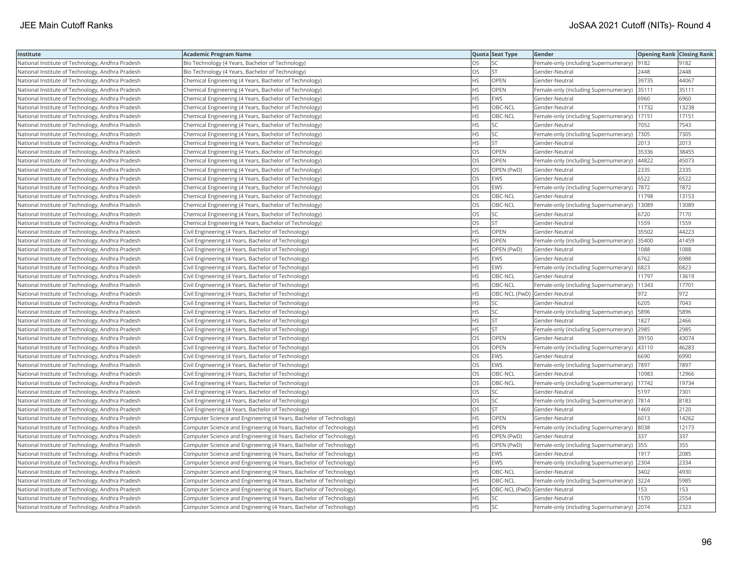| Institute                                        | Academic Program Name                                              |           | Quota Seat Type              | <b>Gender</b>                                | <b>Opening Rank Closing Rank</b> |       |
|--------------------------------------------------|--------------------------------------------------------------------|-----------|------------------------------|----------------------------------------------|----------------------------------|-------|
| National Institute of Technology, Andhra Pradesh | Bio Technology (4 Years, Bachelor of Technology)                   | OS        | SC                           | Female-only (including Supernumerary)  9182  |                                  | 9182  |
| National Institute of Technology, Andhra Pradesh | Bio Technology (4 Years, Bachelor of Technology)                   | OS.       | <b>ST</b>                    | Gender-Neutral                               | 2448                             | 2448  |
| National Institute of Technology, Andhra Pradesh | Chemical Engineering (4 Years, Bachelor of Technology)             | HS        | OPEN                         | Gender-Neutral                               | 39735                            | 44067 |
| National Institute of Technology, Andhra Pradesh | Chemical Engineering (4 Years, Bachelor of Technology)             | HS        | OPEN                         | Female-only (including Supernumerary)        | 35111                            | 35111 |
| National Institute of Technology, Andhra Pradesh | Chemical Engineering (4 Years, Bachelor of Technology)             | HS.       | <b>EWS</b>                   | Gender-Neutral                               | 6960                             | 6960  |
| National Institute of Technology, Andhra Pradesh | Chemical Engineering (4 Years, Bachelor of Technology)             | HS        | OBC-NCL                      | Gender-Neutral                               | 11732                            | 13238 |
| National Institute of Technology, Andhra Pradesh | Chemical Engineering (4 Years, Bachelor of Technology)             | HS        | OBC-NCL                      | Female-only (including Supernumerary)        | 17151                            | 17151 |
| National Institute of Technology, Andhra Pradesh | Chemical Engineering (4 Years, Bachelor of Technology)             | HS        | <b>SC</b>                    | Gender-Neutral                               | 7052                             | 7543  |
| National Institute of Technology, Andhra Pradesh | Chemical Engineering (4 Years, Bachelor of Technology)             | ΗS        | SC                           | Female-only (including Supernumerary)        | 7305                             | 7305  |
| National Institute of Technology, Andhra Pradesh | Chemical Engineering (4 Years, Bachelor of Technology)             | HS.       | <b>ST</b>                    | Gender-Neutral                               | 2013                             | 2013  |
| National Institute of Technology, Andhra Pradesh | Chemical Engineering (4 Years, Bachelor of Technology)             | OS        | OPEN                         | Gender-Neutral                               | 35336                            | 38455 |
| National Institute of Technology, Andhra Pradesh | Chemical Engineering (4 Years, Bachelor of Technology)             | OS        | OPEN                         | Female-only (including Supernumerary)        | 44822                            | 45073 |
| National Institute of Technology, Andhra Pradesh | Chemical Engineering (4 Years, Bachelor of Technology)             | OS.       | OPEN (PwD)                   | Gender-Neutral                               | 2335                             | 2335  |
| National Institute of Technology, Andhra Pradesh | Chemical Engineering (4 Years, Bachelor of Technology)             | OS        | <b>EWS</b>                   | Gender-Neutral                               | 6522                             | 6522  |
| National Institute of Technology, Andhra Pradesh | Chemical Engineering (4 Years, Bachelor of Technology)             | OS        | EWS                          | Female-only (including Supernumerary)   7872 |                                  | 7872  |
| National Institute of Technology, Andhra Pradesh | Chemical Engineering (4 Years, Bachelor of Technology)             | OS        | OBC-NCL                      | Gender-Neutral                               | 11798                            | 13153 |
| National Institute of Technology, Andhra Pradesh | Chemical Engineering (4 Years, Bachelor of Technology)             | OS        | OBC-NCL                      | Female-only (including Supernumerary)        | 13089                            | 13089 |
| National Institute of Technology, Andhra Pradesh | Chemical Engineering (4 Years, Bachelor of Technology)             | OS        | <b>SC</b>                    | Gender-Neutral                               | 6720                             | 7170  |
| National Institute of Technology, Andhra Pradesh | Chemical Engineering (4 Years, Bachelor of Technology)             | OS        | <b>ST</b>                    | Gender-Neutral                               | 1559                             | 1559  |
| National Institute of Technology, Andhra Pradesh | Civil Engineering (4 Years, Bachelor of Technology)                | HS        | OPEN                         | Gender-Neutral                               | 35502                            | 44223 |
| National Institute of Technology, Andhra Pradesh | Civil Engineering (4 Years, Bachelor of Technology)                | <b>HS</b> | <b>OPEN</b>                  | Female-only (including Supernumerary)        | 35400                            | 41459 |
| National Institute of Technology, Andhra Pradesh | Civil Engineering (4 Years, Bachelor of Technology)                | HS        | OPEN (PwD)                   | Gender-Neutral                               | 1088                             | 1088  |
| National Institute of Technology, Andhra Pradesh | Civil Engineering (4 Years, Bachelor of Technology)                | ΗS        | EWS                          | Gender-Neutral                               | 6762                             | 6988  |
| National Institute of Technology, Andhra Pradesh | Civil Engineering (4 Years, Bachelor of Technology)                | HS        | EWS                          | Female-only (including Supernumerary)        | 6823                             | 6823  |
| National Institute of Technology, Andhra Pradesh | Civil Engineering (4 Years, Bachelor of Technology)                | HS        | OBC-NCL                      | Gender-Neutral                               | 11797                            | 13619 |
| National Institute of Technology, Andhra Pradesh | Civil Engineering (4 Years, Bachelor of Technology)                | HS.       | OBC-NCL                      | Female-only (including Supernumerary)        | 11343                            | 17701 |
| National Institute of Technology, Andhra Pradesh | Civil Engineering (4 Years, Bachelor of Technology)                | HS        | OBC-NCL (PwD) Gender-Neutral |                                              | 972                              | 972   |
| National Institute of Technology, Andhra Pradesh | Civil Engineering (4 Years, Bachelor of Technology)                | HS        | <b>SC</b>                    | Gender-Neutral                               | 6205                             | 7043  |
| National Institute of Technology, Andhra Pradesh | Civil Engineering (4 Years, Bachelor of Technology)                | <b>HS</b> | <b>SC</b>                    | Female-only (including Supernumerary)        | 5896                             | 5896  |
| National Institute of Technology, Andhra Pradesh | Civil Engineering (4 Years, Bachelor of Technology)                | HS        | <b>ST</b>                    | Gender-Neutral                               | 1827                             | 2466  |
| National Institute of Technology, Andhra Pradesh | Civil Engineering (4 Years, Bachelor of Technology)                | HS.       | <b>ST</b>                    | Female-only (including Supernumerary) 2985   |                                  | 2985  |
| National Institute of Technology, Andhra Pradesh | Civil Engineering (4 Years, Bachelor of Technology)                | OS        | OPEN                         | Gender-Neutral                               | 39150                            | 43074 |
| National Institute of Technology, Andhra Pradesh | Civil Engineering (4 Years, Bachelor of Technology)                | OS        | OPEN                         | Female-only (including Supernumerary)        | 43110                            | 46283 |
| National Institute of Technology, Andhra Pradesh | Civil Engineering (4 Years, Bachelor of Technology)                | OS.       | <b>EWS</b>                   | Gender-Neutral                               | 6690                             | 6990  |
| National Institute of Technology, Andhra Pradesh | Civil Engineering (4 Years, Bachelor of Technology)                | OS        | EWS                          | Female-only (including Supernumerary)        | 7897                             | 7897  |
| National Institute of Technology, Andhra Pradesh | Civil Engineering (4 Years, Bachelor of Technology)                | OS        | OBC-NCL                      | Gender-Neutral                               | 10983                            | 12966 |
| National Institute of Technology, Andhra Pradesh | Civil Engineering (4 Years, Bachelor of Technology)                | OS.       | OBC-NCL                      | Female-only (including Supernumerary)        | 17742                            | 19734 |
| National Institute of Technology, Andhra Pradesh | Civil Engineering (4 Years, Bachelor of Technology)                | OS        | SC                           | Gender-Neutral                               | 5197                             | 7301  |
| National Institute of Technology, Andhra Pradesh | Civil Engineering (4 Years, Bachelor of Technology)                | OS        | SC                           | Female-only (including Supernumerary)  7814  |                                  | 8183  |
| National Institute of Technology, Andhra Pradesh | Civil Engineering (4 Years, Bachelor of Technology)                | OS        | <b>ST</b>                    | Gender-Neutral                               | 1469                             | 2120  |
| National Institute of Technology, Andhra Pradesh | Computer Science and Engineering (4 Years, Bachelor of Technology) | HS        | OPEN                         | Gender-Neutral                               | 6013                             | 14262 |
| National Institute of Technology, Andhra Pradesh | Computer Science and Engineering (4 Years, Bachelor of Technology) | <b>HS</b> | OPEN                         | Female-only (including Supernumerary)        | 8038                             | 12173 |
| National Institute of Technology, Andhra Pradesh | Computer Science and Engineering (4 Years, Bachelor of Technology) | HS.       | OPEN (PwD)                   | Gender-Neutral                               | 337                              | 337   |
| National Institute of Technology, Andhra Pradesh | Computer Science and Engineering (4 Years, Bachelor of Technology) | HS        | OPEN (PwD)                   | Female-only (including Supernumerary)        | 355                              | 355   |
| National Institute of Technology, Andhra Pradesh | Computer Science and Engineering (4 Years, Bachelor of Technology) | <b>HS</b> | <b>EWS</b>                   | Gender-Neutral                               | 1917                             | 2085  |
| National Institute of Technology, Andhra Pradesh | Computer Science and Engineering (4 Years, Bachelor of Technology) | HS        | EWS                          | Female-only (including Supernumerary) 2304   |                                  | 2334  |
| National Institute of Technology, Andhra Pradesh | Computer Science and Engineering (4 Years, Bachelor of Technology) | HS.       | OBC-NCL                      | Gender-Neutral                               | 3402                             | 4930  |
| National Institute of Technology, Andhra Pradesh | Computer Science and Engineering (4 Years, Bachelor of Technology) | НS        | OBC-NCL                      | Female-only (including Supernumerary) 3224   |                                  | 5985  |
| National Institute of Technology, Andhra Pradesh | Computer Science and Engineering (4 Years, Bachelor of Technology) | HS.       | OBC-NCL (PwD) Gender-Neutral |                                              | 153                              | 153   |
| National Institute of Technology, Andhra Pradesh | Computer Science and Engineering (4 Years, Bachelor of Technology) | HS.       | <b>SC</b>                    | Gender-Neutral                               | 1570                             | 2554  |
| National Institute of Technology, Andhra Pradesh | Computer Science and Engineering (4 Years, Bachelor of Technology) | <b>HS</b> | <b>SC</b>                    | Female-only (including Supernumerary) 2074   |                                  | 2323  |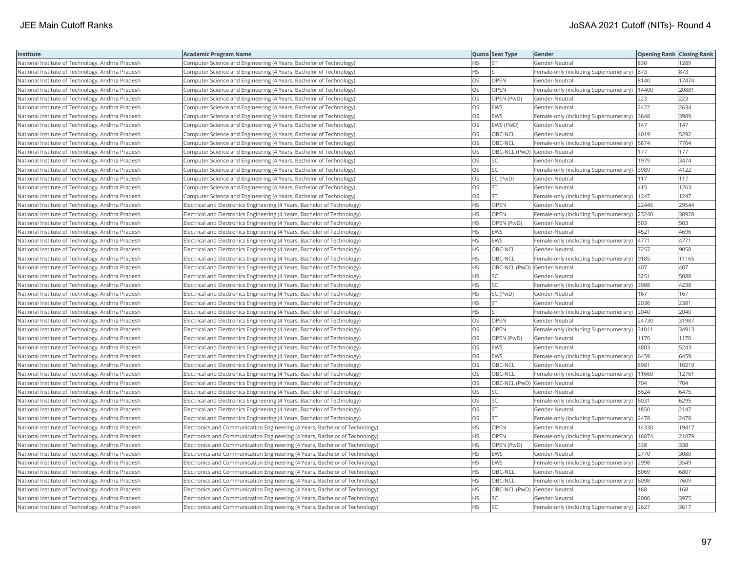| Institute                                        | <b>Academic Program Name</b>                                                |           | Quota Seat Type              | Gender                                       | <b>Opening Rank   Closing Rank</b> |       |
|--------------------------------------------------|-----------------------------------------------------------------------------|-----------|------------------------------|----------------------------------------------|------------------------------------|-------|
| National Institute of Technology, Andhra Pradesh | Computer Science and Engineering (4 Years, Bachelor of Technology)          | НS        | <b>ST</b>                    | Gender-Neutral                               | 830                                | 1289  |
| National Institute of Technology, Andhra Pradesh | Computer Science and Engineering (4 Years, Bachelor of Technology)          | HS.       | <b>ST</b>                    | Female-only (including Supernumerary)        | 873                                | 873   |
| National Institute of Technology, Andhra Pradesh | Computer Science and Engineering (4 Years, Bachelor of Technology)          | OS.       | OPEN                         | Gender-Neutral                               | 8140                               | 17474 |
| National Institute of Technology, Andhra Pradesh | Computer Science and Engineering (4 Years, Bachelor of Technology)          | OS.       | <b>OPEN</b>                  | Female-only (including Supernumerary)        | 14400                              | 20881 |
| National Institute of Technology, Andhra Pradesh | Computer Science and Engineering (4 Years, Bachelor of Technology)          | OS        | OPEN (PwD)                   | Gender-Neutral                               | 223                                | 223   |
| National Institute of Technology, Andhra Pradesh | Computer Science and Engineering (4 Years, Bachelor of Technology)          | OS        | EWS                          | Gender-Neutral                               | 2422                               | 2634  |
| National Institute of Technology, Andhra Pradesh | Computer Science and Engineering (4 Years, Bachelor of Technology)          | OS        | EWS                          | Female-only (including Supernumerary) 3648   |                                    | 3989  |
| National Institute of Technology, Andhra Pradesh | Computer Science and Engineering (4 Years, Bachelor of Technology)          | OS        | EWS (PwD)                    | Gender-Neutral                               | 147                                | 147   |
| National Institute of Technology, Andhra Pradesh | Computer Science and Engineering (4 Years, Bachelor of Technology)          | OS        | OBC-NCL                      | Gender-Neutral                               | 4019                               | 5292  |
| National Institute of Technology, Andhra Pradesh | Computer Science and Engineering (4 Years, Bachelor of Technology)          | OS        | OBC-NCL                      | Female-only (including Supernumerary)        | 5874                               | 7764  |
| National Institute of Technology, Andhra Pradesh | Computer Science and Engineering (4 Years, Bachelor of Technology)          | OS.       | OBC-NCL (PwD) Gender-Neutral |                                              | 177                                | 177   |
| National Institute of Technology, Andhra Pradesh | Computer Science and Engineering (4 Years, Bachelor of Technology)          | <b>OS</b> | <b>SC</b>                    | Gender-Neutral                               | 1979                               | 3474  |
| National Institute of Technology, Andhra Pradesh | Computer Science and Engineering (4 Years, Bachelor of Technology)          | OS        | SC                           | Female-only (including Supernumerary)        | 3989                               | 4122  |
| National Institute of Technology, Andhra Pradesh | Computer Science and Engineering (4 Years, Bachelor of Technology)          | OS        | SC (PwD)                     | Gender-Neutral                               | 117                                | 117   |
| National Institute of Technology, Andhra Pradesh | Computer Science and Engineering (4 Years, Bachelor of Technology)          | OS        | <b>ST</b>                    | Gender-Neutral                               | 415                                | 1263  |
| National Institute of Technology, Andhra Pradesh | Computer Science and Engineering (4 Years, Bachelor of Technology)          | OS.       | <b>ST</b>                    | Female-only (including Supernumerary)   1247 |                                    | 1247  |
| National Institute of Technology, Andhra Pradesh | Electrical and Electronics Engineering (4 Years, Bachelor of Technology)    | HS        | <b>OPEN</b>                  | Gender-Neutral                               | 22445                              | 29544 |
| National Institute of Technology, Andhra Pradesh | Electrical and Electronics Engineering (4 Years, Bachelor of Technology)    | HS        | OPEN                         | Female-only (including Supernumerary)        | 23240                              | 30928 |
| National Institute of Technology, Andhra Pradesh | Electrical and Electronics Engineering (4 Years, Bachelor of Technology)    | HS        | OPEN (PwD)                   | Gender-Neutral                               | 503                                | 503   |
| National Institute of Technology, Andhra Pradesh | Electrical and Electronics Engineering (4 Years, Bachelor of Technology)    | <b>HS</b> | <b>EWS</b>                   | Gender-Neutral                               | 4521                               | 4696  |
| National Institute of Technology, Andhra Pradesh | Electrical and Electronics Engineering (4 Years, Bachelor of Technology)    | <b>HS</b> | <b>EWS</b>                   | Female-only (including Supernumerary)        | 4771                               | 4771  |
| National Institute of Technology, Andhra Pradesh | Electrical and Electronics Engineering (4 Years, Bachelor of Technology)    | HS        | OBC-NCL                      | Gender-Neutral                               | 7257                               | 9058  |
| National Institute of Technology, Andhra Pradesh | Electrical and Electronics Engineering (4 Years, Bachelor of Technology)    | ΗS        | OBC-NCL                      | Female-only (including Supernumerary)  9185  |                                    | 11165 |
| National Institute of Technology, Andhra Pradesh | Electrical and Electronics Engineering (4 Years, Bachelor of Technology)    | HS        | OBC-NCL (PwD) Gender-Neutral |                                              | 407                                | 407   |
| National Institute of Technology, Andhra Pradesh | Electrical and Electronics Engineering (4 Years, Bachelor of Technology)    | HS        | SC                           | Gender-Neutral                               | 3251                               | 5088  |
| National Institute of Technology, Andhra Pradesh | Electrical and Electronics Engineering (4 Years, Bachelor of Technology)    | <b>HS</b> | <b>SC</b>                    | Female-only (including Supernumerary)        | 3988                               | 4238  |
| National Institute of Technology, Andhra Pradesh | [Electrical and Electronics Engineering (4 Years, Bachelor of Technology)   | НS        | SC (PwD)                     | Gender-Neutral                               | 167                                | 167   |
| National Institute of Technology, Andhra Pradesh | Electrical and Electronics Engineering (4 Years, Bachelor of Technology)    | HS.       | <b>ST</b>                    | Gender-Neutral                               | 2036                               | 2381  |
| National Institute of Technology, Andhra Pradesh | Electrical and Electronics Engineering (4 Years, Bachelor of Technology)    | <b>HS</b> | <b>ST</b>                    | Female-only (including Supernumerary)        | 2040                               | 2040  |
| National Institute of Technology, Andhra Pradesh | Electrical and Electronics Engineering (4 Years, Bachelor of Technology)    | OS        | OPEN                         | Gender-Neutral                               | 24730                              | 31987 |
| National Institute of Technology, Andhra Pradesh | Electrical and Electronics Engineering (4 Years, Bachelor of Technology)    | OS        | OPEN                         | Female-only (including Supernumerary) 31011  |                                    | 34913 |
| National Institute of Technology, Andhra Pradesh | Electrical and Electronics Engineering (4 Years, Bachelor of Technology)    | OS        | OPEN (PwD)                   | Gender-Neutral                               | 1170                               | 1170  |
| National Institute of Technology, Andhra Pradesh | Electrical and Electronics Engineering (4 Years, Bachelor of Technology)    | OS.       | <b>EWS</b>                   | Gender-Neutral                               | 4803                               | 5243  |
| National Institute of Technology, Andhra Pradesh | Electrical and Electronics Engineering (4 Years, Bachelor of Technology)    | OS        | EWS                          | Female-only (including Supernumerary)        | 6459                               | 6459  |
| National Institute of Technology, Andhra Pradesh | Electrical and Electronics Engineering (4 Years, Bachelor of Technology)    | OS        | OBC-NCL                      | Gender-Neutral                               | 8981                               | 10219 |
| National Institute of Technology, Andhra Pradesh | Electrical and Electronics Engineering (4 Years, Bachelor of Technology)    | OS.       | OBC-NCL                      | Female-only (including Supernumerary)        | 11660                              | 12761 |
| National Institute of Technology, Andhra Pradesh | Electrical and Electronics Engineering (4 Years, Bachelor of Technology)    | OS.       | OBC-NCL (PwD) Gender-Neutral |                                              | 704                                | 704   |
| National Institute of Technology, Andhra Pradesh | Electrical and Electronics Engineering (4 Years, Bachelor of Technology)    | OS        | SC                           | Gender-Neutral                               | 5624                               | 6475  |
| National Institute of Technology, Andhra Pradesh | Electrical and Electronics Engineering (4 Years, Bachelor of Technology)    | OS        | SC.                          | Female-only (including Supernumerary)   6031 |                                    | 6295  |
| National Institute of Technology, Andhra Pradesh | Electrical and Electronics Engineering (4 Years, Bachelor of Technology)    | OS        | <b>ST</b>                    | Gender-Neutral                               | 1850                               | 2147  |
| National Institute of Technology, Andhra Pradesh | Electrical and Electronics Engineering (4 Years, Bachelor of Technology)    | OS.       | <b>ST</b>                    | Female-only (including Supernumerary)        | 2478                               | 2478  |
| National Institute of Technology, Andhra Pradesh | Electronics and Communication Engineering (4 Years, Bachelor of Technology) | HS        | OPEN                         | Gender-Neutral                               | 14330                              | 19417 |
| National Institute of Technology, Andhra Pradesh | Electronics and Communication Engineering (4 Years, Bachelor of Technology) | HS.       | <b>OPEN</b>                  | Female-only (including Supernumerary)        | 16874                              | 21079 |
| National Institute of Technology, Andhra Pradesh | Electronics and Communication Engineering (4 Years, Bachelor of Technology) | HS        | OPEN (PwD)                   | Gender-Neutral                               | 338                                | 338   |
| National Institute of Technology, Andhra Pradesh | Electronics and Communication Engineering (4 Years, Bachelor of Technology) | HS.       | EWS                          | Gender-Neutral                               | 2770                               | 3080  |
| National Institute of Technology, Andhra Pradesh | Electronics and Communication Engineering (4 Years, Bachelor of Technology) | <b>HS</b> | <b>EWS</b>                   | Female-only (including Supernumerary)        | 2998                               | 3549  |
| National Institute of Technology, Andhra Pradesh | Electronics and Communication Engineering (4 Years, Bachelor of Technology) | HS        | OBC-NCL                      | Gender-Neutral                               | 5069                               | 6807  |
| National Institute of Technology, Andhra Pradesh | Electronics and Communication Engineering (4 Years, Bachelor of Technology) | HS        | OBC-NCL                      | Female-only (including Supernumerary)   6098 |                                    | 7609  |
| National Institute of Technology, Andhra Pradesh | Electronics and Communication Engineering (4 Years, Bachelor of Technology) | НS        | OBC-NCL (PwD) Gender-Neutral |                                              | 168                                | 168   |
| National Institute of Technology, Andhra Pradesh | Electronics and Communication Engineering (4 Years, Bachelor of Technology) | HS        | SC                           | Gender-Neutral                               | 2000                               | 3975  |
| National Institute of Technology, Andhra Pradesh | Electronics and Communication Engineering (4 Years, Bachelor of Technology) | <b>HS</b> | <b>SC</b>                    | Female-only (including Supernumerary)        | 2627                               | 3617  |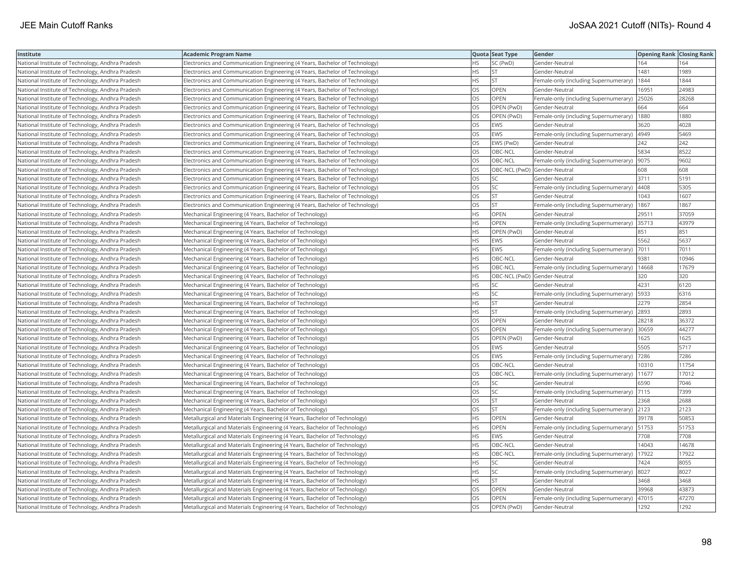| Institute                                        | Academic Program Name                                                       |           | Quota Seat Type              | Gender                                        | <b>Opening Rank Closing Rank</b> |       |
|--------------------------------------------------|-----------------------------------------------------------------------------|-----------|------------------------------|-----------------------------------------------|----------------------------------|-------|
| National Institute of Technology, Andhra Pradesh | Electronics and Communication Engineering (4 Years, Bachelor of Technology) | HS.       | SC (PwD)                     | Gender-Neutral                                | 164                              | 164   |
| National Institute of Technology, Andhra Pradesh | Electronics and Communication Engineering (4 Years, Bachelor of Technology) | НS        | <b>ST</b>                    | Gender-Neutral                                | 1481                             | 1989  |
| National Institute of Technology, Andhra Pradesh | Electronics and Communication Engineering (4 Years, Bachelor of Technology) | HS.       | <b>ST</b>                    | Female-only (including Supernumerary)         | 1844                             | 1844  |
| National Institute of Technology, Andhra Pradesh | Electronics and Communication Engineering (4 Years, Bachelor of Technology) | OS.       | <b>OPEN</b>                  | Gender-Neutral                                | 16951                            | 24983 |
| National Institute of Technology, Andhra Pradesh | Electronics and Communication Engineering (4 Years, Bachelor of Technology) | OS        | <b>OPEN</b>                  | Female-only (including Supernumerary)         | 25026                            | 28268 |
| National Institute of Technology, Andhra Pradesh | Electronics and Communication Engineering (4 Years, Bachelor of Technology) | OS        | OPEN (PwD)                   | Gender-Neutral                                | 664                              | 664   |
| National Institute of Technology, Andhra Pradesh | Electronics and Communication Engineering (4 Years, Bachelor of Technology) | OS.       | OPEN (PwD)                   | Female-only (including Supernumerary)         | 1880                             | 1880  |
| National Institute of Technology, Andhra Pradesh | Electronics and Communication Engineering (4 Years, Bachelor of Technology) | OS        | EWS                          | Gender-Neutral                                | 3620                             | 4028  |
| National Institute of Technology, Andhra Pradesh | Electronics and Communication Engineering (4 Years, Bachelor of Technology) | OS        | <b>EWS</b>                   | Female-only (including Supernumerary)         | 4949                             | 5469  |
| National Institute of Technology, Andhra Pradesh | Electronics and Communication Engineering (4 Years, Bachelor of Technology) | <b>OS</b> | EWS (PwD)                    | Gender-Neutral                                | 242                              | 242   |
| National Institute of Technology, Andhra Pradesh | Electronics and Communication Engineering (4 Years, Bachelor of Technology) | OS        | OBC-NCL                      | Gender-Neutral                                | 5834                             | 8522  |
| National Institute of Technology, Andhra Pradesh | Electronics and Communication Engineering (4 Years, Bachelor of Technology) | OS        | OBC-NCL                      | Female-only (including Supernumerary)  9075   |                                  | 9602  |
| National Institute of Technology, Andhra Pradesh | Electronics and Communication Engineering (4 Years, Bachelor of Technology) | OS        | OBC-NCL (PwD) Gender-Neutral |                                               | 608                              | 608   |
| National Institute of Technology, Andhra Pradesh | Electronics and Communication Engineering (4 Years, Bachelor of Technology) | OS        | <b>SC</b>                    | Gender-Neutral                                | 3711                             | 5191  |
| National Institute of Technology, Andhra Pradesh | Electronics and Communication Engineering (4 Years, Bachelor of Technology) | OS.       | <b>SC</b>                    | Female-only (including Supernumerary)         | 4408                             | 5305  |
| National Institute of Technology, Andhra Pradesh | Electronics and Communication Engineering (4 Years, Bachelor of Technology) | OS        | <b>ST</b>                    | Gender-Neutral                                | 043                              | 1607  |
| National Institute of Technology, Andhra Pradesh | Electronics and Communication Engineering (4 Years, Bachelor of Technology) | OS        | <b>ST</b>                    | Female-only (including Supernumerary)         | 1867                             | 1867  |
| National Institute of Technology, Andhra Pradesh | Mechanical Engineering (4 Years, Bachelor of Technology)                    | HS.       | OPEN                         | Gender-Neutral                                | 29511                            | 37059 |
| National Institute of Technology, Andhra Pradesh | Mechanical Engineering (4 Years, Bachelor of Technology)                    | <b>HS</b> | <b>OPEN</b>                  | Female-only (including Supernumerary) 35713   |                                  | 43979 |
| National Institute of Technology, Andhra Pradesh | Mechanical Engineering (4 Years, Bachelor of Technology)                    | HS        | OPEN (PwD)                   | Gender-Neutral                                | 851                              | 851   |
| National Institute of Technology, Andhra Pradesh | Mechanical Engineering (4 Years, Bachelor of Technology)                    | HS.       | EWS                          | Gender-Neutral                                | 5562                             | 5637  |
| National Institute of Technology, Andhra Pradesh | Mechanical Engineering (4 Years, Bachelor of Technology)                    | HS        | <b>EWS</b>                   | Female-only (including Supernumerary)  7011   |                                  | 7011  |
| National Institute of Technology, Andhra Pradesh | Mechanical Engineering (4 Years, Bachelor of Technology)                    | HS        | OBC-NCL                      | Gender-Neutral                                | 9381                             | 10946 |
| National Institute of Technology, Andhra Pradesh | Mechanical Engineering (4 Years, Bachelor of Technology)                    | HS        | OBC-NCL                      | Female-only (including Supernumerary)         | 14668                            | 17679 |
| National Institute of Technology, Andhra Pradesh | Mechanical Engineering (4 Years, Bachelor of Technology)                    | HS        | OBC-NCL (PwD) Gender-Neutral |                                               | 320                              | 320   |
| National Institute of Technology, Andhra Pradesh | Mechanical Engineering (4 Years, Bachelor of Technology)                    | HS.       | SC                           | Gender-Neutral                                | 4231                             | 6120  |
| National Institute of Technology, Andhra Pradesh | Mechanical Engineering (4 Years, Bachelor of Technology)                    | HS.       | <b>SC</b>                    | Female-only (including Supernumerary)         | 5933                             | 6316  |
| National Institute of Technology, Andhra Pradesh | Mechanical Engineering (4 Years, Bachelor of Technology)                    | НS        | <b>ST</b>                    | Gender-Neutral                                | 2279                             | 2854  |
| National Institute of Technology, Andhra Pradesh | Mechanical Engineering (4 Years, Bachelor of Technology)                    | HS        | <b>ST</b>                    | Female-only (including Supernumerary) 2893    |                                  | 2893  |
| National Institute of Technology, Andhra Pradesh | Mechanical Engineering (4 Years, Bachelor of Technology)                    | OS        | <b>OPEN</b>                  | Gender-Neutral                                | 28218                            | 36372 |
| National Institute of Technology, Andhra Pradesh | Mechanical Engineering (4 Years, Bachelor of Technology)                    | OS        | OPEN                         | Female-only (including Supernumerary) 30659   |                                  | 44277 |
| National Institute of Technology, Andhra Pradesh | Mechanical Engineering (4 Years, Bachelor of Technology)                    | OS        | OPEN (PwD)                   | Gender-Neutral                                | 1625                             | 1625  |
| National Institute of Technology, Andhra Pradesh | Mechanical Engineering (4 Years, Bachelor of Technology)                    | OS        | EWS                          | Gender-Neutral                                | 5505                             | 5717  |
| National Institute of Technology, Andhra Pradesh | Mechanical Engineering (4 Years, Bachelor of Technology)                    | OS        | EWS                          | Female-only (including Supernumerary)         | 7286                             | 7286  |
| National Institute of Technology, Andhra Pradesh | Mechanical Engineering (4 Years, Bachelor of Technology)                    | OS        | OBC-NCL                      | Gender-Neutral                                | 10310                            | 11754 |
| National Institute of Technology, Andhra Pradesh | Mechanical Engineering (4 Years, Bachelor of Technology)                    | OS        | OBC-NCL                      | Female-only (including Supernumerary)         | 11677                            | 17012 |
| National Institute of Technology, Andhra Pradesh | Mechanical Engineering (4 Years, Bachelor of Technology)                    | OS        | <b>SC</b>                    | Gender-Neutral                                | 6590                             | 7046  |
| National Institute of Technology, Andhra Pradesh | Mechanical Engineering (4 Years, Bachelor of Technology)                    | OS        | SC.                          | Female-only (including Supernumerary) 7115    |                                  | 7399  |
| National Institute of Technology, Andhra Pradesh | Mechanical Engineering (4 Years, Bachelor of Technology)                    | OS        | ST                           | Gender-Neutral                                | 2368                             | 2688  |
| National Institute of Technology, Andhra Pradesh | Mechanical Engineering (4 Years, Bachelor of Technology)                    | OS.       | <b>ST</b>                    | Female-only (including Supernumerary)         | 2123                             | 2123  |
| National Institute of Technology, Andhra Pradesh | Metallurgical and Materials Engineering (4 Years, Bachelor of Technology)   | HS        | OPEN                         | Gender-Neutral                                | 39178                            | 50853 |
| National Institute of Technology, Andhra Pradesh | Metallurgical and Materials Engineering (4 Years, Bachelor of Technology)   | <b>HS</b> | OPEN                         | Female-only (including Supernumerary)   51753 |                                  | 51753 |
| National Institute of Technology, Andhra Pradesh | Metallurgical and Materials Engineering (4 Years, Bachelor of Technology)   | <b>HS</b> | <b>EWS</b>                   | Gender-Neutral                                | 7708                             | 7708  |
| National Institute of Technology, Andhra Pradesh | Metallurgical and Materials Engineering (4 Years, Bachelor of Technology)   | HS        | OBC-NCL                      | Gender-Neutral                                | 14043                            | 14678 |
| National Institute of Technology, Andhra Pradesh | Metallurgical and Materials Engineering (4 Years, Bachelor of Technology)   | HS        | OBC-NCL                      | Female-only (including Supernumerary)         | 17922                            | 17922 |
| National Institute of Technology, Andhra Pradesh | Metallurgical and Materials Engineering (4 Years, Bachelor of Technology)   | HS        | SC                           | Gender-Neutral                                | 7424                             | 8055  |
| National Institute of Technology, Andhra Pradesh | Metallurgical and Materials Engineering (4 Years, Bachelor of Technology)   | HS        | SC                           | Female-only (including Supernumerary)  8027   |                                  | 8027  |
| National Institute of Technology, Andhra Pradesh | Metallurgical and Materials Engineering (4 Years, Bachelor of Technology)   | HS.       | <b>ST</b>                    | Gender-Neutral                                | 3468                             | 3468  |
| National Institute of Technology, Andhra Pradesh | Metallurgical and Materials Engineering (4 Years, Bachelor of Technology)   | OS        | OPEN                         | Gender-Neutral                                | 39968                            | 43873 |
| National Institute of Technology, Andhra Pradesh | Metallurgical and Materials Engineering (4 Years, Bachelor of Technology)   | OS.       | OPEN                         | Female-only (including Supernumerary)         | 47015                            | 47270 |
| National Institute of Technology, Andhra Pradesh | Metallurgical and Materials Engineering (4 Years, Bachelor of Technology)   | <b>OS</b> | OPEN (PwD)                   | Gender-Neutral                                | 1292                             | 1292  |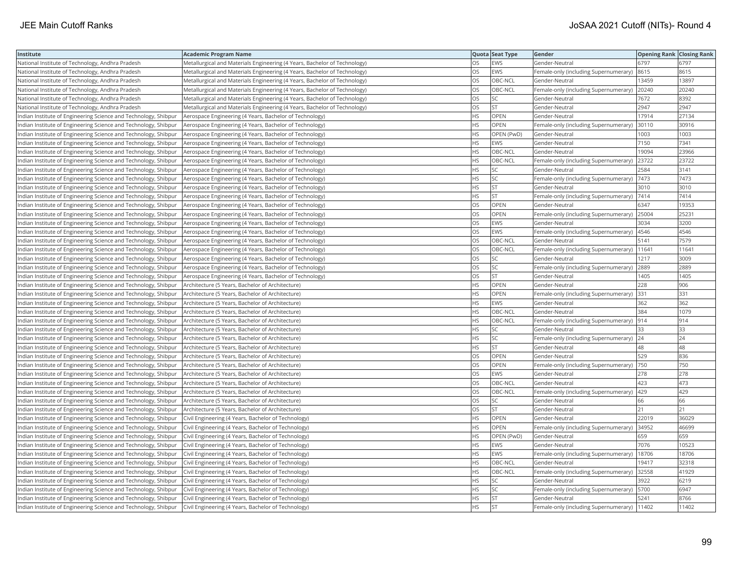| Institute                                                       | <b>Academic Program Name</b>                                              |           | Quota Seat Type | Gender                                        | <b>Opening Rank Closing Rank</b> |       |
|-----------------------------------------------------------------|---------------------------------------------------------------------------|-----------|-----------------|-----------------------------------------------|----------------------------------|-------|
| National Institute of Technology, Andhra Pradesh                | Metallurgical and Materials Engineering (4 Years, Bachelor of Technology) | OS        | <b>EWS</b>      | Gender-Neutral                                | 6797                             | 6797  |
| National Institute of Technology, Andhra Pradesh                | Metallurgical and Materials Engineering (4 Years, Bachelor of Technology) | OS        | EWS             | Female-only (including Supernumerary)         | 8615                             | 8615  |
| National Institute of Technology, Andhra Pradesh                | Metallurgical and Materials Engineering (4 Years, Bachelor of Technology) | OS        | OBC-NCL         | Gender-Neutral                                | 13459                            | 13897 |
| National Institute of Technology, Andhra Pradesh                | Metallurgical and Materials Engineering (4 Years, Bachelor of Technology) | OS        | OBC-NCL         | Female-only (including Supernumerary)         | 20240                            | 20240 |
| National Institute of Technology, Andhra Pradesh                | Metallurgical and Materials Engineering (4 Years, Bachelor of Technology) | <b>OS</b> | SC              | Gender-Neutral                                | 7672                             | 8392  |
| National Institute of Technology, Andhra Pradesh                | Metallurgical and Materials Engineering (4 Years, Bachelor of Technology) | <b>OS</b> | <b>ST</b>       | Gender-Neutral                                | 2947                             | 2947  |
| Indian Institute of Engineering Science and Technology, Shibpur | Aerospace Engineering (4 Years, Bachelor of Technology)                   | <b>HS</b> | OPEN            | Gender-Neutral                                | 17914                            | 27134 |
| Indian Institute of Engineering Science and Technology, Shibpur | Aerospace Engineering (4 Years, Bachelor of Technology)                   | <b>HS</b> | <b>OPEN</b>     | Female-only (including Supernumerary)         | 30110                            | 30916 |
| Indian Institute of Engineering Science and Technology, Shibpur | Aerospace Engineering (4 Years, Bachelor of Technology)                   | HS        | OPEN (PwD)      | Gender-Neutral                                | 1003                             | 1003  |
| Indian Institute of Engineering Science and Technology, Shibpur | Aerospace Engineering (4 Years, Bachelor of Technology)                   | <b>HS</b> | EWS             | Gender-Neutral                                | 7150                             | 7341  |
| Indian Institute of Engineering Science and Technology, Shibpur | Aerospace Engineering (4 Years, Bachelor of Technology)                   | <b>HS</b> | OBC-NCL         | Gender-Neutral                                | 19094                            | 23966 |
| Indian Institute of Engineering Science and Technology, Shibpur | Aerospace Engineering (4 Years, Bachelor of Technology)                   | <b>HS</b> | OBC-NCL         | Female-only (including Supernumerary)         | 23722                            | 23722 |
| Indian Institute of Engineering Science and Technology, Shibpur | Aerospace Engineering (4 Years, Bachelor of Technology)                   | <b>HS</b> | lsc             | Gender-Neutral                                | 2584                             | 3141  |
| Indian Institute of Engineering Science and Technology, Shibpur | Aerospace Engineering (4 Years, Bachelor of Technology)                   | <b>HS</b> | <b>SC</b>       | Female-only (including Supernumerary)   7473  |                                  | 7473  |
| Indian Institute of Engineering Science and Technology, Shibpur | Aerospace Engineering (4 Years, Bachelor of Technology)                   | <b>HS</b> | <b>ST</b>       | Gender-Neutral                                | 3010                             | 3010  |
| Indian Institute of Engineering Science and Technology, Shibpur | Aerospace Engineering (4 Years, Bachelor of Technology)                   | HS        | <b>ST</b>       | Female-only (including Supernumerary)   7414  |                                  | 7414  |
| Indian Institute of Engineering Science and Technology, Shibpur | Aerospace Engineering (4 Years, Bachelor of Technology)                   | OS        | OPEN            | Gender-Neutral                                | 6347                             | 19353 |
| ndian Institute of Engineering Science and Technology, Shibpur  | Aerospace Engineering (4 Years, Bachelor of Technology)                   | OS        | OPEN            | Female-only (including Supernumerary)         | 25004                            | 25231 |
| Indian Institute of Engineering Science and Technology, Shibpur | Aerospace Engineering (4 Years, Bachelor of Technology)                   | OS        | <b>EWS</b>      | Gender-Neutral                                | 3034                             | 3200  |
| Indian Institute of Engineering Science and Technology, Shibpur | Aerospace Engineering (4 Years, Bachelor of Technology)                   | OS        | EWS             | Female-only (including Supernumerary)         | 4546                             | 4546  |
| Indian Institute of Engineering Science and Technology, Shibpur | Aerospace Engineering (4 Years, Bachelor of Technology)                   | <b>OS</b> | OBC-NCL         | Gender-Neutral                                | 5141                             | 7579  |
| Indian Institute of Engineering Science and Technology, Shibpur | Aerospace Engineering (4 Years, Bachelor of Technology)                   | OS        | OBC-NCL         | Female-only (including Supernumerary)   11641 |                                  | 11641 |
| Indian Institute of Engineering Science and Technology, Shibpur | Aerospace Engineering (4 Years, Bachelor of Technology)                   | OS        | SC              | Gender-Neutral                                | 1217                             | 3009  |
| Indian Institute of Engineering Science and Technology, Shibpur | Aerospace Engineering (4 Years, Bachelor of Technology)                   | OS        | SC.             | Female-only (including Supernumerary) 2889    |                                  | 2889  |
| Indian Institute of Engineering Science and Technology, Shibpur | Aerospace Engineering (4 Years, Bachelor of Technology)                   | OS        | <b>ST</b>       | Gender-Neutral                                | 1405                             | 1405  |
| Indian Institute of Engineering Science and Technology, Shibpur | Architecture (5 Years, Bachelor of Architecture)                          | <b>HS</b> | OPEN            | Gender-Neutral                                | 228                              | 906   |
| Indian Institute of Engineering Science and Technology, Shibpur | Architecture (5 Years, Bachelor of Architecture)                          | <b>HS</b> | OPEN            | Female-only (including Supernumerary)         | 331                              | 331   |
| Indian Institute of Engineering Science and Technology, Shibpur | Architecture (5 Years, Bachelor of Architecture)                          | <b>HS</b> | EWS             | Gender-Neutral                                | 362                              | 362   |
| Indian Institute of Engineering Science and Technology, Shibpur | Architecture (5 Years, Bachelor of Architecture)                          | <b>HS</b> | OBC-NCL         | Gender-Neutral                                | 384                              | 1079  |
| Indian Institute of Engineering Science and Technology, Shibpur | Architecture (5 Years, Bachelor of Architecture)                          | <b>HS</b> | OBC-NCL         | Female-only (including Supernumerary) 914     |                                  | 914   |
| Indian Institute of Engineering Science and Technology, Shibpur | Architecture (5 Years, Bachelor of Architecture)                          | <b>HS</b> | SC              | Gender-Neutral                                | 33                               | 33    |
| Indian Institute of Engineering Science and Technology, Shibpur | Architecture (5 Years, Bachelor of Architecture)                          | HS        | SC.             | Female-only (including Supernumerary)         | 24                               | 24    |
| Indian Institute of Engineering Science and Technology, Shibpur | Architecture (5 Years, Bachelor of Architecture)                          | HS.       | <b>ST</b>       | Gender-Neutral                                | 48                               | 48    |
| Indian Institute of Engineering Science and Technology, Shibpur | Architecture (5 Years, Bachelor of Architecture)                          | OS.       | OPEN            | Gender-Neutral                                | 529                              | 836   |
| Indian Institute of Engineering Science and Technology, Shibpur | Architecture (5 Years, Bachelor of Architecture)                          | OS        | OPEN            | Female-only (including Supernumerary)         | 750                              | 750   |
| Indian Institute of Engineering Science and Technology, Shibpur | Architecture (5 Years, Bachelor of Architecture)                          | OS        | EWS             | Gender-Neutral                                | 278                              | 278   |
| Indian Institute of Engineering Science and Technology, Shibpur | Architecture (5 Years, Bachelor of Architecture)                          | <b>OS</b> | OBC-NCL         | Gender-Neutral                                | 423                              | 473   |
| Indian Institute of Engineering Science and Technology, Shibpur | Architecture (5 Years, Bachelor of Architecture)                          | OS        | OBC-NCL         | Female-only (including Supernumerary)         | 429                              | 429   |
| Indian Institute of Engineering Science and Technology, Shibpur | Architecture (5 Years, Bachelor of Architecture)                          | OS        | SC              | Gender-Neutral                                | 66                               | 66    |
| Indian Institute of Engineering Science and Technology, Shibpur | Architecture (5 Years, Bachelor of Architecture)                          | OS        | <b>ST</b>       | Gender-Neutral                                | 21                               | 21    |
| Indian Institute of Engineering Science and Technology, Shibpur | Civil Engineering (4 Years, Bachelor of Technology)                       | HS.       | OPEN            | Gender-Neutral                                | 22019                            | 36029 |
| Indian Institute of Engineering Science and Technology, Shibpur | Civil Engineering (4 Years, Bachelor of Technology)                       | <b>HS</b> | <b>OPEN</b>     | Female-only (including Supernumerary)         | 34952                            | 46699 |
| Indian Institute of Engineering Science and Technology, Shibpur | Civil Engineering (4 Years, Bachelor of Technology)                       | <b>HS</b> | OPEN (PwD)      | Gender-Neutral                                | 659                              | 659   |
| Indian Institute of Engineering Science and Technology, Shibpur | Civil Engineering (4 Years, Bachelor of Technology)                       | <b>HS</b> | EWS             | Gender-Neutral                                | 7076                             | 10523 |
| Indian Institute of Engineering Science and Technology, Shibpur | Civil Engineering (4 Years, Bachelor of Technology)                       | <b>HS</b> | EWS             | Female-only (including Supernumerary)         | 18706                            | 18706 |
| Indian Institute of Engineering Science and Technology, Shibpur | Civil Engineering (4 Years, Bachelor of Technology)                       | <b>HS</b> | OBC-NCL         | Gender-Neutral                                | 19417                            | 32318 |
| Indian Institute of Engineering Science and Technology, Shibpur | Civil Engineering (4 Years, Bachelor of Technology)                       | <b>HS</b> | OBC-NCL         | Female-only (including Supernumerary) 32558   |                                  | 41929 |
| Indian Institute of Engineering Science and Technology, Shibpur | Civil Engineering (4 Years, Bachelor of Technology)                       | <b>HS</b> | SC.             | Gender-Neutral                                | 3922                             | 6219  |
| Indian Institute of Engineering Science and Technology, Shibpur | Civil Engineering (4 Years, Bachelor of Technology)                       | <b>HS</b> | SC              | Female-only (including Supernumerary)  5700   |                                  | 6947  |
| Indian Institute of Engineering Science and Technology, Shibpur | Civil Engineering (4 Years, Bachelor of Technology)                       | <b>HS</b> | İst             | Gender-Neutral                                | 5241                             | 8766  |
| Indian Institute of Engineering Science and Technology, Shibpur | Civil Engineering (4 Years, Bachelor of Technology)                       | <b>HS</b> | İst             | Female-only (including Supernumerary)   11402 |                                  | 11402 |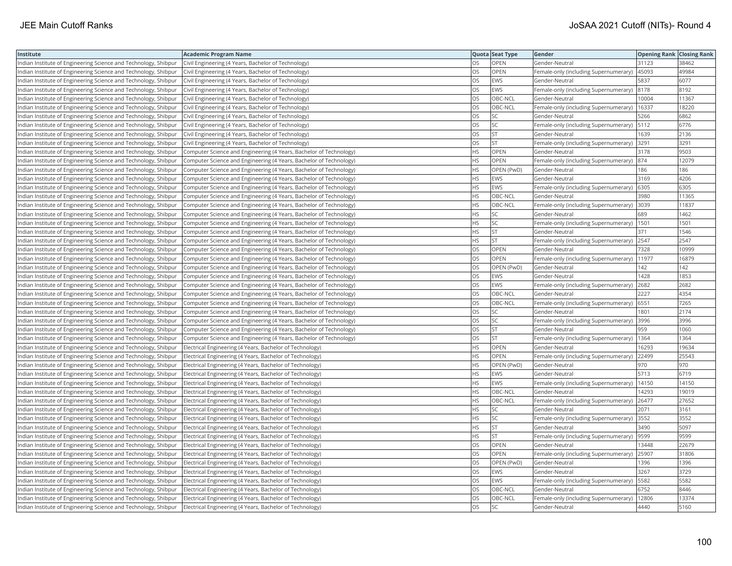| Institute                                                       | <b>Academic Program Name</b>                                       |           | Quota Seat Type | Gender                                        | <b>Opening Rank Closing Rank</b> |       |
|-----------------------------------------------------------------|--------------------------------------------------------------------|-----------|-----------------|-----------------------------------------------|----------------------------------|-------|
| Indian Institute of Engineering Science and Technology, Shibpur | Civil Engineering (4 Years, Bachelor of Technology)                | OS        | OPEN            | Gender-Neutral                                | 31123                            | 38462 |
| Indian Institute of Engineering Science and Technology, Shibpur | Civil Engineering (4 Years, Bachelor of Technology)                | OS        | OPEN            | Female-only (including Supernumerary)         | 45093                            | 49984 |
| Indian Institute of Engineering Science and Technology, Shibpur | Civil Engineering (4 Years, Bachelor of Technology)                | OS.       | <b>EWS</b>      | Gender-Neutral                                | 5837                             | 6077  |
| Indian Institute of Engineering Science and Technology, Shibpur | Civil Engineering (4 Years, Bachelor of Technology)                | OS        | <b>EWS</b>      | Female-only (including Supernumerary)         | 8178                             | 8192  |
| Indian Institute of Engineering Science and Technology, Shibpur | Civil Engineering (4 Years, Bachelor of Technology)                | OS        | OBC-NCL         | Gender-Neutral                                | 10004                            | 11367 |
| Indian Institute of Engineering Science and Technology, Shibpur | Civil Engineering (4 Years, Bachelor of Technology)                | OS        | OBC-NCL         | Female-only (including Supernumerary)   16337 |                                  | 18220 |
| Indian Institute of Engineering Science and Technology, Shibpur | Civil Engineering (4 Years, Bachelor of Technology)                | OS        | <b>SC</b>       | Gender-Neutral                                | 5266                             | 6862  |
| Indian Institute of Engineering Science and Technology, Shibpur | Civil Engineering (4 Years, Bachelor of Technology)                | OS        | SC              | Female-only (including Supernumerary)  5112   |                                  | 6776  |
| Indian Institute of Engineering Science and Technology, Shibpur | Civil Engineering (4 Years, Bachelor of Technology)                | OS        | <b>ST</b>       | Gender-Neutral                                | 1639                             | 2136  |
| Indian Institute of Engineering Science and Technology, Shibpur | Civil Engineering (4 Years, Bachelor of Technology)                | OS        | <b>ST</b>       | Female-only (including Supernumerary) 3291    |                                  | 3291  |
| Indian Institute of Engineering Science and Technology, Shibpur | Computer Science and Engineering (4 Years, Bachelor of Technology) | HS        | OPEN            | Gender-Neutral                                | 3178                             | 9503  |
| Indian Institute of Engineering Science and Technology, Shibpur | Computer Science and Engineering (4 Years, Bachelor of Technology) | HS        | <b>OPEN</b>     | Female-only (including Supernumerary)         | 874                              | 12079 |
| Indian Institute of Engineering Science and Technology, Shibpur | Computer Science and Engineering (4 Years, Bachelor of Technology) | HS        | OPEN (PwD)      | Gender-Neutral                                | 186                              | 186   |
| Indian Institute of Engineering Science and Technology, Shibpur | Computer Science and Engineering (4 Years, Bachelor of Technology) | ΗS        | <b>EWS</b>      | Gender-Neutral                                | 3169                             | 4206  |
| Indian Institute of Engineering Science and Technology, Shibpur | Computer Science and Engineering (4 Years, Bachelor of Technology) | HS        | EWS             | Female-only (including Supernumerary)   6305  |                                  | 6305  |
| Indian Institute of Engineering Science and Technology, Shibpur | Computer Science and Engineering (4 Years, Bachelor of Technology) | HS.       | OBC-NCL         | Gender-Neutral                                | 3980                             | 11365 |
| Indian Institute of Engineering Science and Technology, Shibpur | Computer Science and Engineering (4 Years, Bachelor of Technology) | HS        | OBC-NCL         | Female-only (including Supernumerary)         | 3039                             | 11837 |
| Indian Institute of Engineering Science and Technology, Shibpur | Computer Science and Engineering (4 Years, Bachelor of Technology) | HS        | SC              | Gender-Neutral                                | 689                              | 1462  |
| Indian Institute of Engineering Science and Technology, Shibpur | Computer Science and Engineering (4 Years, Bachelor of Technology) | HS        | SC              | Female-only (including Supernumerary)         | 1501                             | 1501  |
| Indian Institute of Engineering Science and Technology, Shibpur | Computer Science and Engineering (4 Years, Bachelor of Technology) | HS        | <b>ST</b>       | Gender-Neutral                                | 371                              | 1546  |
| Indian Institute of Engineering Science and Technology, Shibpur | Computer Science and Engineering (4 Years, Bachelor of Technology) | HS        | <b>ST</b>       | Female-only (including Supernumerary) 2547    |                                  | 2547  |
| Indian Institute of Engineering Science and Technology, Shibpur | Computer Science and Engineering (4 Years, Bachelor of Technology) | OS        | OPEN            | Gender-Neutral                                | 7328                             | 10999 |
| Indian Institute of Engineering Science and Technology, Shibpur | Computer Science and Engineering (4 Years, Bachelor of Technology) | OS        | OPEN            | Female-only (including Supernumerary)  11977  |                                  | 16879 |
| Indian Institute of Engineering Science and Technology, Shibpur | Computer Science and Engineering (4 Years, Bachelor of Technology) | OS        | OPEN (PwD)      | Gender-Neutral                                | 142                              | 142   |
| Indian Institute of Engineering Science and Technology, Shibpur | Computer Science and Engineering (4 Years, Bachelor of Technology) | OS        | EWS             | Gender-Neutral                                | 1428                             | 1853  |
| Indian Institute of Engineering Science and Technology, Shibpur | Computer Science and Engineering (4 Years, Bachelor of Technology) | OS        | EWS             | Female-only (including Supernumerary)         | 2682                             | 2682  |
| Indian Institute of Engineering Science and Technology, Shibpur | Computer Science and Engineering (4 Years, Bachelor of Technology) | OS        | OBC-NCL         | Gender-Neutral                                | 2227                             | 4354  |
| Indian Institute of Engineering Science and Technology, Shibpur | Computer Science and Engineering (4 Years, Bachelor of Technology) | OS        | OBC-NCL         | Female-only (including Supernumerary)   6551  |                                  | 7265  |
| Indian Institute of Engineering Science and Technology, Shibpur | Computer Science and Engineering (4 Years, Bachelor of Technology) | OS        | SC              | Gender-Neutral                                | 1801                             | 2174  |
| Indian Institute of Engineering Science and Technology, Shibpur | Computer Science and Engineering (4 Years, Bachelor of Technology) | OS        | SC.             | Female-only (including Supernumerary)  3996   |                                  | 3996  |
| Indian Institute of Engineering Science and Technology, Shibpur | Computer Science and Engineering (4 Years, Bachelor of Technology) | OS        | <b>ST</b>       | Gender-Neutral                                | 959                              | 1060  |
| Indian Institute of Engineering Science and Technology, Shibpur | Computer Science and Engineering (4 Years, Bachelor of Technology) | OS        | <b>ST</b>       | Female-only (including Supernumerary)         | 1364                             | 1364  |
| Indian Institute of Engineering Science and Technology, Shibpur | Electrical Engineering (4 Years, Bachelor of Technology)           | HS.       | OPEN            | Gender-Neutral                                | 16293                            | 19634 |
| Indian Institute of Engineering Science and Technology, Shibpur | Electrical Engineering (4 Years, Bachelor of Technology)           | HS        | OPEN            | Female-only (including Supernumerary)         | 22499                            | 25543 |
| Indian Institute of Engineering Science and Technology, Shibpur | Electrical Engineering (4 Years, Bachelor of Technology)           | HS        | OPEN (PwD)      | Gender-Neutral                                | 970                              | 970   |
| Indian Institute of Engineering Science and Technology, Shibpur | Electrical Engineering (4 Years, Bachelor of Technology)           | HS.       | EWS             | Gender-Neutral                                | 5713                             | 6719  |
| Indian Institute of Engineering Science and Technology, Shibpur | Electrical Engineering (4 Years, Bachelor of Technology)           | НS        | EWS             | Female-only (including Supernumerary)         | 14150                            | 14150 |
| Indian Institute of Engineering Science and Technology, Shibpur | Electrical Engineering (4 Years, Bachelor of Technology)           | HS        | OBC-NCL         | Gender-Neutral                                | 14293                            | 19019 |
| Indian Institute of Engineering Science and Technology, Shibpur | Electrical Engineering (4 Years, Bachelor of Technology)           | HS        | OBC-NCL         | Female-only (including Supernumerary)         | 26477                            | 27652 |
| Indian Institute of Engineering Science and Technology, Shibpur | Electrical Engineering (4 Years, Bachelor of Technology)           | HS.       | <b>SC</b>       | Gender-Neutral                                | 2071                             | 3161  |
| Indian Institute of Engineering Science and Technology, Shibpur | Electrical Engineering (4 Years, Bachelor of Technology)           | ΗS        | SC              | Female-only (including Supernumerary)         | 3552                             | 3552  |
| Indian Institute of Engineering Science and Technology, Shibpur | Electrical Engineering (4 Years, Bachelor of Technology)           | HS.       | <b>ST</b>       | Gender-Neutral                                | 3490                             | 5097  |
|                                                                 |                                                                    | НS        | <b>ST</b>       |                                               | 9599                             | 9599  |
| Indian Institute of Engineering Science and Technology, Shibpur | Electrical Engineering (4 Years, Bachelor of Technology)           | OS        | <b>OPEN</b>     | Female-only (including Supernumerary)         | 13448                            | 22679 |
| Indian Institute of Engineering Science and Technology, Shibpur | Electrical Engineering (4 Years, Bachelor of Technology)           | OS        | <b>OPEN</b>     | Gender-Neutral                                |                                  | 31806 |
| Indian Institute of Engineering Science and Technology, Shibpur | Electrical Engineering (4 Years, Bachelor of Technology)           |           |                 | Female-only (including Supernumerary) 25907   |                                  |       |
| Indian Institute of Engineering Science and Technology, Shibpur | Electrical Engineering (4 Years, Bachelor of Technology)           | OS<br>OS. | OPEN (PwD)      | Gender-Neutral                                | 1396                             | 1396  |
| Indian Institute of Engineering Science and Technology, Shibpur | Electrical Engineering (4 Years, Bachelor of Technology)           |           | EWS             | Gender-Neutral                                | 3267                             | 3729  |
| Indian Institute of Engineering Science and Technology, Shibpur | Electrical Engineering (4 Years, Bachelor of Technology)           | OS        | EWS             | Female-only (including Supernumerary)         | 5582                             | 5582  |
| Indian Institute of Engineering Science and Technology, Shibpur | Electrical Engineering (4 Years, Bachelor of Technology)           | OS        | OBC-NCL         | Gender-Neutral                                | 6752                             | 8446  |
| Indian Institute of Engineering Science and Technology, Shibpur | Electrical Engineering (4 Years, Bachelor of Technology)           | OS        | OBC-NCL         | Female-only (including Supernumerary)         | 12806                            | 13374 |
| Indian Institute of Engineering Science and Technology, Shibpur | Electrical Engineering (4 Years, Bachelor of Technology)           | OS        | <b>SC</b>       | Gender-Neutral                                | 4440                             | 5160  |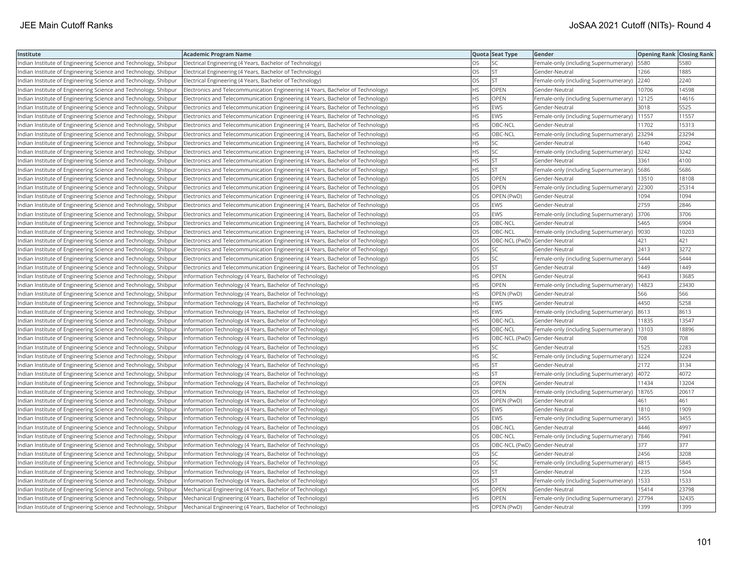| Institute                                                       | <b>Academic Program Name</b>                                                    |           | Quota Seat Type              | Gender                                        | <b>Opening Rank Closing Rank</b> |       |
|-----------------------------------------------------------------|---------------------------------------------------------------------------------|-----------|------------------------------|-----------------------------------------------|----------------------------------|-------|
| Indian Institute of Engineering Science and Technology, Shibpur | Electrical Engineering (4 Years, Bachelor of Technology)                        | OS        | SC                           | Female-only (including Supernumerary)         | 5580                             | 5580  |
| Indian Institute of Engineering Science and Technology, Shibpur | Electrical Engineering (4 Years, Bachelor of Technology)                        | OS        | <b>ST</b>                    | Gender-Neutral                                | 1266                             | 1885  |
| Indian Institute of Engineering Science and Technology, Shibpur | Electrical Engineering (4 Years, Bachelor of Technology)                        | OS.       | <b>ST</b>                    | Female-only (including Supernumerary)         | 2240                             | 2240  |
| Indian Institute of Engineering Science and Technology, Shibpur | Electronics and Telecommunication Engineering (4 Years, Bachelor of Technology) | HS.       | <b>OPEN</b>                  | Gender-Neutral                                | 10706                            | 14598 |
| Indian Institute of Engineering Science and Technology, Shibpur | Electronics and Telecommunication Engineering (4 Years, Bachelor of Technology) | HS        | <b>OPEN</b>                  | Female-only (including Supernumerary)         | 12125                            | 14616 |
| Indian Institute of Engineering Science and Technology, Shibpur | Electronics and Telecommunication Engineering (4 Years, Bachelor of Technology) | ΗS        | EWS                          | Gender-Neutral                                | 3018                             | 5525  |
| Indian Institute of Engineering Science and Technology, Shibpur | Electronics and Telecommunication Engineering (4 Years, Bachelor of Technology) | HS        | EWS                          | Female-only (including Supernumerary)         | 11557                            | 11557 |
| Indian Institute of Engineering Science and Technology, Shibpur | Electronics and Telecommunication Engineering (4 Years, Bachelor of Technology) | HS.       | OBC-NCL                      | Gender-Neutral                                | 11702                            | 15313 |
| Indian Institute of Engineering Science and Technology, Shibpur | Electronics and Telecommunication Engineering (4 Years, Bachelor of Technology) | HS.       | OBC-NCL                      | Female-only (including Supernumerary)         | 23294                            | 23294 |
| Indian Institute of Engineering Science and Technology, Shibpur | Electronics and Telecommunication Engineering (4 Years, Bachelor of Technology) | HS.       | SC                           | Gender-Neutral                                | 1640                             | 2042  |
| Indian Institute of Engineering Science and Technology, Shibpur | Electronics and Telecommunication Engineering (4 Years, Bachelor of Technology) | HS        | SC                           | Female-only (including Supernumerary)         | 3242                             | 3242  |
| Indian Institute of Engineering Science and Technology, Shibpur | Electronics and Telecommunication Engineering (4 Years, Bachelor of Technology) | HS.       | İst                          | Gender-Neutral                                | 3361                             | 4100  |
| Indian Institute of Engineering Science and Technology, Shibpur | Electronics and Telecommunication Engineering (4 Years, Bachelor of Technology) | НS        | lst                          | Female-only (including Supernumerary)   5686  |                                  | 5686  |
| Indian Institute of Engineering Science and Technology, Shibpur | Electronics and Telecommunication Engineering (4 Years, Bachelor of Technology) | OS        | OPEN                         | Gender-Neutral                                | 13510                            | 18108 |
| Indian Institute of Engineering Science and Technology, Shibpur | Electronics and Telecommunication Engineering (4 Years, Bachelor of Technology) | OS        | <b>OPEN</b>                  | Female-only (including Supernumerary) 22300   |                                  | 25314 |
| Indian Institute of Engineering Science and Technology, Shibpur | Electronics and Telecommunication Engineering (4 Years, Bachelor of Technology) | OS        | OPEN (PwD)                   | Gender-Neutral                                | 1094                             | 1094  |
| Indian Institute of Engineering Science and Technology, Shibpur | Electronics and Telecommunication Engineering (4 Years, Bachelor of Technology) | OS        | <b>EWS</b>                   | Gender-Neutral                                | 2759                             | 2846  |
| Indian Institute of Engineering Science and Technology, Shibpur | Electronics and Telecommunication Engineering (4 Years, Bachelor of Technology) | OS        | EWS                          | Female-only (including Supernumerary)         | 3706                             | 3706  |
| Indian Institute of Engineering Science and Technology, Shibpur | Electronics and Telecommunication Engineering (4 Years, Bachelor of Technology) | OS        | OBC-NCL                      | Gender-Neutral                                | 5465                             | 6904  |
| Indian Institute of Engineering Science and Technology, Shibpur | Electronics and Telecommunication Engineering (4 Years, Bachelor of Technology) | <b>OS</b> | OBC-NCL                      | Female-only (including Supernumerary)         | 9030                             | 10203 |
| Indian Institute of Engineering Science and Technology, Shibpur | Electronics and Telecommunication Engineering (4 Years, Bachelor of Technology) | OS        | OBC-NCL (PwD) Gender-Neutral |                                               | 421                              | 421   |
| Indian Institute of Engineering Science and Technology, Shibpur | Electronics and Telecommunication Engineering (4 Years, Bachelor of Technology) | OS        | SC.                          | Gender-Neutral                                | 2413                             | 3272  |
| Indian Institute of Engineering Science and Technology, Shibpur | Electronics and Telecommunication Engineering (4 Years, Bachelor of Technology) | OS        | SC                           | Female-only (including Supernumerary)   5444  |                                  | 5444  |
| Indian Institute of Engineering Science and Technology, Shibpur | Electronics and Telecommunication Engineering (4 Years, Bachelor of Technology) | OS        | <b>ST</b>                    | Gender-Neutral                                | 1449                             | 1449  |
| Indian Institute of Engineering Science and Technology, Shibpur | Information Technology (4 Years, Bachelor of Technology)                        | НS        | <b>OPEN</b>                  | Gender-Neutral                                | 9643                             | 13685 |
| Indian Institute of Engineering Science and Technology, Shibpur | Information Technology (4 Years, Bachelor of Technology)                        | HS        | OPEN                         | Female-only (including Supernumerary)         | 14823                            | 23430 |
| Indian Institute of Engineering Science and Technology, Shibpur | Information Technology (4 Years, Bachelor of Technology)                        | HS        | OPEN (PwD)                   | Gender-Neutral                                | 566                              | 566   |
| Indian Institute of Engineering Science and Technology, Shibpur | Information Technology (4 Years, Bachelor of Technology)                        | HS        | <b>EWS</b>                   | Gender-Neutral                                | 4450                             | 5258  |
| Indian Institute of Engineering Science and Technology, Shibpur | Information Technology (4 Years, Bachelor of Technology)                        | HS        | EWS                          | Female-only (including Supernumerary)         | 8613                             | 8613  |
| Indian Institute of Engineering Science and Technology, Shibpur | Information Technology (4 Years, Bachelor of Technology)                        | HS        | OBC-NCL                      | Gender-Neutral                                | 11835                            | 13547 |
| Indian Institute of Engineering Science and Technology, Shibpur | Information Technology (4 Years, Bachelor of Technology)                        | HS        | OBC-NCL                      | Female-only (including Supernumerary)   13103 |                                  | 18896 |
| Indian Institute of Engineering Science and Technology, Shibpur | Information Technology (4 Years, Bachelor of Technology)                        | HS        | OBC-NCL (PwD) Gender-Neutral |                                               | 708                              | 708   |
| Indian Institute of Engineering Science and Technology, Shibpur | Information Technology (4 Years, Bachelor of Technology)                        | HS        | SC                           | Gender-Neutral                                | 1525                             | 2283  |
| Indian Institute of Engineering Science and Technology, Shibpur | Information Technology (4 Years, Bachelor of Technology)                        | HS        | SC                           | Female-only (including Supernumerary)         | 3224                             | 3224  |
| Indian Institute of Engineering Science and Technology, Shibpur | Information Technology (4 Years, Bachelor of Technology)                        | HS        | <b>ST</b>                    | Gender-Neutral                                | 2172                             | 3134  |
| Indian Institute of Engineering Science and Technology, Shibpur | Information Technology (4 Years, Bachelor of Technology)                        | HS.       | <b>ST</b>                    | Female-only (including Supernumerary)         | 4072                             | 4072  |
| Indian Institute of Engineering Science and Technology, Shibpur | Information Technology (4 Years, Bachelor of Technology)                        | OS        | <b>OPEN</b>                  | Gender-Neutral                                | 11434                            | 13204 |
| Indian Institute of Engineering Science and Technology, Shibpur | Information Technology (4 Years, Bachelor of Technology)                        | OS        | <b>OPEN</b>                  | Female-only (including Supernumerary)   18765 |                                  | 20617 |
| Indian Institute of Engineering Science and Technology, Shibpur | (Information Technology (4 Years, Bachelor of Technology)                       | OS        | OPEN (PwD)                   | Gender-Neutral                                | 461                              | 461   |
| Indian Institute of Engineering Science and Technology, Shibpur | Information Technology (4 Years, Bachelor of Technology)                        | OS        | EWS                          | Gender-Neutral                                | 1810                             | 1909  |
| Indian Institute of Engineering Science and Technology, Shibpur | Information Technology (4 Years, Bachelor of Technology)                        | OS        | EWS                          | Female-only (including Supernumerary)         | 3455                             | 3455  |
| Indian Institute of Engineering Science and Technology, Shibpur | Information Technology (4 Years, Bachelor of Technology)                        | OS        | OBC-NCL                      | Gender-Neutral                                | 4446                             | 4997  |
| Indian Institute of Engineering Science and Technology, Shibpur | Information Technology (4 Years, Bachelor of Technology)                        | OS        | OBC-NCL                      | Female-only (including Supernumerary)         | 7846                             | 7941  |
| Indian Institute of Engineering Science and Technology, Shibpur | Information Technology (4 Years, Bachelor of Technology)                        | OS        | OBC-NCL (PwD) Gender-Neutral |                                               | 377                              | 377   |
| Indian Institute of Engineering Science and Technology, Shibpur | Information Technology (4 Years, Bachelor of Technology)                        | OS.       | <b>SC</b>                    | lGender-Neutral                               | 2456                             | 3208  |
| Indian Institute of Engineering Science and Technology, Shibpur | Information Technology (4 Years, Bachelor of Technology)                        | OS        | SC                           | Female-only (including Supernumerary)  4815   |                                  | 5845  |
| Indian Institute of Engineering Science and Technology, Shibpur | Information Technology (4 Years, Bachelor of Technology)                        | OS        | <b>ST</b>                    | Gender-Neutral                                | 1235                             | 1504  |
| Indian Institute of Engineering Science and Technology, Shibpur | Information Technology (4 Years, Bachelor of Technology)                        | OS        | <b>ST</b>                    | Female-only (including Supernumerary)  1533   |                                  | 1533  |
| Indian Institute of Engineering Science and Technology, Shibpur | Mechanical Engineering (4 Years, Bachelor of Technology)                        | HS.       | OPEN                         | Gender-Neutral                                | 15414                            | 23798 |
| Indian Institute of Engineering Science and Technology, Shibpur | Mechanical Engineering (4 Years, Bachelor of Technology)                        | HS.       | <b>OPEN</b>                  | Female-only (including Supernumerary)         | 27794                            | 32435 |
| Indian Institute of Engineering Science and Technology, Shibpur | Mechanical Engineering (4 Years, Bachelor of Technology)                        | <b>HS</b> | OPEN (PwD)                   | Gender-Neutral                                | 1399                             | 1399  |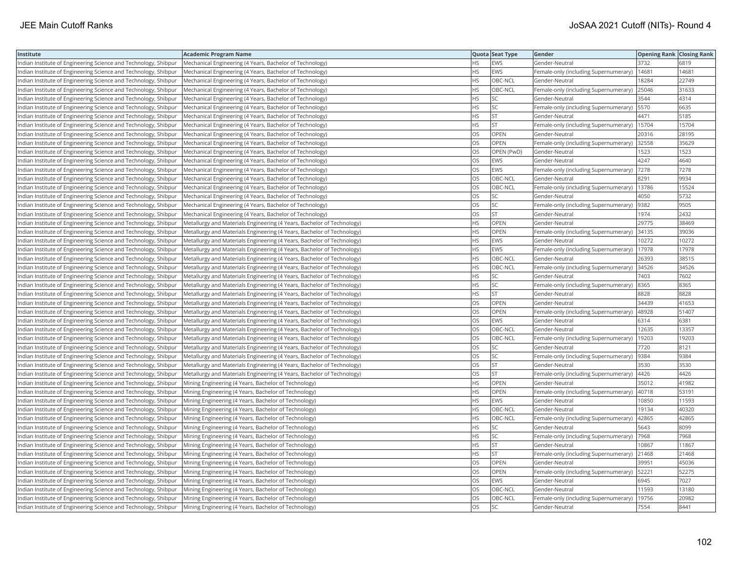| Institute                                                       | <b>Academic Program Name</b>                                           |           | Quota Seat Type | Gender                                        | <b>Opening Rank Closing Rank</b> |       |
|-----------------------------------------------------------------|------------------------------------------------------------------------|-----------|-----------------|-----------------------------------------------|----------------------------------|-------|
| Indian Institute of Engineering Science and Technology, Shibpur | Mechanical Engineering (4 Years, Bachelor of Technology)               | <b>HS</b> | EWS             | Gender-Neutral                                | 3732                             | 6819  |
| Indian Institute of Engineering Science and Technology, Shibpur | Mechanical Engineering (4 Years, Bachelor of Technology)               | ΗS        | EWS             | Female-only (including Supernumerary)         | 14681                            | 14681 |
| Indian Institute of Engineering Science and Technology, Shibpur | Mechanical Engineering (4 Years, Bachelor of Technology)               | <b>HS</b> | OBC-NCL         | Gender-Neutral                                | 18284                            | 22749 |
| Indian Institute of Engineering Science and Technology, Shibpur | Mechanical Engineering (4 Years, Bachelor of Technology)               | НS        | OBC-NCL         | Female-only (including Supernumerary)         | 25046                            | 31633 |
| Indian Institute of Engineering Science and Technology, Shibpur | Mechanical Engineering (4 Years, Bachelor of Technology)               | HS        | SC              | Gender-Neutral                                | 3544                             | 4314  |
| Indian Institute of Engineering Science and Technology, Shibpur | Mechanical Engineering (4 Years, Bachelor of Technology)               | HS.       | SC              | Female-only (including Supernumerary)   5570  |                                  | 6635  |
| Indian Institute of Engineering Science and Technology, Shibpur | Mechanical Engineering (4 Years, Bachelor of Technology)               | НS        | <b>ST</b>       | Gender-Neutral                                | 4471                             | 5185  |
| Indian Institute of Engineering Science and Technology, Shibpur | Mechanical Engineering (4 Years, Bachelor of Technology)               | HS        | <b>ST</b>       | Female-only (including Supernumerary)   15704 |                                  | 15704 |
| Indian Institute of Engineering Science and Technology, Shibpur | Mechanical Engineering (4 Years, Bachelor of Technology)               | OS        | <b>OPEN</b>     | Gender-Neutral                                | 20316                            | 28195 |
| Indian Institute of Engineering Science and Technology, Shibpur | Mechanical Engineering (4 Years, Bachelor of Technology)               | OS        | OPEN            | Female-only (including Supernumerary) 32558   |                                  | 35629 |
| Indian Institute of Engineering Science and Technology, Shibpur | Mechanical Engineering (4 Years, Bachelor of Technology)               | OS        | OPEN (PwD)      | Gender-Neutral                                | 1523                             | 1523  |
| Indian Institute of Engineering Science and Technology, Shibpur | Mechanical Engineering (4 Years, Bachelor of Technology)               | OS        | <b>EWS</b>      | Gender-Neutral                                | 4247                             | 4640  |
| Indian Institute of Engineering Science and Technology, Shibpur | Mechanical Engineering (4 Years, Bachelor of Technology)               | OS        | <b>EWS</b>      | Female-only (including Supernumerary)         | 7278                             | 7278  |
| Indian Institute of Engineering Science and Technology, Shibpur | Mechanical Engineering (4 Years, Bachelor of Technology)               | OS        | OBC-NCL         | Gender-Neutral                                | 8291                             | 9934  |
| Indian Institute of Engineering Science and Technology, Shibpur | Mechanical Engineering (4 Years, Bachelor of Technology)               | OS        | OBC-NCL         | Female-only (including Supernumerary)   13786 |                                  | 15524 |
| Indian Institute of Engineering Science and Technology, Shibpur | Mechanical Engineering (4 Years, Bachelor of Technology)               | OS        | SC              | Gender-Neutral                                | 4050                             | 5732  |
| Indian Institute of Engineering Science and Technology, Shibpur | Mechanical Engineering (4 Years, Bachelor of Technology)               | OS        | SC              | Female-only (including Supernumerary)  9382   |                                  | 9505  |
| Indian Institute of Engineering Science and Technology, Shibpur | Mechanical Engineering (4 Years, Bachelor of Technology)               | OS        | <b>ST</b>       | Gender-Neutral                                | 1974                             | 2432  |
| Indian Institute of Engineering Science and Technology, Shibpur | Metallurgy and Materials Engineering (4 Years, Bachelor of Technology) | НS        | <b>OPEN</b>     | Gender-Neutral                                | 29775                            | 38469 |
| Indian Institute of Engineering Science and Technology, Shibpur | Metallurgy and Materials Engineering (4 Years, Bachelor of Technology) | <b>HS</b> | OPEN            | Female-only (including Supernumerary)         | 34135                            | 39036 |
| Indian Institute of Engineering Science and Technology, Shibpur | Metallurgy and Materials Engineering (4 Years, Bachelor of Technology) | HS        | <b>EWS</b>      | Gender-Neutral                                | 10272                            | 10272 |
| Indian Institute of Engineering Science and Technology, Shibpur | Metallurgy and Materials Engineering (4 Years, Bachelor of Technology) | HS        | <b>EWS</b>      | Female-only (including Supernumerary)   17978 |                                  | 17978 |
| Indian Institute of Engineering Science and Technology, Shibpur | Metallurgy and Materials Engineering (4 Years, Bachelor of Technology) | HS        | OBC-NCL         | Gender-Neutral                                | 26393                            | 38515 |
| Indian Institute of Engineering Science and Technology, Shibpur | Metallurgy and Materials Engineering (4 Years, Bachelor of Technology) | HS        | OBC-NCL         | Female-only (including Supernumerary) 34526   |                                  | 34526 |
| Indian Institute of Engineering Science and Technology, Shibpur | Metallurgy and Materials Engineering (4 Years, Bachelor of Technology) | ΗS        | SC              | Gender-Neutral                                | 7403                             | 7602  |
| Indian Institute of Engineering Science and Technology, Shibpur | Metallurgy and Materials Engineering (4 Years, Bachelor of Technology) | HS        | SC              | Female-only (including Supernumerary)         | 8365                             | 8365  |
| Indian Institute of Engineering Science and Technology, Shibpur | Metallurgy and Materials Engineering (4 Years, Bachelor of Technology) | HS        | <b>ST</b>       | Gender-Neutral                                | 8828                             | 8828  |
| Indian Institute of Engineering Science and Technology, Shibpur | Metallurgy and Materials Engineering (4 Years, Bachelor of Technology) | OS        | <b>OPEN</b>     | Gender-Neutral                                | 34439                            | 41653 |
| Indian Institute of Engineering Science and Technology, Shibpur | Metallurgy and Materials Engineering (4 Years, Bachelor of Technology) | OS        | OPEN            | Female-only (including Supernumerary)         | 48928                            | 51407 |
| Indian Institute of Engineering Science and Technology, Shibpur | Metallurgy and Materials Engineering (4 Years, Bachelor of Technology) | OS        | EWS             | Gender-Neutral                                | 6314                             | 6381  |
| Indian Institute of Engineering Science and Technology, Shibpur | Metallurgy and Materials Engineering (4 Years, Bachelor of Technology) | OS        | OBC-NCL         | Gender-Neutral                                | 12635                            | 13357 |
| Indian Institute of Engineering Science and Technology, Shibpur | Metallurgy and Materials Engineering (4 Years, Bachelor of Technology) | OS        | OBC-NCL         | Female-only (including Supernumerary)         | 19203                            | 19203 |
| Indian Institute of Engineering Science and Technology, Shibpur | Metallurgy and Materials Engineering (4 Years, Bachelor of Technology) | OS        | SC              | Gender-Neutral                                | 7720                             | 8121  |
| Indian Institute of Engineering Science and Technology, Shibpur | Metallurgy and Materials Engineering (4 Years, Bachelor of Technology) | OS        | <b>SC</b>       | Female-only (including Supernumerary)  9384   |                                  | 9384  |
| Indian Institute of Engineering Science and Technology, Shibpur | Metallurgy and Materials Engineering (4 Years, Bachelor of Technology) | OS        | <b>ST</b>       | Gender-Neutral                                | 3530                             | 3530  |
| Indian Institute of Engineering Science and Technology, Shibpur | Metallurgy and Materials Engineering (4 Years, Bachelor of Technology) | OS        | <b>ST</b>       | Female-only (including Supernumerary)         | 4426                             | 4426  |
| Indian Institute of Engineering Science and Technology, Shibpur | Mining Engineering (4 Years, Bachelor of Technology)                   | <b>HS</b> | <b>OPEN</b>     | Gender-Neutral                                | 35012                            | 41982 |
| Indian Institute of Engineering Science and Technology, Shibpur | Mining Engineering (4 Years, Bachelor of Technology)                   | HS        | <b>OPEN</b>     | Female-only (including Supernumerary)  40718  |                                  | 53191 |
| Indian Institute of Engineering Science and Technology, Shibpur | Mining Engineering (4 Years, Bachelor of Technology)                   | HS        | <b>EWS</b>      | Gender-Neutral                                | 10850                            | 11593 |
| Indian Institute of Engineering Science and Technology, Shibpur | Mining Engineering (4 Years, Bachelor of Technology)                   | <b>HS</b> | OBC-NCL         | Gender-Neutral                                | 19134                            | 40320 |
| Indian Institute of Engineering Science and Technology, Shibpur | Mining Engineering (4 Years, Bachelor of Technology)                   | ΗS        | OBC-NCL         | Female-only (including Supernumerary)         | 42865                            | 42865 |
| Indian Institute of Engineering Science and Technology, Shibpur | Mining Engineering (4 Years, Bachelor of Technology)                   | HS        | SC              | Gender-Neutral                                | 5643                             | 8099  |
| Indian Institute of Engineering Science and Technology, Shibpur | Mining Engineering (4 Years, Bachelor of Technology)                   | HS        | <b>SC</b>       | Female-only (including Supernumerary)         | 7968                             | 7968  |
| Indian Institute of Engineering Science and Technology, Shibpur | Mining Engineering (4 Years, Bachelor of Technology)                   | HS        | <b>ST</b>       | Gender-Neutral                                | 10867                            | 11867 |
| Indian Institute of Engineering Science and Technology, Shibpur | Mining Engineering (4 Years, Bachelor of Technology)                   | HS        | <b>ST</b>       | Female-only (including Supernumerary) 21468   |                                  | 21468 |
| Indian Institute of Engineering Science and Technology, Shibpur | Mining Engineering (4 Years, Bachelor of Technology)                   | OS        | OPEN            | Gender-Neutral                                | 39951                            | 45036 |
| Indian Institute of Engineering Science and Technology, Shibpur | Mining Engineering (4 Years, Bachelor of Technology)                   | OS        | <b>OPEN</b>     | Female-only (including Supernumerary)   52221 |                                  | 52275 |
| Indian Institute of Engineering Science and Technology, Shibpur | Mining Engineering (4 Years, Bachelor of Technology)                   | OS        | EWS             | Gender-Neutral                                | 6945                             | 7027  |
| Indian Institute of Engineering Science and Technology, Shibpur | Mining Engineering (4 Years, Bachelor of Technology)                   | OS        | OBC-NCL         | Gender-Neutral                                | 11593                            | 13180 |
| Indian Institute of Engineering Science and Technology, Shibpur | Mining Engineering (4 Years, Bachelor of Technology)                   | OS        | OBC-NCL         | Female-only (including Supernumerary)         | 19756                            | 20982 |
| Indian Institute of Engineering Science and Technology, Shibpur | Mining Engineering (4 Years, Bachelor of Technology)                   | <b>OS</b> | SC              | Gender-Neutral                                | 7554                             | 8441  |